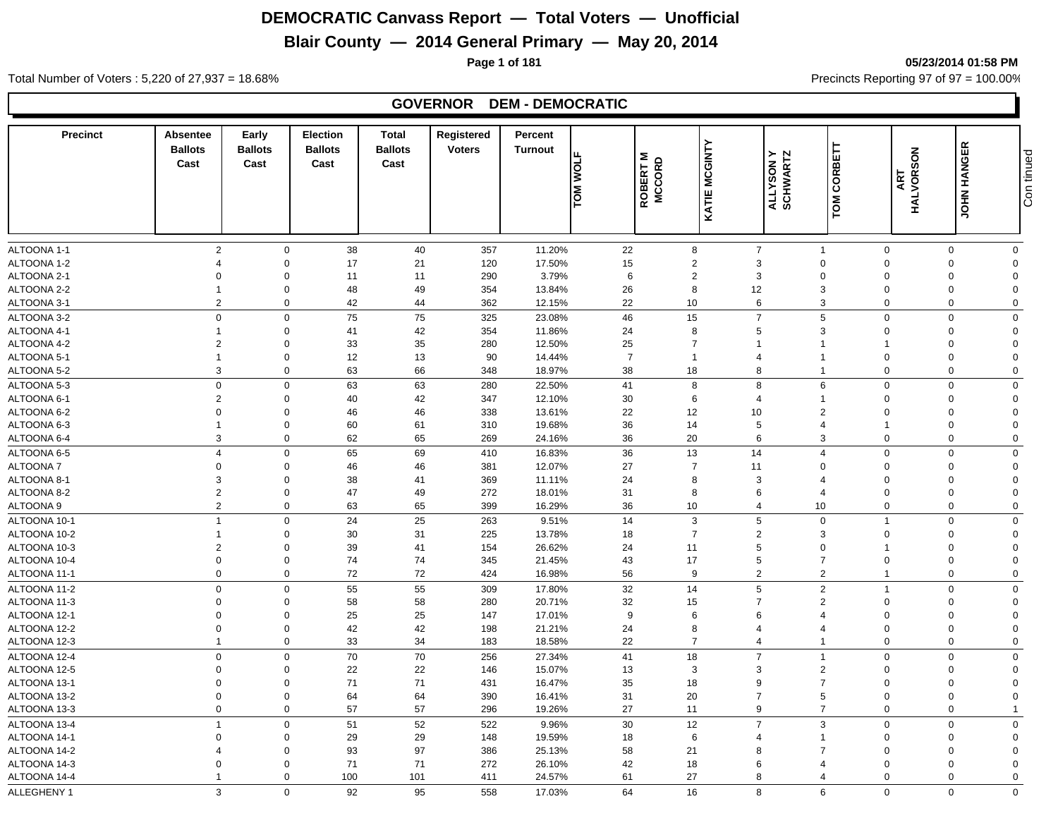## **Blair County — 2014 General Primary — May 20, 2014**

**Page 1 of 181 05/23/2014 01:58 PM**

Total Number of Voters : 5,220 of 27,937 = 18.68% Precincts Reporting 97 of 97 = 100.00%

#### **GOVERNOR DEM - DEMOCRATIC**

| <b>Precinct</b>              | <b>Absentee</b><br><b>Ballots</b><br>Cast | Early<br><b>Ballots</b><br>Cast | Election<br><b>Ballots</b><br>Cast | <b>Total</b><br><b>Ballots</b><br>Cast | Registered<br><b>Voters</b> | Percent<br><b>Turnout</b> | <b>TOM WOLF</b> | ROBERT M<br>MCCORD | KATIE MCGINTY  | CORBETT<br><b>ALLYSON Y</b><br>SCHWARTZ<br>TOM | ART                     | <b>JOHN HANGER</b><br>HALVORSON | Con tinued              |
|------------------------------|-------------------------------------------|---------------------------------|------------------------------------|----------------------------------------|-----------------------------|---------------------------|-----------------|--------------------|----------------|------------------------------------------------|-------------------------|---------------------------------|-------------------------|
|                              |                                           |                                 |                                    |                                        |                             |                           |                 |                    |                |                                                |                         |                                 |                         |
| ALTOONA 1-1                  |                                           | $\overline{2}$<br>$\mathbf 0$   | 38                                 | 40                                     | 357                         | 11.20%                    | 22              | 8                  | $\overline{7}$ | $\mathbf{1}$                                   | $\mathbf 0$             | $\mathbf 0$                     | $\mathbf 0$             |
| ALTOONA 1-2                  | $\overline{4}$                            | $\mathbf 0$                     | 17                                 | 21                                     | 120                         | 17.50%                    | 15              | 2                  | 3              | $\mathbf 0$                                    | $\mathbf 0$             | $\mathbf 0$                     | $\Omega$                |
| ALTOONA 2-1                  | $\Omega$                                  | $\Omega$                        | 11                                 | 11                                     | 290                         | 3.79%                     | 6               | $\overline{2}$     | 3              | $\Omega$                                       | $\Omega$                | $\boldsymbol{0}$                | $\Omega$                |
| ALTOONA 2-2                  | $\overline{1}$                            | $\Omega$                        | 48                                 | 49                                     | 354                         | 13.84%                    | 26              | 8                  | 12             | 3                                              | $\Omega$                | $\mathbf 0$                     | $\Omega$                |
| ALTOONA 3-1                  |                                           | 2<br>$\mathbf 0$                | 42                                 | 44                                     | 362                         | 12.15%                    | 22              | 10                 | 6              | 3                                              | $\mathbf 0$             | $\mathbf 0$                     | $\Omega$                |
| ALTOONA 3-2                  |                                           | $\mathbf 0$<br>$\mathbf 0$      | 75                                 | 75                                     | 325                         | 23.08%                    | 46              | 15                 | $\overline{7}$ | 5                                              | $\mathbf 0$             | $\mathbf 0$                     | $\Omega$                |
| ALTOONA 4-1                  | $\mathbf 1$                               | $\Omega$                        | 41                                 | 42                                     | 354                         | 11.86%                    | 24              | 8                  | 5              | 3                                              | $\Omega$                | $\mathbf 0$                     | $\Omega$                |
| ALTOONA 4-2                  | $\overline{2}$                            | $\mathbf 0$                     | 33                                 | 35                                     | 280                         | 12.50%                    | 25              | $\overline{7}$     | $\overline{1}$ |                                                | $\overline{\mathbf{1}}$ | $\mathbf 0$                     | $\Omega$                |
| ALTOONA 5-1                  | $\overline{1}$                            | $\Omega$                        | 12                                 | 13                                     | 90                          | 14.44%                    | $\overline{7}$  | $\overline{1}$     | $\overline{4}$ |                                                | $\mathbf 0$             | $\mathbf 0$                     | $\Omega$                |
| ALTOONA 5-2                  |                                           | 3<br>$\mathbf 0$                | 63                                 | 66                                     | 348                         | 18.97%                    | 38              | 18                 | 8              | $\overline{1}$                                 | $\mathbf 0$             | $\mathbf 0$                     | $\Omega$                |
| ALTOONA 5-3                  |                                           | $\mathbf 0$<br>$\mathbf 0$      | 63                                 | 63                                     | 280                         | 22.50%                    | 41              | 8                  | 8              | 6                                              | $\mathbf 0$             | $\mathbf 0$                     | $\mathbf 0$             |
| ALTOONA 6-1                  |                                           | $\overline{2}$<br>$\Omega$      | 40                                 | 42                                     | 347                         | 12.10%                    | 30              | 6                  | $\overline{4}$ |                                                | $\mathbf 0$             | $\mathbf 0$                     | $\Omega$                |
| ALTOONA 6-2                  | $\mathbf 0$                               | $\Omega$                        | 46                                 | 46                                     | 338                         | 13.61%                    | 22              | 12                 | 10             | $\overline{2}$                                 | $\Omega$                | $\mathbf 0$                     | $\Omega$                |
| ALTOONA 6-3                  | $\overline{1}$                            | $\Omega$                        | 60                                 | 61                                     | 310                         | 19.68%                    | 36              | 14                 | 5              | $\overline{4}$                                 | 1                       | $\mathbf 0$                     | $\Omega$                |
| ALTOONA 6-4                  |                                           | 3<br>$\Omega$                   | 62                                 | 65                                     | 269                         | 24.16%                    | 36              | 20                 | 6              | 3                                              | $\Omega$                | $\mathbf 0$                     | $\Omega$                |
| ALTOONA 6-5                  | $\overline{4}$                            | $\mathbf 0$                     | 65                                 | 69                                     | 410                         | 16.83%                    | 36              | 13                 | 14             | $\overline{4}$                                 | $\Omega$                | $\mathbf 0$                     | $\Omega$                |
| <b>ALTOONA7</b>              |                                           | 0<br>$\Omega$                   | 46                                 | 46                                     | 381                         | 12.07%                    | 27              | $\overline{7}$     | 11             | $\Omega$                                       | $\Omega$                | $\mathbf 0$                     | $\Omega$                |
| ALTOONA 8-1                  |                                           | 3<br>$\Omega$                   | 38                                 | 41                                     | 369                         | 11.11%                    | 24              | 8                  | 3              |                                                | $\Omega$                | $\mathbf 0$                     | $\Omega$                |
| ALTOONA 8-2                  |                                           | 2<br>$\Omega$                   | 47                                 | 49                                     | 272                         | 18.01%                    | 31              | 8                  | 6              | $\overline{4}$                                 | $\Omega$                | $\mathbf 0$                     | $\Omega$                |
| ALTOONA 9                    |                                           | $\boldsymbol{2}$<br>$\mathbf 0$ | 63                                 | 65                                     | 399                         | 16.29%                    | 36              | 10                 | $\overline{4}$ | 10                                             | $\mathbf 0$             | $\mathbf 0$                     | $\mathbf 0$             |
| ALTOONA 10-1                 | $\mathbf{1}$                              | $\mathbf 0$                     | 24                                 | 25                                     | 263                         | 9.51%                     | 14              | 3                  | 5              | $\mathbf 0$                                    | $\mathbf{1}$            | $\mathbf 0$                     | $\mathbf 0$             |
| ALTOONA 10-2                 | $\mathbf 1$                               | $\Omega$                        | 30                                 | 31                                     | 225                         | 13.78%                    | 18              | $\overline{7}$     | 2              | 3                                              | $\Omega$                | $\mathbf 0$                     | $\Omega$                |
| ALTOONA 10-3                 |                                           | $\overline{2}$<br>$\Omega$      | 39                                 | 41                                     | 154                         | 26.62%                    | 24              | 11                 | 5              | $\Omega$                                       | 1                       | $\mathbf 0$                     | $\Omega$                |
| ALTOONA 10-4                 | $\Omega$                                  | $\Omega$                        | 74                                 | 74                                     | 345                         | 21.45%                    | 43              | 17                 | 5              | $\overline{7}$                                 | $\Omega$                | $\mathbf 0$                     | $\Omega$                |
| ALTOONA 11-1                 |                                           | $\mathbf 0$<br>$\mathbf 0$      | 72                                 | 72                                     | 424                         | 16.98%                    | 56              | 9                  | $\overline{2}$ | $\overline{2}$                                 | -1                      | $\mathbf 0$                     | $\mathbf 0$             |
| ALTOONA 11-2                 |                                           | $\mathbf 0$<br>$\Omega$         | 55                                 | 55                                     | 309                         | 17.80%                    | 32              | 14                 | $\,$ 5 $\,$    | 2                                              | 1                       | $\mathbf 0$                     | $\Omega$                |
| ALTOONA 11-3                 |                                           | 0<br>$\Omega$                   | 58                                 | 58                                     | 280                         | 20.71%                    | 32              | 15                 | $\overline{7}$ | 2                                              | $\Omega$                | $\mathbf 0$                     | $\Omega$                |
| ALTOONA 12-1                 | $\mathbf 0$                               | $\Omega$                        | 25                                 | 25                                     | 147                         | 17.01%                    | 9               | 6                  | 6              | $\Delta$                                       | $\Omega$                | $\mathbf 0$                     | $\Omega$                |
| ALTOONA 12-2                 | $\mathbf 0$                               | $\Omega$                        | 42                                 | 42                                     | 198                         | 21.21%                    | 24              | 8                  | $\overline{4}$ | 4                                              | $\Omega$                | $\mathbf 0$                     | $\Omega$                |
| ALTOONA 12-3                 | $\mathbf{1}$                              | $\mathbf 0$                     | 33                                 | 34                                     | 183                         | 18.58%                    | 22              | $\overline{7}$     | $\overline{4}$ | $\overline{1}$                                 | $\mathbf 0$             | $\mathbf 0$                     | $\mathbf 0$             |
|                              |                                           | $\mathbf 0$<br>$\mathbf 0$      | 70                                 | 70                                     |                             |                           |                 | 18                 | $\overline{7}$ | $\mathbf 1$                                    | $\mathbf 0$             | $\mathbf 0$                     |                         |
| ALTOONA 12-4<br>ALTOONA 12-5 | $\Omega$                                  | $\Omega$                        | 22                                 |                                        | 256                         | 27.34%                    | 41<br>13        |                    | 3              | $\overline{2}$                                 | $\Omega$                | $\mathbf 0$                     | $\mathbf 0$<br>$\Omega$ |
|                              | $\Omega$                                  | $\Omega$                        |                                    | 22<br>71                               | 146                         | 15.07%                    |                 | 3                  | 9              | $\overline{7}$                                 | $\Omega$                | $\mathbf 0$                     | $\Omega$                |
| ALTOONA 13-1<br>ALTOONA 13-2 | $\mathbf 0$                               | $\mathbf 0$                     | 71<br>64                           | 64                                     | 431<br>390                  | 16.47%<br>16.41%          | 35<br>31        | 18<br>20           | $\overline{7}$ | 5                                              | $\Omega$                | $\mathbf 0$                     | $\Omega$                |
|                              |                                           | $\mathbf 0$<br>$\mathbf 0$      | 57                                 | 57                                     |                             | 19.26%                    | 27              | 11                 | 9              | $\overline{7}$                                 | $\mathbf 0$             | $\mathbf 0$                     |                         |
| ALTOONA 13-3                 |                                           |                                 |                                    |                                        | 296                         |                           |                 |                    |                |                                                |                         |                                 |                         |
| ALTOONA 13-4                 | $\overline{1}$                            | $\mathbf 0$                     | 51                                 | 52                                     | 522                         | 9.96%                     | 30              | 12                 | $\overline{7}$ | 3                                              | $\Omega$                | $\mathbf 0$                     | $\mathbf 0$             |
| ALTOONA 14-1                 | $\Omega$                                  | $\Omega$                        | 29                                 | 29                                     | 148                         | 19.59%                    | 18              | 6                  | $\overline{4}$ |                                                | $\Omega$                | $\mathbf 0$                     | $\Omega$                |
| ALTOONA 14-2                 | 4                                         | $\Omega$                        | 93                                 | 97                                     | 386                         | 25.13%                    | 58              | 21                 | 8              |                                                | $\Omega$                | $\mathbf 0$                     | $\Omega$                |
| ALTOONA 14-3                 | $\Omega$                                  | $\Omega$                        | 71                                 | 71                                     | 272                         | 26.10%                    | 42              | 18                 | 6              |                                                | $\Omega$                | $\boldsymbol{0}$                | $\Omega$                |
| ALTOONA 14-4                 | $\overline{1}$                            | $\mathbf 0$                     | 100                                | 101                                    | 411                         | 24.57%                    | 61              | 27                 | 8              | 4                                              | $\mathbf 0$             | $\mathbf 0$                     | $\mathbf 0$             |
| ALLEGHENY 1                  |                                           | 3<br>$\Omega$                   | 92                                 | 95                                     | 558                         | 17.03%                    | 64              | 16                 | 8              | 6                                              | $\Omega$                | $\Omega$                        | $\mathbf 0$             |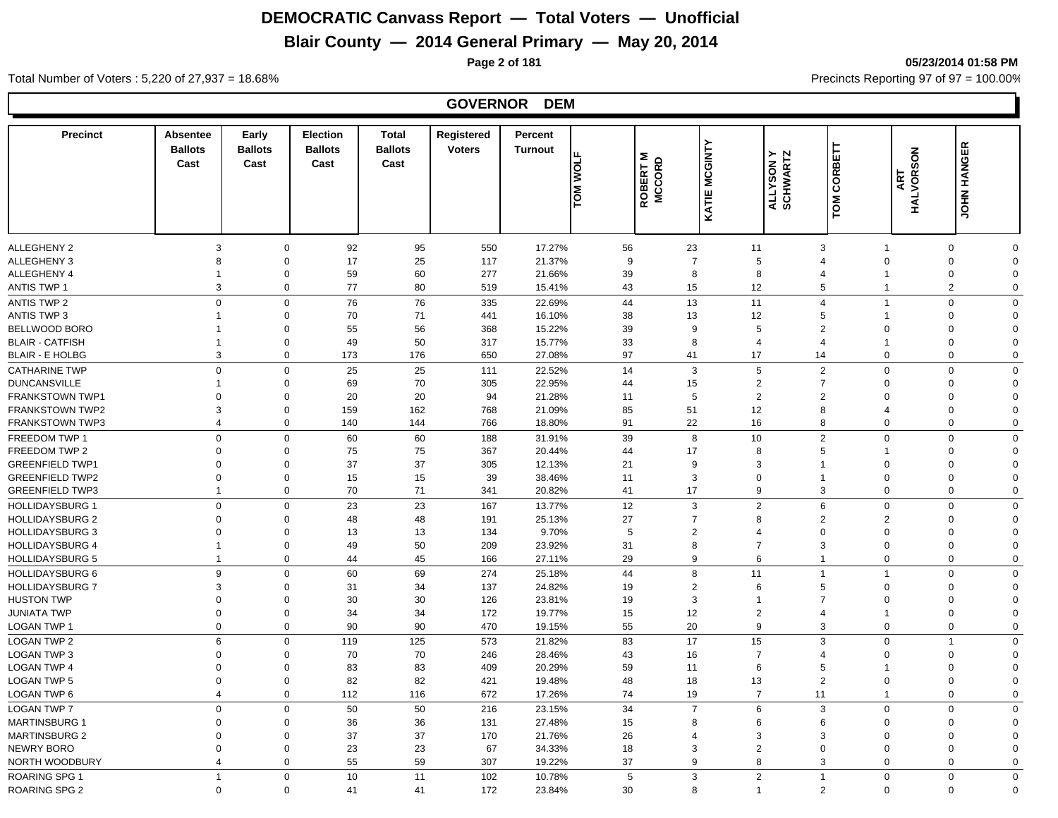#### **Blair County — 2014 General Primary — May 20, 2014**

**GOVERNOR DEM**

**Page 2 of 181 05/23/2014 01:58 PM**

#### **Precinct Absentee Ballots Cast Cast Early Ballots Election Ballots**  Cast **Cast Total Registered Ballots Cast**<br>
Cast<br> **Cast**<br> **CALLYSON Y**<br> **CALLYSON Y**<br> **CALLYSON Y**<br> **CATIE MCGINTY**<br> **CATIE MCGINITY**<br> **CATIE MCGINITY**<br> **CATIE MCGINITY**<br> **CATIE MCGINITY**<br> **CATIE MCGINITY**<br> **CATIE MCGINITY Turnout Percent TOM WOLF<br>ROBERT M<br>ROCORD<br>MOCONT** ALLEGHENY 2 3 0 92 95 550 17.27% 56 23 11 3 1 0 0 ALLEGHENY 3 8 0 17 25 117 21.37% 9 7 5 4 0 0 0 ALLEGHENY 4 1 0 59 60 277 21.66% 39 8 8 4 1 0 0 ANTIS TWP 1 3 0 77 80 519 15.41% 43 15 12 5 1 2 0 ANTIS TWP 2 0 76 335 22.69% 44 13 11 4 1 0 0 ANTIS TWP 3 1 0 70 71 441 16.10% 38 13 12 5 1 0 0 BELLWOOD BORO 1 0 55 56 368 15.22% 39 9 5 2 0 0 0 BLAIR - CATFISH 1 0 49 50 317 15.77% 33 8 4 4 1 0 0 BLAIR - E HOLBG 3 0 173 176 650 27.08% 97 41 17 14 0 0 0 CATHARINE TWP 0 0 25 25 111 22.52% 14 3 5 2 0 0 0 DUNCANSVILLE 1 0 69 70 305 22.95% 44 15 2 7 0 0 0 FRANKSTOWN TWP1 0 0 20 20 94 21.28% 11 5 2 2 0 0 0 FRANKSTOWN TWP2 3 0 159 162 768 21.09% 85 51 12 8 4 0 0 FRANKSTOWN TWP3 4 0 140 144 766 18.80% 91 22 16 8 0 0 0 FREEDOM TWP 1 0 0 60 60 188 31.91% 39 8 10 2 0 0 0 FREEDOM TWP 2 0 0 75 75 367 20.44% 44 17 8 5 1 0 0 GREENFIELD TWP1 0 0 37 37 305 12.13% 21 9 3 1 0 0 0 GREENFIELD TWP2 0 0 15 15 39 38.46% 11 3 0 1 0 0 0 GREENFIELD TWP3 1 0 70 71 341 20.82% 41 17 9 3 0 0 0 HOLLIDAYSBURG 1 0 0 23 23 167 13.77% 12 3 2 6 0 0 HOLLIDAYSBURG 2 0 0 48 48 191 25.13% 27 7 8 2 2 0 0 HOLLIDAYSBURG 3 0 0 13 13 134 9.70% 5 2 4 0 0 0 0 HOLLIDAYSBURG 4 1 0 49 50 209 23.92% 31 8 7 3 0 0 0 HOLLIDAYSBURG 5 1 0 44 45 166 27.11% 29 9 6 1 0 0 0 HOLLIDAYSBURG 6 9 0 60 69 274 25.18% 44 8 11 1 1 0 0 HOLLIDAYSBURG 7 3 0 31 34 137 24.82% 19 2 6 5 0 0 0 HUSTON TWP 0 0 30 126 23.81% 19 3 1 7 0 0 0 JUNIATA TWP 0 0 34 34 172 19.77% 15 12 2 4 1 0 0 LOGAN TWP 1 0 0 90 90 470 19.15% 55 20 9 3 0 0 0 LOGAN TWP 2 6 0 119 125 573 21.82% 83 17 15 3 0 1 0 LOGAN TWP 3 0 0 70 70 246 28.46% 43 16 7 4 0 0 0 LOGAN TWP 4 0 0 83 83 409 20.29% 59 11 6 5 1 0 0 LOGAN TWP 5 0 0 82 82 421 19.48% 48 18 13 2 0 0 0 LOGAN TWP 6 4 0 112 116 672 17.26% 74 19 7 11 1 0 0 LOGAN TWP 7 0 0 50 50 216 23.15% 34 7 6 3 0 0 0 MARTINSBURG 1 0 0 36 36 131 27.48% 15 8 6 6 0 0 0 MARTINSBURG 2 0 0 37 170 21.76% 26 4 3 3 0 0 0 NEWRY BORO 0 0 23 23 67 34.33% 18 3 2 0 0 0 0 0 NORTH WOODBURY 4 0 55 59 307 19.22% 37 9 8 3 0 0 0

ROARING SPG 1 1 0 10 11 102 10.78% 5 3 2 1 0 0 0 0

ROARING SPG 2 0 0 41 41 172 23.84% 30 8 1 2 0 0 0

Total Number of Voters : 5,220 of 27,937 = 18.68% Precincts Reporting 97 of 97 = 100.00%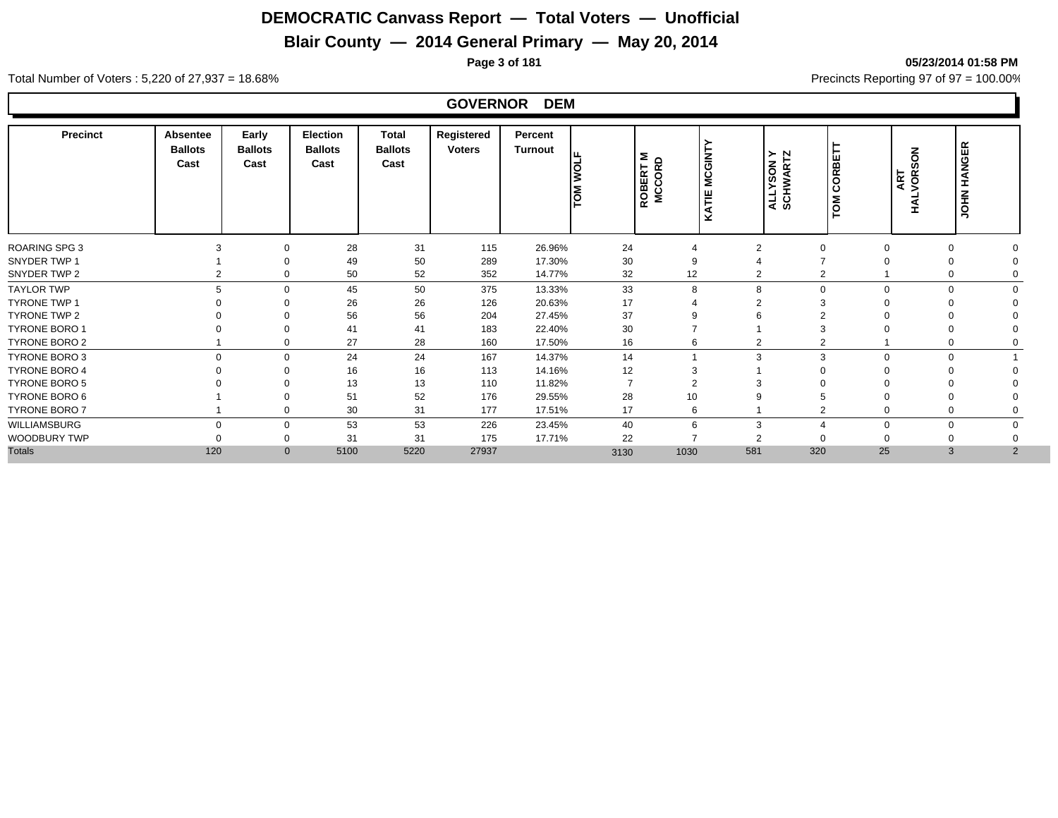## **Blair County — 2014 General Primary — May 20, 2014**

**Page 3 of 181 05/23/2014 01:58 PM**

#### Total Number of Voters : 5,220 of 27,937 = 18.68% Precincts Reporting 97 of 97 = 100.00%

#### **GOVERNOR DEM**

| TOM CORBET<br><b>MCGINT</b><br><b>ALINANTOS</b><br>A NOSATIV<br>ه ≍ا<br>Cast<br>Cast<br>Cast<br>Cast<br>ROBERT<br>MCCORL<br>Ιğ<br><b>S</b><br>岂<br>Š | ART<br>VOR:<br><b>HAL</b>  | <b>JOHN HANGER</b> |
|------------------------------------------------------------------------------------------------------------------------------------------------------|----------------------------|--------------------|
| <b>ROARING SPG 3</b><br>28<br>31<br>24<br>115<br>26.96%<br>$\mathbf 0$<br>$\overline{2}$<br>4                                                        | $\Omega$<br>$\Omega$       |                    |
| 30<br>SNYDER TWP 1<br>49<br>50<br>289<br>17.30%<br>9<br>$\Omega$                                                                                     | $\Omega$                   |                    |
| 52<br>352<br>32<br>12<br>SNYDER TWP 2<br>50<br>14.77%<br>$\overline{2}$<br>$\mathbf 0$<br>2                                                          | $\Omega$                   |                    |
| 50<br>33<br><b>TAYLOR TWP</b><br>5<br>375<br>8<br>$\mathbf 0$<br>45<br>13.33%<br>8<br>$\Omega$                                                       | $\Omega$<br>$\mathbf 0$    |                    |
| 26<br>26<br>17<br><b>TYRONE TWP 1</b><br>126<br>20.63%<br>$\Omega$<br>4                                                                              |                            |                    |
| 37<br>56<br>56<br><b>TYRONE TWP 2</b><br>204<br>27.45%<br>$\Omega$<br>9                                                                              |                            |                    |
| 30<br><b>TYRONE BORO 1</b><br>41<br>183<br>22.40%<br>41<br>7<br>$\Omega$                                                                             | $\Omega$                   |                    |
| 28<br>TYRONE BORO 2<br>27<br>17.50%<br>16<br>160<br>$\mathbf 0$<br>6<br>$\overline{2}$                                                               |                            |                    |
| 24<br>24<br><b>TYRONE BORO 3</b><br>167<br>14.37%<br>14<br>$\mathbf 0$<br>3<br>3<br>0                                                                | $\mathbf 0$<br>$\mathbf 0$ |                    |
| 12<br><b>TYRONE BORO 4</b><br>16<br>16<br>113<br>14.16%<br>3<br>$\Omega$                                                                             |                            |                    |
| <b>TYRONE BORO 5</b><br>13<br>13<br>110<br>11.82%<br>$\overline{ }$<br>$\overline{2}$<br>$\Omega$                                                    |                            |                    |
| TYRONE BORO 6<br>52<br>28<br>51<br>10<br>176<br>29.55%                                                                                               |                            |                    |
| TYRONE BORO 7<br>30<br>31<br>177<br>17<br>17.51%<br>6<br>$\Omega$                                                                                    | $\Omega$                   |                    |
| 53<br>40<br>WILLIAMSBURG<br>53<br>226<br>23.45%<br>$\Omega$<br>$\mathbf 0$<br>6<br>3                                                                 | $\Omega$<br>$\mathbf 0$    |                    |
| WOODBURY TWP<br>22<br>31<br>31<br>175<br>17.71%<br>$\overline{2}$<br>$\Omega$                                                                        |                            |                    |
| <b>Totals</b><br>5220<br>581<br>320<br>120<br>5100<br>27937<br>1030<br>$\mathbf{0}$<br>3130                                                          | 25<br>3                    | 2                  |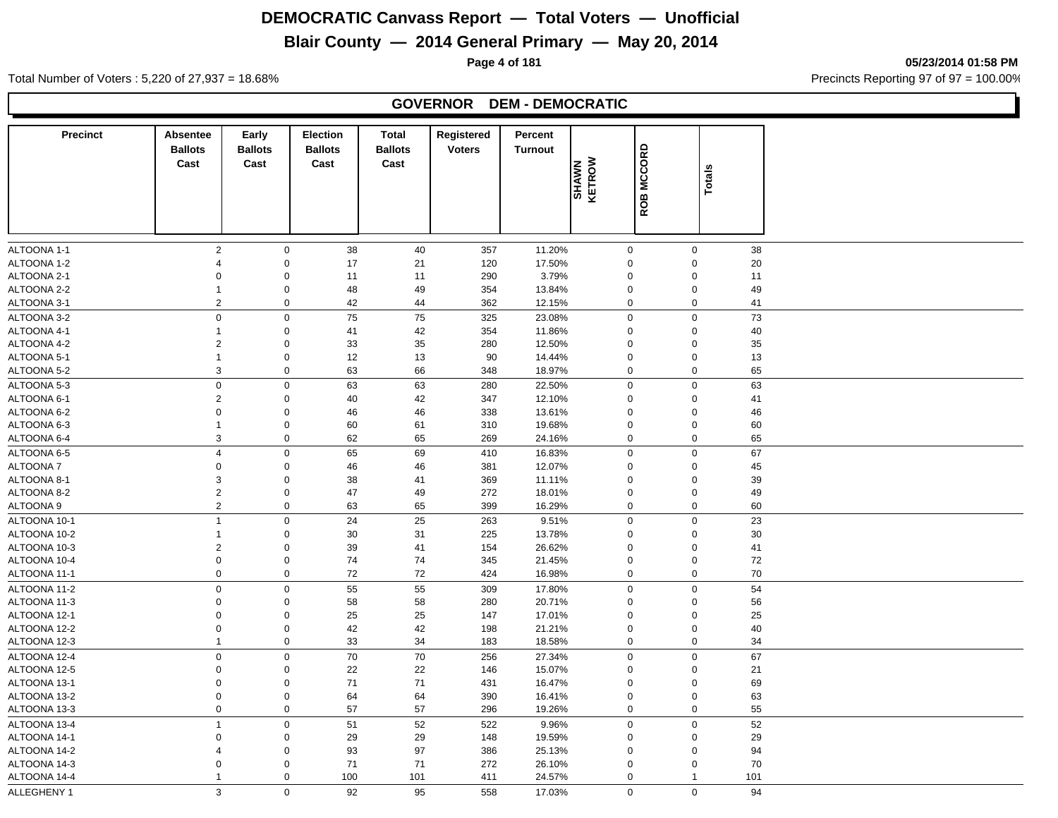## **Blair County — 2014 General Primary — May 20, 2014**

**Page 4 of 181 05/23/2014 01:58 PM**

Total Number of Voters : 5,220 of 27,937 = 18.68% Precincts Reporting 97 of 97 = 100.00%

#### **GOVERNOR DEM - DEMOCRATIC**

| <b>Precinct</b>              | <b>Absentee</b><br><b>Ballots</b> | Early<br><b>Ballots</b>    | Election<br><b>Ballots</b> | Total<br><b>Ballots</b> | Registered<br><b>Voters</b> | <b>Percent</b><br><b>Turnout</b> |                            |               |                                        |    |
|------------------------------|-----------------------------------|----------------------------|----------------------------|-------------------------|-----------------------------|----------------------------------|----------------------------|---------------|----------------------------------------|----|
|                              | Cast                              | Cast                       | Cast                       | Cast                    |                             |                                  | SHAWN<br>KETROW            | <b>MCCORD</b> |                                        |    |
|                              |                                   |                            |                            |                         |                             |                                  |                            |               | Totals                                 |    |
|                              |                                   |                            |                            |                         |                             |                                  |                            | ROB           |                                        |    |
|                              |                                   |                            |                            |                         |                             |                                  |                            |               |                                        |    |
| ALTOONA 1-1                  | $\overline{2}$                    | $\mathbf 0$                | 38                         | 40                      | 357                         | 11.20%                           | $\mathbf 0$                |               | $\mathsf 0$                            | 38 |
| ALTOONA 1-2                  | $\overline{4}$                    | $\mathsf 0$                | 17                         | 21                      | 120                         | 17.50%                           | $\mathbf 0$                |               | $\pmb{0}$                              | 20 |
| ALTOONA 2-1                  | 0                                 | $\mathbf 0$                | 11                         | 11                      | 290                         | 3.79%                            | 0                          |               | $\mathbf 0$<br>11                      |    |
| ALTOONA 2-2                  | $\mathbf{1}$                      | $\mathbf 0$                | 48                         | 49                      | 354                         | 13.84%                           | $\mathbf 0$                |               | $\mathbf 0$                            | 49 |
| ALTOONA 3-1                  | $\overline{2}$                    | $\mathbf 0$                | 42                         | 44                      | 362                         | 12.15%                           | $\mathbf 0$                |               | $\mathbf 0$<br>41                      |    |
| ALTOONA 3-2                  | $\mathsf 0$                       | $\mathsf 0$                | 75                         | 75                      | 325                         | 23.08%                           | $\mathbf 0$                |               | $\mathbf 0$<br>73                      |    |
| ALTOONA 4-1                  | $\mathbf{1}$                      | $\mathbf 0$                | 41                         | 42                      | 354                         | 11.86%                           | $\mathbf 0$                |               | $\mathbf 0$                            | 40 |
| ALTOONA 4-2                  | $\overline{2}$                    | $\mathbf 0$                | 33                         | 35                      | 280                         | 12.50%                           | $\mathbf 0$                |               | $\mathbf 0$                            | 35 |
| ALTOONA 5-1                  | $\mathbf{1}$                      | $\mathbf 0$                | 12                         | 13                      | 90                          | 14.44%                           | $\mathbf 0$                |               | $\mathbf 0$                            | 13 |
| ALTOONA 5-2                  | 3                                 | $\mathbf 0$                | 63                         | 66                      | 348                         | 18.97%                           | $\mathbf 0$                |               | $\mathbf 0$                            | 65 |
| ALTOONA 5-3                  | $\mathbf 0$                       | $\mathbf 0$                | 63                         | 63                      | 280                         | 22.50%                           | $\mathbf 0$                |               | $\mathsf 0$                            | 63 |
| ALTOONA 6-1                  | $\overline{2}$                    | $\mathbf 0$                | 40                         | 42                      | 347                         | 12.10%                           | $\mathbf 0$                |               | $\mathbf 0$<br>41                      |    |
| ALTOONA 6-2                  | $\Omega$                          | $\mathbf 0$                | 46                         | 46                      | 338                         | 13.61%                           | 0                          |               | $\mathbf 0$                            | 46 |
| ALTOONA 6-3                  | $\mathbf{1}$                      | $\mathbf 0$                | 60                         | 61                      | 310                         | 19.68%                           | $\mathbf 0$                |               | $\mathbf 0$                            | 60 |
| ALTOONA 6-4                  | 3                                 | $\mathbf 0$                | 62                         | 65                      | 269                         | 24.16%                           | $\mathbf 0$                |               | $\mathsf 0$                            | 65 |
| ALTOONA 6-5                  | $\overline{4}$                    | $\mathbf 0$                | 65                         | 69                      | 410                         | 16.83%                           | $\mathbf 0$                |               | $\mathbf 0$                            | 67 |
| ALTOONA 7                    | $\mathbf 0$                       | $\mathbf 0$                | 46                         | 46                      | 381                         | 12.07%                           | $\mathbf 0$                |               | $\mathbf 0$                            | 45 |
| ALTOONA 8-1                  | 3                                 | $\mathbf 0$                | 38                         | 41                      | 369                         | 11.11%                           | $\mathbf 0$                |               | $\mathsf 0$                            | 39 |
| ALTOONA 8-2                  | $\overline{2}$                    | $\mathbf 0$                | 47                         | 49                      | 272                         | 18.01%                           | $\mathbf 0$                |               | $\mathsf 0$                            | 49 |
| ALTOONA 9                    | $\overline{2}$                    | $\mathsf 0$                | 63                         | 65                      | 399                         | 16.29%                           | $\pmb{0}$                  |               | $\pmb{0}$                              | 60 |
| ALTOONA 10-1                 | $\overline{1}$                    | $\mathsf 0$                | 24                         | 25                      | 263                         | 9.51%                            | $\mathbf 0$                |               | $\mathsf 0$                            | 23 |
| ALTOONA 10-2                 | $\mathbf{1}$                      | $\mathbf 0$                | 30                         | 31                      | 225                         | 13.78%                           | $\Omega$                   |               | $\mathbf 0$                            | 30 |
| ALTOONA 10-3                 | $\overline{2}$                    | $\mathbf 0$                | 39                         | 41                      | 154                         | 26.62%                           | $\Omega$                   |               | $\mathbf 0$<br>41                      |    |
| ALTOONA 10-4                 | $\mathbf 0$                       | $\mathbf 0$                | 74                         | 74                      | 345                         | 21.45%                           | $\mathbf 0$                |               | $\mathbf 0$                            | 72 |
| ALTOONA 11-1                 | $\mathbf 0$                       | $\mathbf 0$                | 72                         | 72                      | 424                         | 16.98%                           | $\mathbf 0$                |               | $\mathbf 0$                            | 70 |
| ALTOONA 11-2                 | $\Omega$                          | $\pmb{0}$                  | 55                         | 55                      | 309                         | 17.80%                           | $\mathbf 0$                |               | $\pmb{0}$                              | 54 |
| ALTOONA 11-3                 | $\mathbf 0$                       | $\mathbf 0$                | 58                         | 58                      | 280                         | 20.71%                           | $\mathbf 0$                |               | $\mathbf 0$                            | 56 |
| ALTOONA 12-1                 | $\mathbf 0$                       | $\mathbf 0$                | 25                         | 25                      | 147                         | 17.01%                           | $\mathbf 0$                |               | $\mathbf 0$                            | 25 |
| ALTOONA 12-2                 | $\mathbf 0$                       | $\mathbf 0$                | 42                         | 42                      | 198                         | 21.21%                           | $\mathbf 0$                |               | $\mathbf 0$                            | 40 |
| ALTOONA 12-3                 | $\mathbf{1}$                      | $\pmb{0}$                  | 33                         | 34                      | 183                         | 18.58%                           | $\pmb{0}$                  |               | $\pmb{0}$                              | 34 |
| ALTOONA 12-4                 | $\mathbf 0$                       | $\mathbf 0$                | 70                         | 70                      | 256                         | 27.34%                           | $\mathbf 0$                |               | $\mathsf 0$<br>67                      |    |
| ALTOONA 12-5                 | $\mathbf 0$                       | $\mathbf 0$                | 22                         | 22                      | 146                         | 15.07%                           | $\mathbf 0$                |               | $\mathbf 0$<br>21                      |    |
| ALTOONA 13-1                 | $\mathbf 0$                       | $\mathbf 0$                | 71                         | 71                      | 431                         | 16.47%                           |                            |               | $\mathbf 0$                            | 69 |
| ALTOONA 13-2                 | $\pmb{0}$                         | $\mathsf 0$                | 64                         | 64                      | 390                         | 16.41%                           | 0<br>0                     |               | $\pmb{0}$                              | 63 |
| ALTOONA 13-3                 | $\mathbf 0$                       | $\mathbf 0$                | 57                         | 57                      | 296                         | 19.26%                           | $\mathbf 0$                |               | $\mathbf 0$                            | 55 |
|                              | $\mathbf{1}$                      |                            |                            |                         |                             |                                  |                            |               |                                        | 52 |
| ALTOONA 13-4                 |                                   | $\mathbf 0$                | 51                         | 52                      | 522                         | 9.96%                            | $\mathbf 0$                |               | $\mathbf 0$                            |    |
| ALTOONA 14-1                 | 0                                 | $\mathbf 0$                | 29                         | 29                      | 148                         | 19.59%                           | 0                          |               | $\mathbf 0$                            | 29 |
| ALTOONA 14-2<br>ALTOONA 14-3 | $\overline{4}$<br>$\mathbf 0$     | $\mathbf 0$<br>$\mathbf 0$ | 93<br>71                   | 97                      | 386<br>272                  | 25.13%                           | $\mathbf 0$<br>$\mathbf 0$ |               | $\mathbf 0$<br>94<br>$\mathbf 0$<br>70 |    |
|                              | $\mathbf{1}$                      |                            |                            | 71                      |                             | 26.10%                           |                            |               |                                        |    |
| ALTOONA 14-4                 |                                   | $\mathbf 0$                | 100                        | 101                     | 411                         | 24.57%                           | $\mathbf 0$                |               | 101<br>$\mathbf{1}$                    |    |
| ALLEGHENY 1                  | 3                                 | $\mathbf 0$                | 92                         | 95                      | 558                         | 17.03%                           | $\mathbf 0$                |               | $\mathbf 0$<br>94                      |    |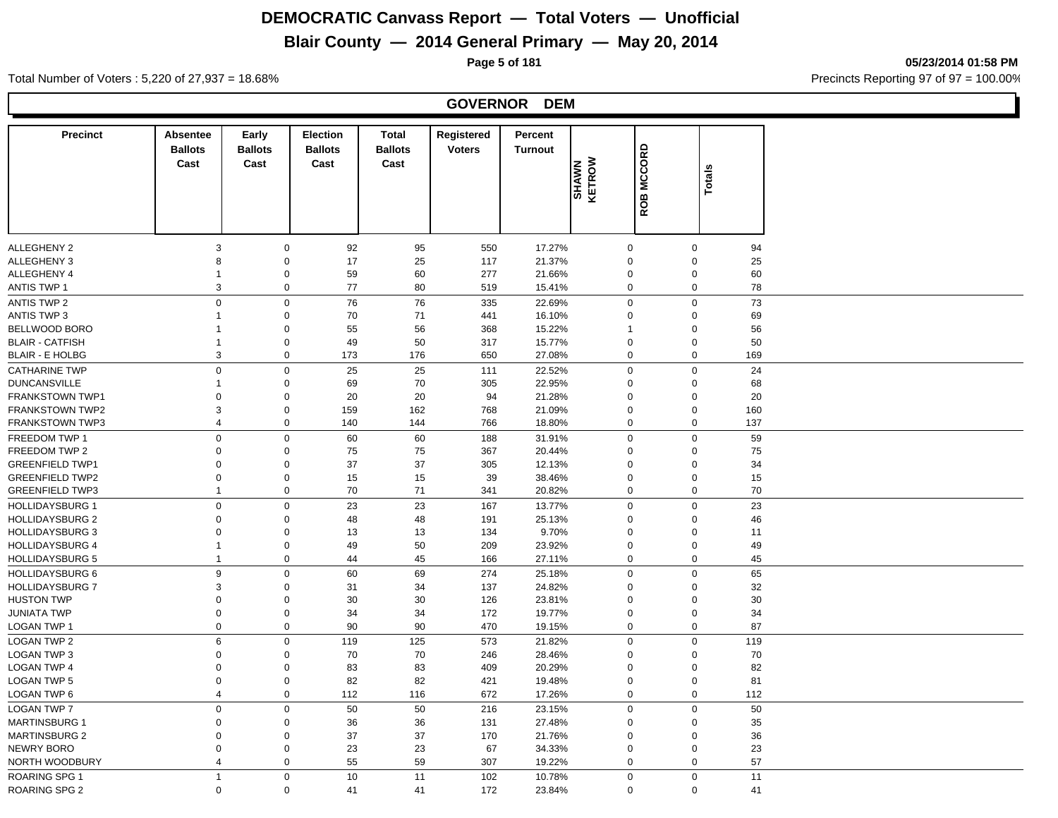# **Blair County — 2014 General Primary — May 20, 2014**

**Page 5 of 181 05/23/2014 01:58 PM**

#### Total Number of Voters : 5,220 of 27,937 = 18.68% 10.00 and 18.00 control and 18.00 control Precincts Reporting 97 of 97 = 100.00 control Precincts Reporting 97 of 97 = 100.00 control Precincts Reporting 97 of 97 = 100.00

#### **GOVERNOR DEM**

| <b>Precinct</b>        | <b>Absentee</b><br><b>Ballots</b> | Early<br><b>Ballots</b> | Election<br><b>Ballots</b> | <b>Total</b><br><b>Ballots</b> | Registered<br><b>Voters</b> | <b>Percent</b><br><b>Turnout</b> |                 |            |               |     |
|------------------------|-----------------------------------|-------------------------|----------------------------|--------------------------------|-----------------------------|----------------------------------|-----------------|------------|---------------|-----|
|                        | Cast                              | Cast                    | Cast                       | Cast                           |                             |                                  |                 | ROB MCCORD |               |     |
|                        |                                   |                         |                            |                                |                             |                                  | SHAWN<br>KETROW |            | <b>Totals</b> |     |
|                        |                                   |                         |                            |                                |                             |                                  |                 |            |               |     |
|                        |                                   |                         |                            |                                |                             |                                  |                 |            |               |     |
| <b>ALLEGHENY 2</b>     | 3                                 | $\mathbf 0$             | 92                         | 95                             | 550                         | 17.27%                           | $\mathbf 0$     |            | $\mathbf 0$   | 94  |
| ALLEGHENY 3            | 8                                 | $\boldsymbol{0}$        | 17                         | 25                             | 117                         | 21.37%                           | $\mathbf 0$     |            | $\pmb{0}$     | 25  |
| ALLEGHENY 4            | $\mathbf{1}$                      | $\boldsymbol{0}$        | 59                         | 60                             | 277                         | 21.66%                           | $\mathbf 0$     |            | $\pmb{0}$     | 60  |
| <b>ANTIS TWP 1</b>     | 3                                 | $\boldsymbol{0}$        | 77                         | 80                             | 519                         | 15.41%                           | $\mathbf 0$     |            | $\mathbf 0$   | 78  |
| <b>ANTIS TWP 2</b>     | $\mathbf 0$                       | $\mathbf 0$             | 76                         | 76                             | 335                         | 22.69%                           | $\Omega$        |            | $\mathbf 0$   | 73  |
| ANTIS TWP 3            | -1                                | $\mathbf 0$             | 70                         | 71                             | 441                         | 16.10%                           | $\Omega$        |            | $\mathbf 0$   | 69  |
| BELLWOOD BORO          |                                   | $\boldsymbol{0}$        | 55                         | 56                             | 368                         | 15.22%                           |                 |            | $\mathbf 0$   | 56  |
| <b>BLAIR - CATFISH</b> | $\mathbf{1}$                      | $\mathbf 0$             | 49                         | 50                             | 317                         | 15.77%                           | $\mathbf 0$     |            | $\mathbf 0$   | 50  |
| <b>BLAIR - E HOLBG</b> | 3                                 | $\mathbf 0$             | 173                        | 176                            | 650                         | 27.08%                           | $\mathbf 0$     |            | $\mathbf 0$   | 169 |
| <b>CATHARINE TWP</b>   | $\mathbf 0$                       | $\mathbf 0$             | 25                         | 25                             | 111                         | 22.52%                           | $\mathbf 0$     |            | $\mathbf 0$   | 24  |
| <b>DUNCANSVILLE</b>    | $\overline{1}$                    | $\pmb{0}$               | 69                         | 70                             | 305                         | 22.95%                           | $\mathbf 0$     |            | $\pmb{0}$     | 68  |
| <b>FRANKSTOWN TWP1</b> | $\mathbf 0$                       | $\pmb{0}$               | 20                         | 20                             | 94                          | 21.28%                           | $\mathbf 0$     |            | $\pmb{0}$     | 20  |
| <b>FRANKSTOWN TWP2</b> | 3                                 | $\pmb{0}$               | 159                        | 162                            | 768                         | 21.09%                           | $\mathbf 0$     |            | $\mathbf 0$   | 160 |
| <b>FRANKSTOWN TWP3</b> | $\overline{4}$                    | $\pmb{0}$               | 140                        | 144                            | 766                         | 18.80%                           | $\mathbf 0$     |            | $\mathbf 0$   | 137 |
| FREEDOM TWP 1          | $\mathbf 0$                       | $\mathbf 0$             | 60                         | 60                             | 188                         | 31.91%                           | $\Omega$        |            | $\mathbf 0$   | 59  |
| FREEDOM TWP 2          | $\Omega$                          | $\pmb{0}$               | 75                         | 75                             | 367                         | 20.44%                           | $\mathbf 0$     |            | $\mathbf 0$   | 75  |
| <b>GREENFIELD TWP1</b> | $\mathbf 0$                       | $\pmb{0}$               | 37                         | 37                             | 305                         | 12.13%                           | $\mathbf 0$     |            | $\mathbf 0$   | 34  |
| <b>GREENFIELD TWP2</b> | $\mathbf 0$                       | $\pmb{0}$               | 15                         | 15                             | 39                          | 38.46%                           | $\mathbf 0$     |            | $\mathbf 0$   | 15  |
| <b>GREENFIELD TWP3</b> | $\mathbf{1}$                      | $\pmb{0}$               | 70                         | 71                             | 341                         | 20.82%                           | $\mathbf 0$     |            | $\mathbf 0$   | 70  |
| <b>HOLLIDAYSBURG 1</b> | $\mathbf 0$                       | $\mathbf 0$             | 23                         | 23                             | 167                         | 13.77%                           | $\mathbf 0$     |            | $\mathbf 0$   | 23  |
| <b>HOLLIDAYSBURG 2</b> | $\Omega$                          | $\mathbf 0$             | 48                         | 48                             | 191                         | 25.13%                           | $\Omega$        |            | $\mathbf 0$   | 46  |
| <b>HOLLIDAYSBURG 3</b> | $\Omega$                          | $\boldsymbol{0}$        | 13                         | 13                             | 134                         | 9.70%                            | $\Omega$        |            | $\pmb{0}$     | 11  |
| <b>HOLLIDAYSBURG 4</b> | $\mathbf{1}$                      | $\pmb{0}$               | 49                         | 50                             | 209                         | 23.92%                           | $\mathbf 0$     |            | $\mathbf 0$   | 49  |
| <b>HOLLIDAYSBURG 5</b> | $\mathbf{1}$                      | $\mathbf 0$             | 44                         | 45                             | 166                         | 27.11%                           | 0               |            | $\mathbf 0$   | 45  |
| <b>HOLLIDAYSBURG 6</b> | 9                                 | $\mathbf 0$             | 60                         | 69                             | 274                         | 25.18%                           | $\mathbf 0$     |            | $\mathbf 0$   | 65  |
| <b>HOLLIDAYSBURG 7</b> | 3                                 | $\boldsymbol{0}$        | 31                         | 34                             | 137                         | 24.82%                           | $\mathbf 0$     |            | $\mathbf 0$   | 32  |
| <b>HUSTON TWP</b>      | $\mathbf 0$                       | $\pmb{0}$               | 30                         | 30                             | 126                         | 23.81%                           | 0               |            | $\mathbf 0$   | 30  |
| JUNIATA TWP            | $\mathbf 0$                       | $\pmb{0}$               | 34                         | 34                             | 172                         | 19.77%                           | $\mathbf 0$     |            | $\mathbf 0$   | 34  |
| LOGAN TWP 1            | $\mathbf 0$                       | $\mathbf 0$             | 90                         | 90                             | 470                         | 19.15%                           | $\mathbf 0$     |            | $\mathbf 0$   | 87  |
| <b>LOGAN TWP 2</b>     | 6                                 | $\mathbf 0$             | 119                        | 125                            | 573                         | 21.82%                           | $\Omega$        |            | $\mathbf 0$   | 119 |
| <b>LOGAN TWP 3</b>     | $\mathbf 0$                       | $\mathbf 0$             | 70                         | 70                             | 246                         | 28.46%                           | $\mathbf 0$     |            | $\mathbf 0$   | 70  |
| <b>LOGAN TWP 4</b>     | $\Omega$                          | $\mathbf 0$             | 83                         | 83                             | 409                         | 20.29%                           | $\mathbf 0$     |            | $\mathbf 0$   | 82  |
| <b>LOGAN TWP 5</b>     | $\mathbf 0$                       | $\mathbf 0$             | 82                         | 82                             | 421                         | 19.48%                           | $\mathbf 0$     |            | $\mathbf 0$   | 81  |
| LOGAN TWP 6            | $\overline{4}$                    | $\pmb{0}$               | 112                        | 116                            | 672                         | 17.26%                           | 0               |            | $\mathbf 0$   | 112 |
| <b>LOGAN TWP 7</b>     | $\mathsf 0$                       | $\mathbf 0$             | 50                         | 50                             | 216                         | 23.15%                           | $\mathbf 0$     |            | $\mathbf 0$   | 50  |
| <b>MARTINSBURG 1</b>   | $\mathbf 0$                       | $\pmb{0}$               | 36                         | 36                             | 131                         | 27.48%                           | $\mathbf 0$     |            | $\mathbf 0$   | 35  |
| <b>MARTINSBURG 2</b>   | $\mathbf 0$                       | $\pmb{0}$               | 37                         | 37                             | 170                         | 21.76%                           | $\mathbf 0$     |            | $\mathbf 0$   | 36  |
| NEWRY BORO             | $\mathbf 0$                       | $\pmb{0}$               | 23                         | 23                             | 67                          | 34.33%                           | $\mathbf 0$     |            | $\pmb{0}$     | 23  |
| NORTH WOODBURY         | $\overline{4}$                    | $\pmb{0}$               | 55                         | 59                             | 307                         | 19.22%                           | $\mathbf 0$     |            | $\mathbf 0$   | 57  |
| <b>ROARING SPG 1</b>   | $\mathbf{1}$                      | $\mathbf 0$             | 10                         | 11                             | 102                         | 10.78%                           | $\mathbf 0$     |            | $\mathbf 0$   | 11  |
| ROARING SPG 2          | $\Omega$                          | $\Omega$                | 41                         | 41                             | 172                         | 23.84%                           | $\mathbf 0$     |            | $\mathbf 0$   | 41  |
|                        |                                   |                         |                            |                                |                             |                                  |                 |            |               |     |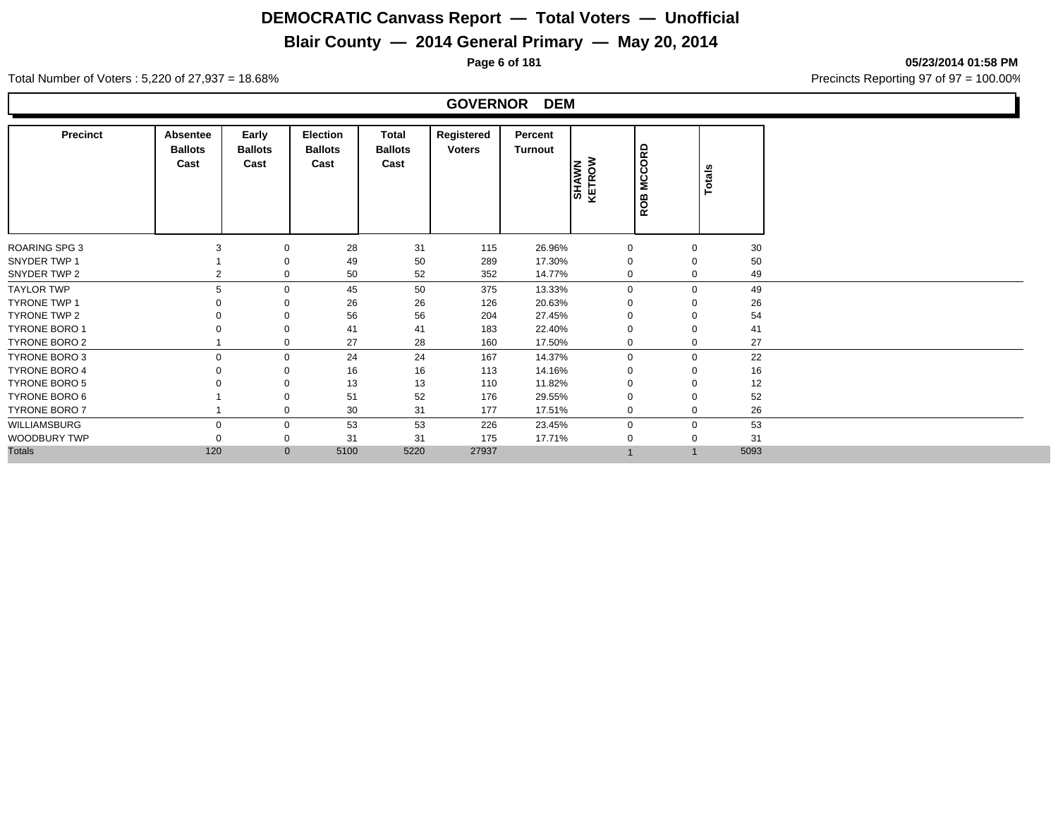## **Blair County — 2014 General Primary — May 20, 2014**

**Page 6 of 181 05/23/2014 01:58 PM**

Total Number of Voters : 5,220 of 27,937 = 18.68% Precincts Reporting 97 of 97 = 100.00%

#### **GOVERNOR DEM**

| <b>Precinct</b>      | Absentee<br><b>Ballots</b><br>Cast | Early<br><b>Ballots</b><br>Cast | Election<br><b>Ballots</b><br>Cast | Total<br><b>Ballots</b><br>Cast | Registered<br><b>Voters</b> | Percent<br><b>Turnout</b> | <b>SHAWN</b><br>KETROW | <b>MCCORD</b><br>ROB | Totals      |      |
|----------------------|------------------------------------|---------------------------------|------------------------------------|---------------------------------|-----------------------------|---------------------------|------------------------|----------------------|-------------|------|
| <b>ROARING SPG 3</b> | 3                                  | $\mathbf 0$                     | 28                                 | 31                              | 115                         | 26.96%                    | $\mathbf 0$            |                      | $\mathbf 0$ | 30   |
| SNYDER TWP 1         |                                    |                                 | 49                                 | 50                              | 289                         | 17.30%                    | $\Omega$               |                      | $\mathbf 0$ | 50   |
| SNYDER TWP 2         | 2                                  | 0                               | 50                                 | 52                              | 352                         | 14.77%                    | 0                      |                      | $\mathbf 0$ | 49   |
| <b>TAYLOR TWP</b>    | 5                                  | $\mathbf 0$                     | 45                                 | 50                              | 375                         | 13.33%                    | $\Omega$               |                      | $\mathbf 0$ | 49   |
| TYRONE TWP 1         |                                    |                                 | 26                                 | 26                              | 126                         | 20.63%                    |                        |                      |             | 26   |
| TYRONE TWP 2         |                                    |                                 | 56                                 | 56                              | 204                         | 27.45%                    |                        |                      | $\mathbf 0$ | 54   |
| <b>TYRONE BORO 1</b> |                                    | 0                               | 41                                 | 41                              | 183                         | 22.40%                    |                        |                      | $\mathbf 0$ | 41   |
| TYRONE BORO 2        |                                    | 0                               | 27                                 | 28                              | 160                         | 17.50%                    |                        |                      | 0           | 27   |
| <b>TYRONE BORO 3</b> |                                    | $\Omega$                        | 24                                 | 24                              | 167                         | 14.37%                    | $\Omega$               |                      | $\mathbf 0$ | 22   |
| <b>TYRONE BORO 4</b> |                                    |                                 | 16                                 | 16                              | 113                         | 14.16%                    |                        |                      | $\mathbf 0$ | 16   |
| <b>TYRONE BORO 5</b> |                                    |                                 | 13                                 | 13                              | 110                         | 11.82%                    |                        |                      | $\Omega$    | 12   |
| TYRONE BORO 6        |                                    |                                 | 51                                 | 52                              | 176                         | 29.55%                    |                        |                      | $\Omega$    | 52   |
| <b>TYRONE BORO 7</b> |                                    | $\mathbf 0$                     | 30                                 | 31                              | 177                         | 17.51%                    | $\Omega$               |                      | $\mathbf 0$ | 26   |
| WILLIAMSBURG         |                                    | 0                               | 53                                 | 53                              | 226                         | 23.45%                    | $\Omega$               |                      | $\mathbf 0$ | 53   |
| WOODBURY TWP         |                                    | 0                               | 31                                 | 31                              | 175                         | 17.71%                    |                        |                      | $\mathbf 0$ | 31   |
| <b>Totals</b>        | 120                                | $\mathbf{0}$                    | 5100                               | 5220                            | 27937                       |                           |                        |                      |             | 5093 |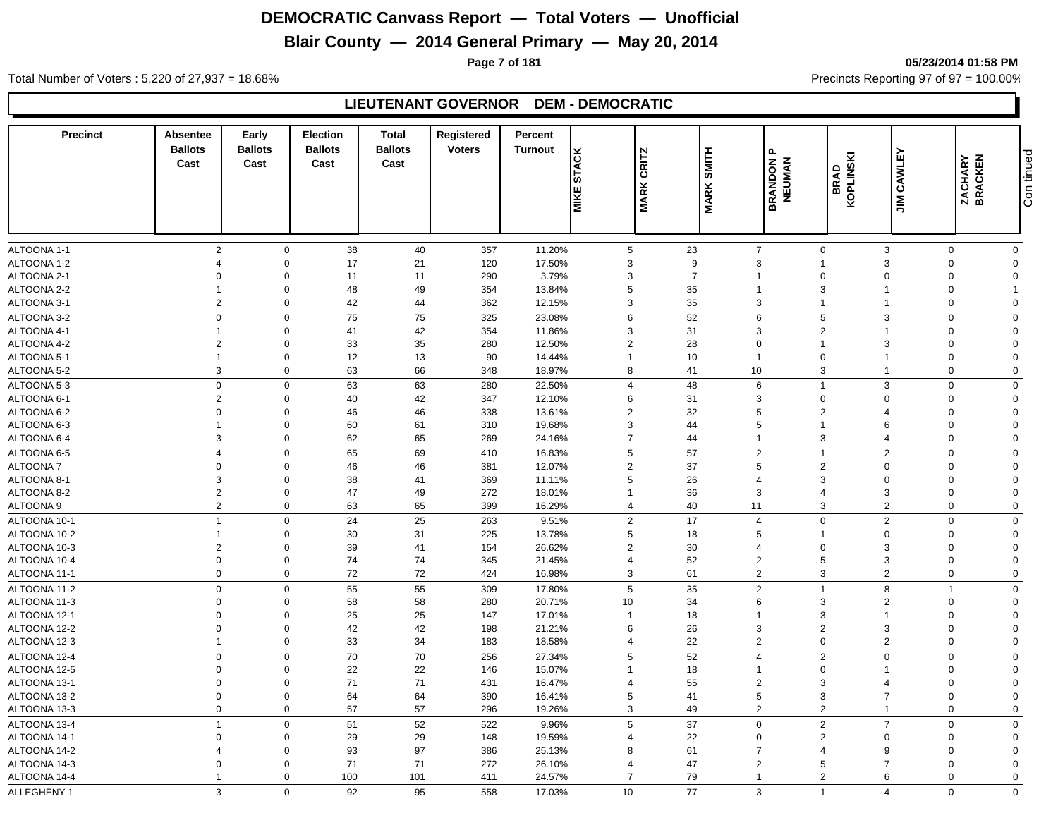## **Blair County — 2014 General Primary — May 20, 2014**

**Page 7 of 181 05/23/2014 01:58 PM**

Total Number of Voters : 5,220 of 27,937 = 18.68% Precincts Reporting 97 of 97 = 100.00%

#### **LIEUTENANT GOVERNOR DEM - DEMOCRATIC**

| <b>Precinct</b>              | <b>Absentee</b><br><b>Ballots</b><br>Cast | Early<br><b>Ballots</b><br>Cast | <b>Election</b><br><b>Ballots</b><br>Cast | <b>Total</b><br><b>Ballots</b><br>Cast | Registered<br><b>Voters</b> | Percent<br>Turnout | <b>ACK</b><br>'ა<br><b>MIKE</b> | CRITZ<br><b>MARK</b> | <b>SMITH</b><br><b>MARK:</b> | $\sim$<br><b>BRANDON F<br/>NEUMAN</b> | KOPLINSKI<br><b>BRAD</b> | <b>JIM CAWLEY</b>     | <b>ZACHARY</b><br>BRACKEN | Con tinued     |
|------------------------------|-------------------------------------------|---------------------------------|-------------------------------------------|----------------------------------------|-----------------------------|--------------------|---------------------------------|----------------------|------------------------------|---------------------------------------|--------------------------|-----------------------|---------------------------|----------------|
|                              |                                           |                                 |                                           |                                        |                             |                    |                                 |                      |                              |                                       |                          |                       |                           |                |
| ALTOONA 1-1                  | $\overline{2}$                            | $\mathbf 0$                     | 38                                        | 40                                     | 357                         | 11.20%             | $5\phantom{.0}$                 |                      | 23                           | $\overline{7}$                        | $\mathbf{0}$             | 3                     | $\mathbf 0$               | $\mathbf 0$    |
| ALTOONA 1-2                  | $\boldsymbol{\Delta}$                     | $\mathbf 0$                     | 17                                        | 21                                     | 120                         | 17.50%             | 3                               |                      | 9                            | 3                                     | $\overline{\mathbf{1}}$  | 3                     | $\Omega$                  | $\Omega$       |
| ALTOONA 2-1                  | $\Omega$                                  | $\mathbf 0$                     | 11                                        | 11                                     | 290                         | 3.79%              | 3                               |                      | $\overline{7}$               | $\mathbf{1}$                          | $\mathbf 0$              |                       | $\Omega$                  | $\Omega$       |
| ALTOONA 2-2                  |                                           | $\mathbf 0$                     | 48                                        | 49                                     | 354                         | 13.84%             | 5                               |                      | 35                           | $\overline{1}$                        | 3                        |                       | $\Omega$                  |                |
| ALTOONA 3-1                  | $\overline{2}$                            | $\mathbf 0$                     | 42                                        | 44                                     | 362                         | 12.15%             | 3                               |                      | 35                           | 3                                     | $\overline{1}$           | -1                    | $\Omega$                  | $\mathbf 0$    |
| ALTOONA 3-2                  | $\mathbf 0$                               | $\mathsf 0$                     | 75                                        | 75                                     | 325                         | 23.08%             | 6                               |                      | 52                           | $\,6\,$                               | 5                        | 3                     | $\Omega$                  | $\mathbf 0$    |
| ALTOONA 4-1                  | $\mathbf{1}$                              | $\mathbf 0$                     | 41                                        | 42                                     | 354                         | 11.86%             | 3                               |                      | 31                           | 3                                     | $\overline{2}$           |                       | $\mathbf 0$               | $\overline{0}$ |
| ALTOONA 4-2                  | $\overline{2}$                            | $\mathbf 0$                     | 33                                        | 35                                     | 280                         | 12.50%             | $\overline{2}$                  |                      | 28                           | $\mathbf 0$                           | $\overline{1}$           |                       | $\Omega$                  | $\overline{0}$ |
| ALTOONA 5-1                  | $\overline{1}$                            | $\mathbf 0$                     | 12                                        | 13                                     | 90                          | 14.44%             | $\mathbf{1}$                    |                      | 10                           | $\overline{1}$                        | $\mathbf 0$              |                       | $\Omega$                  | $\Omega$       |
| ALTOONA 5-2                  | 3                                         | $\mathbf 0$                     | 63                                        | 66                                     | 348                         | 18.97%             | 8                               |                      | 41                           | 10                                    | 3                        | -1                    | $\Omega$                  | $\mathbf 0$    |
| ALTOONA 5-3                  | $\mathbf 0$                               | $\mathbf 0$                     | 63                                        | 63                                     | 280                         | 22.50%             | $\overline{4}$                  |                      | 48                           | $\,6\,$                               | $\overline{1}$           | 3                     | $\Omega$                  | $\mathbf 0$    |
| ALTOONA 6-1                  | $\overline{2}$                            | $\mathbf 0$                     | 40                                        | 42                                     | 347                         | 12.10%             | 6                               |                      | 31                           | 3                                     | $\mathbf 0$              | $\Omega$              | $\Omega$                  | $\overline{0}$ |
| ALTOONA 6-2                  | $\Omega$                                  | $\mathbf 0$                     | 46                                        | 46                                     | 338                         | 13.61%             | 2                               |                      | 32                           | 5                                     | $\overline{2}$           |                       | $\Omega$                  | $\Omega$       |
| ALTOONA 6-3                  | $\overline{1}$                            | $\mathbf 0$                     | 60                                        | 61                                     | 310                         | 19.68%             | 3                               |                      | 44                           | 5                                     | $\overline{1}$           | 6                     | $\Omega$                  | $\Omega$       |
| ALTOONA 6-4                  | 3                                         | $\mathbf 0$                     | 62                                        | 65                                     | 269                         | 24.16%             | $\overline{7}$                  |                      | 44                           | -1                                    | 3                        | $\overline{4}$        | $\Omega$                  | $\mathbf{0}$   |
| ALTOONA 6-5                  | $\overline{4}$                            | $\mathbf 0$                     | 65                                        | 69                                     | 410                         | 16.83%             | 5                               |                      | 57                           | 2                                     | $\overline{1}$           | 2                     | $\mathbf 0$               | $\mathbf 0$    |
| <b>ALTOONA7</b>              | $\mathbf 0$                               | $\Omega$                        | 46                                        | 46                                     | 381                         | 12.07%             | $\overline{2}$                  |                      | 37                           | 5                                     | $\overline{2}$           | $\Omega$              | $\Omega$                  | $\Omega$       |
| ALTOONA 8-1                  | 3                                         | $\mathbf 0$                     | 38                                        | 41                                     | 369                         | 11.11%             | 5                               |                      | 26                           | $\overline{4}$                        | 3                        | $\Omega$              | $\Omega$                  | $\Omega$       |
| ALTOONA 8-2                  | $\overline{2}$                            | $\mathbf 0$                     | 47                                        | 49                                     | 272                         | 18.01%             | $\mathbf{1}$                    |                      | 36                           | 3                                     | $\overline{4}$           | 3                     | $\Omega$                  | $\mathbf 0$    |
| ALTOONA 9                    | $\overline{2}$                            | $\mathbf 0$                     | 63                                        | 65                                     | 399                         | 16.29%             | $\overline{4}$                  |                      | 40                           | 11                                    | 3                        | $\overline{2}$        | $\Omega$                  | $\mathbf 0$    |
| ALTOONA 10-1                 | $\overline{1}$                            | $\mathbf 0$                     | 24                                        | 25                                     | 263                         | 9.51%              | $\overline{2}$                  |                      | 17                           | $\overline{4}$                        | $\mathbf 0$              | 2                     | $\Omega$                  | $\mathbf 0$    |
| ALTOONA 10-2                 | $\overline{1}$                            | $\mathbf 0$                     | 30                                        | 31                                     | 225                         | 13.78%             | 5                               |                      | 18                           | 5                                     | -1                       | $\Omega$              | $\Omega$                  | $\mathbf 0$    |
| ALTOONA 10-3                 | $\overline{2}$                            | $\Omega$                        | 39                                        | 41                                     | 154                         | 26.62%             | $\overline{2}$                  |                      | 30                           | $\overline{4}$                        | $\Omega$                 | 3                     | $\Omega$                  | $\Omega$       |
| ALTOONA 10-4                 | $\mathbf 0$                               | $\mathbf 0$                     | 74                                        | 74                                     | 345                         | 21.45%             | $\overline{4}$                  |                      | 52                           | 2                                     | 5                        | 3                     | $\Omega$                  | $\Omega$       |
| ALTOONA 11-1                 | $\mathbf 0$                               | $\mathbf 0$                     | 72                                        | 72                                     | 424                         | 16.98%             | 3                               |                      | 61                           | 2                                     | 3                        | 2                     | $\Omega$                  | $\mathbf 0$    |
|                              |                                           |                                 |                                           |                                        |                             |                    |                                 |                      |                              |                                       |                          |                       | 1                         | $\Omega$       |
| ALTOONA 11-2<br>ALTOONA 11-3 | $\mathbf 0$<br>$\mathbf 0$                | $\mathbf 0$<br>$\mathbf 0$      | 55<br>58                                  | 55<br>58                               | 309<br>280                  | 17.80%<br>20.71%   | 5<br>10 <sup>1</sup>            |                      | 35<br>34                     | 2<br>6                                | $\overline{1}$<br>3      | 8<br>$\overline{2}$   | $\Omega$                  | $\Omega$       |
| ALTOONA 12-1                 | $\Omega$                                  | $\mathbf 0$                     | 25                                        | 25                                     | 147                         | 17.01%             | $\mathbf{1}$                    |                      | 18                           | $\overline{1}$                        | 3                        |                       | $\Omega$                  | $\Omega$       |
| ALTOONA 12-2                 | $\mathbf 0$                               | $\mathbf 0$                     | 42                                        | 42                                     | 198                         | 21.21%             | 6                               |                      | 26                           | 3                                     | $\overline{2}$           | 3                     | $\Omega$                  | $\Omega$       |
| ALTOONA 12-3                 | $\overline{1}$                            | $\mathbf 0$                     | 33                                        | 34                                     | 183                         | 18.58%             | $\overline{4}$                  |                      | 22                           | $\overline{2}$                        | $\mathbf 0$              | 2                     | $\mathbf 0$               | $\mathbf 0$    |
|                              | $\mathbf 0$                               | $\mathbf 0$                     |                                           |                                        |                             |                    |                                 |                      |                              |                                       |                          | $\Omega$              | $\Omega$                  |                |
| ALTOONA 12-4                 |                                           |                                 | 70                                        | $70\,$                                 | 256                         | 27.34%             | 5                               |                      | 52                           | $\overline{4}$                        | $\overline{2}$           |                       |                           | $\mathbf 0$    |
| ALTOONA 12-5                 | $\Omega$                                  | $\mathbf 0$                     | 22                                        | 22                                     | 146                         | 15.07%             | $\overline{1}$                  |                      | 18                           | $\overline{1}$                        | $\Omega$<br>3            |                       | $\Omega$                  | $\Omega$       |
| ALTOONA 13-1                 | $\Omega$                                  | $\mathbf 0$                     | 71                                        | 71                                     | 431                         | 16.47%             | $\overline{4}$                  |                      | 55                           | $\sqrt{2}$                            | 3                        | $\overline{7}$        | $\Omega$                  | $\Omega$       |
| ALTOONA 13-2                 | $\mathbf 0$<br>$\Omega$                   | $\mathbf 0$<br>$\mathbf 0$      | 64<br>57                                  | 64<br>57                               | 390                         | 16.41%             | 5                               |                      | 41<br>49                     | $\sqrt{5}$<br>$\overline{2}$          | $\overline{2}$           |                       | $\Omega$<br>$\Omega$      | $\Omega$       |
| ALTOONA 13-3                 |                                           |                                 |                                           |                                        | 296                         | 19.26%             | 3                               |                      |                              |                                       |                          |                       |                           | $\mathbf 0$    |
| ALTOONA 13-4                 | $\overline{1}$                            | $\mathbf 0$                     | 51                                        | 52                                     | 522                         | 9.96%              | 5                               |                      | 37                           | $\mathbf 0$                           | $\overline{2}$           | $\overline{7}$        | $\Omega$                  | $\mathbf 0$    |
| ALTOONA 14-1                 | $\mathbf 0$                               | $\mathbf 0$                     | 29                                        | 29                                     | 148                         | 19.59%             | $\overline{4}$                  |                      | 22                           | $\mathbf 0$                           | $\overline{2}$           | $\Omega$              | $\Omega$                  | $\Omega$       |
| ALTOONA 14-2                 | $\overline{4}$                            | $\mathbf 0$                     | 93                                        | 97                                     | 386                         | 25.13%             | 8                               |                      | 61                           | $\overline{7}$                        | $\overline{4}$           | 9                     | $\Omega$                  | $\Omega$       |
| ALTOONA 14-3                 | $\Omega$                                  | $\mathbf 0$                     | 71                                        | 71                                     | 272                         | 26.10%             | $\overline{4}$                  |                      | 47                           | $\overline{2}$                        | 5                        |                       | $\Omega$                  | $\Omega$       |
| ALTOONA 14-4                 | $\overline{1}$                            | $\mathbf 0$                     | 100                                       | 101                                    | 411                         | 24.57%             | $\overline{7}$                  |                      | 79                           | $\mathbf{1}$                          | $\overline{2}$           | 6                     | $\Omega$                  | $\mathbf 0$    |
| ALLEGHENY 1                  | 3                                         | $\Omega$                        | 92                                        | 95                                     | 558                         | 17.03%             | 10 <sup>10</sup>                |                      | 77                           | 3                                     | $\overline{1}$           | $\boldsymbol{\Delta}$ | $\Omega$                  | $\mathbf 0$    |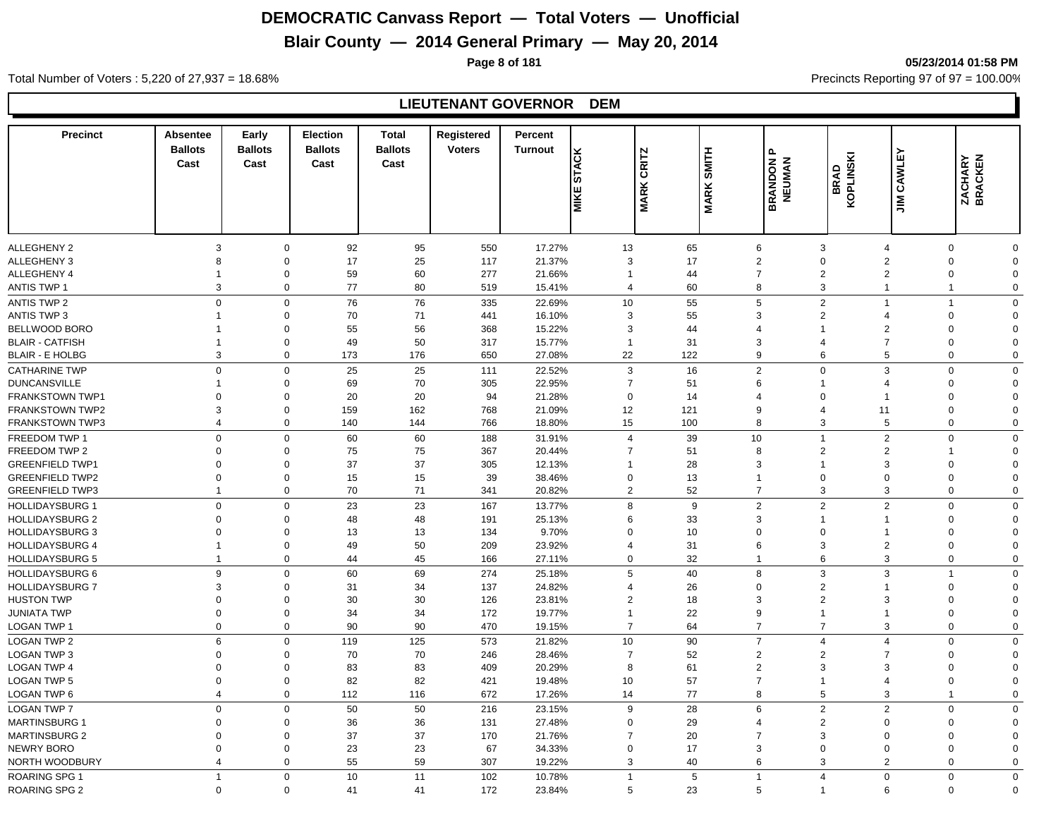## **Blair County — 2014 General Primary — May 20, 2014**

**Page 8 of 181 05/23/2014 01:58 PM**

#### Total Number of Voters : 5,220 of 27,937 = 18.68% Precincts Reporting 97 of 97 = 100.00%

#### **LIEUTENANT GOVERNOR DEM**

| <b>Precinct</b>        | Absentee<br><b>Ballots</b><br>Cast | Early<br><b>Ballots</b><br>Cast | <b>Election</b><br><b>Ballots</b><br>Cast | <b>Total</b><br><b>Ballots</b><br>Cast | Registered<br><b>Voters</b> | Percent<br>Turnout | <b>STACK</b><br><b>MIKE</b> | <b>CRITZ</b><br><b>MARK</b> | <b>MARK SMITH</b> | $\mathbf{r}$<br><b>BRANDON I</b><br>NEUMAN | BRAD<br>KOPLINSKI     | ш<br>CAWLI<br>$\sum_{i=1}^{\infty}$ | <b>ZACHARY</b><br>BRACKEN |             |
|------------------------|------------------------------------|---------------------------------|-------------------------------------------|----------------------------------------|-----------------------------|--------------------|-----------------------------|-----------------------------|-------------------|--------------------------------------------|-----------------------|-------------------------------------|---------------------------|-------------|
|                        |                                    |                                 |                                           |                                        |                             |                    |                             |                             |                   |                                            |                       |                                     |                           |             |
| <b>ALLEGHENY 2</b>     | 3                                  | $\mathbf 0$                     | 92                                        | 95                                     | 550                         | 17.27%             | 13                          | 65                          |                   | 6                                          | 3                     | $\overline{4}$                      | $\Omega$                  | $\Omega$    |
| ALLEGHENY 3            | 8                                  | $\Omega$                        | 17                                        | 25                                     | 117                         | 21.37%             | 3                           | 17                          |                   | $\overline{2}$                             | $\Omega$              | $\overline{2}$                      | $\Omega$                  | $\Omega$    |
| <b>ALLEGHENY 4</b>     | $\mathbf{1}$                       | $\mathbf 0$                     | 59                                        | 60                                     | 277                         | 21.66%             | $\overline{1}$              | 44                          |                   | $\overline{7}$                             | $\overline{2}$        | $\overline{2}$                      | $\mathbf 0$               | $\Omega$    |
| ANTIS TWP 1            | 3                                  | $\mathbf 0$                     | 77                                        | 80                                     | 519                         | 15.41%             | $\overline{4}$              | 60                          |                   | 8                                          | 3                     | $\mathbf{1}$                        | $\mathbf{1}$              | $\mathbf 0$ |
| <b>ANTIS TWP 2</b>     | $\mathbf 0$                        | $\mathbf 0$                     | 76                                        | 76                                     | 335                         | 22.69%             | 10                          | 55                          |                   | 5                                          | $\overline{2}$        | $\overline{1}$                      | $\mathbf{1}$              | $\mathbf 0$ |
| <b>ANTIS TWP 3</b>     | $\mathbf{1}$                       | $\mathbf 0$                     | 70                                        | 71                                     | 441                         | 16.10%             | 3                           | 55                          |                   | 3                                          | $\overline{2}$        | $\overline{4}$                      | $\Omega$                  | $\Omega$    |
| BELLWOOD BORO          | -1                                 | $\mathbf 0$                     | 55                                        | 56                                     | 368                         | 15.22%             | 3                           | 44                          |                   | $\overline{4}$                             | $\mathbf 1$           | $\overline{2}$                      | $\Omega$                  | $\Omega$    |
| <b>BLAIR - CATFISH</b> | $\overline{1}$                     | $\mathbf 0$                     | 49                                        | 50                                     | 317                         | 15.77%             | $\overline{1}$              | 31                          |                   | 3                                          | $\boldsymbol{\Delta}$ | $\overline{7}$                      | $\Omega$                  | $\Omega$    |
| <b>BLAIR - E HOLBG</b> | 3                                  | $\mathbf 0$                     | 173                                       | 176                                    | 650                         | 27.08%             | 22                          | 122                         |                   | 9                                          | 6                     | 5                                   | $\Omega$                  | $\Omega$    |
| <b>CATHARINE TWP</b>   | $\mathbf 0$                        | $\mathbf 0$                     | 25                                        | 25                                     | 111                         | 22.52%             | 3                           | 16                          |                   | $\overline{2}$                             | $\Omega$              | 3                                   | $\Omega$                  | $\mathbf 0$ |
| <b>DUNCANSVILLE</b>    | $\mathbf 1$                        | $\mathbf 0$                     | 69                                        | 70                                     | 305                         | 22.95%             | $\overline{7}$              | 51                          |                   | 6                                          | $\mathbf{1}$          | $\overline{4}$                      | $\Omega$                  | $\Omega$    |
| <b>FRANKSTOWN TWP1</b> | $\Omega$                           | 0                               | 20                                        | 20                                     | 94                          | 21.28%             | $\Omega$                    | 14                          |                   | $\boldsymbol{\Delta}$                      | $\Omega$              |                                     | $\Omega$                  | $\Omega$    |
| <b>FRANKSTOWN TWP2</b> | 3                                  | $\mathbf 0$                     | 159                                       | 162                                    | 768                         | 21.09%             | 12                          | 121                         |                   | 9                                          | $\overline{4}$        | 11                                  | $\Omega$                  | O           |
| <b>FRANKSTOWN TWP3</b> | $\overline{4}$                     | $\mathbf 0$                     | 140                                       | 144                                    | 766                         | 18.80%             | 15                          | 100                         |                   | 8                                          | 3                     | 5                                   | $\Omega$                  | $\Omega$    |
| FREEDOM TWP 1          | $\Omega$                           | $\mathbf 0$                     | 60                                        | 60                                     | 188                         | 31.91%             | $\overline{4}$              | 39                          |                   | 10                                         | $\mathbf{1}$          | $\overline{2}$                      | $\Omega$                  | $\mathbf 0$ |
| FREEDOM TWP 2          | $\Omega$                           | $\mathbf 0$                     | 75                                        | 75                                     | 367                         | 20.44%             | $\overline{7}$              | 51                          |                   | 8                                          | $\overline{2}$        | $\mathbf{2}$                        | 1                         | $\Omega$    |
| <b>GREENFIELD TWP1</b> | $\Omega$                           | $\Omega$                        | 37                                        | 37                                     | 305                         | 12.13%             | $\overline{1}$              | 28                          |                   | 3                                          | -1                    | 3                                   | $\Omega$                  | $\Omega$    |
| <b>GREENFIELD TWP2</b> | $\Omega$                           | $\Omega$                        | 15                                        | 15                                     | 39                          | 38.46%             | $\Omega$                    | 13                          |                   | 1                                          | $\Omega$              | $\Omega$                            | $\Omega$                  | $\Omega$    |
| <b>GREENFIELD TWP3</b> | $\mathbf{1}$                       | $\mathbf 0$                     | 70                                        | 71                                     | 341                         | 20.82%             | $\overline{2}$              | 52                          |                   | $\overline{7}$                             | 3                     | 3                                   | $\Omega$                  | $\Omega$    |
| <b>HOLLIDAYSBURG 1</b> | $\Omega$                           | $\mathbf 0$                     | 23                                        | 23                                     | 167                         | 13.77%             | 8                           | 9                           |                   | $\overline{2}$                             | $\overline{2}$        | $\overline{2}$                      | $\mathbf 0$               | $\mathbf 0$ |
| <b>HOLLIDAYSBURG 2</b> | $\Omega$                           | $\mathbf 0$                     | 48                                        | 48                                     | 191                         | 25.13%             | 6                           | 33                          |                   | 3                                          | -1                    | 1                                   | $\Omega$                  | $\Omega$    |
| <b>HOLLIDAYSBURG 3</b> | $\Omega$                           | $\Omega$                        | 13                                        | 13                                     | 134                         | 9.70%              | $\Omega$                    | 10                          |                   | $\Omega$                                   | $\Omega$              | 1                                   | $\Omega$                  | $\Omega$    |
| <b>HOLLIDAYSBURG 4</b> | $\mathbf{1}$                       | $\mathbf 0$                     | 49                                        | 50                                     | 209                         | 23.92%             | 4                           | 31                          |                   | 6                                          | 3                     | $\overline{2}$                      | $\Omega$                  | $\Omega$    |
| <b>HOLLIDAYSBURG 5</b> | $\mathbf{1}$                       | $\mathbf 0$                     | 44                                        | 45                                     | 166                         | 27.11%             | $\mathbf 0$                 | 32                          |                   | $\mathbf{1}$                               | 6                     | 3                                   | $\mathbf 0$               | $\mathbf 0$ |
| <b>HOLLIDAYSBURG 6</b> | 9                                  | $\mathbf 0$                     | 60                                        | 69                                     | 274                         | 25.18%             | 5                           | 40                          |                   | 8                                          | 3                     | 3                                   | $\overline{1}$            | $\mathbf 0$ |
| <b>HOLLIDAYSBURG 7</b> | 3                                  | $\mathbf 0$                     | 31                                        | 34                                     | 137                         | 24.82%             | 4                           | 26                          |                   | $\mathbf 0$                                | $\overline{2}$        | $\mathbf 1$                         | $\Omega$                  | $\Omega$    |
| <b>HUSTON TWP</b>      | $\Omega$                           | $\mathbf 0$                     | 30                                        | 30                                     | 126                         | 23.81%             | $\overline{2}$              | 18                          |                   | 3                                          | $\overline{2}$        | 3                                   | $\Omega$                  | $\Omega$    |
| <b>JUNIATA TWP</b>     | $\mathbf 0$                        | $\mathbf 0$                     | 34                                        | 34                                     | 172                         | 19.77%             | $\mathbf{1}$                | 22                          |                   | 9                                          | $\mathbf{1}$          | $\mathbf{1}$                        | $\mathbf 0$               | 0           |
| LOGAN TWP 1            | $\mathbf 0$                        | $\mathbf 0$                     | 90                                        | 90                                     | 470                         | 19.15%             | $\overline{7}$              | 64                          |                   | $\overline{7}$                             | $\overline{7}$        | 3                                   | $\mathbf 0$               | $\mathbf 0$ |
| <b>LOGAN TWP 2</b>     | 6                                  | $\mathsf 0$                     | 119                                       | 125                                    | 573                         | 21.82%             | 10                          | 90                          |                   | $\overline{7}$                             | $\overline{4}$        | $\overline{4}$                      | $\Omega$                  | $\Omega$    |
| LOGAN TWP 3            | $\Omega$                           | $\mathbf 0$                     | 70                                        | 70                                     | 246                         | 28.46%             | $\overline{7}$              | 52                          |                   | $\overline{2}$                             | $\overline{2}$        | $\overline{7}$                      | $\Omega$                  | $\Omega$    |
| <b>LOGAN TWP 4</b>     | $\Omega$                           | $\Omega$                        | 83                                        | 83                                     | 409                         | 20.29%             | 8                           | 61                          |                   | $\overline{2}$                             | 3                     | 3                                   | $\Omega$                  | $\Omega$    |
| <b>LOGAN TWP 5</b>     | $\mathbf 0$                        | $\mathbf 0$                     | 82                                        | 82                                     | 421                         | 19.48%             | 10                          | 57                          |                   | $\overline{7}$                             | $\mathbf{1}$          | $\overline{4}$                      | $\mathbf 0$               | $\Omega$    |
| LOGAN TWP 6            | $\overline{4}$                     | $\mathbf 0$                     | 112                                       | 116                                    | 672                         | 17.26%             | 14                          | 77                          |                   | 8                                          | 5                     | 3                                   | $\mathbf{1}$              | $\mathbf 0$ |
| LOGAN TWP 7            | $\Omega$                           | $\mathbf 0$                     | 50                                        | 50                                     | 216                         | 23.15%             | 9                           | 28                          |                   | 6                                          | $\overline{2}$        | $\overline{2}$                      | $\Omega$                  | $\Omega$    |
| <b>MARTINSBURG 1</b>   | $\Omega$                           | $\Omega$                        | 36                                        | 36                                     | 131                         | 27.48%             | $\Omega$                    | 29                          |                   | $\overline{4}$                             | $\overline{2}$        | $\Omega$                            | $\Omega$                  | $\Omega$    |
| <b>MARTINSBURG 2</b>   | $\Omega$                           | $\Omega$                        | 37                                        | 37                                     | 170                         | 21.76%             | $\overline{7}$              | 20                          |                   | $\overline{7}$                             | 3                     | $\Omega$                            | $\Omega$                  | $\Omega$    |
| NEWRY BORO             | $\Omega$                           | $\Omega$                        | 23                                        | 23                                     | 67                          | 34.33%             | $\Omega$                    | 17                          |                   | 3                                          | $\Omega$              | $\Omega$                            | $\Omega$                  | $\Omega$    |
| NORTH WOODBURY         | $\overline{4}$                     | $\Omega$                        | 55                                        | 59                                     | 307                         | 19.22%             | 3                           | 40                          |                   | 6                                          | 3                     | $\overline{2}$                      | $\Omega$                  | 0           |
| ROARING SPG 1          | $\mathbf{1}$                       | $\mathbf 0$                     | 10                                        | 11                                     | 102                         | 10.78%             | $\mathbf{1}$                | 5                           |                   | $\overline{1}$                             | $\overline{4}$        | $\Omega$                            | $\Omega$                  | $\mathbf 0$ |
| <b>ROARING SPG 2</b>   | $\Omega$                           | $\Omega$                        | 41                                        | 41                                     | 172                         | 23.84%             | 5                           | 23                          |                   | 5                                          |                       | 6                                   | $\Omega$                  | $\mathbf 0$ |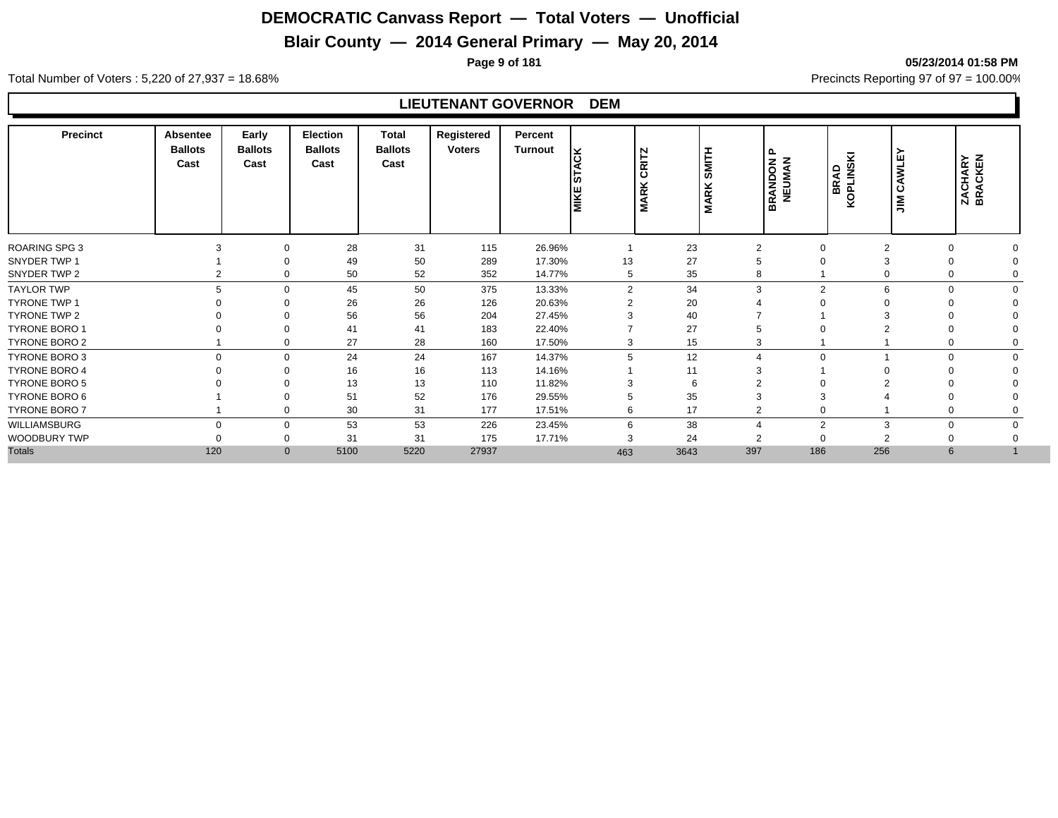## **Blair County — 2014 General Primary — May 20, 2014**

**Page 9 of 181 05/23/2014 01:58 PM**

Total Number of Voters : 5,220 of 27,937 = 18.68% Precincts Reporting 97 of 97 = 100.00%

#### **LIEUTENANT GOVERNOR DEM**

| <b>Precinct</b>      | <b>Absentee</b><br><b>Ballots</b><br>Cast | Early<br><b>Ballots</b><br>Cast | <b>Election</b><br><b>Ballots</b><br>Cast | Total<br><b>Ballots</b><br>Cast | Registered<br><b>Voters</b> | Percent<br>Turnout | Ιš<br>1일<br><b>MIKE</b> | N<br>CRIT<br><b>MARK</b> | SMITH<br>ARK<br>Σ | ൨<br><b>RANDON</b><br>≃ | KOPLINSKI<br><b>BRAD</b> | AWLEY<br>ن<br>$\tilde{z}$ | ZACHARY<br>BRACKEN |  |
|----------------------|-------------------------------------------|---------------------------------|-------------------------------------------|---------------------------------|-----------------------------|--------------------|-------------------------|--------------------------|-------------------|-------------------------|--------------------------|---------------------------|--------------------|--|
| <b>ROARING SPG 3</b> |                                           | $\mathbf 0$                     | 28                                        | 31                              | 115                         | 26.96%             |                         | 23                       | 2                 | 0                       | $\overline{2}$           |                           |                    |  |
| SNYDER TWP 1         |                                           |                                 | 49                                        | 50                              | 289                         | 17.30%             | 13                      | 27                       |                   |                         |                          |                           |                    |  |
| SNYDER TWP 2         |                                           | $\Omega$                        | 50                                        | 52                              | 352                         | 14.77%             | 5                       | 35                       |                   |                         |                          |                           |                    |  |
| <b>TAYLOR TWP</b>    | 5                                         | $\Omega$                        | 45                                        | 50                              | 375                         | 13.33%             | 2                       | 34                       | 3                 | 2                       | 6                        | O                         |                    |  |
| <b>TYRONE TWP 1</b>  |                                           |                                 | 26                                        | 26                              | 126                         | 20.63%             |                         | 20                       |                   |                         |                          |                           |                    |  |
| TYRONE TWP 2         |                                           |                                 | 56                                        | 56                              | 204                         | 27.45%             |                         | 40                       |                   |                         |                          |                           |                    |  |
| <b>TYRONE BORO 1</b> |                                           | $\Omega$                        | 41                                        | 41                              | 183                         | 22.40%             |                         | 27                       |                   |                         |                          |                           |                    |  |
| TYRONE BORO 2        |                                           | $\Omega$                        | 27                                        | 28                              | 160                         | 17.50%             | 3                       | 15                       | 3                 |                         |                          |                           |                    |  |
| TYRONE BORO 3        | $\Omega$                                  | $\mathbf 0$                     | 24                                        | 24                              | 167                         | 14.37%             | 5                       | 12                       |                   | $\Omega$                |                          | 0                         |                    |  |
| <b>TYRONE BORO 4</b> |                                           | $\Omega$                        | 16                                        | 16                              | 113                         | 14.16%             |                         | 11                       |                   |                         |                          |                           |                    |  |
| <b>TYRONE BORO 5</b> |                                           |                                 | 13                                        | 13                              | 110                         | 11.82%             |                         | -6                       |                   |                         |                          |                           |                    |  |
| TYRONE BORO 6        |                                           |                                 | 51                                        | 52                              | 176                         | 29.55%             |                         | 35                       |                   |                         |                          |                           |                    |  |
| TYRONE BORO 7        |                                           | $\mathbf 0$                     | 30                                        | 31                              | 177                         | 17.51%             | 6                       | 17                       | ◠                 | 0                       |                          |                           |                    |  |
| WILLIAMSBURG         | $\Omega$                                  | $\mathbf 0$                     | 53                                        | 53                              | 226                         | 23.45%             | 6                       | 38                       |                   | $\overline{2}$          | 3                        |                           |                    |  |
| WOODBURY TWP         |                                           | $\Omega$                        | 31                                        | 31                              | 175                         | 17.71%             | 3                       | 24                       | $\sim$            |                         | ົ                        |                           |                    |  |
| <b>Totals</b>        | 120                                       | $\mathbf{0}$                    | 5100                                      | 5220                            | 27937                       |                    | 463                     | 3643                     | 397               | 186                     | 256                      | 6                         |                    |  |
|                      |                                           |                                 |                                           |                                 |                             |                    |                         |                          |                   |                         |                          |                           |                    |  |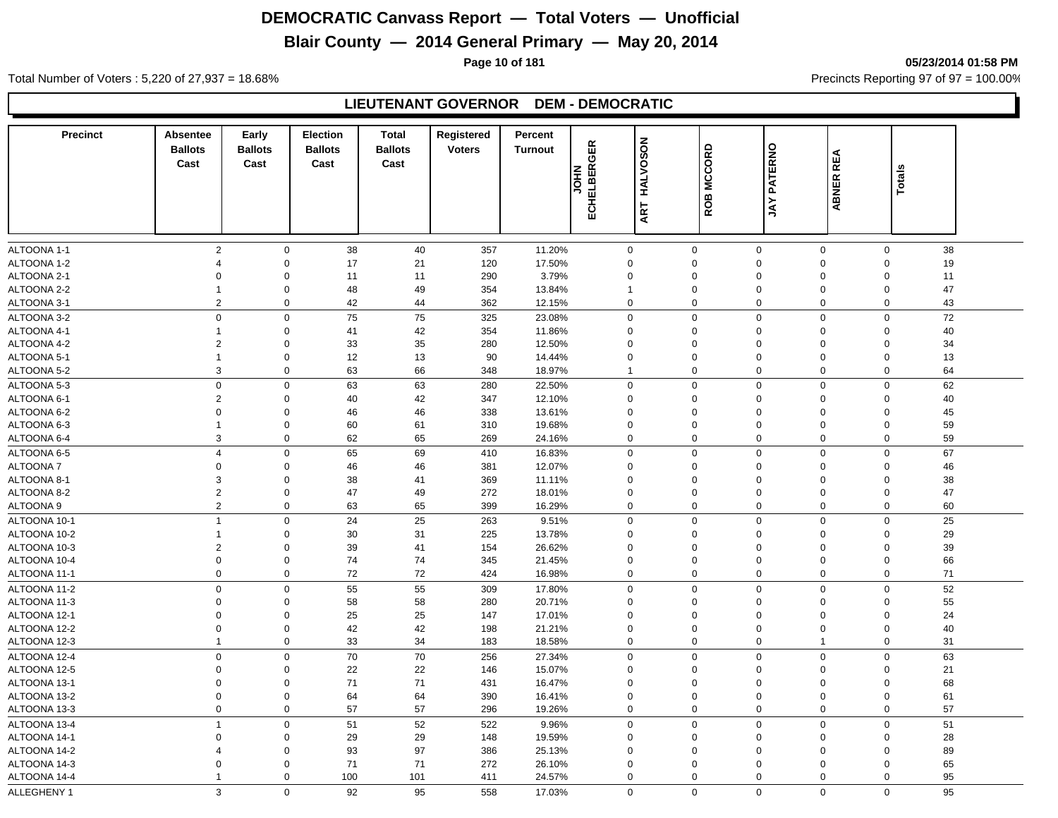## **Blair County — 2014 General Primary — May 20, 2014**

**Page 10 of 181 05/23/2014 01:58 PM**

Total Number of Voters : 5,220 of 27,937 = 18.68% Precincts Reporting 97 of 97 = 100.00%

#### **LIEUTENANT GOVERNOR DEM - DEMOCRATIC**

| <b>Precinct</b>            | <b>Absentee</b><br><b>Ballots</b> | Early<br><b>Ballots</b>    | Election<br><b>Ballots</b> | <b>Total</b><br><b>Ballots</b> | Registered<br><b>Voters</b> | Percent<br><b>Turnout</b> |                  |                         |                               |                    |                  |                                        |  |
|----------------------------|-----------------------------------|----------------------------|----------------------------|--------------------------------|-----------------------------|---------------------------|------------------|-------------------------|-------------------------------|--------------------|------------------|----------------------------------------|--|
|                            | Cast                              | Cast                       | Cast                       | Cast                           |                             |                           | ECHELBERGER      | HALVOSON                | ROB MCCORD                    | <b>JAY PATERNO</b> | ABNER REA        |                                        |  |
|                            |                                   |                            |                            |                                |                             |                           | <b>NHOL</b>      |                         |                               |                    |                  | <b>Totals</b>                          |  |
|                            |                                   |                            |                            |                                |                             |                           |                  |                         |                               |                    |                  |                                        |  |
|                            |                                   |                            |                            |                                |                             |                           |                  | ART                     |                               |                    |                  |                                        |  |
|                            |                                   |                            |                            |                                |                             |                           |                  |                         |                               |                    |                  |                                        |  |
|                            |                                   |                            |                            |                                |                             |                           |                  |                         |                               |                    |                  |                                        |  |
| ALTOONA 1-1<br>ALTOONA 1-2 | $\overline{2}$<br>$\overline{4}$  | $\mathbf 0$<br>$\mathbf 0$ | 38<br>17                   | 40<br>21                       | 357<br>120                  | 11.20%<br>17.50%          | 0<br>$\mathbf 0$ | $\mathbf 0$<br>$\Omega$ | $\overline{0}$                | $\mathbf 0$        | $\mathbf 0$<br>0 | 38<br>$\mathbf 0$<br>19<br>$\Omega$    |  |
| ALTOONA 2-1                | $\Omega$                          | $\Omega$                   | 11                         | 11                             | 290                         | 3.79%                     |                  | $\Omega$                | $\overline{0}$                | $\Omega$           |                  | 11<br>$\Omega$                         |  |
| ALTOONA 2-2                | $\overline{1}$                    | $\mathbf 0$                | 48                         | 49                             | 354                         | 13.84%                    | 0<br>1           | $\Omega$                | $\mathbf 0$                   |                    | 0                | 47<br>$\Omega$                         |  |
| ALTOONA 3-1                | $\overline{2}$                    | 0                          | 42                         | 44                             | 362                         | 12.15%                    | 0                | $\mathbf 0$             | $\overline{0}$                |                    | 0                | $\mathbf 0$<br>43                      |  |
|                            |                                   |                            |                            |                                |                             |                           |                  |                         |                               |                    |                  |                                        |  |
| ALTOONA 3-2                | $\mathbf 0$<br>$\mathbf{1}$       | $\mathbf 0$<br>$\Omega$    | 75                         | 75                             | 325                         | 23.08%                    | 0                | $\mathbf 0$<br>$\Omega$ | $\mathbf 0$<br>$\mathbf 0$    |                    | 0                | 72<br>$\mathbf 0$                      |  |
| ALTOONA 4-1                | $\overline{2}$                    | $\mathbf 0$                | 41                         | 42<br>35                       | 354                         | 11.86%                    | 0                | $\Omega$                | $\mathbf 0$                   | $\mathbf 0$        | 0                | 40<br>$\mathbf 0$<br>34<br>$\mathbf 0$ |  |
| ALTOONA 4-2<br>ALTOONA 5-1 | $\mathbf{1}$                      | $\mathbf 0$                | 33<br>12                   | 13                             | 280<br>90                   | 12.50%<br>14.44%          | 0<br>0           | $\mathbf 0$             | $\overline{0}$                |                    | 0                | 13<br>$\mathbf 0$                      |  |
| ALTOONA 5-2                | 3                                 | 0                          | 63                         | 66                             | 348                         | 18.97%                    | $\mathbf{1}$     | $\mathbf 0$             | $\overline{0}$                |                    | 0                | $\mathbf 0$<br>64                      |  |
|                            |                                   |                            |                            |                                |                             |                           |                  | $\mathbf 0$             |                               |                    |                  |                                        |  |
| ALTOONA 5-3                | $\mathsf 0$                       | $\mathbf 0$                | 63                         | 63                             | 280                         | 22.50%                    | 0                | $\Omega$                | $\mathbf 0$                   |                    | 0                | 62<br>$\mathbf 0$                      |  |
| ALTOONA 6-1<br>ALTOONA 6-2 | $\overline{2}$<br>$\Omega$        | $\mathbf 0$<br>$\mathbf 0$ | 40<br>46                   | 42<br>46                       | 347<br>338                  | 12.10%<br>13.61%          | 0<br>0           | $\Omega$                | $\mathbf 0$<br>$\overline{0}$ | $\mathbf 0$        | 0                | 40<br>$\mathbf 0$<br>45<br>$\mathbf 0$ |  |
| ALTOONA 6-3                | $\overline{1}$                    | $\mathbf 0$                |                            | 61                             | 310                         | 19.68%                    | 0                | $\mathbf 0$             | $\overline{0}$                |                    | 0                | $\mathbf 0$                            |  |
| ALTOONA 6-4                | 3                                 | 0                          | 60<br>62                   | 65                             | 269                         | 24.16%                    | 0                | $\mathbf 0$             | $\overline{0}$                |                    | 0                | 59<br>59<br>$\mathbf 0$                |  |
|                            |                                   |                            |                            |                                |                             |                           |                  |                         |                               |                    |                  |                                        |  |
| ALTOONA 6-5                | $\overline{4}$                    | 0                          | 65                         | 69                             | 410                         | 16.83%                    | $\mathsf 0$      | $\mathbf 0$             | $\mathbf 0$                   |                    | $\mathbf 0$      | $\mathbf 0$<br>67                      |  |
| <b>ALTOONA7</b>            | $\mathbf 0$                       | $\mathbf 0$                | 46                         | 46                             | 381                         | 12.07%                    | 0                | $\Omega$                | $\overline{0}$                |                    | 0                | 46<br>$\mathbf 0$                      |  |
| ALTOONA 8-1                | 3                                 | $\Omega$                   | 38                         | 41                             | 369                         | 11.11%                    | 0                | $\Omega$                | $\mathbf 0$                   |                    | $\mathbf 0$      | $\mathbf 0$<br>38                      |  |
| ALTOONA 8-2                | $\overline{2}$                    | $\Omega$                   | 47                         | 49                             | 272                         | 18.01%                    | $\mathbf 0$      | $\mathbf 0$             | $\overline{0}$                |                    | 0                | $\mathbf 0$<br>47                      |  |
| ALTOONA 9                  | $\sqrt{2}$                        | $\mathbf{0}$               | 63                         | 65                             | 399                         | 16.29%                    | 0                | $\mathbf 0$             | $\overline{0}$                |                    | 0                | 0<br>60                                |  |
| ALTOONA 10-1               | $\mathbf{1}$                      | $\mathbf{0}$               | 24                         | 25                             | 263                         | 9.51%                     | 0                | $\mathbf 0$             | $\mathbf 0$                   |                    | $\mathbf 0$      | 25<br>$\mathbf 0$                      |  |
| ALTOONA 10-2               | $\mathbf{1}$                      | $\mathbf 0$                | $30\,$                     | 31                             | 225                         | 13.78%                    | 0                | $\Omega$                | $\overline{0}$                |                    | $\mathbf 0$      | 29<br>$\Omega$                         |  |
| ALTOONA 10-3               | $\overline{2}$                    | $\Omega$                   | 39                         | 41                             | 154                         | 26.62%                    | $\mathbf 0$      | $\Omega$                | $\Omega$                      | $\Omega$           |                  | 39<br>$\mathbf 0$                      |  |
| ALTOONA 10-4               | $\mathsf 0$                       | $\Omega$                   | 74                         | 74                             | 345                         | 21.45%                    | $\Omega$         | $\Omega$                | $\Omega$                      | $\Omega$           |                  | $\Omega$<br>66                         |  |
| ALTOONA 11-1               | $\mathbf 0$                       | $\Omega$                   | 72                         | 72                             | 424                         | 16.98%                    | 0                | $\mathbf 0$             | $\overline{0}$                |                    | $\mathbf 0$      | 71<br>$\Omega$                         |  |
| ALTOONA 11-2               | $\mathbf 0$                       | $\mathbf{0}$               | 55                         | 55                             | 309                         | 17.80%                    | 0                | $\mathbf 0$             | $\pmb{0}$                     |                    | $\mathbf 0$      | $\mathbf 0$<br>52                      |  |
| ALTOONA 11-3               | $\mathbf 0$                       | $\Omega$                   | 58                         | 58                             | 280                         | 20.71%                    | 0                | 0                       | $\Omega$                      |                    | 0                | $\mathbf 0$<br>55                      |  |
| ALTOONA 12-1               | $\Omega$                          | $\Omega$                   | 25                         | 25                             | 147                         | 17.01%                    | 0                | $\Omega$                | $\mathbf 0$                   | $\mathbf 0$        |                  | $\mathbf 0$<br>24                      |  |
| ALTOONA 12-2               | $\Omega$                          | $\Omega$                   | 42                         | 42                             | 198                         | 21.21%                    | $\mathbf 0$      | $\Omega$                | $\overline{0}$                | $\mathbf 0$        |                  | 40<br>$\mathbf 0$                      |  |
| ALTOONA 12-3               | $\mathbf{1}$                      | 0                          | 33                         | 34                             | 183                         | 18.58%                    | 0                | $\mathbf 0$             | $\overline{0}$                | $\mathbf{1}$       |                  | $\mathbf 0$<br>31                      |  |
| ALTOONA 12-4               | $\mathbf 0$                       | $\mathbf 0$                | $\overline{70}$            | 70                             | 256                         | 27.34%                    | 0                | $\Omega$                | $\overline{0}$                |                    | 0                | 63<br>$\mathbf 0$                      |  |
| ALTOONA 12-5               | $\Omega$                          | $\Omega$                   | 22                         | 22                             | 146                         | 15.07%                    | $\mathbf 0$      | $\Omega$                | $\mathbf 0$                   | $\Omega$           |                  | 21<br>$\Omega$                         |  |
| ALTOONA 13-1               | $\Omega$                          | $\Omega$                   | 71                         | 71                             | 431                         | 16.47%                    | $\Omega$         | $\Omega$                | $\overline{0}$                | $\Omega$           |                  | 68<br>$\mathbf 0$                      |  |
| ALTOONA 13-2               | $\Omega$                          | $\mathbf 0$                | 64                         | 64                             | 390                         | 16.41%                    | 0                | $\Omega$                | $\overline{0}$                | $\mathbf 0$        |                  | $\mathbf 0$<br>61                      |  |
| ALTOONA 13-3               | $\mathbf 0$                       | $\mathbf 0$                | 57                         | 57                             | 296                         | 19.26%                    | 0                | $\mathbf 0$             |                               | $\mathbf 0$        | 0                | 57<br>$\Omega$                         |  |
| ALTOONA 13-4               | $\overline{1}$                    | $\Omega$                   | 51                         | 52                             | 522                         | 9.96%                     | 0                | $\mathbf 0$             | $\mathbf 0$                   |                    | $\mathbf 0$      | $\mathbf 0$<br>51                      |  |
| ALTOONA 14-1               | $\Omega$                          | $\Omega$                   | 29                         | 29                             | 148                         | 19.59%                    | $\mathbf 0$      | $\Omega$                | $\mathbf 0$                   |                    | $\mathbf 0$      | 28<br>$\Omega$                         |  |
| ALTOONA 14-2               | $\overline{4}$                    | $\Omega$                   | 93                         | 97                             | 386                         | 25.13%                    | 0                | $\Omega$                | $\overline{0}$                | $\Omega$           |                  | 89<br>$\mathbf 0$                      |  |
| ALTOONA 14-3               | $\mathbf 0$                       | 0                          | 71                         | 71                             | 272                         | 26.10%                    | 0                | $\Omega$                | $\overline{0}$                |                    | 0                | 65<br>$\Omega$                         |  |
| ALTOONA 14-4               | $\mathbf{1}$                      | 0                          | 100                        | 101                            | 411                         | 24.57%                    | 0                | $\mathbf 0$             |                               | $\mathbf 0$        | 0                | 95<br>$\mathbf 0$                      |  |
| ALLEGHENY 1                | 3                                 | $\Omega$                   | 92                         | 95                             | 558                         | 17.03%                    | $\Omega$         | $\Omega$                |                               | $\Omega$           | $\Omega$         | $\Omega$<br>95                         |  |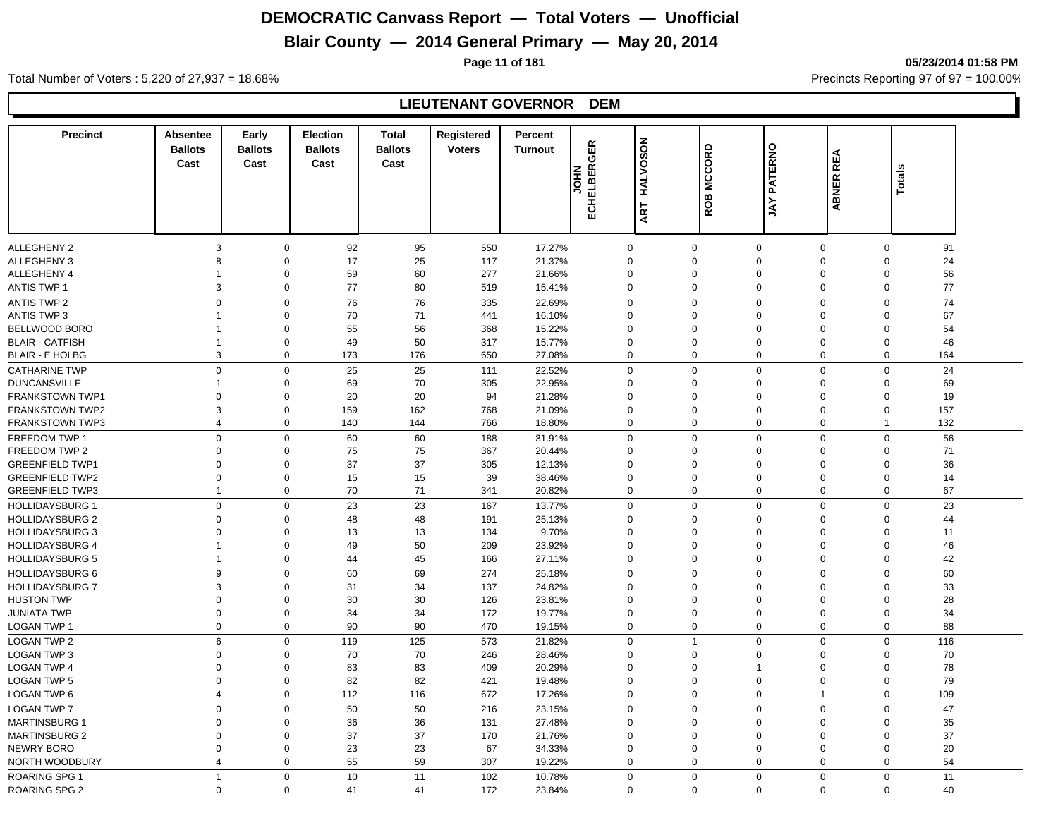## **Blair County — 2014 General Primary — May 20, 2014**

**Page 11 of 181 05/23/2014 01:58 PM**

Total Number of Voters : 5,220 of 27,937 = 18.68% Precincts Reporting 97 of 97 = 100.00%

#### **LIEUTENANT GOVERNOR DEM**

| <b>Precinct</b>        | Absentee                | Early          | <b>Election</b> | <b>Total</b>   | Registered    | Percent        |             |             |                |                |              |               |     |  |
|------------------------|-------------------------|----------------|-----------------|----------------|---------------|----------------|-------------|-------------|----------------|----------------|--------------|---------------|-----|--|
|                        | <b>Ballots</b>          | <b>Ballots</b> | <b>Ballots</b>  | <b>Ballots</b> | <b>Voters</b> | <b>Turnout</b> | ECHELBERGER | HALVOSON    | ROB MCCORD     | <b>PATERNO</b> |              |               |     |  |
|                        | Cast                    | Cast           | Cast            | Cast           |               |                |             |             |                |                | ABNER REA    |               |     |  |
|                        |                         |                |                 |                |               |                | HOL         |             |                |                |              | <b>Totals</b> |     |  |
|                        |                         |                |                 |                |               |                |             |             |                |                |              |               |     |  |
|                        |                         |                |                 |                |               |                |             | ART         |                | YAL            |              |               |     |  |
|                        |                         |                |                 |                |               |                |             |             |                |                |              |               |     |  |
| <b>ALLEGHENY 2</b>     | $\mathsf 3$             | $\mathbf 0$    | 92              | 95             | 550           | 17.27%         |             | $\mathbf 0$ | $\mathbf 0$    | $\mathbf 0$    | $\mathbf 0$  | $\mathbf 0$   | 91  |  |
| <b>ALLEGHENY 3</b>     | 8                       | $\mathbf 0$    | 17              | 25             | 117           | 21.37%         |             | 0           | $\mathbf 0$    | $\mathbf 0$    | $\mathbf 0$  | $\Omega$      | 24  |  |
| ALLEGHENY 4            | $\mathbf{1}$            | $\mathbf 0$    | 59              | 60             | 277           | 21.66%         |             | 0           | $\mathbf 0$    | $\mathbf 0$    | $\mathbf 0$  | $\mathbf 0$   | 56  |  |
| <b>ANTIS TWP 1</b>     | 3                       | $\Omega$       | 77              | 80             | 519           | 15.41%         |             | 0           | $\mathbf 0$    | $\mathbf 0$    | 0            | $\mathbf 0$   | 77  |  |
| <b>ANTIS TWP 2</b>     | $\mathsf 0$             | $\mathbf 0$    | 76              | 76             | 335           | 22.69%         |             | $\mathbf 0$ | $\mathbf 0$    | $\mathbf 0$    | $\mathbf 0$  | $\mathsf 0$   | 74  |  |
| <b>ANTIS TWP 3</b>     | 1                       | $\mathbf 0$    | 70              | 71             | 441           | 16.10%         |             | 0           | $\mathbf 0$    | $\mathbf 0$    | 0            | $\Omega$      | 67  |  |
| <b>BELLWOOD BORO</b>   | 1                       | $\mathbf 0$    | 55              | 56             | 368           | 15.22%         |             | 0           | $\mathbf 0$    | $\mathbf 0$    | $\Omega$     | $\Omega$      | 54  |  |
| <b>BLAIR - CATFISH</b> | 1                       | $\mathbf 0$    | 49              | 50             | 317           | 15.77%         |             | 0           | $\Omega$       | $\mathbf 0$    | $\mathbf 0$  | $\mathbf 0$   | 46  |  |
| <b>BLAIR - E HOLBG</b> | 3                       | $\mathbf 0$    | 173             | 176            | 650           | 27.08%         |             | $\mathbf 0$ | $\Omega$       | $\mathbf 0$    | 0            | $\Omega$      | 164 |  |
| <b>CATHARINE TWP</b>   | $\mathsf 0$             | $\mathbf 0$    | 25              | 25             | 111           | 22.52%         |             | $\mathsf 0$ | $\mathbf 0$    | $\mathbf 0$    | $\mathbf 0$  | $\mathsf 0$   | 24  |  |
| <b>DUNCANSVILLE</b>    | 1                       | $\mathbf 0$    | 69              | 70             | 305           | 22.95%         |             | 0           | $\mathbf 0$    | $\mathbf 0$    | $\Omega$     | $\mathbf 0$   | 69  |  |
| <b>FRANKSTOWN TWP1</b> | $\Omega$                | $\Omega$       | 20              | 20             | 94            | 21.28%         | $\mathbf 0$ |             | $\Omega$       | $\mathbf 0$    | $\Omega$     | $\Omega$      | 19  |  |
| <b>FRANKSTOWN TWP2</b> | 3                       | $\mathbf 0$    | 159             | 162            | 768           | 21.09%         | $\mathbf 0$ |             | $\Omega$       | $\mathbf 0$    | $\Omega$     | $\mathbf 0$   | 157 |  |
| <b>FRANKSTOWN TWP3</b> | $\overline{\mathbf{4}}$ | $\Omega$       | 140             | 144            | 766           | 18.80%         |             | 0           | $\Omega$       | $\mathbf 0$    | 0            | $\mathbf 1$   | 132 |  |
| FREEDOM TWP 1          | $\mathbf 0$             | $\mathbf 0$    | 60              | 60             | 188           | 31.91%         |             | $\mathbf 0$ | $\Omega$       | $\mathbf 0$    | 0            | $\mathbf 0$   | 56  |  |
| FREEDOM TWP 2          | 0                       | $\mathbf 0$    | 75              | 75             | 367           | 20.44%         |             | $\mathbf 0$ | $\mathbf 0$    | $\mathbf 0$    | $\mathbf 0$  | $\mathbf 0$   | 71  |  |
| <b>GREENFIELD TWP1</b> | $\Omega$                | $\Omega$       | 37              | 37             | 305           | 12.13%         | $\mathbf 0$ |             | $\Omega$       | $\mathbf 0$    | $\Omega$     | $\Omega$      | 36  |  |
| <b>GREENFIELD TWP2</b> | $\Omega$                | $\Omega$       | 15              | 15             | 39            | 38.46%         | $\mathbf 0$ |             | $\Omega$       | $\mathbf 0$    | $\Omega$     | $\Omega$      | 14  |  |
| <b>GREENFIELD TWP3</b> | 1                       | $\Omega$       | 70              | 71             | 341           | 20.82%         |             | 0           | $\Omega$       | $\mathbf 0$    | 0            | $\Omega$      | 67  |  |
| <b>HOLLIDAYSBURG 1</b> | $\mathbf 0$             | $\mathbf 0$    | 23              | 23             | 167           | 13.77%         |             | $\mathbf 0$ | $\Omega$       | $\mathbf 0$    | $\mathbf 0$  | $\mathbf 0$   | 23  |  |
| <b>HOLLIDAYSBURG 2</b> | 0                       | $\Omega$       | 48              | 48             | 191           | 25.13%         | $\Omega$    |             | $\Omega$       | $\Omega$       | $\Omega$     | $\Omega$      | 44  |  |
| <b>HOLLIDAYSBURG 3</b> | $\Omega$                | $\Omega$       | 13              | 13             | 134           | 9.70%          | $\mathbf 0$ |             | $\Omega$       | $\mathbf 0$    | $\Omega$     | $\Omega$      | 11  |  |
| <b>HOLLIDAYSBURG 4</b> | $\mathbf 1$             | $\mathbf 0$    | 49              | 50             | 209           | 23.92%         | $\mathbf 0$ |             | $\mathbf 0$    | $\mathbf 0$    | $\mathbf 0$  | $\mathbf 0$   | 46  |  |
| <b>HOLLIDAYSBURG 5</b> | $\mathbf{1}$            | $\mathbf 0$    | 44              | 45             | 166           | 27.11%         |             | 0           | $\Omega$       | $\mathbf 0$    | 0            | 0             | 42  |  |
| <b>HOLLIDAYSBURG 6</b> | 9                       | $\mathbf 0$    | 60              | 69             | 274           | 25.18%         |             | $\mathbf 0$ | $\Omega$       | $\mathbf 0$    | $\mathbf 0$  | $\mathbf 0$   | 60  |  |
| <b>HOLLIDAYSBURG 7</b> | 3                       | $\Omega$       | 31              | 34             | 137           | 24.82%         |             | 0           | $\Omega$       | $\mathbf 0$    | $\Omega$     | $\Omega$      | 33  |  |
| <b>HUSTON TWP</b>      | 0                       | $\Omega$       | 30              | 30             | 126           | 23.81%         | $\Omega$    |             | $\Omega$       | $\mathbf 0$    | $\Omega$     | $\Omega$      | 28  |  |
| <b>JUNIATA TWP</b>     | $\mathbf 0$             | $\mathbf 0$    | 34              | 34             | 172           | 19.77%         |             | 0           | $\mathbf 0$    | $\mathbf 0$    | $\mathbf 0$  | $\mathbf 0$   | 34  |  |
| <b>LOGAN TWP 1</b>     | $\mathbf 0$             | $\mathbf 0$    | 90              | 90             | 470           | 19.15%         |             | 0           | $\mathbf 0$    | $\mathbf 0$    | 0            | $\mathbf 0$   | 88  |  |
| <b>LOGAN TWP 2</b>     | 6                       | $\Omega$       | 119             | 125            | 573           | 21.82%         |             | $\mathbf 0$ | $\overline{1}$ | $\mathbf 0$    | $\mathbf 0$  | $\Omega$      | 116 |  |
| LOGAN TWP 3            | $\Omega$                | $\Omega$       | 70              | 70             | 246           | 28.46%         | $\Omega$    |             | $\Omega$       | $\Omega$       | $\Omega$     | $\Omega$      | 70  |  |
| <b>LOGAN TWP 4</b>     | $\mathbf 0$             | $\Omega$       | 83              | 83             | 409           | 20.29%         | $\Omega$    |             | $\Omega$       |                | $\Omega$     | $\Omega$      | 78  |  |
| <b>LOGAN TWP 5</b>     | 0                       | $\mathbf 0$    | 82              | 82             | 421           | 19.48%         |             | 0           | $\mathbf 0$    | $\mathbf 0$    | $\mathbf 0$  | $\mathbf 0$   | 79  |  |
| LOGAN TWP 6            | 4                       | $\mathbf 0$    | 112             | 116            | 672           | 17.26%         |             | 0           | $\mathbf 0$    | $\mathbf 0$    | $\mathbf{1}$ | 0             | 109 |  |
| <b>LOGAN TWP 7</b>     | $\mathbf 0$             | $\Omega$       | 50              | 50             | 216           | 23.15%         |             | $\mathbf 0$ | $\Omega$       | $\mathbf 0$    | $\mathbf 0$  | $\Omega$      | 47  |  |
| <b>MARTINSBURG 1</b>   | $\Omega$                | $\Omega$       | 36              | 36             | 131           | 27.48%         | $\Omega$    |             | $\Omega$       | $\mathbf 0$    | $\Omega$     | $\Omega$      | 35  |  |
| MARTINSBURG 2          | $\mathbf 0$             | $\Omega$       | 37              | 37             | 170           | 21.76%         |             | $\mathbf 0$ | $\Omega$       | $\mathbf 0$    | $\Omega$     | $\Omega$      | 37  |  |
| NEWRY BORO             | 0                       | $\Omega$       | 23              | 23             | 67            | 34.33%         |             | 0           | $\mathbf 0$    | $\mathbf 0$    | $\Omega$     | $\Omega$      | 20  |  |
| NORTH WOODBURY         | 4                       | $\Omega$       | 55              | 59             | 307           | 19.22%         |             | 0           | $\Omega$       | $\mathbf 0$    | 0            | $\Omega$      | 54  |  |
| <b>ROARING SPG 1</b>   | $\mathbf{1}$            | $\Omega$       | 10              | 11             | 102           | 10.78%         |             | $\mathbf 0$ | $\Omega$       | $\mathbf 0$    | $\mathbf 0$  | $\mathbf{0}$  | 11  |  |
| <b>ROARING SPG 2</b>   | $\Omega$                | $\mathbf 0$    | 41              | 41             | 172           | 23.84%         |             | $\Omega$    | $\Omega$       | $\Omega$       | $\Omega$     | $\Omega$      | 40  |  |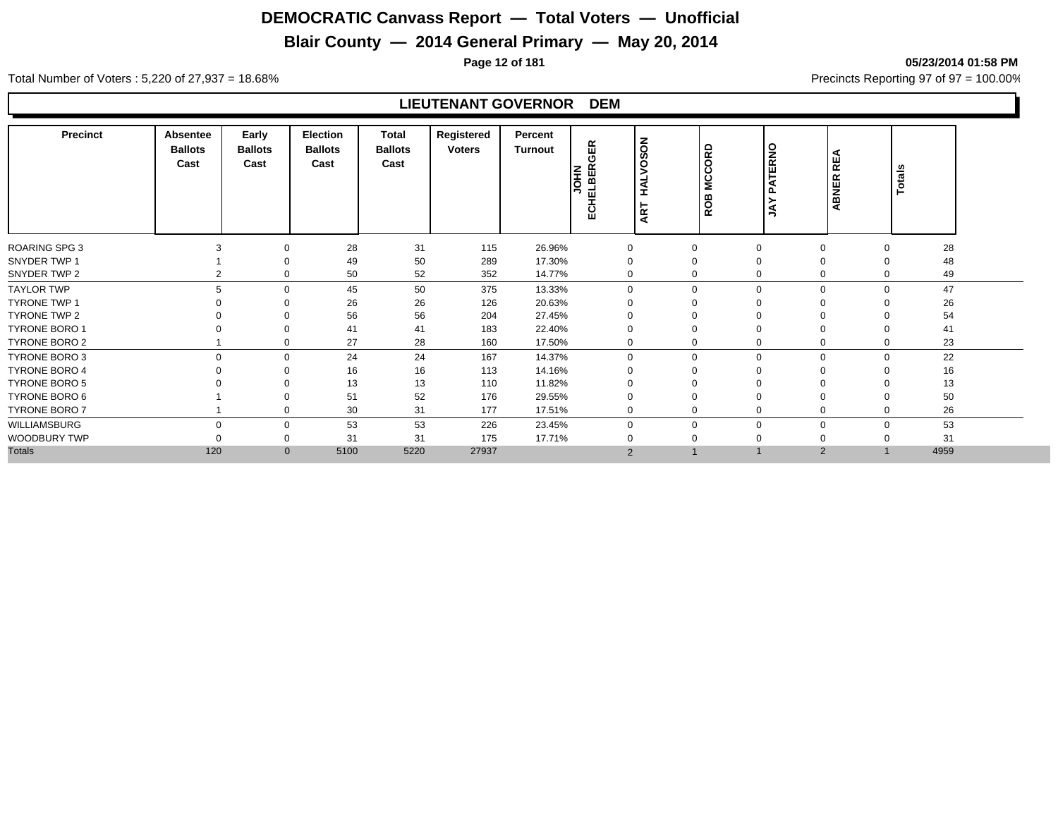## **Blair County — 2014 General Primary — May 20, 2014**

**Page 12 of 181 05/23/2014 01:58 PM**

Total Number of Voters : 5,220 of 27,937 = 18.68% Precincts Reporting 97 of 97 = 100.00%

#### **LIEUTENANT GOVERNOR DEM**

| <b>Precinct</b>      | <b>Absentee</b><br><b>Ballots</b><br>Cast | Early<br><b>Ballots</b><br>Cast | Election<br><b>Ballots</b><br>Cast | Total<br><b>Ballots</b><br>Cast | Registered<br><b>Voters</b> | Percent<br>Turnout | GER<br>≃<br><b>NHIC</b><br>ELBEI<br>곱 | SON<br>$\circ$<br>ξĖ | <b>MCCORD</b><br><b>ROB</b> | PATERNO<br>λy | <b>REA</b><br>ABNER     | Totals         |  |
|----------------------|-------------------------------------------|---------------------------------|------------------------------------|---------------------------------|-----------------------------|--------------------|---------------------------------------|----------------------|-----------------------------|---------------|-------------------------|----------------|--|
| ROARING SPG 3        | 3                                         |                                 | 28                                 | 31                              | 115                         | 26.96%             |                                       | 0                    | $\mathbf 0$<br>$\Omega$     |               | $\mathbf 0$<br>$\Omega$ | 28             |  |
| SNYDER TWP 1         |                                           |                                 | 49                                 | 50                              | 289                         | 17.30%             |                                       |                      | 0                           |               | $\Omega$                | 48             |  |
| SNYDER TWP 2         | 2                                         |                                 | 50                                 | 52                              | 352                         | 14.77%             |                                       | 0                    | $\Omega$                    | $\mathbf 0$   | $\mathbf 0$             | 49<br>$\Omega$ |  |
| <b>TAYLOR TWP</b>    |                                           | U                               | 45                                 | 50                              | 375                         | 13.33%             |                                       | $\Omega$             | $\Omega$                    | $\mathbf 0$   | $\mathbf 0$             | 47<br>$\Omega$ |  |
| <b>TYRONE TWP 1</b>  |                                           |                                 | 26                                 | 26                              | 126                         | 20.63%             |                                       |                      |                             | $\Omega$      | $\Omega$                | 26             |  |
| TYRONE TWP 2         |                                           |                                 | 56                                 | 56                              | 204                         | 27.45%             |                                       |                      |                             | $\Omega$      | $\Omega$                | 54             |  |
| <b>TYRONE BORO 1</b> |                                           |                                 | 41                                 | 41                              | 183                         | 22.40%             |                                       |                      | O                           |               | $\Omega$                | 41             |  |
| <b>TYRONE BORO 2</b> |                                           |                                 | 27                                 | 28                              | 160                         | 17.50%             |                                       | 0                    |                             | 0             | 0                       | 23<br>$\Omega$ |  |
| TYRONE BORO 3        |                                           |                                 | 24                                 | 24                              | 167                         | 14.37%             |                                       | $\mathbf 0$          | $\Omega$<br>$\Omega$        |               | $\mathbf 0$             | 22<br>$\Omega$ |  |
| <b>TYRONE BORO 4</b> |                                           |                                 | 16                                 | 16                              | 113                         | 14.16%             |                                       |                      |                             |               | $\Omega$                | 16             |  |
| <b>TYRONE BORO 5</b> |                                           |                                 | 13                                 | 13                              | 110                         | 11.82%             |                                       |                      |                             |               |                         | 13             |  |
| TYRONE BORO 6        |                                           |                                 | 51                                 | 52                              | 176                         | 29.55%             |                                       |                      |                             |               | $\Omega$                | 50             |  |
| <b>TYRONE BORO 7</b> |                                           |                                 | 30                                 | 31                              | 177                         | 17.51%             | 0                                     |                      |                             | $\mathbf 0$   | 0<br>$\Omega$           | 26             |  |
| WILLIAMSBURG         | $\Omega$                                  | 0                               | 53                                 | 53                              | 226                         | 23.45%             |                                       | 0                    | $\Omega$<br>$\Omega$        |               | 0                       | 53<br>$\Omega$ |  |
| WOODBURY TWP         |                                           |                                 | 31                                 | 31                              | 175                         | 17.71%             | 0                                     |                      | 0                           |               | 0                       | 31             |  |
| <b>Totals</b>        | 120                                       | $\mathbf{0}$                    | 5100                               | 5220                            | 27937                       |                    | $\overline{2}$                        |                      |                             |               | 2                       | 4959           |  |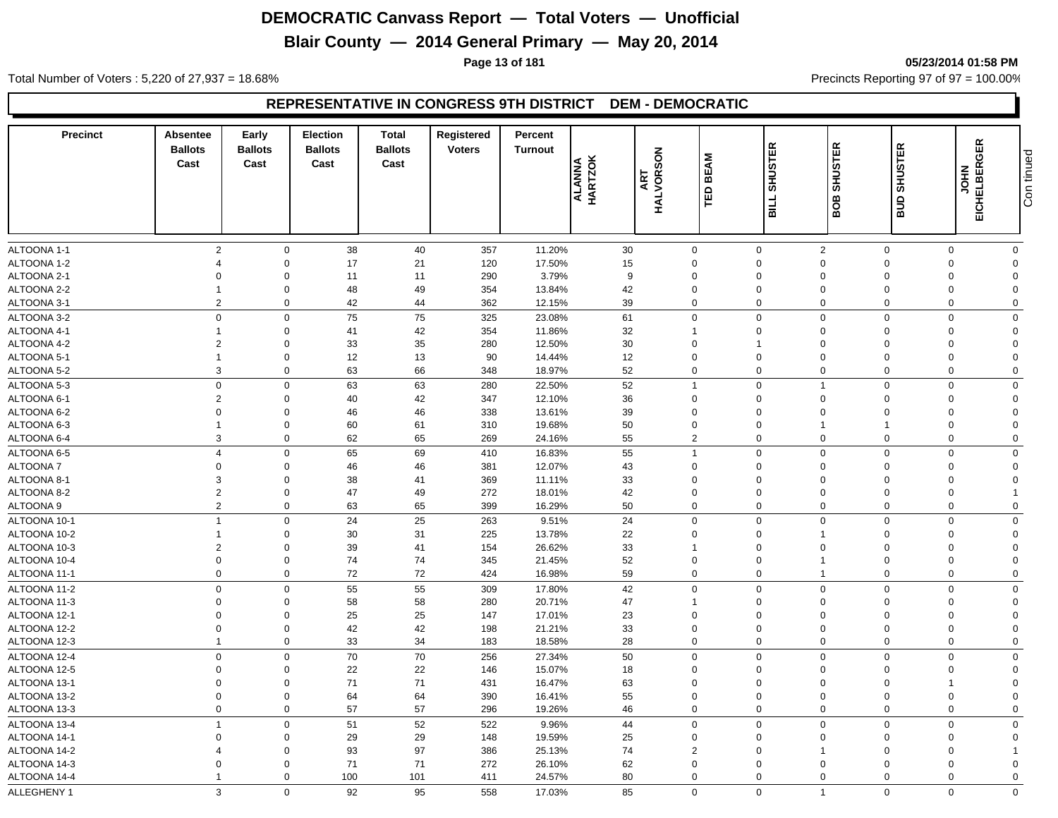## **Blair County — 2014 General Primary — May 20, 2014**

**Page 13 of 181 05/23/2014 01:58 PM**

Total Number of Voters : 5,220 of 27,937 = 18.68% Precincts Reporting 97 of 97 = 100.00%

#### **REPRESENTATIVE IN CONGRESS 9TH DISTRICT DEM - DEMOCRATIC**

| <b>Precinct</b>              | Absentee<br><b>Ballots</b><br>Cast | Early<br><b>Ballots</b><br>Cast | <b>Election</b><br><b>Ballots</b><br>Cast | Total<br><b>Ballots</b><br>Cast | Registered<br><b>Voters</b> | Percent<br>Turnout | ALANNA<br>HARTZOK | HALVORSON<br>ART | <b>BEAM</b><br>品              | <b>SHUSTER</b><br>BILL     | <b>SHUSTER</b><br><b>BOB</b> | <b>SHUSTER</b><br>ans | <b>JOHN<br/>EICHELBERGER</b> | Con tinued     |
|------------------------------|------------------------------------|---------------------------------|-------------------------------------------|---------------------------------|-----------------------------|--------------------|-------------------|------------------|-------------------------------|----------------------------|------------------------------|-----------------------|------------------------------|----------------|
| ALTOONA 1-1                  | $\overline{2}$                     | $\mathbf 0$                     | 38                                        | 40                              | 357                         | 11.20%             | 30                |                  | $\mathbf 0$                   | $\mathbf 0$                | $\overline{2}$               | $\mathbf 0$           | $\Omega$                     | $\mathbf 0$    |
| ALTOONA 1-2                  | $\overline{4}$                     | $\mathbf 0$                     | 17                                        | 21                              | 120                         | 17.50%             | 15                |                  | $\mathbf 0$                   | $\mathbf 0$                | $\mathbf 0$                  | $\Omega$              | $\Omega$                     | $\mathbf 0$    |
| ALTOONA 2-1                  | $\mathbf 0$                        | $\mathbf 0$                     | 11                                        | 11                              | 290                         | 3.79%              | 9                 |                  | $\mathbf 0$                   | $\mathbf 0$                | $\mathbf 0$                  | $\Omega$              | $\mathbf 0$                  | $\Omega$       |
| ALTOONA 2-2                  | $\mathbf{1}$                       | $\mathbf 0$                     | 48                                        | 49                              | 354                         | 13.84%             | 42                |                  | 0                             | $\mathbf 0$                | $\mathbf 0$                  | $\Omega$              | $\mathbf 0$                  | $\Omega$       |
| ALTOONA 3-1                  | $\overline{2}$                     | $\mathbf 0$                     | 42                                        | 44                              | 362                         | 12.15%             | 39                |                  | $\mathbf 0$                   | $\mathbf 0$                | $\mathbf 0$                  | $\mathbf 0$           | $\Omega$                     | $\mathbf 0$    |
| ALTOONA 3-2                  | $\mathbf 0$                        | $\mathbf 0$                     | 75                                        | 75                              | 325                         | 23.08%             | 61                |                  | $\mathbf 0$                   | $\mathbf 0$                | $\Omega$                     | $\Omega$              | $\Omega$                     | $\mathbf 0$    |
| ALTOONA 4-1                  |                                    | $\mathbf 0$                     | 41                                        | 42                              | 354                         | 11.86%             | 32                |                  | 1                             | $\mathbf 0$                | $\Omega$                     | $\Omega$              | $\Omega$                     | $\Omega$       |
| ALTOONA 4-2                  | $\overline{2}$                     | $\mathbf 0$                     | 33                                        | 35                              | 280                         | 12.50%             | 30                |                  | $\mathbf 0$                   | $\overline{1}$             | $\Omega$                     | $\Omega$              | $\Omega$                     | $\Omega$       |
| ALTOONA 5-1                  | $\overline{1}$                     | $\mathbf 0$                     | 12                                        | 13                              | 90                          | 14.44%             | 12                |                  | $\mathbf 0$                   | $\mathbf 0$                | $\Omega$                     | $\Omega$              | $\Omega$                     | $\Omega$       |
| ALTOONA 5-2                  | 3                                  | $\mathbf 0$                     | 63                                        | 66                              | 348                         | 18.97%             | 52                |                  | $\pmb{0}$                     | $\mathbf 0$                | $\mathbf 0$                  | $\mathbf 0$           | $\mathbf 0$                  | $\mathbf 0$    |
| ALTOONA 5-3                  | $\mathbf 0$                        | $\mathbf 0$                     | 63                                        | 63                              | 280                         | 22.50%             | 52                |                  | $\mathbf{1}$                  | $\mathbf 0$                | $\overline{1}$               | $\mathbf 0$           | $\Omega$                     | $\mathbf 0$    |
| ALTOONA 6-1                  | $\overline{2}$                     | $\mathbf 0$                     | 40                                        | 42                              | 347                         | 12.10%             | 36                |                  | $\mathbf 0$                   | $\mathbf 0$                | $\Omega$                     | $\Omega$              | $\Omega$                     | $\Omega$       |
| ALTOONA 6-2                  | $\Omega$                           | $\mathbf 0$                     | 46                                        | 46                              | 338                         | 13.61%             | 39                |                  | $\mathbf 0$                   | $\mathbf 0$                | $\mathbf 0$                  | $\Omega$              | $\Omega$                     | $\Omega$       |
| ALTOONA 6-3                  | $\overline{1}$                     | $\mathbf 0$                     | 60                                        | 61                              | 310                         | 19.68%             | 50                |                  | $\mathbf 0$                   | $\mathbf 0$                | $\overline{1}$               |                       | $\mathbf 0$                  | $\Omega$       |
| ALTOONA 6-4                  | 3                                  | $\mathbf 0$                     | 62                                        | 65                              | 269                         | 24.16%             | 55                |                  | $\overline{2}$                | $\mathbf 0$                | $\mathbf 0$                  | $\Omega$              | $\mathbf 0$                  | $\mathbf 0$    |
| ALTOONA 6-5                  | $\overline{4}$                     | $\mathbf 0$                     | 65                                        | 69                              | 410                         | 16.83%             | 55                |                  | $\overline{1}$                | $\mathbf 0$                | $\mathbf 0$                  | $\mathbf 0$           | $\mathbf 0$                  | $\mathbf 0$    |
| <b>ALTOONA7</b>              | $\mathbf 0$                        | $\mathbf 0$                     | 46                                        | 46                              | 381                         | 12.07%             | 43                |                  | $\mathbf 0$                   | $\mathbf 0$                | $\mathbf 0$                  | $\Omega$              | $\mathbf 0$                  | $\Omega$       |
| ALTOONA 8-1                  | 3                                  | $\mathbf 0$                     | 38                                        | 41                              | 369                         | 11.11%             | 33                |                  | $\mathbf 0$                   | $\mathbf 0$                | $\Omega$                     | $\Omega$              | $\Omega$                     | $\Omega$       |
| ALTOONA 8-2                  | $\overline{2}$                     | $\mathbf 0$                     | 47                                        | 49                              | 272                         | 18.01%             | 42                |                  | $\mathbf 0$                   | $\mathbf 0$                | $\mathbf 0$                  | $\Omega$              | $\mathbf 0$                  |                |
| ALTOONA 9                    | $\overline{2}$                     | $\mathbf 0$                     | 63                                        | 65                              | 399                         | 16.29%             | 50                |                  | $\mathbf 0$                   | $\mathbf 0$                | $\mathbf 0$                  | $\mathbf 0$           | $\mathbf 0$                  | $\mathbf 0$    |
| ALTOONA 10-1                 | $\overline{1}$                     | $\mathbf 0$                     | 24                                        | 25                              | 263                         | 9.51%              | 24                |                  | $\mathbf 0$                   | $\mathbf 0$                | $\overline{0}$               | $\Omega$              | $\Omega$                     | $\mathbf 0$    |
| ALTOONA 10-2                 | $\mathbf{1}$                       | $\mathbf 0$                     | 30                                        | 31                              | 225                         | 13.78%             | 22                |                  | $\mathbf 0$                   | $\mathbf 0$                | -1                           | $\Omega$              | $\Omega$                     | $\mathbf 0$    |
| ALTOONA 10-3                 | $\overline{2}$                     | $\mathbf 0$                     | 39                                        | 41                              | 154                         | 26.62%             | 33                |                  | 1                             | $\mathbf 0$                | $\Omega$                     | $\Omega$              | $\Omega$                     | $\Omega$       |
| ALTOONA 10-4                 | $\mathbf 0$                        | $\mathbf 0$                     | 74                                        | 74                              | 345                         | 21.45%             | 52                |                  | 0                             | $\mathbf 0$                | $\overline{1}$               | $\Omega$              | $\Omega$                     | $\Omega$       |
| ALTOONA 11-1                 | $\Omega$                           | $\mathbf 0$                     | 72                                        | 72                              | 424                         | 16.98%             | 59                |                  | $\Omega$                      | $\mathbf 0$                | $\overline{1}$               | $\Omega$              | $\Omega$                     | $\mathbf 0$    |
| ALTOONA 11-2                 | $\mathbf 0$                        | $\mathbf 0$                     | 55                                        | 55                              | 309                         | 17.80%             | 42                |                  | $\mathbf 0$                   | $\mathbf 0$                | $\Omega$                     | $\Omega$              | $\Omega$                     | $\mathbf 0$    |
| ALTOONA 11-3                 | $\mathbf 0$                        | $\mathbf 0$                     | 58                                        | 58                              | 280                         | 20.71%             | 47                |                  | $\mathbf{1}$                  | $\mathbf 0$                | $\overline{0}$               | $\Omega$              | $\mathbf 0$                  | $\Omega$       |
| ALTOONA 12-1                 | $\Omega$                           | $\mathbf 0$                     | 25                                        | 25                              | 147                         | 17.01%             | 23                |                  | 0                             | $\mathbf 0$                | $\Omega$                     | $\Omega$              | $\Omega$                     | $\Omega$       |
| ALTOONA 12-2                 | $\Omega$                           | $\mathbf 0$                     | 42                                        | 42                              | 198                         | 21.21%             | 33                |                  | $\mathbf 0$                   | $\mathbf 0$                | $\Omega$                     | $\Omega$              | $\Omega$                     | $\Omega$       |
| ALTOONA 12-3                 | $\overline{1}$                     | $\mathbf 0$                     | 33                                        | 34                              | 183                         | 18.58%             | 28                |                  | $\mathbf 0$                   | $\mathbf 0$                | $\Omega$                     | $\mathbf 0$           | $\mathbf 0$                  | $\mathbf 0$    |
| ALTOONA 12-4                 | $\mathbf 0$                        | $\mathbf 0$                     | 70                                        | 70                              | 256                         | 27.34%             | 50                |                  | $\mathbf 0$                   | $\mathbf 0$                | $\mathbf 0$                  | $\Omega$              | $\mathbf 0$                  | $\mathbf 0$    |
| ALTOONA 12-5                 | $\mathbf 0$                        | $\mathbf 0$                     | 22                                        | 22                              | 146                         | 15.07%             | 18                |                  | 0                             | $\mathbf 0$                | $\mathbf 0$                  | $\Omega$              | $\Omega$                     | $\mathbf 0$    |
| ALTOONA 13-1                 | $\mathbf 0$                        | $\mathbf 0$                     | 71                                        | 71                              | 431                         | 16.47%             | 63                |                  | 0                             | $\mathbf 0$                | $\mathbf 0$                  | $\Omega$              | 1                            | $\Omega$       |
| ALTOONA 13-2                 | $\mathbf 0$                        | $\mathbf 0$                     | 64                                        | 64                              | 390                         | 16.41%             | 55                |                  | $\mathbf 0$                   | $\mathbf 0$                | $\mathbf 0$                  | $\Omega$              | $\mathbf 0$                  | $\overline{0}$ |
| ALTOONA 13-3                 | $\mathbf 0$                        | $\mathbf 0$                     | 57                                        | 57                              | 296                         | 19.26%             | 46                |                  | $\mathbf 0$                   | $\mathbf 0$                | $\Omega$                     | $\mathbf 0$           | $\mathbf 0$                  | $\mathbf 0$    |
|                              |                                    | $\mathbf 0$                     |                                           | 52                              |                             |                    |                   |                  |                               |                            | $\mathbf 0$                  |                       |                              | $\mathbf 0$    |
| ALTOONA 13-4                 | $\overline{1}$                     |                                 | 51                                        |                                 | 522                         | 9.96%              | 44                |                  | $\mathbf 0$                   | $\mathbf 0$                |                              | $\Omega$              | $\Omega$                     |                |
| ALTOONA 14-1                 | $\Omega$<br>$\overline{4}$         | $\mathbf 0$<br>$\mathbf 0$      | 29                                        | 29<br>97                        | 148                         | 19.59%             | 25                |                  | $\mathbf 0$<br>$\overline{2}$ | $\mathbf 0$<br>$\mathbf 0$ | $\Omega$<br>-1               | $\Omega$<br>$\Omega$  | $\Omega$<br>$\Omega$         | $\mathbf 0$    |
| ALTOONA 14-2<br>ALTOONA 14-3 | $\mathbf{0}$                       | $\mathbf 0$                     | 93<br>71                                  | 71                              | 386<br>272                  | 25.13%<br>26.10%   | 74<br>62          |                  | $\mathbf 0$                   | $\mathbf 0$                | $\Omega$                     | $\Omega$              | $\Omega$                     | $\Omega$       |
| ALTOONA 14-4                 | $\overline{1}$                     | $\mathbf 0$                     | 100                                       | 101                             | 411                         | 24.57%             | 80                |                  | $\Omega$                      | $\mathbf 0$                | $\Omega$                     | $\Omega$              | 0                            | $\mathbf 0$    |
|                              |                                    |                                 |                                           |                                 |                             |                    |                   |                  |                               |                            |                              |                       |                              |                |
| ALLEGHENY 1                  | 3                                  | $\Omega$                        | 92                                        | 95                              | 558                         | 17.03%             | 85                |                  | $\Omega$                      | $\Omega$                   | $\overline{1}$               | $\Omega$              | $\Omega$                     | $\Omega$       |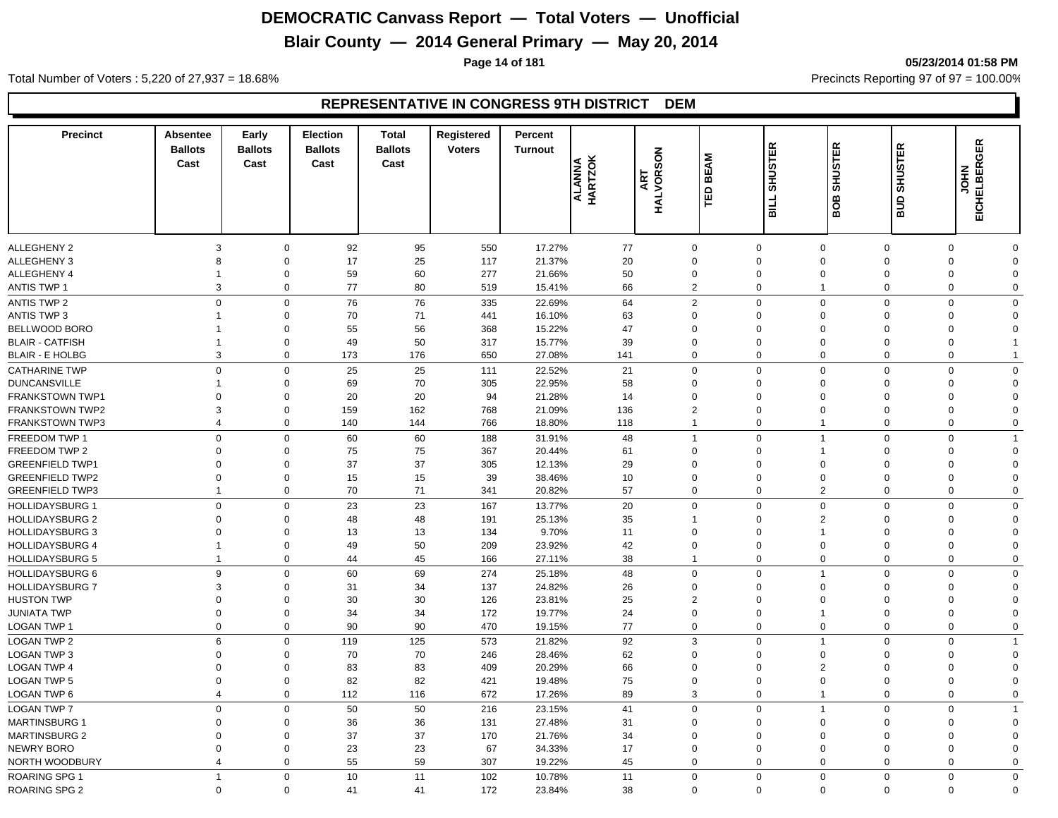## **Blair County — 2014 General Primary — May 20, 2014**

**Page 14 of 181 05/23/2014 01:58 PM**

Total Number of Voters : 5,220 of 27,937 = 18.68% Precincts Reporting 97 of 97 = 100.00%

#### **REPRESENTATIVE IN CONGRESS 9TH DISTRICT DEM**

| <b>Precinct</b>                               | Absentee<br><b>Ballots</b><br>Cast | Early<br><b>Ballots</b><br>Cast | <b>Election</b><br><b>Ballots</b><br>Cast | <b>Total</b><br><b>Ballots</b><br>Cast | Registered<br><b>Voters</b> | Percent<br><b>Turnout</b> | ALANNA<br>HARTZOK | <b>HALVORSON</b><br>ART    | <b>BEAM</b><br>日 | <b>SHUSTER</b><br>TIIB | <b>SHUSTER</b><br>BOB      | <b>SHUSTER</b><br>aua | <b>EICHELBERGER</b><br>HIOL |              |
|-----------------------------------------------|------------------------------------|---------------------------------|-------------------------------------------|----------------------------------------|-----------------------------|---------------------------|-------------------|----------------------------|------------------|------------------------|----------------------------|-----------------------|-----------------------------|--------------|
| <b>ALLEGHENY 2</b>                            | 3                                  | $\mathbf 0$                     | 92                                        | 95                                     | 550                         | 17.27%                    | 77                | $\mathbf 0$                |                  | $\mathbf 0$            | $\mathbf 0$                | 0                     | $\mathbf 0$                 | $\Omega$     |
| <b>ALLEGHENY 3</b>                            | 8                                  | $\mathbf 0$                     | 17                                        | 25                                     | 117                         | 21.37%                    | 20                | $\mathbf 0$                |                  | $\Omega$               | $\mathbf 0$                | 0                     | $\Omega$                    | $\Omega$     |
| ALLEGHENY 4                                   | 1                                  | $\mathbf 0$                     | 59                                        | 60                                     | 277                         | 21.66%                    | 50                | $\mathbf 0$                |                  | $\mathbf 0$            | $\mathbf 0$                | 0                     | 0                           | 0            |
| <b>ANTIS TWP 1</b>                            | 3                                  | $\mathbf 0$                     | 77                                        | 80                                     | 519                         | 15.41%                    | 66                | $\overline{2}$             |                  | $\mathbf 0$            | $\mathbf{1}$               | $\mathbf 0$           | $\mathbf 0$                 | $\mathbf 0$  |
| <b>ANTIS TWP 2</b>                            | $\mathbf 0$                        | $\mathbf 0$                     | 76                                        | 76                                     | 335                         | 22.69%                    | 64                | $\overline{2}$             |                  | $\Omega$               | $\mathbf 0$                | $\mathbf 0$           | $\Omega$                    | $\Omega$     |
| <b>ANTIS TWP 3</b>                            | 1                                  | $\mathbf 0$                     | 70                                        | 71                                     | 441                         | 16.10%                    | 63                | $\mathbf 0$                |                  | $\Omega$               | $\Omega$                   | $\Omega$              | $\Omega$                    | $\Omega$     |
| BELLWOOD BORO                                 |                                    | $\mathbf 0$                     | 55                                        | 56                                     | 368                         | 15.22%                    | 47                | $\mathbf 0$                |                  | $\Omega$               | $\mathbf 0$                | $\Omega$              | $\Omega$                    | 0            |
| <b>BLAIR - CATFISH</b>                        | -1                                 | $\mathbf 0$                     | 49                                        | 50                                     | 317                         | 15.77%                    | 39                | $\mathbf 0$                |                  | $\Omega$               | $\Omega$                   | $\Omega$              | $\Omega$                    |              |
| <b>BLAIR - E HOLBG</b>                        | 3                                  | $\mathbf 0$                     | 173                                       | 176                                    | 650                         | 27.08%                    | 141               | $\mathbf 0$                |                  | $\Omega$               | $\mathbf 0$                | $\mathbf 0$           | $\Omega$                    | 1            |
|                                               |                                    |                                 |                                           |                                        |                             |                           |                   |                            |                  | $\Omega$               |                            |                       |                             | $\Omega$     |
| <b>CATHARINE TWP</b>                          | $\mathbf 0$                        | $\mathbf 0$                     | 25                                        | 25                                     | 111                         | 22.52%                    | 21                | $\mathbf 0$                |                  | $\Omega$               | $\mathbf 0$                | $\mathbf 0$           | $\mathbf 0$                 | $\Omega$     |
| <b>DUNCANSVILLE</b><br><b>FRANKSTOWN TWP1</b> | $\Omega$                           | $\mathbf 0$<br>$\mathbf 0$      | 69<br>20                                  | 70<br>20                               | 305<br>94                   | 22.95%<br>21.28%          | 58<br>14          | $\mathbf 0$<br>$\mathbf 0$ |                  | $\Omega$               | $\mathbf 0$<br>$\mathbf 0$ | 0<br>$\Omega$         | $\Omega$<br>$\Omega$        | 0            |
| <b>FRANKSTOWN TWP2</b>                        | 3                                  | $\mathbf 0$                     | 159                                       | 162                                    | 768                         | 21.09%                    | 136               | $\overline{2}$             |                  | $\mathbf 0$            | $\overline{0}$             | 0                     | $\Omega$                    | $\Omega$     |
| <b>FRANKSTOWN TWP3</b>                        | $\overline{4}$                     | $\mathbf 0$                     | 140                                       | 144                                    | 766                         | 18.80%                    | 118               | $\overline{1}$             |                  | $\mathbf 0$            | 1                          | 0                     | $\mathbf 0$                 | $\mathbf 0$  |
|                                               |                                    |                                 |                                           |                                        |                             |                           |                   |                            |                  |                        |                            |                       |                             |              |
| FREEDOM TWP 1                                 | $\mathbf 0$                        | $\mathsf{O}\xspace$             | 60                                        | 60                                     | 188                         | 31.91%                    | 48                | $\overline{1}$             |                  | $\Omega$               | $\mathbf{1}$               | $\mathbf 0$           | $\Omega$                    |              |
| FREEDOM TWP 2                                 | $\Omega$                           | $\mathbf 0$                     | 75                                        | 75                                     | 367                         | 20.44%                    | 61                | $\mathbf{0}$               |                  | $\Omega$               | 1                          | $\Omega$              | $\Omega$                    | 0            |
| <b>GREENFIELD TWP1</b>                        | $\Omega$                           | $\mathbf 0$                     | 37                                        | 37                                     | 305                         | 12.13%                    | 29                | $\mathbf{0}$               |                  | $\Omega$               | $\Omega$                   | $\Omega$              | $\Omega$                    | $\Omega$     |
| <b>GREENFIELD TWP2</b>                        | $\Omega$<br>1                      | $\mathbf 0$                     | 15                                        | 15                                     | 39                          | 38.46%                    | 10                | $\mathbf 0$                |                  | $\Omega$               | $\Omega$                   | $\Omega$              | $\Omega$                    | $\Omega$     |
| <b>GREENFIELD TWP3</b>                        |                                    | $\mathbf 0$                     | 70                                        | 71                                     | 341                         | 20.82%                    | 57                | $\mathbf 0$                |                  | $\Omega$               | $\overline{2}$             | 0                     | $\Omega$                    | $\Omega$     |
| <b>HOLLIDAYSBURG 1</b>                        | $\mathbf 0$                        | $\mathbf 0$                     | 23                                        | 23                                     | 167                         | 13.77%                    | 20                | $\mathbf 0$                |                  | $\Omega$               | $\mathbf 0$                | $\mathbf 0$           | $\mathbf 0$                 | $\Omega$     |
| <b>HOLLIDAYSBURG 2</b>                        | $\Omega$                           | $\mathbf 0$                     | 48                                        | 48                                     | 191                         | 25.13%                    | 35                |                            |                  | $\Omega$               | $\overline{2}$             | $\mathbf 0$           | $\Omega$                    | $\Omega$     |
| <b>HOLLIDAYSBURG 3</b>                        | $\Omega$                           | $\mathbf 0$                     | 13                                        | 13                                     | 134                         | 9.70%                     | 11                | $\mathbf 0$                |                  | $\Omega$               | $\overline{1}$             | $\Omega$              | $\Omega$                    | $\Omega$     |
| <b>HOLLIDAYSBURG 4</b>                        | 1                                  | $\mathbf 0$                     | 49                                        | 50                                     | 209                         | 23.92%                    | 42                | $\mathbf 0$                |                  | $\mathbf 0$            | $\mathbf 0$                | 0                     | $\mathbf 0$                 | $\Omega$     |
| <b>HOLLIDAYSBURG 5</b>                        | $\overline{1}$                     | $\mathbf 0$                     | 44                                        | 45                                     | 166                         | 27.11%                    | 38                | $\overline{1}$             |                  | $\mathbf 0$            | $\mathbf 0$                | $\mathbf 0$           | $\mathbf 0$                 | $\mathbf 0$  |
| <b>HOLLIDAYSBURG 6</b>                        | 9                                  | $\mathbf 0$                     | 60                                        | 69                                     | 274                         | 25.18%                    | 48                | $\mathbf 0$                |                  | $\Omega$               | $\mathbf{1}$               | $\mathbf 0$           | $\Omega$                    | $\Omega$     |
| <b>HOLLIDAYSBURG 7</b>                        | 3                                  | $\mathbf 0$                     | 31                                        | 34                                     | 137                         | 24.82%                    | 26                | $\mathbf 0$                |                  | $\Omega$               | $\Omega$                   | $\Omega$              | $\Omega$                    | $\Omega$     |
| <b>HUSTON TWP</b>                             | $\Omega$                           | $\mathbf 0$                     | 30                                        | 30                                     | 126                         | 23.81%                    | 25                | $\overline{2}$             |                  | $\Omega$               | $\Omega$                   | $\Omega$              | $\Omega$                    | $\Omega$     |
| <b>JUNIATA TWP</b>                            | 0                                  | $\mathbf 0$                     | 34                                        | 34                                     | 172                         | 19.77%                    | 24                | $\boldsymbol{0}$           |                  | $\Omega$               | $\overline{1}$             | $\Omega$              | $\Omega$                    | $\Omega$     |
| LOGAN TWP 1                                   | $\mathbf 0$                        | $\mathbf 0$                     | 90                                        | 90                                     | 470                         | 19.15%                    | 77                | $\mathbf 0$                |                  | $\mathbf 0$            | $\mathbf 0$                | 0                     | $\mathbf 0$                 | $\mathbf 0$  |
| LOGAN TWP 2                                   | 6                                  | $\mathbf 0$                     | 119                                       | 125                                    | 573                         | 21.82%                    | 92                | 3                          |                  | $\Omega$               | $\overline{1}$             | $\mathbf 0$           | $\Omega$                    | 1            |
| <b>LOGAN TWP 3</b>                            | $\Omega$                           | $\mathbf 0$                     | 70                                        | 70                                     | 246                         | 28.46%                    | 62                | $\mathbf 0$                |                  | $\Omega$               | $\Omega$                   | $\Omega$              | $\Omega$                    | $\Omega$     |
| <b>LOGAN TWP 4</b>                            | $\mathbf 0$                        | $\mathbf 0$                     | 83                                        | 83                                     | 409                         | 20.29%                    | 66                | $\mathbf 0$                |                  | $\Omega$               | $\overline{2}$             | $\Omega$              | $\Omega$                    | $\Omega$     |
| <b>LOGAN TWP 5</b>                            | $\mathbf 0$                        | $\mathbf 0$                     | 82                                        | 82                                     | 421                         | 19.48%                    | 75                | $\mathbf 0$                |                  | $\Omega$               | $\overline{0}$             | $\mathbf 0$           | $\Omega$                    | $\Omega$     |
| LOGAN TWP 6                                   | $\overline{4}$                     | $\mathbf 0$                     | 112                                       | 116                                    | 672                         | 17.26%                    | 89                | 3                          |                  | $\mathbf 0$            | $\overline{1}$             | $\mathbf 0$           | $\mathbf 0$                 | $\mathbf 0$  |
| <b>LOGAN TWP 7</b>                            | $\Omega$                           | $\mathbf 0$                     | 50                                        | 50                                     | 216                         | 23.15%                    | 41                | $\mathbf 0$                |                  | $\Omega$               | $\mathbf{1}$               | $\mathbf 0$           | $\Omega$                    | 1            |
| <b>MARTINSBURG 1</b>                          | 0                                  | $\mathbf 0$                     | 36                                        | 36                                     | 131                         | 27.48%                    | 31                | $\mathbf 0$                |                  | $\mathbf 0$            | $\overline{0}$             | 0                     | $\Omega$                    | $\Omega$     |
| <b>MARTINSBURG 2</b>                          | $\mathbf 0$                        | $\mathbf 0$                     | 37                                        | 37                                     | 170                         | 21.76%                    | 34                | $\mathbf 0$                |                  | $\mathbf 0$            | $\overline{0}$             | 0                     | $\Omega$                    | $\Omega$     |
| <b>NEWRY BORO</b>                             | 0                                  | $\mathbf 0$                     | 23                                        | 23                                     | 67                          | 34.33%                    | 17                | $\mathbf 0$                |                  | $\mathbf 0$            | $\overline{0}$             | 0                     | $\mathbf 0$                 | 0            |
| NORTH WOODBURY                                | 4                                  | $\mathbf 0$                     | 55                                        | 59                                     | 307                         | 19.22%                    | 45                | $\mathbf 0$                |                  | $\mathbf 0$            | $\mathbf 0$                | 0                     | $\mathbf 0$                 | 0            |
| ROARING SPG 1                                 | $\overline{1}$                     | $\mathbf 0$                     | 10                                        | 11                                     | 102                         | 10.78%                    | 11                | $\mathbf 0$                |                  | $\Omega$               | $\mathbf 0$                | $\mathbf 0$           | $\mathbf 0$                 | $\mathbf{0}$ |
| <b>ROARING SPG 2</b>                          | $\mathbf 0$                        | $\mathbf 0$                     | 41                                        | 41                                     | 172                         | 23.84%                    | 38                | $\mathbf 0$                |                  | $\Omega$               | $\mathbf 0$                | 0                     | $\Omega$                    | $\Omega$     |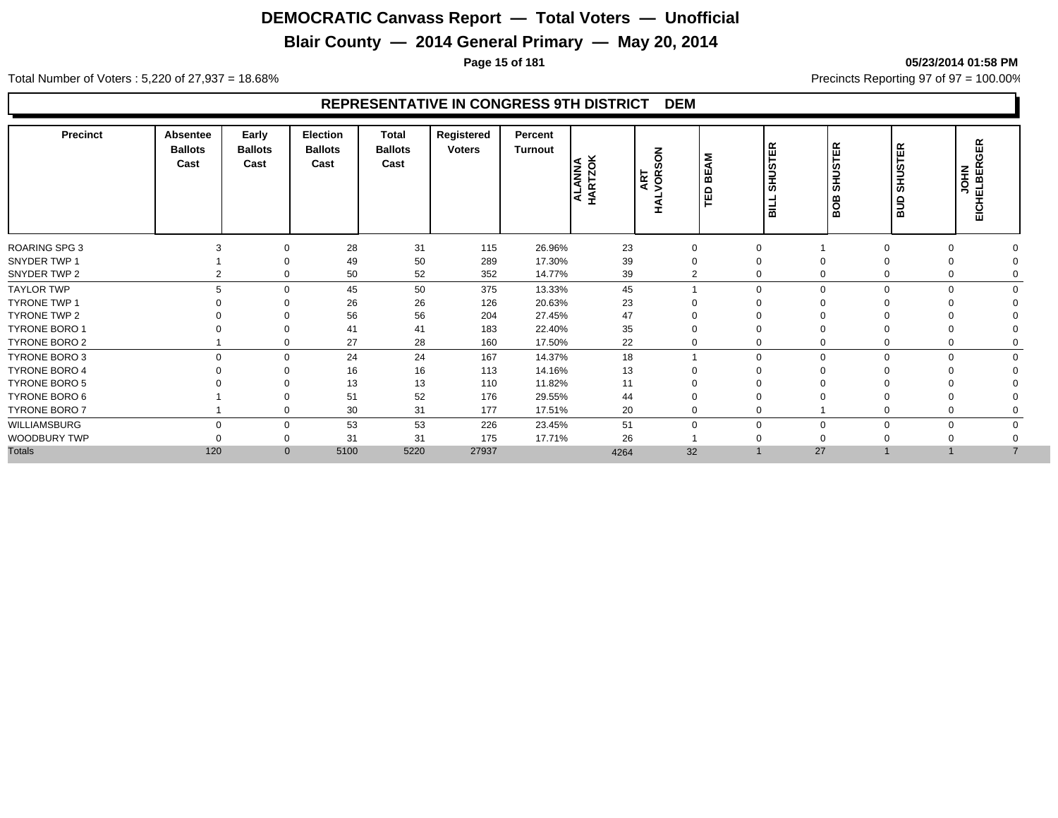## **Blair County — 2014 General Primary — May 20, 2014**

**Page 15 of 181 05/23/2014 01:58 PM**

Total Number of Voters : 5,220 of 27,937 = 18.68% Precincts Reporting 97 of 97 = 100.00%

#### **REPRESENTATIVE IN CONGRESS 9TH DISTRICT DEM**

| <b>Precinct</b>      | Absentee<br><b>Ballots</b><br>Cast | Early<br><b>Ballots</b><br>Cast | Election<br><b>Ballots</b><br>Cast | Total<br><b>Ballots</b><br>Cast | Registered<br><b>Voters</b> | Percent<br>Turnout | ALANNA<br>HARTZOK | NOS<br>ART<br>VOR: | <b>BEAM</b><br>$\Omega$<br>퐡 | <b>STER</b><br>$rac{5}{5}$<br>lЕ | ΓER<br><b>in</b><br>₹<br>ഗ<br>മ<br>O<br>മ | $\alpha$<br>ш<br><b>in</b><br><b>DERS</b><br>$\Omega$<br>∍<br>$\bar{m}$ | 岛<br>Ο<br>EICHELBER<br><b>NHOL</b> |  |
|----------------------|------------------------------------|---------------------------------|------------------------------------|---------------------------------|-----------------------------|--------------------|-------------------|--------------------|------------------------------|----------------------------------|-------------------------------------------|-------------------------------------------------------------------------|------------------------------------|--|
| <b>ROARING SPG 3</b> | 3                                  | $\Omega$                        | 28                                 | 31                              | 115                         | 26.96%             | 23                | $\mathbf 0$        | 0                            |                                  |                                           |                                                                         |                                    |  |
| SNYDER TWP 1         |                                    | $\Omega$                        | 49                                 | 50                              | 289                         | 17.30%             | 39                | $\Omega$           | 0                            |                                  |                                           |                                                                         |                                    |  |
| SNYDER TWP 2         |                                    | 0                               | 50                                 | 52                              | 352                         | 14.77%             | 39                | $\overline{2}$     | 0                            | $\mathbf 0$                      |                                           |                                                                         |                                    |  |
| <b>TAYLOR TWP</b>    | 5                                  | $\Omega$                        | 45                                 | 50                              | 375                         | 13.33%             | 45                |                    | $\Omega$                     | $\mathbf 0$                      | $\Omega$                                  |                                                                         |                                    |  |
| <b>TYRONE TWP 1</b>  |                                    | $\Omega$                        | 26                                 | 26                              | 126                         | 20.63%             | 23                |                    |                              |                                  |                                           |                                                                         |                                    |  |
| TYRONE TWP 2         |                                    | $\Omega$                        | 56                                 | 56                              | 204                         | 27.45%             | 47                | $\Omega$           |                              |                                  |                                           |                                                                         |                                    |  |
| TYRONE BORO 1        |                                    | $\Omega$                        | 41                                 | 41                              | 183                         | 22.40%             | 35                |                    |                              |                                  |                                           |                                                                         |                                    |  |
| TYRONE BORO 2        |                                    | $\mathbf 0$                     | 27                                 | 28                              | 160                         | 17.50%             | 22                |                    | 0                            | $\mathbf 0$                      | 0                                         |                                                                         |                                    |  |
| TYRONE BORO 3        | $\Omega$                           | $\mathbf 0$                     | 24                                 | 24                              | 167                         | 14.37%             | 18                |                    | $\mathbf 0$                  | $\mathbf 0$                      | $\Omega$                                  | $\Omega$                                                                |                                    |  |
| <b>TYRONE BORO 4</b> |                                    | $\Omega$                        | 16                                 | 16                              | 113                         | 14.16%             | 13                | $\Omega$           | $\Omega$                     | $\Omega$                         |                                           |                                                                         |                                    |  |
| TYRONE BORO 5        |                                    |                                 | 13                                 | 13                              | 110                         | 11.82%             | 11                |                    |                              |                                  |                                           |                                                                         |                                    |  |
| TYRONE BORO 6        |                                    | $\Omega$                        | 51                                 | 52                              | 176                         | 29.55%             | 44                |                    |                              |                                  |                                           |                                                                         |                                    |  |
| TYRONE BORO 7        |                                    | 0                               | 30                                 | 31                              | 177                         | 17.51%             | 20                | $\Omega$           | 0                            |                                  |                                           |                                                                         |                                    |  |
| WILLIAMSBURG         | $\Omega$                           | $\mathbf 0$                     | 53                                 | 53                              | 226                         | 23.45%             | 51                | $\Omega$           | $\mathbf 0$                  | $\mathbf 0$                      | $\Omega$                                  |                                                                         |                                    |  |
| WOODBURY TWP         |                                    | 0                               | 31                                 | 31                              | 175                         | 17.71%             | 26                |                    |                              |                                  |                                           |                                                                         |                                    |  |
| <b>Totals</b>        | 120                                | $\mathbf{0}$                    | 5100                               | 5220                            | 27937                       |                    | 4264              | 32                 |                              | 27                               |                                           |                                                                         |                                    |  |
|                      |                                    |                                 |                                    |                                 |                             |                    |                   |                    |                              |                                  |                                           |                                                                         |                                    |  |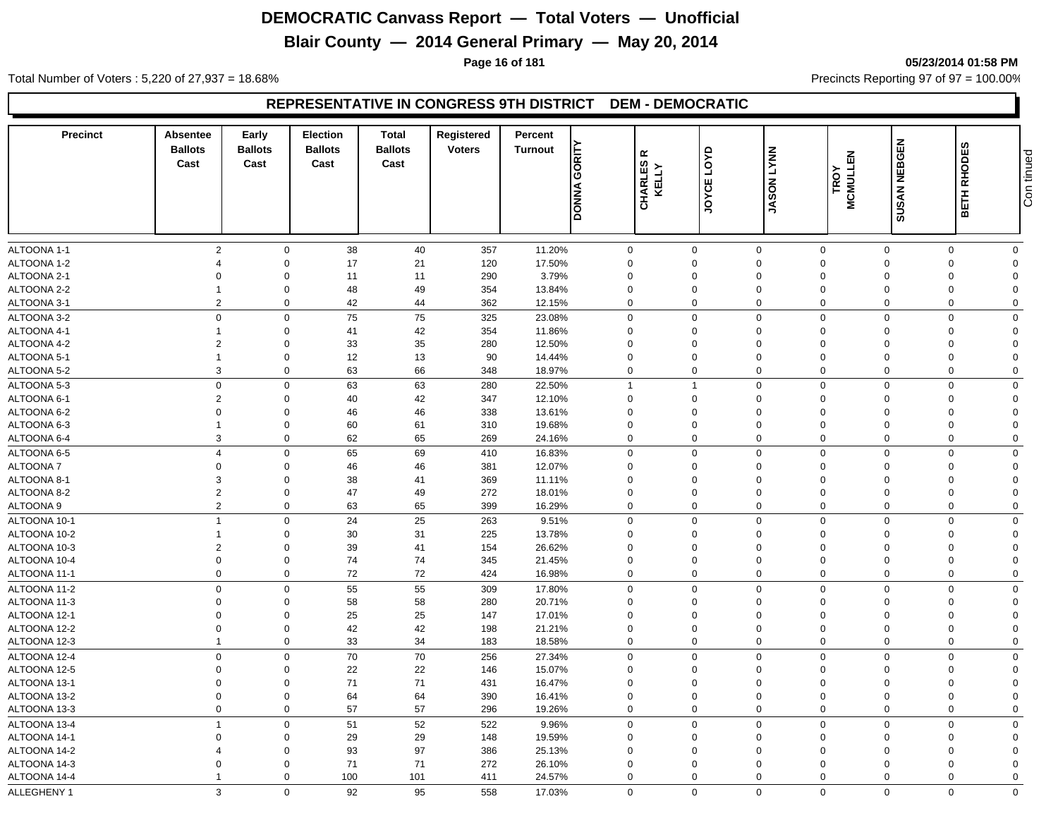## **Blair County — 2014 General Primary — May 20, 2014**

**Page 16 of 181 05/23/2014 01:58 PM**

Total Number of Voters : 5,220 of 27,937 = 18.68% Precincts Reporting 97 of 97 = 100.00%

#### **REPRESENTATIVE IN CONGRESS 9TH DISTRICT DEM - DEMOCRATIC**

| <b>Precinct</b> | Absentee<br><b>Ballots</b><br>Cast | Early<br><b>Ballots</b><br>Cast | Election<br><b>Ballots</b><br>Cast | <b>Total</b><br><b>Ballots</b><br>Cast | Registered<br><b>Voters</b> | Percent<br><b>Turnout</b> | GORITY<br><b>DONNA</b> | $\propto$<br>CHARLES | <b>G</b><br>JOYCE | <b>LYNN</b><br><b>JASON</b> | <b>MCMULLEN</b><br>TROY | SUSAN NEBGEN | <b>RHODES</b><br>BETH | tinued<br>Con  |
|-----------------|------------------------------------|---------------------------------|------------------------------------|----------------------------------------|-----------------------------|---------------------------|------------------------|----------------------|-------------------|-----------------------------|-------------------------|--------------|-----------------------|----------------|
| ALTOONA 1-1     | $\overline{2}$                     | $\mathbf 0$                     | 38                                 | 40                                     | 357                         | 11.20%                    |                        | $\mathbf 0$          | $\mathbf 0$       | $\mathbf 0$                 | $\mathbf 0$             | $\Omega$     | $\mathbf 0$           | $\mathbf 0$    |
| ALTOONA 1-2     | $\overline{4}$                     | $\Omega$                        | 17                                 | 21                                     | 120                         | 17.50%                    |                        | $\mathbf 0$          | $\Omega$          | $\Omega$                    | $\Omega$                | $\Omega$     | $\Omega$              | $\Omega$       |
| ALTOONA 2-1     | $\Omega$                           | $\Omega$                        | 11                                 | 11                                     | 290                         | 3.79%                     |                        | $\mathbf 0$          | 0                 | $\Omega$                    | $\Omega$                | $\Omega$     | $\Omega$              | $\Omega$       |
| ALTOONA 2-2     | -1                                 | $\Omega$                        | 48                                 | 49                                     | 354                         | 13.84%                    |                        | $\Omega$             | 0                 | $\Omega$                    | $\Omega$                | $\Omega$     | $\Omega$              | $\Omega$       |
| ALTOONA 3-1     | $\overline{2}$                     | $\Omega$                        | 42                                 | 44                                     | 362                         | 12.15%                    |                        | $\mathbf 0$          | $\Omega$          | $\mathbf 0$                 | $\Omega$                | $\Omega$     | $\mathbf 0$           | $\mathbf 0$    |
| ALTOONA 3-2     | $\mathbf 0$                        | $\Omega$                        | 75                                 | 75                                     | 325                         | 23.08%                    |                        | $\mathbf 0$          | $\mathbf 0$       | $\mathbf 0$                 | $\mathbf 0$             | $\Omega$     | $\mathbf 0$           | $\Omega$       |
| ALTOONA 4-1     | $\overline{1}$                     | $\Omega$                        | 41                                 | 42                                     | 354                         | 11.86%                    |                        | $\mathbf 0$          | $\mathbf 0$       | $\mathbf 0$                 | $\mathbf 0$             | $\Omega$     | $\mathbf 0$           | $\Omega$       |
| ALTOONA 4-2     | $\overline{2}$                     | $\Omega$                        | 33                                 | 35                                     | 280                         | 12.50%                    |                        | $\Omega$             | 0                 | $\Omega$                    | $\Omega$                | $\Omega$     | $\Omega$              | $\Omega$       |
| ALTOONA 5-1     | $\overline{1}$                     | $\Omega$                        | 12                                 | 13                                     | 90                          | 14.44%                    |                        | $\mathbf 0$          | $\mathbf 0$       | $\mathbf 0$                 | $\Omega$                | $\Omega$     | $\Omega$              | $\Omega$       |
| ALTOONA 5-2     | 3                                  | $\mathbf 0$                     | 63                                 | 66                                     | 348                         | 18.97%                    |                        | $\mathbf 0$          | $\mathbf 0$       | $\mathbf 0$                 | $\Omega$                | $\mathbf 0$  | $\mathbf 0$           | $\mathbf 0$    |
| ALTOONA 5-3     | $\mathbf 0$                        | $\Omega$                        | 63                                 | 63                                     | 280                         | 22.50%                    |                        | $\mathbf{1}$         | $\mathbf{1}$      | $\mathbf 0$                 | $\Omega$                | $\Omega$     | $\Omega$              | $\mathbf 0$    |
| ALTOONA 6-1     | $\overline{2}$                     | $\Omega$                        | 40                                 | 42                                     | 347                         | 12.10%                    |                        | $\mathbf 0$          | $\Omega$          | $\Omega$                    | $\Omega$                | $\Omega$     | $\Omega$              | $\Omega$       |
| ALTOONA 6-2     | $\Omega$                           | $\Omega$                        | 46                                 | 46                                     | 338                         | 13.61%                    |                        | $\Omega$             | 0                 | $\Omega$                    | $\Omega$                | $\Omega$     | $\Omega$              | $\Omega$       |
| ALTOONA 6-3     | $\overline{1}$                     | $\Omega$                        | 60                                 | 61                                     | 310                         | 19.68%                    |                        | $\Omega$             | $\mathbf 0$       | $\Omega$                    | $\Omega$                | $\Omega$     | $\Omega$              | $\Omega$       |
| ALTOONA 6-4     | 3                                  | $\Omega$                        | 62                                 | 65                                     | 269                         | 24.16%                    |                        | $\mathbf 0$          | $\mathbf 0$       | $\mathbf 0$                 | $\Omega$                | $\Omega$     | 0                     | $\mathbf 0$    |
| ALTOONA 6-5     | $\overline{4}$                     | $\mathbf 0$                     | 65                                 | 69                                     | 410                         | 16.83%                    |                        | $\mathbf 0$          | $\mathbf 0$       | $\mathbf 0$                 | $\mathbf 0$             | $\mathbf 0$  | $\mathbf 0$           | $\mathbf 0$    |
| <b>ALTOONA7</b> | $\overline{0}$                     | $\Omega$                        | 46                                 | 46                                     | 381                         | 12.07%                    |                        | $\mathbf 0$          | $\mathbf 0$       | $\mathbf 0$                 | $\Omega$                | $\Omega$     | $\Omega$              | $\Omega$       |
| ALTOONA 8-1     | 3                                  | $\Omega$                        | 38                                 | 41                                     | 369                         | 11.11%                    |                        | $\Omega$             | 0                 | $\Omega$                    | $\Omega$                | $\Omega$     | $\Omega$              | $\Omega$       |
| ALTOONA 8-2     | $\overline{2}$                     | $\Omega$                        | 47                                 | 49                                     | 272                         | 18.01%                    |                        | $\mathbf 0$          | $\mathbf 0$       | $\mathbf 0$                 | $\Omega$                | $\Omega$     | $\Omega$              | $\Omega$       |
| ALTOONA 9       | $\overline{2}$                     | $\mathbf 0$                     | 63                                 | 65                                     | 399                         | 16.29%                    |                        | $\mathbf 0$          | $\mathbf 0$       | $\mathbf 0$                 | $\Omega$                | $\Omega$     | $\mathbf 0$           | $\mathbf 0$    |
| ALTOONA 10-1    | $\overline{1}$                     | $\Omega$                        | 24                                 | 25                                     | 263                         | 9.51%                     |                        | 0                    | $\mathbf 0$       | $\mathbf 0$                 | $\Omega$                | $\Omega$     | $\Omega$              | $\Omega$       |
| ALTOONA 10-2    | $\overline{1}$                     | $\Omega$                        | 30                                 | 31                                     | 225                         | 13.78%                    |                        | $\mathbf 0$          | 0                 | $\Omega$                    | $\Omega$                | $\Omega$     | $\mathbf 0$           | $\Omega$       |
| ALTOONA 10-3    | $\overline{2}$                     | $\Omega$                        | 39                                 | 41                                     | 154                         | 26.62%                    |                        | $\mathbf 0$          | 0                 | $\mathbf 0$                 | $\Omega$                | $\Omega$     | $\mathbf 0$           | $\Omega$       |
| ALTOONA 10-4    | $\mathbf 0$                        | $\Omega$                        | 74                                 | 74                                     | 345                         | 21.45%                    |                        | $\mathbf 0$          | $\mathbf 0$       | $\mathbf 0$                 | $\mathbf 0$             | $\Omega$     | $\mathbf 0$           | $\overline{0}$ |
| ALTOONA 11-1    | $\mathbf 0$                        | $\mathbf 0$                     | 72                                 | 72                                     | 424                         | 16.98%                    |                        | $\mathbf 0$          | $\mathbf 0$       | $\mathbf 0$                 | $\mathbf 0$             | $\mathbf 0$  | $\mathbf 0$           | $\mathbf 0$    |
| ALTOONA 11-2    | $\mathbf 0$                        | $\Omega$                        | 55                                 | 55                                     | 309                         | 17.80%                    |                        | $\mathbf 0$          | $\mathbf 0$       | $\mathbf 0$                 | $\Omega$                | $\Omega$     | $\Omega$              | $\Omega$       |
| ALTOONA 11-3    | $\overline{0}$                     | $\Omega$                        | 58                                 | 58                                     | 280                         | 20.71%                    |                        | $\mathbf 0$          | $\mathbf 0$       | $\mathbf 0$                 | $\Omega$                | $\Omega$     | $\Omega$              | $\Omega$       |
| ALTOONA 12-1    | $\Omega$                           | $\Omega$                        | 25                                 | 25                                     | 147                         | 17.01%                    |                        | $\Omega$             | $\Omega$          | $\Omega$                    | $\Omega$                | $\Omega$     | $\Omega$              | $\Omega$       |
| ALTOONA 12-2    | $\overline{0}$                     | $\Omega$                        | 42                                 | 42                                     | 198                         | 21.21%                    |                        | $\mathbf 0$          | $\mathbf 0$       | $\Omega$                    | $\Omega$                | $\Omega$     | $\Omega$              | $\Omega$       |
| ALTOONA 12-3    | $\overline{1}$                     | $\mathbf 0$                     | 33                                 | 34                                     | 183                         | 18.58%                    |                        | $\mathbf 0$          | $\mathbf 0$       | $\mathbf 0$                 | $\Omega$                | $\mathbf 0$  | $\mathbf 0$           | $\mathbf 0$    |
| ALTOONA 12-4    | $\mathbf 0$                        | $\Omega$                        | 70                                 | $70\,$                                 | 256                         | 27.34%                    |                        | $\mathbf 0$          | $\overline{0}$    | $\mathbf 0$                 | $\mathbf 0$             | $\Omega$     | $\mathbf 0$           | $\mathbf 0$    |
| ALTOONA 12-5    | $\mathbf 0$                        | $\Omega$                        | 22                                 | 22                                     | 146                         | 15.07%                    |                        | $\mathbf 0$          | $\mathbf 0$       | $\Omega$                    | $\Omega$                | $\Omega$     | $\Omega$              | $\Omega$       |
| ALTOONA 13-1    | $\overline{0}$                     | $\Omega$                        | 71                                 | 71                                     | 431                         | 16.47%                    |                        | $\mathbf 0$          | $\mathbf 0$       | $\mathbf 0$                 | $\Omega$                | $\Omega$     | $\Omega$              | $\Omega$       |
| ALTOONA 13-2    | $\overline{0}$                     | $\Omega$                        | 64                                 | 64                                     | 390                         | 16.41%                    |                        | $\mathbf 0$          | $\mathbf 0$       | $\mathbf 0$                 | $\mathbf 0$             | $\Omega$     | $\mathbf 0$           | $\mathbf 0$    |
| ALTOONA 13-3    | $\mathbf 0$                        | $\mathbf 0$                     | 57                                 | 57                                     | 296                         | 19.26%                    |                        | $\mathbf 0$          | $\mathbf 0$       | $\mathbf 0$                 | $\mathbf 0$             | $\mathbf 0$  | $\mathbf 0$           | $\mathbf 0$    |
| ALTOONA 13-4    | $\overline{1}$                     | $\Omega$                        | 51                                 | 52                                     | 522                         | 9.96%                     |                        | $\mathbf 0$          | $\mathbf 0$       | $\Omega$                    | $\Omega$                | $\Omega$     | $\Omega$              | $\Omega$       |
| ALTOONA 14-1    | $\Omega$                           | $\Omega$                        | 29                                 | 29                                     | 148                         | 19.59%                    |                        | $\Omega$             | 0                 | $\Omega$                    | $\Omega$                | $\Omega$     | $\Omega$              | $\Omega$       |
| ALTOONA 14-2    | 4                                  | $\Omega$                        | 93                                 | 97                                     | 386                         | 25.13%                    |                        | $\Omega$             | $\Omega$          | $\Omega$                    | $\Omega$                | $\Omega$     | $\Omega$              | $\Omega$       |
| ALTOONA 14-3    | $\Omega$                           | $\Omega$                        | 71                                 | 71                                     | 272                         | 26.10%                    |                        | $\mathbf{0}$         | $\mathbf 0$       | $\Omega$                    | $\Omega$                | $\Omega$     | $\Omega$              | $\Omega$       |
| ALTOONA 14-4    | -1                                 | $\mathbf 0$                     | 100                                | 101                                    | 411                         | 24.57%                    |                        | $\mathbf 0$          | $\Omega$          | $\mathbf 0$                 | $\Omega$                | $\Omega$     | $\mathbf 0$           | $\Omega$       |
| ALLEGHENY 1     | 3                                  | $\Omega$                        | 92                                 | 95                                     | 558                         | 17.03%                    |                        | $\Omega$             | $\Omega$          | $\Omega$                    | $\Omega$                | $\Omega$     | $\Omega$              | $\Omega$       |
|                 |                                    |                                 |                                    |                                        |                             |                           |                        |                      |                   |                             |                         |              |                       |                |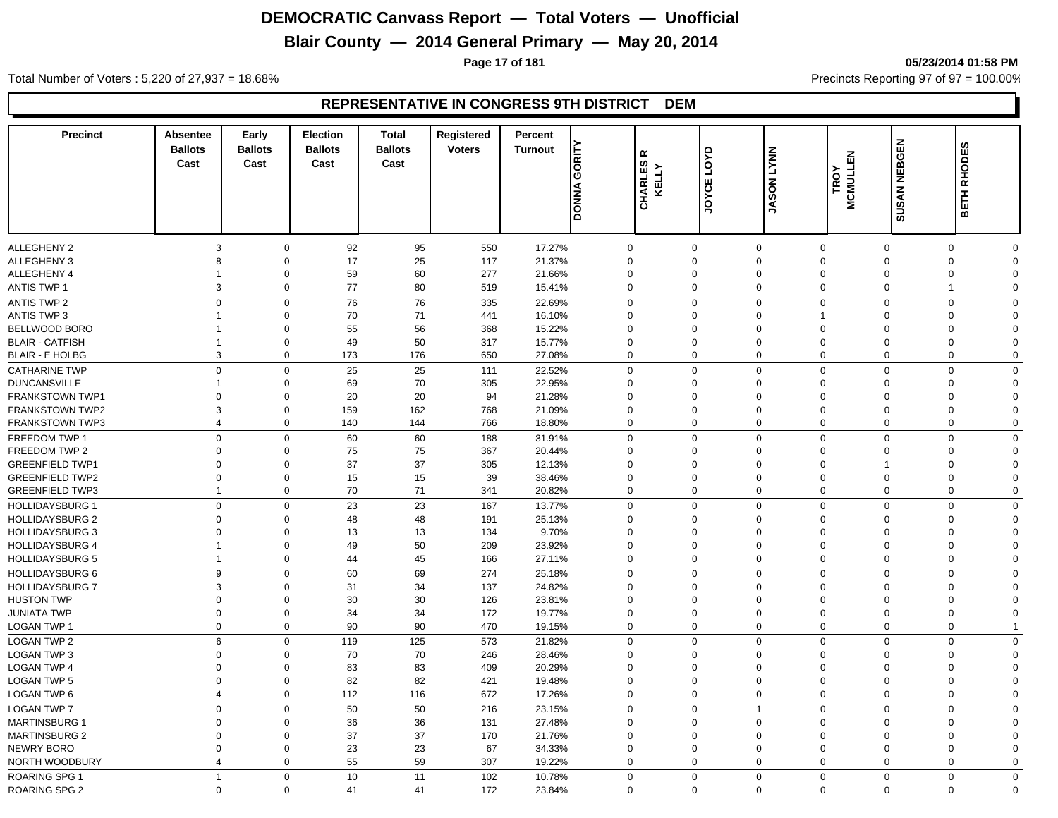## **Blair County — 2014 General Primary — May 20, 2014**

**Page 17 of 181 05/23/2014 01:58 PM**

Total Number of Voters : 5,220 of 27,937 = 18.68% Precincts Reporting 97 of 97 = 100.00%

#### **REPRESENTATIVE IN CONGRESS 9TH DISTRICT DEM**

| <b>Precinct</b>        | Absentee<br><b>Ballots</b><br>Cast | Early<br><b>Ballots</b><br>Cast | <b>Election</b><br><b>Ballots</b><br>Cast | <b>Total</b><br><b>Ballots</b><br>Cast | Registered<br><b>Voters</b> | Percent<br><b>Turnout</b> | GORITY<br><b>DONNA</b> | ≃<br><b>CHARLES</b><br>KELLY | LOYD<br>JOYCE | <b>LYNN</b><br><b>JASON</b> | <b>MCMULLEN</b><br>TROY | <b>SUSAN NEBGEN</b> | BETH RHODES                |
|------------------------|------------------------------------|---------------------------------|-------------------------------------------|----------------------------------------|-----------------------------|---------------------------|------------------------|------------------------------|---------------|-----------------------------|-------------------------|---------------------|----------------------------|
|                        |                                    |                                 |                                           |                                        |                             |                           |                        |                              |               |                             |                         |                     |                            |
| ALLEGHENY 2            | 3                                  |                                 | 92<br>$\mathbf 0$                         | 95                                     | 550                         | 17.27%                    |                        | $\mathbf 0$                  | $\mathbf 0$   | $\mathbf 0$                 | $\mathbf 0$             | $\overline{0}$      | $\mathbf 0$<br>$\Omega$    |
| ALLEGHENY 3            | 8                                  |                                 | $\mathbf 0$<br>17                         | 25                                     | 117                         | 21.37%                    |                        | $\mathbf 0$                  | $\Omega$      | $\mathbf 0$                 | $\Omega$                | $\Omega$            | $\mathbf 0$<br>$\Omega$    |
| ALLEGHENY 4            | $\overline{\mathbf{1}}$            |                                 | $\mathbf 0$<br>59                         | 60                                     | 277                         | 21.66%                    |                        | $\mathbf 0$                  | $\mathbf 0$   | $\mathbf 0$                 | $\mathbf 0$             | $\Omega$            | 0<br>$\Omega$              |
| <b>ANTIS TWP 1</b>     | $\mathbf{3}$                       |                                 | 77<br>$\mathbf 0$                         | 80                                     | 519                         | 15.41%                    |                        | $\Omega$                     | $\mathbf 0$   | $\mathsf 0$                 | $\Omega$                | $\mathbf 0$         | $\Omega$<br>$\overline{1}$ |
| <b>ANTIS TWP 2</b>     | $\mathbf 0$                        |                                 | 76<br>$\mathbf 0$                         | 76                                     | 335                         | 22.69%                    |                        | $\mathbf 0$                  | $\mathbf 0$   | $\mathbf 0$                 | $\mathbf 0$             | $\overline{0}$      | $\mathbf 0$<br>$\Omega$    |
| <b>ANTIS TWP 3</b>     | $\overline{1}$                     |                                 | 70<br>$\mathbf 0$                         | 71                                     | 441                         | 16.10%                    |                        | $\Omega$                     | $\mathbf 0$   | $\mathbf 0$                 | -1                      | $\Omega$            | 0<br>$\Omega$              |
| BELLWOOD BORO          | $\overline{1}$                     |                                 | 55<br>$\mathbf 0$                         | 56                                     | 368                         | 15.22%                    |                        | $\Omega$                     | $\Omega$      | $\mathbf 0$                 | $\Omega$                | $\Omega$            | 0<br>$\Omega$              |
| <b>BLAIR - CATFISH</b> | -1                                 |                                 | 49<br>$\mathbf 0$                         | 50                                     | 317                         | 15.77%                    | $\Omega$               |                              | $\mathbf 0$   | $\mathbf 0$                 | $\Omega$                | $\Omega$            | $\mathbf 0$<br>$\Omega$    |
| <b>BLAIR - E HOLBG</b> | 3                                  |                                 | $\mathbf 0$<br>173                        | 176                                    | 650                         | 27.08%                    |                        | $\Omega$                     | $\Omega$      | $\mathbf 0$                 | $\mathbf 0$             | $\Omega$            | $\mathbf 0$<br>$\Omega$    |
| <b>CATHARINE TWP</b>   | $\mathbf 0$                        |                                 | $\mathbf 0$<br>25                         | 25                                     | 111                         | 22.52%                    |                        | $\mathbf 0$                  | $\mathbf 0$   | $\mathbf 0$                 | $\mathbf 0$             | $\mathbf 0$         | $\mathbf 0$<br>$\Omega$    |
| <b>DUNCANSVILLE</b>    | $\overline{\mathbf{1}}$            |                                 | 0<br>69                                   | 70                                     | 305                         | 22.95%                    |                        | $\Omega$                     | $\mathbf 0$   | $\mathbf 0$                 | $\mathbf 0$             | $\Omega$            | 0<br>$\Omega$              |
| <b>FRANKSTOWN TWP1</b> | $\Omega$                           |                                 | $\mathbf 0$<br>20                         | 20                                     | 94                          | 21.28%                    | $\Omega$               |                              | $\mathbf 0$   | $\mathbf 0$                 | $\Omega$                | $\Omega$            | $\mathbf 0$<br>$\Omega$    |
| <b>FRANKSTOWN TWP2</b> | 3                                  |                                 | $\mathbf 0$<br>159                        | 162                                    | 768                         | 21.09%                    | $\Omega$               |                              | $\mathbf 0$   | $\mathbf 0$                 | $\Omega$                | $\Omega$            | $\mathbf 0$<br>$\Omega$    |
| <b>FRANKSTOWN TWP3</b> | $\overline{4}$                     |                                 | $\mathbf 0$<br>140                        | 144                                    | 766                         | 18.80%                    |                        | $\Omega$                     | $\Omega$      | $\mathbf 0$                 | $\mathbf 0$             | $\Omega$            | $\mathbf 0$<br>$\Omega$    |
| FREEDOM TWP 1          | $\mathbf 0$                        |                                 | $\mathbf 0$<br>60                         | 60                                     | 188                         | 31.91%                    |                        | $\mathbf 0$                  | $\Omega$      | $\mathbf 0$                 | $\mathbf 0$             | $\Omega$            | $\mathbf 0$<br>$\mathbf 0$ |
| FREEDOM TWP 2          | $\Omega$                           |                                 | $\Omega$<br>75                            | 75                                     | 367                         | 20.44%                    |                        | $\Omega$                     | $\Omega$      | $\mathbf 0$                 | $\Omega$                | $\Omega$            | 0<br>$\Omega$              |
| <b>GREENFIELD TWP1</b> | $\Omega$                           | $\Omega$                        | 37                                        | 37                                     | 305                         | 12.13%                    | $\Omega$               |                              | $\Omega$      | $\mathbf 0$                 | $\Omega$                |                     | $\Omega$<br>$\Omega$       |
| <b>GREENFIELD TWP2</b> | $\mathbf 0$                        | $\mathbf 0$                     | 15                                        | 15                                     | 39                          | 38.46%                    | $\Omega$               |                              | $\mathbf 0$   | $\mathbf 0$                 | $\Omega$                | $\mathbf 0$         | $\mathbf 0$<br>$\Omega$    |
| <b>GREENFIELD TWP3</b> | $\overline{1}$                     |                                 | $\mathbf 0$<br>70                         | 71                                     | 341                         | 20.82%                    |                        | $\Omega$                     | $\mathbf 0$   | $\mathbf 0$                 | $\Omega$                | $\overline{0}$      | $\mathbf 0$<br>$\Omega$    |
| <b>HOLLIDAYSBURG 1</b> | $\mathbf 0$                        |                                 | $\mathbf 0$<br>23                         | 23                                     | 167                         | 13.77%                    |                        | $\mathbf 0$                  | $\Omega$      | $\mathbf 0$                 | $\mathbf 0$             | $\Omega$            | $\mathbf 0$<br>$\Omega$    |
| <b>HOLLIDAYSBURG 2</b> | $\Omega$                           |                                 | 48<br>$\mathbf 0$                         | 48                                     | 191                         | 25.13%                    | $\Omega$               |                              | $\Omega$      | $\mathbf 0$                 | $\Omega$                | $\Omega$            | $\Omega$<br>$\Omega$       |
| <b>HOLLIDAYSBURG 3</b> | $\Omega$                           | $\mathbf 0$                     | 13                                        | 13                                     | 134                         | 9.70%                     | $\Omega$               |                              | 0             | $\mathbf 0$                 | $\Omega$                | $\Omega$            | $\Omega$<br>$\Omega$       |
| <b>HOLLIDAYSBURG 4</b> | $\overline{1}$                     |                                 | $\mathbf 0$<br>49                         | 50                                     | 209                         | 23.92%                    |                        | $\Omega$                     | $\mathbf 0$   | $\mathbf 0$                 | $\Omega$                | $\Omega$            | 0<br>$\Omega$              |
| <b>HOLLIDAYSBURG 5</b> | $\overline{1}$                     |                                 | 0<br>44                                   | 45                                     | 166                         | 27.11%                    |                        | $\Omega$                     | $\mathbf 0$   | $\mathbf 0$                 | $\Omega$                | $\Omega$            | 0<br>$\Omega$              |
| <b>HOLLIDAYSBURG 6</b> | 9                                  |                                 | 60<br>0                                   | 69                                     | 274                         | 25.18%                    |                        | $\mathbf 0$                  | $\mathbf 0$   | $\mathbf 0$                 | $\mathbf 0$             | $\Omega$            | $\mathbf 0$<br>$\mathbf 0$ |
| HOLLIDAYSBURG 7        | 3                                  |                                 | $\mathbf 0$<br>31                         | 34                                     | 137                         | 24.82%                    | $\Omega$               |                              | $\mathbf 0$   | $\mathbf 0$                 | $\Omega$                | $\Omega$            | $\Omega$<br>$\Omega$       |
| <b>HUSTON TWP</b>      | $\mathbf{0}$                       | $\mathbf 0$                     | 30                                        | 30                                     | 126                         | 23.81%                    | $\Omega$               |                              | $\Omega$      | $\mathbf 0$                 | $\Omega$                | $\Omega$            | $\Omega$<br>$\Omega$       |
| <b>JUNIATA TWP</b>     | $\mathbf 0$                        |                                 | $\mathbf 0$<br>34                         | 34                                     | 172                         | 19.77%                    |                        | $\Omega$                     | $\mathbf 0$   | $\mathbf 0$                 | $\Omega$                | $\overline{0}$      | $\mathbf 0$<br>$\Omega$    |
| LOGAN TWP 1            | $\mathbf 0$                        |                                 | 90<br>$\mathbf 0$                         | 90                                     | 470                         | 19.15%                    |                        | $\Omega$                     | $\mathbf 0$   | $\mathbf 0$                 | $\Omega$                | $\Omega$            | $\mathbf 0$                |
| <b>LOGAN TWP 2</b>     | 6                                  |                                 | $\mathbf 0$<br>119                        | 125                                    | 573                         | 21.82%                    |                        | $\Omega$                     | $\mathbf 0$   | $\mathbf 0$                 | $\mathbf 0$             | $\Omega$            | $\mathbf 0$<br>$\mathbf 0$ |
| <b>LOGAN TWP 3</b>     | $\mathbf 0$                        |                                 | 70<br>0                                   | 70                                     | 246                         | 28.46%                    | $\Omega$               |                              | 0             | $\mathbf 0$                 | $\Omega$                | $\Omega$            | $\mathbf 0$<br>$\Omega$    |
| <b>LOGAN TWP 4</b>     | $\mathbf 0$                        |                                 | 83<br>$\mathbf 0$                         | 83                                     | 409                         | 20.29%                    | $\Omega$               |                              | $\mathbf 0$   | $\mathbf 0$                 | $\Omega$                | $\mathbf 0$         | 0<br>$\Omega$              |
| <b>LOGAN TWP 5</b>     | $\mathbf 0$                        |                                 | $\mathbf 0$<br>82                         | 82                                     | 421                         | 19.48%                    | $\mathbf 0$            |                              | $\mathbf 0$   | $\mathbf 0$                 | $\Omega$                | $\overline{0}$      | $\mathbf 0$<br>$\Omega$    |
| <b>LOGAN TWP 6</b>     | $\overline{4}$                     |                                 | $\mathbf 0$<br>112                        | 116                                    | 672                         | 17.26%                    |                        | $\mathbf 0$                  | $\mathbf 0$   | $\mathbf 0$                 | $\mathbf 0$             | $\overline{0}$      | $\mathbf 0$<br>$\mathbf 0$ |
| <b>LOGAN TWP 7</b>     | $\mathbf 0$                        |                                 | $\Omega$<br>50                            | 50                                     | 216                         | 23.15%                    |                        | $\Omega$                     | $\Omega$      | $\overline{1}$              | $\Omega$                | $\Omega$            | $\mathbf 0$<br>$\mathbf 0$ |
| <b>MARTINSBURG 1</b>   | $\mathbf{0}$                       |                                 | $\Omega$<br>36                            | 36                                     | 131                         | 27.48%                    | $\Omega$               |                              | $\Omega$      | $\mathbf 0$                 | $\Omega$                | $\Omega$            | $\mathbf 0$<br>$\Omega$    |
| <b>MARTINSBURG 2</b>   | $\mathbf 0$                        |                                 | 37<br>$\Omega$                            | 37                                     | 170                         | 21.76%                    | $\Omega$               |                              | $\Omega$      | $\mathbf 0$                 | $\Omega$                | $\Omega$            | 0<br>$\Omega$              |
| NEWRY BORO             | $\mathbf 0$                        |                                 | 23<br>$\mathbf 0$                         | 23                                     | 67                          | 34.33%                    | $\Omega$               |                              | $\Omega$      | $\mathbf 0$                 | $\Omega$                | $\Omega$            | 0<br>$\Omega$              |
| NORTH WOODBURY         | $\overline{4}$                     |                                 | 55<br>$\mathbf 0$                         | 59                                     | 307                         | 19.22%                    |                        | $\mathbf 0$                  | 0             | $\mathbf 0$                 | $\mathbf 0$             | $\mathbf 0$         | 0<br>0                     |
| <b>ROARING SPG 1</b>   | $\overline{1}$                     |                                 | $\mathbf 0$<br>10                         | 11                                     | 102                         | 10.78%                    |                        | $\Omega$                     | $\Omega$      | $\mathbf 0$                 | $\mathbf 0$             | $\Omega$            | $\mathbf 0$<br>$\Omega$    |
| <b>ROARING SPG 2</b>   | $\mathbf 0$                        |                                 | $\mathbf 0$<br>41                         | 41                                     | 172                         | 23.84%                    |                        | $\Omega$                     | $\Omega$      | $\Omega$                    | $\Omega$                | $\mathbf 0$         | $\mathbf 0$<br>$\Omega$    |
|                        |                                    |                                 |                                           |                                        |                             |                           |                        |                              |               |                             |                         |                     |                            |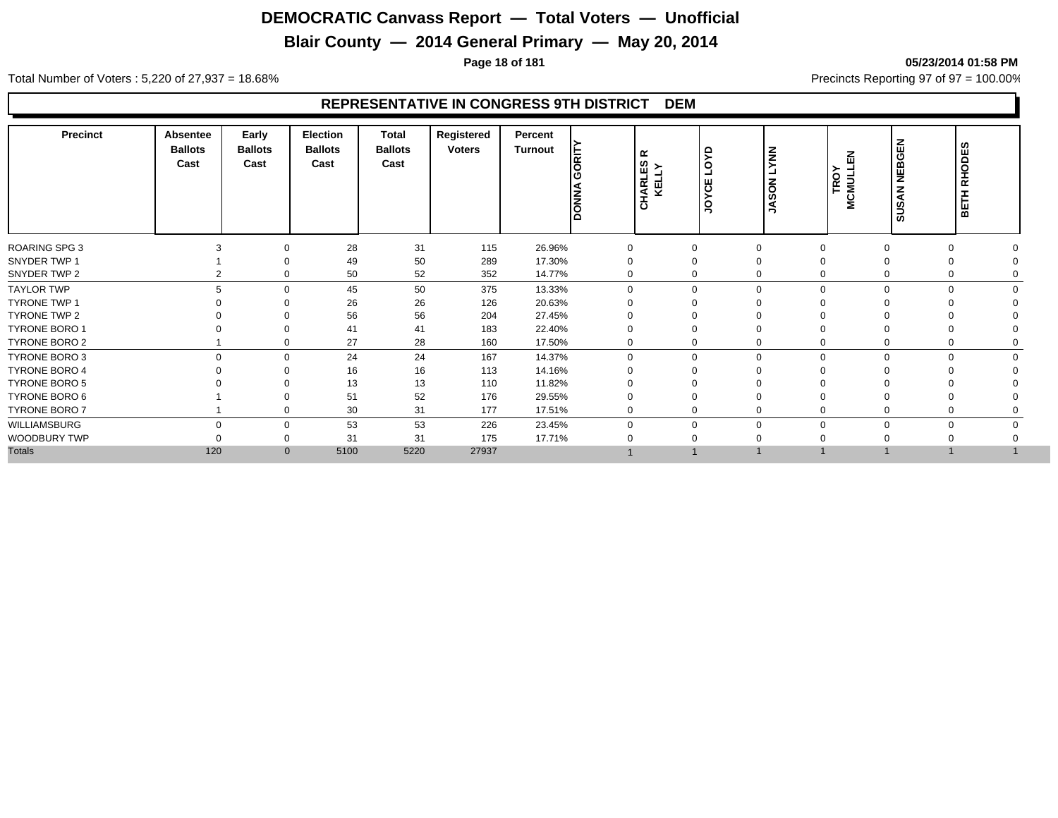## **Blair County — 2014 General Primary — May 20, 2014**

**Page 18 of 181 05/23/2014 01:58 PM**

Total Number of Voters : 5,220 of 27,937 = 18.68% Precincts Reporting 97 of 97 = 100.00%

#### **REPRESENTATIVE IN CONGRESS 9TH DISTRICT DEM**

| Precinct             | <b>Absentee</b><br><b>Ballots</b><br>Cast | Early<br><b>Ballots</b><br>Cast | <b>Election</b><br><b>Ballots</b><br>Cast | <b>Total</b><br><b>Ballots</b><br>Cast | Registered<br><b>Voters</b> | Percent<br>Turnout | <b>SET</b><br><b>PONNA</b> | $\propto$<br><b>CHARLES</b><br>KELLY | š<br>$\circ$<br>ت<br>YCE<br>$\mathbf{S}$ | <b>MN</b><br>ᆜ<br><b>ASON</b><br>∍ | 몺<br>≻<br>MCMULI | <b>BGEN</b><br>핒<br><b>SUSAN</b> | BETH RHODES |
|----------------------|-------------------------------------------|---------------------------------|-------------------------------------------|----------------------------------------|-----------------------------|--------------------|----------------------------|--------------------------------------|------------------------------------------|------------------------------------|------------------|----------------------------------|-------------|
| <b>ROARING SPG 3</b> |                                           | $\Omega$                        | 28                                        | 31                                     | 115                         | 26.96%             | 0                          |                                      | $\mathbf 0$<br>$\Omega$                  |                                    | $\Omega$         | $\Omega$                         |             |
| SNYDER TWP 1         |                                           | $\Omega$                        | 49                                        | 50                                     | 289                         | 17.30%             |                            | 0                                    | $\Omega$                                 |                                    |                  |                                  |             |
| SNYDER TWP 2         |                                           | 2<br>0                          | 50                                        | 52                                     | 352                         | 14.77%             | 0                          |                                      | 0<br>$\Omega$                            |                                    | 0                | 0                                |             |
| <b>TAYLOR TWP</b>    |                                           | 5<br>$\Omega$                   | 45                                        | 50                                     | 375                         | 13.33%             | $\Omega$                   |                                      | $\mathbf 0$<br>$\Omega$                  |                                    |                  | $\Omega$<br>$\Omega$             |             |
| <b>TYRONE TWP 1</b>  |                                           | $\Omega$                        | 26                                        | 26                                     | 126                         | 20.63%             |                            | $\Omega$                             |                                          |                                    |                  |                                  |             |
| TYRONE TWP 2         |                                           | $\Omega$                        | 56                                        | 56                                     | 204                         | 27.45%             |                            | 0                                    | $\Omega$                                 |                                    |                  |                                  |             |
| <b>TYRONE BORO 1</b> |                                           | $\Omega$                        | 41                                        | 41                                     | 183                         | 22.40%             |                            | $\Omega$                             | $\Omega$                                 |                                    |                  |                                  |             |
| TYRONE BORO 2        |                                           | $\mathbf 0$                     | 27                                        | 28                                     | 160                         | 17.50%             | 0                          |                                      | 0<br>$\mathbf 0$                         |                                    | 0                | 0                                |             |
| TYRONE BORO 3        |                                           | $\mathbf 0$<br>$\Omega$         | 24                                        | 24                                     | 167                         | 14.37%             | $\Omega$                   |                                      | 0<br>$\mathbf 0$                         | $\Omega$                           |                  | $\mathbf 0$<br>$\mathbf 0$       |             |
| <b>TYRONE BORO 4</b> |                                           | $\Omega$                        | 16                                        | 16                                     | 113                         | 14.16%             |                            | 0                                    |                                          |                                    |                  |                                  |             |
| <b>TYRONE BORO 5</b> |                                           |                                 | 13                                        | 13                                     | 110                         | 11.82%             |                            |                                      |                                          |                                    |                  |                                  |             |
| TYRONE BORO 6        |                                           |                                 | 51                                        | 52                                     | 176                         | 29.55%             |                            |                                      |                                          |                                    |                  |                                  |             |
| TYRONE BORO 7        |                                           | $\Omega$                        | 30                                        | 31                                     | 177                         | 17.51%             | 0                          |                                      | 0<br>$\Omega$                            |                                    |                  |                                  |             |
| WILLIAMSBURG         | $\Omega$                                  | $\mathbf 0$                     | 53                                        | 53                                     | 226                         | 23.45%             |                            |                                      | $\Omega$<br>$\mathbf 0$                  |                                    | $\Omega$         | $\Omega$                         |             |
| WOODBURY TWP         |                                           | 0                               | 31                                        | 31                                     | 175                         | 17.71%             |                            |                                      |                                          |                                    |                  |                                  |             |
| <b>Totals</b>        | 120                                       | $\mathbf{0}$                    | 5100                                      | 5220                                   | 27937                       |                    |                            |                                      |                                          |                                    |                  |                                  |             |
|                      |                                           |                                 |                                           |                                        |                             |                    |                            |                                      |                                          |                                    |                  |                                  |             |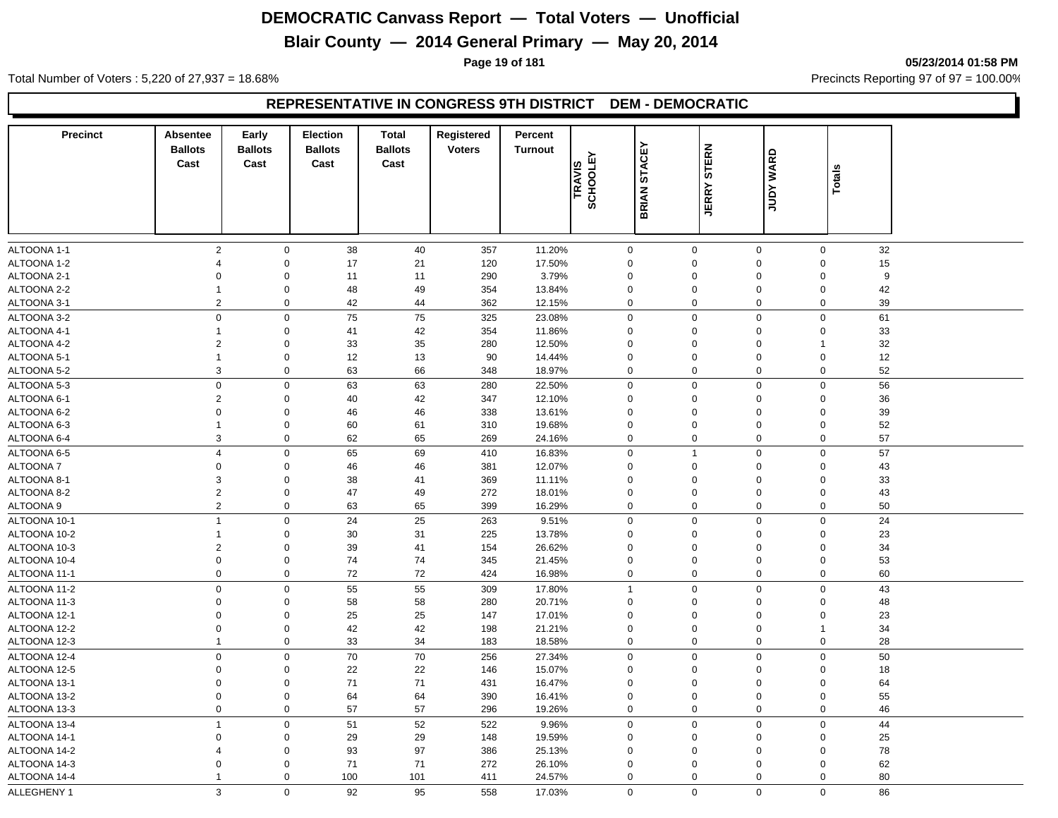## **Blair County — 2014 General Primary — May 20, 2014**

**Page 19 of 181 05/23/2014 01:58 PM**

Total Number of Voters : 5,220 of 27,937 = 18.68% Precincts Reporting 97 of 97 = 100.00%

#### **REPRESENTATIVE IN CONGRESS 9TH DISTRICT DEM - DEMOCRATIC**

| <b>Precinct</b> | Absentee<br><b>Ballots</b><br>Cast | Early<br><b>Ballots</b><br>Cast | Election<br><b>Ballots</b><br>Cast | <b>Total</b><br><b>Ballots</b><br>Cast | Registered<br><b>Voters</b> | Percent<br><b>Turnout</b> | SCHOOLEY<br>TRAVIS | <b>STACEY</b><br><b>BRIAN</b> | <b>STERN</b><br><b>JERRY</b> | <b>WARD</b><br><b>Adnr</b> | Totals               |  |
|-----------------|------------------------------------|---------------------------------|------------------------------------|----------------------------------------|-----------------------------|---------------------------|--------------------|-------------------------------|------------------------------|----------------------------|----------------------|--|
| ALTOONA 1-1     | $\overline{2}$                     | $\mathbf 0$                     | 38                                 | 40                                     | 357                         | 11.20%                    | 0                  |                               | 0<br>$\mathbf 0$             |                            | 32<br>$\mathbf 0$    |  |
| ALTOONA 1-2     | $\overline{4}$                     | $\mathsf 0$                     | 17                                 | 21                                     | 120                         | 17.50%                    | $\mathbf 0$        |                               | $\mathbf{0}$<br>$\Omega$     |                            | 15<br>$\Omega$       |  |
| ALTOONA 2-1     | $\Omega$                           | $\pmb{0}$                       | 11                                 | 11                                     | 290                         | 3.79%                     | $\Omega$           |                               | $\mathbf{0}$<br>$\Omega$     |                            | 9<br>$\Omega$        |  |
| ALTOONA 2-2     | $\mathbf{1}$                       | $\mathsf{O}\xspace$             | 48                                 | 49                                     | 354                         | 13.84%                    | $\mathbf 0$        |                               | 0<br>$\Omega$                |                            | $\mathbf 0$<br>42    |  |
| ALTOONA 3-1     | $\overline{2}$                     | $\mathbf 0$                     | 42                                 | 44                                     | 362                         | 12.15%                    | 0                  |                               | 0<br>$\Omega$                |                            | 0<br>39              |  |
| ALTOONA 3-2     | $\mathsf 0$                        | $\mathbf 0$                     | 75                                 | 75                                     | 325                         | 23.08%                    | $\mathbf 0$        |                               | 0<br>$\Omega$                |                            | 61<br>$\mathbf 0$    |  |
| ALTOONA 4-1     | $\mathbf{1}$                       | $\mathsf 0$                     | 41                                 | 42                                     | 354                         | 11.86%                    | $\mathbf 0$        |                               | 0<br>$\Omega$                |                            | 33<br>$\Omega$       |  |
| ALTOONA 4-2     | $\overline{2}$                     | $\mathbf 0$                     | 33                                 | 35                                     | 280                         | 12.50%                    | $\mathbf 0$        |                               | 0<br>$\Omega$                |                            | 32<br>1              |  |
| ALTOONA 5-1     | $\mathbf{1}$                       | $\mathbf 0$                     | 12                                 | 13                                     | 90                          | 14.44%                    | 0                  |                               | 0<br>$\mathbf 0$             |                            | $\mathbf 0$<br>12    |  |
| ALTOONA 5-2     | 3                                  | $\mathbf 0$                     | 63                                 | 66                                     | 348                         | 18.97%                    | 0                  |                               | 0<br>$\mathbf 0$             |                            | 0<br>52              |  |
| ALTOONA 5-3     | $\mathsf 0$                        | $\mathsf 0$                     | 63                                 | 63                                     | 280                         | 22.50%                    | $\mathbf 0$        |                               | 0<br>$\mathbf 0$             |                            | 56<br>$\mathbf 0$    |  |
| ALTOONA 6-1     | $\overline{2}$                     | $\mathbf 0$                     | 40                                 | 42                                     | 347                         | 12.10%                    | $\mathbf 0$        |                               | 0<br>$\mathbf 0$             |                            | $\overline{0}$<br>36 |  |
| ALTOONA 6-2     | $\mathsf 0$                        | $\boldsymbol{0}$                | 46                                 | 46                                     | 338                         | 13.61%                    | $\mathbf 0$        |                               | 0<br>$\mathbf 0$             |                            | 39<br>$\mathbf 0$    |  |
| ALTOONA 6-3     | $\mathbf{1}$                       | $\mathbf 0$                     | 60                                 | 61                                     | 310                         | 19.68%                    | 0                  |                               | 0<br>$\mathbf 0$             |                            | $\mathbf 0$<br>52    |  |
| ALTOONA 6-4     | 3                                  | $\mathsf 0$                     | 62                                 | 65                                     | 269                         | 24.16%                    | $\mathbf 0$        |                               | 0<br>$\mathbf 0$             |                            | 57<br>$\mathbf 0$    |  |
| ALTOONA 6-5     | $\overline{4}$                     | $\mathbf 0$                     | 65                                 | 69                                     | 410                         | 16.83%                    | 0                  | $\mathbf{1}$                  | $\mathbf 0$                  |                            | 57<br>$\mathbf 0$    |  |
| <b>ALTOONA7</b> | $\mathbf 0$                        | $\boldsymbol{0}$                | 46                                 | 46                                     | 381                         | 12.07%                    | $\mathbf 0$        |                               | 0<br>$\mathbf 0$             |                            | 43<br>$\mathbf 0$    |  |
| ALTOONA 8-1     | 3                                  | $\mathsf 0$                     | 38                                 | 41                                     | 369                         | 11.11%                    | $\mathbf 0$        |                               | 0<br>$\mathbf 0$             |                            | 33<br>$\mathbf 0$    |  |
| ALTOONA 8-2     | $\overline{2}$                     | $\mathbf 0$                     | 47                                 | 49                                     | 272                         | 18.01%                    | $\mathbf 0$        |                               | 0<br>$\mathbf 0$             |                            | 43<br>$\mathbf 0$    |  |
| ALTOONA 9       | $\overline{2}$                     | $\mathbf 0$                     | 63                                 | 65                                     | 399                         | 16.29%                    | 0                  |                               | 0<br>$\mathbf 0$             |                            | $\mathbf 0$<br>50    |  |
| ALTOONA 10-1    | $\overline{1}$                     | $\boldsymbol{0}$                | 24                                 | 25                                     | 263                         | 9.51%                     | 0                  |                               | 0<br>$\mathbf 0$             |                            | $\Omega$<br>24       |  |
| ALTOONA 10-2    | 1                                  | $\boldsymbol{0}$                | 30                                 | 31                                     | 225                         | 13.78%                    | $\mathbf 0$        |                               | 0<br>$\mathbf 0$             |                            | 23<br>$\mathbf 0$    |  |
| ALTOONA 10-3    | $\overline{2}$                     | $\mathbf 0$                     | 39                                 | 41                                     | 154                         | 26.62%                    | $\mathbf 0$        |                               | 0<br>$\mathbf 0$             |                            | $\mathbf 0$<br>34    |  |
| ALTOONA 10-4    | $\mathsf 0$                        | $\mathsf{O}\xspace$             | 74                                 | 74                                     | 345                         | 21.45%                    | $\mathbf 0$        |                               | 0<br>$\mathbf 0$             |                            | $\mathbf 0$<br>53    |  |
| ALTOONA 11-1    | $\mathbf 0$                        | $\mathbf 0$                     | 72                                 | 72                                     | 424                         | 16.98%                    | $\mathbf 0$        |                               | $\mathbf 0$<br>$\mathbf 0$   |                            | $\mathbf 0$<br>60    |  |
| ALTOONA 11-2    | $\pmb{0}$                          | $\mathsf{O}\xspace$             | 55                                 | 55                                     | 309                         | 17.80%                    | $\overline{1}$     |                               | $\boldsymbol{0}$<br>$\Omega$ |                            | $\Omega$<br>43       |  |
| ALTOONA 11-3    | $\mathbf 0$                        | $\mathbf 0$                     | 58                                 | 58                                     | 280                         | 20.71%                    | $\mathbf 0$        |                               | 0<br>$\mathbf 0$             |                            | 48<br>$\Omega$       |  |
| ALTOONA 12-1    | $\Omega$                           | $\mathbf 0$                     | 25                                 | 25                                     | 147                         | 17.01%                    | $\Omega$           |                               | 0<br>$\Omega$                |                            | $\Omega$<br>23       |  |
| ALTOONA 12-2    | $\mathsf 0$                        | $\boldsymbol{0}$                | 42                                 | 42                                     | 198                         | 21.21%                    | $\mathbf 0$        |                               | 0<br>$\mathbf 0$             |                            | 34<br>1              |  |
| ALTOONA 12-3    | $\mathbf{1}$                       | $\mathbf 0$                     | 33                                 | 34                                     | 183                         | 18.58%                    | 0                  |                               | 0<br>$\mathbf 0$             |                            | $\mathbf 0$<br>28    |  |
| ALTOONA 12-4    | $\mathsf 0$                        | $\mathbf 0$                     | 70                                 | 70                                     | 256                         | 27.34%                    | 0                  |                               | 0<br>$\mathbf 0$             |                            | $\mathbf 0$<br>50    |  |
| ALTOONA 12-5    | $\mathbf 0$                        | $\mathbf 0$                     | 22                                 | 22                                     | 146                         | 15.07%                    | $\mathbf 0$        |                               | 0<br>$\mathbf 0$             |                            | 18<br>$\mathbf 0$    |  |
| ALTOONA 13-1    | $\mathbf 0$                        | $\pmb{0}$                       | 71                                 | 71                                     | 431                         | 16.47%                    | $\Omega$           |                               | 0<br>$\Omega$                |                            | $\mathbf 0$<br>64    |  |
| ALTOONA 13-2    | $\pmb{0}$                          | $\mathsf{O}\xspace$             | 64                                 | 64                                     | 390                         | 16.41%                    | $\mathbf 0$        |                               | $\mathbf{0}$<br>$\mathbf 0$  |                            | $\mathbf 0$<br>55    |  |
| ALTOONA 13-3    | $\mathbf 0$                        | $\boldsymbol{0}$                | 57                                 | 57                                     | 296                         | 19.26%                    | $\mathbf 0$        |                               | 0<br>$\mathbf 0$             |                            | $\mathbf 0$<br>46    |  |
| ALTOONA 13-4    | $\mathbf{1}$                       | $\mathbf 0$                     | 51                                 | 52                                     | 522                         | 9.96%                     | 0                  |                               | $\overline{0}$<br>0          |                            | $\mathbf 0$<br>44    |  |
| ALTOONA 14-1    | $\mathbf 0$                        | $\mathbf 0$                     | 29                                 | 29                                     | 148                         | 19.59%                    | $\Omega$           |                               | 0<br>$\mathbf 0$             |                            | 25<br>$\mathbf 0$    |  |
| ALTOONA 14-2    | 4                                  | $\mathsf 0$                     | 93                                 | 97                                     | 386                         | 25.13%                    | $\Omega$           |                               | $\mathbf 0$<br>$\Omega$      |                            | $\mathbf 0$<br>78    |  |
| ALTOONA 14-3    | $\mathbf 0$                        | $\mathbf 0$                     | 71                                 | 71                                     | 272                         | 26.10%                    | $\mathbf 0$        |                               | 0<br>$\Omega$                |                            | $\Omega$<br>62       |  |
| ALTOONA 14-4    | $\mathbf{1}$                       | $\mathbf 0$                     | 100                                | 101                                    | 411                         | 24.57%                    | $\mathbf 0$        |                               | $\mathbf{0}$<br>$\mathbf 0$  |                            | $\mathbf 0$<br>80    |  |
| ALLEGHENY 1     | 3                                  | $\mathbf 0$                     | 92                                 | 95                                     | 558                         | 17.03%                    | $\Omega$           |                               | $\Omega$<br>$\Omega$         |                            | $\mathbf 0$<br>86    |  |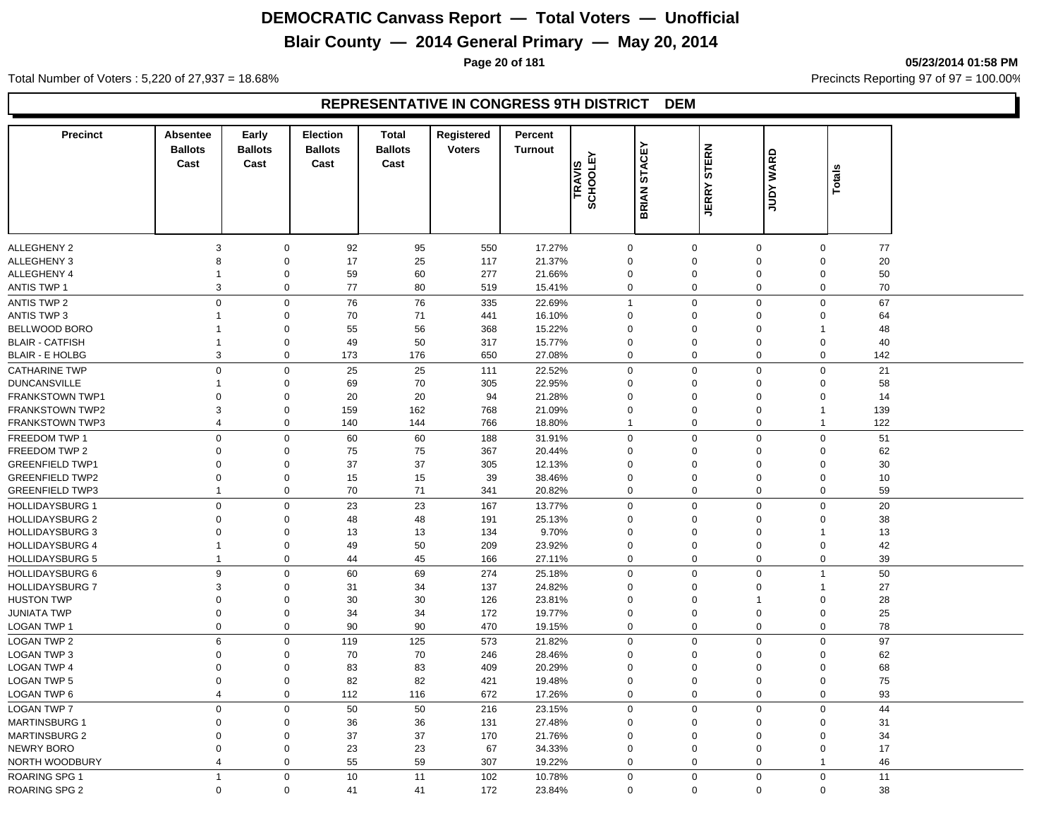## **Blair County — 2014 General Primary — May 20, 2014**

**Page 20 of 181 05/23/2014 01:58 PM**

Total Number of Voters : 5,220 of 27,937 = 18.68% Precincts Reporting 97 of 97 = 100.00%

#### **REPRESENTATIVE IN CONGRESS 9TH DISTRICT DEM**

| <b>Precinct</b>                                  | Absentee<br><b>Ballots</b> | Early<br><b>Ballots</b> | Election<br><b>Ballots</b> | <b>Total</b><br><b>Ballots</b> | Registered<br><b>Voters</b> | Percent<br><b>Turnout</b> |                               |               |                                 |                            |                         |          |
|--------------------------------------------------|----------------------------|-------------------------|----------------------------|--------------------------------|-----------------------------|---------------------------|-------------------------------|---------------|---------------------------------|----------------------------|-------------------------|----------|
|                                                  | Cast                       | Cast                    | Cast                       | Cast                           |                             |                           | <b>SCHOOLEY</b>               | <b>STACEY</b> | <b>STERN</b>                    | <b>WARD</b>                |                         |          |
|                                                  |                            |                         |                            |                                |                             |                           | TRAVIS                        |               |                                 |                            | <b>Totals</b>           |          |
|                                                  |                            |                         |                            |                                |                             |                           |                               | <b>BRIAN</b>  | <b>JERRY</b>                    | <b>Adnr</b>                |                         |          |
|                                                  |                            |                         |                            |                                |                             |                           |                               |               |                                 |                            |                         |          |
|                                                  |                            |                         |                            |                                |                             |                           |                               |               |                                 |                            |                         |          |
| <b>ALLEGHENY 2</b>                               | 3                          | $\mathbf 0$             | 92                         | 95                             | 550                         | 17.27%                    | $\pmb{0}$                     |               | $\mathbf 0$                     | $\mathbf 0$                | $\mathbf 0$             | 77       |
| <b>ALLEGHENY 3</b>                               | 8                          | 0                       | 17                         | 25                             | 117                         | 21.37%                    | $\overline{0}$                |               | $\boldsymbol{0}$                | $\mathbf 0$                | $\Omega$                | 20       |
| <b>ALLEGHENY 4</b>                               |                            | 0                       | 59                         | 60                             | 277                         | 21.66%                    | $\overline{0}$                |               | $\mathbf 0$                     | $\mathbf 0$                | $\Omega$                | 50       |
| <b>ANTIS TWP 1</b>                               | 3                          | $\mathbf 0$             | 77                         | 80                             | 519                         | 15.41%                    | $\mathbf 0$                   |               | $\mathbf 0$                     | $\mathbf 0$                | $\mathbf 0$             | 70       |
| ANTIS TWP 2                                      | 0                          | $\mathbf 0$             | 76                         | 76                             | 335                         | 22.69%                    | $\overline{1}$                |               | $\boldsymbol{0}$                | $\mathbf 0$                | $\Omega$                | 67       |
| <b>ANTIS TWP 3</b>                               | 1                          | 0                       | 70                         | 71                             | 441                         | 16.10%                    | $\overline{0}$                |               | $\mathbf 0$                     | $\mathbf 0$                | $\Omega$                | 64       |
| BELLWOOD BORO                                    |                            | 0                       | 55                         | 56                             | 368                         | 15.22%                    | $\mathbf 0$                   |               | $\mathbf 0$                     | $\mathbf 0$                |                         | 48       |
| <b>BLAIR - CATFISH</b>                           | $\mathbf{1}$               | 0                       | 49                         | 50                             | 317                         | 15.77%                    | $\mathbf 0$                   |               | $\mathbf 0$                     | $\mathbf 0$                | $\Omega$                | 40       |
| <b>BLAIR - E HOLBG</b>                           | 3                          | 0                       | 173                        | 176                            | 650                         | 27.08%                    | $\Omega$                      |               | $\mathbf 0$                     | $\mathbf 0$                | $\Omega$                | 142      |
| <b>CATHARINE TWP</b>                             | $\mathbf{0}$               | 0                       | 25                         | 25                             | 111                         | 22.52%                    | $\overline{0}$                |               | $\mathbf 0$                     | $\mathbf 0$                | $\Omega$                | 21       |
| <b>DUNCANSVILLE</b>                              | 1                          | 0                       | 69                         | 70                             | 305                         | 22.95%                    | $\overline{0}$                |               | $\mathbf 0$                     | $\mathbf 0$                | $\Omega$                | 58       |
| <b>FRANKSTOWN TWP1</b>                           | $\Omega$                   | 0                       | 20                         | 20                             | 94                          | 21.28%                    | $\overline{0}$                |               | $\mathbf 0$                     | $\mathbf 0$                | $\Omega$                | 14       |
| <b>FRANKSTOWN TWP2</b>                           | 3                          | 0                       | 159                        | 162                            | 768                         | 21.09%                    | $\overline{0}$                |               | $\boldsymbol{0}$                | $\mathbf 0$                | $\overline{1}$          | 139      |
| <b>FRANKSTOWN TWP3</b>                           | $\overline{4}$             | $\mathbf{0}$            | 140                        | 144                            | 766                         | 18.80%                    | $\overline{1}$                |               | $\mathbf 0$                     | $\mathbf 0$                | $\overline{1}$          | 122      |
| FREEDOM TWP 1                                    | 0                          | 0                       | 60                         | 60                             | 188                         | 31.91%                    | $\mathbf 0$                   |               | $\boldsymbol{0}$                | $\mathbf 0$                | $\Omega$                | 51       |
| FREEDOM TWP 2                                    | $\Omega$                   | 0                       | 75                         | 75                             | 367                         | 20.44%                    | $\overline{0}$                |               | $\mathbf 0$                     | $\mathbf 0$                | $\Omega$                | 62       |
| <b>GREENFIELD TWP1</b>                           | $\Omega$                   | $\mathbf{0}$            | 37                         | 37                             | 305                         | 12.13%                    | $\overline{0}$                |               | $\pmb{0}$                       | $\mathbf 0$                | $\Omega$                | 30       |
| <b>GREENFIELD TWP2</b>                           | $\Omega$                   | 0                       | 15                         | 15                             | 39                          | 38.46%                    | $\mathbf 0$                   |               | $\pmb{0}$                       | $\mathbf 0$                | $\Omega$                | 10       |
| <b>GREENFIELD TWP3</b>                           | $\mathbf{1}$               | 0                       | 70                         | 71                             | 341                         | 20.82%                    | $\Omega$                      |               | $\mathbf 0$                     | $\mathbf 0$                | $\Omega$                | 59       |
| <b>HOLLIDAYSBURG 1</b>                           | 0                          | 0                       | 23                         | 23                             | 167                         | 13.77%                    | $\overline{0}$                |               | $\mathbf 0$                     | $\mathbf 0$                | $\mathbf 0$             | 20       |
| <b>HOLLIDAYSBURG 2</b>                           | 0                          | 0                       | 48                         | 48                             | 191                         | 25.13%                    | $\mathbf 0$                   |               | $\mathbf 0$                     | $\mathbf 0$                | $\Omega$                | 38       |
| <b>HOLLIDAYSBURG 3</b>                           | $\Omega$                   | 0                       | 13                         | 13                             | 134                         | 9.70%                     | $\overline{0}$                |               | $\mathbf 0$                     | $\mathbf 0$                | $\overline{1}$          | 13       |
| <b>HOLLIDAYSBURG 4</b>                           | $\mathbf{1}$               | 0                       | 49                         | 50                             | 209                         | 23.92%                    | $\overline{0}$                |               | $\mathbf 0$                     | $\mathbf 0$                | $\Omega$                | 42       |
| <b>HOLLIDAYSBURG 5</b>                           | $\mathbf{1}$               | 0                       | 44                         | 45                             | 166                         | 27.11%                    | $\overline{0}$                |               | $\mathbf 0$                     | $\mathbf 0$                | $\mathbf 0$             | 39       |
|                                                  | 9                          |                         |                            |                                |                             |                           | $\mathbf 0$                   |               |                                 | $\mathbf 0$                | $\mathbf 1$             |          |
| <b>HOLLIDAYSBURG 6</b><br><b>HOLLIDAYSBURG 7</b> | 3                          | 0<br>0                  | 60<br>31                   | 69<br>34                       | 274<br>137                  | 25.18%<br>24.82%          | $\Omega$                      |               | $\boldsymbol{0}$<br>$\mathbf 0$ | $\mathbf 0$                | -1                      | 50<br>27 |
| <b>HUSTON TWP</b>                                | $\Omega$                   | $\mathbf 0$             | 30                         | 30                             | 126                         | 23.81%                    | $\mathbf 0$                   |               | $\pmb{0}$                       | $\overline{1}$             | $\Omega$                | 28       |
| <b>JUNIATA TWP</b>                               | $\mathbf{0}$               | $\mathbf{0}$            | 34                         | 34                             | 172                         | 19.77%                    | $\overline{0}$                |               | $\boldsymbol{0}$                | $\pmb{0}$                  | $\Omega$                | 25       |
| LOGAN TWP 1                                      | 0                          | 0                       | 90                         | 90                             | 470                         | 19.15%                    | $\Omega$                      |               | $\mathbf 0$                     | $\mathbf 0$                | $\Omega$                | 78       |
|                                                  |                            |                         |                            |                                |                             |                           |                               |               |                                 |                            |                         |          |
| <b>LOGAN TWP 2</b>                               | 6                          | 0                       | 119                        | 125                            | 573                         | 21.82%                    | $\overline{0}$                |               | $\mathbf 0$                     | $\mathbf 0$                | $\mathbf 0$             | 97       |
| LOGAN TWP 3                                      | $\mathbf 0$<br>$\Omega$    | 0                       | 70                         | 70                             | 246                         | 28.46%                    | $\mathbf 0$<br>$\overline{0}$ |               | $\mathbf 0$                     | $\mathbf 0$<br>$\mathbf 0$ | $\Omega$<br>$\Omega$    | 62       |
| <b>LOGAN TWP 4</b>                               |                            | 0                       | 83                         | 83                             | 409                         | 20.29%                    |                               |               | $\boldsymbol{0}$                |                            |                         | 68       |
| <b>LOGAN TWP 5</b>                               | $\Omega$                   | 0                       | 82                         | 82                             | 421                         | 19.48%                    | $\overline{0}$                |               | $\boldsymbol{0}$                | $\mathbf 0$                | $\Omega$<br>$\mathbf 0$ | 75       |
| LOGAN TWP 6                                      | $\overline{4}$             | 0                       | 112                        | 116                            | 672                         | 17.26%                    | $\mathbf 0$                   |               | $\mathbf 0$                     | $\mathbf 0$                |                         | 93       |
| LOGAN TWP 7                                      | $\mathbf{0}$               | 0                       | 50                         | 50                             | 216                         | 23.15%                    | $\overline{0}$                |               | $\pmb{0}$                       | $\mathbf 0$                | $\Omega$                | 44       |
| <b>MARTINSBURG 1</b>                             | $\Omega$                   | 0                       | 36                         | 36                             | 131                         | 27.48%                    | $\mathbf 0$                   |               | $\mathbf 0$                     | $\Omega$                   | $\Omega$                | 31       |
| <b>MARTINSBURG 2</b>                             | $\Omega$                   | 0                       | 37                         | 37                             | 170                         | 21.76%                    | $\mathbf 0$                   |               | $\pmb{0}$                       | $\mathbf 0$                | $\Omega$                | 34       |
| <b>NEWRY BORO</b>                                | $\mathbf{0}$               | $\mathbf{0}$            | 23                         | 23                             | 67                          | 34.33%                    | $\Omega$                      |               | $\mathbf 0$                     | $\mathbf 0$                | $\Omega$                | 17       |
| NORTH WOODBURY                                   | $\overline{4}$             | $\mathbf{0}$            | 55                         | 59                             | 307                         | 19.22%                    | $\Omega$                      |               | $\mathbf 0$                     | $\mathbf 0$                | $\mathbf 1$             | 46       |
| <b>ROARING SPG 1</b>                             | $\mathbf{1}$               | 0                       | 10                         | 11                             | 102                         | 10.78%                    | $\mathbf 0$                   |               | $\boldsymbol{0}$                | $\mathbf 0$                | $\mathbf 0$             | 11       |
| ROARING SPG 2                                    | $\mathbf{0}$               | $\mathbf 0$             | 41                         | 41                             | 172                         | 23.84%                    | $\Omega$                      |               | $\mathbf 0$                     | $\mathbf 0$                | $\Omega$                | 38       |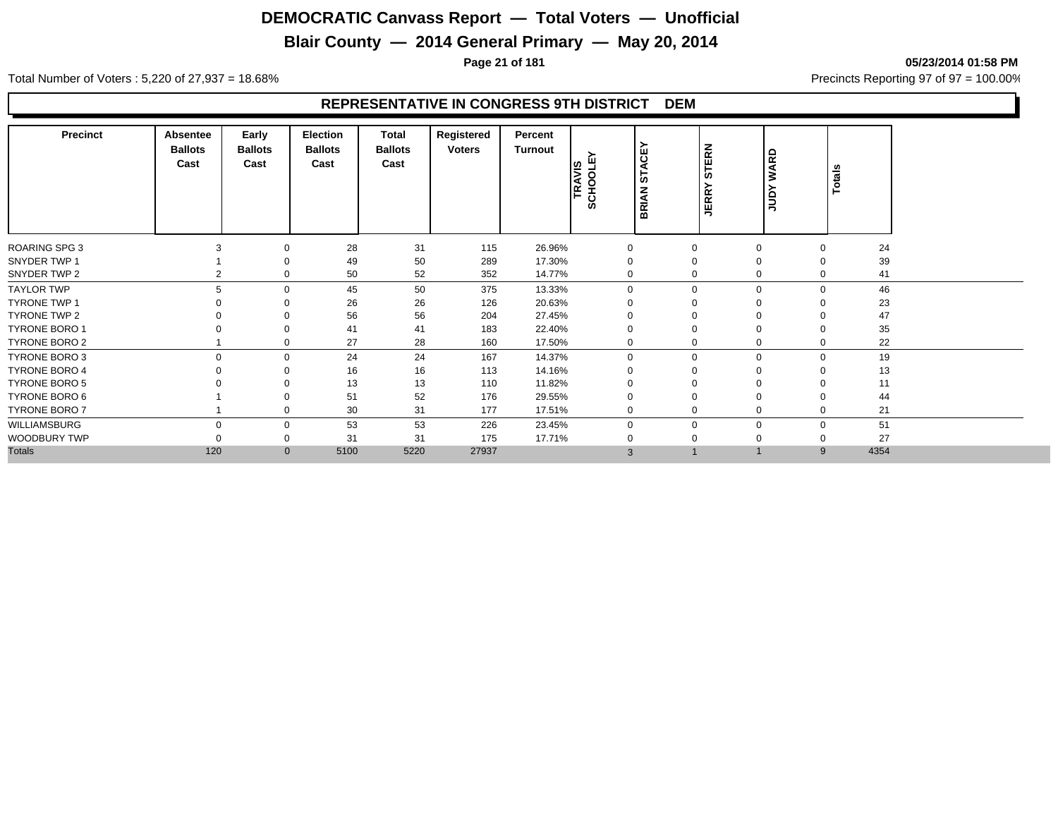## **Blair County — 2014 General Primary — May 20, 2014**

**Page 21 of 181 05/23/2014 01:58 PM**

Total Number of Voters : 5,220 of 27,937 = 18.68% Precincts Reporting 97 of 97 = 100.00%

#### **REPRESENTATIVE IN CONGRESS 9TH DISTRICT DEM**

| <b>Precinct</b>      | Absentee<br><b>Ballots</b><br>Cast | Early<br><b>Ballots</b><br>Cast | <b>Election</b><br><b>Ballots</b><br>Cast | Total<br><b>Ballots</b><br>Cast | Registered<br><b>Voters</b> | Percent<br><b>Turnout</b> | TRAVIS<br>SCHOOLEY | ш<br>ত<br>Ě<br>້ ທ<br><b>BRIAN</b> | STERN<br><b>JERR</b> | <b>WARD</b><br><b>Adnr</b> |             | Totals |
|----------------------|------------------------------------|---------------------------------|-------------------------------------------|---------------------------------|-----------------------------|---------------------------|--------------------|------------------------------------|----------------------|----------------------------|-------------|--------|
| <b>ROARING SPG 3</b> | 3                                  | $\Omega$                        | 28                                        | 31                              | 115                         | 26.96%                    | 0                  |                                    | $\mathbf 0$          | $\mathbf 0$                | $\Omega$    | 24     |
| SNYDER TWP 1         |                                    | 0                               | 49                                        | 50                              | 289                         | 17.30%                    | $\Omega$           |                                    | $\mathbf 0$          | $\Omega$                   |             | 39     |
| SNYDER TWP 2         |                                    | $\mathbf 0$                     | 50                                        | 52                              | 352                         | 14.77%                    | $\mathbf 0$        |                                    | $\mathbf 0$          | $\mathbf 0$                | $\Omega$    | 41     |
| <b>TAYLOR TWP</b>    |                                    | $\Omega$                        | 45                                        | 50                              | 375                         | 13.33%                    | $\Omega$           |                                    | $\Omega$             | $\Omega$                   | $\Omega$    | 46     |
| TYRONE TWP 1         |                                    |                                 | 26                                        | 26                              | 126                         | 20.63%                    |                    |                                    | $\Omega$             |                            |             | 23     |
| <b>TYRONE TWP 2</b>  |                                    |                                 | 56                                        | 56                              | 204                         | 27.45%                    |                    |                                    | $\Omega$             | O                          |             | 47     |
| <b>TYRONE BORO 1</b> |                                    | $\Omega$                        | 41                                        | 41                              | 183                         | 22.40%                    |                    |                                    | $\Omega$             | $\Omega$                   |             | 35     |
| <b>TYRONE BORO 2</b> |                                    | $\mathbf 0$                     | 27                                        | 28                              | 160                         | 17.50%                    | 0                  |                                    | 0                    | $\mathbf 0$                |             | 22     |
| <b>TYRONE BORO 3</b> | $\Omega$                           | $\mathbf 0$                     | 24                                        | 24                              | 167                         | 14.37%                    | $\mathbf 0$        |                                    | $\mathbf 0$          | $\mathbf{0}$               | $\mathbf 0$ | 19     |
| <b>TYRONE BORO 4</b> |                                    | $\Omega$                        | 16                                        | 16                              | 113                         | 14.16%                    |                    |                                    | $\Omega$             | $\Omega$                   |             | 13     |
| <b>TYRONE BORO 5</b> |                                    |                                 | 13                                        | 13                              | 110                         | 11.82%                    |                    |                                    | $\Omega$             | $\Omega$                   |             | 11     |
| <b>TYRONE BORO 6</b> |                                    | $\mathbf 0$                     | 51                                        | 52                              | 176                         | 29.55%                    | $\Omega$           |                                    | $\mathbf 0$          | $\Omega$                   |             | 44     |
| <b>TYRONE BORO 7</b> |                                    | 0                               | 30                                        | 31                              | 177                         | 17.51%                    | $\Omega$           |                                    | 0                    | $\mathbf 0$                | $\Omega$    | 21     |
| WILLIAMSBURG         | O                                  | $\mathbf 0$                     | 53                                        | 53                              | 226                         | 23.45%                    | $\Omega$           |                                    | $\Omega$             | $\Omega$                   | $\Omega$    | 51     |
| WOODBURY TWP         |                                    | $\mathbf 0$                     | 31                                        | 31                              | 175                         | 17.71%                    |                    |                                    | $\Omega$             |                            |             | 27     |
| <b>Totals</b>        | 120                                | $\mathbf 0$                     | 5100                                      | 5220                            | 27937                       |                           | 3                  |                                    |                      |                            | 9           | 4354   |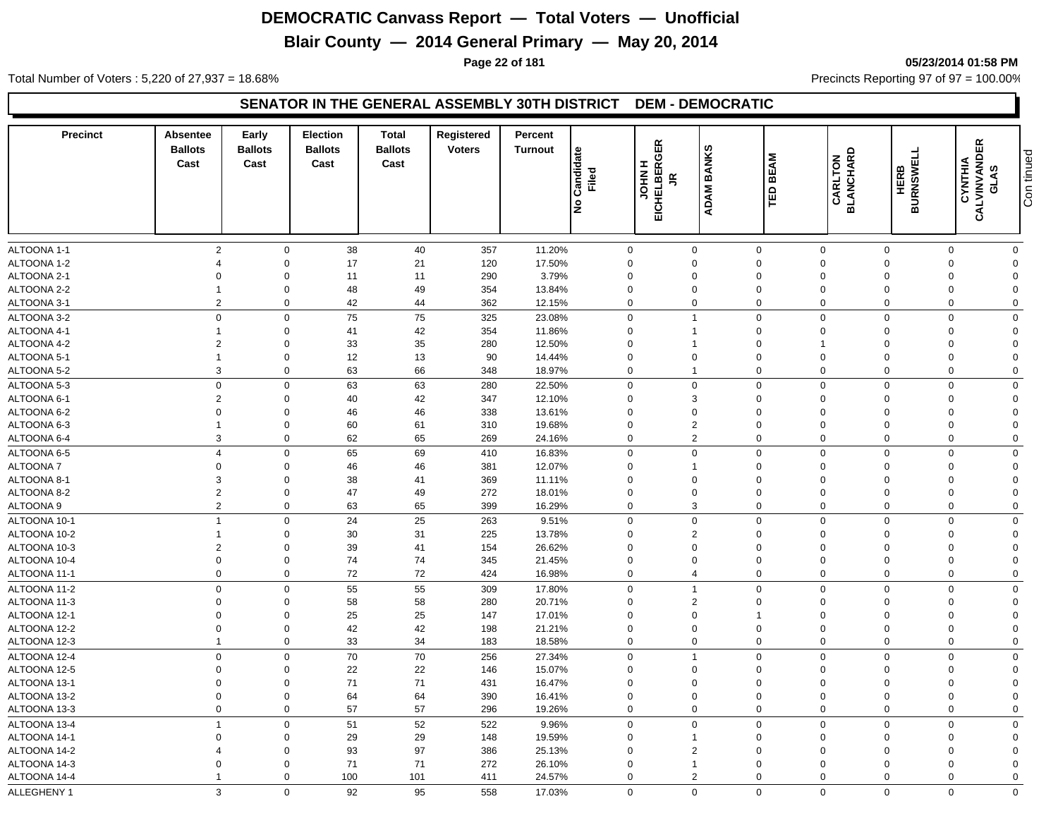## **Blair County — 2014 General Primary — May 20, 2014**

**Page 22 of 181 05/23/2014 01:58 PM**

Total Number of Voters : 5,220 of 27,937 = 18.68% Precincts Reporting 97 of 97 = 100.00%

#### **SENATOR IN THE GENERAL ASSEMBLY 30TH DISTRICT DEM - DEMOCRATIC**

| <b>Precinct</b>              | Absentee<br><b>Ballots</b><br>Cast | Early<br><b>Ballots</b><br>Cast | <b>Election</b><br><b>Ballots</b><br>Cast | Total<br><b>Ballots</b><br>Cast | Registered<br><b>Voters</b> | Percent<br><b>Turnout</b> | Candidate<br>Filed<br>lş   | EICHELBERGER<br>I<br><b>NHOL</b><br>$\tilde{\mathbf{r}}$ | <b>BANKS</b><br><b>ADAM</b> | <b>BEAM</b><br>ΓĒ          | <b>CARLTON<br/>BLANCHARD</b> | <b>BURNSWELL</b><br><b>HERB</b> | <b>CALVINVANDER<br/>CALVINVANDER</b><br>GLAS | Con tinued                 |
|------------------------------|------------------------------------|---------------------------------|-------------------------------------------|---------------------------------|-----------------------------|---------------------------|----------------------------|----------------------------------------------------------|-----------------------------|----------------------------|------------------------------|---------------------------------|----------------------------------------------|----------------------------|
|                              |                                    |                                 |                                           |                                 |                             |                           |                            |                                                          |                             |                            |                              |                                 |                                              |                            |
| ALTOONA 1-1                  | 2                                  | $\mathbf 0$                     | 38                                        | 40                              | 357                         | 11.20%                    |                            | $\mathbf 0$                                              | $\mathbf 0$                 | $\mathbf 0$                | $\mathbf 0$                  | $\mathbf 0$                     | $\mathbf 0$                                  | $\mathbf 0$                |
| ALTOONA 1-2                  | $\boldsymbol{\Delta}$              | $\mathbf 0$                     | 17                                        | 21                              | 120                         | 17.50%                    | $\Omega$                   |                                                          | $\Omega$                    | $\mathbf 0$                | $\Omega$                     | $\Omega$                        | $\Omega$                                     | $\Omega$                   |
| ALTOONA 2-1                  | $\Omega$                           | $\Omega$                        | 11                                        | 11                              | 290                         | 3.79%                     | $\Omega$                   |                                                          | $\Omega$                    | $\mathbf 0$                | $\Omega$                     | $\Omega$                        | $\Omega$                                     | $\Omega$                   |
| ALTOONA 2-2                  | -1                                 | $\mathbf 0$                     | 48                                        | 49                              | 354                         | 13.84%                    | $\Omega$                   |                                                          | $\Omega$                    | $\mathbf 0$                | $\Omega$                     | $\Omega$                        | $\Omega$                                     | $\Omega$                   |
| ALTOONA 3-1                  | $\overline{2}$                     | $\mathbf 0$                     | 42                                        | 44                              | 362                         | 12.15%                    |                            | $\mathbf 0$                                              | $\boldsymbol{0}$            | $\mathbf 0$                | $\mathbf 0$                  | $\mathbf 0$                     | $\mathbf 0$                                  | $\mathbf 0$                |
| ALTOONA 3-2                  | $\mathbf 0$                        | $\mathbf 0$                     | 75                                        | 75                              | 325                         | 23.08%                    |                            | $\mathbf 0$                                              | $\mathbf{1}$                | $\mathbf 0$                | $\Omega$                     | $\Omega$                        | $\Omega$                                     | $\Omega$                   |
| ALTOONA 4-1                  | -1                                 | $\mathbf 0$                     | 41                                        | 42                              | 354                         | 11.86%                    | 0                          |                                                          | $\mathbf{1}$                | $\mathbf 0$                | $\Omega$                     | $\Omega$                        | $\Omega$                                     | $\Omega$                   |
| ALTOONA 4-2                  | $\overline{2}$                     | $\mathbf 0$                     | 33                                        | 35                              | 280                         | 12.50%                    | $\mathbf 0$                |                                                          | $\mathbf{1}$                | $\mathbf 0$                |                              | $\Omega$                        | $\Omega$                                     | $\overline{0}$             |
| ALTOONA 5-1                  | $\overline{1}$                     | $\mathbf 0$                     | 12                                        | 13                              | 90                          | 14.44%                    | $\mathbf 0$                |                                                          | $\mathbf 0$                 | $\mathbf 0$                | $\mathbf 0$                  | $\Omega$                        | $\mathbf 0$                                  | $\Omega$                   |
| ALTOONA 5-2                  | 3                                  | $\mathbf 0$                     | 63                                        | 66                              | 348                         | 18.97%                    |                            | $\mathbf 0$                                              | $\mathbf{1}$                | $\mathbf 0$                | $\mathbf 0$                  | $\mathbf 0$                     | $\mathbf 0$                                  | $\mathbf 0$                |
| ALTOONA 5-3                  | $\mathbf 0$                        | $\mathbf 0$                     | 63                                        | 63                              | 280                         | 22.50%                    |                            | 0                                                        | $\mathbf 0$                 | $\mathbf 0$                | $\Omega$                     | $\Omega$                        | $\Omega$                                     | $\mathbf 0$                |
| ALTOONA 6-1                  | $\overline{2}$                     | $\mathbf 0$                     | 40                                        | 42                              | 347                         | 12.10%                    | $\mathbf 0$                |                                                          | 3                           | $\mathbf 0$                | $\mathbf 0$                  | $\Omega$                        | $\Omega$                                     | $\overline{0}$             |
| ALTOONA 6-2                  | $\mathbf 0$                        | $\mathbf 0$                     | 46                                        | 46                              | 338                         | 13.61%                    | $\mathbf 0$                |                                                          | 0                           | $\mathbf 0$                | $\mathbf 0$                  | $\Omega$                        | $\mathbf 0$                                  | $\Omega$                   |
| ALTOONA 6-3                  | $\mathbf{1}$                       | $\mathbf 0$                     | 60                                        | 61                              | 310                         | 19.68%                    | $\mathbf 0$                |                                                          | $\overline{2}$              | $\mathbf 0$                | $\mathbf 0$                  | $\Omega$                        | $\mathbf 0$                                  | $\Omega$                   |
| ALTOONA 6-4                  | 3                                  | $\mathbf 0$                     | 62                                        | 65                              | 269                         | 24.16%                    | $\mathbf 0$                |                                                          | $\overline{2}$              | $\mathbf 0$                | $\mathbf 0$                  | $\Omega$                        | $\Omega$                                     | $\mathbf 0$                |
| ALTOONA 6-5                  | $\overline{4}$                     | $\mathbf 0$                     | 65                                        | 69                              | 410                         | 16.83%                    |                            | $\mathbf 0$                                              | $\mathbf 0$                 | $\mathbf 0$                | $\mathbf 0$                  | $\mathbf 0$                     | $\mathbf 0$                                  | $\mathbf 0$                |
| ALTOONA 7                    | $\mathbf 0$                        | $\mathbf 0$                     | 46                                        | 46                              | 381                         | 12.07%                    | $\mathbf 0$                |                                                          | 1                           | $\mathbf 0$                | $\mathbf 0$                  | $\Omega$                        | $\mathbf 0$                                  | $\Omega$                   |
| ALTOONA 8-1                  | 3                                  | $\mathbf 0$                     | 38                                        | 41                              | 369                         | 11.11%                    | $\mathbf 0$                |                                                          | $\mathbf 0$                 | $\mathbf 0$                | $\mathbf 0$                  | $\Omega$                        | $\Omega$                                     | $\Omega$                   |
| ALTOONA 8-2                  | $\overline{2}$                     | $\mathbf 0$                     | 47                                        | 49                              | 272                         | 18.01%                    | $\mathbf 0$                |                                                          | $\mathbf 0$                 | $\mathbf 0$                | $\mathbf 0$                  | $\Omega$                        | $\Omega$                                     | $\Omega$                   |
| ALTOONA 9                    | $\overline{2}$                     | $\mathbf 0$                     | 63                                        | 65                              | 399                         | 16.29%                    |                            | $\mathbf 0$                                              | 3                           | $\mathbf 0$                | $\Omega$                     | $\Omega$                        | $\mathbf 0$                                  | $\mathbf 0$                |
| ALTOONA 10-1                 | $\overline{1}$                     | $\mathbf 0$                     | 24                                        | 25                              | 263                         | 9.51%                     |                            | $\mathbf 0$                                              | $\mathbf 0$                 | $\mathbf 0$                | $\mathbf 0$                  | $\Omega$                        | $\mathbf 0$                                  | $\mathbf 0$                |
| ALTOONA 10-2                 | $\overline{1}$                     | $\mathbf 0$                     | 30                                        | 31                              | 225                         | 13.78%                    | $\mathbf 0$                |                                                          | $\overline{2}$              | $\mathbf 0$                | $\mathbf 0$                  | $\Omega$                        | $\Omega$                                     | $\mathbf 0$                |
| ALTOONA 10-3                 | $\overline{2}$                     | $\mathbf 0$                     | 39                                        | 41                              | 154                         | 26.62%                    | $\mathbf 0$                |                                                          | 0                           | $\mathbf 0$                | $\mathbf 0$                  | $\Omega$                        | $\Omega$                                     | $\mathbf 0$                |
| ALTOONA 10-4                 | $\mathbf 0$                        | $\mathbf 0$                     | 74                                        | 74                              | 345                         | 21.45%                    | $\mathbf 0$                |                                                          | $\mathbf 0$                 | $\mathbf 0$                | $\Omega$                     | $\Omega$                        | $\Omega$                                     | $\Omega$                   |
| ALTOONA 11-1                 | $\mathbf 0$                        | $\mathbf 0$                     | 72                                        | 72                              | 424                         | 16.98%                    |                            | $\mathbf 0$                                              | $\overline{4}$              | $\mathbf 0$                | $\Omega$                     | $\Omega$                        | $\mathbf 0$                                  | $\mathbf 0$                |
| ALTOONA 11-2                 | $\mathbf 0$                        | $\mathbf 0$                     | 55                                        | 55                              | 309                         | 17.80%                    | $\mathbf 0$                |                                                          | $\mathbf{1}$                | $\mathbf 0$                | $\mathbf 0$                  | $\mathbf 0$                     | $\mathbf 0$                                  | $\mathbf 0$                |
| ALTOONA 11-3                 | $\Omega$                           | $\mathbf 0$                     | 58                                        | 58                              | 280                         | 20.71%                    | $\mathbf 0$                |                                                          | $\overline{2}$              | $\mathbf 0$                | $\mathbf 0$                  | $\Omega$                        | $\Omega$                                     | $\Omega$                   |
| ALTOONA 12-1                 | $\Omega$                           | $\mathbf 0$                     | 25                                        | 25                              | 147                         | 17.01%                    | $\Omega$                   |                                                          | $\overline{0}$              | $\overline{1}$             | $\Omega$                     | $\Omega$                        | $\Omega$                                     | $\Omega$                   |
| ALTOONA 12-2                 | $\Omega$                           | $\mathbf 0$                     | 42                                        | 42                              | 198                         | 21.21%                    |                            | 0                                                        | $\mathbf 0$                 | $\mathbf 0$                | $\Omega$                     | $\Omega$                        | $\Omega$                                     | $\Omega$                   |
| ALTOONA 12-3                 | $\overline{1}$                     | $\mathbf 0$                     | 33                                        | 34                              | 183                         | 18.58%                    |                            | $\mathbf 0$                                              | $\mathbf 0$                 | $\mathbf 0$                | $\mathbf 0$                  | $\mathbf 0$                     | 0                                            | $\mathbf 0$                |
| ALTOONA 12-4                 | $\mathbf 0$                        | $\mathbf 0$                     | 70                                        | $70\,$                          | 256                         | 27.34%                    |                            | $\mathbf 0$                                              | $\mathbf{1}$                | $\mathbf 0$                | $\overline{0}$               | $\Omega$                        | $\Omega$                                     | $\mathbf 0$                |
| ALTOONA 12-5                 | $\Omega$                           | $\mathbf 0$                     | 22                                        | 22                              | 146                         | 15.07%                    |                            | $\mathbf 0$                                              | $\mathbf 0$                 | $\mathbf 0$                | $\Omega$                     | $\Omega$                        | $\Omega$                                     | $\mathbf 0$                |
| ALTOONA 13-1                 | $\Omega$                           | $\mathbf 0$                     | 71                                        | 71                              | 431                         | 16.47%                    | $\Omega$                   |                                                          | $\Omega$                    | $\mathbf 0$                | $\Omega$                     | $\Omega$                        | $\Omega$                                     | $\mathbf 0$                |
| ALTOONA 13-2                 | $\mathbf 0$                        | $\mathbf 0$                     | 64                                        | 64                              | 390                         | 16.41%                    |                            | $\mathbf 0$                                              | $\mathbf 0$                 | $\mathbf 0$                | $\mathbf 0$                  | $\Omega$                        | $\mathbf 0$                                  | $\mathbf 0$                |
| ALTOONA 13-3                 | $\mathbf 0$                        | $\mathbf 0$                     | 57                                        | 57                              | 296                         | 19.26%                    |                            | 0                                                        | $\mathbf 0$                 | $\mathbf 0$                | $\mathbf 0$                  | $\mathbf 0$                     | $\Omega$                                     | $\mathbf 0$                |
| ALTOONA 13-4                 | $\overline{1}$                     | $\mathbf 0$                     | 51                                        | 52                              | 522                         | 9.96%                     |                            | $\mathbf 0$                                              | $\Omega$                    | $\mathbf 0$                | $\Omega$                     | $\Omega$                        | $\mathbf 0$                                  | $\mathbf 0$                |
|                              | $\overline{0}$                     |                                 |                                           |                                 |                             |                           |                            |                                                          | $\mathbf{1}$                |                            | $\Omega$                     | $\Omega$                        | $\Omega$                                     |                            |
| ALTOONA 14-1<br>ALTOONA 14-2 |                                    | $\mathbf 0$<br>$\mathbf 0$      | 29<br>93                                  | 29<br>97                        | 148                         | 19.59%                    | $\mathbf 0$<br>$\mathbf 0$ |                                                          | $\overline{2}$              | $\mathbf 0$<br>$\mathbf 0$ | $\Omega$                     | $\Omega$                        | $\Omega$                                     | $\overline{0}$<br>$\Omega$ |
| ALTOONA 14-3                 | $\Omega$                           | $\Omega$                        | 71                                        | 71                              | 386<br>272                  | 25.13%<br>26.10%          | $\mathbf 0$                |                                                          | $\mathbf{1}$                | $\mathbf 0$                | $\Omega$                     | $\Omega$                        | $\Omega$                                     | $\Omega$                   |
|                              |                                    | $\Omega$                        | 100                                       | 101                             | 411                         |                           |                            | $\mathbf 0$                                              | $\overline{2}$              | $\mathbf 0$                | $\mathbf 0$                  | $\Omega$                        | $\Omega$                                     | $\Omega$                   |
| ALTOONA 14-4                 |                                    |                                 |                                           |                                 |                             | 24.57%                    |                            |                                                          |                             |                            |                              |                                 |                                              |                            |
| ALLEGHENY 1                  | 3                                  | $\mathbf 0$                     | 92                                        | 95                              | 558                         | 17.03%                    |                            | $\mathbf 0$                                              | $\mathbf 0$                 | $\mathbf 0$                | $\mathbf{0}$                 | $\mathbf 0$                     | $\mathbf 0$                                  | $\mathbf 0$                |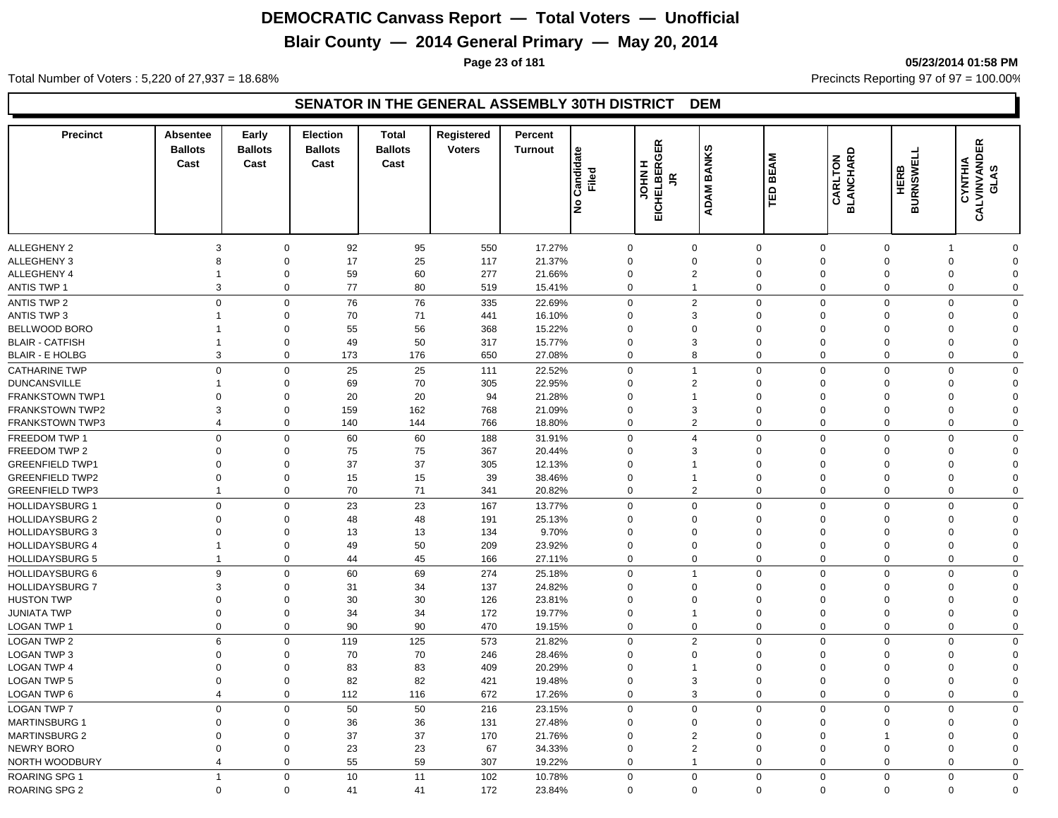## **Blair County — 2014 General Primary — May 20, 2014**

**Page 23 of 181 05/23/2014 01:58 PM**

Total Number of Voters : 5,220 of 27,937 = 18.68% Precincts Reporting 97 of 97 = 100.00%

| <b>Precinct</b>                                  | Absentee<br><b>Ballots</b><br>Cast | Early<br><b>Ballots</b><br>Cast | <b>Election</b><br><b>Ballots</b><br>Cast | <b>Total</b><br><b>Ballots</b><br>Cast | Registered<br><b>Voters</b> | Percent<br><b>Turnout</b> | Candidate<br>Filed<br>lş | <b>EICHELBERGER</b><br>Œ.<br><b>NHOL</b><br>$\tilde{e}$ | <b>BANKS</b><br><b>ADAM</b>      | <b>BEAM</b><br>ΤED      | <b>BLANCHARD</b><br>CARLTON | <b>BURNSWELL</b><br><b>HERB</b> | 띥<br>CALVINVAND<br>CYNTHIA<br>ဖာ<br>Ä |                            |
|--------------------------------------------------|------------------------------------|---------------------------------|-------------------------------------------|----------------------------------------|-----------------------------|---------------------------|--------------------------|---------------------------------------------------------|----------------------------------|-------------------------|-----------------------------|---------------------------------|---------------------------------------|----------------------------|
| <b>ALLEGHENY 2</b>                               | 3                                  | $\mathbf 0$                     | 92                                        | 95                                     | 550                         | 17.27%                    |                          | $\mathbf{0}$                                            | $\mathbf 0$                      | $\mathbf 0$             | $\mathbf 0$                 | $\mathbf 0$                     | -1                                    | $\Omega$                   |
| <b>ALLEGHENY 3</b>                               | 8                                  | $\mathbf 0$                     | 17                                        | 25                                     | 117                         | 21.37%                    |                          | $\Omega$                                                | $\mathbf 0$                      | $\Omega$                | $\mathbf 0$                 | $\Omega$                        | $\mathbf 0$                           | $\Omega$                   |
| <b>ALLEGHENY 4</b>                               |                                    | 0                               | 59                                        | 60                                     | 277                         | 21.66%                    |                          | $\mathbf 0$                                             | 2                                | $\Omega$                | $\mathbf 0$                 | $\Omega$                        | $\mathbf 0$                           | $\Omega$                   |
| <b>ANTIS TWP 1</b>                               |                                    | 3<br>$\mathbf 0$                | 77                                        | 80                                     | 519                         | 15.41%                    |                          | 0                                                       | $\mathbf{1}$                     | $\Omega$                | $\mathbf 0$                 | $\mathbf 0$                     | $\mathbf 0$                           | $\mathbf 0$                |
|                                                  |                                    | $\Omega$                        |                                           |                                        |                             |                           |                          |                                                         |                                  |                         |                             |                                 |                                       |                            |
| <b>ANTIS TWP 2</b><br><b>ANTIS TWP 3</b>         |                                    | $\mathbf 0$<br>$\mathbf 0$      | 76<br>70                                  | 76<br>71                               | 335<br>441                  | 22.69%<br>16.10%          |                          | $\mathbf 0$<br>$\mathbf 0$                              | $\overline{2}$<br>3              | $\Omega$<br>$\Omega$    | $\mathbf 0$<br>$\mathbf 0$  | $\mathbf 0$<br>$\Omega$         | $\mathbf 0$<br>$\mathbf 0$            | $\mathbf 0$<br>$\Omega$    |
| BELLWOOD BORO                                    |                                    | $\mathbf 0$                     | 55                                        | 56                                     | 368                         | 15.22%                    |                          | $\mathbf 0$                                             | $\mathbf 0$                      | $\Omega$                | $\mathbf 0$                 | $\Omega$                        | $\mathbf 0$                           | $\Omega$                   |
| <b>BLAIR - CATFISH</b>                           |                                    | $\mathbf 0$                     | 49                                        | 50                                     | 317                         | 15.77%                    |                          | $\mathbf 0$                                             | 3                                | $\Omega$                | $\mathbf 0$                 | $\Omega$                        | $\mathbf 0$                           | $\Omega$                   |
| <b>BLAIR - E HOLBG</b>                           |                                    | 3<br>0                          | 173                                       | 176                                    | 650                         | 27.08%                    |                          | $\mathbf 0$                                             | 8                                | $\Omega$                | $\mathbf 0$                 | $\mathbf 0$                     | $\mathbf 0$                           | $\mathbf 0$                |
| <b>CATHARINE TWP</b>                             |                                    | $\Omega$<br>$\Omega$            | 25                                        | 25                                     | 111                         | 22.52%                    |                          | $\Omega$                                                | $\overline{1}$                   | $\Omega$                | $\Omega$                    | $\Omega$                        | $\mathbf 0$                           | $\mathbf 0$                |
| <b>DUNCANSVILLE</b>                              |                                    | $\mathbf 0$                     | 69                                        | 70                                     |                             | 22.95%                    |                          | $\Omega$                                                | $\overline{2}$                   | $\Omega$                | $\mathbf 0$                 | $\Omega$                        | $\mathbf 0$                           | $\Omega$                   |
| FRANKSTOWN TWP1                                  | 0                                  | $\mathbf 0$                     | 20                                        | 20                                     | 305<br>94                   | 21.28%                    |                          | $\Omega$                                                | $\mathbf{1}$                     | $\Omega$                | $\mathbf 0$                 | $\Omega$                        | $\mathbf 0$                           | $\Omega$                   |
| <b>FRANKSTOWN TWP2</b>                           | 3                                  | $\mathbf 0$                     | 159                                       | 162                                    | 768                         | 21.09%                    |                          | $\mathbf 0$                                             | 3                                | $\Omega$                | $\mathbf 0$                 | $\Omega$                        | $\mathbf 0$                           | $\Omega$                   |
| <b>FRANKSTOWN TWP3</b>                           | $\overline{4}$                     | $\mathbf 0$                     | 140                                       | 144                                    | 766                         | 18.80%                    |                          | $\mathbf 0$                                             | $\overline{2}$                   | $\Omega$                | $\mathbf 0$                 | $\mathbf 0$                     | $\mathbf 0$                           | $\Omega$                   |
| FREEDOM TWP 1                                    |                                    | $\Omega$<br>$\mathbf 0$         |                                           | 60                                     |                             |                           |                          | $\mathbf 0$                                             | $\overline{4}$                   | $\Omega$                | $\mathbf 0$                 | $\mathbf 0$                     | $\mathbf 0$                           | $\mathbf 0$                |
| FREEDOM TWP 2                                    | 0                                  | $\mathbf 0$                     | 60<br>75                                  | 75                                     | 188<br>367                  | 31.91%<br>20.44%          |                          | $\mathbf 0$                                             | 3                                | $\Omega$                | $\mathbf 0$                 | $\Omega$                        | $\mathbf 0$                           | $\Omega$                   |
| <b>GREENFIELD TWP1</b>                           | $\mathbf 0$                        | 0                               | 37                                        | 37                                     | 305                         | 12.13%                    |                          | $\mathbf 0$                                             | $\mathbf{1}$                     | $\Omega$                | $\mathbf 0$                 | $\Omega$                        | $\mathbf 0$                           | $\Omega$                   |
| <b>GREENFIELD TWP2</b>                           | $\mathbf 0$                        | $\mathbf 0$                     | 15                                        | 15                                     | 39                          | 38.46%                    |                          | $\mathbf 0$                                             | $\mathbf{1}$                     | $\Omega$                | $\mathbf 0$                 | $\Omega$                        | $\mathbf 0$                           | $\Omega$                   |
| <b>GREENFIELD TWP3</b>                           | 1                                  | 0                               | 70                                        | 71                                     | 341                         | 20.82%                    |                          | $\mathbf 0$                                             | 2                                | $\Omega$                | $\mathbf 0$                 | $\mathbf 0$                     | $\mathbf 0$                           | $\mathbf 0$                |
| <b>HOLLIDAYSBURG 1</b>                           |                                    | $\mathbf 0$<br>$\Omega$         | 23                                        | 23                                     | 167                         | 13.77%                    |                          | $\mathbf 0$                                             | $\mathbf 0$                      | $\Omega$                | $\mathbf 0$                 | $\mathbf 0$                     | $\mathbf 0$                           | $\mathbf 0$                |
| <b>HOLLIDAYSBURG 2</b>                           |                                    | $\mathbf 0$<br>$\Omega$         | 48                                        | 48                                     | 191                         | 25.13%                    |                          | $\mathbf 0$                                             | $\mathbf 0$                      | $\Omega$                | $\mathbf 0$                 | $\Omega$                        | $\mathbf 0$                           | $\Omega$                   |
| <b>HOLLIDAYSBURG 3</b>                           | $\Omega$                           | $\Omega$                        | 13                                        | 13                                     | 134                         | 9.70%                     |                          | $\Omega$                                                | $\mathbf 0$                      | $\Omega$                | $\mathbf 0$                 | $\Omega$                        | $\mathbf 0$                           | $\Omega$                   |
| <b>HOLLIDAYSBURG 4</b>                           | 1                                  | $\mathbf 0$                     | 49                                        | 50                                     | 209                         | 23.92%                    |                          | 0                                                       | $\mathbf 0$                      | $\Omega$                | $\mathbf 0$                 | $\Omega$                        | $\mathbf 0$                           | $\Omega$                   |
| <b>HOLLIDAYSBURG 5</b>                           | -1                                 | $\mathbf 0$                     | 44                                        | 45                                     | 166                         | 27.11%                    |                          | $\Omega$                                                | $\mathbf 0$                      | $\Omega$                | $\Omega$                    | $\mathbf 0$                     | $\mathbf 0$                           | $\mathbf 0$                |
|                                                  |                                    |                                 |                                           |                                        |                             |                           |                          |                                                         | $\overline{1}$                   |                         |                             |                                 | $\mathbf 0$                           |                            |
| <b>HOLLIDAYSBURG 6</b><br><b>HOLLIDAYSBURG 7</b> | 3                                  | 9<br>$\mathbf 0$<br>$\mathbf 0$ | 60<br>31                                  | 69<br>34                               | 274<br>137                  | 25.18%<br>24.82%          |                          | $\Omega$<br>$\mathbf 0$                                 | $\mathbf 0$                      | $\Omega$<br>$\Omega$    | $\mathbf 0$<br>$\mathbf 0$  | $\mathbf 0$<br>$\Omega$         | $\mathbf 0$                           | $\mathbf 0$<br>$\mathbf 0$ |
| <b>HUSTON TWP</b>                                | $\mathbf 0$                        | 0                               | 30                                        | 30                                     | 126                         | 23.81%                    |                          | $\mathbf 0$                                             | $\mathbf 0$                      | $\Omega$                | $\mathbf 0$                 | $\mathbf 0$                     | $\mathbf 0$                           | $\Omega$                   |
| <b>JUNIATA TWP</b>                               | $\mathbf 0$                        | $\mathbf 0$                     | 34                                        | 34                                     | 172                         | 19.77%                    |                          | $\mathbf 0$                                             | $\mathbf 1$                      | $\Omega$                | $\mathbf 0$                 | $\Omega$                        | $\mathbf 0$                           | $\Omega$                   |
| LOGAN TWP 1                                      |                                    | $\mathbf 0$<br>$\mathbf 0$      | 90                                        | 90                                     | 470                         | 19.15%                    |                          | $\mathbf 0$                                             | $\mathbf 0$                      | $\Omega$                | $\mathbf 0$                 | $\mathbf 0$                     | $\mathbf 0$                           | $\mathbf 0$                |
| <b>LOGAN TWP 2</b>                               | 6                                  | $\mathbf{0}$                    | 119                                       | 125                                    | 573                         | 21.82%                    |                          | $\mathbf 0$                                             | 2                                | $\Omega$                | $\mathbf 0$                 | $\mathbf 0$                     | $\mathbf 0$                           | $\mathbf 0$                |
| <b>LOGAN TWP 3</b>                               | $\Omega$                           | $\mathbf 0$                     | 70                                        | 70                                     | 246                         | 28.46%                    |                          | $\mathbf 0$                                             | $\mathbf 0$                      | $\Omega$                | $\mathbf 0$                 | $\Omega$                        | $\mathbf 0$                           | $\Omega$                   |
| <b>LOGAN TWP 4</b>                               | $\Omega$                           | $\mathbf 0$                     | 83                                        | 83                                     | 409                         | 20.29%                    |                          | $\Omega$                                                | $\overline{1}$                   | $\Omega$                | $\mathbf 0$                 | $\Omega$                        | $\mathbf 0$                           | $\Omega$                   |
| <b>LOGAN TWP 5</b>                               | $\mathbf 0$                        | $\mathbf 0$                     | 82                                        | 82                                     | 421                         | 19.48%                    |                          | 0                                                       | 3                                | $\Omega$                | $\mathbf 0$                 | $\mathbf 0$                     | $\mathbf 0$                           | $\Omega$                   |
| LOGAN TWP 6                                      | $\overline{4}$                     | $\mathbf 0$                     | 112                                       | 116                                    | 672                         | 17.26%                    |                          | $\mathbf 0$                                             | 3                                | $\Omega$                | $\Omega$                    | $\mathbf 0$                     | $\mathbf 0$                           | $\mathbf 0$                |
|                                                  |                                    | $\Omega$                        |                                           |                                        |                             |                           |                          |                                                         |                                  |                         |                             |                                 |                                       |                            |
| <b>LOGAN TWP 7</b>                               | $\Omega$                           | $\mathbf 0$                     | 50                                        | 50                                     | 216                         | 23.15%                    |                          | $\mathbf 0$<br>$\Omega$                                 | $\mathbf 0$                      | $\mathbf 0$<br>$\Omega$ | $\mathbf 0$                 | $\mathbf 0$<br>$\Omega$         | $\mathbf 0$                           | $\mathbf 0$<br>$\Omega$    |
| <b>MARTINSBURG 1</b>                             |                                    | 0                               | 36                                        | 36                                     | 131                         | 27.48%                    |                          |                                                         | $\mathbf 0$                      | $\Omega$                | $\mathbf 0$                 |                                 | $\mathbf 0$                           | $\Omega$                   |
| <b>MARTINSBURG 2</b>                             | $\mathbf 0$<br>$\mathbf 0$         | 0<br>$\mathbf 0$                | 37<br>23                                  | 37<br>23                               | 170                         | 21.76%                    |                          | $\mathbf 0$<br>$\mathbf 0$                              | $\overline{2}$<br>$\overline{2}$ | $\Omega$                | $\mathbf 0$<br>$\mathbf 0$  | 1<br>$\Omega$                   | $\mathbf 0$<br>$\mathbf 0$            | $\Omega$                   |
| NEWRY BORO<br>NORTH WOODBURY                     | $\overline{4}$                     | $\mathbf 0$                     | 55                                        | 59                                     | 67<br>307                   | 34.33%<br>19.22%          |                          | $\Omega$                                                | $\mathbf 1$                      | $\Omega$                | $\Omega$                    | $\Omega$                        | $\mathbf 0$                           | $\Omega$                   |
|                                                  |                                    |                                 |                                           |                                        |                             |                           |                          |                                                         |                                  |                         |                             |                                 |                                       |                            |
| <b>ROARING SPG 1</b>                             | $\overline{1}$                     | $\mathbf 0$<br>$\Omega$         | 10                                        | 11                                     | 102                         | 10.78%                    |                          | $\mathbf 0$                                             | $\mathbf 0$                      | $\Omega$<br>$\Omega$    | $\mathbf 0$<br>$\Omega$     | $\mathbf 0$<br>$\Omega$         | $\mathbf 0$<br>$\Omega$               | $\mathbf 0$<br>$\Omega$    |
| <b>ROARING SPG 2</b>                             |                                    | $\mathbf 0$                     | 41                                        | 41                                     | 172                         | 23.84%                    |                          | $\mathbf 0$                                             | $\mathbf 0$                      |                         |                             |                                 |                                       |                            |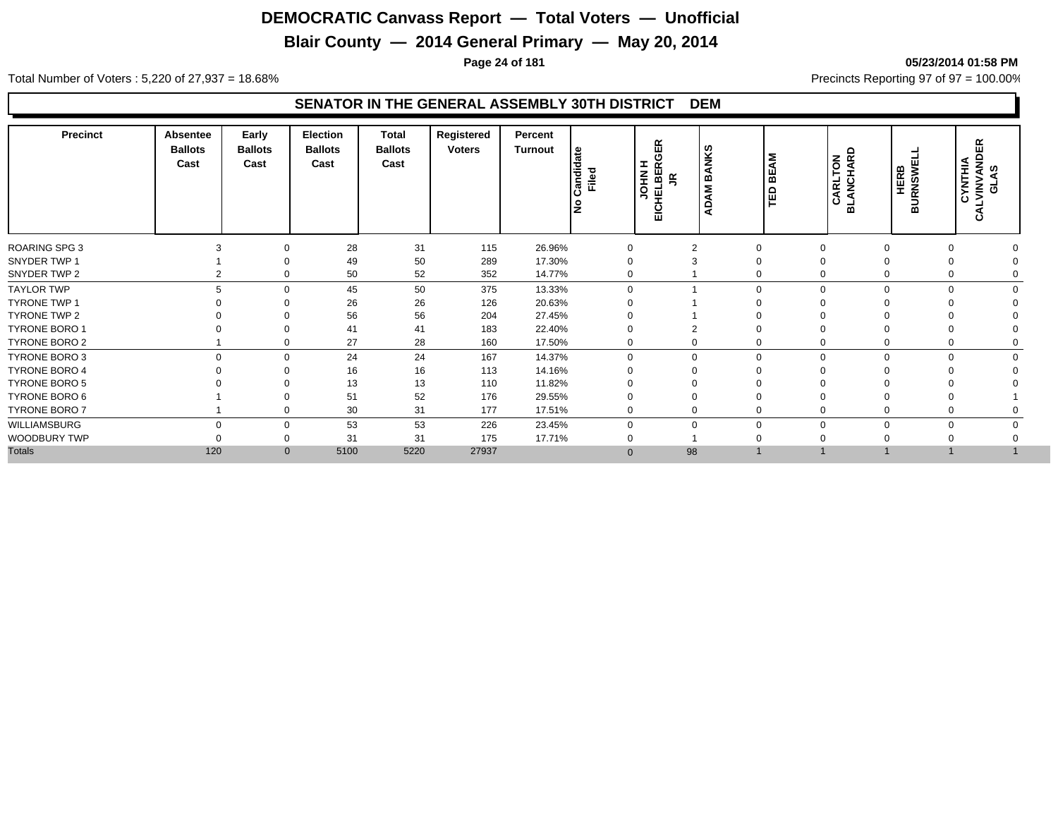## **Blair County — 2014 General Primary — May 20, 2014**

#### **Page 24 of 181 05/23/2014 01:58 PM**

Total Number of Voters : 5,220 of 27,937 = 18.68% Precincts Reporting 97 of 97 = 100.00%

| <b>Precinct</b>      | Absentee<br><b>Ballots</b><br>Cast | Early<br><b>Ballots</b><br>Cast | Election<br><b>Ballots</b><br>Cast | <b>Total</b><br><b>Ballots</b><br>Cast | Registered<br><b>Voters</b> | Percent<br>Turnout | Candidate<br>Filed | GER<br>ᆂ<br>œ<br><b>NHOL</b><br>HELBEI<br>$\leq$<br>Eig | ANKS<br>$\overline{M}$ B.<br>◀<br>o<br>◀ | <b>BEAM</b><br>旨 | ANCHARD<br><b>NOT.</b><br>CARL'<br>ᆱ | URNSWE<br><b>HERB</b><br>$\overline{\mathbf{m}}$ | <b>CYNTHIA<br/>LVINVANDER<br/>GLAS</b><br>ن |  |
|----------------------|------------------------------------|---------------------------------|------------------------------------|----------------------------------------|-----------------------------|--------------------|--------------------|---------------------------------------------------------|------------------------------------------|------------------|--------------------------------------|--------------------------------------------------|---------------------------------------------|--|
| <b>ROARING SPG 3</b> |                                    | 0                               | 28                                 | 31                                     | 115                         | 26.96%             | $\mathbf 0$        | $\overline{2}$                                          |                                          | $\Omega$         | $\Omega$                             | $\Omega$                                         | $\Omega$                                    |  |
| SNYDER TWP 1         |                                    | $\Omega$                        | 49                                 | 50                                     | 289                         | 17.30%             | $\Omega$           |                                                         | $\Omega$                                 |                  | $\Omega$                             | $\Omega$<br>$\Omega$                             |                                             |  |
| SNYDER TWP 2         |                                    | 0                               | 50                                 | 52                                     | 352                         | 14.77%             | $\mathbf 0$        |                                                         |                                          | $\Omega$         | $\mathbf 0$                          | 0                                                | 0                                           |  |
| <b>TAYLOR TWP</b>    | 5                                  | $\mathbf 0$                     | 45                                 | 50                                     | 375                         | 13.33%             | $\mathbf 0$        |                                                         |                                          | $\Omega$         | $\mathbf 0$                          | $\mathbf 0$                                      | $\Omega$<br>$\Omega$                        |  |
| <b>TYRONE TWP 1</b>  |                                    | $\Omega$                        | 26                                 | 26                                     | 126                         | 20.63%             | $\Omega$           |                                                         |                                          |                  | $\Omega$                             | $\Omega$                                         |                                             |  |
| TYRONE TWP 2         |                                    | $\Omega$                        | 56                                 | 56                                     | 204                         | 27.45%             | $\Omega$           |                                                         |                                          |                  | $\Omega$                             | $\Omega$<br>$\Omega$                             |                                             |  |
| <b>TYRONE BORO 1</b> |                                    | $\Omega$                        | 41                                 | 41                                     | 183                         | 22.40%             | $\Omega$           |                                                         |                                          |                  | $\Omega$                             | $\Omega$<br>$\Omega$                             |                                             |  |
| <b>TYRONE BORO 2</b> |                                    | 0                               | 27                                 | 28                                     | 160                         | 17.50%             | 0                  | $\Omega$                                                |                                          | 0                | 0                                    | 0                                                | 0                                           |  |
| TYRONE BORO 3        | $\Omega$                           | $\mathbf 0$                     | 24                                 | 24                                     | 167                         | 14.37%             | $\Omega$           | $\mathbf 0$                                             |                                          | $\Omega$         | $\mathbf 0$                          | $\mathbf 0$                                      | $\mathbf 0$<br>$\Omega$                     |  |
| <b>TYRONE BORO 4</b> |                                    | $\Omega$                        | 16                                 | 16                                     | 113                         | 14.16%             |                    | $\Omega$                                                |                                          | ∩                | $\Omega$                             | $\Omega$<br>$\Omega$                             |                                             |  |
| <b>TYRONE BORO 5</b> |                                    |                                 | 13                                 | 13                                     | 110                         | 11.82%             |                    |                                                         |                                          |                  |                                      |                                                  |                                             |  |
| TYRONE BORO 6        |                                    | 0                               | 51                                 | 52                                     | 176                         | 29.55%             |                    | $\Omega$                                                |                                          |                  | $\Omega$                             | $\Omega$                                         |                                             |  |
| <b>TYRONE BORO 7</b> |                                    | $\mathbf 0$                     | 30                                 | 31                                     | 177                         | 17.51%             | $\mathbf 0$        | 0                                                       | $\Omega$                                 |                  | $\mathbf 0$                          | 0                                                | 0                                           |  |
| WILLIAMSBURG         | $\Omega$                           | $\mathbf 0$                     | 53                                 | 53                                     | 226                         | 23.45%             | $\Omega$           | $\Omega$                                                | $\Omega$                                 |                  | $\Omega$                             | $\mathbf 0$                                      | $\Omega$                                    |  |
| WOODBURY TWP         |                                    | 0                               | 31                                 | 31                                     | 175                         | 17.71%             |                    |                                                         |                                          |                  |                                      | $\Omega$<br>$\Omega$                             |                                             |  |
| <b>Totals</b>        | 120                                | $\mathbf{0}$                    | 5100                               | 5220                                   | 27937                       |                    | $\Omega$           | 98                                                      |                                          |                  |                                      |                                                  |                                             |  |
|                      |                                    |                                 |                                    |                                        |                             |                    |                    |                                                         |                                          |                  |                                      |                                                  |                                             |  |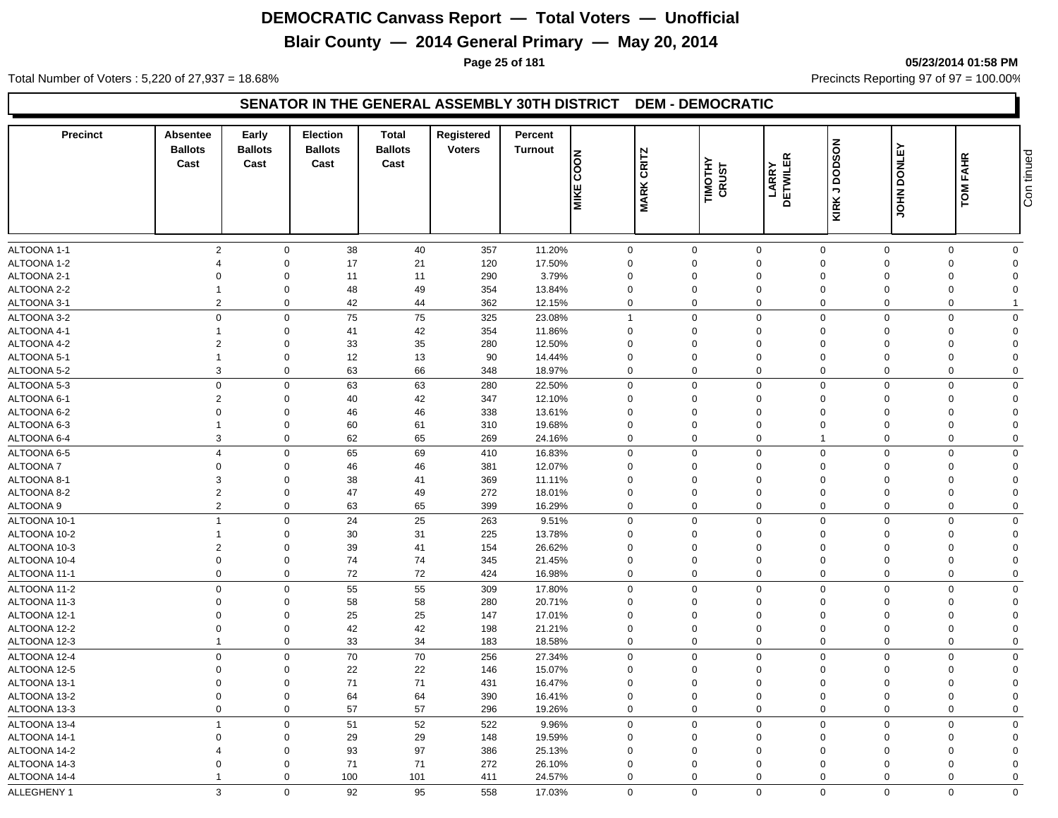## **Blair County — 2014 General Primary — May 20, 2014**

#### **Page 25 of 181 05/23/2014 01:58 PM**

Total Number of Voters : 5,220 of 27,937 = 18.68% Precincts Reporting 97 of 97 = 100.00%

#### **SENATOR IN THE GENERAL ASSEMBLY 30TH DISTRICT DEM - DEMOCRATIC**

| <b>Precinct</b> | Absentee<br><b>Ballots</b><br>Cast | Early<br><b>Ballots</b><br>Cast | <b>Election</b><br><b>Ballots</b><br>Cast | Total<br><b>Ballots</b><br>Cast | Registered<br><b>Voters</b> | Percent<br><b>Turnout</b> | <b>NOO2</b><br>ш<br><u>NIKI</u> | CRITZ<br><b>MARK</b> | TIMOTHY<br>CRUST | $\propto$<br>LARRY<br>DETWILEF | KIRK J DODSON  | <b>DONLEY</b><br><b>NHOL</b> | <b>FAHR</b><br>TOM | Con tinued     |
|-----------------|------------------------------------|---------------------------------|-------------------------------------------|---------------------------------|-----------------------------|---------------------------|---------------------------------|----------------------|------------------|--------------------------------|----------------|------------------------------|--------------------|----------------|
| ALTOONA 1-1     | $\overline{2}$                     | $\mathbf 0$                     | 38                                        | $40\,$                          | 357                         | 11.20%                    | $\mathsf{O}\xspace$             |                      | $\mathsf 0$      | $\mathbf 0$                    | $\mathbf{0}$   | $\mathbf 0$                  | $\mathbf{0}$       | $\mathbf 0$    |
| ALTOONA 1-2     | $\overline{4}$                     | $\mathbf 0$                     | 17                                        | 21                              | 120                         | 17.50%                    | $\mathbf 0$                     |                      | $\mathbf 0$      | $\mathbf 0$                    | $\Omega$       | $\Omega$                     | $\Omega$           | $\mathbf 0$    |
| ALTOONA 2-1     | $\mathbf 0$                        | $\mathbf 0$                     | 11                                        | 11                              | 290                         | 3.79%                     | $\mathbf 0$                     |                      | 0                | $\mathbf 0$                    | $\mathbf 0$    | $\Omega$                     | $\mathbf 0$        | $\Omega$       |
| ALTOONA 2-2     | $\overline{1}$                     | $\mathbf 0$                     | 48                                        | 49                              | 354                         | 13.84%                    | $\mathbf 0$                     |                      | 0                | $\mathbf 0$                    | $\mathbf 0$    | $\Omega$                     | $\mathbf 0$        | $\Omega$       |
| ALTOONA 3-1     | $\overline{2}$                     | $\mathbf 0$                     | 42                                        | 44                              | 362                         | 12.15%                    | $\mathbf 0$                     |                      | $\mathbf 0$      | $\mathbf 0$                    | $\Omega$       | $\Omega$                     | $\mathbf 0$        |                |
| ALTOONA 3-2     | $\mathbf 0$                        | $\mathbf 0$                     | 75                                        | 75                              | 325                         | 23.08%                    | $\overline{1}$                  |                      | $\mathbf 0$      | $\mathbf 0$                    | $\Omega$       | $\Omega$                     | $\Omega$           | $\Omega$       |
| ALTOONA 4-1     | $\overline{1}$                     | $\mathbf 0$                     | 41                                        | 42                              | 354                         | 11.86%                    | $\mathbf 0$                     |                      | $\mathbf 0$      | $\mathbf 0$                    | $\Omega$       | $\Omega$                     | $\Omega$           | $\Omega$       |
| ALTOONA 4-2     | $\overline{2}$                     | $\mathbf 0$                     | 33                                        | 35                              | 280                         | 12.50%                    | $\mathbf 0$                     |                      | 0                | $\mathbf 0$                    | $\mathbf 0$    | $\Omega$                     | $\Omega$           | $\mathbf 0$    |
| ALTOONA 5-1     | $\overline{1}$                     | $\mathbf 0$                     | 12                                        | 13                              | 90                          | 14.44%                    | $\mathbf 0$                     |                      | 0                | $\mathbf 0$                    | $\mathbf 0$    | $\Omega$                     | $\Omega$           | $\Omega$       |
| ALTOONA 5-2     | 3                                  | $\mathbf 0$                     | 63                                        | 66                              | 348                         | 18.97%                    | $\mathbf 0$                     |                      | $\mathbf 0$      | $\mathbf 0$                    | $\Omega$       | $\mathbf 0$                  | $\mathbf 0$        | $\mathbf 0$    |
| ALTOONA 5-3     | $\mathbf 0$                        | $\mathbf 0$                     | 63                                        | 63                              | 280                         | 22.50%                    | $\mathsf{O}\xspace$             |                      | $\mathbf 0$      | $\mathsf{O}\xspace$            | $\Omega$       | $\Omega$                     | $\Omega$           | $\mathbf 0$    |
| ALTOONA 6-1     | $\overline{2}$                     | $\mathbf 0$                     | 40                                        | 42                              | 347                         | 12.10%                    | $\Omega$                        |                      | $\Omega$         | $\mathbf 0$                    | $\Omega$       | $\Omega$                     | $\Omega$           | $\Omega$       |
| ALTOONA 6-2     | $\mathbf 0$                        | $\mathbf 0$                     | 46                                        | 46                              | 338                         | 13.61%                    | $\mathbf 0$                     |                      | 0                | $\mathbf 0$                    | $\Omega$       | $\Omega$                     | $\Omega$           | $\Omega$       |
| ALTOONA 6-3     | $\mathbf{1}$                       | $\mathbf 0$                     | 60                                        | 61                              | 310                         | 19.68%                    | $\mathbf 0$                     |                      | $\mathbf 0$      | $\mathbf 0$                    | $\mathbf 0$    | $\Omega$                     | $\mathbf 0$        | $\overline{0}$ |
| ALTOONA 6-4     | 3                                  | $\mathbf 0$                     | 62                                        | 65                              | 269                         | 24.16%                    | $\mathbf 0$                     |                      | $\mathbf 0$      | $\mathbf 0$                    | $\overline{1}$ | $\mathbf 0$                  | $\mathbf 0$        | $\mathbf 0$    |
| ALTOONA 6-5     | $\overline{4}$                     | $\mathbf 0$                     | 65                                        | 69                              | 410                         | 16.83%                    | $\mathbf 0$                     |                      | $\mathbf 0$      | $\mathsf{O}\xspace$            | $\mathbf 0$    | $\Omega$                     | $\Omega$           | $\mathbf 0$    |
| <b>ALTOONA7</b> | $\Omega$                           | $\mathbf 0$                     | 46                                        | 46                              | 381                         | 12.07%                    | $\Omega$                        |                      | $\Omega$         | $\mathbf 0$                    | $\Omega$       | $\Omega$                     | $\Omega$           | $\Omega$       |
| ALTOONA 8-1     | 3                                  | $\mathbf 0$                     | 38                                        | 41                              | 369                         | 11.11%                    | $\mathbf 0$                     |                      | $\mathbf 0$      | $\mathbf 0$                    | $\Omega$       | $\Omega$                     | $\Omega$           | $\Omega$       |
| ALTOONA 8-2     | $\overline{2}$                     | $\mathbf 0$                     | 47                                        | 49                              | 272                         | 18.01%                    | $\mathbf 0$                     |                      | $\mathbf 0$      | $\mathbf 0$                    | $\mathbf 0$    | $\Omega$                     | $\Omega$           | $\overline{0}$ |
| ALTOONA 9       | $\overline{2}$                     | $\mathbf 0$                     | 63                                        | 65                              | 399                         | 16.29%                    | $\mathbf 0$                     |                      | $\mathbf 0$      | $\mathbf 0$                    | $\mathbf 0$    | $\mathbf 0$                  | 0                  | $\mathbf 0$    |
| ALTOONA 10-1    | $\overline{1}$                     | $\mathbf 0$                     | 24                                        | 25                              | 263                         | 9.51%                     | $\mathsf{O}\xspace$             |                      | $\mathbf 0$      | $\mathbf{0}$                   | $\Omega$       | $\Omega$                     | $\Omega$           | $\mathbf 0$    |
| ALTOONA 10-2    | -1                                 | $\mathbf 0$                     | 30                                        | 31                              | 225                         | 13.78%                    | $\mathbf 0$                     |                      | $\mathbf 0$      | $\mathbf 0$                    | $\mathbf 0$    | $\Omega$                     | $\Omega$           | $\overline{0}$ |
| ALTOONA 10-3    | $\overline{2}$                     | $\mathbf 0$                     | 39                                        | 41                              | 154                         | 26.62%                    | $\mathbf 0$                     |                      | 0                | $\mathbf 0$                    | $\mathbf 0$    | $\Omega$                     | $\Omega$           | $\overline{0}$ |
| ALTOONA 10-4    | $\mathbf 0$                        | $\mathbf 0$                     | 74                                        | 74                              | 345                         | 21.45%                    | $\mathbf 0$                     |                      | $\mathbf 0$      | $\mathbf 0$                    | $\mathbf 0$    | $\Omega$                     | $\mathbf 0$        | $\Omega$       |
| ALTOONA 11-1    | $\mathbf 0$                        | $\mathbf 0$                     | 72                                        | 72                              | 424                         | 16.98%                    | $\mathbf 0$                     |                      | $\mathbf 0$      | $\mathbf 0$                    | $\mathbf 0$    | $\mathbf 0$                  | $\mathbf 0$        | $\mathbf 0$    |
| ALTOONA 11-2    | $\mathbf 0$                        | $\mathbf 0$                     | 55                                        | 55                              | 309                         | 17.80%                    | $\mathbf 0$                     |                      | $\Omega$         | $\mathbf 0$                    | $\Omega$       | $\Omega$                     | $\Omega$           | $\mathbf 0$    |
| ALTOONA 11-3    | $\Omega$                           | $\mathbf 0$                     | 58                                        | 58                              | 280                         | 20.71%                    | $\mathbf 0$                     |                      | $\Omega$         | $\mathbf 0$                    | $\Omega$       | $\Omega$                     | $\Omega$           | $\Omega$       |
| ALTOONA 12-1    | $\mathbf 0$                        | $\mathbf 0$                     | 25                                        | 25                              | 147                         | 17.01%                    | $\mathbf 0$                     |                      | $\mathbf 0$      | $\mathbf 0$                    | $\mathbf 0$    | $\Omega$                     | $\Omega$           | $\Omega$       |
| ALTOONA 12-2    | $\mathbf 0$                        | $\mathbf 0$                     | 42                                        | 42                              | 198                         | 21.21%                    | $\mathbf 0$                     |                      | $\mathbf 0$      | $\mathbf 0$                    | $\mathbf 0$    | $\Omega$                     | $\Omega$           | $\Omega$       |
| ALTOONA 12-3    | $\overline{1}$                     | $\mathbf 0$                     | 33                                        | 34                              | 183                         | 18.58%                    | 0                               |                      | $\mathbf 0$      | $\mathbf 0$                    | $\mathbf 0$    | $\Omega$                     | $\Omega$           | $\mathbf 0$    |
| ALTOONA 12-4    | $\mathbf 0$                        | $\mathbf 0$                     | 70                                        | 70                              | 256                         | 27.34%                    | $\mathbf 0$                     |                      | $\mathbf 0$      | $\mathbf 0$                    | $\Omega$       | $\Omega$                     | $\Omega$           | $\mathbf 0$    |
| ALTOONA 12-5    | $\Omega$                           | $\mathbf 0$                     | 22                                        | 22                              | 146                         | 15.07%                    | $\Omega$                        |                      | $\Omega$         | $\mathbf 0$                    | $\Omega$       | $\Omega$                     | $\Omega$           | $\Omega$       |
| ALTOONA 13-1    | $\mathbf 0$                        | $\mathbf 0$                     | 71                                        | 71                              | 431                         | 16.47%                    | $\mathbf 0$                     |                      | 0                | $\mathbf 0$                    | $\Omega$       | $\Omega$                     | $\Omega$           | $\Omega$       |
| ALTOONA 13-2    | $\Omega$                           | $\mathbf 0$                     | 64                                        | 64                              | 390                         | 16.41%                    | $\mathbf 0$                     |                      | 0                | $\mathbf 0$                    | $\mathbf 0$    | $\Omega$                     | $\Omega$           | $\mathbf 0$    |
| ALTOONA 13-3    | $\mathbf 0$                        | $\mathbf 0$                     | 57                                        | 57                              | 296                         | 19.26%                    | $\mathbf 0$                     |                      | $\mathbf 0$      | $\mathbf 0$                    | $\mathbf 0$    | $\mathbf 0$                  | $\Omega$           | $\mathbf 0$    |
| ALTOONA 13-4    | $\overline{1}$                     | $\mathbf 0$                     | 51                                        | 52                              | 522                         | 9.96%                     | $\mathbf 0$                     |                      | $\mathbf 0$      | $\mathbf 0$                    | $\Omega$       | $\Omega$                     | $\mathbf 0$        | $\mathbf 0$    |
| ALTOONA 14-1    | $\mathbf 0$                        | $\mathbf 0$                     | 29                                        | 29                              | 148                         | 19.59%                    | $\mathbf 0$                     |                      | $\mathbf 0$      | $\mathbf 0$                    | $\mathbf 0$    | $\Omega$                     | $\Omega$           | $\mathbf 0$    |
| ALTOONA 14-2    |                                    | $\mathbf 0$                     | 93                                        | 97                              | 386                         | 25.13%                    | $\mathbf 0$                     |                      | $\Omega$         | $\mathbf 0$                    | $\Omega$       | $\Omega$                     | $\Omega$           | $\Omega$       |
| ALTOONA 14-3    | $\Omega$                           | $\mathbf 0$                     | 71                                        | 71                              | 272                         | 26.10%                    | $\mathbf 0$                     |                      | $\Omega$         | $\mathbf 0$                    | $\Omega$       | $\Omega$                     | $\Omega$           | $\Omega$       |
| ALTOONA 14-4    | $\mathbf{1}$                       | $\mathbf 0$                     | 100                                       | 101                             | 411                         | 24.57%                    | $\mathbf 0$                     |                      | $\Omega$         | $\mathbf 0$                    | $\Omega$       | $\Omega$                     | $\Omega$           | $\mathbf 0$    |
| ALLEGHENY 1     | 3                                  | $\mathbf 0$                     | 92                                        | 95                              | 558                         | 17.03%                    | $\mathbf 0$                     |                      | $\mathbf 0$      | $\mathbf 0$                    | $\mathbf 0$    | $\Omega$                     | 0                  | $\mathbf 0$    |
|                 |                                    |                                 |                                           |                                 |                             |                           |                                 |                      |                  |                                |                |                              |                    |                |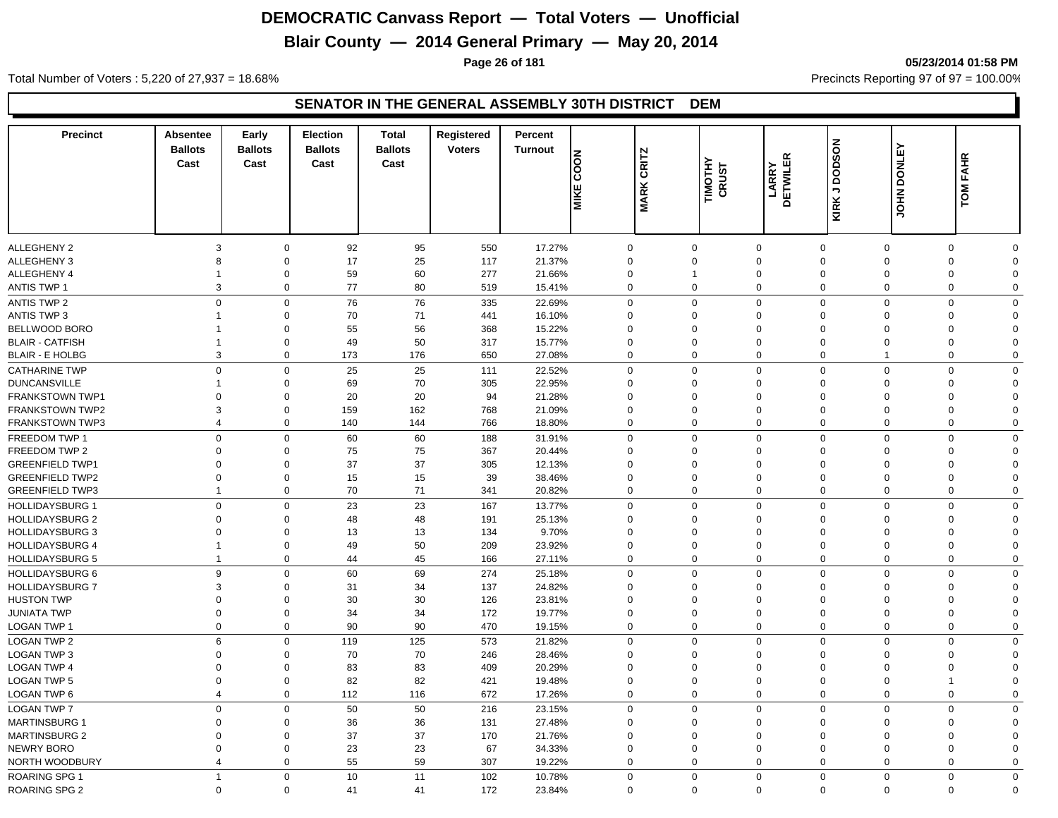## **Blair County — 2014 General Primary — May 20, 2014**

**Page 26 of 181 05/23/2014 01:58 PM**

Total Number of Voters : 5,220 of 27,937 = 18.68% Precincts Reporting 97 of 97 = 100.00%

| <b>Precinct</b>        | <b>Absentee</b><br><b>Ballots</b><br>Cast | Early<br><b>Ballots</b><br>Cast | <b>Election</b><br><b>Ballots</b><br>Cast | <b>Total</b><br><b>Ballots</b><br>Cast | Registered<br><b>Voters</b> | Percent<br><b>Turnout</b> | <b>NOOD</b><br><b>MIKE</b> | <b>CRITZ</b><br><b>MARK</b> | TIMOTHY<br>CRUST | <b>DETWILER</b><br>LARRY | <b>KIRK J DODSON</b> | <b>JOHN DONLEY</b> | TOM FAHR    |             |
|------------------------|-------------------------------------------|---------------------------------|-------------------------------------------|----------------------------------------|-----------------------------|---------------------------|----------------------------|-----------------------------|------------------|--------------------------|----------------------|--------------------|-------------|-------------|
|                        |                                           |                                 |                                           |                                        |                             |                           |                            |                             |                  |                          |                      |                    |             |             |
| ALLEGHENY 2            | 3                                         | $\mathbf 0$                     | 92                                        | 95                                     | 550                         | 17.27%                    |                            | $\mathbf 0$                 | $\mathbf 0$      | $\mathbf 0$              | $\mathbf 0$          | $\mathbf 0$        | $\mathbf 0$ | $\Omega$    |
| ALLEGHENY 3            | 8                                         | $\mathbf 0$                     | 17                                        | 25                                     | 117                         | 21.37%                    |                            | $\mathbf 0$                 | $\mathbf 0$      | $\mathbf 0$              | $\mathbf 0$          | $\Omega$           | $\mathbf 0$ | $\Omega$    |
| ALLEGHENY 4            | -1                                        | 0                               | 59                                        | 60                                     | 277                         | 21.66%                    |                            | $\mathbf 0$                 | -1               | $\mathbf 0$              | 0                    | $\mathbf 0$        | $\mathbf 0$ | $\Omega$    |
| ANTIS TWP 1            | $\mathbf{3}$                              | $\mathbf 0$                     | 77                                        | 80                                     | 519                         | 15.41%                    |                            | $\mathbf 0$                 | $\mathbf 0$      | $\mathbf 0$              | $\mathbf 0$          | $\overline{0}$     | $\mathbf 0$ | $\mathbf 0$ |
| <b>ANTIS TWP 2</b>     |                                           | $\mathbf 0$<br>$\mathbf 0$      | 76                                        | 76                                     | 335                         | 22.69%                    |                            | $\mathbf 0$                 | $\mathbf 0$      | $\mathbf 0$              | $\mathbf 0$          | $\mathbf 0$        | $\mathbf 0$ | $\mathbf 0$ |
| ANTIS TWP 3            | -1                                        | $\mathbf 0$                     | 70                                        | 71                                     | 441                         | 16.10%                    |                            | $\Omega$                    | $\Omega$         | $\mathbf 0$              | $\Omega$             | $\Omega$           | 0           | $\Omega$    |
| BELLWOOD BORO          |                                           | $\mathbf 0$                     | 55                                        | 56                                     | 368                         | 15.22%                    |                            | $\mathbf 0$                 | $\mathbf 0$      | $\mathbf 0$              | $\mathbf 0$          | $\mathbf 0$        | 0           | $\mathbf 0$ |
| <b>BLAIR - CATFISH</b> | 1                                         | $\mathbf 0$                     | 49                                        | 50                                     | 317                         | 15.77%                    |                            | $\mathbf 0$                 | $\mathbf 0$      | $\mathbf 0$              | $\mathbf 0$          | $\mathbf 0$        | 0           | $\Omega$    |
| <b>BLAIR - E HOLBG</b> | 3                                         | $\mathbf 0$                     | 173                                       | 176                                    | 650                         | 27.08%                    |                            | $\mathbf 0$                 | $\mathbf 0$      | $\mathbf 0$              | $\mathbf 0$          | $\overline{1}$     | $\mathbf 0$ | $\mathbf 0$ |
| <b>CATHARINE TWP</b>   |                                           | $\mathbf 0$<br>$\mathbf 0$      | 25                                        | 25                                     | 111                         | 22.52%                    |                            | $\Omega$                    | $\mathbf 0$      | $\mathbf 0$              | $\mathbf 0$          | $\mathbf 0$        | $\mathbf 0$ | $\mathbf 0$ |
| <b>DUNCANSVILLE</b>    | 1                                         | $\mathbf 0$                     | 69                                        | 70                                     | 305                         | 22.95%                    |                            | $\mathbf 0$                 | $\mathbf 0$      | $\mathbf 0$              | $\Omega$             | $\mathbf 0$        | $\mathbf 0$ | $\Omega$    |
| <b>FRANKSTOWN TWP1</b> | $\mathbf 0$                               | $\mathbf 0$                     | 20                                        | 20                                     | 94                          | 21.28%                    |                            | $\Omega$                    | $\mathbf 0$      | $\mathbf 0$              | $\Omega$             | $\Omega$           | 0           | $\Omega$    |
| <b>FRANKSTOWN TWP2</b> | 3                                         | $\mathbf 0$                     | 159                                       | 162                                    | 768                         | 21.09%                    |                            | $\Omega$                    | $\mathbf 0$      | $\mathbf 0$              | $\Omega$             | $\mathbf 0$        | 0           | $\Omega$    |
| <b>FRANKSTOWN TWP3</b> | $\overline{4}$                            | $\mathbf 0$                     | 140                                       | 144                                    | 766                         | 18.80%                    |                            | $\Omega$                    | $\Omega$         | $\mathbf 0$              | $\mathbf 0$          | $\Omega$           | $\mathbf 0$ | $\mathbf 0$ |
| FREEDOM TWP 1          |                                           | $\mathbf 0$<br>$\mathbf 0$      | 60                                        | 60                                     | 188                         | 31.91%                    |                            | $\mathbf 0$                 | $\mathbf 0$      | $\mathbf 0$              | $\mathbf 0$          | $\mathbf 0$        | $\mathbf 0$ | $\mathbf 0$ |
| FREEDOM TWP 2          | $\Omega$                                  | $\mathbf 0$                     | 75                                        | 75                                     | 367                         | 20.44%                    |                            | $\Omega$                    | $\Omega$         | $\mathbf 0$              | $\Omega$             | $\Omega$           | 0           | $\Omega$    |
| <b>GREENFIELD TWP1</b> | $\Omega$                                  | $\mathbf 0$                     | 37                                        | 37                                     | 305                         | 12.13%                    |                            | $\Omega$                    | $\Omega$         | $\mathbf 0$              | $\Omega$             | $\Omega$           | 0           | $\Omega$    |
| <b>GREENFIELD TWP2</b> | $\mathbf 0$                               | $\mathbf 0$                     | 15                                        | 15                                     | 39                          | 38.46%                    |                            | $\mathbf 0$                 | $\mathbf 0$      | $\mathbf 0$              | $\mathbf 0$          | $\mathbf 0$        | 0           | $\Omega$    |
| <b>GREENFIELD TWP3</b> | $\overline{1}$                            | $\mathbf 0$                     | 70                                        | 71                                     | 341                         | 20.82%                    |                            | $\Omega$                    | $\Omega$         | $\mathbf 0$              | $\mathbf 0$          | $\overline{0}$     | $\mathbf 0$ | $\Omega$    |
| <b>HOLLIDAYSBURG 1</b> |                                           | $\mathbf 0$<br>$\mathbf 0$      | 23                                        | 23                                     | 167                         | 13.77%                    |                            | $\Omega$                    | $\mathbf 0$      | $\mathbf 0$              | $\mathbf 0$          | $\mathbf 0$        | $\mathbf 0$ | $\mathbf 0$ |
| <b>HOLLIDAYSBURG 2</b> | $\mathbf 0$                               | $\mathbf 0$                     | 48                                        | 48                                     | 191                         | 25.13%                    |                            | $\Omega$                    | $\mathbf 0$      | $\mathbf 0$              | $\Omega$             | $\mathbf 0$        | $\mathbf 0$ | $\Omega$    |
| <b>HOLLIDAYSBURG 3</b> | $\mathbf 0$                               | $\mathbf 0$                     | 13                                        | 13                                     | 134                         | 9.70%                     |                            | $\Omega$                    | $\mathbf 0$      | $\mathbf 0$              | $\Omega$             | $\Omega$           | $\mathbf 0$ | $\Omega$    |
| <b>HOLLIDAYSBURG 4</b> | $\overline{1}$                            | $\mathbf 0$                     | 49                                        | 50                                     | 209                         | 23.92%                    |                            | $\mathbf 0$                 | $\mathbf 0$      | $\mathbf 0$              | $\mathbf 0$          | $\mathbf 0$        | 0           | $\Omega$    |
| <b>HOLLIDAYSBURG 5</b> | $\overline{1}$                            | $\mathbf 0$                     | 44                                        | 45                                     | 166                         | 27.11%                    |                            | $\Omega$                    | $\mathbf 0$      | $\mathbf 0$              | $\mathbf 0$          | $\mathbf 0$        | $\mathbf 0$ | $\Omega$    |
| HOLLIDAYSBURG 6        |                                           | 9<br>$\mathbf 0$                | 60                                        | 69                                     | 274                         | 25.18%                    |                            | $\mathbf 0$                 | $\mathbf 0$      | $\mathbf 0$              | $\mathbf 0$          | $\mathbf 0$        | $\mathbf 0$ | $\mathbf 0$ |
| <b>HOLLIDAYSBURG 7</b> | 3                                         | $\mathbf 0$                     | 31                                        | 34                                     | 137                         | 24.82%                    |                            | $\Omega$                    | $\Omega$         | $\mathbf 0$              | $\Omega$             | $\Omega$           | 0           | $\Omega$    |
| <b>HUSTON TWP</b>      | $\Omega$                                  | $\mathbf 0$                     | 30                                        | 30                                     | 126                         | 23.81%                    |                            | $\Omega$                    | $\Omega$         | $\mathbf 0$              | $\Omega$             | $\Omega$           | 0           | $\Omega$    |
| <b>JUNIATA TWP</b>     | $\Omega$                                  | $\mathbf 0$                     | 34                                        | 34                                     | 172                         | 19.77%                    |                            | $\Omega$                    | $\Omega$         | $\mathbf 0$              | $\Omega$             | $\Omega$           | 0           | $\Omega$    |
| <b>LOGAN TWP 1</b>     | $\mathbf 0$                               | $\mathbf 0$                     | 90                                        | 90                                     | 470                         | 19.15%                    |                            | $\Omega$                    | $\Omega$         | $\mathbf 0$              | $\mathbf 0$          | $\mathbf 0$        | $\mathbf 0$ | $\Omega$    |
| <b>LOGAN TWP 2</b>     | 6                                         | $\mathbf 0$                     | 119                                       | 125                                    | 573                         | 21.82%                    |                            | $\Omega$                    | $\Omega$         | $\mathbf 0$              | $\mathbf 0$          | $\Omega$           | $\mathbf 0$ | $\mathbf 0$ |
| <b>LOGAN TWP 3</b>     | $\mathbf 0$                               | $\mathbf 0$                     | 70                                        | 70                                     | 246                         | 28.46%                    |                            | $\Omega$                    | $\mathbf 0$      | $\mathbf 0$              | $\Omega$             | $\Omega$           | 0           | $\Omega$    |
| <b>LOGAN TWP 4</b>     | $\mathbf 0$                               | $\Omega$                        | 83                                        | 83                                     | 409                         | 20.29%                    |                            | $\Omega$                    | $\Omega$         | $\mathbf 0$              | $\Omega$             | $\Omega$           | 0           | $\Omega$    |
| <b>LOGAN TWP 5</b>     | $\mathbf 0$                               | $\mathbf 0$                     | 82                                        | 82                                     | 421                         | 19.48%                    |                            | $\mathbf 0$                 | $\mathbf 0$      | $\mathbf 0$              | $\Omega$             | $\mathbf 0$        | 1           | $\Omega$    |
| <b>LOGAN TWP 6</b>     | $\overline{4}$                            | $\mathbf 0$                     | 112                                       | 116                                    | 672                         | 17.26%                    |                            | $\Omega$                    | $\mathbf 0$      | $\mathbf 0$              | $\mathbf 0$          | $\mathbf 0$        | $\mathbf 0$ | $\Omega$    |
| <b>LOGAN TWP 7</b>     | $\Omega$                                  | $\mathbf 0$                     | 50                                        | 50                                     | 216                         | 23.15%                    |                            | $\Omega$                    | $\mathbf 0$      | $\mathbf 0$              | $\mathbf 0$          | $\Omega$           | $\mathbf 0$ | $\mathbf 0$ |
| <b>MARTINSBURG 1</b>   | $\Omega$                                  | $\mathbf 0$                     | 36                                        | 36                                     | 131                         | 27.48%                    |                            | $\Omega$                    | $\Omega$         | $\mathbf 0$              | $\Omega$             | $\Omega$           | 0           | $\Omega$    |
| <b>MARTINSBURG 2</b>   | $\Omega$                                  | $\mathbf 0$                     | 37                                        | 37                                     | 170                         | 21.76%                    |                            | $\Omega$                    | $\Omega$         | $\mathbf 0$              | $\Omega$             | $\Omega$           | 0           | $\Omega$    |
| <b>NEWRY BORO</b>      | $\Omega$                                  | $\Omega$                        | 23                                        | 23                                     | 67                          | 34.33%                    |                            | $\Omega$                    | $\Omega$         | $\mathbf 0$              | $\Omega$             | $\Omega$           | 0           | $\Omega$    |
| NORTH WOODBURY         | $\overline{4}$                            | $\Omega$                        | 55                                        | 59                                     | 307                         | 19.22%                    |                            | $\Omega$                    | $\mathbf 0$      | $\mathbf 0$              | $\Omega$             | $\mathbf 0$        | $\mathbf 0$ | $\Omega$    |
|                        |                                           |                                 |                                           |                                        |                             |                           |                            |                             |                  |                          |                      |                    |             |             |
| <b>ROARING SPG 1</b>   | $\overline{1}$                            | $\mathbf 0$                     | 10                                        | 11                                     | 102                         | 10.78%                    |                            | $\mathbf 0$                 | $\mathbf 0$      | $\mathbf 0$              | $\mathbf 0$          | $\mathbf 0$        | $\mathbf 0$ | $\mathbf 0$ |
| <b>ROARING SPG 2</b>   |                                           | $\mathbf 0$<br>$\Omega$         | 41                                        | 41                                     | 172                         | 23.84%                    |                            | $\Omega$                    | $\mathbf 0$      | $\mathbf 0$              | $\mathbf 0$          | $\mathbf{0}$       | $\mathbf 0$ | $\Omega$    |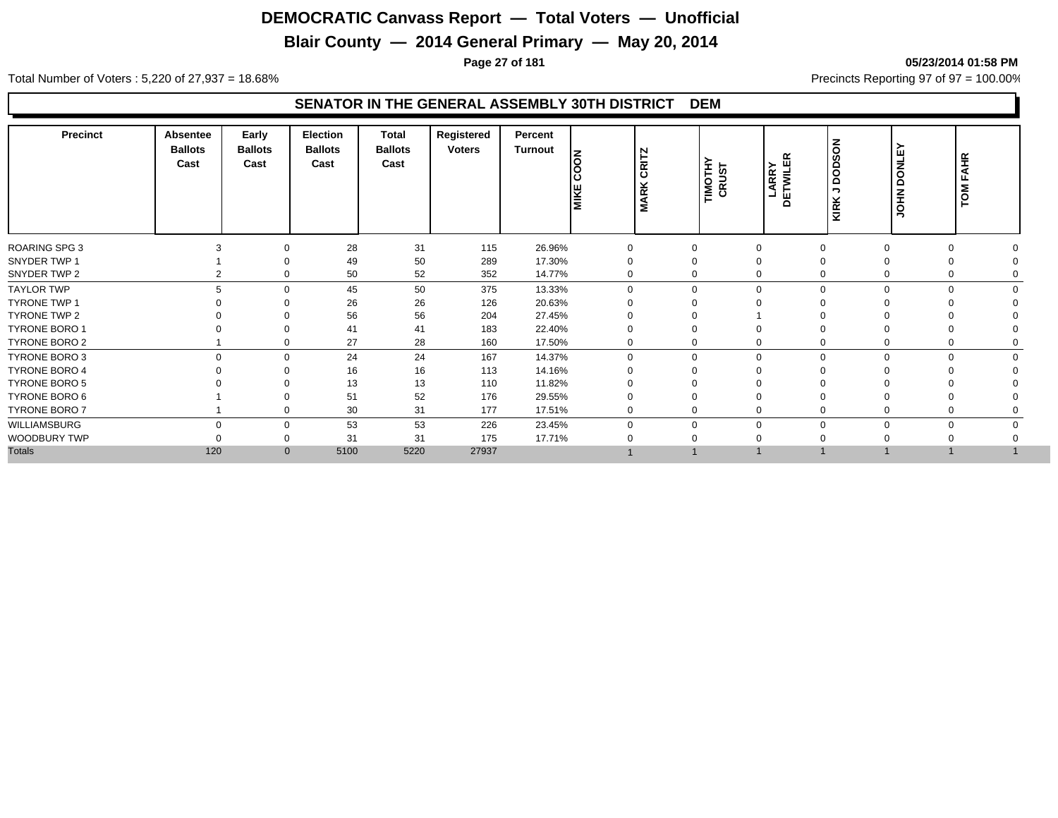## **Blair County — 2014 General Primary — May 20, 2014**

**Page 27 of 181 05/23/2014 01:58 PM**

Total Number of Voters : 5,220 of 27,937 = 18.68% Precincts Reporting 97 of 97 = 100.00%

| Precinct             | <b>Absentee</b><br><b>Ballots</b><br>Cast | Early<br><b>Ballots</b><br>Cast | <b>Election</b><br><b>Ballots</b><br>Cast | <b>Total</b><br><b>Ballots</b><br>Cast | Registered<br><b>Voters</b> | Percent<br>Turnout | İδ<br>د،<br><b>MIKE</b> | CRITZ<br><b>MARK</b> | TIMOTHY<br>CRUST | <b>LARRY</b><br>DETWILER | <b>NOSON</b><br>$\overline{\phantom{a}}$<br>KIRK | ><br><b>DONLE</b><br><b>NHOL</b> | TOM FAHR |
|----------------------|-------------------------------------------|---------------------------------|-------------------------------------------|----------------------------------------|-----------------------------|--------------------|-------------------------|----------------------|------------------|--------------------------|--------------------------------------------------|----------------------------------|----------|
| <b>ROARING SPG 3</b> |                                           | $\Omega$                        | 28                                        | 31                                     | 115                         | 26.96%             | 0                       |                      | $\Omega$         | $\Omega$                 |                                                  | $\Omega$<br>$\Omega$             |          |
| SNYDER TWP 1         |                                           | $\Omega$                        | 49                                        | 50                                     | 289                         | 17.30%             | 0                       |                      | 0                | $\Omega$                 |                                                  |                                  |          |
| SNYDER TWP 2         |                                           | 2<br>0                          | 50                                        | 52                                     | 352                         | 14.77%             | 0                       |                      | 0                | $\Omega$                 |                                                  | 0<br>0                           |          |
| <b>TAYLOR TWP</b>    |                                           | 5<br>$\Omega$                   | 45                                        | 50                                     | 375                         | 13.33%             | $\Omega$                |                      | $\mathbf 0$      | $\Omega$                 |                                                  | $\Omega$<br>$\Omega$             |          |
| <b>TYRONE TWP 1</b>  |                                           | $\Omega$                        | 26                                        | 26                                     | 126                         | 20.63%             |                         |                      | $\Omega$         |                          |                                                  |                                  |          |
| TYRONE TWP 2         |                                           | $\Omega$                        | 56                                        | 56                                     | 204                         | 27.45%             |                         |                      | 0                |                          |                                                  |                                  |          |
| <b>TYRONE BORO 1</b> |                                           | $\Omega$                        | 41                                        | 41                                     | 183                         | 22.40%             |                         |                      | $\Omega$         | $\Omega$                 |                                                  |                                  |          |
| TYRONE BORO 2        |                                           | $\mathbf 0$                     | 27                                        | 28                                     | 160                         | 17.50%             | 0                       |                      | 0                | 0                        |                                                  | 0<br>0                           |          |
| TYRONE BORO 3        |                                           | $\mathbf 0$<br>0                | 24                                        | 24                                     | 167                         | 14.37%             | $\Omega$                |                      | 0                | $\mathbf 0$              | $\Omega$                                         | $\mathbf 0$<br>$\mathbf 0$       |          |
| <b>TYRONE BORO 4</b> |                                           | $\Omega$                        | 16                                        | 16                                     | 113                         | 14.16%             |                         |                      | 0                |                          |                                                  |                                  |          |
| <b>TYRONE BORO 5</b> |                                           |                                 | 13                                        | 13                                     | 110                         | 11.82%             |                         |                      |                  |                          |                                                  |                                  |          |
| TYRONE BORO 6        |                                           |                                 | 51                                        | 52                                     | 176                         | 29.55%             |                         |                      |                  |                          |                                                  |                                  |          |
| TYRONE BORO 7        |                                           | $\Omega$                        | 30                                        | 31                                     | 177                         | 17.51%             | 0                       |                      | 0                | $\Omega$                 |                                                  |                                  |          |
| WILLIAMSBURG         |                                           | $\Omega$<br>$\mathbf 0$         | 53                                        | 53                                     | 226                         | 23.45%             |                         |                      | $\mathbf 0$      | $\Omega$                 |                                                  | $\Omega$<br>$\Omega$             |          |
| WOODBURY TWP         |                                           | 0                               | 31                                        | 31                                     | 175                         | 17.71%             |                         |                      |                  |                          |                                                  |                                  |          |
| <b>Totals</b>        | 120                                       | $\mathbf{0}$                    | 5100                                      | 5220                                   | 27937                       |                    |                         |                      |                  |                          |                                                  |                                  |          |
|                      |                                           |                                 |                                           |                                        |                             |                    |                         |                      |                  |                          |                                                  |                                  |          |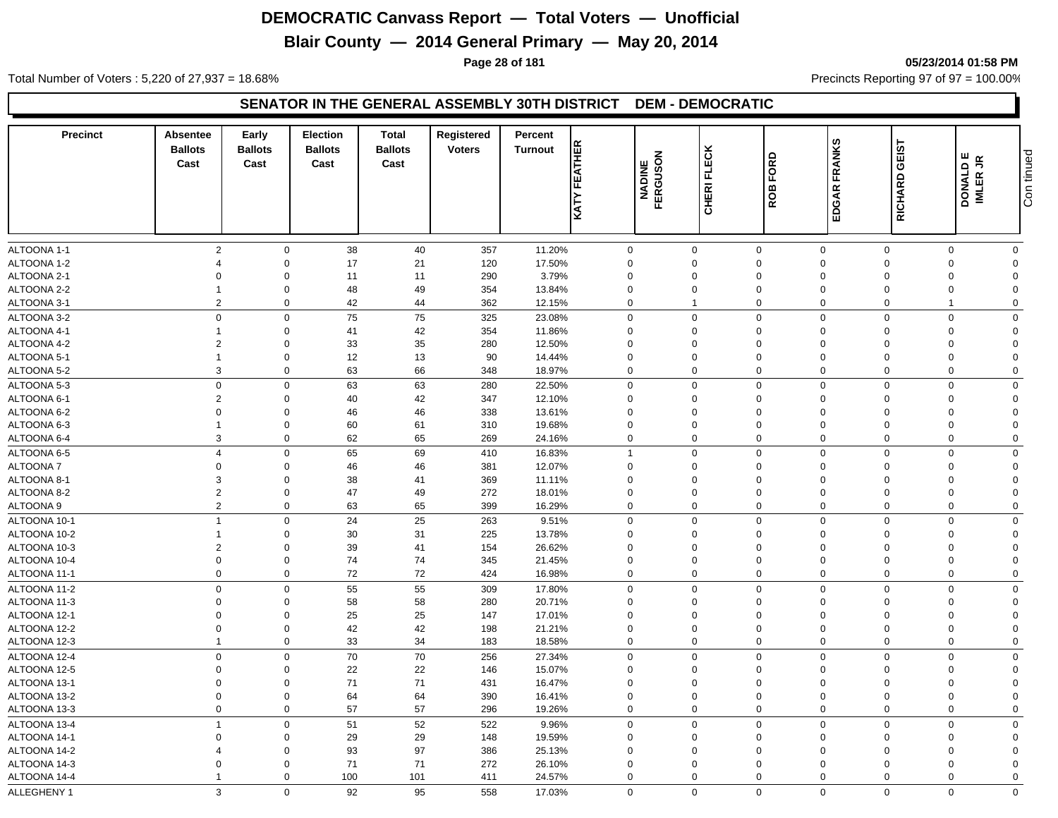## **Blair County — 2014 General Primary — May 20, 2014**

**Page 28 of 181 05/23/2014 01:58 PM**

Total Number of Voters : 5,220 of 27,937 = 18.68% Precincts Reporting 97 of 97 = 100.00%

#### **SENATOR IN THE GENERAL ASSEMBLY 30TH DISTRICT DEM - DEMOCRATIC**

| <b>Precinct</b>            | Absentee<br><b>Ballots</b><br>Cast | Early<br><b>Ballots</b><br>Cast | <b>Election</b><br><b>Ballots</b><br>Cast | <b>Total</b><br><b>Ballots</b><br>Cast | Registered<br><b>Voters</b> | Percent<br><b>Turnout</b> | <b>FEATHER</b><br>KATY  | NADINE<br>FERGUSON | <b>FLECK</b><br><b>CHERI</b> | FORD<br>ROB             | <b>FRANKS</b><br>EDGAR  | GEIST<br><b>RICHARD</b> | ш<br>$\tilde{\mathbf{r}}$<br><b>DONALD I</b><br>IMLER JR | Con tinued              |
|----------------------------|------------------------------------|---------------------------------|-------------------------------------------|----------------------------------------|-----------------------------|---------------------------|-------------------------|--------------------|------------------------------|-------------------------|-------------------------|-------------------------|----------------------------------------------------------|-------------------------|
|                            |                                    |                                 |                                           |                                        |                             |                           |                         |                    |                              |                         |                         |                         |                                                          |                         |
| ALTOONA 1-1                | $\overline{2}$<br>$\overline{4}$   | $\mathbf 0$<br>$\Omega$         | 38                                        | 40                                     | 357                         | 11.20%                    | $\mathbf 0$<br>$\Omega$ |                    | $\mathbf 0$<br>$\Omega$      | $\mathbf 0$<br>$\Omega$ | $\mathbf 0$<br>$\Omega$ | $\mathbf 0$<br>$\Omega$ | $\mathbf 0$<br>$\Omega$                                  | $\mathbf 0$<br>$\Omega$ |
| ALTOONA 1-2<br>ALTOONA 2-1 | $\Omega$                           | $\Omega$                        | 17<br>11                                  | 21<br>11                               | 120                         | 17.50%<br>3.79%           | $\Omega$                |                    | $\Omega$                     | $\Omega$                | $\Omega$                | $\Omega$                | $\Omega$                                                 | $\Omega$                |
| ALTOONA 2-2                | 1                                  | $\Omega$                        | 48                                        | 49                                     | 290<br>354                  | 13.84%                    | $\Omega$                |                    | $\mathbf 0$                  | $\Omega$                | $\Omega$                | $\Omega$                | $\Omega$                                                 | $\Omega$                |
| ALTOONA 3-1                | $\overline{2}$                     | $\mathbf 0$                     | 42                                        | 44                                     | 362                         | 12.15%                    | $\mathbf 0$             |                    | 1                            | $\mathbf 0$             | $\mathbf 0$             | 0                       | 1                                                        | $\Omega$                |
| ALTOONA 3-2                | $\overline{0}$                     | $\Omega$                        | 75                                        | 75                                     |                             |                           | $\mathbf 0$             |                    | $\Omega$                     | $\mathbf 0$             | $\Omega$                | $\Omega$                | $\Omega$                                                 | $\Omega$                |
| ALTOONA 4-1                |                                    | $\Omega$                        | 41                                        | 42                                     | 325                         | 23.08%                    | $\Omega$                |                    | $\Omega$                     | $\Omega$                | $\Omega$                | $\Omega$                | $\Omega$                                                 | $\Omega$                |
| ALTOONA 4-2                | $\overline{2}$                     | $\Omega$                        | 33                                        | 35                                     | 354<br>280                  | 11.86%<br>12.50%          | $\Omega$                |                    | $\mathbf 0$                  | $\Omega$                | $\Omega$                | $\Omega$                | $\Omega$                                                 | $\Omega$                |
| ALTOONA 5-1                | $\overline{1}$                     | $\Omega$                        | 12                                        | 13                                     | 90                          | 14.44%                    | 0                       |                    | $\mathbf 0$                  | 0                       | $\Omega$                | $\Omega$                | $\Omega$                                                 | $\Omega$                |
| ALTOONA 5-2                | 3                                  | $\Omega$                        | 63                                        | 66                                     | 348                         | 18.97%                    | 0                       |                    | $\mathbf 0$                  | $\mathbf 0$             | $\Omega$                | $\mathbf 0$             | $\Omega$                                                 | $\Omega$                |
| ALTOONA 5-3                | $\mathbf 0$                        | $\Omega$                        | 63                                        | 63                                     |                             | 22.50%                    | $\mathbf 0$             |                    | $\mathbf 0$                  | $\mathbf 0$             | $\Omega$                | $\Omega$                | $\Omega$                                                 | $\mathbf 0$             |
| ALTOONA 6-1                | $\overline{2}$                     | $\Omega$                        | 40                                        | 42                                     | 280<br>347                  | 12.10%                    | $\mathbf 0$             |                    | $\mathbf 0$                  | $\Omega$                | $\Omega$                | $\Omega$                | $\Omega$                                                 | $\Omega$                |
| ALTOONA 6-2                | $\Omega$                           | $\Omega$                        | 46                                        | 46                                     | 338                         | 13.61%                    | $\mathbf 0$             |                    | 0                            | $\Omega$                | $\Omega$                | $\Omega$                | $\Omega$                                                 | $\Omega$                |
| ALTOONA 6-3                | $\overline{1}$                     | $\Omega$                        | 60                                        | 61                                     | 310                         | 19.68%                    | $\mathbf 0$             |                    | $\Omega$                     | $\Omega$                | $\Omega$                | $\Omega$                | $\Omega$                                                 | $\Omega$                |
| ALTOONA 6-4                | 3                                  | $\Omega$                        | 62                                        | 65                                     | 269                         | 24.16%                    | $\mathbf 0$             |                    | $\Omega$                     | $\Omega$                | $\Omega$                | $\Omega$                | $\Omega$                                                 | $\mathbf 0$             |
| ALTOONA 6-5                | $\overline{4}$                     | $\Omega$                        | 65                                        | 69                                     | 410                         | 16.83%                    | $\overline{1}$          |                    | $\mathbf 0$                  | $\mathbf 0$             | $\Omega$                | $\Omega$                | $\Omega$                                                 | $\mathbf 0$             |
| <b>ALTOONA7</b>            | $\Omega$                           | $\Omega$                        | 46                                        | 46                                     | 381                         | 12.07%                    | $\mathbf 0$             |                    | $\mathbf 0$                  | $\mathbf 0$             | $\Omega$                | $\Omega$                | $\Omega$                                                 | $\Omega$                |
| ALTOONA 8-1                | 3                                  | $\Omega$                        | 38                                        | 41                                     | 369                         | 11.11%                    | $\Omega$                |                    | $\Omega$                     | $\Omega$                | $\Omega$                | $\Omega$                | $\Omega$                                                 | $\Omega$                |
| ALTOONA 8-2                | $\overline{2}$                     | $\Omega$                        | 47                                        | 49                                     | 272                         | 18.01%                    | 0                       |                    | $\mathbf 0$                  | $\Omega$                | $\Omega$                | $\Omega$                | $\Omega$                                                 | $\Omega$                |
| ALTOONA 9                  | $\overline{2}$                     | $\mathbf 0$                     | 63                                        | 65                                     | 399                         | 16.29%                    | $\mathbf 0$             |                    | $\mathbf 0$                  | $\mathbf 0$             | $\Omega$                | $\mathbf 0$             | 0                                                        | $\mathbf 0$             |
| ALTOONA 10-1               | $\overline{1}$                     | $\Omega$                        | 24                                        | 25                                     | 263                         | 9.51%                     | $\mathbf 0$             |                    | $\mathbf 0$                  | $\mathbf 0$             | $\mathbf 0$             | $\Omega$                | $\Omega$                                                 | $\Omega$                |
| ALTOONA 10-2               | $\overline{1}$                     | $\Omega$                        | 30                                        | 31                                     | 225                         | 13.78%                    | $\mathbf 0$             |                    | $\Omega$                     | $\Omega$                | $\Omega$                | $\Omega$                | $\Omega$                                                 | $\Omega$                |
| ALTOONA 10-3               | $\overline{2}$                     | $\Omega$                        | 39                                        | 41                                     | 154                         | 26.62%                    | 0                       |                    | 0                            | 0                       | $\Omega$                | $\Omega$                | $\Omega$                                                 | $\Omega$                |
| ALTOONA 10-4               | $\mathbf 0$                        | $\Omega$                        | 74                                        | 74                                     | 345                         | 21.45%                    | $\mathbf 0$             |                    | $\mathbf 0$                  | $\Omega$                | $\Omega$                | $\Omega$                | $\Omega$                                                 | $\Omega$                |
| ALTOONA 11-1               | $\mathbf 0$                        | $\mathbf 0$                     | 72                                        | 72                                     | 424                         | 16.98%                    | $\mathbf 0$             |                    | $\mathbf 0$                  | $\mathbf 0$             | $\mathbf 0$             | $\mathbf 0$             | $\mathbf 0$                                              | $\mathbf 0$             |
| ALTOONA 11-2               | $\mathbf 0$                        | $\Omega$                        | 55                                        | 55                                     | 309                         | 17.80%                    | $\mathbf 0$             |                    | $\Omega$                     | $\mathbf 0$             | $\Omega$                | $\Omega$                | $\Omega$                                                 | $\Omega$                |
| ALTOONA 11-3               | $\Omega$                           | $\Omega$                        | 58                                        | 58                                     | 280                         | 20.71%                    | $\mathbf 0$             |                    | $\mathbf 0$                  | $\mathbf 0$             | $\Omega$                | $\Omega$                | $\Omega$                                                 | $\Omega$                |
| ALTOONA 12-1               | $\Omega$                           | $\Omega$                        | 25                                        | 25                                     | 147                         | 17.01%                    | $\Omega$                |                    | $\Omega$                     | $\Omega$                | $\Omega$                | $\Omega$                | $\Omega$                                                 | $\Omega$                |
| ALTOONA 12-2               | $\overline{0}$                     | $\Omega$                        | 42                                        | 42                                     | 198                         | 21.21%                    | $\mathbf 0$             |                    | $\mathbf 0$                  | $\mathbf 0$             | $\Omega$                | $\Omega$                | $\mathbf 0$                                              | $\Omega$                |
| ALTOONA 12-3               | $\overline{\mathbf{1}}$            | $\mathbf 0$                     | 33                                        | 34                                     | 183                         | 18.58%                    | $\mathbf 0$             |                    | $\mathbf 0$                  | $\mathbf 0$             | $\mathbf 0$             | $\mathbf 0$             | 0                                                        | $\mathbf 0$             |
| ALTOONA 12-4               | $\,0\,$                            | $\Omega$                        | 70                                        | $70\,$                                 | 256                         | 27.34%                    | $\mathbf 0$             |                    | $\mathbf 0$                  | $\mathbf 0$             | $\Omega$                | $\Omega$                | $\mathbf 0$                                              | $\mathbf 0$             |
| ALTOONA 12-5               | $\Omega$                           | $\Omega$                        | 22                                        | 22                                     | 146                         | 15.07%                    | $\mathbf 0$             |                    | $\Omega$                     | $\Omega$                | $\Omega$                | $\Omega$                | $\Omega$                                                 | $\Omega$                |
| ALTOONA 13-1               | $\overline{0}$                     | $\Omega$                        | 71                                        | 71                                     | 431                         | 16.47%                    | $\mathbf 0$             |                    | $\mathbf 0$                  | $\mathbf 0$             | $\Omega$                | $\Omega$                | $\Omega$                                                 | $\Omega$                |
| ALTOONA 13-2               | $\mathbf 0$                        | $\Omega$                        | 64                                        | 64                                     | 390                         | 16.41%                    | $\mathbf 0$             |                    | $\mathbf 0$                  | $\mathbf 0$             | $\mathbf 0$             | $\Omega$                | $\mathbf 0$                                              | $\Omega$                |
| ALTOONA 13-3               | $\overline{0}$                     | $\mathbf 0$                     | 57                                        | 57                                     | 296                         | 19.26%                    | $\mathbf 0$             |                    | $\mathbf 0$                  | $\mathbf 0$             | $\mathbf 0$             | $\mathbf 0$             | $\Omega$                                                 | $\mathbf 0$             |
| ALTOONA 13-4               | $\overline{1}$                     | $\Omega$                        | 51                                        | 52                                     | 522                         | 9.96%                     | $\mathbf 0$             |                    | $\mathbf 0$                  | $\mathbf 0$             | $\Omega$                | $\Omega$                | $\mathbf 0$                                              | $\mathbf 0$             |
| ALTOONA 14-1               | $\overline{0}$                     | $\Omega$                        | 29                                        | 29                                     | 148                         | 19.59%                    | $\mathbf 0$             |                    | $\mathbf 0$                  | $\mathbf 0$             | $\Omega$                | $\Omega$                | $\Omega$                                                 | $\Omega$                |
| ALTOONA 14-2               |                                    | $\Omega$                        | 93                                        | 97                                     | 386                         | 25.13%                    | $\mathbf 0$             |                    | $\Omega$                     | $\Omega$                | $\Omega$                | $\Omega$                | $\Omega$                                                 | $\Omega$                |
| ALTOONA 14-3               | $\Omega$                           | $\Omega$                        | 71                                        | 71                                     | 272                         | 26.10%                    | $\Omega$                |                    | $\Omega$                     | $\Omega$                | $\Omega$                | $\Omega$                | $\Omega$                                                 | $\Omega$                |
| ALTOONA 14-4               |                                    | $\Omega$                        | 100                                       | 101                                    | 411                         | 24.57%                    | $\mathbf 0$             |                    | $\mathbf 0$                  | $\Omega$                | $\Omega$                | $\Omega$                | $\Omega$                                                 | $\Omega$                |
| ALLEGHENY 1                | 3                                  | $\mathbf 0$                     | 92                                        | 95                                     | 558                         | 17.03%                    | $\mathbf 0$             |                    | $\mathbf 0$                  | $\mathbf 0$             | $\mathbf 0$             | $\mathbf 0$             | $\mathbf 0$                                              | $\mathbf 0$             |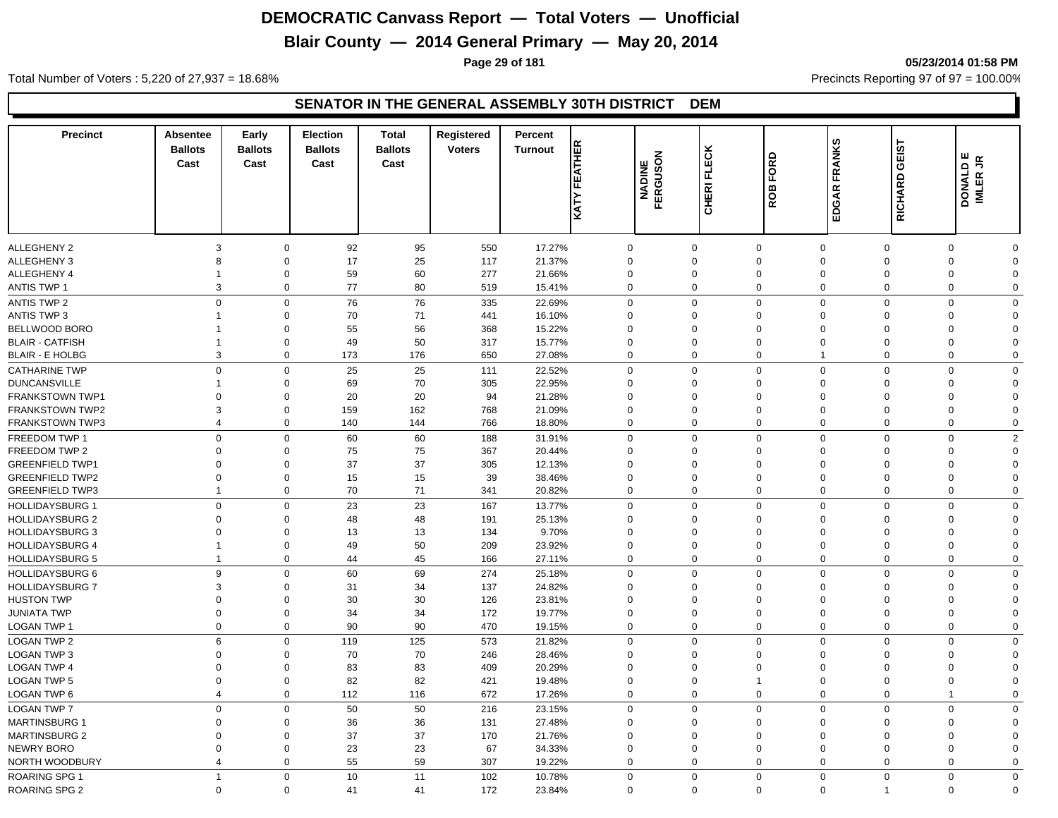## **Blair County — 2014 General Primary — May 20, 2014**

**Page 29 of 181 05/23/2014 01:58 PM**

Total Number of Voters : 5,220 of 27,937 = 18.68% Precincts Reporting 97 of 97 = 100.00%

| <b>Precinct</b>                               | Absentee<br><b>Ballots</b><br>Cast | Early<br><b>Ballots</b><br>Cast | Election<br><b>Ballots</b><br>Cast | <b>Total</b><br><b>Ballots</b><br>Cast | Registered<br><b>Voters</b> | Percent<br><b>Turnout</b> | <b>KATY FEATHER</b>        | <b>NADINE<br/>FERGUSON</b> | CHERI FLECK | FORD<br><b>ROB</b> | FRANKS<br>EDGAR                        | <u>51</u><br>画<br>ত<br>RICHARD | DONALD E<br>IMLER JR |  |
|-----------------------------------------------|------------------------------------|---------------------------------|------------------------------------|----------------------------------------|-----------------------------|---------------------------|----------------------------|----------------------------|-------------|--------------------|----------------------------------------|--------------------------------|----------------------|--|
|                                               |                                    |                                 |                                    |                                        |                             |                           |                            |                            |             |                    |                                        |                                |                      |  |
| <b>ALLEGHENY 2</b>                            | 3                                  | $\mathbf 0$                     | 92                                 | 95                                     | 550                         | 17.27%                    | $\mathbf 0$                | $\mathbf 0$                |             | $\Omega$           | $\mathbf 0$<br>$\mathbf 0$             | $\Omega$                       | O                    |  |
| ALLEGHENY 3                                   | 8                                  | $\mathbf 0$                     | 17                                 | 25                                     | 117                         | 21.37%                    | $\Omega$                   | $\Omega$                   |             | $\Omega$           | $\Omega$<br>$\Omega$                   | $\Omega$                       | $\Omega$             |  |
| ALLEGHENY 4                                   | 1                                  | $\mathbf 0$                     | 59                                 | 60                                     | 277                         | 21.66%                    | $\mathbf 0$                | $\mathbf 0$                |             | $\mathbf 0$        | $\mathbf 0$<br>$\mathbf 0$             | 0                              | $\Omega$             |  |
| <b>ANTIS TWP 1</b>                            | 3                                  | $\mathbf 0$                     | 77                                 | 80                                     | 519                         | 15.41%                    | $\mathbf 0$                | $\mathbf 0$                |             | $\mathbf 0$        | $\mathbf 0$<br>$\mathbf 0$             | $\mathbf 0$                    | $\mathbf 0$          |  |
| <b>ANTIS TWP 2</b>                            | $\mathbf 0$                        | $\mathbf 0$                     | 76                                 | 76                                     | 335                         | 22.69%                    | $\mathbf 0$                | $\Omega$                   |             | $\Omega$           | $\mathbf 0$<br>$\mathbf 0$             | $\Omega$                       | $\Omega$             |  |
| <b>ANTIS TWP 3</b>                            | $\overline{1}$                     | $\mathsf 0$                     | 70                                 | 71                                     | 441                         | 16.10%                    | $\Omega$                   | $\Omega$                   |             | $\Omega$           | $\Omega$<br>$\Omega$                   | $\Omega$                       | $\Omega$             |  |
| BELLWOOD BORO                                 |                                    | $\mathsf 0$                     | 55                                 | 56                                     | 368                         | 15.22%                    | $\Omega$                   | $\Omega$                   |             | $\Omega$           | $\Omega$<br>$\Omega$                   | $\Omega$                       | $\Omega$             |  |
| <b>BLAIR - CATFISH</b>                        | 1                                  | $\mathbf 0$                     | 49                                 | 50                                     | 317                         | 15.77%                    | $\mathbf 0$                | $\mathbf 0$                |             | $\Omega$           | $\Omega$<br>$\Omega$                   | $\Omega$                       | $\Omega$             |  |
| <b>BLAIR - E HOLBG</b>                        | 3                                  | $\mathbf 0$                     | 173                                | 176                                    | 650                         | 27.08%                    | $\mathbf 0$                | $\mathbf 0$                |             | $\mathbf 0$        | $\mathbf 0$<br>$\mathbf{1}$            | $\mathbf 0$                    | $\mathbf 0$          |  |
|                                               | $\Omega$                           | $\mathbf 0$                     |                                    |                                        |                             |                           |                            | $\Omega$                   |             | $\Omega$           | $\mathbf 0$                            |                                | $\Omega$             |  |
| <b>CATHARINE TWP</b>                          | 1                                  |                                 | 25                                 | 25                                     | 111                         | 22.52%                    | $\mathbf 0$                |                            |             | $\Omega$           | $\mathbf 0$<br>$\mathbf 0$             | $\mathbf 0$<br>$\Omega$        |                      |  |
| <b>DUNCANSVILLE</b><br><b>FRANKSTOWN TWP1</b> |                                    | $\mathbf 0$<br>$\mathbf 0$      | 69<br>20                           | 70<br>20                               | 305<br>94                   | 22.95%                    | $\mathbf 0$<br>$\mathbf 0$ | $\mathbf 0$<br>$\mathbf 0$ |             | $\mathbf 0$        | $\mathbf 0$<br>$\mathbf 0$<br>$\Omega$ | $\Omega$                       | $\Omega$<br>$\Omega$ |  |
|                                               | $\mathbf 0$<br>3                   | $\mathbf 0$                     | 159                                | 162                                    | 768                         | 21.28%                    | $\mathbf 0$                | $\mathbf 0$                |             | $\mathbf 0$        | $\mathbf 0$<br>$\mathbf 0$             | $\mathbf 0$                    | 0                    |  |
| <b>FRANKSTOWN TWP2</b>                        | $\overline{4}$                     | $\mathbf 0$                     |                                    | 144                                    | 766                         | 21.09%                    | $\mathbf 0$                | $\mathbf 0$                |             | $\mathbf 0$        | $\mathbf 0$<br>$\mathbf 0$             | $\mathbf 0$                    |                      |  |
| <b>FRANKSTOWN TWP3</b>                        |                                    |                                 | 140                                |                                        |                             | 18.80%                    |                            |                            |             |                    |                                        |                                | 0                    |  |
| FREEDOM TWP 1                                 | $\mathbf 0$                        | $\mathsf 0$                     | 60                                 | 60                                     | 188                         | 31.91%                    | $\mathbf 0$                | $\mathbf 0$                |             | $\Omega$           | $\Omega$<br>$\mathbf 0$                | $\Omega$                       | $\overline{2}$       |  |
| FREEDOM TWP 2                                 | $\Omega$                           | $\mathbf 0$                     | 75                                 | 75                                     | 367                         | 20.44%                    | $\Omega$                   | $\Omega$                   |             | $\Omega$           | $\Omega$<br>$\Omega$                   | $\Omega$                       | $\Omega$             |  |
| <b>GREENFIELD TWP1</b>                        | $\mathbf 0$                        | $\mathbf 0$                     | 37                                 | 37                                     | 305                         | 12.13%                    | $\mathbf 0$                | $\mathbf 0$                |             | $\Omega$           | $\Omega$<br>$\Omega$                   | $\Omega$                       | $\Omega$             |  |
| <b>GREENFIELD TWP2</b>                        | $\mathbf 0$<br>$\mathbf{1}$        | $\mathbf 0$                     | 15                                 | 15                                     | 39                          | 38.46%                    | $\Omega$                   | $\mathbf 0$                |             | $\Omega$           | $\Omega$<br>$\Omega$                   | $\Omega$                       | $\Omega$             |  |
| <b>GREENFIELD TWP3</b>                        |                                    | $\mathbf 0$                     | 70                                 | 71                                     | 341                         | 20.82%                    | $\mathbf 0$                | $\Omega$                   |             | $\Omega$           | $\mathbf 0$<br>$\mathbf 0$             | $\Omega$                       | 0                    |  |
| <b>HOLLIDAYSBURG 1</b>                        | $\mathbf 0$                        | $\mathbf 0$                     | 23                                 | 23                                     | 167                         | 13.77%                    | $\mathbf 0$                | $\mathbf 0$                |             | $\Omega$           | $\Omega$<br>$\Omega$                   | $\mathbf 0$                    | $\Omega$             |  |
| <b>HOLLIDAYSBURG 2</b>                        | $\mathbf 0$                        | $\mathbf 0$                     | 48                                 | 48                                     | 191                         | 25.13%                    | $\mathbf 0$                | $\mathbf 0$                |             | $\mathbf 0$        | $\mathbf 0$<br>$\mathbf 0$             | $\Omega$                       | $\Omega$             |  |
| <b>HOLLIDAYSBURG 3</b>                        | $\mathbf 0$                        | $\mathbf 0$                     | 13                                 | 13                                     | 134                         | 9.70%                     | $\mathbf 0$                | $\mathbf 0$                |             | $\Omega$           | $\Omega$<br>$\Omega$                   | $\Omega$                       | $\Omega$             |  |
| <b>HOLLIDAYSBURG 4</b>                        | $\mathbf{1}$                       | $\mathbf 0$                     | 49                                 | 50                                     | 209                         | 23.92%                    | $\mathbf 0$                | $\mathbf 0$                |             | $\mathbf 0$        | $\mathbf 0$<br>$\mathbf 0$             | $\mathbf 0$                    | $\mathbf 0$          |  |
| <b>HOLLIDAYSBURG 5</b>                        | $\mathbf{1}$                       | $\mathbf 0$                     | 44                                 | 45                                     | 166                         | 27.11%                    | $\mathbf 0$                | $\mathbf 0$                |             | $\mathbf 0$        | $\mathbf 0$<br>0                       | $\mathbf 0$                    | $\mathbf 0$          |  |
| HOLLIDAYSBURG 6                               | 9                                  | $\mathbf 0$                     | 60                                 | 69                                     | 274                         | 25.18%                    | $\mathbf 0$                | $\mathbf 0$                |             | $\Omega$           | $\Omega$<br>$\Omega$                   | $\Omega$                       | $\Omega$             |  |
| <b>HOLLIDAYSBURG 7</b>                        | 3                                  | $\mathbf 0$                     | 31                                 | 34                                     | 137                         | 24.82%                    | $\Omega$                   | $\Omega$                   |             | $\Omega$           | $\Omega$<br>$\Omega$                   | $\Omega$                       | $\Omega$             |  |
| <b>HUSTON TWP</b>                             | $\mathbf 0$                        | $\mathbf 0$                     | 30                                 | 30                                     | 126                         | 23.81%                    | $\mathbf 0$                | $\mathbf 0$                |             | $\Omega$           | $\Omega$<br>$\mathbf 0$                | $\Omega$                       | $\Omega$             |  |
| <b>JUNIATA TWP</b>                            | $\mathbf 0$                        | $\mathbf 0$                     | 34                                 | 34                                     | 172                         | 19.77%                    | $\mathbf 0$                | $\Omega$                   |             | $\Omega$           | $\mathbf 0$<br>$\mathbf 0$             | $\Omega$                       | $\Omega$             |  |
| LOGAN TWP 1                                   | $\mathbf 0$                        | $\mathbf 0$                     | 90                                 | 90                                     | 470                         | 19.15%                    | $\mathbf 0$                | $\Omega$                   |             | $\Omega$           | $\mathbf 0$<br>$\pmb{0}$               | $\Omega$                       | 0                    |  |
| LOGAN TWP 2                                   | 6                                  | $\mathbf 0$                     | 119                                | 125                                    | 573                         | 21.82%                    | $\mathbf 0$                | $\mathbf 0$                |             | $\Omega$           | $\Omega$<br>$\Omega$                   | $\Omega$                       | $\Omega$             |  |
| LOGAN TWP 3                                   | $\mathbf 0$                        | $\mathbf 0$                     | 70                                 | 70                                     | 246                         | 28.46%                    | $\mathbf 0$                | $\mathbf 0$                |             | $\Omega$           | $\mathbf 0$<br>$\mathbf 0$             | $\Omega$                       | $\Omega$             |  |
| <b>LOGAN TWP 4</b>                            | $\mathbf 0$                        | $\mathbf 0$                     | 83                                 | 83                                     | 409                         | 20.29%                    | $\Omega$                   | $\Omega$                   |             | $\Omega$           | $\mathbf 0$<br>$\mathbf 0$             | $\Omega$                       | $\Omega$             |  |
| <b>LOGAN TWP 5</b>                            | $\mathbf 0$                        | $\mathbf 0$                     | 82                                 | 82                                     | 421                         | 19.48%                    | $\mathbf 0$                | $\mathbf 0$                |             | 1                  | $\mathbf 0$<br>$\mathbf 0$             | $\Omega$                       | $\Omega$             |  |
| LOGAN TWP 6                                   | $\overline{4}$                     | $\mathbf 0$                     | 112                                | 116                                    | 672                         | 17.26%                    | $\mathbf 0$                | $\mathbf 0$                |             | $\mathbf 0$        | $\mathbf 0$<br>$\pmb{0}$               | $\overline{1}$                 | $\mathbf 0$          |  |
| <b>LOGAN TWP 7</b>                            | $\mathbf 0$                        | $\mathbf 0$                     | 50                                 | 50                                     | 216                         | 23.15%                    | $\mathbf 0$                | $\mathbf 0$                |             | $\Omega$           | $\Omega$<br>$\Omega$                   | $\Omega$                       | $\Omega$             |  |
| <b>MARTINSBURG 1</b>                          | $\Omega$                           | $\mathbf 0$                     | 36                                 | 36                                     | 131                         | 27.48%                    | $\Omega$                   | $\Omega$                   |             | $\Omega$           | $\Omega$<br>$\Omega$                   | $\Omega$                       | $\Omega$             |  |
| <b>MARTINSBURG 2</b>                          | $\mathbf 0$                        | $\mathbf 0$                     | 37                                 | 37                                     | 170                         | 21.76%                    | $\Omega$                   | $\mathbf 0$                |             | $\Omega$           | $\Omega$<br>$\Omega$                   | $\Omega$                       | $\Omega$             |  |
| NEWRY BORO                                    | $\Omega$                           | $\mathbf 0$                     | 23                                 | 23                                     | 67                          | 34.33%                    | $\mathbf 0$                | $\Omega$                   |             | $\Omega$           | $\Omega$<br>$\Omega$                   | $\Omega$                       | $\Omega$             |  |
| NORTH WOODBURY                                | $\overline{\mathbf{4}}$            | $\mathbf 0$                     | 55                                 | 59                                     | 307                         | 19.22%                    | $\Omega$                   | $\Omega$                   |             | $\Omega$           | $\Omega$<br>$\Omega$                   | $\Omega$                       | $\Omega$             |  |
| <b>ROARING SPG 1</b>                          | $\overline{1}$                     | $\mathbf{0}$                    | 10                                 | 11                                     | 102                         | 10.78%                    | $\mathbf 0$                | $\mathbf 0$                |             | $\mathbf 0$        | $\mathbf 0$<br>$\Omega$                | $\mathbf 0$                    | $\mathbf 0$          |  |
| <b>ROARING SPG 2</b>                          | $\mathbf 0$                        | $\mathbf 0$                     | 41                                 | 41                                     | 172                         | 23.84%                    | $\Omega$                   | $\Omega$                   |             | $\Omega$           | $\mathbf 0$                            | $\Omega$                       | $\Omega$             |  |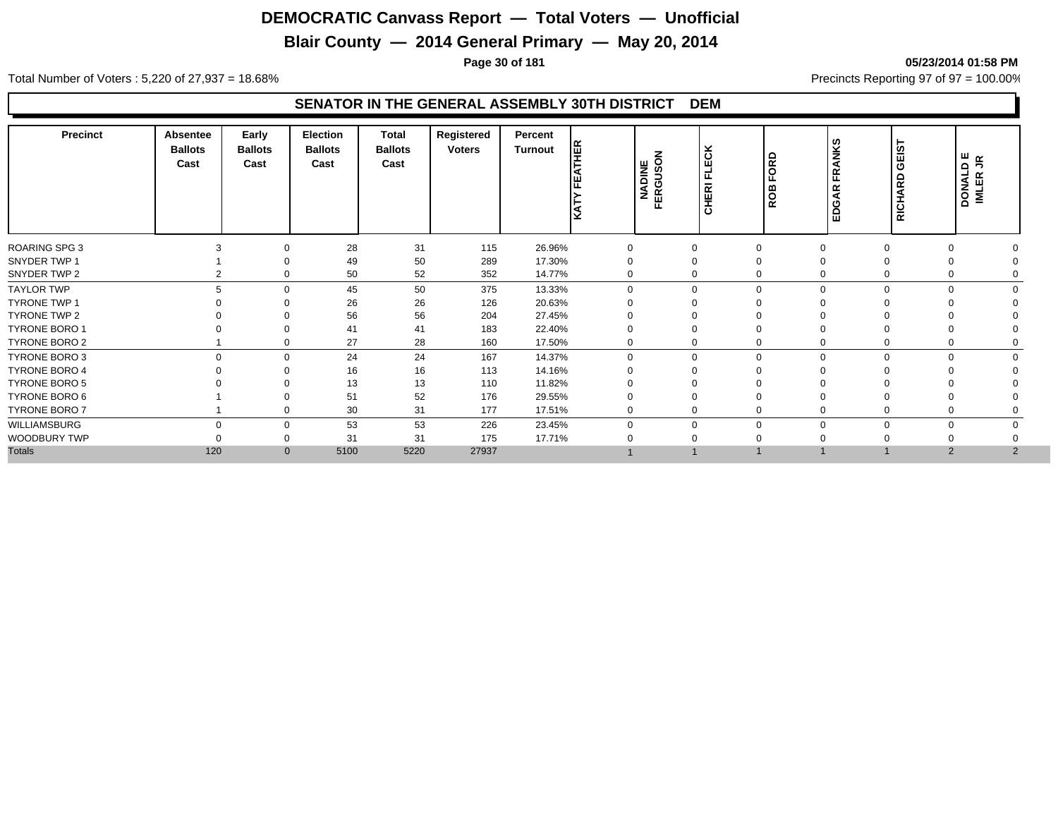## **Blair County — 2014 General Primary — May 20, 2014**

**Page 30 of 181 05/23/2014 01:58 PM**

Total Number of Voters : 5,220 of 27,937 = 18.68% Precincts Reporting 97 of 97 = 100.00%

| <b>Precinct</b>      | Absentee<br><b>Ballots</b><br>Cast | Early<br><b>Ballots</b><br>Cast | Election<br><b>Ballots</b><br>Cast | Total<br><b>Ballots</b><br>Cast | Registered<br><b>Voters</b> | Percent<br><b>Turnout</b> | HER<br>ѥ<br>KATY | z<br>NADINE<br>FERGUSOI | ECK<br>ட<br><b>CHERI</b> | ORD<br>≃<br>ē | <b>NIKS</b><br>m<br>œ<br>≏<br>ш | ΞŚ<br>ပ<br>$\Omega$<br>$\propto$<br>◀<br>동<br>훈 | DONALD E<br>IMLER JR       |  |
|----------------------|------------------------------------|---------------------------------|------------------------------------|---------------------------------|-----------------------------|---------------------------|------------------|-------------------------|--------------------------|---------------|---------------------------------|-------------------------------------------------|----------------------------|--|
| <b>ROARING SPG 3</b> |                                    |                                 | 28                                 | 31                              | 115                         | 26.96%                    | $\mathbf 0$      | $\mathbf 0$             |                          |               |                                 |                                                 |                            |  |
| SNYDER TWP 1         |                                    |                                 | 49                                 | 50                              | 289                         | 17.30%                    |                  |                         |                          |               |                                 |                                                 |                            |  |
| SNYDER TWP 2         |                                    |                                 | 50                                 | 52                              | 352                         | 14.77%                    | 0                |                         |                          |               | 0                               |                                                 |                            |  |
| <b>TAYLOR TWP</b>    |                                    | $\Omega$                        | 45                                 | 50                              | 375                         | 13.33%                    | $\Omega$         | $\mathbf 0$             |                          | $\Omega$      | $\mathbf 0$                     | $\Omega$                                        | $\Omega$                   |  |
| <b>TYRONE TWP 1</b>  |                                    |                                 | 26                                 | 26                              | 126                         | 20.63%                    |                  |                         |                          |               |                                 |                                                 |                            |  |
| TYRONE TWP 2         |                                    |                                 | 56                                 | 56                              | 204                         | 27.45%                    |                  |                         |                          |               |                                 |                                                 |                            |  |
| <b>TYRONE BORO 1</b> |                                    |                                 | 41                                 | 41                              | 183                         | 22.40%                    |                  |                         |                          |               |                                 |                                                 |                            |  |
| TYRONE BORO 2        |                                    |                                 | 27                                 | 28                              | 160                         | 17.50%                    | 0                | 0                       |                          |               | 0                               |                                                 |                            |  |
| TYRONE BORO 3        | $\Omega$                           | $\Omega$                        | 24                                 | 24                              | 167                         | 14.37%                    | $\Omega$         | $\Omega$                |                          | $\Omega$      | $\mathbf 0$                     | $\Omega$                                        | $\Omega$                   |  |
| <b>TYRONE BORO 4</b> |                                    |                                 | 16                                 | 16                              | 113                         | 14.16%                    |                  |                         |                          |               |                                 |                                                 |                            |  |
| <b>TYRONE BORO 5</b> |                                    |                                 | 13                                 | 13                              | 110                         | 11.82%                    |                  |                         |                          |               |                                 |                                                 |                            |  |
| TYRONE BORO 6        |                                    |                                 | 51                                 | 52                              | 176                         | 29.55%                    |                  |                         |                          |               |                                 |                                                 |                            |  |
| TYRONE BORO 7        |                                    | $\Omega$                        | 30                                 | 31                              | 177                         | 17.51%                    | $\mathbf 0$      | 0                       |                          |               | 0                               |                                                 |                            |  |
| WILLIAMSBURG         | $\Omega$                           | $\Omega$                        | 53                                 | 53                              | 226                         | 23.45%                    | $\Omega$         | $\Omega$                |                          |               | $\mathbf 0$                     | 0                                               | $\Omega$                   |  |
| WOODBURY TWP         |                                    |                                 | 31                                 | 31                              | 175                         | 17.71%                    |                  |                         |                          |               |                                 |                                                 |                            |  |
| <b>Totals</b>        | 120                                | $\mathbf{0}$                    | 5100                               | 5220                            | 27937                       |                           |                  |                         |                          |               |                                 |                                                 | $\overline{2}$<br>$\Omega$ |  |
|                      |                                    |                                 |                                    |                                 |                             |                           |                  |                         |                          |               |                                 |                                                 |                            |  |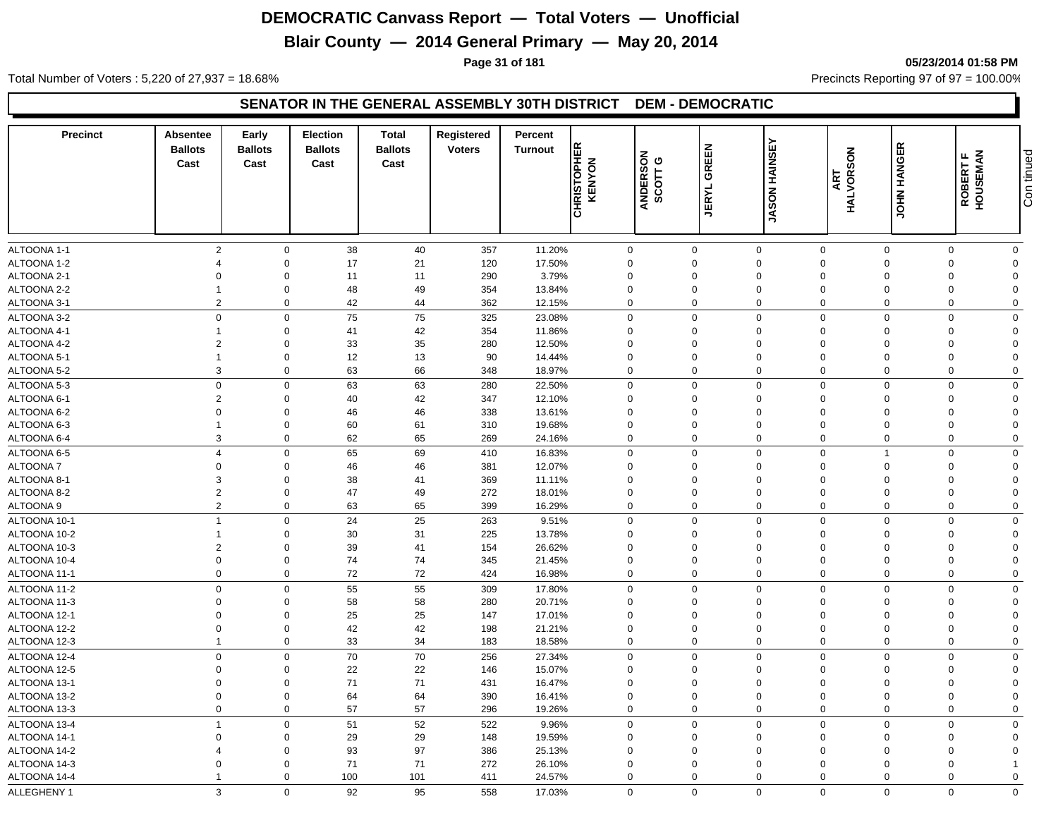## **Blair County — 2014 General Primary — May 20, 2014**

**Page 31 of 181 05/23/2014 01:58 PM**

Total Number of Voters : 5,220 of 27,937 = 18.68% Precincts Reporting 97 of 97 = 100.00%

#### **SENATOR IN THE GENERAL ASSEMBLY 30TH DISTRICT DEM - DEMOCRATIC**

| <b>Precinct</b>              | Absentee<br><b>Ballots</b><br>Cast | Early<br><b>Ballots</b><br>Cast | <b>Election</b><br><b>Ballots</b><br>Cast | Total<br><b>Ballots</b><br>Cast | Registered<br><b>Voters</b> | Percent<br><b>Turnout</b> | <b>CHRISTOPHER</b><br>KENYON | ANDERSON<br>SCOTT G        | <b>GREEN</b><br><b>JERYL</b> | <b>JASON HAINSEY</b> | HALVORSON<br>ART | <b>JOHN HANGER</b>      | ROBERT F<br>HOUSEMAN | Con tinued     |
|------------------------------|------------------------------------|---------------------------------|-------------------------------------------|---------------------------------|-----------------------------|---------------------------|------------------------------|----------------------------|------------------------------|----------------------|------------------|-------------------------|----------------------|----------------|
|                              |                                    |                                 |                                           |                                 |                             |                           |                              |                            |                              |                      |                  |                         |                      |                |
| ALTOONA 1-1                  | $\overline{2}$                     | $\mathbf 0$                     | 38                                        | 40                              | 357                         | 11.20%                    |                              | 0                          | $\mathbf 0$                  | $\mathbf 0$          | $\mathbf 0$      | $\mathbf 0$             | $\Omega$             | $\mathbf 0$    |
| ALTOONA 1-2                  | $\overline{4}$                     | $\mathbf 0$                     | 17                                        | 21                              | 120                         | 17.50%                    | $\Omega$                     |                            | $\Omega$                     | $\mathbf 0$          | $\Omega$         | $\Omega$                | $\Omega$             | $\Omega$       |
| ALTOONA 2-1                  | $\Omega$                           | $\Omega$                        | 11                                        | 11                              | 290                         | 3.79%                     | $\Omega$                     |                            | $\Omega$                     | $\mathbf 0$          | $\Omega$         | $\Omega$                | $\Omega$             | $\Omega$       |
| ALTOONA 2-2                  | -1                                 | $\mathbf 0$                     | 48                                        | 49                              | 354                         | 13.84%                    | $\mathbf 0$                  |                            | $\mathbf 0$                  | $\mathbf 0$          | $\Omega$         | $\Omega$                | $\Omega$             | $\Omega$       |
| ALTOONA 3-1                  | $\overline{2}$                     | $\mathbf 0$                     | 42                                        | 44                              | 362                         | 12.15%                    |                              | $\mathbf 0$                | $\mathbf 0$                  | $\mathbf 0$          | $\mathbf 0$      | 0                       | $\Omega$             | $\Omega$       |
| ALTOONA 3-2                  | $\mathbf 0$                        | $\mathbf 0$                     | 75                                        | 75                              | 325                         | 23.08%                    |                              | $\mathbf 0$                | $\Omega$                     | $\mathbf 0$          | $\Omega$         | $\Omega$                | $\Omega$             | $\Omega$       |
| ALTOONA 4-1                  |                                    | $\mathbf 0$                     | 41                                        | 42                              | 354                         | 11.86%                    | $\mathbf 0$                  |                            | $\Omega$                     | $\mathbf 0$          | $\Omega$         | $\Omega$                | $\Omega$             | $\Omega$       |
| ALTOONA 4-2                  | $\overline{2}$                     | $\mathbf 0$                     | 33                                        | 35                              | 280                         | 12.50%                    | $\mathbf 0$                  |                            | $\mathbf 0$                  | $\mathbf 0$          | $\Omega$         | $\Omega$                | $\Omega$             | $\Omega$       |
| ALTOONA 5-1                  | $\overline{1}$                     | $\mathbf 0$                     | 12                                        | 13                              | 90                          | 14.44%                    |                              | 0                          | $\mathbf 0$                  | $\mathbf 0$          | $\Omega$         | $\Omega$                | $\Omega$             | $\mathbf 0$    |
| ALTOONA 5-2                  | 3                                  | $\mathbf 0$                     | 63                                        | 66                              | 348                         | 18.97%                    |                              | 0                          | $\mathbf 0$                  | $\mathbf 0$          | $\mathbf 0$      | $\mathbf 0$             | $\Omega$             | $\mathbf 0$    |
| ALTOONA 5-3                  | $\mathbf 0$                        | $\mathbf 0$                     | 63                                        | 63                              | 280                         | 22.50%                    |                              | $\mathbf 0$                | $\mathbf 0$                  | $\mathbf 0$          | $\Omega$         | $\Omega$                | $\Omega$             | $\mathbf 0$    |
| ALTOONA 6-1                  | $\overline{2}$                     | $\mathbf 0$                     | 40                                        | 42                              | 347                         | 12.10%                    | $\mathbf 0$                  |                            | $\mathbf 0$                  | $\mathbf 0$          | $\Omega$         | $\Omega$                | $\Omega$             | $\Omega$       |
| ALTOONA 6-2                  | $\Omega$                           | $\mathbf 0$                     | 46                                        | 46                              | 338                         | 13.61%                    | $\mathbf 0$                  |                            | 0                            | $\mathbf 0$          | $\Omega$         | $\Omega$                | $\Omega$             | $\Omega$       |
| ALTOONA 6-3                  | $\overline{1}$                     | $\mathbf 0$                     | 60                                        | 61                              | 310                         | 19.68%                    | $\mathbf 0$                  |                            | 0                            | $\mathbf 0$          | $\Omega$         | $\Omega$                | $\Omega$             | $\Omega$       |
| ALTOONA 6-4                  | 3                                  | $\Omega$                        | 62                                        | 65                              | 269                         | 24.16%                    |                              | $\mathbf 0$                | $\Omega$                     | $\mathbf 0$          | $\Omega$         | $\Omega$                | $\Omega$             | $\mathbf 0$    |
| ALTOONA 6-5                  | $\overline{4}$                     | $\mathbf{0}$                    | 65                                        | 69                              | 410                         | 16.83%                    |                              | $\mathbf 0$                | $\mathbf 0$                  | $\mathbf 0$          | $\mathbf 0$      | $\overline{\mathbf{1}}$ | $\Omega$             | $\mathbf 0$    |
| <b>ALTOONA7</b>              | $\mathbf 0$                        | $\mathbf 0$                     | 46                                        | 46                              | 381                         | 12.07%                    |                              | $\mathbf 0$                | $\mathbf 0$                  | $\mathbf 0$          | $\Omega$         | $\Omega$                | $\Omega$             | $\mathbf 0$    |
| ALTOONA 8-1                  | 3                                  | $\mathbf 0$                     | 38                                        | 41                              | 369                         | 11.11%                    | $\mathbf 0$                  |                            | $\Omega$                     | $\mathbf 0$          | $\Omega$         | $\Omega$                | $\Omega$             | $\mathbf 0$    |
| ALTOONA 8-2                  | $\overline{2}$                     | $\mathbf 0$                     | 47                                        | 49                              | 272                         | 18.01%                    | 0                            |                            | 0                            | $\mathbf 0$          | $\Omega$         | $\Omega$                | $\Omega$             | $\Omega$       |
| ALTOONA 9                    | $\overline{2}$                     | $\mathbf 0$                     | 63                                        | 65                              | 399                         | 16.29%                    |                              | $\mathbf 0$                | $\mathbf 0$                  | $\mathbf 0$          | $\mathbf 0$      | $\mathbf 0$             | 0                    | $\mathbf 0$    |
| ALTOONA 10-1                 | $\overline{1}$                     | $\mathbf 0$                     | 24                                        | 25                              | 263                         | 9.51%                     |                              | $\mathbf 0$                | $\mathbf 0$                  | $\mathbf 0$          | $\mathbf 0$      | $\Omega$                | $\Omega$             | $\mathbf 0$    |
| ALTOONA 10-2                 | $\mathbf{1}$                       | $\mathbf 0$                     | 30                                        | 31                              | 225                         | 13.78%                    | $\mathbf 0$                  |                            | $\Omega$                     | $\mathbf 0$          | $\Omega$         | $\Omega$                | $\Omega$             | $\mathbf 0$    |
| ALTOONA 10-3                 | $\overline{2}$                     | $\Omega$                        | 39                                        | 41                              | 154                         | 26.62%                    | 0                            |                            | 0                            | $\mathbf 0$          | $\Omega$         | $\Omega$                | $\Omega$             | $\Omega$       |
| ALTOONA 10-4                 | $\mathbf 0$                        | $\mathbf 0$                     | 74                                        | 74                              | 345                         | 21.45%                    |                              | $\mathbf 0$                | $\mathbf 0$                  | $\mathbf 0$          | $\Omega$         | $\Omega$                | $\Omega$             | $\Omega$       |
| ALTOONA 11-1                 | $\mathbf 0$                        | $\mathbf 0$                     | 72                                        | 72                              | 424                         | 16.98%                    |                              | $\mathbf 0$                | $\mathbf 0$                  | $\mathbf 0$          | $\mathbf 0$      | $\mathbf 0$             | $\mathbf 0$          | $\mathbf 0$    |
| ALTOONA 11-2                 | $\Omega$                           | $\mathbf 0$                     | 55                                        | 55                              | 309                         | 17.80%                    |                              | $\mathbf 0$                | $\mathbf 0$                  | $\mathbf 0$          | $\Omega$         | $\Omega$                | $\Omega$             | $\mathbf 0$    |
| ALTOONA 11-3                 | $\Omega$                           | $\mathbf 0$                     | 58                                        | 58                              | 280                         | 20.71%                    | $\mathbf 0$                  |                            | 0                            | $\mathbf 0$          | $\Omega$         | $\Omega$                | $\Omega$             | $\Omega$       |
| ALTOONA 12-1                 | $\Omega$                           | $\mathbf 0$                     | 25                                        | 25                              | 147                         | 17.01%                    | $\Omega$                     |                            | $\Omega$                     | $\mathbf 0$          | $\Omega$         | $\Omega$                | $\Omega$             | $\Omega$       |
| ALTOONA 12-2                 | $\mathbf 0$                        | $\mathbf 0$                     | 42                                        | 42                              | 198                         | 21.21%                    |                              | $\mathbf 0$                | $\mathbf 0$                  | $\mathbf 0$          | $\mathbf 0$      | $\Omega$                | $\Omega$             | $\overline{0}$ |
| ALTOONA 12-3                 | $\overline{1}$                     | $\mathbf 0$                     | 33                                        | 34                              | 183                         | 18.58%                    |                              | $\mathbf 0$                | $\mathbf 0$                  | $\mathbf 0$          | $\mathbf 0$      | $\mathbf 0$             | 0                    | $\mathbf 0$    |
|                              | $\pmb{0}$                          | $\mathbf 0$                     | 70                                        | $70\,$                          |                             |                           |                              | $\mathsf{O}\xspace$        | $\mathbf 0$                  | $\mathbf 0$          | $\Omega$         | $\Omega$                | $\Omega$             | $\mathbf 0$    |
| ALTOONA 12-4<br>ALTOONA 12-5 | $\Omega$                           | $\mathbf 0$                     | 22                                        | 22                              | 256<br>146                  | 27.34%<br>15.07%          |                              | $\mathbf 0$                | $\Omega$                     | $\mathbf 0$          | $\Omega$         | $\Omega$                | $\Omega$             | $\mathbf 0$    |
| ALTOONA 13-1                 | $\mathbf 0$                        | $\mathbf 0$                     | 71                                        | 71                              |                             |                           | $\mathbf 0$                  |                            | $\mathbf 0$                  | $\mathbf 0$          | $\Omega$         | $\Omega$                | $\Omega$             | $\mathbf 0$    |
|                              | $\mathbf 0$                        | $\mathbf 0$                     |                                           |                                 | 431<br>390                  | 16.47%                    |                              |                            | $\mathbf 0$                  | $\mathbf 0$          | $\mathbf 0$      | $\Omega$                | $\mathbf 0$          | $\mathbf 0$    |
| ALTOONA 13-2<br>ALTOONA 13-3 | $\mathbf 0$                        | $\mathbf 0$                     | 64<br>57                                  | 64<br>57                        | 296                         | 16.41%<br>19.26%          |                              | $\mathbf 0$<br>$\mathbf 0$ | $\mathbf 0$                  | $\mathbf 0$          | $\mathbf 0$      | $\mathbf 0$             | $\Omega$             | $\mathbf 0$    |
|                              |                                    |                                 |                                           |                                 |                             |                           |                              |                            |                              |                      |                  |                         |                      |                |
| ALTOONA 13-4                 | $\overline{1}$                     | $\mathbf 0$                     | 51                                        | 52                              | 522                         | 9.96%                     |                              | $\mathbf 0$                | $\mathbf 0$                  | $\mathbf 0$          | $\Omega$         | $\Omega$                | $\Omega$             | $\mathbf 0$    |
| ALTOONA 14-1                 | $\mathbf 0$                        | $\mathbf 0$                     | 29                                        | 29                              | 148                         | 19.59%                    |                              | $\mathbf 0$                | $\mathbf 0$                  | $\mathbf 0$          | $\Omega$         | $\Omega$                | $\Omega$             | $\Omega$       |
| ALTOONA 14-2                 |                                    | $\mathbf 0$                     | 93                                        | 97                              | 386                         | 25.13%                    | $\mathbf 0$                  |                            | $\Omega$                     | $\mathbf 0$          | $\Omega$         | $\Omega$<br>$\Omega$    | $\Omega$             | $\Omega$       |
| ALTOONA 14-3                 | $\Omega$                           | $\Omega$                        | 71                                        | 71                              | 272                         | 26.10%                    | $\mathbf 0$                  |                            | $\Omega$                     | $\Omega$             | $\Omega$         |                         | $\Omega$             |                |
| ALTOONA 14-4                 |                                    | $\Omega$                        | 100                                       | 101                             | 411                         | 24.57%                    |                              | $\mathbf 0$                | $\mathbf 0$                  | $\Omega$             | $\mathbf 0$      | $\Omega$                | $\Omega$             | $\Omega$       |
| ALLEGHENY 1                  | 3                                  | $\mathbf 0$                     | 92                                        | 95                              | 558                         | 17.03%                    |                              | $\mathbf 0$                | $\mathbf 0$                  | $\mathbf 0$          | $\mathbf{0}$     | $\mathbf 0$             | $\mathbf 0$          | $\mathbf 0$    |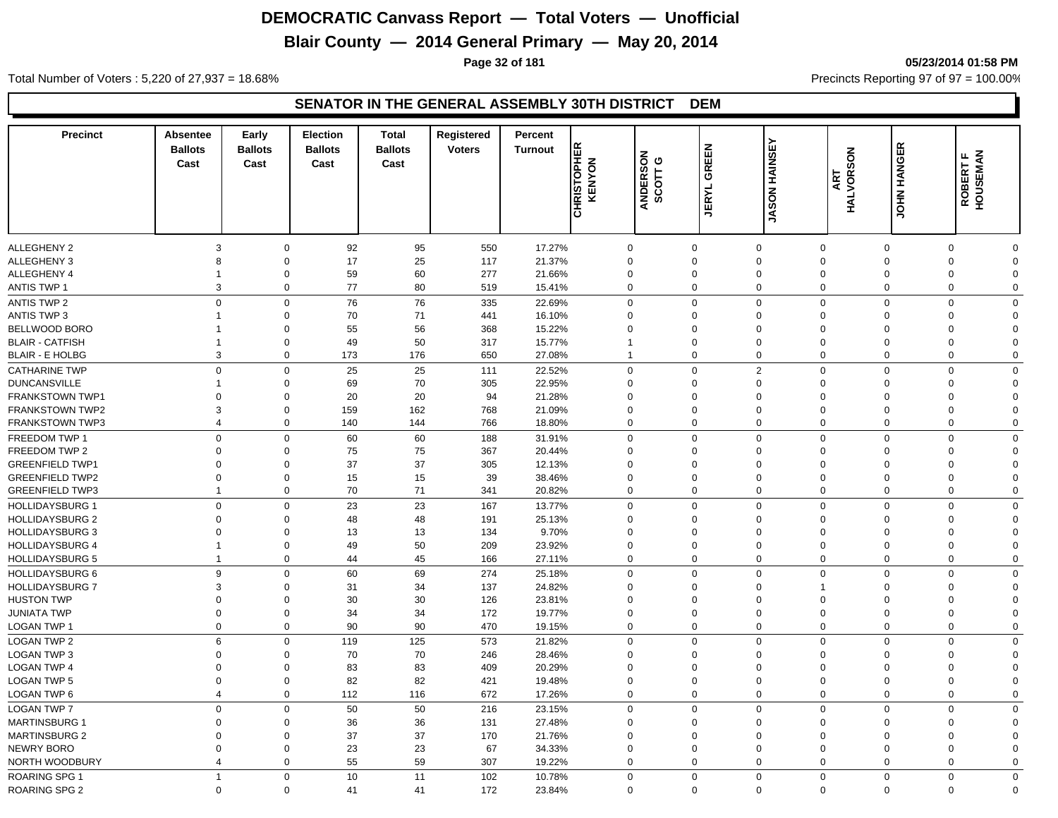## **Blair County — 2014 General Primary — May 20, 2014**

**Page 32 of 181 05/23/2014 01:58 PM**

Total Number of Voters : 5,220 of 27,937 = 18.68% Precincts Reporting 97 of 97 = 100.00%

| <b>Precinct</b>                                  | <b>Absentee</b><br><b>Ballots</b><br>Cast | Early<br><b>Ballots</b><br>Cast | <b>Election</b><br><b>Ballots</b><br>Cast | <b>Total</b><br><b>Ballots</b><br>Cast | Registered<br><b>Voters</b> | Percent<br><b>Turnout</b> | <b>CHRISTOPHER</b><br>KENYON | ANDERSON<br>SCOTT G        | <b>JERYL GREEN</b> | <b><i>ABON HAINSEY</i></b> | HALVORSON<br>ART              | <b>JOHN HANGER</b>   | <b>ROBERT F<br/>HOUSEMAN</b> |                      |
|--------------------------------------------------|-------------------------------------------|---------------------------------|-------------------------------------------|----------------------------------------|-----------------------------|---------------------------|------------------------------|----------------------------|--------------------|----------------------------|-------------------------------|----------------------|------------------------------|----------------------|
|                                                  |                                           |                                 |                                           |                                        |                             |                           |                              |                            |                    |                            |                               |                      |                              |                      |
| <b>ALLEGHENY 2</b>                               |                                           | $\mathbf 0$<br>3                | 92                                        | 95                                     | 550                         | 17.27%                    | $\mathbf 0$                  | $\mathbf 0$                |                    | $\Omega$                   | $\mathbf 0$                   | $\mathbf 0$          | $\Omega$                     | O                    |
| <b>ALLEGHENY 3</b>                               | 8                                         | $\mathbf 0$                     | 17                                        | 25                                     | 117                         | 21.37%                    | $\Omega$                     | $\mathbf 0$                |                    | $\Omega$                   | $\Omega$                      | $\Omega$             | $\Omega$                     | $\Omega$             |
| <b>ALLEGHENY 4</b><br><b>ANTIS TWP 1</b>         | 1                                         | $\mathbf 0$<br>3<br>$\mathbf 0$ | 59<br>77                                  | 60<br>80                               | 277<br>519                  | 21.66%<br>15.41%          | $\mathbf 0$<br>$\mathbf 0$   | $\mathbf 0$<br>$\mathbf 0$ |                    | $\Omega$<br>$\Omega$       | $\overline{0}$<br>$\mathbf 0$ | 0<br>$\mathbf 0$     | $\Omega$<br>$\mathbf 0$      | $\Omega$<br>$\Omega$ |
|                                                  |                                           |                                 |                                           |                                        |                             |                           |                              |                            |                    |                            |                               |                      |                              |                      |
| <b>ANTIS TWP 2</b>                               |                                           | $\mathbf 0$<br>$\mathbf 0$      | 76                                        | 76                                     | 335                         | 22.69%                    | $\mathbf 0$                  | $\mathbf 0$                |                    | $\Omega$                   | $\mathbf 0$                   | $\mathbf 0$          | $\Omega$                     | $\Omega$             |
| <b>ANTIS TWP 3</b>                               | 1                                         | $\mathbf 0$                     | 70                                        | 71                                     | 441                         | 16.10%                    | $\Omega$                     | $\mathbf 0$                |                    | $\Omega$                   | $\overline{0}$                | 0                    | $\Omega$                     | $\Omega$             |
| BELLWOOD BORO                                    | 1                                         | $\mathbf 0$                     | 55                                        | 56                                     | 368                         | 15.22%                    | $\Omega$                     | $\mathbf 0$                |                    | $\Omega$                   | $\mathbf 0$                   | 0                    | $\Omega$                     | $\Omega$<br>$\Omega$ |
| <b>BLAIR - CATFISH</b>                           | $\mathbf 1$                               | $\mathbf 0$<br>3<br>$\mathbf 0$ | 49<br>173                                 | 50                                     | 317                         | 15.77%                    | $\overline{1}$               | $\mathbf 0$<br>$\mathbf 0$ |                    | $\mathbf 0$<br>$\mathbf 0$ | $\mathbf 0$<br>$\mathbf 0$    | 0<br>0               | $\mathbf 0$<br>$\mathbf 0$   | $\mathbf 0$          |
| <b>BLAIR - E HOLBG</b>                           |                                           |                                 |                                           | 176                                    | 650                         | 27.08%                    |                              |                            |                    |                            |                               |                      |                              |                      |
| <b>CATHARINE TWP</b>                             |                                           | $\mathbf 0$<br>$\mathbf 0$      | 25                                        | 25                                     | 111                         | 22.52%                    | $\mathbf 0$                  | $\mathbf 0$                |                    | $\overline{2}$             | $\Omega$                      | $\mathbf 0$          | $\Omega$                     | $\Omega$             |
| <b>DUNCANSVILLE</b>                              | 1                                         | $\mathbf 0$                     | 69                                        | 70                                     | 305                         | 22.95%                    | $\Omega$<br>$\Omega$         | $\mathbf 0$<br>$\mathbf 0$ |                    | $\Omega$<br>$\Omega$       | $\Omega$<br>$\Omega$          | $\Omega$<br>$\Omega$ | $\Omega$                     | $\Omega$             |
| <b>FRANKSTOWN TWP1</b><br><b>FRANKSTOWN TWP2</b> | $\Omega$                                  | $\mathbf 0$<br>3<br>$\mathbf 0$ | 20<br>159                                 | 20<br>162                              | 94<br>768                   | 21.28%<br>21.09%          |                              | $\mathbf 0$                |                    | $\Omega$                   | $\overline{0}$                |                      | $\Omega$<br>$\Omega$         | $\Omega$<br>$\Omega$ |
|                                                  |                                           | $\overline{4}$                  |                                           |                                        |                             |                           | $\mathbf 0$<br>$\mathbf 0$   |                            |                    | $\mathbf 0$                | $\mathbf 0$                   | 0<br>0               | $\mathbf 0$                  | $\mathbf 0$          |
| <b>FRANKSTOWN TWP3</b>                           |                                           | $\mathbf 0$                     | 140                                       | 144                                    | 766                         | 18.80%                    |                              | $\mathbf 0$                |                    |                            |                               |                      |                              |                      |
| FREEDOM TWP 1                                    |                                           | $\mathbf 0$<br>$\mathbf 0$      | 60                                        | 60                                     | 188                         | 31.91%                    | $\mathbf 0$                  | $\mathbf 0$                |                    | $\Omega$                   | $\mathbf 0$                   | $\mathbf 0$          | $\Omega$                     | $\Omega$             |
| FREEDOM TWP 2                                    | 0                                         | $\mathbf 0$                     | 75                                        | 75                                     | 367                         | 20.44%                    | $\Omega$                     | $\mathbf 0$                |                    | $\mathbf 0$                | $\overline{0}$                | 0                    | $\Omega$                     | $\Omega$             |
| <b>GREENFIELD TWP1</b>                           |                                           | 0<br>$\mathbf 0$                | 37                                        | 37                                     | 305                         | 12.13%                    | $\mathbf 0$                  | $\mathbf 0$                |                    | $\mathbf 0$                | $\mathbf 0$                   | 0                    | $\Omega$                     | 0                    |
| <b>GREENFIELD TWP2</b>                           |                                           | $\mathbf 0$<br>0                | 15                                        | 15                                     | 39                          | 38.46%                    | $\Omega$                     | $\mathbf 0$                |                    | $\mathbf 0$                | $\mathbf 0$                   | 0                    | $\mathbf 0$                  | 0                    |
| <b>GREENFIELD TWP3</b>                           | 1                                         | $\mathbf 0$                     | 70                                        | 71                                     | 341                         | 20.82%                    | $\mathbf 0$                  | $\mathbf 0$                |                    | $\mathbf 0$                | $\mathbf 0$                   | 0                    | $\mathbf 0$                  | 0                    |
| <b>HOLLIDAYSBURG 1</b>                           |                                           | $\mathbf 0$<br>$\mathbf 0$      | 23                                        | 23                                     | 167                         | 13.77%                    | $\mathbf 0$                  | $\mathbf 0$                |                    | $\Omega$                   | $\mathbf 0$                   | $\mathbf 0$          | $\mathbf 0$                  | $\Omega$             |
| <b>HOLLIDAYSBURG 2</b>                           |                                           | $\mathbf 0$<br>$\Omega$         | 48                                        | 48                                     | 191                         | 25.13%                    | $\Omega$                     | $\mathbf 0$                |                    | $\Omega$                   | $\overline{0}$                | $\mathbf 0$          | $\Omega$                     | $\Omega$             |
| <b>HOLLIDAYSBURG 3</b>                           | $\Omega$                                  | $\mathbf 0$                     | 13                                        | 13                                     | 134                         | 9.70%                     | $\Omega$                     | $\Omega$                   |                    | $\Omega$                   | $\Omega$                      | $\Omega$             | $\Omega$                     | $\Omega$             |
| <b>HOLLIDAYSBURG 4</b>                           | 1                                         | $\mathbf 0$                     | 49                                        | 50                                     | 209                         | 23.92%                    | 0                            | $\mathbf 0$                |                    | $\Omega$                   | $\overline{0}$                | 0                    | $\Omega$                     | $\Omega$             |
| <b>HOLLIDAYSBURG 5</b>                           | $\overline{1}$                            | $\mathbf 0$                     | 44                                        | 45                                     | 166                         | 27.11%                    | $\mathbf 0$                  | $\mathbf 0$                |                    | $\mathbf 0$                | $\mathbf 0$                   | $\mathbf 0$          | $\mathbf 0$                  | $\mathbf 0$          |
| <b>HOLLIDAYSBURG 6</b>                           |                                           | 9<br>$\mathbf 0$                | 60                                        | 69                                     | 274                         | 25.18%                    | $\mathbf 0$                  | $\mathbf 0$                |                    | $\Omega$                   | $\mathbf 0$                   | $\mathbf 0$          | $\Omega$                     | $\Omega$             |
| <b>HOLLIDAYSBURG 7</b>                           | 3                                         | $\mathbf 0$                     | 31                                        | 34                                     | 137                         | 24.82%                    | $\Omega$                     | $\mathbf 0$                |                    | $\Omega$                   | 1                             | $\mathbf 0$          | $\Omega$                     | $\Omega$             |
| <b>HUSTON TWP</b>                                | $\mathbf 0$                               | $\mathbf 0$                     | 30                                        | 30                                     | 126                         | 23.81%                    | $\mathbf 0$                  | $\mathbf 0$                |                    | $\mathbf 0$                | $\mathbf 0$                   | 0                    | $\mathbf 0$                  | 0                    |
| <b>JUNIATA TWP</b>                               |                                           | $\boldsymbol{0}$<br>0           | 34                                        | 34                                     | 172                         | 19.77%                    | $\mathbf 0$                  | $\mathbf 0$                |                    | $\mathbf 0$                | $\mathbf 0$                   | 0                    | $\mathbf 0$                  | $\Omega$             |
| LOGAN TWP 1                                      |                                           | $\mathbf 0$<br>$\mathbf 0$      | 90                                        | 90                                     | 470                         | 19.15%                    | $\mathbf 0$                  | $\mathbf 0$                |                    | $\mathbf 0$                | $\mathbf 0$                   | 0                    | $\mathbf 0$                  | $\mathbf 0$          |
| <b>LOGAN TWP 2</b>                               |                                           | 6<br>$\mathbf 0$                | 119                                       | 125                                    | 573                         | 21.82%                    | $\mathbf 0$                  | $\mathbf 0$                |                    | $\Omega$                   | $\mathbf 0$                   | $\mathbf 0$          | $\Omega$                     | $\Omega$             |
| <b>LOGAN TWP 3</b>                               |                                           | $\mathbf 0$<br>$\mathbf 0$      | 70                                        | 70                                     | 246                         | 28.46%                    | $\Omega$                     | $\mathbf 0$                |                    | $\Omega$                   | $\overline{0}$                | $\mathbf 0$          | $\Omega$                     | $\Omega$             |
| <b>LOGAN TWP 4</b>                               | $\mathbf 0$                               | $\mathbf 0$                     | 83                                        | 83                                     | 409                         | 20.29%                    | $\Omega$                     | $\mathbf 0$                |                    | $\Omega$                   | $\mathbf 0$                   | $\Omega$             | $\Omega$                     | $\Omega$             |
| <b>LOGAN TWP 5</b>                               |                                           | $\mathbf 0$<br>$\mathbf 0$      | 82                                        | 82                                     | 421                         | 19.48%                    | 0                            | $\mathbf 0$                |                    | $\Omega$                   | $\overline{0}$                | 0                    | $\Omega$                     | $\Omega$             |
| LOGAN TWP 6                                      |                                           | $\mathbf 0$<br>$\overline{4}$   | 112                                       | 116                                    | 672                         | 17.26%                    | $\mathbf 0$                  | $\mathbf 0$                |                    | $\mathbf 0$                | $\mathbf 0$                   | 0                    | $\mathbf 0$                  | $\mathbf 0$          |
| <b>LOGAN TWP 7</b>                               |                                           | $\mathbf 0$<br>$\mathbf 0$      | 50                                        | 50                                     | 216                         | 23.15%                    | $\mathbf 0$                  | $\mathbf 0$                |                    | $\mathbf 0$                | $\mathbf 0$                   | $\mathbf 0$          | $\Omega$                     | $\Omega$             |
| <b>MARTINSBURG 1</b>                             |                                           | 0<br>$\mathbf 0$                | 36                                        | 36                                     | 131                         | 27.48%                    | $\Omega$                     | $\mathbf 0$                |                    | $\Omega$                   | $\Omega$                      | $\Omega$             | $\Omega$                     | $\Omega$             |
| <b>MARTINSBURG 2</b>                             |                                           | 0<br>$\mathbf 0$                | 37                                        | 37                                     | 170                         | 21.76%                    | $\mathbf 0$                  | $\mathbf 0$                |                    | $\mathbf 0$                | $\mathbf 0$                   | 0                    | $\Omega$                     | $\Omega$             |
| <b>NEWRY BORO</b>                                |                                           | $\mathbf 0$<br>0                | 23                                        | 23                                     | 67                          | 34.33%                    | $\mathbf 0$                  | $\mathbf 0$                |                    | $\mathbf 0$                | $\mathbf 0$                   | 0                    | $\mathbf 0$                  | $\Omega$             |
| NORTH WOODBURY                                   |                                           | $\mathbf 0$<br>4                | 55                                        | 59                                     | 307                         | 19.22%                    | $\mathbf 0$                  | $\Omega$                   |                    | $\mathbf 0$                | $\mathbf 0$                   | 0                    | $\Omega$                     | $\Omega$             |
| <b>ROARING SPG 1</b>                             | $\overline{1}$                            | $\mathbf 0$                     | 10                                        | 11                                     | 102                         | 10.78%                    | $\mathbf 0$                  | $\mathbf 0$                |                    | $\Omega$                   | $\mathbf 0$                   | $\mathbf 0$          | $\mathbf 0$                  | $\mathbf 0$          |
| <b>ROARING SPG 2</b>                             |                                           | $\mathbf 0$<br>$\mathbf 0$      | 41                                        | 41                                     | 172                         | 23.84%                    | $\Omega$                     | $\mathbf 0$                |                    | $\Omega$                   | $\mathbf 0$                   | 0                    | $\Omega$                     | $\mathbf 0$          |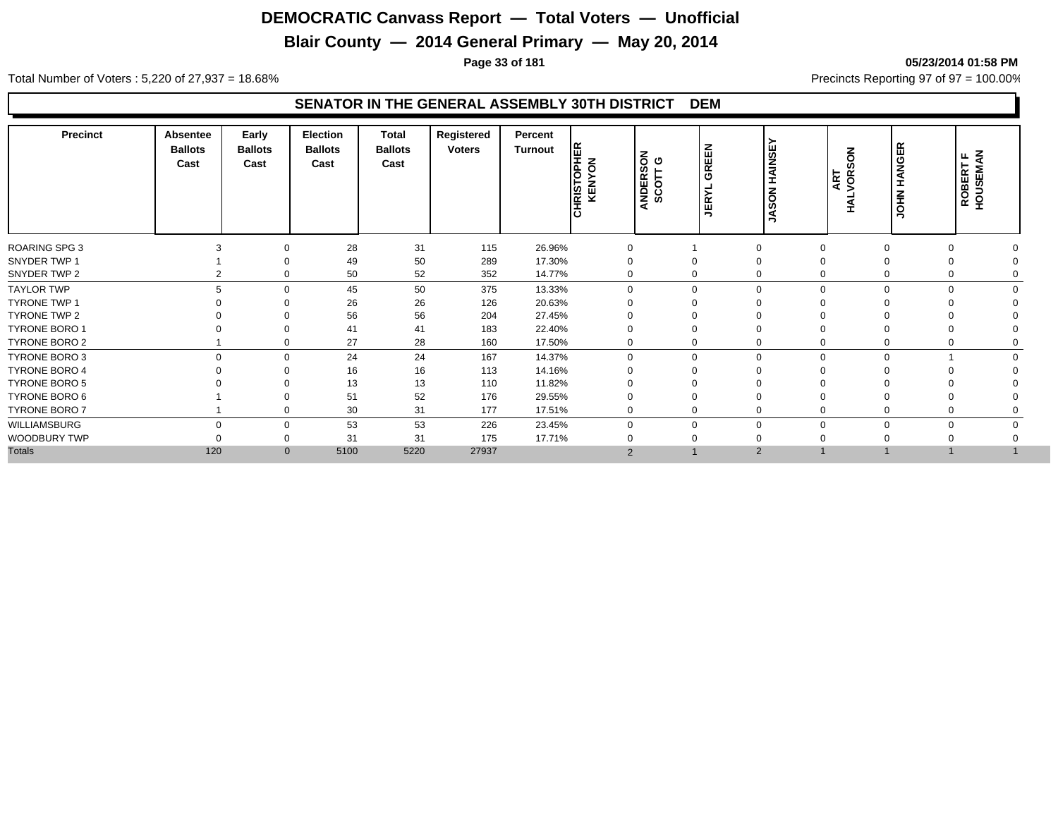## **Blair County — 2014 General Primary — May 20, 2014**

**Page 33 of 181 05/23/2014 01:58 PM**

Total Number of Voters : 5,220 of 27,937 = 18.68% Precincts Reporting 97 of 97 = 100.00%

| <b>Precinct</b>      | Absentee<br><b>Ballots</b><br>Cast | Early<br><b>Ballots</b><br>Cast | <b>Election</b><br><b>Ballots</b><br>Cast | Total<br><b>Ballots</b><br>Cast | Registered<br><b>Voters</b> | Percent<br>Turnout | <b>HRISTOPHER</b><br>KENYON | ANDERSON<br>SCOTT G | <b>GREEN</b><br>≻<br><b>JER</b> | HAINSE<br>$\overline{6}$<br>Ø<br>⋖ | SON<br>ART<br><b>HALVOR</b> | <b>HANGER</b><br>$\vec{f}$<br>$\bar{S}$ | Ę<br>щ<br>ROBERT<br>HOUSEMA |  |
|----------------------|------------------------------------|---------------------------------|-------------------------------------------|---------------------------------|-----------------------------|--------------------|-----------------------------|---------------------|---------------------------------|------------------------------------|-----------------------------|-----------------------------------------|-----------------------------|--|
| <b>ROARING SPG 3</b> |                                    |                                 | 28                                        | 31                              | 115                         | 26.96%             | $\mathbf 0$                 |                     |                                 |                                    | 0                           |                                         |                             |  |
| SNYDER TWP 1         |                                    |                                 | 49                                        | 50                              | 289                         | 17.30%             |                             |                     |                                 |                                    |                             |                                         |                             |  |
| SNYDER TWP 2         |                                    |                                 | 50                                        | 52                              | 352                         | 14.77%             | 0                           |                     | 0                               |                                    | 0                           |                                         |                             |  |
| <b>TAYLOR TWP</b>    | 5                                  | $\Omega$                        | 45                                        | 50                              | 375                         | 13.33%             | $\Omega$                    | $\Omega$            |                                 |                                    | $\mathbf 0$                 | 0                                       |                             |  |
| TYRONE TWP 1         |                                    |                                 | 26                                        | 26                              | 126                         | 20.63%             |                             |                     |                                 |                                    |                             |                                         |                             |  |
| TYRONE TWP 2         |                                    |                                 | 56                                        | 56                              | 204                         | 27.45%             |                             |                     |                                 |                                    |                             |                                         |                             |  |
| TYRONE BORO 1        |                                    |                                 | 41                                        | 41                              | 183                         | 22.40%             |                             |                     |                                 |                                    |                             |                                         |                             |  |
| TYRONE BORO 2        |                                    |                                 | 27                                        | 28                              | 160                         | 17.50%             | 0                           |                     | 0                               |                                    | $\mathbf 0$                 |                                         |                             |  |
| TYRONE BORO 3        | $\Omega$                           | $\Omega$                        | 24                                        | 24                              | 167                         | 14.37%             | $\Omega$                    | $\Omega$            |                                 | $\Omega$                           | $\mathbf 0$                 | $\Omega$                                |                             |  |
| <b>TYRONE BORO 4</b> |                                    |                                 | 16                                        | 16                              | 113                         | 14.16%             |                             |                     |                                 |                                    |                             |                                         |                             |  |
| <b>TYRONE BORO 5</b> |                                    |                                 | 13                                        | 13                              | 110                         | 11.82%             |                             |                     |                                 |                                    |                             |                                         |                             |  |
| TYRONE BORO 6        |                                    |                                 | 51                                        | 52                              | 176                         | 29.55%             |                             |                     |                                 |                                    |                             |                                         |                             |  |
| TYRONE BORO 7        |                                    | $\Omega$                        | 30                                        | 31                              | 177                         | 17.51%             | $\mathbf 0$                 | 0                   |                                 |                                    | 0                           |                                         |                             |  |
| WILLIAMSBURG         | $\Omega$                           | $\Omega$                        | 53                                        | 53                              | 226                         | 23.45%             | $\Omega$                    | $\Omega$            |                                 |                                    | $\mathbf 0$                 | 0                                       | $\Omega$                    |  |
| WOODBURY TWP         |                                    |                                 | 31                                        | 31                              | 175                         | 17.71%             |                             |                     |                                 |                                    |                             |                                         |                             |  |
| <b>Totals</b>        | 120                                | $\mathbf{0}$                    | 5100                                      | 5220                            | 27937                       |                    | $\overline{2}$              |                     |                                 | $\overline{2}$                     |                             |                                         |                             |  |
|                      |                                    |                                 |                                           |                                 |                             |                    |                             |                     |                                 |                                    |                             |                                         |                             |  |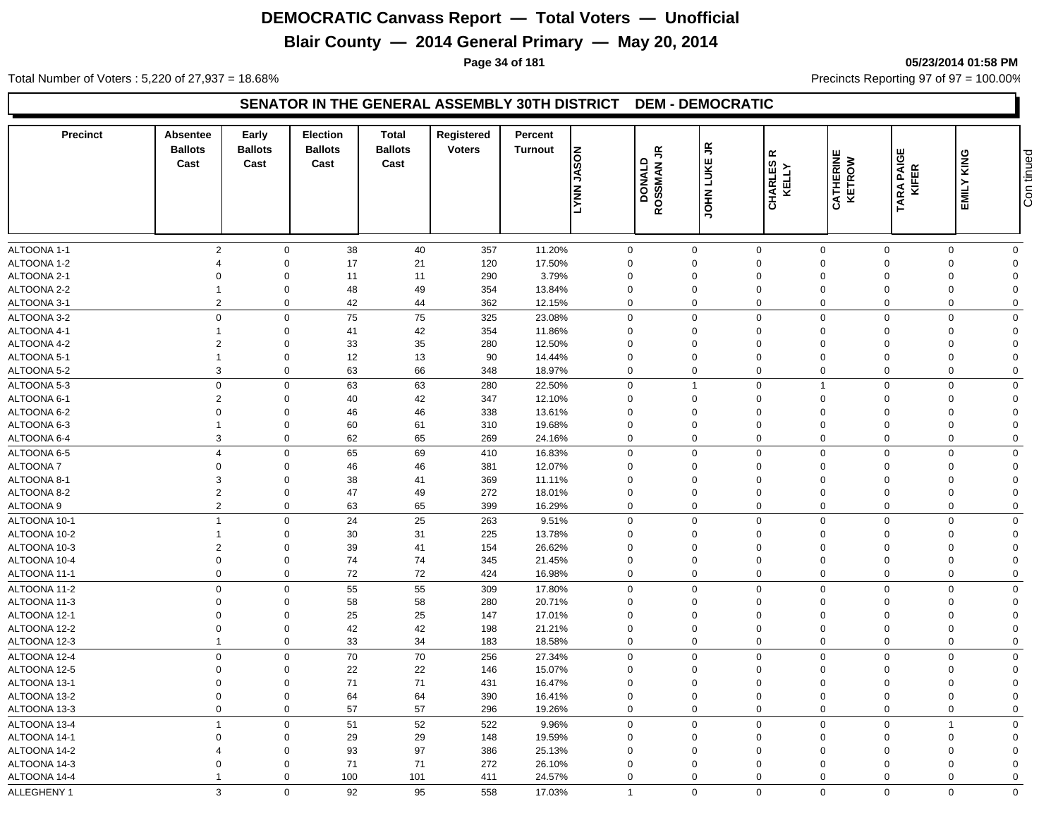## **Blair County — 2014 General Primary — May 20, 2014**

**Page 34 of 181 05/23/2014 01:58 PM**

Total Number of Voters : 5,220 of 27,937 = 18.68% Precincts Reporting 97 of 97 = 100.00%

#### **SENATOR IN THE GENERAL ASSEMBLY 30TH DISTRICT DEM - DEMOCRATIC**

| <b>Precinct</b> | Absentee<br><b>Ballots</b><br>Cast | Early<br><b>Ballots</b><br>Cast | <b>Election</b><br><b>Ballots</b><br>Cast | Total<br><b>Ballots</b><br>Cast | Registered<br><b>Voters</b> | Percent<br><b>Turnout</b> | <b>NOSAL</b><br><b>TANY</b> | ROSSMANJR<br>DONALD | $\tilde{\vec{r}}$<br><b>JOHN LUKE</b> | $\propto$<br>CHARLES<br>KELLY | <b>CATHERINE</b><br>KETROW | <b>TARA PAIGE</b><br>KIFER | KING<br>EMILY  | Con tinued  |
|-----------------|------------------------------------|---------------------------------|-------------------------------------------|---------------------------------|-----------------------------|---------------------------|-----------------------------|---------------------|---------------------------------------|-------------------------------|----------------------------|----------------------------|----------------|-------------|
|                 |                                    |                                 |                                           |                                 |                             |                           |                             |                     |                                       |                               |                            |                            |                |             |
| ALTOONA 1-1     | $\overline{2}$                     | $\mathbf 0$                     | 38                                        | 40                              | 357                         | 11.20%                    |                             | 0                   | 0                                     | $\mathbf 0$                   | $\mathbf 0$                | $\Omega$                   | $\Omega$       | $\mathbf 0$ |
| ALTOONA 1-2     | $\boldsymbol{\Delta}$              | $\Omega$                        | 17                                        | 21                              | 120                         | 17.50%                    | $\Omega$                    |                     | $\Omega$                              | $\mathbf 0$                   | $\Omega$                   | $\Omega$                   | $\overline{0}$ | $\Omega$    |
| ALTOONA 2-1     | $\Omega$                           | $\mathbf 0$                     | 11                                        | 11                              | 290                         | 3.79%                     | $\mathbf 0$                 |                     | $\Omega$                              | $\mathbf 0$                   | $\Omega$                   | $\Omega$                   | $\Omega$       | $\Omega$    |
| ALTOONA 2-2     |                                    | $\mathbf 0$                     | 48                                        | 49                              | 354                         | 13.84%                    | $\mathbf 0$                 |                     | $\mathbf 0$                           | $\mathbf 0$                   | $\mathbf 0$                | $\Omega$                   | $\Omega$       | $\Omega$    |
| ALTOONA 3-1     | $\overline{2}$                     | $\mathbf 0$                     | 42                                        | 44                              | 362                         | 12.15%                    |                             | $\mathbf 0$         | $\mathbf 0$                           | $\mathbf 0$                   | $\mathbf 0$                | $\mathbf 0$                | $\mathbf 0$    | $\Omega$    |
| ALTOONA 3-2     | $\mathbf 0$                        | $\Omega$                        | 75                                        | 75                              | 325                         | 23.08%                    | $\Omega$                    |                     | $\Omega$                              | $\mathbf 0$                   | $\Omega$                   | $\Omega$                   | $\Omega$       | $\Omega$    |
| ALTOONA 4-1     |                                    | $\mathbf 0$                     | 41                                        | 42                              | 354                         | 11.86%                    | $\Omega$                    |                     | $\Omega$                              | $\mathbf 0$                   | $\Omega$                   | $\Omega$                   | $\Omega$       | $\Omega$    |
| ALTOONA 4-2     | $\overline{2}$                     | $\mathbf 0$                     | 33                                        | 35                              | 280                         | 12.50%                    | $\mathbf 0$                 |                     | 0                                     | $\mathbf 0$                   | $\mathbf 0$                | $\Omega$                   | $\Omega$       | $\Omega$    |
| ALTOONA 5-1     | $\overline{1}$                     | $\mathbf 0$                     | 12                                        | 13                              | 90                          | 14.44%                    | $\mathbf 0$                 |                     | $\mathbf 0$                           | $\mathbf 0$                   | $\overline{0}$             | $\Omega$                   | $\mathbf 0$    | $\Omega$    |
| ALTOONA 5-2     | 3                                  | $\mathbf 0$                     | 63                                        | 66                              | 348                         | 18.97%                    |                             | $\mathbf 0$         | $\mathbf 0$                           | $\mathbf 0$                   | $\mathbf 0$                | $\mathbf 0$                | $\mathbf 0$    | $\mathbf 0$ |
| ALTOONA 5-3     | $\mathbf 0$                        | $\mathbf 0$                     | 63                                        | 63                              | 280                         | 22.50%                    |                             | 0                   | $\mathbf{1}$                          | $\mathbf 0$                   | 1                          | $\Omega$                   | $\Omega$       | $\mathbf 0$ |
| ALTOONA 6-1     | $\overline{2}$                     | $\mathbf 0$                     | 40                                        | 42                              | 347                         | 12.10%                    | $\Omega$                    |                     | $\Omega$                              | $\mathbf 0$                   | $\Omega$                   | $\Omega$                   | $\Omega$       | $\Omega$    |
| ALTOONA 6-2     | $\mathbf 0$                        | $\mathbf 0$                     | 46                                        | 46                              | 338                         | 13.61%                    | 0                           |                     | $\mathbf 0$                           | $\mathbf 0$                   | $\Omega$                   | $\Omega$                   | $\Omega$       | $\Omega$    |
| ALTOONA 6-3     | $\overline{1}$                     | $\mathbf 0$                     | 60                                        | 61                              | 310                         | 19.68%                    | $\mathbf 0$                 |                     | 0                                     | $\mathbf 0$                   | $\mathbf 0$                | $\Omega$                   | $\mathbf 0$    | $\Omega$    |
| ALTOONA 6-4     | 3                                  | $\mathbf 0$                     | 62                                        | 65                              | 269                         | 24.16%                    |                             | 0                   | $\mathbf 0$                           | $\mathbf 0$                   | $\mathbf 0$                | $\Omega$                   | $\Omega$       | $\mathbf 0$ |
| ALTOONA 6-5     | $\overline{4}$                     | $\mathbf 0$                     | 65                                        | 69                              | 410                         | 16.83%                    |                             | $\mathbf 0$         | $\Omega$                              | $\mathbf 0$                   | $\Omega$                   | $\Omega$                   | $\Omega$       | $\mathbf 0$ |
| <b>ALTOONA7</b> | $\mathbf 0$                        | $\mathbf 0$                     | 46                                        | 46                              | 381                         | 12.07%                    | $\mathbf 0$                 |                     | $\mathbf 0$                           | $\mathbf 0$                   | $\Omega$                   | $\Omega$                   | $\Omega$       | $\Omega$    |
| ALTOONA 8-1     | 3                                  | $\mathbf 0$                     | 38                                        | 41                              | 369                         | 11.11%                    | $\Omega$                    |                     | $\Omega$                              | $\mathbf 0$                   | $\Omega$                   | $\Omega$                   | $\Omega$       | $\Omega$    |
| ALTOONA 8-2     | $\overline{2}$                     | $\mathbf 0$                     | 47                                        | 49                              | 272                         | 18.01%                    |                             | 0                   | $\mathbf 0$                           | $\mathbf 0$                   | $\Omega$                   | $\Omega$                   | $\Omega$       | $\Omega$    |
| ALTOONA 9       | $\overline{2}$                     | $\mathbf 0$                     | 63                                        | 65                              | 399                         | 16.29%                    |                             | $\mathbf 0$         | $\boldsymbol{0}$                      | $\mathbf 0$                   | $\mathbf 0$                | $\mathbf 0$                | $\mathbf 0$    | $\mathbf 0$ |
| ALTOONA 10-1    | $\overline{1}$                     | $\mathbf 0$                     | 24                                        | 25                              | 263                         | 9.51%                     |                             | $\mathbf 0$         | $\mathbf 0$                           | $\mathbf 0$                   | $\mathbf 0$                | $\Omega$                   | $\Omega$       | $\mathbf 0$ |
| ALTOONA 10-2    | $\mathbf{1}$                       | $\mathbf 0$                     | 30                                        | 31                              | 225                         | 13.78%                    | $\Omega$                    |                     | $\Omega$                              | $\mathbf 0$                   | $\Omega$                   | $\Omega$                   | $\Omega$       | $\Omega$    |
| ALTOONA 10-3    | $\overline{2}$                     | $\mathbf 0$                     | 39                                        | 41                              | 154                         | 26.62%                    | $\mathbf 0$                 |                     | 0                                     | $\mathbf 0$                   | $\Omega$                   | $\Omega$                   | $\Omega$       | $\Omega$    |
| ALTOONA 10-4    | $\mathbf 0$                        | $\mathbf 0$                     | 74                                        | 74                              | 345                         | 21.45%                    | $\mathbf 0$                 |                     | 0                                     | $\mathbf 0$                   | $\Omega$                   | $\Omega$                   | $\Omega$       | $\Omega$    |
| ALTOONA 11-1    | $\mathbf 0$                        | $\mathbf 0$                     | 72                                        | 72                              | 424                         | 16.98%                    |                             | $\mathbf 0$         | $\mathbf 0$                           | $\mathbf 0$                   | $\mathbf 0$                | $\mathbf 0$                | $\mathbf 0$    | $\mathbf 0$ |
| ALTOONA 11-2    | $\mathbf 0$                        | $\mathbf 0$                     | 55                                        | 55                              | 309                         | 17.80%                    |                             | $\mathbf 0$         | $\mathbf 0$                           | $\mathbf 0$                   | $\Omega$                   | $\Omega$                   | $\Omega$       | $\mathbf 0$ |
| ALTOONA 11-3    | $\Omega$                           | $\mathbf 0$                     | 58                                        | 58                              | 280                         | 20.71%                    |                             | $\mathbf 0$         | $\mathbf 0$                           | $\mathbf 0$                   | $\mathbf 0$                | $\Omega$                   | $\Omega$       | $\Omega$    |
| ALTOONA 12-1    | $\Omega$                           | $\mathbf 0$                     | 25                                        | 25                              | 147                         | 17.01%                    | $\Omega$                    |                     | 0                                     | 0                             | $\Omega$                   | $\Omega$                   | $\Omega$       | $\Omega$    |
| ALTOONA 12-2    | $\Omega$                           | $\mathbf 0$                     | 42                                        | 42                              | 198                         | 21.21%                    | $\mathbf 0$                 |                     | $\mathbf 0$                           | $\mathbf 0$                   | $\Omega$                   | $\Omega$                   | $\Omega$       | $\Omega$    |
| ALTOONA 12-3    | $\overline{1}$                     | $\mathbf 0$                     | 33                                        | 34                              | 183                         | 18.58%                    |                             | $\mathbf 0$         | $\mathbf 0$                           | $\mathbf 0$                   | $\Omega$                   | $\Omega$                   | 0              | $\mathbf 0$ |
| ALTOONA 12-4    | $\mathbf 0$                        | $\mathbf 0$                     | 70                                        | 70                              | 256                         | 27.34%                    |                             | $\mathbf 0$         | $\mathbf 0$                           | $\mathbf 0$                   | $\overline{0}$             | $\Omega$                   | $\mathbf 0$    | $\mathbf 0$ |
| ALTOONA 12-5    | $\Omega$                           | $\mathbf 0$                     | 22                                        | 22                              | 146                         | 15.07%                    | $\mathbf 0$                 |                     | 0                                     | $\mathbf 0$                   | $\Omega$                   | $\Omega$                   | $\Omega$       | $\Omega$    |
| ALTOONA 13-1    | $\Omega$                           | $\mathbf 0$                     | 71                                        | 71                              | 431                         | 16.47%                    | $\mathbf 0$                 |                     | 0                                     | $\mathbf 0$                   | $\Omega$                   | $\Omega$                   | $\Omega$       | $\Omega$    |
| ALTOONA 13-2    | $\mathbf 0$                        | $\mathbf 0$                     | 64                                        | 64                              | 390                         | 16.41%                    | $\mathbf 0$                 |                     | $\mathbf 0$                           | $\mathbf 0$                   | $\Omega$                   | $\Omega$                   | $\Omega$       | $\Omega$    |
| ALTOONA 13-3    | $\mathbf 0$                        | $\mathbf{0}$                    | 57                                        | 57                              | 296                         | 19.26%                    |                             | 0                   | $\mathbf 0$                           | $\mathbf 0$                   | $\Omega$                   | $\Omega$                   | $\mathbf 0$    | $\mathbf 0$ |
| ALTOONA 13-4    | $\overline{1}$                     | $\mathbf 0$                     | 51                                        | 52                              | 522                         | 9.96%                     | $\mathbf 0$                 |                     | $\mathbf 0$                           | $\mathbf 0$                   | $\mathbf 0$                | $\Omega$                   | 1              | $\Omega$    |
| ALTOONA 14-1    | $\Omega$                           | $\mathbf 0$                     | 29                                        | 29                              | 148                         | 19.59%                    | $\mathbf 0$                 |                     | 0                                     | $\mathbf 0$                   | $\Omega$                   | $\Omega$                   | $\Omega$       | $\Omega$    |
| ALTOONA 14-2    | 4                                  | $\mathbf 0$                     | 93                                        | 97                              | 386                         | 25.13%                    | $\Omega$                    |                     | $\Omega$                              | $\mathbf 0$                   | $\Omega$                   | $\Omega$                   | $\Omega$       | $\Omega$    |
| ALTOONA 14-3    | $\Omega$                           | $\mathbf 0$                     | 71                                        | 71                              | 272                         | 26.10%                    | $\mathbf 0$                 |                     | $\mathbf 0$                           | $\mathbf 0$                   | $\Omega$                   | $\Omega$                   | $\Omega$       | $\Omega$    |
| ALTOONA 14-4    | -1                                 | $\mathbf 0$                     | 100                                       | 101                             | 411                         | 24.57%                    |                             | $\mathbf 0$         | $\Omega$                              | $\mathbf 0$                   | $\Omega$                   | $\Omega$                   | $\Omega$       | $\Omega$    |
| ALLEGHENY 1     | 3                                  | $\Omega$                        | 92                                        | 95                              | 558                         | 17.03%                    | $\overline{1}$              |                     | $\Omega$                              | $\Omega$                      | $\Omega$                   | $\Omega$                   | $\Omega$       | $\mathbf 0$ |
|                 |                                    |                                 |                                           |                                 |                             |                           |                             |                     |                                       |                               |                            |                            |                |             |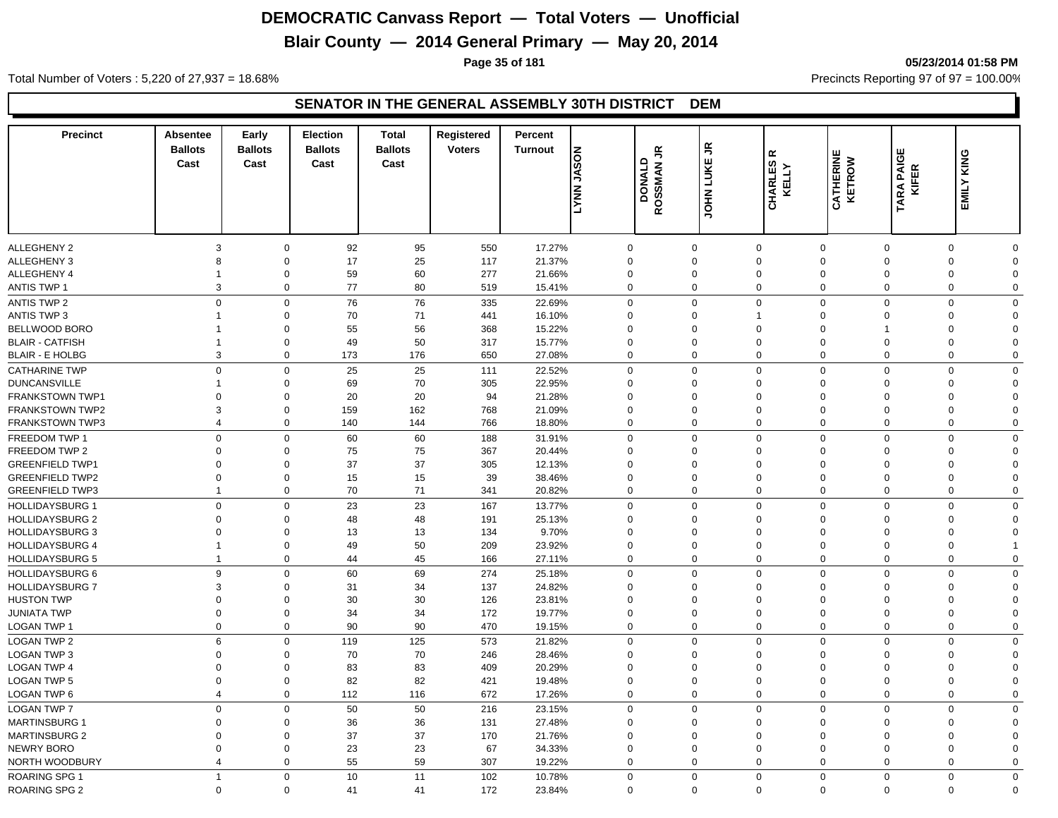## **Blair County — 2014 General Primary — May 20, 2014**

**Page 35 of 181 05/23/2014 01:58 PM**

Total Number of Voters : 5,220 of 27,937 = 18.68% Precincts Reporting 97 of 97 = 100.00%

| <b>Precinct</b>        | <b>Absentee</b><br><b>Ballots</b><br>Cast | Early<br><b>Ballots</b><br>Cast | Election<br><b>Ballots</b><br>Cast | <b>Total</b><br><b>Ballots</b><br>Cast | Registered<br><b>Voters</b> | Percent<br><b>Turnout</b> | <b>NOSAL NNAT</b> | $\tilde{\vec{r}}$<br>DONALD | JOHN LUKE JR | $\propto$<br>CHARLES<br>KELLY | <b>CATHERINE</b><br>KETROW | <b>TARA PAIGE</b><br><b>KIFER</b> | EMILY KING                              |  |
|------------------------|-------------------------------------------|---------------------------------|------------------------------------|----------------------------------------|-----------------------------|---------------------------|-------------------|-----------------------------|--------------|-------------------------------|----------------------------|-----------------------------------|-----------------------------------------|--|
|                        |                                           |                                 |                                    |                                        |                             |                           |                   | <b>ROSSMAN</b>              |              |                               |                            |                                   |                                         |  |
| <b>ALLEGHENY 2</b>     | 3                                         | $\mathbf 0$                     | 92                                 | 95                                     | 550                         | 17.27%                    | $\mathbf 0$       |                             | $\mathbf 0$  | $\mathbf 0$                   | $\mathbf 0$                | $\Omega$                          | $\mathbf 0$<br>$\Omega$                 |  |
| <b>ALLEGHENY 3</b>     | 8                                         | $\Omega$                        | 17                                 | 25                                     | 117                         | 21.37%                    | $\mathbf 0$       |                             | $\Omega$     | $\mathbf 0$                   | $\Omega$                   | $\Omega$                          | $\overline{0}$<br>$\Omega$              |  |
| ALLEGHENY 4            | $\mathbf 1$                               | $\mathbf 0$                     | 59                                 | 60                                     | 277                         | 21.66%                    | $\mathbf 0$       |                             | $\mathbf 0$  | $\mathbf 0$                   | $\mathbf 0$                | $\Omega$                          | $\overline{0}$<br>$\Omega$              |  |
| <b>ANTIS TWP 1</b>     |                                           | 3<br>$\mathbf 0$                | 77                                 | 80                                     | 519                         | 15.41%                    |                   | 0                           | $\mathbf 0$  | $\mathbf 0$                   | $\mathbf 0$                | $\mathbf 0$                       | $\mathbf 0$<br>$\mathbf 0$              |  |
| <b>ANTIS TWP 2</b>     | $\mathbf 0$                               | $\mathbf 0$                     | 76                                 | 76                                     | 335                         | 22.69%                    | $\Omega$          |                             | $\Omega$     | $\mathbf 0$                   | $\mathbf 0$                | $\mathbf 0$                       | $\mathbf 0$<br>$\Omega$                 |  |
| ANTIS TWP 3            | $\mathbf{1}$                              | $\mathbf 0$                     | 70                                 | 71                                     | 441                         | 16.10%                    | $\Omega$          |                             | $\Omega$     | $\mathbf{1}$                  | $\Omega$                   | $\Omega$                          | $\Omega$<br>$\mathbf{0}$                |  |
| <b>BELLWOOD BORO</b>   | -1                                        | $\Omega$                        | 55                                 | 56                                     | 368                         | 15.22%                    | $\Omega$          |                             | $\Omega$     | $\mathbf 0$                   | $\Omega$                   |                                   | $\Omega$<br>$\Omega$                    |  |
| <b>BLAIR - CATFISH</b> | $\mathbf 1$                               | $\mathbf 0$                     | 49                                 | 50                                     | 317                         | 15.77%                    | $\Omega$          |                             | $\Omega$     | $\mathbf 0$                   | $\Omega$                   | $\Omega$                          | $\Omega$<br>$\Omega$                    |  |
| <b>BLAIR - E HOLBG</b> | 3                                         | $\mathbf 0$                     | 173                                | 176                                    | 650                         | 27.08%                    | $\Omega$          |                             | $\Omega$     | $\mathbf 0$                   | $\mathbf 0$                | $\mathbf 0$                       | $\mathbf 0$<br>$\mathbf{0}$             |  |
| <b>CATHARINE TWP</b>   | $\Omega$                                  | $\mathbf 0$                     | 25                                 | 25                                     | 111                         | 22.52%                    | $\Omega$          |                             | $\Omega$     | $\Omega$                      | $\Omega$                   | $\Omega$                          | $\Omega$<br>$\Omega$                    |  |
| <b>DUNCANSVILLE</b>    |                                           | $\Omega$                        | 69                                 | 70                                     | 305                         | 22.95%                    | $\Omega$          |                             | $\Omega$     | $\mathbf 0$                   | $\Omega$                   | $\Omega$                          | $\Omega$<br>$\Omega$                    |  |
| <b>FRANKSTOWN TWP1</b> | $\Omega$                                  | $\Omega$                        | 20                                 | 20                                     | 94                          | 21.28%                    | $\Omega$          |                             | $\Omega$     | $\mathbf 0$                   | $\Omega$                   | $\Omega$                          | $\Omega$<br>$\Omega$                    |  |
| <b>FRANKSTOWN TWP2</b> | 3                                         | $\mathbf 0$                     | 159                                | 162                                    | 768                         | 21.09%                    | $\mathbf 0$       |                             | $\Omega$     | $\mathbf 0$                   | $\mathbf 0$                | $\Omega$                          | $\Omega$<br>$\Omega$                    |  |
| <b>FRANKSTOWN TWP3</b> | $\overline{4}$                            | $\mathbf 0$                     | 140                                | 144                                    | 766                         | 18.80%                    | $\Omega$          |                             | $\Omega$     | $\mathbf 0$                   | $\mathbf 0$                | $\mathbf 0$                       | $\mathbf 0$<br>$\mathbf 0$              |  |
| FREEDOM TWP 1          | $\Omega$                                  | $\mathbf 0$                     | 60                                 | 60                                     | 188                         | 31.91%                    | $\mathbf 0$       |                             | $\Omega$     | $\mathbf 0$                   | $\mathbf 0$                | $\Omega$                          | $\mathbf 0$<br>$\mathbf 0$              |  |
| FREEDOM TWP 2          | $\mathbf 0$                               | $\mathbf 0$                     | 75                                 | 75                                     | 367                         | 20.44%                    | $\mathbf 0$       |                             | $\Omega$     | $\mathbf 0$                   | $\Omega$                   | $\Omega$                          | $\Omega$<br>$\mathbf 0$                 |  |
| <b>GREENFIELD TWP1</b> | $\mathbf 0$                               | $\mathbf 0$                     | 37                                 | 37                                     | 305                         | 12.13%                    | $\mathbf 0$       |                             | $\mathbf 0$  | $\mathbf 0$                   | $\mathbf 0$                | $\Omega$                          | $\Omega$<br>$\Omega$                    |  |
| <b>GREENFIELD TWP2</b> | $\mathbf 0$                               | $\mathbf 0$                     | 15                                 | 15                                     | 39                          | 38.46%                    | $\mathbf 0$       |                             | $\mathbf 0$  | $\mathbf 0$                   | $\Omega$                   | $\Omega$                          | $\Omega$<br>$\Omega$                    |  |
| <b>GREENFIELD TWP3</b> | $\mathbf{1}$                              | $\mathbf 0$                     | 70                                 | 71                                     | 341                         | 20.82%                    | $\Omega$          |                             | $\Omega$     | $\Omega$                      | $\mathbf 0$                | $\mathbf 0$                       | $\mathbf 0$<br>$\mathbf 0$              |  |
| <b>HOLLIDAYSBURG 1</b> | $\mathbf{0}$                              | $\mathbf 0$                     | 23                                 | 23                                     | 167                         | 13.77%                    | $\Omega$          |                             | $\mathbf 0$  | $\mathbf 0$                   | $\mathbf 0$                | $\mathbf 0$                       | $\Omega$<br>$\mathbf 0$                 |  |
| <b>HOLLIDAYSBURG 2</b> | $\Omega$                                  | $\mathbf 0$                     | 48                                 | 48                                     | 191                         | 25.13%                    |                   | 0                           | $\Omega$     | $\mathbf 0$                   | $\Omega$                   | $\Omega$                          | $\Omega$<br>$\Omega$                    |  |
| <b>HOLLIDAYSBURG 3</b> | $\Omega$                                  | $\Omega$                        | 13                                 | 13                                     | 134                         | 9.70%                     | $\Omega$          |                             | $\Omega$     | $\mathbf 0$                   | $\Omega$                   | $\Omega$                          | $\Omega$<br>$\Omega$                    |  |
| <b>HOLLIDAYSBURG 4</b> | $\mathbf{1}$                              | $\mathbf 0$                     | 49                                 | 50                                     | 209                         | 23.92%                    |                   | 0                           | $\Omega$     | $\mathbf 0$                   | $\Omega$                   | $\Omega$                          | $\Omega$                                |  |
| <b>HOLLIDAYSBURG 5</b> | $\mathbf{1}$                              | $\mathbf 0$                     | 44                                 | 45                                     | 166                         | 27.11%                    |                   | $\mathbf 0$                 | $\Omega$     | $\Omega$                      | $\mathbf 0$                | $\Omega$                          | $\mathbf 0$<br>$\mathbf 0$              |  |
|                        | 9                                         | $\mathbf 0$                     |                                    |                                        |                             |                           | $\Omega$          |                             | $\Omega$     | $\mathbf 0$                   | $\Omega$                   | $\Omega$                          | $\Omega$<br>$\mathbf 0$                 |  |
| <b>HOLLIDAYSBURG 6</b> | 3                                         | $\mathbf 0$                     | 60                                 | 69                                     | 274                         | 25.18%                    | $\Omega$          |                             | $\Omega$     | $\mathbf 0$                   | $\Omega$                   | $\Omega$                          | $\Omega$                                |  |
| <b>HOLLIDAYSBURG 7</b> | $\mathbf 0$                               | $\mathbf 0$                     | 31<br>30                           | 34                                     | 137                         | 24.82%                    | $\mathbf 0$       |                             | $\Omega$     | $\mathbf 0$                   | $\Omega$                   | $\Omega$                          | $\mathbf 0$<br>$\Omega$<br>$\mathbf{0}$ |  |
| <b>HUSTON TWP</b>      | $\mathbf 0$                               | $\Omega$                        | 34                                 | 30<br>34                               | 126<br>172                  | 23.81%<br>19.77%          | $\mathbf 0$       |                             | $\Omega$     | $\mathbf 0$                   | $\Omega$                   | $\Omega$                          | $\Omega$<br>$\Omega$                    |  |
| <b>JUNIATA TWP</b>     | $\mathbf 0$                               | $\mathbf 0$                     | 90                                 | 90                                     | 470                         |                           | $\Omega$          |                             | $\Omega$     | $\mathbf 0$                   | $\mathbf 0$                | $\mathbf 0$                       | $\mathbf 0$<br>$\Omega$                 |  |
| LOGAN TWP 1            |                                           |                                 |                                    |                                        |                             | 19.15%                    |                   |                             |              |                               |                            |                                   |                                         |  |
| <b>LOGAN TWP 2</b>     | 6                                         | $\mathbf 0$                     | 119                                | 125                                    | 573                         | 21.82%                    | $\mathbf 0$       |                             | $\mathbf 0$  | $\mathbf 0$                   | $\mathbf 0$                | $\Omega$                          | $\mathbf 0$<br>$\mathbf 0$              |  |
| LOGAN TWP 3            | $\mathbf 0$                               | $\mathbf 0$                     | 70                                 | 70                                     | 246                         | 28.46%                    |                   | 0                           | $\mathbf 0$  | $\mathbf 0$                   | $\mathbf 0$                | $\mathbf 0$                       | $\Omega$<br>$\mathbf 0$                 |  |
| <b>LOGAN TWP 4</b>     | $\mathbf 0$                               | $\Omega$                        | 83                                 | 83                                     | 409                         | 20.29%                    | $\mathbf 0$       |                             | $\Omega$     | $\mathbf 0$                   | $\Omega$                   | $\Omega$                          | $\mathbf{0}$<br>$\Omega$                |  |
| <b>LOGAN TWP 5</b>     | $\mathbf 0$                               | $\mathbf 0$                     | 82                                 | 82                                     | 421                         | 19.48%                    | $\mathbf 0$       |                             | $\Omega$     | $\mathbf 0$                   | $\mathbf 0$                | $\mathbf 0$                       | $\Omega$<br>$\Omega$                    |  |
| LOGAN TWP 6            | $\overline{4}$                            | $\mathbf 0$                     | 112                                | 116                                    | 672                         | 17.26%                    |                   | $\mathbf 0$                 | $\mathbf 0$  | $\mathbf 0$                   | $\Omega$                   | $\mathbf 0$                       | $\mathbf 0$<br>$\mathbf 0$              |  |
| <b>LOGAN TWP 7</b>     | $\Omega$                                  | $\mathbf 0$                     | 50                                 | 50                                     | 216                         | 23.15%                    | $\Omega$          |                             | $\Omega$     | $\mathbf 0$                   | $\mathbf 0$                | $\mathbf 0$                       | $\mathbf 0$<br>$\Omega$                 |  |
| <b>MARTINSBURG 1</b>   | $\Omega$                                  | $\Omega$                        | 36                                 | 36                                     | 131                         | 27.48%                    | $\Omega$          |                             | $\Omega$     | $\mathbf 0$                   | $\Omega$                   | $\Omega$                          | $\mathbf 0$<br>$\Omega$                 |  |
| <b>MARTINSBURG 2</b>   | $\Omega$                                  | $\Omega$                        | 37                                 | 37                                     | 170                         | 21.76%                    | $\mathbf 0$       |                             | $\Omega$     | $\mathbf 0$                   | $\Omega$                   | $\Omega$                          | $\mathbf{0}$<br>$\Omega$                |  |
| <b>NEWRY BORO</b>      | $\Omega$                                  | $\mathbf 0$                     | 23                                 | 23                                     | 67                          | 34.33%                    | $\Omega$          |                             | $\Omega$     | $\Omega$                      | $\Omega$                   | $\Omega$                          | $\Omega$<br>$\Omega$                    |  |
| NORTH WOODBURY         | $\overline{4}$                            | $\mathbf 0$                     | 55                                 | 59                                     | 307                         | 19.22%                    |                   | $\mathbf 0$                 | $\Omega$     | $\Omega$                      | $\Omega$                   | $\Omega$                          | $\Omega$<br>$\mathbf{0}$                |  |
| <b>ROARING SPG 1</b>   | $\mathbf{1}$                              | $\mathbf 0$                     | 10                                 | 11                                     | 102                         | 10.78%                    | $\Omega$          |                             | $\mathbf 0$  | $\Omega$                      | $\Omega$                   | $\Omega$                          | $\mathbf 0$<br>$\mathbf 0$              |  |
| <b>ROARING SPG 2</b>   | $\Omega$                                  | $\Omega$                        | 41                                 | 41                                     | 172                         | 23.84%                    |                   | $\mathbf 0$                 | $\Omega$     | $\Omega$                      | $\mathbf 0$                | $\Omega$                          | $\mathbf 0$<br>$\Omega$                 |  |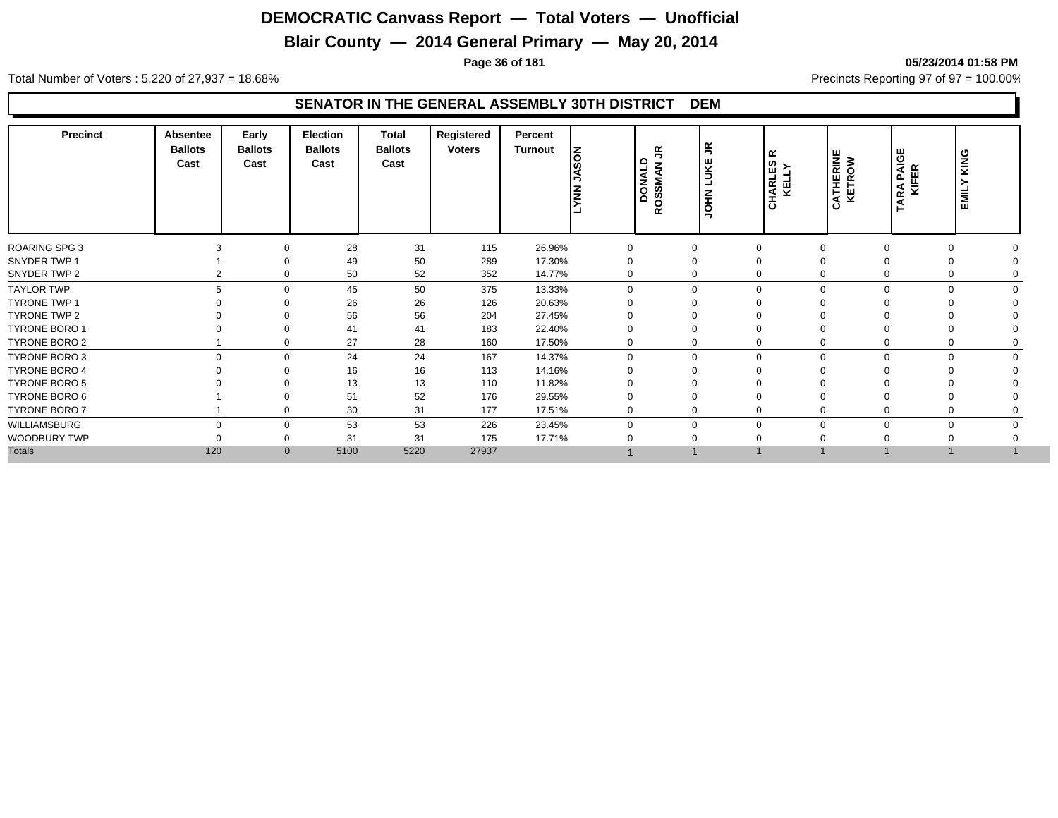## **Blair County — 2014 General Primary — May 20, 2014**

**Page 36 of 181 05/23/2014 01:58 PM**

Total Number of Voters : 5,220 of 27,937 = 18.68% Precincts Reporting 97 of 97 = 100.00%

| <b>Precinct</b>      | Absentee<br><b>Ballots</b><br>Cast | Early<br><b>Ballots</b><br>Cast | <b>Election</b><br><b>Ballots</b><br>Cast | <b>Total</b><br><b>Ballots</b><br>Cast | Registered<br><b>Voters</b> | Percent<br>Turnout | <b>NOSPL</b><br><b>NNV-1</b> | $\tilde{=}$<br>DONALD<br>CJANOGO:<br>$\alpha$ | $\tilde{\vec{r}}$<br>LUKE<br><b>NHOL</b> | $\propto$<br><b>HARLES</b><br>KELLY<br>$\circ$ | <b>ATHERINE</b><br>KETROW<br>Ω | RA PAIGE<br>KIFER<br>ARA | KING<br>EMIL' |  |
|----------------------|------------------------------------|---------------------------------|-------------------------------------------|----------------------------------------|-----------------------------|--------------------|------------------------------|-----------------------------------------------|------------------------------------------|------------------------------------------------|--------------------------------|--------------------------|---------------|--|
| <b>ROARING SPG 3</b> |                                    | $\Omega$                        | 28                                        | 31                                     | 115                         | 26.96%             | 0                            | $\Omega$                                      |                                          | $\Omega$                                       |                                |                          |               |  |
| SNYDER TWP 1         |                                    |                                 | 49                                        | 50                                     | 289                         | 17.30%             |                              | $\Omega$                                      |                                          | $\Omega$                                       |                                |                          |               |  |
| SNYDER TWP 2         |                                    | 0                               | 50                                        | 52                                     | 352                         | 14.77%             | 0                            | $\Omega$                                      |                                          | $\mathbf 0$                                    | 0                              |                          |               |  |
| <b>TAYLOR TWP</b>    |                                    | $\Omega$                        | 45                                        | 50                                     | 375                         | 13.33%             | $\Omega$                     |                                               | $\Omega$                                 | $\mathbf 0$                                    | $\Omega$                       |                          |               |  |
| <b>TYRONE TWP 1</b>  |                                    |                                 | 26                                        | 26                                     | 126                         | 20.63%             |                              |                                               |                                          | $\Omega$                                       |                                |                          |               |  |
| <b>TYRONE TWP 2</b>  |                                    |                                 | 56                                        | 56                                     | 204                         | 27.45%             |                              |                                               |                                          | $\Omega$                                       |                                |                          |               |  |
| <b>TYRONE BORO 1</b> |                                    |                                 | 41                                        | 41                                     | 183                         | 22.40%             |                              |                                               |                                          | $\Omega$                                       |                                |                          |               |  |
| TYRONE BORO 2        |                                    | $\mathbf 0$                     | 27                                        | 28                                     | 160                         | 17.50%             | 0                            |                                               |                                          | $\mathbf 0$                                    | 0                              |                          |               |  |
| TYRONE BORO 3        | $\Omega$                           | $\Omega$                        | 24                                        | 24                                     | 167                         | 14.37%             | $\Omega$                     |                                               | $\Omega$                                 | $\mathbf 0$                                    | $\Omega$                       | $\Omega$                 |               |  |
| <b>TYRONE BORO 4</b> |                                    | $\Omega$                        | 16                                        | 16                                     | 113                         | 14.16%             |                              |                                               |                                          | $\Omega$                                       |                                |                          |               |  |
| <b>TYRONE BORO 5</b> |                                    |                                 | 13                                        | 13                                     | 110                         | 11.82%             |                              |                                               |                                          |                                                |                                |                          |               |  |
| TYRONE BORO 6        |                                    |                                 | 51                                        | 52                                     | 176                         | 29.55%             |                              |                                               |                                          | $\mathbf 0$                                    |                                |                          |               |  |
| TYRONE BORO 7        |                                    | $\mathbf 0$                     | 30                                        | 31                                     | 177                         | 17.51%             | 0                            |                                               | $\Omega$                                 | $\mathbf 0$                                    | $\Omega$                       |                          |               |  |
| WILLIAMSBURG         | $\Omega$                           | $\mathbf{0}$                    | 53                                        | 53                                     | 226                         | 23.45%             | $\mathbf{0}$                 | $\Omega$                                      |                                          | $\mathbf 0$                                    | $\Omega$                       | $\Omega$                 |               |  |
| WOODBURY TWP         |                                    | - 0                             | 31                                        | 31                                     | 175                         | 17.71%             |                              |                                               |                                          | $\Omega$                                       |                                |                          |               |  |
| <b>Totals</b>        | 120                                | $\overline{0}$                  | 5100                                      | 5220                                   | 27937                       |                    |                              |                                               |                                          |                                                |                                |                          |               |  |
|                      |                                    |                                 |                                           |                                        |                             |                    |                              |                                               |                                          |                                                |                                |                          |               |  |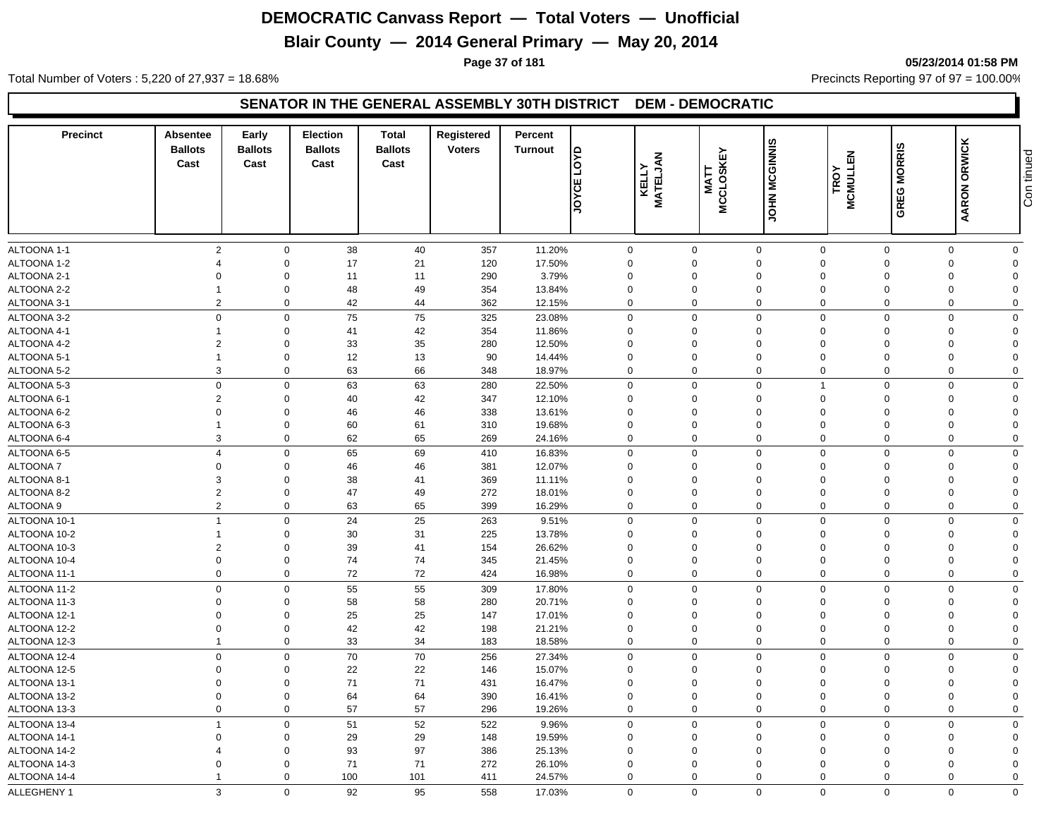## **Blair County — 2014 General Primary — May 20, 2014**

**Page 37 of 181 05/23/2014 01:58 PM**

Total Number of Voters : 5,220 of 27,937 = 18.68% Precincts Reporting 97 of 97 = 100.00%

#### **SENATOR IN THE GENERAL ASSEMBLY 30TH DISTRICT DEM - DEMOCRATIC**

| <b>Precinct</b>            | <b>Absentee</b><br><b>Ballots</b><br>Cast | Early<br><b>Ballots</b><br>Cast | <b>Election</b><br><b>Ballots</b><br>Cast | <b>Total</b><br><b>Ballots</b><br>Cast | Registered<br><b>Voters</b> | Percent<br><b>Turnout</b> | $\frac{1}{2}$<br>JOYCE     | <b>MATELJAN</b><br>KELLY | MCCLOSKEY<br>MCCLOSKEY     | JOHN MCGINNIS           | <b>MCMULLEN</b><br>TROY    | <b>GREG MORRIS</b>      | <b>ORWICK</b><br><b>AARON</b> | Con tinued              |
|----------------------------|-------------------------------------------|---------------------------------|-------------------------------------------|----------------------------------------|-----------------------------|---------------------------|----------------------------|--------------------------|----------------------------|-------------------------|----------------------------|-------------------------|-------------------------------|-------------------------|
|                            |                                           |                                 |                                           |                                        |                             |                           |                            |                          |                            |                         |                            |                         |                               |                         |
| ALTOONA 1-1<br>ALTOONA 1-2 | $\overline{2}$<br>$\Delta$                | $\mathbf 0$<br>$\Omega$         | 38<br>17                                  | 40<br>21                               | 357<br>120                  | 11.20%<br>17.50%          | 0<br>$\Omega$              |                          | $\mathbf 0$<br>$\Omega$    | $\mathbf 0$<br>$\Omega$ | $\mathbf 0$<br>$\Omega$    | $\mathbf 0$<br>$\Omega$ | 0<br>$\Omega$                 | $\mathbf 0$<br>$\Omega$ |
| ALTOONA 2-1                | $\Omega$                                  | $\Omega$                        | 11                                        | 11                                     | 290                         | 3.79%                     | $\Omega$                   |                          | $\Omega$                   | $\Omega$                | $\Omega$                   | $\Omega$                | $\Omega$                      | $\Omega$                |
| ALTOONA 2-2                | $\overline{1}$                            | $\Omega$                        | 48                                        | 49                                     | 354                         | 13.84%                    | $\mathbf 0$                |                          | $\mathbf 0$                | $\Omega$                | $\mathbf 0$                | $\Omega$                | $\Omega$                      | $\Omega$                |
| ALTOONA 3-1                | $\overline{2}$                            | $\mathbf 0$                     | 42                                        | 44                                     | 362                         | 12.15%                    | $\mathbf 0$                |                          | $\mathbf 0$                | $\mathbf 0$             | $\mathbf 0$                | $\mathbf 0$             | $\mathbf 0$                   | $\Omega$                |
|                            | $\mathbf 0$                               | $\Omega$                        |                                           |                                        |                             |                           |                            |                          | $\mathbf 0$                | $\mathbf 0$             | $\Omega$                   | $\mathbf 0$             | $\Omega$                      | $\Omega$                |
| ALTOONA 3-2                |                                           | $\Omega$                        | 75                                        | 75                                     | 325                         | 23.08%                    | $\mathbf 0$                |                          | $\mathbf 0$                | $\Omega$                | $\Omega$                   | $\Omega$                |                               |                         |
| ALTOONA 4-1<br>ALTOONA 4-2 | $\overline{2}$                            | $\Omega$                        | 41<br>33                                  | 42<br>35                               | 354<br>280                  | 11.86%                    | $\mathbf 0$<br>$\mathbf 0$ |                          | 0                          | $\Omega$                | $\Omega$                   | $\Omega$                | $\Omega$<br>$\Omega$          | $\Omega$<br>$\Omega$    |
| ALTOONA 5-1                | $\overline{1}$                            | $\Omega$                        | 12                                        | 13                                     | 90                          | 12.50%<br>14.44%          | $\mathbf 0$                |                          | $\mathbf 0$                | $\mathbf 0$             | $\Omega$                   | $\Omega$                | $\mathbf 0$                   | $\Omega$                |
| ALTOONA 5-2                | 3                                         | $\Omega$                        | 63                                        | 66                                     | 348                         | 18.97%                    | $\mathbf 0$                |                          | $\mathbf 0$                | $\mathbf 0$             | $\mathbf 0$                | $\mathbf 0$             | $\Omega$                      | $\Omega$                |
|                            |                                           |                                 |                                           |                                        |                             |                           |                            |                          |                            |                         |                            |                         |                               |                         |
| ALTOONA 5-3                | $\mathbf 0$<br>$\overline{2}$             | $\Omega$<br>$\Omega$            | 63                                        | 63                                     | 280                         | 22.50%                    | $\mathbf 0$                |                          | $\mathbf 0$<br>$\mathbf 0$ | $\mathbf 0$<br>$\Omega$ | $\overline{1}$<br>$\Omega$ | $\mathbf 0$<br>$\Omega$ | $\Omega$<br>$\Omega$          | $\Omega$<br>$\Omega$    |
| ALTOONA 6-1                | $\mathbf 0$                               | $\Omega$                        | 40<br>46                                  | 42<br>46                               | 347<br>338                  | 12.10%                    | $\mathbf 0$<br>$\mathbf 0$ |                          | 0                          | $\mathbf 0$             | $\mathbf 0$                | $\Omega$                | $\mathbf 0$                   | $\Omega$                |
| ALTOONA 6-2<br>ALTOONA 6-3 | $\overline{1}$                            | $\Omega$                        | 60                                        | 61                                     | 310                         | 13.61%<br>19.68%          | $\mathbf 0$                |                          | $\mathbf 0$                | $\Omega$                | $\mathbf 0$                | $\Omega$                | $\mathbf 0$                   | $\Omega$                |
| ALTOONA 6-4                | 3                                         | $\mathbf 0$                     | 62                                        | 65                                     | 269                         | 24.16%                    | $\mathbf 0$                |                          | $\mathbf 0$                | $\Omega$                | $\Omega$                   | $\mathbf 0$             | $\mathbf 0$                   | $\mathbf 0$             |
|                            |                                           |                                 |                                           |                                        |                             |                           |                            |                          |                            |                         |                            |                         |                               |                         |
| ALTOONA 6-5                | $\overline{4}$                            | $\mathbf 0$                     | 65                                        | 69                                     | 410                         | 16.83%                    | $\mathbf 0$                |                          | $\mathbf 0$                | $\mathbf 0$             | $\mathbf 0$                | $\mathbf 0$             | $\mathbf 0$                   | $\mathbf 0$             |
| <b>ALTOONA7</b>            | $\mathbf 0$                               | $\Omega$                        | 46                                        | 46                                     | 381                         | 12.07%                    | $\mathbf 0$                |                          | $\mathbf 0$                | $\mathbf 0$             | $\mathbf 0$                | $\Omega$                | $\mathbf 0$                   | $\Omega$                |
| ALTOONA 8-1                | 3                                         | $\Omega$                        | 38                                        | 41                                     | 369                         | 11.11%                    | $\mathbf 0$                |                          | $\Omega$                   | $\Omega$                | $\Omega$                   | $\Omega$                | $\Omega$                      | $\Omega$                |
| ALTOONA 8-2                | $\overline{2}$<br>$\overline{2}$          | $\Omega$                        | 47                                        | 49                                     | 272                         | 18.01%                    | $\mathbf 0$                |                          | $\mathbf 0$<br>$\Omega$    | $\mathbf 0$             | $\Omega$                   | $\Omega$                | $\mathbf 0$                   | $\Omega$                |
| ALTOONA 9                  |                                           | $\Omega$                        | 63                                        | 65                                     | 399                         | 16.29%                    | $\mathbf 0$                |                          |                            | $\mathbf 0$             | $\Omega$                   | $\Omega$                | $\mathbf 0$                   | $\mathbf 0$             |
| ALTOONA 10-1               | $\overline{1}$                            | $\Omega$                        | 24                                        | 25                                     | 263                         | 9.51%                     | $\mathbf 0$                |                          | $\mathbf 0$                | $\mathbf 0$             | $\mathbf 0$                | $\mathbf 0$             | $\mathbf 0$                   | $\mathbf 0$             |
| ALTOONA 10-2               | $\mathbf 1$                               | $\Omega$                        | 30                                        | 31                                     | 225                         | 13.78%                    | $\mathbf 0$                |                          | $\mathbf 0$                | $\mathbf 0$             | $\mathbf 0$                | $\Omega$                | $\mathbf 0$                   | $\Omega$                |
| ALTOONA 10-3               | $\overline{2}$                            | $\Omega$                        | 39                                        | 41                                     | 154                         | 26.62%                    | $\mathbf 0$                |                          | 0                          | $\mathbf 0$             | $\Omega$                   | $\Omega$                | $\mathbf 0$                   | $\Omega$                |
| ALTOONA 10-4               | $\overline{0}$                            | $\Omega$                        | 74                                        | 74                                     | 345                         | 21.45%                    | $\mathbf 0$                |                          | $\mathbf 0$                | $\mathbf 0$             | $\Omega$                   | $\Omega$                | $\mathbf 0$                   | $\Omega$                |
| ALTOONA 11-1               | $\overline{0}$                            | $\mathbf 0$                     | 72                                        | 72                                     | 424                         | 16.98%                    | $\mathbf 0$                |                          | $\mathbf 0$                | $\mathbf 0$             | $\Omega$                   | $\Omega$                | $\mathbf 0$                   | $\mathbf 0$             |
| ALTOONA 11-2               | $\mathbf 0$                               | $\Omega$                        | 55                                        | 55                                     | 309                         | 17.80%                    | $\mathbf 0$                |                          | $\mathbf 0$                | $\mathbf 0$             | $\mathbf 0$                | $\mathbf 0$             | 0                             | $\mathbf 0$             |
| ALTOONA 11-3               | $\overline{0}$                            | $\Omega$                        | 58                                        | 58                                     | 280                         | 20.71%                    | $\mathbf 0$                |                          | $\mathbf 0$                | $\mathbf 0$             | $\mathbf 0$                | $\Omega$                | $\mathbf 0$                   | $\Omega$                |
| ALTOONA 12-1               | $\overline{0}$                            | $\Omega$                        | 25                                        | 25                                     | 147                         | 17.01%                    | $\Omega$                   |                          | 0                          | $\Omega$                | $\Omega$                   | $\Omega$                | $\Omega$                      | $\Omega$                |
| ALTOONA 12-2               | $\overline{0}$                            | $\Omega$                        | 42                                        | 42                                     | 198                         | 21.21%                    | $\mathbf 0$                |                          | $\mathbf 0$                | $\mathbf 0$             | $\Omega$                   | $\Omega$                | $\Omega$                      | $\Omega$                |
| ALTOONA 12-3               | $\overline{1}$                            | $\mathbf 0$                     | 33                                        | 34                                     | 183                         | 18.58%                    | $\mathbf 0$                |                          | $\mathbf 0$                | $\mathbf 0$             | $\Omega$                   | $\Omega$                | $\mathbf 0$                   | $\mathbf 0$             |
| ALTOONA 12-4               | $\overline{0}$                            | $\Omega$                        | 70                                        | $70\,$                                 | 256                         | 27.34%                    | $\mathbf 0$                |                          | $\overline{0}$             | $\mathbf 0$             | $\mathbf 0$                | $\Omega$                | $\Omega$                      | $\Omega$                |
| ALTOONA 12-5               | $\mathbf 0$                               | $\Omega$                        | 22                                        | 22                                     | 146                         | 15.07%                    | $\mathbf 0$                |                          | 0                          | $\Omega$                | $\Omega$                   | $\Omega$                | $\Omega$                      | $\Omega$                |
| ALTOONA 13-1               | $\overline{0}$                            | $\Omega$                        | 71                                        | 71                                     | 431                         | 16.47%                    | $\mathbf 0$                |                          | 0                          | $\mathbf 0$             | $\Omega$                   | $\Omega$                | $\Omega$                      | $\Omega$                |
| ALTOONA 13-2               | $\overline{0}$                            | $\Omega$                        | 64                                        | 64                                     | 390                         | 16.41%                    | $\mathbf 0$                |                          | $\mathbf 0$                | $\mathbf 0$             | $\Omega$                   | $\Omega$                | $\mathbf 0$                   | $\mathbf 0$             |
| ALTOONA 13-3               | $\overline{0}$                            | $\mathbf 0$                     | 57                                        | 57                                     | 296                         | 19.26%                    | $\mathbf 0$                |                          | $\mathbf 0$                | $\mathbf 0$             | $\Omega$                   | $\Omega$                | $\Omega$                      | $\mathbf 0$             |
| ALTOONA 13-4               | $\overline{1}$                            | $\mathbf 0$                     | 51                                        | 52                                     | 522                         | 9.96%                     | $\mathbf 0$                |                          | $\mathbf 0$                | $\mathbf 0$             | $\Omega$                   | $\mathbf 0$             | $\mathbf 0$                   | $\mathbf 0$             |
| ALTOONA 14-1               | $\Omega$                                  | $\Omega$                        | 29                                        | 29                                     | 148                         | 19.59%                    | $\Omega$                   |                          | $\mathbf 0$                | $\Omega$                | $\Omega$                   | $\Omega$                | $\Omega$                      | $\Omega$                |
| ALTOONA 14-2               | $\overline{4}$                            | $\Omega$                        | 93                                        | 97                                     | 386                         | 25.13%                    | $\mathbf 0$                |                          | $\mathbf 0$                | $\Omega$                | $\Omega$                   | $\Omega$                | $\Omega$                      | $\Omega$                |
| ALTOONA 14-3               | $\Omega$                                  | $\Omega$                        | 71                                        | 71                                     | 272                         | 26.10%                    | $\mathbf 0$                |                          | $\Omega$                   | $\Omega$                | $\Omega$                   | $\Omega$                | $\Omega$                      | $\Omega$                |
| ALTOONA 14-4               | -1                                        | $\mathbf 0$                     | 100                                       | 101                                    | 411                         | 24.57%                    | $\mathbf 0$                |                          | $\Omega$                   | $\Omega$                | $\Omega$                   | $\Omega$                | $\Omega$                      | $\Omega$                |
| ALLEGHENY 1                | 3                                         | $\mathbf 0$                     | 92                                        | 95                                     | 558                         | 17.03%                    | $\mathbf 0$                |                          | $\mathbf 0$                | $\mathbf 0$             | $\Omega$                   | $\mathbf 0$             | $\mathbf 0$                   | $\mathbf 0$             |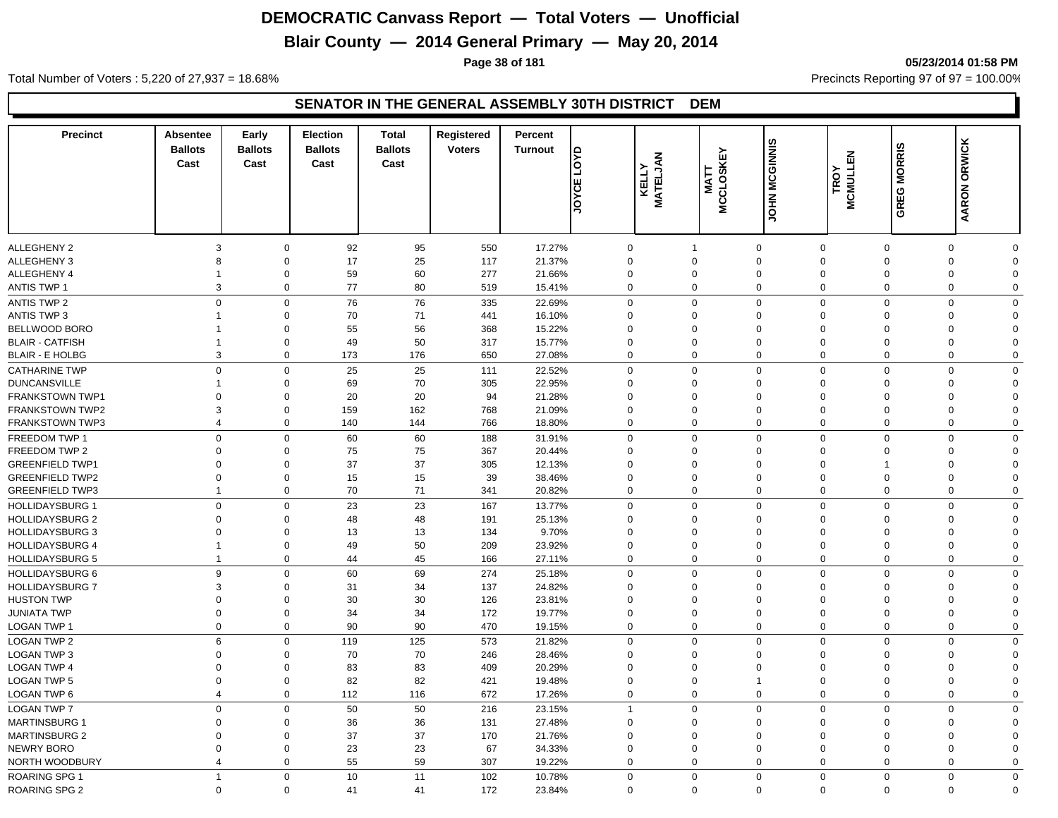## **Blair County — 2014 General Primary — May 20, 2014**

**Page 38 of 181 05/23/2014 01:58 PM**

Total Number of Voters : 5,220 of 27,937 = 18.68% Precincts Reporting 97 of 97 = 100.00%

| <b>Precinct</b>        | <b>Absentee</b><br><b>Ballots</b><br>Cast | Early<br><b>Ballots</b><br>Cast | <b>Election</b><br><b>Ballots</b><br>Cast | <b>Total</b><br><b>Ballots</b><br>Cast | Registered<br><b>Voters</b> | Percent<br><b>Turnout</b> | <b>axo</b><br>ш<br><b>SAGE</b> | KELLY<br>MATELJAN | <b>MCCLOSKEY</b><br><b>MATT</b> | JOHN MCGINNIS       | <b>MCMULLEN</b><br>TROY       | GREG MORRIS | AARON ORWICK                           |
|------------------------|-------------------------------------------|---------------------------------|-------------------------------------------|----------------------------------------|-----------------------------|---------------------------|--------------------------------|-------------------|---------------------------------|---------------------|-------------------------------|-------------|----------------------------------------|
|                        |                                           |                                 |                                           |                                        |                             |                           |                                |                   |                                 |                     |                               |             |                                        |
| <b>ALLEGHENY 2</b>     | 3                                         | $\mathbf 0$                     | 92                                        | 95                                     | 550                         | 17.27%                    | $\mathbf 0$                    |                   | $\mathbf 1$                     | $\mathbf 0$         | $\mathbf 0$                   | $\mathbf 0$ | $\mathbf 0$<br>$\Omega$                |
| <b>ALLEGHENY 3</b>     | 8                                         | $\mathbf 0$                     | 17                                        | 25                                     | 117                         | 21.37%                    | $\Omega$                       |                   | $\Omega$                        | $\mathbf 0$         | $\mathbf 0$<br>$\Omega$       |             | $\mathbf 0$<br>$\Omega$                |
| ALLEGHENY 4            | -1                                        | $\mathbf 0$                     | 59                                        | 60                                     | 277                         | 21.66%                    |                                | $\Omega$          | 0                               | $\mathbf 0$         | $\mathbf 0$<br>$\mathbf 0$    |             | 0<br>$\Omega$                          |
| <b>ANTIS TWP 1</b>     | 3                                         | $\mathbf 0$                     | $77 \,$                                   | 80                                     | 519                         | 15.41%                    | $\mathbf 0$                    |                   | $\mathbf 0$                     | $\mathsf{O}\xspace$ | $\mathbf 0$<br>$\Omega$       |             | $\mathbf 0$<br>$\mathbf 0$             |
| <b>ANTIS TWP 2</b>     |                                           | $\mathbf 0$<br>$\mathbf 0$      | 76                                        | 76                                     | 335                         | 22.69%                    | $\mathbf 0$                    |                   | $\mathbf 0$                     | $\mathbf 0$         | $\mathbf 0$                   | $\mathbf 0$ | $\mathbf 0$<br>$\Omega$                |
| <b>ANTIS TWP 3</b>     | $\mathbf{1}$                              | $\mathbf 0$                     | 70                                        | 71                                     | 441                         | 16.10%                    |                                | $\mathbf 0$       | $\mathbf 0$                     | $\mathbf 0$         | $\Omega$<br>$\mathbf 0$       |             | 0<br>$\Omega$                          |
| BELLWOOD BORO          |                                           | $\mathbf 0$                     | 55                                        | 56                                     | 368                         | 15.22%                    |                                | $\mathbf 0$       | $\mathbf 0$                     | $\mathbf 0$         | $\mathbf 0$<br>$\mathbf 0$    |             | 0<br>$\Omega$                          |
| <b>BLAIR - CATFISH</b> | 1                                         | $\mathbf 0$                     | 49                                        | 50                                     | 317                         | 15.77%                    |                                | $\mathbf 0$       | $\mathbf 0$                     | $\mathbf 0$         | $\mathbf 0$<br>$\mathbf 0$    |             | 0<br>$\Omega$                          |
| <b>BLAIR - E HOLBG</b> | 3                                         | $\mathbf 0$                     | 173                                       | 176                                    | 650                         | 27.08%                    | $\Omega$                       |                   | $\mathbf 0$                     | $\mathbf 0$         | $\mathbf 0$                   | $\mathbf 0$ | $\mathbf 0$<br>$\Omega$                |
| <b>CATHARINE TWP</b>   |                                           | $\Omega$<br>$\mathbf 0$         | 25                                        | 25                                     | 111                         | 22.52%                    | $\Omega$                       |                   | $\mathbf 0$                     | $\mathbf 0$         | $\mathbf 0$                   | $\mathbf 0$ | $\mathbf 0$<br>$\Omega$                |
| <b>DUNCANSVILLE</b>    |                                           | $\mathbf 0$                     | 69                                        | 70                                     | 305                         | 22.95%                    |                                | $\Omega$          | $\mathbf 0$                     | $\mathbf 0$         | $\Omega$<br>$\Omega$          |             | 0<br>$\Omega$                          |
| FRANKSTOWN TWP1        | $\Omega$                                  | $\mathbf 0$                     | 20                                        | 20                                     | 94                          | 21.28%                    |                                | $\Omega$          | $\Omega$                        | $\mathbf 0$         | $\Omega$                      | $\Omega$    | 0<br>$\Omega$                          |
| <b>FRANKSTOWN TWP2</b> | 3                                         | $\mathbf 0$                     | 159                                       | 162                                    | 768                         | 21.09%                    | $\Omega$                       |                   | $\Omega$                        | $\mathbf 0$         | $\Omega$<br>$\Omega$          |             | 0<br>$\Omega$                          |
| <b>FRANKSTOWN TWP3</b> | $\overline{4}$                            | $\Omega$                        | 140                                       | 144                                    | 766                         | 18.80%                    | $\Omega$                       |                   | $\Omega$                        | $\mathbf 0$         | $\mathbf 0$                   | $\mathbf 0$ | 0<br>$\Omega$                          |
| FREEDOM TWP 1          |                                           | $\mathbf 0$<br>$\mathbf 0$      | 60                                        | 60                                     | 188                         | 31.91%                    | $\mathbf 0$                    |                   | $\mathbf 0$                     | $\mathbf 0$         | $\overline{0}$<br>$\mathbf 0$ |             | $\mathbf 0$<br>$\mathbf 0$             |
| FREEDOM TWP 2          | $\mathbf 0$                               | $\mathbf 0$                     | 75                                        | 75                                     | 367                         | 20.44%                    |                                | $\Omega$          | $\mathbf 0$                     | $\mathbf 0$         | $\Omega$                      | $\Omega$    | 0<br>$\Omega$                          |
| <b>GREENFIELD TWP1</b> | $\mathbf 0$                               | $\mathbf 0$                     | 37                                        | 37                                     | 305                         | 12.13%                    |                                | $\mathbf 0$       | $\mathbf 0$                     | $\mathbf 0$         | $\Omega$<br>$\overline{1}$    |             | 0<br>$\Omega$                          |
| <b>GREENFIELD TWP2</b> | $\mathbf 0$                               | $\mathbf 0$                     | 15                                        | 15                                     | 39                          | 38.46%                    |                                | $\Omega$          | $\Omega$                        | $\mathbf 0$         | $\mathbf 0$<br>$\overline{0}$ |             | $\mathbf 0$<br>$\Omega$                |
| <b>GREENFIELD TWP3</b> | $\overline{1}$                            | $\mathbf 0$                     | 70                                        | 71                                     | 341                         | 20.82%                    | $\Omega$                       |                   | $\mathbf 0$                     | $\mathbf 0$         | $\mathbf 0$                   | $\mathbf 0$ | $\mathbf 0$<br>$\Omega$                |
|                        |                                           |                                 |                                           |                                        |                             |                           | $\Omega$                       |                   | $\Omega$                        |                     | $\Omega$                      |             |                                        |
| <b>HOLLIDAYSBURG 1</b> |                                           | $\mathbf 0$<br>$\mathbf 0$      | 23                                        | 23                                     | 167                         | 13.77%                    |                                |                   |                                 | $\mathbf 0$         | $\mathbf 0$<br>$\Omega$       |             | $\mathbf 0$<br>$\mathbf 0$<br>$\Omega$ |
| <b>HOLLIDAYSBURG 2</b> | $\Omega$                                  | 0                               | 48                                        | 48                                     | 191                         | 25.13%                    |                                | $\Omega$          | $\Omega$                        | $\mathbf 0$         | $\Omega$                      |             | 0                                      |
| <b>HOLLIDAYSBURG 3</b> | 0                                         | $\mathbf 0$                     | 13                                        | 13                                     | 134                         | 9.70%                     |                                | $\mathbf 0$       | $\mathbf 0$                     | $\mathbf 0$         | $\Omega$                      | $\mathbf 0$ | 0<br>$\Omega$                          |
| <b>HOLLIDAYSBURG 4</b> | $\overline{1}$<br>$\overline{1}$          | $\mathbf 0$                     | 49                                        | 50                                     | 209                         | 23.92%                    |                                | $\mathbf 0$       | $\mathbf 0$                     | $\mathbf 0$         | $\mathbf 0$<br>$\mathbf 0$    |             | 0<br>$\Omega$<br>$\Omega$              |
| <b>HOLLIDAYSBURG 5</b> |                                           | $\mathbf 0$                     | 44                                        | 45                                     | 166                         | 27.11%                    | $\mathbf 0$                    |                   | $\mathbf 0$                     | $\mathbf 0$         | $\mathbf 0$                   | $\mathbf 0$ | $\mathbf 0$                            |
| <b>HOLLIDAYSBURG 6</b> |                                           | 9<br>$\mathbf 0$                | 60                                        | 69                                     | 274                         | 25.18%                    | $\Omega$                       |                   | $\mathbf 0$                     | $\mathbf 0$         | $\mathbf 0$<br>$\Omega$       |             | $\mathbf 0$<br>$\Omega$                |
| <b>HOLLIDAYSBURG 7</b> | 3                                         | $\mathbf 0$                     | 31                                        | 34                                     | 137                         | 24.82%                    |                                | $\Omega$          | $\mathbf 0$                     | $\mathbf 0$         | $\Omega$<br>$\Omega$          |             | $\mathbf 0$<br>$\Omega$                |
| <b>HUSTON TWP</b>      | $\Omega$                                  | $\mathbf 0$                     | 30                                        | 30                                     | 126                         | 23.81%                    |                                | $\mathbf 0$       | $\Omega$                        | $\mathbf 0$         | $\Omega$<br>$\mathbf 0$       |             | 0<br>$\Omega$                          |
| <b>JUNIATA TWP</b>     | $\Omega$                                  | $\mathbf 0$                     | 34                                        | 34                                     | 172                         | 19.77%                    | $\mathbf 0$                    |                   | $\Omega$                        | $\mathbf 0$         | $\mathbf 0$<br>$\Omega$       |             | $\mathbf 0$<br>$\Omega$                |
| <b>LOGAN TWP 1</b>     |                                           | $\mathbf{0}$<br>$\mathbf 0$     | 90                                        | 90                                     | 470                         | 19.15%                    | $\Omega$                       |                   | $\mathbf{0}$                    | $\mathbf 0$         | $\mathbf 0$                   | $\mathbf 0$ | $\mathbf 0$<br>$\Omega$                |
| <b>LOGAN TWP 2</b>     | 6                                         | $\mathbf 0$                     | 119                                       | 125                                    | 573                         | 21.82%                    | $\mathbf 0$                    |                   | $\mathbf 0$                     | $\mathbf 0$         | $\mathbf 0$<br>$\mathbf 0$    |             | $\mathbf 0$<br>$\mathbf 0$             |
| LOGAN TWP 3            | $\mathbf 0$                               | $\mathbf 0$                     | 70                                        | 70                                     | 246                         | 28.46%                    |                                | $\mathbf 0$       | $\mathbf 0$                     | $\mathbf 0$         | $\mathbf 0$<br>$\mathbf 0$    |             | 0<br>$\mathbf 0$                       |
| <b>LOGAN TWP 4</b>     | 0                                         | $\mathbf 0$                     | 83                                        | 83                                     | 409                         | 20.29%                    |                                | $\mathbf 0$       | $\Omega$                        | $\mathbf 0$         | $\Omega$                      | $\mathbf 0$ | 0<br>$\Omega$                          |
| <b>LOGAN TWP 5</b>     | $\mathbf 0$                               | $\mathbf 0$                     | 82                                        | 82                                     | 421                         | 19.48%                    |                                | $\mathbf 0$       | $\mathbf 0$                     | $\mathbf{1}$        | $\mathbf 0$<br>$\mathbf 0$    |             | 0<br>$\Omega$                          |
| <b>LOGAN TWP 6</b>     | $\overline{4}$                            | $\mathbf 0$                     | 112                                       | 116                                    | 672                         | 17.26%                    |                                | $\mathbf 0$       | $\mathbf 0$                     | $\mathbf 0$         | $\mathbf 0$                   | $\mathbf 0$ | $\mathbf 0$<br>$\Omega$                |
| <b>LOGAN TWP 7</b>     | $\mathbf 0$                               | $\mathbf 0$                     | 50                                        | 50                                     | 216                         | 23.15%                    | -1                             |                   | $\mathbf 0$                     | $\mathbf 0$         | $\mathbf 0$<br>$\Omega$       |             | $\mathbf 0$<br>$\mathbf 0$             |
| <b>MARTINSBURG 1</b>   | $\Omega$                                  | $\mathbf 0$                     | 36                                        | 36                                     | 131                         | 27.48%                    |                                | $\Omega$          | $\Omega$                        | $\mathbf 0$         | $\Omega$<br>$\Omega$          |             | $\mathbf 0$<br>$\Omega$                |
| <b>MARTINSBURG 2</b>   | $\Omega$                                  | $\Omega$                        | 37                                        | 37                                     | 170                         | 21.76%                    |                                | $\Omega$          | $\Omega$                        | $\mathbf 0$         | $\Omega$                      | $\Omega$    | 0<br>$\Omega$                          |
| <b>NEWRY BORO</b>      | $\Omega$                                  | $\mathbf 0$                     | 23                                        | 23                                     | 67                          | 34.33%                    | $\Omega$                       |                   | $\Omega$                        | $\mathbf 0$         | $\mathbf{0}$<br>$\Omega$      |             | $\mathbf 0$<br>$\Omega$                |
| NORTH WOODBURY         | $\overline{4}$                            | $\mathbf 0$                     | 55                                        | 59                                     | 307                         | 19.22%                    | $\Omega$                       |                   | $\mathbf 0$                     | $\mathbf 0$         | $\mathbf{0}$                  | $\mathbf 0$ | $\mathbf 0$<br>$\Omega$                |
| <b>ROARING SPG 1</b>   | $\overline{1}$                            | $\mathbf 0$                     | 10                                        | 11                                     | 102                         | 10.78%                    | $\mathbf 0$                    |                   | $\mathbf 0$                     | $\mathbf 0$         | $\mathbf 0$<br>$\Omega$       |             | $\mathbf 0$<br>$\mathbf 0$             |
| <b>ROARING SPG 2</b>   |                                           | $\mathbf 0$<br>$\Omega$         | 41                                        | 41                                     | 172                         | 23.84%                    |                                | $\Omega$          | $\mathbf 0$                     | $\mathbf 0$         | $\mathbf 0$                   | $\mathbf 0$ | $\Omega$<br>$\mathbf 0$                |
|                        |                                           |                                 |                                           |                                        |                             |                           |                                |                   |                                 |                     |                               |             |                                        |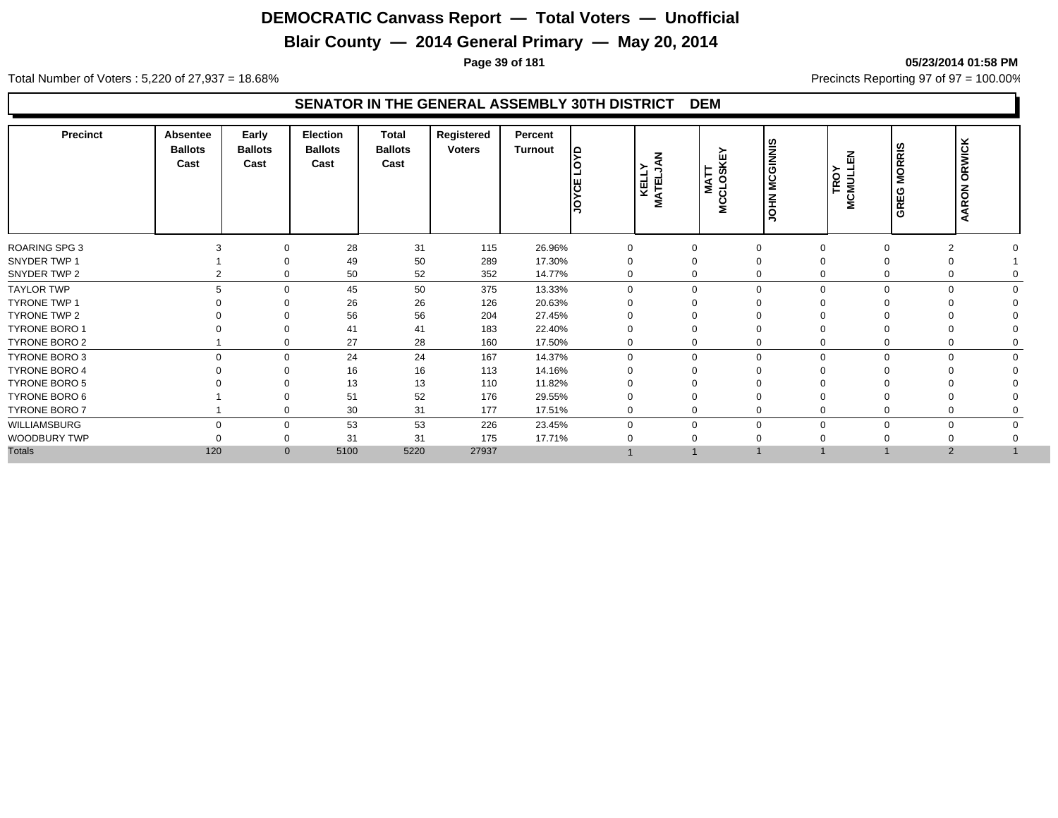## **Blair County — 2014 General Primary — May 20, 2014**

**Page 39 of 181 05/23/2014 01:58 PM**

Total Number of Voters : 5,220 of 27,937 = 18.68% Precincts Reporting 97 of 97 = 100.00%

| 28<br>31<br>115<br>26.96%<br>$\overline{2}$<br>0<br>0<br>50<br>289<br>49<br>17.30%<br>0<br>0<br>$\Omega$<br>50<br>52<br>352<br>14.77%<br>0<br>0<br>2<br>$\Omega$<br>50<br>375<br>5<br>13.33%<br>$\mathbf 0$<br>$\mathbf 0$<br>45<br>$\Omega$<br>$\Omega$<br>$\Omega$<br>$\Omega$<br>26<br>26<br>126<br>20.63%<br>$\Omega$<br>$\Omega$<br>56<br>56<br>204<br>27.45%<br>$\Omega$<br>41<br>41<br>183<br>22.40%<br>$\Omega$<br>$\Omega$<br>27<br>28<br>160<br>17.50%<br>0<br>0<br>0<br>24<br>24<br>167<br>14.37%<br>$\Omega$<br>$\Omega$<br>$\mathbf 0$<br>$\Omega$<br>$\Omega$<br>$\Omega$<br>$\Omega$<br>16<br>16<br>113<br>14.16%<br>$\Omega$<br>13<br>13<br>110<br>11.82%<br>52<br>51<br>176<br>29.55%<br>0<br>$\Omega$<br>30<br>31<br>177<br>17.51%<br>0<br>0<br>$\Omega$<br>0<br>53<br>53<br>226<br>23.45%<br>$\mathbf 0$<br>$\Omega$<br>$\Omega$<br>$\Omega$<br>$\mathbf 0$<br>$\Omega$<br>0<br>31<br>31<br>175<br>17.71%<br>$\Omega$<br>5220<br>120<br>5100<br>27937<br>2<br>$\mathbf{0}$ | <b>Precinct</b>      | Absentee<br><b>Ballots</b><br>Cast | Early<br><b>Ballots</b><br>Cast | <b>Election</b><br><b>Ballots</b><br>Cast | <b>Total</b><br><b>Ballots</b><br>Cast | Registered<br><b>Voters</b> | Percent<br>Turnout | ١£<br>JOYCE | z<br>◀<br>ועבברי<br>KELT | KEY<br>MATT<br>MCCLOSK | <b>MCGINNIS</b><br>$\mathbf{z}$<br>ᅗ | 즚<br>≻<br>MCMULI | <b>MORRIS</b><br>GREG | <b>ARON ORWICK</b><br>d |
|-----------------------------------------------------------------------------------------------------------------------------------------------------------------------------------------------------------------------------------------------------------------------------------------------------------------------------------------------------------------------------------------------------------------------------------------------------------------------------------------------------------------------------------------------------------------------------------------------------------------------------------------------------------------------------------------------------------------------------------------------------------------------------------------------------------------------------------------------------------------------------------------------------------------------------------------------------------------------------------------------|----------------------|------------------------------------|---------------------------------|-------------------------------------------|----------------------------------------|-----------------------------|--------------------|-------------|--------------------------|------------------------|--------------------------------------|------------------|-----------------------|-------------------------|
|                                                                                                                                                                                                                                                                                                                                                                                                                                                                                                                                                                                                                                                                                                                                                                                                                                                                                                                                                                                               | <b>ROARING SPG 3</b> |                                    |                                 |                                           |                                        |                             |                    |             |                          |                        |                                      |                  |                       |                         |
|                                                                                                                                                                                                                                                                                                                                                                                                                                                                                                                                                                                                                                                                                                                                                                                                                                                                                                                                                                                               | SNYDER TWP 1         |                                    |                                 |                                           |                                        |                             |                    |             |                          |                        |                                      |                  |                       |                         |
|                                                                                                                                                                                                                                                                                                                                                                                                                                                                                                                                                                                                                                                                                                                                                                                                                                                                                                                                                                                               | SNYDER TWP 2         |                                    |                                 |                                           |                                        |                             |                    |             |                          |                        |                                      |                  |                       |                         |
|                                                                                                                                                                                                                                                                                                                                                                                                                                                                                                                                                                                                                                                                                                                                                                                                                                                                                                                                                                                               | <b>TAYLOR TWP</b>    |                                    |                                 |                                           |                                        |                             |                    |             |                          |                        |                                      |                  |                       |                         |
|                                                                                                                                                                                                                                                                                                                                                                                                                                                                                                                                                                                                                                                                                                                                                                                                                                                                                                                                                                                               | <b>TYRONE TWP 1</b>  |                                    |                                 |                                           |                                        |                             |                    |             |                          |                        |                                      |                  |                       |                         |
|                                                                                                                                                                                                                                                                                                                                                                                                                                                                                                                                                                                                                                                                                                                                                                                                                                                                                                                                                                                               | TYRONE TWP 2         |                                    |                                 |                                           |                                        |                             |                    |             |                          |                        |                                      |                  |                       |                         |
|                                                                                                                                                                                                                                                                                                                                                                                                                                                                                                                                                                                                                                                                                                                                                                                                                                                                                                                                                                                               | <b>TYRONE BORO 1</b> |                                    |                                 |                                           |                                        |                             |                    |             |                          |                        |                                      |                  |                       |                         |
|                                                                                                                                                                                                                                                                                                                                                                                                                                                                                                                                                                                                                                                                                                                                                                                                                                                                                                                                                                                               | TYRONE BORO 2        |                                    |                                 |                                           |                                        |                             |                    |             |                          |                        |                                      |                  |                       |                         |
|                                                                                                                                                                                                                                                                                                                                                                                                                                                                                                                                                                                                                                                                                                                                                                                                                                                                                                                                                                                               | <b>TYRONE BORO 3</b> |                                    |                                 |                                           |                                        |                             |                    |             |                          |                        |                                      |                  |                       |                         |
|                                                                                                                                                                                                                                                                                                                                                                                                                                                                                                                                                                                                                                                                                                                                                                                                                                                                                                                                                                                               | <b>TYRONE BORO 4</b> |                                    |                                 |                                           |                                        |                             |                    |             |                          |                        |                                      |                  |                       |                         |
|                                                                                                                                                                                                                                                                                                                                                                                                                                                                                                                                                                                                                                                                                                                                                                                                                                                                                                                                                                                               | <b>TYRONE BORO 5</b> |                                    |                                 |                                           |                                        |                             |                    |             |                          |                        |                                      |                  |                       |                         |
|                                                                                                                                                                                                                                                                                                                                                                                                                                                                                                                                                                                                                                                                                                                                                                                                                                                                                                                                                                                               | TYRONE BORO 6        |                                    |                                 |                                           |                                        |                             |                    |             |                          |                        |                                      |                  |                       |                         |
|                                                                                                                                                                                                                                                                                                                                                                                                                                                                                                                                                                                                                                                                                                                                                                                                                                                                                                                                                                                               | <b>TYRONE BORO 7</b> |                                    |                                 |                                           |                                        |                             |                    |             |                          |                        |                                      |                  |                       |                         |
|                                                                                                                                                                                                                                                                                                                                                                                                                                                                                                                                                                                                                                                                                                                                                                                                                                                                                                                                                                                               | WILLIAMSBURG         |                                    |                                 |                                           |                                        |                             |                    |             |                          |                        |                                      |                  |                       |                         |
|                                                                                                                                                                                                                                                                                                                                                                                                                                                                                                                                                                                                                                                                                                                                                                                                                                                                                                                                                                                               | WOODBURY TWP         |                                    |                                 |                                           |                                        |                             |                    |             |                          |                        |                                      |                  |                       |                         |
|                                                                                                                                                                                                                                                                                                                                                                                                                                                                                                                                                                                                                                                                                                                                                                                                                                                                                                                                                                                               | <b>Totals</b>        |                                    |                                 |                                           |                                        |                             |                    |             |                          |                        |                                      |                  |                       |                         |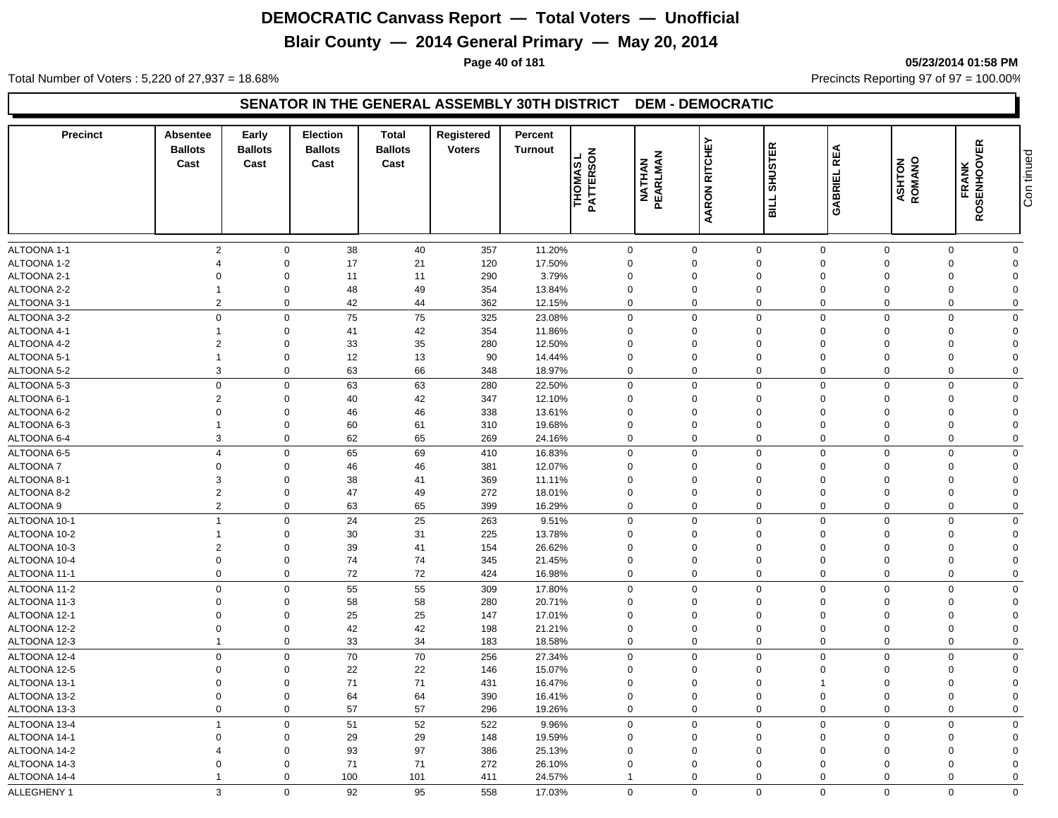## **Blair County — 2014 General Primary — May 20, 2014**

**Page 40 of 181 05/23/2014 01:58 PM**

Total Number of Voters : 5,220 of 27,937 = 18.68% Precincts Reporting 97 of 97 = 100.00%

#### **SENATOR IN THE GENERAL ASSEMBLY 30TH DISTRICT DEM - DEMOCRATIC**

| <b>Precinct</b>            | <b>Absentee</b><br><b>Ballots</b><br>Cast | Early<br><b>Ballots</b><br>Cast | <b>Election</b><br><b>Ballots</b><br>Cast | <b>Total</b><br><b>Ballots</b><br>Cast | Registered<br><b>Voters</b> | Percent<br><b>Turnout</b> | THOMAS L<br>PATTERSON      | <b>NATHAN</b><br>PEARLMAN | <b>RITCHEY</b><br>AARON    | <b>SHUSTER</b><br>BILL     | <b>REA</b><br>GABRIEL      | <b>ASHTON</b><br>ROMANO | <b>FRANK<br/>ROSENHOOVER</b><br>õź | Con tinued              |
|----------------------------|-------------------------------------------|---------------------------------|-------------------------------------------|----------------------------------------|-----------------------------|---------------------------|----------------------------|---------------------------|----------------------------|----------------------------|----------------------------|-------------------------|------------------------------------|-------------------------|
|                            |                                           |                                 |                                           |                                        |                             |                           |                            |                           |                            |                            |                            |                         |                                    |                         |
| ALTOONA 1-1                | 2<br>$\boldsymbol{\Delta}$                | $\mathbf 0$                     | 38                                        | 40                                     | 357                         | 11.20%                    | $\mathbf 0$                |                           | $\mathbf 0$                | $\mathbf 0$                | $\mathbf{0}$               | $\mathbf 0$             | $\mathbf 0$                        | $\mathbf 0$             |
| ALTOONA 1-2                |                                           | $\mathbf 0$                     | 17                                        | 21                                     | 120                         | 17.50%                    | $\Omega$                   |                           | $\Omega$                   | $\mathbf 0$                | $\Omega$                   | $\Omega$                | $\Omega$                           | $\Omega$                |
| ALTOONA 2-1<br>ALTOONA 2-2 | $\Omega$<br>-1                            | $\Omega$<br>$\mathbf 0$         | 11                                        | 11                                     | 290                         | 3.79%                     | $\Omega$<br>$\Omega$       |                           | $\Omega$<br>$\Omega$       | $\mathbf 0$                | $\Omega$<br>$\Omega$       | $\Omega$<br>$\Omega$    | $\Omega$<br>$\Omega$               | $\Omega$<br>$\Omega$    |
|                            | $\overline{2}$                            |                                 | 48                                        | 49                                     | 354                         | 13.84%                    |                            |                           |                            | $\mathbf 0$                |                            |                         |                                    |                         |
| ALTOONA 3-1                |                                           | $\mathbf 0$                     | 42                                        | 44                                     | 362                         | 12.15%                    | $\mathbf 0$                |                           | $\mathbf 0$                | $\mathbf 0$                | $\mathbf 0$                | $\mathbf 0$             | $\mathbf 0$                        | $\mathbf 0$             |
| ALTOONA 3-2                | $\mathbf 0$                               | $\mathbf 0$                     | 75                                        | 75                                     | 325                         | 23.08%                    | $\mathbf 0$                |                           | $\Omega$                   | $\mathbf 0$                | $\Omega$                   | $\Omega$                | $\Omega$                           | $\Omega$                |
| ALTOONA 4-1                | -1                                        | $\mathbf 0$                     | 41                                        | 42                                     | 354                         | 11.86%                    | 0                          |                           | $\Omega$                   | $\mathbf 0$                | $\Omega$                   | $\Omega$                | $\Omega$                           | $\Omega$                |
| ALTOONA 4-2                | $\overline{2}$<br>$\overline{1}$          | $\mathbf 0$                     | 33                                        | 35                                     | 280                         | 12.50%                    | $\mathbf 0$                |                           | 0                          | $\mathbf 0$                | $\mathbf 0$                | $\Omega$                | $\Omega$                           | $\Omega$                |
| ALTOONA 5-1                |                                           | $\mathbf 0$                     | 12                                        | 13                                     | 90                          | 14.44%                    | $\mathbf 0$                |                           | $\mathbf 0$                | $\mathbf 0$                | $\mathbf 0$                | $\Omega$                | $\mathbf 0$                        | $\Omega$                |
| ALTOONA 5-2                | 3                                         | $\mathbf 0$                     | 63                                        | 66                                     | 348                         | 18.97%                    | $\mathbf 0$                |                           | $\mathbf 0$                | $\mathbf 0$                | $\mathbf 0$                | $\mathbf 0$             | $\mathbf 0$                        | $\mathbf 0$             |
| ALTOONA 5-3                | $\mathbf 0$                               | $\mathbf 0$                     | 63                                        | 63                                     | 280                         | 22.50%                    | 0                          |                           | $\Omega$                   | $\mathbf 0$                | $\Omega$                   | $\Omega$                | $\Omega$                           | $\mathbf 0$             |
| ALTOONA 6-1                | $\overline{2}$                            | $\mathbf 0$                     | 40                                        | 42                                     | 347                         | 12.10%                    | $\mathbf 0$                |                           | 0                          | $\mathbf 0$                | $\mathbf 0$                | $\Omega$<br>$\Omega$    | $\Omega$                           | $\overline{0}$          |
| ALTOONA 6-2                | $\mathbf 0$                               | $\mathbf 0$                     | 46                                        | 46                                     | 338                         | 13.61%                    | $\mathbf 0$                |                           | 0                          | $\mathbf 0$                | $\mathbf 0$                |                         | $\mathbf 0$                        | $\Omega$                |
| ALTOONA 6-3                | $\mathbf{1}$<br>3                         | $\mathbf 0$<br>$\mathbf 0$      | 60<br>62                                  | 61<br>65                               | 310                         | 19.68%                    | $\mathbf 0$<br>$\mathbf 0$ |                           | $\mathbf 0$<br>$\mathbf 0$ | $\mathbf 0$<br>$\mathbf 0$ | $\mathbf 0$<br>$\mathbf 0$ | $\Omega$<br>$\Omega$    | $\mathbf 0$<br>$\Omega$            | $\Omega$<br>$\mathbf 0$ |
| ALTOONA 6-4                |                                           |                                 |                                           |                                        | 269                         | 24.16%                    |                            |                           |                            |                            |                            |                         |                                    |                         |
| ALTOONA 6-5                | $\overline{4}$                            | $\mathbf 0$                     | 65                                        | 69                                     | 410                         | 16.83%                    | $\mathbf 0$                |                           | $\mathbf 0$                | $\mathbf 0$                | $\mathbf 0$                | $\mathbf 0$             | $\mathbf 0$                        | $\mathbf 0$             |
| ALTOONA 7                  | $\mathbf 0$                               | $\mathbf 0$                     | 46                                        | 46                                     | 381                         | 12.07%                    | $\mathbf 0$                |                           | 0                          | $\mathbf 0$                | $\mathbf 0$                | $\Omega$                | $\mathbf 0$                        | $\Omega$                |
| ALTOONA 8-1                | 3                                         | $\mathbf 0$                     | 38                                        | 41                                     | 369                         | 11.11%                    | $\mathbf 0$                |                           | 0                          | $\mathbf 0$                | $\mathbf 0$                | $\Omega$                | $\Omega$                           | $\Omega$                |
| ALTOONA 8-2                | $\overline{2}$                            | $\mathbf 0$                     | 47                                        | 49                                     | 272                         | 18.01%                    | $\mathbf 0$                |                           | 0                          | $\mathbf 0$                | $\mathbf 0$                | $\Omega$                | $\Omega$                           | $\Omega$                |
| ALTOONA 9                  | $\overline{2}$                            | $\mathbf 0$                     | 63                                        | 65                                     | 399                         | 16.29%                    | $\mathbf 0$                |                           | $\Omega$                   | $\mathbf 0$                | $\Omega$                   | $\Omega$                | $\mathbf 0$                        | $\mathbf 0$             |
| ALTOONA 10-1               | $\overline{1}$                            | $\mathbf 0$                     | 24                                        | 25                                     | 263                         | 9.51%                     | $\mathbf 0$                |                           | $\mathbf 0$                | $\mathbf 0$                | $\mathbf 0$                | $\Omega$                | $\mathbf 0$                        | $\mathbf 0$             |
| ALTOONA 10-2               | $\overline{1}$                            | $\mathbf 0$                     | 30                                        | 31                                     | 225                         | 13.78%                    | $\mathbf 0$                |                           | 0                          | $\mathbf 0$                | $\Omega$                   | $\Omega$                | $\Omega$                           | $\mathbf 0$             |
| ALTOONA 10-3               | $\overline{2}$                            | $\mathbf 0$                     | 39                                        | 41                                     | 154                         | 26.62%                    | $\mathbf 0$                |                           | 0                          | $\mathbf 0$                | $\mathbf 0$                | $\Omega$                | $\Omega$                           | $\Omega$                |
| ALTOONA 10-4               | $\mathbf 0$                               | $\mathbf 0$                     | 74                                        | 74                                     | 345                         | 21.45%                    | $\mathbf 0$                |                           | $\mathbf 0$                | $\mathbf 0$                | $\Omega$                   | $\Omega$                | $\Omega$                           | $\Omega$                |
| ALTOONA 11-1               | $\mathbf 0$                               | $\mathbf 0$                     | 72                                        | 72                                     | 424                         | 16.98%                    | $\mathbf 0$                |                           | $\mathbf 0$                | $\mathbf 0$                | $\Omega$                   | $\Omega$                | $\mathbf 0$                        | $\mathbf 0$             |
| ALTOONA 11-2               | $\mathbf 0$                               | $\mathbf 0$                     | 55                                        | 55                                     | 309                         | 17.80%                    | $\mathbf 0$                |                           | $\mathbf 0$                | $\mathbf 0$                | $\mathbf 0$                | $\mathbf 0$             | $\mathbf 0$                        | $\mathbf 0$             |
| ALTOONA 11-3               | $\Omega$                                  | $\mathbf 0$                     | 58                                        | 58                                     | 280                         | 20.71%                    | $\mathbf 0$                |                           | 0                          | $\mathbf 0$                | $\Omega$                   | $\Omega$                | $\Omega$                           | $\Omega$                |
| ALTOONA 12-1               | $\Omega$                                  | $\mathbf 0$                     | 25                                        | 25                                     | 147                         | 17.01%                    | $\Omega$                   |                           | $\Omega$                   | $\mathbf 0$                | $\Omega$                   | $\Omega$                | $\Omega$                           | $\Omega$                |
| ALTOONA 12-2               | $\Omega$                                  | $\mathbf 0$                     | 42                                        | 42                                     | 198                         | 21.21%                    | 0                          |                           | $\mathbf 0$                | $\mathbf 0$                | $\Omega$                   | $\Omega$                | $\Omega$                           | $\Omega$                |
| ALTOONA 12-3               | $\overline{1}$                            | $\mathbf 0$                     | 33                                        | 34                                     | 183                         | 18.58%                    | $\mathbf 0$                |                           | $\mathbf 0$                | $\mathbf 0$                | $\mathbf 0$                | $\mathbf 0$             | 0                                  | $\mathbf 0$             |
| ALTOONA 12-4               | $\mathbf 0$                               | $\mathsf 0$                     | 70                                        | $70\,$                                 | 256                         | 27.34%                    | $\mathbf 0$                |                           | $\mathbf 0$                | $\mathbf 0$                | $\overline{0}$             | $\Omega$                | $\Omega$                           | $\mathbf 0$             |
| ALTOONA 12-5               | $\Omega$                                  | $\mathbf 0$                     | 22                                        | 22                                     | 146                         | 15.07%                    | $\mathbf 0$                |                           | $\Omega$                   | $\mathbf 0$                | $\Omega$                   | $\Omega$                | $\Omega$                           | $\mathbf 0$             |
| ALTOONA 13-1               | $\Omega$                                  | $\mathbf 0$                     | 71                                        | 71                                     | 431                         | 16.47%                    | $\Omega$                   |                           | $\Omega$                   | $\mathbf 0$                | 1                          | $\Omega$                | $\overline{0}$                     | $\mathbf 0$             |
| ALTOONA 13-2               | $\mathbf 0$                               | $\mathbf 0$                     | 64                                        | 64                                     | 390                         | 16.41%                    | $\mathbf 0$                |                           | $\mathbf 0$                | $\mathbf 0$                | $\mathbf 0$                | $\Omega$                | $\mathbf 0$                        | $\mathbf 0$             |
| ALTOONA 13-3               | $\mathbf 0$                               | $\mathbf 0$                     | 57                                        | 57                                     | 296                         | 19.26%                    | $\mathbf 0$                |                           | $\mathbf 0$                | $\mathbf 0$                | $\mathbf 0$                | $\mathbf 0$             | $\Omega$                           | $\mathbf 0$             |
| ALTOONA 13-4               | $\overline{1}$                            | $\mathbf 0$                     | 51                                        | 52                                     | 522                         | 9.96%                     | $\mathbf 0$                |                           | $\mathbf 0$                | $\mathbf 0$                | $\Omega$                   | $\Omega$                | $\mathbf 0$                        | $\mathbf 0$             |
| ALTOONA 14-1               | $\overline{0}$                            | $\mathbf 0$                     | 29                                        | 29                                     | 148                         | 19.59%                    | $\mathbf 0$                |                           | $\mathbf 0$                | $\mathbf 0$                | $\Omega$                   | $\Omega$                | $\Omega$                           | $\mathbf 0$             |
| ALTOONA 14-2               |                                           | $\mathbf 0$                     | 93                                        | 97                                     | 386                         | 25.13%                    | $\mathbf 0$                |                           | 0                          | $\mathbf 0$                | $\Omega$                   | $\Omega$                | $\Omega$                           | $\Omega$                |
| ALTOONA 14-3               | $\Omega$                                  | $\Omega$                        | 71                                        | 71                                     | 272                         | 26.10%                    | $\mathbf 0$                |                           | $\Omega$                   | $\mathbf 0$                | $\Omega$                   | $\Omega$                | $\Omega$                           | $\Omega$                |
| ALTOONA 14-4               |                                           | $\Omega$                        | 100                                       | 101                                    | 411                         | 24.57%                    | $\mathbf{1}$               |                           | $\mathbf 0$                | $\mathbf 0$                | $\mathbf 0$                | $\Omega$                | $\Omega$                           | $\Omega$                |
| ALLEGHENY 1                | 3                                         | $\mathbf 0$                     | 92                                        | 95                                     | 558                         | 17.03%                    | $\mathbf 0$                |                           | $\mathbf 0$                | $\mathbf 0$                | $\mathbf{0}$               | $\mathbf 0$             | $\mathbf 0$                        | $\mathbf 0$             |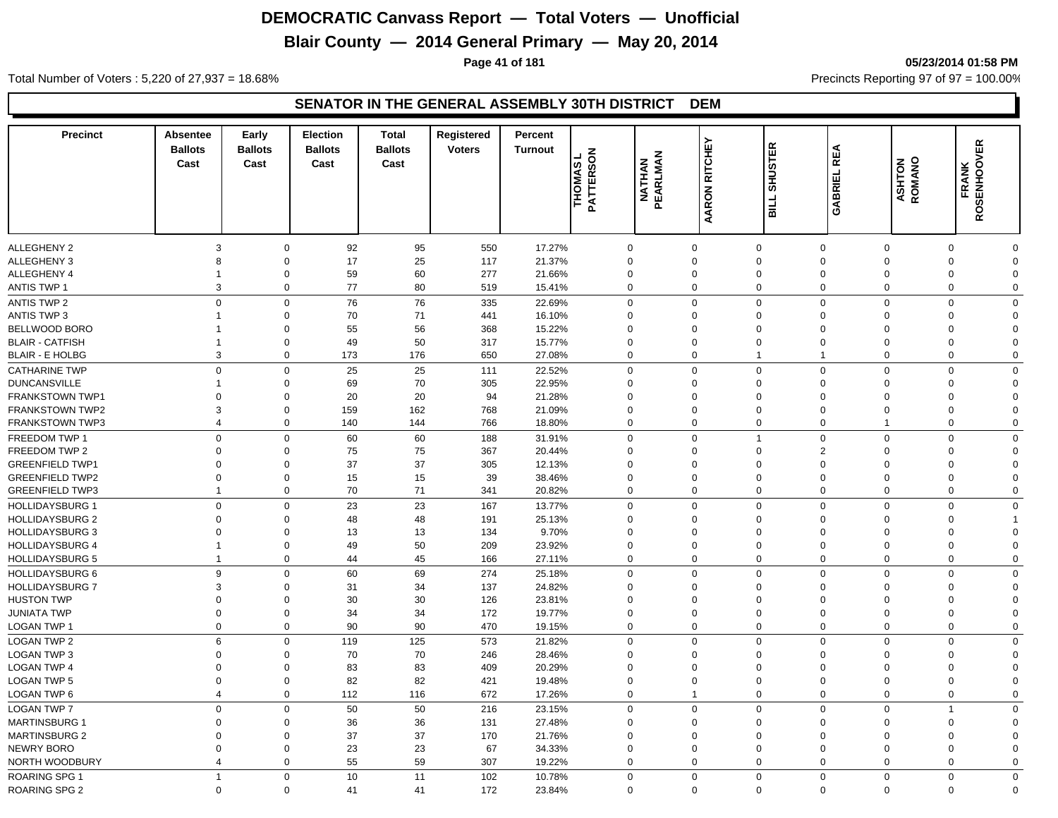## **Blair County — 2014 General Primary — May 20, 2014**

**Page 41 of 181 05/23/2014 01:58 PM**

Total Number of Voters : 5,220 of 27,937 = 18.68% Precincts Reporting 97 of 97 = 100.00%

| <b>Precinct</b>                         | <b>Absentee</b><br><b>Ballots</b><br>Cast | Early<br><b>Ballots</b><br>Cast | <b>Election</b><br><b>Ballots</b><br>Cast | <b>Total</b><br><b>Ballots</b><br>Cast | Registered<br><b>Voters</b> | Percent<br><b>Turnout</b> | $\overline{6}$<br>THOMAS<br>ဖ<br><b>PATTERS</b> | <b>NATHAN<br/>PEARLMAN</b> | AARON RITCHEY               | <b>SHUSTER</b><br>TIIB     | <b>REA</b><br>GABRIEL         | <b>ASHTON</b><br>ROMANO | <b>FRANK<br/>ROSENHOOVER</b> |                         |
|-----------------------------------------|-------------------------------------------|---------------------------------|-------------------------------------------|----------------------------------------|-----------------------------|---------------------------|-------------------------------------------------|----------------------------|-----------------------------|----------------------------|-------------------------------|-------------------------|------------------------------|-------------------------|
|                                         |                                           |                                 |                                           |                                        |                             |                           |                                                 |                            |                             |                            |                               |                         |                              |                         |
| <b>ALLEGHENY 2</b>                      | 3<br>8                                    | $\mathbf 0$<br>$\mathbf 0$      | 92                                        | 95                                     | 550                         | 17.27%                    |                                                 | $\mathbf 0$<br>$\mathbf 0$ | $\mathbf 0$<br>$\mathbf 0$  | $\mathbf 0$<br>$\mathbf 0$ | $\mathbf 0$<br>$\overline{0}$ | $\mathbf 0$<br>0        | $\mathbf 0$<br>$\mathbf 0$   | $\Omega$<br>$\mathbf 0$ |
| ALLEGHENY 3                             |                                           |                                 | 17                                        | 25                                     | 117                         | 21.37%                    |                                                 |                            | $\mathbf 0$                 | $\mathbf 0$                | $\overline{0}$                | $\mathbf 0$             | $\mathbf 0$                  | $\mathbf 0$             |
| ALLEGHENY 4<br><b>ANTIS TWP 1</b>       | $\mathbf 1$<br>3                          | $\mathbf 0$<br>$\mathbf 0$      | 59<br>77                                  | 60<br>80                               | 277<br>519                  | 21.66%<br>15.41%          |                                                 | $\mathbf 0$<br>$\mathbf 0$ | $\mathbf 0$                 | $\mathbf 0$                | $\mathbf 0$                   | 0                       | $\mathbf 0$                  | $\mathbf 0$             |
|                                         |                                           |                                 |                                           |                                        |                             |                           |                                                 |                            |                             |                            |                               |                         |                              |                         |
| ANTIS TWP 2                             | $\mathbf{0}$                              | $\mathbf 0$                     | 76                                        | 76<br>71                               | 335                         | 22.69%                    |                                                 | $\mathbf 0$<br>$\Omega$    | $\mathbf 0$                 | $\Omega$<br>$\Omega$       | $\mathbf 0$<br>$\Omega$       | $\mathbf 0$<br>$\Omega$ | $\Omega$<br>$\Omega$         | $\Omega$<br>$\Omega$    |
| <b>ANTIS TWP 3</b>                      | 1                                         | $\mathbf 0$                     | 70                                        |                                        | 441                         | 16.10%                    |                                                 | $\Omega$                   | $\mathbf 0$                 | $\Omega$                   | $\Omega$                      |                         |                              |                         |
| BELLWOOD BORO<br><b>BLAIR - CATFISH</b> | 1<br>1                                    | $\mathbf 0$<br>$\mathbf 0$      | 55<br>49                                  | 56<br>50                               | 368<br>317                  | 15.22%<br>15.77%          |                                                 | $\mathbf 0$                | $\mathbf{0}$<br>$\mathbf 0$ | $\Omega$                   | $\mathbf 0$                   | 0<br>0                  | $\Omega$<br>$\Omega$         | $\Omega$<br>$\Omega$    |
| <b>BLAIR - E HOLBG</b>                  | 3                                         | $\mathbf 0$                     | 173                                       | 176                                    | 650                         | 27.08%                    |                                                 | $\mathbf 0$                | $\mathbf 0$                 | $\mathbf{1}$               | $\overline{1}$                | 0                       | $\Omega$                     | $\Omega$                |
|                                         |                                           |                                 |                                           |                                        |                             |                           |                                                 |                            |                             |                            |                               |                         |                              |                         |
| <b>CATHARINE TWP</b>                    | $\mathbf 0$                               | $\mathbf 0$                     | 25                                        | 25                                     | 111                         | 22.52%                    |                                                 | $\mathbf 0$                | $\mathbf 0$                 | $\Omega$                   | $\mathbf 0$                   | $\mathbf 0$             | $\Omega$                     | $\Omega$                |
| <b>DUNCANSVILLE</b>                     | 1                                         | $\mathbf 0$                     | 69                                        | 70                                     | 305                         | 22.95%                    |                                                 | $\mathbf 0$                | $\mathbf 0$                 | $\Omega$                   | $\overline{0}$                | $\mathbf 0$             | $\Omega$                     | $\Omega$                |
| <b>FRANKSTOWN TWP1</b>                  | $\mathbf 0$                               | $\mathbf 0$                     | 20                                        | 20                                     | 94                          | 21.28%                    |                                                 | $\Omega$                   | $\mathbf 0$<br>$\mathbf 0$  | $\Omega$<br>$\Omega$       | $\mathbf 0$                   | $\Omega$                | $\Omega$<br>$\Omega$         | $\Omega$<br>$\Omega$    |
| <b>FRANKSTOWN TWP2</b>                  | 3                                         | $\boldsymbol{0}$                | 159                                       | 162                                    | 768                         | 21.09%                    |                                                 | $\mathbf 0$                |                             |                            | $\overline{0}$                | 0                       |                              |                         |
| <b>FRANKSTOWN TWP3</b>                  | $\overline{4}$                            | $\mathbf 0$                     | 140                                       | 144                                    | 766                         | 18.80%                    |                                                 | $\mathbf 0$                | $\mathbf 0$                 | $\mathbf 0$                | $\mathbf 0$                   | $\mathbf{1}$            | $\mathbf 0$                  | $\mathbf 0$             |
| FREEDOM TWP 1                           | $\mathbf 0$                               | $\mathbf 0$                     | 60                                        | 60                                     | 188                         | 31.91%                    |                                                 | $\mathbf 0$                | $\mathbf 0$                 | 1                          | $\mathbf 0$                   | $\mathbf 0$             | $\Omega$                     | $\Omega$                |
| FREEDOM TWP 2                           | 0                                         | $\mathbf 0$                     | 75                                        | 75                                     | 367                         | 20.44%                    |                                                 | $\Omega$                   | $\mathbf 0$                 | $\Omega$                   | $\overline{2}$                | $\Omega$                | $\Omega$                     | $\Omega$                |
| <b>GREENFIELD TWP1</b>                  | 0                                         | $\mathbf 0$                     | 37                                        | 37                                     | 305                         | 12.13%                    |                                                 | $\Omega$                   | $\mathbf 0$                 | $\Omega$                   | $\Omega$                      | $\Omega$                | $\Omega$                     | $\Omega$                |
| <b>GREENFIELD TWP2</b>                  | 0                                         | $\mathbf 0$                     | 15                                        | 15                                     | 39                          | 38.46%                    |                                                 | $\mathbf 0$                | $\mathbf 0$                 | $\mathbf 0$                | $\mathbf 0$                   | 0                       | $\mathbf 0$                  | $\Omega$                |
| <b>GREENFIELD TWP3</b>                  | $\overline{1}$                            | $\mathbf 0$                     | 70                                        | 71                                     | 341                         | 20.82%                    |                                                 | $\mathbf 0$                | $\mathbf 0$                 | $\Omega$                   | $\mathbf 0$                   | 0                       | $\Omega$                     | $\mathbf 0$             |
| <b>HOLLIDAYSBURG 1</b>                  | $\mathbf{0}$                              | $\mathbf 0$                     | 23                                        | 23                                     | 167                         | 13.77%                    |                                                 | $\mathbf 0$                | $\mathbf 0$                 | $\Omega$                   | $\mathbf 0$                   | $\mathbf 0$             | $\Omega$                     | $\mathbf{0}$            |
| <b>HOLLIDAYSBURG 2</b>                  | 0                                         | $\mathbf 0$                     | 48                                        | 48                                     | 191                         | 25.13%                    |                                                 | $\mathbf 0$                | $\mathbf 0$                 | $\Omega$                   | $\overline{0}$                | 0                       | $\Omega$                     |                         |
| <b>HOLLIDAYSBURG 3</b>                  | $\mathbf 0$                               | $\mathbf 0$                     | 13                                        | 13                                     | 134                         | 9.70%                     |                                                 | $\Omega$                   | $\Omega$                    | $\Omega$                   | $\Omega$                      | $\Omega$                | $\Omega$                     | $\Omega$                |
| <b>HOLLIDAYSBURG 4</b>                  | 1                                         | $\mathbf 0$                     | 49                                        | 50                                     | 209                         | 23.92%                    |                                                 | $\mathbf 0$                | $\Omega$                    | $\Omega$                   | $\overline{0}$                | 0                       | $\Omega$                     | $\Omega$                |
| <b>HOLLIDAYSBURG 5</b>                  | $\overline{1}$                            | $\mathbf 0$                     | 44                                        | 45                                     | 166                         | 27.11%                    |                                                 | $\mathbf 0$                | $\mathbf 0$                 | $\Omega$                   | $\mathbf 0$                   | $\mathbf{0}$            | $\Omega$                     | $\mathbf 0$             |
| <b>HOLLIDAYSBURG 6</b>                  | 9                                         | $\mathbf 0$                     | 60                                        | 69                                     | 274                         | 25.18%                    |                                                 | $\mathbf 0$                | $\mathbf 0$                 | $\Omega$                   | $\mathbf 0$                   | $\mathbf 0$             | $\Omega$                     | $\Omega$                |
| <b>HOLLIDAYSBURG 7</b>                  | 3                                         | $\mathbf 0$                     | 31                                        | 34                                     | 137                         | 24.82%                    |                                                 | $\Omega$                   | $\mathbf 0$                 | $\Omega$                   | $\mathbf 0$                   | 0                       | $\mathbf 0$                  | $\mathbf 0$             |
| <b>HUSTON TWP</b>                       | 0                                         | $\mathbf 0$                     | 30                                        | 30                                     | 126                         | 23.81%                    |                                                 | $\mathbf 0$                | $\mathbf 0$                 | $\mathbf 0$                | $\mathbf 0$                   | 0                       | $\Omega$                     | $\Omega$                |
| <b>JUNIATA TWP</b>                      | $\mathbf 0$                               | $\mathbf 0$                     | 34                                        | 34                                     | 172                         | 19.77%                    |                                                 | $\mathbf 0$                | $\mathbf 0$                 | $\mathbf 0$                | $\mathbf 0$                   | 0                       | $\Omega$                     | $\Omega$                |
| LOGAN TWP 1                             | $\mathbf{0}$                              | $\mathbf 0$                     | 90                                        | 90                                     | 470                         | 19.15%                    |                                                 | $\mathbf 0$                | $\mathbf 0$                 | $\Omega$                   | $\mathbf 0$                   | $\mathbf{0}$            | $\Omega$                     | $\Omega$                |
| LOGAN TWP 2                             | 6                                         | $\mathbf 0$                     | 119                                       | 125                                    | 573                         | 21.82%                    |                                                 | $\mathbf 0$                | $\mathbf 0$                 | $\Omega$                   | $\mathbf 0$                   | 0                       | $\Omega$                     | $\Omega$                |
| LOGAN TWP 3                             | 0                                         | $\mathbf 0$                     | 70                                        | 70                                     | 246                         | 28.46%                    |                                                 | 0                          | $\mathbf 0$                 | $\Omega$                   | $\mathbf 0$                   | 0                       | $\Omega$                     | $\Omega$                |
| <b>LOGAN TWP 4</b>                      | $\Omega$                                  | $\mathbf 0$                     | 83                                        | 83                                     | 409                         | 20.29%                    |                                                 | $\Omega$                   | $\Omega$                    | $\Omega$                   | $\Omega$                      | $\Omega$                | $\Omega$                     | $\Omega$                |
| <b>LOGAN TWP 5</b>                      | $\mathbf 0$                               | $\boldsymbol{0}$                | 82                                        | 82                                     | 421                         | 19.48%                    |                                                 | $\mathbf 0$                | $\overline{0}$              | $\Omega$                   | $\mathbf 0$                   | 0                       | $\Omega$                     | $\Omega$                |
| LOGAN TWP 6                             | $\overline{4}$                            | $\mathbf 0$                     | 112                                       | 116                                    | 672                         | 17.26%                    |                                                 | $\mathbf 0$                | $\overline{1}$              | $\mathbf 0$                | $\mathbf 0$                   | $\mathbf 0$             | $\mathbf 0$                  | $\mathbf 0$             |
| <b>LOGAN TWP 7</b>                      | $\mathbf 0$                               | $\mathbf 0$                     | 50                                        | 50                                     | 216                         | 23.15%                    |                                                 | $\mathbf 0$                | $\mathbf 0$                 | $\Omega$                   | $\mathbf 0$                   | $\mathbf 0$             | $\overline{1}$               | $\Omega$                |
| <b>MARTINSBURG 1</b>                    | $\mathbf 0$                               | $\mathbf 0$                     | 36                                        | 36                                     | 131                         | 27.48%                    |                                                 | $\Omega$                   | $\mathbf 0$                 | $\Omega$                   | $\mathbf 0$                   | 0                       | $\Omega$                     | $\Omega$                |
| <b>MARTINSBURG 2</b>                    | 0                                         | $\mathbf 0$                     | 37                                        | 37                                     | 170                         | 21.76%                    |                                                 | $\mathbf 0$                | $\mathbf 0$                 | $\Omega$                   | $\mathbf 0$                   | 0                       | $\Omega$                     | $\Omega$                |
| <b>NEWRY BORO</b>                       | $\mathbf 0$                               | $\mathbf 0$                     | 23                                        | 23                                     | 67                          | 34.33%                    |                                                 | $\mathbf 0$                | $\mathbf 0$                 | $\Omega$                   | $\mathbf 0$                   | $\Omega$                | $\Omega$                     | $\Omega$                |
| NORTH WOODBURY                          | $\overline{4}$                            | $\mathbf 0$                     | 55                                        | 59                                     | 307                         | 19.22%                    |                                                 | $\mathbf 0$                | $\mathbf 0$                 | $\Omega$                   | $\Omega$                      | $\Omega$                | $\Omega$                     | $\Omega$                |
| <b>ROARING SPG 1</b>                    | $\mathbf{1}$                              | $\mathbf 0$                     | 10 <sup>1</sup>                           | 11                                     | 102                         | 10.78%                    |                                                 | $\mathbf 0$                | $\mathbf 0$                 | $\Omega$                   | $\mathbf 0$                   | $\mathbf 0$             | $\mathbf 0$                  | 0                       |
| ROARING SPG 2                           | $\mathbf 0$                               | $\mathbf 0$                     | 41                                        | 41                                     | 172                         | 23.84%                    |                                                 | $\mathbf 0$                | $\Omega$                    | $\Omega$                   | $\mathbf 0$                   | $\mathbf 0$             | $\Omega$                     | $\mathbf 0$             |
|                                         |                                           |                                 |                                           |                                        |                             |                           |                                                 |                            |                             |                            |                               |                         |                              |                         |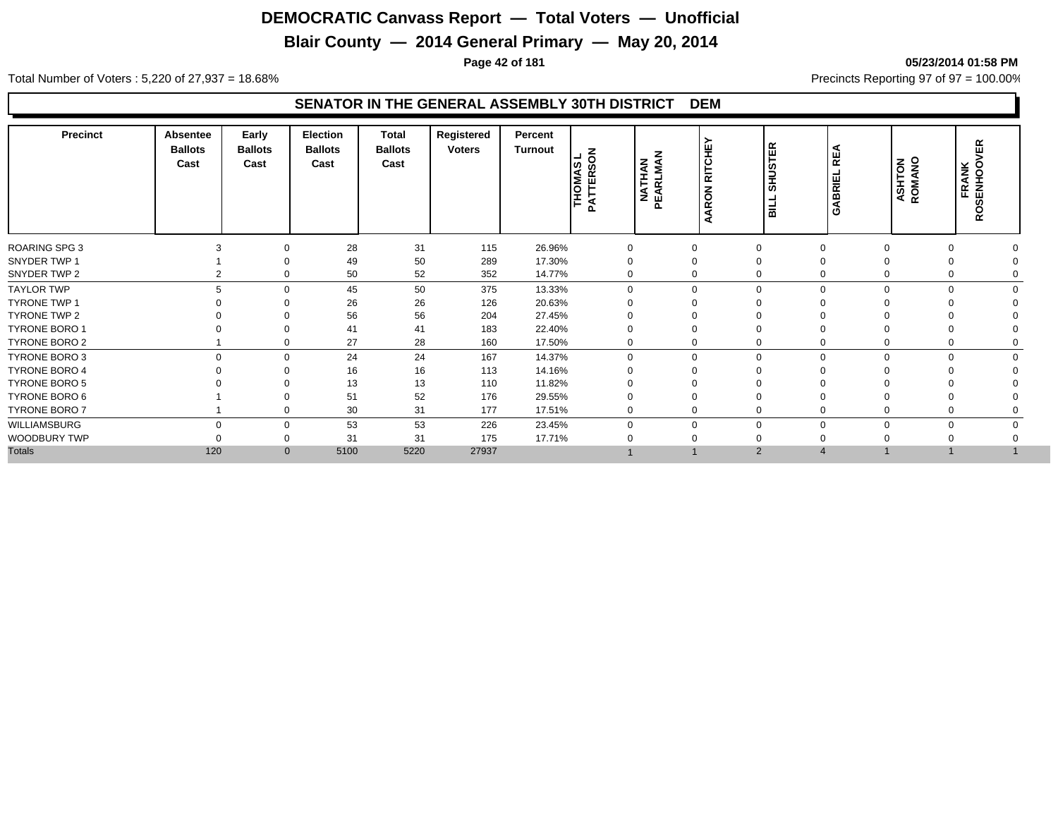## **Blair County — 2014 General Primary — May 20, 2014**

**Page 42 of 181 05/23/2014 01:58 PM**

Total Number of Voters : 5,220 of 27,937 = 18.68% Precincts Reporting 97 of 97 = 100.00%

| <b>Precinct</b>      | <b>Absentee</b><br><b>Ballots</b><br>Cast | Early<br><b>Ballots</b><br>Cast | Election<br><b>Ballots</b><br>Cast | Total<br><b>Ballots</b><br>Cast | Registered<br><b>Voters</b> | Percent<br>Turnout | $\overline{6}$<br>THOMAS<br>PATTERSC | <b>NATHAN</b><br>PEARLMAN | <b>RITCHEY</b><br><b>RON</b><br>ৰ<br>⋖ | 岛<br><b>in</b><br>言<br>륿 | ш<br>$\overline{\mathbf{r}}$<br>RIE<br>≃<br>∢<br>σ | <b>ASHTON</b><br>ROMANO | 岛<br>FRANK<br>SENHOOV<br>Ř. |  |
|----------------------|-------------------------------------------|---------------------------------|------------------------------------|---------------------------------|-----------------------------|--------------------|--------------------------------------|---------------------------|----------------------------------------|--------------------------|----------------------------------------------------|-------------------------|-----------------------------|--|
| ROARING SPG 3        |                                           | $\Omega$                        | 28                                 | 31                              | 115                         | 26.96%             | $\Omega$                             | $\Omega$                  |                                        |                          |                                                    |                         |                             |  |
| SNYDER TWP 1         |                                           |                                 | 49                                 | 50                              | 289                         | 17.30%             |                                      | 0                         |                                        |                          |                                                    |                         |                             |  |
| SNYDER TWP 2         |                                           | $\Omega$                        | 50                                 | 52                              | 352                         | 14.77%             | $\Omega$                             |                           | 0                                      | $\mathbf 0$              |                                                    |                         |                             |  |
| <b>TAYLOR TWP</b>    |                                           | $\Omega$                        | 45                                 | 50                              | 375                         | 13.33%             | $\Omega$                             | $\Omega$                  | $\Omega$                               | $\Omega$                 | $\Omega$                                           |                         |                             |  |
| <b>TYRONE TWP 1</b>  |                                           |                                 | 26                                 | 26                              | 126                         | 20.63%             |                                      |                           |                                        |                          |                                                    |                         |                             |  |
| TYRONE TWP 2         |                                           |                                 | 56                                 | 56                              | 204                         | 27.45%             |                                      |                           |                                        |                          |                                                    |                         |                             |  |
| <b>TYRONE BORO 1</b> |                                           |                                 | 41                                 | 41                              | 183                         | 22.40%             |                                      |                           |                                        |                          |                                                    |                         |                             |  |
| TYRONE BORO 2        |                                           | $\mathbf 0$                     | 27                                 | 28                              | 160                         | 17.50%             | $\mathbf 0$                          |                           | 0                                      | 0                        |                                                    |                         |                             |  |
| TYRONE BORO 3        | $\Omega$                                  | $\Omega$                        | 24                                 | 24                              | 167                         | 14.37%             | $\Omega$                             | $\Omega$                  | $\Omega$                               | $\mathbf 0$              | $\Omega$                                           | 0                       |                             |  |
| <b>TYRONE BORO 4</b> |                                           | $\Omega$                        | 16                                 | 16                              | 113                         | 14.16%             |                                      |                           |                                        |                          |                                                    |                         |                             |  |
| <b>TYRONE BORO 5</b> |                                           |                                 | 13                                 | 13                              | 110                         | 11.82%             |                                      |                           |                                        |                          |                                                    |                         |                             |  |
| TYRONE BORO 6        |                                           |                                 | 51                                 | 52                              | 176                         | 29.55%             |                                      |                           |                                        |                          |                                                    |                         |                             |  |
| TYRONE BORO 7        |                                           | $\Omega$                        | 30                                 | 31                              | 177                         | 17.51%             |                                      | 0                         | 0                                      | 0                        |                                                    |                         |                             |  |
| WILLIAMSBURG         | $\Omega$                                  | $\Omega$                        | 53                                 | 53                              | 226                         | 23.45%             | $\Omega$                             | $\Omega$                  | 0                                      | $\mathbf 0$              |                                                    |                         |                             |  |
| WOODBURY TWP         |                                           | $\mathbf 0$                     | 31                                 | 31                              | 175                         | 17.71%             |                                      |                           |                                        |                          |                                                    |                         |                             |  |
| <b>Totals</b>        | 120                                       | $\mathbf{0}$                    | 5100                               | 5220                            | 27937                       |                    |                                      |                           | 2                                      | $\overline{4}$           |                                                    |                         |                             |  |
|                      |                                           |                                 |                                    |                                 |                             |                    |                                      |                           |                                        |                          |                                                    |                         |                             |  |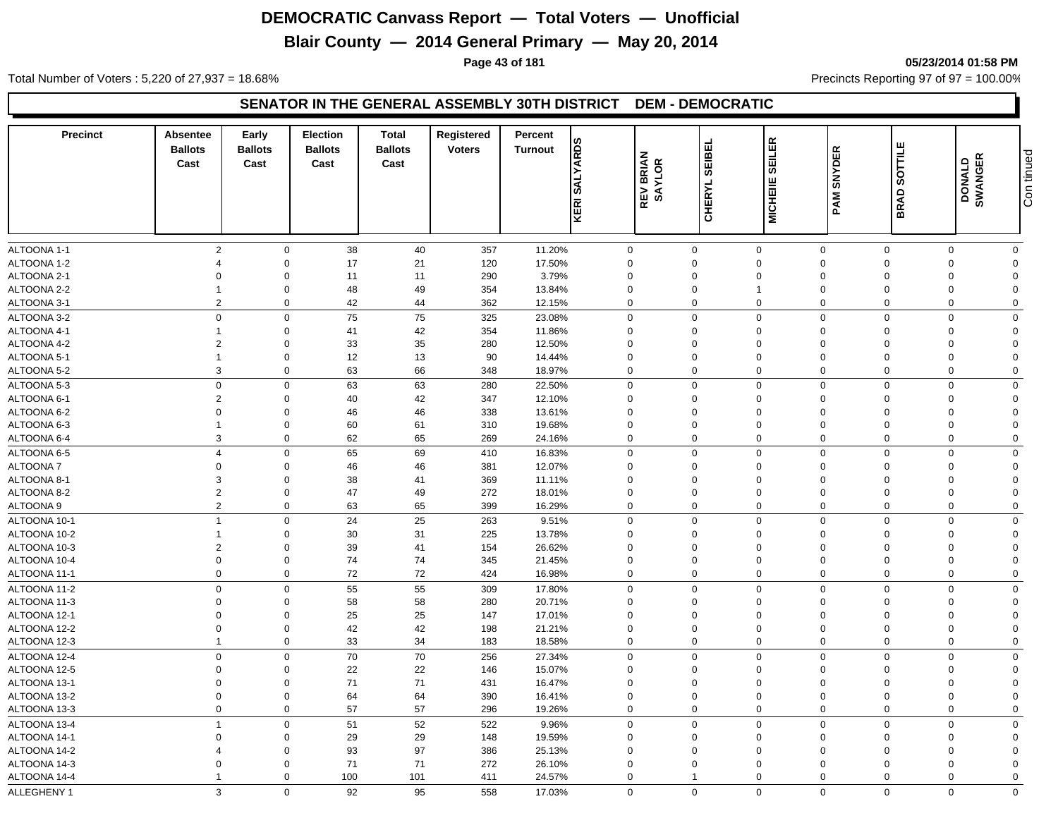## **Blair County — 2014 General Primary — May 20, 2014**

**Page 43 of 181 05/23/2014 01:58 PM**

Total Number of Voters : 5,220 of 27,937 = 18.68% Precincts Reporting 97 of 97 = 100.00%

#### **SENATOR IN THE GENERAL ASSEMBLY 30TH DISTRICT DEM - DEMOCRATIC**

| <b>Precinct</b> | <b>Absentee</b><br><b>Ballots</b><br>Cast | Early<br><b>Ballots</b><br>Cast | <b>Election</b><br><b>Ballots</b><br>Cast | <b>Total</b><br><b>Ballots</b><br>Cast | Registered<br><b>Voters</b> | Percent<br><b>Turnout</b> | <b>SALYARDS</b><br>KERI | <b>REV BRIAN<br/>SAYLOR</b> | <b>SEIBEL</b><br><b>CHERYL</b> | <b>SEILER</b><br><b>MICHEIIE</b> | <b>SNYDER</b><br>PAM | SOTTILE<br><b>BRAD</b> | DONALD<br>SWANGER | Con tinued     |
|-----------------|-------------------------------------------|---------------------------------|-------------------------------------------|----------------------------------------|-----------------------------|---------------------------|-------------------------|-----------------------------|--------------------------------|----------------------------------|----------------------|------------------------|-------------------|----------------|
|                 |                                           |                                 |                                           |                                        |                             |                           |                         |                             |                                |                                  |                      |                        |                   |                |
| ALTOONA 1-1     | $\overline{2}$                            | $\mathbf 0$                     | 38                                        | 40                                     | 357                         | 11.20%                    | $\mathbf 0$             |                             | $\mathbf 0$                    | $\mathbf 0$                      | $\mathbf 0$          | $\mathbf 0$            | $\mathbf 0$       | $\mathbf{0}$   |
| ALTOONA 1-2     | $\Delta$                                  | $\Omega$                        | 17                                        | 21                                     | 120                         | 17.50%                    | $\Omega$                |                             | $\Omega$                       | $\Omega$                         | $\Omega$             | $\Omega$               | $\Omega$          | $\Omega$       |
| ALTOONA 2-1     | $\Omega$                                  | $\Omega$                        | 11                                        | 11                                     | 290                         | 3.79%                     | $\Omega$                |                             | $\Omega$                       | $\Omega$                         | $\Omega$             | $\Omega$               | $\Omega$          |                |
| ALTOONA 2-2     | 1                                         | $\Omega$                        | 48                                        | 49                                     | 354                         | 13.84%                    | $\Omega$                |                             | $\Omega$                       |                                  | $\Omega$             | $\Omega$               | $\Omega$          | $\Omega$       |
| ALTOONA 3-1     | $\overline{2}$                            | $\mathbf 0$                     | 42                                        | 44                                     | 362                         | 12.15%                    | $\mathbf 0$             |                             | $\mathbf 0$                    | $\mathbf 0$                      | $\mathbf 0$          | $\mathbf 0$            | $\mathbf 0$       | $\Omega$       |
| ALTOONA 3-2     | $\mathbf 0$                               | $\Omega$                        | 75                                        | 75                                     | 325                         | 23.08%                    | $\mathbf 0$             |                             | $\Omega$                       | $\mathbf 0$                      | $\Omega$             | $\Omega$               | $\Omega$          | $\Omega$       |
| ALTOONA 4-1     |                                           | $\Omega$                        | 41                                        | 42                                     | 354                         | 11.86%                    | 0                       |                             | $\Omega$                       | $\mathbf 0$                      | $\Omega$             | $\Omega$               | $\Omega$          | $\Omega$       |
| ALTOONA 4-2     | $\overline{2}$                            | $\Omega$                        | 33                                        | 35                                     | 280                         | 12.50%                    | $\mathbf 0$             |                             | 0                              | $\Omega$                         | $\Omega$             | $\Omega$               | $\Omega$          | $\Omega$       |
| ALTOONA 5-1     | $\overline{1}$                            | $\mathbf 0$                     | 12                                        | 13                                     | 90                          | 14.44%                    | $\mathbf 0$             |                             | $\mathbf 0$                    | $\mathbf 0$                      | $\mathbf 0$          | $\Omega$               | $\mathbf 0$       | $\Omega$       |
| ALTOONA 5-2     | 3                                         | $\Omega$                        | 63                                        | 66                                     | 348                         | 18.97%                    | $\mathbf 0$             |                             | $\mathbf 0$                    | $\mathbf 0$                      | $\mathbf 0$          | $\mathbf 0$            | 0                 | $\mathbf 0$    |
| ALTOONA 5-3     | $\mathbf 0$                               | $\Omega$                        | 63                                        | 63                                     | 280                         | 22.50%                    | $\mathbf 0$             |                             | $\Omega$                       | $\mathbf 0$                      | $\Omega$             | $\Omega$               | $\Omega$          | $\Omega$       |
| ALTOONA 6-1     | $\overline{2}$                            | $\Omega$                        | 40                                        | 42                                     | 347                         | 12.10%                    | $\mathbf 0$             |                             | 0                              | $\mathbf 0$                      | 0                    | $\Omega$               | $\Omega$          | $\overline{0}$ |
| ALTOONA 6-2     | $\Omega$                                  | $\Omega$                        | 46                                        | 46                                     | 338                         | 13.61%                    | $\mathbf 0$             |                             | 0                              | $\mathbf 0$                      | $\Omega$             | $\Omega$               | $\mathbf 0$       | $\Omega$       |
| ALTOONA 6-3     | $\overline{1}$                            | $\Omega$                        | 60                                        | 61                                     | 310                         | 19.68%                    | $\mathbf 0$             |                             | $\mathbf 0$                    | $\Omega$                         | $\mathbf 0$          | $\Omega$               | $\mathbf 0$       | $\Omega$       |
| ALTOONA 6-4     | 3                                         | $\mathbf 0$                     | 62                                        | 65                                     | 269                         | 24.16%                    | $\mathbf 0$             |                             | $\mathbf 0$                    | $\mathbf 0$                      | $\Omega$             | $\Omega$               | $\mathbf 0$       | $\mathbf 0$    |
| ALTOONA 6-5     | $\overline{4}$                            | $\mathbf 0$                     | 65                                        | 69                                     | 410                         | 16.83%                    | $\mathbf 0$             |                             | $\mathbf 0$                    | $\mathbf 0$                      | $\mathbf 0$          | $\mathbf 0$            | $\mathbf 0$       | $\mathbf 0$    |
| ALTOONA 7       | $\overline{0}$                            | $\Omega$                        | 46                                        | 46                                     | 381                         | 12.07%                    | $\mathbf 0$             |                             | $\mathbf 0$                    | $\mathbf 0$                      | $\mathbf 0$          | $\Omega$               | $\mathbf 0$       | $\Omega$       |
| ALTOONA 8-1     | 3                                         | $\Omega$                        | 38                                        | 41                                     | 369                         | 11.11%                    | $\mathbf 0$             |                             | 0                              | $\Omega$                         | $\Omega$             | $\Omega$               | $\Omega$          | $\Omega$       |
| ALTOONA 8-2     | $\overline{2}$                            | $\Omega$                        | 47                                        | 49                                     | 272                         | 18.01%                    | $\mathbf 0$             |                             | $\mathbf 0$                    | $\mathbf 0$                      | $\Omega$             | $\Omega$               | $\Omega$          | $\Omega$       |
| ALTOONA 9       | $\overline{2}$                            | $\Omega$                        | 63                                        | 65                                     | 399                         | 16.29%                    | $\mathbf 0$             |                             | $\Omega$                       | $\Omega$                         | $\Omega$             | $\Omega$               | $\mathbf 0$       | $\mathbf 0$    |
| ALTOONA 10-1    | $\overline{1}$                            | $\mathbf 0$                     | 24                                        | 25                                     | 263                         | 9.51%                     | $\mathbf 0$             |                             | $\mathbf 0$                    | $\mathbf 0$                      | $\mathbf 0$          | $\Omega$               | $\mathbf 0$       | $\Omega$       |
| ALTOONA 10-2    | $\overline{1}$                            | $\Omega$                        | 30                                        | 31                                     | 225                         | 13.78%                    | $\mathbf 0$             |                             | $\Omega$                       | $\Omega$                         | $\Omega$             | $\Omega$               | $\Omega$          | $\Omega$       |
| ALTOONA 10-3    | $\overline{2}$                            | $\Omega$                        | 39                                        | 41                                     | 154                         | 26.62%                    | $\mathbf 0$             |                             | 0                              | $\mathbf 0$                      | $\Omega$             | $\Omega$               | $\Omega$          | $\Omega$       |
| ALTOONA 10-4    | $\overline{0}$                            | $\Omega$                        | 74                                        | 74                                     | 345                         | 21.45%                    | $\mathbf 0$             |                             | $\mathbf 0$                    | $\Omega$                         | $\Omega$             | $\Omega$               | $\Omega$          | $\Omega$       |
| ALTOONA 11-1    | $\mathbf 0$                               | $\mathbf 0$                     | 72                                        | 72                                     | 424                         | 16.98%                    | $\mathbf 0$             |                             | $\mathbf 0$                    | $\mathbf 0$                      | $\Omega$             | $\Omega$               | $\mathbf 0$       | $\mathbf 0$    |
| ALTOONA 11-2    | $\mathbf 0$                               | $\Omega$                        | 55                                        | 55                                     | 309                         | 17.80%                    | $\mathbf 0$             |                             | $\mathbf 0$                    | $\mathbf 0$                      | $\mathbf 0$          | $\Omega$               | $\mathbf 0$       | $\Omega$       |
| ALTOONA 11-3    | $\overline{0}$                            | $\Omega$                        | 58                                        | 58                                     | 280                         | 20.71%                    | $\mathbf 0$             |                             | 0                              | $\mathbf 0$                      | $\Omega$             | $\Omega$               | $\Omega$          | $\Omega$       |
| ALTOONA 12-1    | $\Omega$                                  | $\Omega$                        | 25                                        | 25                                     | 147                         | 17.01%                    | $\Omega$                |                             | $\Omega$                       | $\Omega$                         | $\Omega$             | $\Omega$               | $\Omega$          | $\Omega$       |
| ALTOONA 12-2    | $\Omega$                                  | $\Omega$                        | 42                                        | 42                                     | 198                         | 21.21%                    | $\mathbf 0$             |                             | $\mathbf 0$                    | $\Omega$                         | $\Omega$             | $\Omega$               | $\Omega$          | $\Omega$       |
| ALTOONA 12-3    | $\overline{\mathbf{1}}$                   | $\mathbf 0$                     | 33                                        | 34                                     | 183                         | 18.58%                    | $\mathbf 0$             |                             | $\mathbf 0$                    | $\mathbf 0$                      | $\mathbf 0$          | $\mathbf 0$            | 0                 | $\mathbf 0$    |
| ALTOONA 12-4    | $\mathbf 0$                               | $\Omega$                        | 70                                        | $70\,$                                 | 256                         | 27.34%                    | $\mathbf 0$             |                             | $\mathsf 0$                    | $\mathbf 0$                      | $\Omega$             | $\Omega$               | $\Omega$          | $\mathbf 0$    |
| ALTOONA 12-5    | $\Omega$                                  | $\Omega$                        | 22                                        | 22                                     | 146                         | 15.07%                    | $\mathbf 0$             |                             | $\Omega$                       | $\Omega$                         | $\Omega$             | $\Omega$               | $\Omega$          | $\Omega$       |
| ALTOONA 13-1    | $\Omega$                                  | $\Omega$                        | 71                                        | 71                                     | 431                         | 16.47%                    | $\mathbf 0$             |                             | $\Omega$                       | $\Omega$                         | $\Omega$             | $\Omega$               | $\Omega$          | $\Omega$       |
| ALTOONA 13-2    | $\mathbf 0$                               | $\Omega$                        | 64                                        | 64                                     | 390                         | 16.41%                    | $\mathbf 0$             |                             | $\mathbf 0$                    | $\mathbf 0$                      | $\mathbf 0$          | $\Omega$               | $\mathbf 0$       | $\mathbf 0$    |
| ALTOONA 13-3    | $\mathbf 0$                               | $\mathbf 0$                     | 57                                        | 57                                     | 296                         | 19.26%                    | $\mathbf 0$             |                             | $\mathbf 0$                    | $\mathbf 0$                      | $\mathbf 0$          | $\mathbf 0$            | $\mathbf 0$       | $\mathbf 0$    |
| ALTOONA 13-4    | $\overline{1}$                            | $\Omega$                        | 51                                        | 52                                     | 522                         | 9.96%                     | $\mathbf 0$             |                             | $\mathbf 0$                    | $\mathbf 0$                      | $\Omega$             | $\Omega$               | $\mathbf 0$       | $\Omega$       |
| ALTOONA 14-1    | $\mathbf 0$                               | $\Omega$                        | 29                                        | 29                                     | 148                         | 19.59%                    | $\mathbf 0$             |                             | $\mathbf 0$                    | $\mathbf 0$                      | $\Omega$             | $\Omega$               | $\Omega$          | $\Omega$       |
| ALTOONA 14-2    |                                           | $\Omega$                        | 93                                        | 97                                     | 386                         | 25.13%                    | $\mathbf 0$             |                             | $\Omega$                       | $\Omega$                         | $\Omega$             | $\Omega$               | $\Omega$          | $\Omega$       |
| ALTOONA 14-3    | $\Omega$                                  | $\Omega$                        | 71                                        | 71                                     | 272                         | 26.10%                    | $\Omega$                |                             | $\Omega$                       | $\Omega$                         | $\Omega$             | $\Omega$               | $\Omega$          | $\Omega$       |
| ALTOONA 14-4    |                                           | $\mathbf 0$                     | 100                                       | 101                                    | 411                         | 24.57%                    | $\mathbf 0$             |                             | 1                              | $\Omega$                         | $\Omega$             | $\Omega$               | $\Omega$          | $\Omega$       |
| ALLEGHENY 1     | 3                                         | $\mathbf 0$                     | 92                                        | 95                                     | 558                         | 17.03%                    | $\mathbf 0$             |                             | $\mathbf 0$                    | $\mathbf 0$                      | $\mathbf 0$          | $\mathbf 0$            | $\mathbf 0$       | $\mathbf 0$    |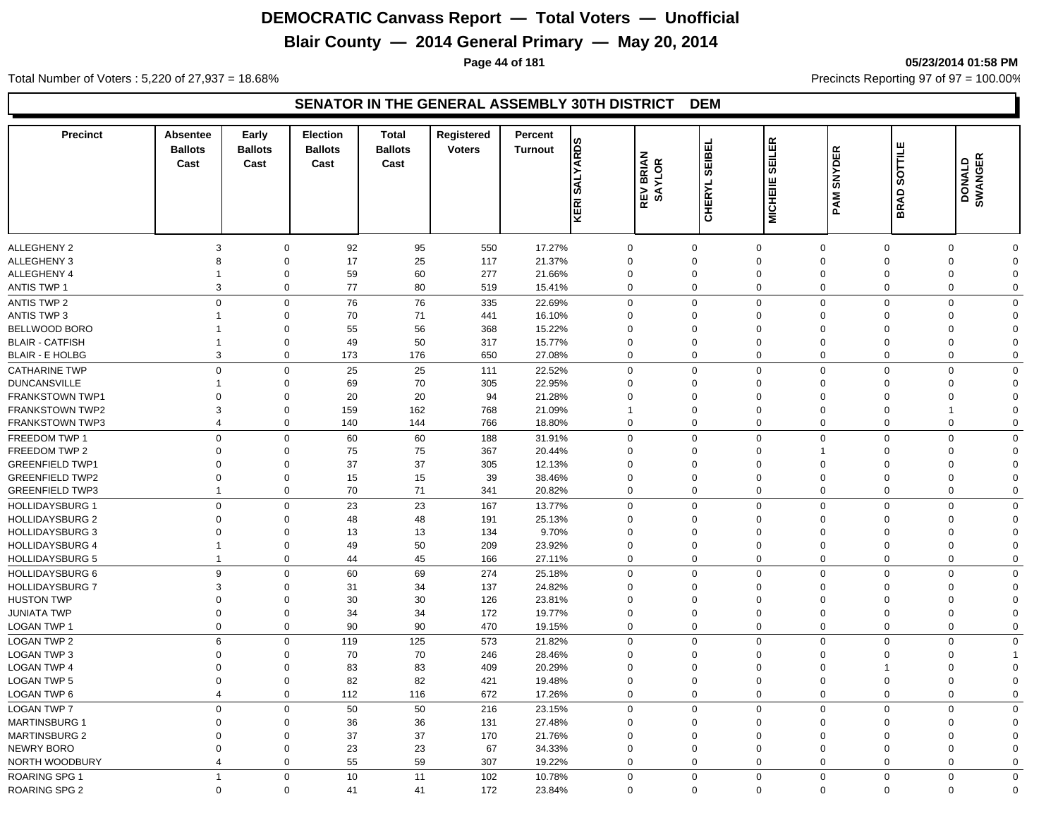## **Blair County — 2014 General Primary — May 20, 2014**

**Page 44 of 181 05/23/2014 01:58 PM**

Total Number of Voters : 5,220 of 27,937 = 18.68% Precincts Reporting 97 of 97 = 100.00%

| <b>Precinct</b>                | <b>Absentee</b><br><b>Ballots</b><br>Cast | Early<br><b>Ballots</b><br>Cast | Election<br><b>Ballots</b><br>Cast | <b>Total</b><br><b>Ballots</b><br>Cast | Registered<br><b>Voters</b> | Percent<br><b>Turnout</b> | <b>SALYARDS</b>            | <b>REV BRIAN<br/>SAYLOR</b> | <b>SEIBEL</b> | <b>EILER</b><br>စ          | <b>SNYDER</b>              | ш<br>SOTTIL                | DONALD<br>SWANGER          |                  |
|--------------------------------|-------------------------------------------|---------------------------------|------------------------------------|----------------------------------------|-----------------------------|---------------------------|----------------------------|-----------------------------|---------------|----------------------------|----------------------------|----------------------------|----------------------------|------------------|
|                                |                                           |                                 |                                    |                                        |                             |                           | KERI                       |                             | <b>CHERYL</b> | <b>MICHEIIE</b>            | PAM                        | <b>BRAD</b>                |                            |                  |
| <b>ALLEGHENY 2</b>             | 3                                         | $\mathbf 0$                     | 92                                 | 95                                     | 550                         | 17.27%                    | $\mathbf 0$                | $\mathbf 0$                 |               | $\mathbf 0$                | $\mathbf 0$                | $\mathbf 0$                | $\mathbf 0$                | ∩                |
| <b>ALLEGHENY 3</b>             | 8                                         | $\mathbf 0$                     | 17                                 | 25                                     | 117                         | 21.37%                    | $\mathbf 0$                | $\mathbf 0$                 |               | $\mathbf 0$                | $\Omega$                   | $\Omega$                   | $\Omega$                   | $\Omega$         |
| ALLEGHENY 4                    | 1                                         | $\mathbf 0$                     | 59                                 | 60                                     | 277                         | 21.66%                    | $\mathbf 0$                | $\mathbf 0$                 |               | $\mathbf 0$                | $\mathbf 0$                | $\mathbf 0$                | $\Omega$                   | $\Omega$         |
| <b>ANTIS TWP 1</b>             | 3                                         | $\mathbf 0$                     | 77                                 | 80                                     | 519                         | 15.41%                    | $\mathbf 0$                | $\mathbf 0$                 |               | $\mathbf 0$                | $\mathbf 0$                | $\mathbf 0$                | $\mathbf 0$                | $\mathbf 0$      |
| <b>ANTIS TWP 2</b>             | $\mathbf 0$                               | $\mathsf 0$                     | 76                                 | 76                                     | 335                         | 22.69%                    | $\mathbf 0$                | $\mathbf 0$                 |               | $\Omega$                   | $\mathbf 0$                | $\mathbf 0$                | $\Omega$                   | $\Omega$         |
| <b>ANTIS TWP 3</b>             | 1                                         | $\mathbf 0$                     | 70                                 | 71                                     | 441                         | 16.10%                    | $\Omega$                   | $\Omega$                    |               | $\Omega$                   | $\Omega$                   | $\Omega$                   | $\Omega$                   | $\Omega$         |
| BELLWOOD BORO                  |                                           | $\mathbf 0$                     | 55                                 | 56                                     | 368                         | 15.22%                    | $\Omega$                   | $\Omega$                    |               | $\Omega$                   | $\Omega$                   | $\Omega$                   | $\Omega$                   | $\Omega$         |
| <b>BLAIR - CATFISH</b>         | 1                                         | $\mathbf 0$                     | 49                                 | 50                                     | 317                         | 15.77%                    | $\Omega$                   | $\Omega$                    |               | $\Omega$                   | $\Omega$                   | $\Omega$                   | $\Omega$                   | $\Omega$         |
| <b>BLAIR - E HOLBG</b>         | 3                                         | $\mathbf 0$                     | 173                                | 176                                    | 650                         | 27.08%                    | $\mathbf 0$                | $\Omega$                    |               | $\Omega$                   | $\mathbf 0$                | $\mathbf 0$                | $\Omega$                   | $\mathbf 0$      |
| <b>CATHARINE TWP</b>           | $\Omega$                                  | $\mathbf 0$                     | 25                                 | 25                                     | 111                         | 22.52%                    | $\mathbf 0$                | $\mathbf 0$                 |               | $\Omega$                   | $\Omega$                   | $\Omega$                   | $\Omega$                   | $\Omega$         |
| <b>DUNCANSVILLE</b>            |                                           | $\mathsf 0$                     | 69                                 | 70                                     | 305                         | 22.95%                    | $\Omega$                   | $\mathbf 0$                 |               | $\Omega$                   | $\Omega$                   | $\Omega$                   | $\Omega$                   | $\Omega$         |
| <b>FRANKSTOWN TWP1</b>         | $\Omega$                                  | $\mathbf 0$                     | 20                                 | 20                                     | 94                          | 21.28%                    | $\Omega$                   | $\mathbf 0$                 |               | $\Omega$                   | $\Omega$                   | $\Omega$                   | $\Omega$                   | $\Omega$         |
| <b>FRANKSTOWN TWP2</b>         | 3                                         | $\mathbf 0$                     | 159                                | 162                                    | 768                         | 21.09%                    |                            | $\mathbf 0$                 |               | $\Omega$                   | $\mathbf 0$                | $\mathbf 0$                |                            | $\Omega$         |
| <b>FRANKSTOWN TWP3</b>         | $\overline{4}$                            | $\mathbf 0$                     | 140                                | 144                                    | 766                         | 18.80%                    | $\mathbf 0$                | $\mathbf 0$                 |               | $\mathbf 0$                | $\mathbf 0$                | $\mathbf 0$                | $\mathbf 0$                | $\Omega$         |
|                                | $\mathbf 0$                               | $\mathsf 0$                     |                                    |                                        |                             |                           |                            |                             |               | $\Omega$                   | $\mathbf 0$                |                            | $\Omega$                   | $\Omega$         |
| FREEDOM TWP 1<br>FREEDOM TWP 2 | $\mathbf 0$                               | $\mathbf 0$                     | 60                                 | 60<br>75                               | 188<br>367                  | 31.91%                    | $\mathbf 0$<br>$\mathbf 0$ | $\mathbf 0$<br>$\mathbf 0$  |               | $\mathbf 0$                | 1                          | $\mathbf 0$<br>$\mathbf 0$ | $\Omega$                   | $\Omega$         |
|                                | $\mathbf 0$                               | $\mathbf 0$                     | 75                                 |                                        |                             | 20.44%                    | $\mathbf 0$                |                             |               | $\mathbf 0$                | $\mathbf 0$                | $\mathbf 0$                | $\Omega$                   | $\Omega$         |
| <b>GREENFIELD TWP1</b>         |                                           |                                 | 37                                 | 37                                     | 305                         | 12.13%                    |                            | $\mathbf 0$<br>$\mathbf 0$  |               |                            |                            |                            |                            |                  |
| <b>GREENFIELD TWP2</b>         | $\mathbf 0$<br>$\mathbf{1}$               | $\mathbf 0$<br>$\mathbf 0$      | 15<br>70                           | 15<br>71                               | 39<br>341                   | 38.46%                    | $\mathbf 0$                | $\Omega$                    |               | $\mathbf 0$<br>$\mathbf 0$ | $\mathbf 0$<br>$\mathbf 0$ | $\mathbf 0$<br>$\mathbf 0$ | $\mathbf 0$<br>$\mathbf 0$ | 0<br>$\mathbf 0$ |
| <b>GREENFIELD TWP3</b>         |                                           |                                 |                                    |                                        |                             | 20.82%                    | $\mathbf 0$                |                             |               |                            |                            |                            |                            |                  |
| <b>HOLLIDAYSBURG 1</b>         | $\mathbf 0$                               | $\mathbf 0$                     | 23                                 | 23                                     | 167                         | 13.77%                    | $\mathbf 0$                | $\mathbf 0$                 |               | $\mathbf 0$                | $\mathbf 0$                | $\mathbf{0}$               | $\mathbf 0$                | $\mathbf{0}$     |
| <b>HOLLIDAYSBURG 2</b>         | $\Omega$                                  | $\mathbf 0$                     | 48                                 | 48                                     | 191                         | 25.13%                    | $\mathbf 0$                | $\mathbf 0$                 |               | $\Omega$                   | $\Omega$                   | $\Omega$                   | $\Omega$                   | $\Omega$         |
| <b>HOLLIDAYSBURG 3</b>         | $\Omega$                                  | $\mathbf 0$                     | 13                                 | 13                                     | 134                         | 9.70%                     | $\Omega$                   | $\Omega$                    |               | $\Omega$                   | $\Omega$                   | $\Omega$                   | $\Omega$                   | $\Omega$         |
| <b>HOLLIDAYSBURG 4</b>         | $\mathbf{1}$                              | $\mathbf 0$                     | 49                                 | 50                                     | 209                         | 23.92%                    | $\mathbf 0$                | $\mathbf 0$                 |               | $\Omega$                   | $\mathbf 0$                | $\mathbf 0$                | $\Omega$                   | $\Omega$         |
| <b>HOLLIDAYSBURG 5</b>         | $\mathbf{1}$                              | $\mathbf 0$                     | 44                                 | 45                                     | 166                         | 27.11%                    | $\mathbf 0$                | $\Omega$                    |               | $\mathbf 0$                | $\mathbf 0$                | $\mathbf 0$                | $\Omega$                   | $\Omega$         |
| <b>HOLLIDAYSBURG 6</b>         | 9                                         | $\mathbf 0$                     | 60                                 | 69                                     | 274                         | 25.18%                    | $\mathbf 0$                | $\mathbf 0$                 |               | $\Omega$                   | $\Omega$                   | $\Omega$                   | $\Omega$                   | $\Omega$         |
| <b>HOLLIDAYSBURG 7</b>         | 3                                         | $\mathbf 0$                     | 31                                 | 34                                     | 137                         | 24.82%                    | $\mathbf 0$                | $\mathbf 0$                 |               | $\Omega$                   | $\Omega$                   | $\Omega$                   | $\Omega$                   | $\Omega$         |
| <b>HUSTON TWP</b>              | $\mathbf 0$                               | $\mathbf 0$                     | 30                                 | 30                                     | 126                         | 23.81%                    | $\mathbf 0$                | $\mathbf 0$                 |               | $\Omega$                   | $\mathbf 0$                | $\mathbf 0$                | $\Omega$                   | $\Omega$         |
| <b>JUNIATA TWP</b>             | $\mathbf 0$                               | $\mathsf 0$                     | 34                                 | 34                                     | 172                         | 19.77%                    | $\mathbf 0$                | $\mathbf 0$                 |               | $\mathbf 0$                | $\mathbf 0$                | $\mathbf 0$                | $\Omega$                   | $\Omega$         |
| <b>LOGAN TWP 1</b>             | $\mathbf 0$                               | $\mathbf 0$                     | 90                                 | 90                                     | 470                         | 19.15%                    | $\mathbf 0$                | $\mathbf 0$                 |               | $\mathbf 0$                | $\mathbf 0$                | 0                          | $\Omega$                   | $\mathbf 0$      |
| <b>LOGAN TWP 2</b>             | 6                                         | $\mathbf 0$                     | 119                                | 125                                    | 573                         | 21.82%                    | $\mathbf 0$                | $\mathbf 0$                 |               | $\mathbf 0$                | $\Omega$                   | $\mathbf 0$                | $\Omega$                   | 0                |
| LOGAN TWP 3                    | $\mathbf 0$                               | $\mathbf 0$                     | 70                                 | 70                                     | 246                         | 28.46%                    | $\mathbf 0$                | $\mathbf 0$                 |               | $\mathbf 0$                | $\mathbf 0$                | $\mathbf 0$                | $\mathbf 0$                | 1                |
| <b>LOGAN TWP 4</b>             | $\mathbf 0$                               | $\mathbf 0$                     | 83                                 | 83                                     | 409                         | 20.29%                    | $\mathbf 0$                | $\mathbf 0$                 |               | $\mathbf 0$                | 0                          |                            | $\Omega$                   | $\Omega$         |
| <b>LOGAN TWP 5</b>             | $\mathbf 0$                               | $\mathbf 0$                     | 82                                 | 82                                     | 421                         | 19.48%                    | $\mathbf 0$                | $\mathbf 0$                 |               | $\mathbf 0$                | $\mathbf 0$                | 0                          | $\Omega$                   | $\Omega$         |
| <b>LOGAN TWP 6</b>             | $\overline{4}$                            | $\mathbf 0$                     | 112                                | 116                                    | 672                         | 17.26%                    | $\mathbf 0$                | $\Omega$                    |               | $\mathbf 0$                | $\mathbf 0$                | 0                          | $\Omega$                   | $\mathbf 0$      |
| <b>LOGAN TWP 7</b>             | $\mathbf 0$                               | $\mathbf 0$                     | 50                                 | 50                                     | 216                         | 23.15%                    | $\mathbf 0$                | $\mathbf 0$                 |               | $\mathbf 0$                | $\Omega$                   | $\Omega$                   | $\Omega$                   | $\mathbf{0}$     |
| <b>MARTINSBURG 1</b>           | 0                                         | $\mathbf 0$                     | 36                                 | 36                                     | 131                         | 27.48%                    | $\mathbf 0$                | $\Omega$                    |               | $\Omega$                   | $\Omega$                   | $\Omega$                   | $\Omega$                   | $\Omega$         |
| <b>MARTINSBURG 2</b>           | $\mathbf 0$                               | $\mathbf 0$                     | 37                                 | 37                                     | 170                         | 21.76%                    | 0                          | $\Omega$                    |               | $\Omega$                   | $\mathbf 0$                | $\Omega$                   | $\Omega$                   | $\Omega$         |
| <b>NEWRY BORO</b>              | $\Omega$                                  | $\mathsf 0$                     | 23                                 | 23                                     | 67                          | 34.33%                    | $\mathbf 0$                | $\Omega$                    |               | $\mathbf 0$                | $\mathbf 0$                | $\Omega$                   | $\Omega$                   | $\Omega$         |
| NORTH WOODBURY                 | 4                                         | $\mathbf 0$                     | 55                                 | 59                                     | 307                         | 19.22%                    | $\mathbf 0$                | $\mathbf 0$                 |               | $\Omega$                   | $\Omega$                   | $\mathbf{0}$               | $\Omega$                   | $\Omega$         |
| <b>ROARING SPG 1</b>           | $\overline{1}$                            | $\mathbf 0$                     | 10                                 | 11                                     | 102                         | 10.78%                    | $\mathbf 0$                | $\mathbf 0$                 |               | $\Omega$                   | $\Omega$                   | $\Omega$                   | $\Omega$                   | 0                |
| <b>ROARING SPG 2</b>           | $\mathbf 0$                               | $\mathbf 0$                     | 41                                 | 41                                     | 172                         | 23.84%                    | $\mathbf 0$                | $\Omega$                    |               | $\Omega$                   | $\mathbf 0$                | $\mathbf{0}$               | $\Omega$                   | $\mathbf 0$      |
|                                |                                           |                                 |                                    |                                        |                             |                           |                            |                             |               |                            |                            |                            |                            |                  |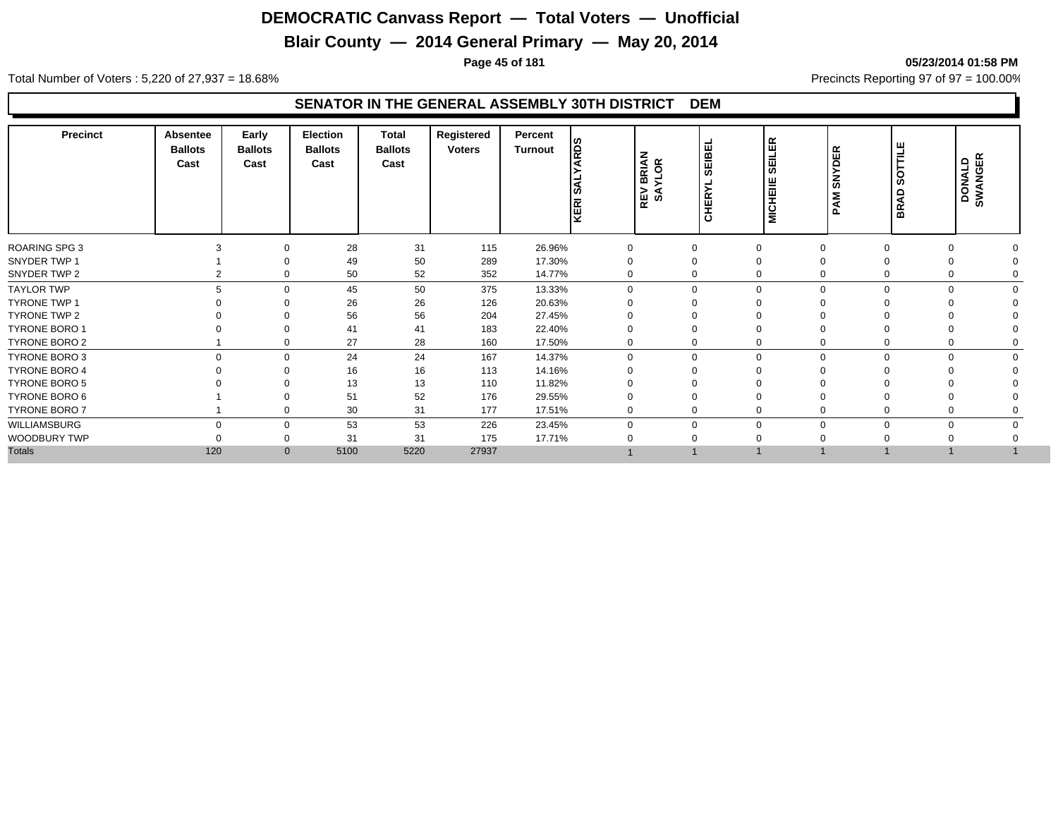## **Blair County — 2014 General Primary — May 20, 2014**

**Page 45 of 181 05/23/2014 01:58 PM**

Total Number of Voters : 5,220 of 27,937 = 18.68% Precincts Reporting 97 of 97 = 100.00%

| <b>Precinct</b>      | Absentee<br><b>Ballots</b><br>Cast | Early<br><b>Ballots</b><br>Cast | <b>Election</b><br><b>Ballots</b><br>Cast | Total<br><b>Ballots</b><br>Cast | Registered<br><b>Voters</b> | Percent<br>Turnout | <b>RDS</b><br>KERI SJ | <b>BRIAN</b><br>YLOR<br>REV<br>SA | SEIBEI<br>≻<br><b>HER</b><br>ပ | ER<br>믋<br>ທ<br><b>MICHEIIE</b> | $\alpha$<br>ш<br>$\Omega$<br>z<br>ၯ<br>Σ<br>⋖ | ш<br>o<br>Ø<br>$\Omega$<br>◀<br>운. | 띥<br><b>DONALD</b><br><b>SWANGE</b> |  |
|----------------------|------------------------------------|---------------------------------|-------------------------------------------|---------------------------------|-----------------------------|--------------------|-----------------------|-----------------------------------|--------------------------------|---------------------------------|-----------------------------------------------|------------------------------------|-------------------------------------|--|
| <b>ROARING SPG 3</b> |                                    |                                 | 28                                        | 31                              | 115                         | 26.96%             | $\mathbf 0$           | $\mathbf 0$                       |                                |                                 | 0                                             |                                    |                                     |  |
| SNYDER TWP 1         |                                    |                                 | 49                                        | 50                              | 289                         | 17.30%             |                       |                                   |                                |                                 |                                               |                                    |                                     |  |
| SNYDER TWP 2         |                                    |                                 | 50                                        | 52                              | 352                         | 14.77%             | 0                     | 0                                 |                                |                                 | $\mathbf 0$                                   |                                    |                                     |  |
| <b>TAYLOR TWP</b>    | 5                                  | $\Omega$                        | 45                                        | 50                              | 375                         | 13.33%             | $\Omega$              | $\Omega$                          |                                |                                 | $\mathbf 0$                                   | 0                                  |                                     |  |
| TYRONE TWP 1         |                                    |                                 | 26                                        | 26                              | 126                         | 20.63%             |                       |                                   |                                |                                 |                                               |                                    |                                     |  |
| TYRONE TWP 2         |                                    |                                 | 56                                        | 56                              | 204                         | 27.45%             |                       |                                   |                                |                                 |                                               |                                    |                                     |  |
| <b>TYRONE BORO 1</b> |                                    |                                 | 41                                        | 41                              | 183                         | 22.40%             |                       |                                   |                                |                                 |                                               |                                    |                                     |  |
| TYRONE BORO 2        |                                    |                                 | 27                                        | 28                              | 160                         | 17.50%             | 0                     | 0                                 |                                |                                 | $\mathbf 0$                                   |                                    |                                     |  |
| TYRONE BORO 3        | $\Omega$                           | $\Omega$                        | 24                                        | 24                              | 167                         | 14.37%             | $\Omega$              | $\Omega$                          | 0                              |                                 | 0                                             | $\Omega$<br>$\Omega$               |                                     |  |
| <b>TYRONE BORO 4</b> |                                    |                                 | 16                                        | 16                              | 113                         | 14.16%             |                       |                                   |                                |                                 |                                               |                                    |                                     |  |
| <b>TYRONE BORO 5</b> |                                    |                                 | 13                                        | 13                              | 110                         | 11.82%             |                       |                                   |                                |                                 |                                               |                                    |                                     |  |
| TYRONE BORO 6        |                                    |                                 | 51                                        | 52                              | 176                         | 29.55%             |                       |                                   |                                |                                 |                                               |                                    |                                     |  |
| TYRONE BORO 7        |                                    | $\Omega$                        | 30                                        | 31                              | 177                         | 17.51%             | $\mathbf 0$           | 0                                 |                                |                                 | 0                                             |                                    |                                     |  |
| WILLIAMSBURG         | $\Omega$                           | $\Omega$                        | 53                                        | 53                              | 226                         | 23.45%             | $\Omega$              | $\Omega$                          |                                |                                 | $\mathbf 0$                                   | 0<br>$\Omega$                      |                                     |  |
| WOODBURY TWP         |                                    |                                 | 31                                        | 31                              | 175                         | 17.71%             |                       |                                   |                                |                                 |                                               |                                    |                                     |  |
| <b>Totals</b>        | 120                                | $\mathbf{0}$                    | 5100                                      | 5220                            | 27937                       |                    |                       |                                   |                                |                                 |                                               |                                    |                                     |  |
|                      |                                    |                                 |                                           |                                 |                             |                    |                       |                                   |                                |                                 |                                               |                                    |                                     |  |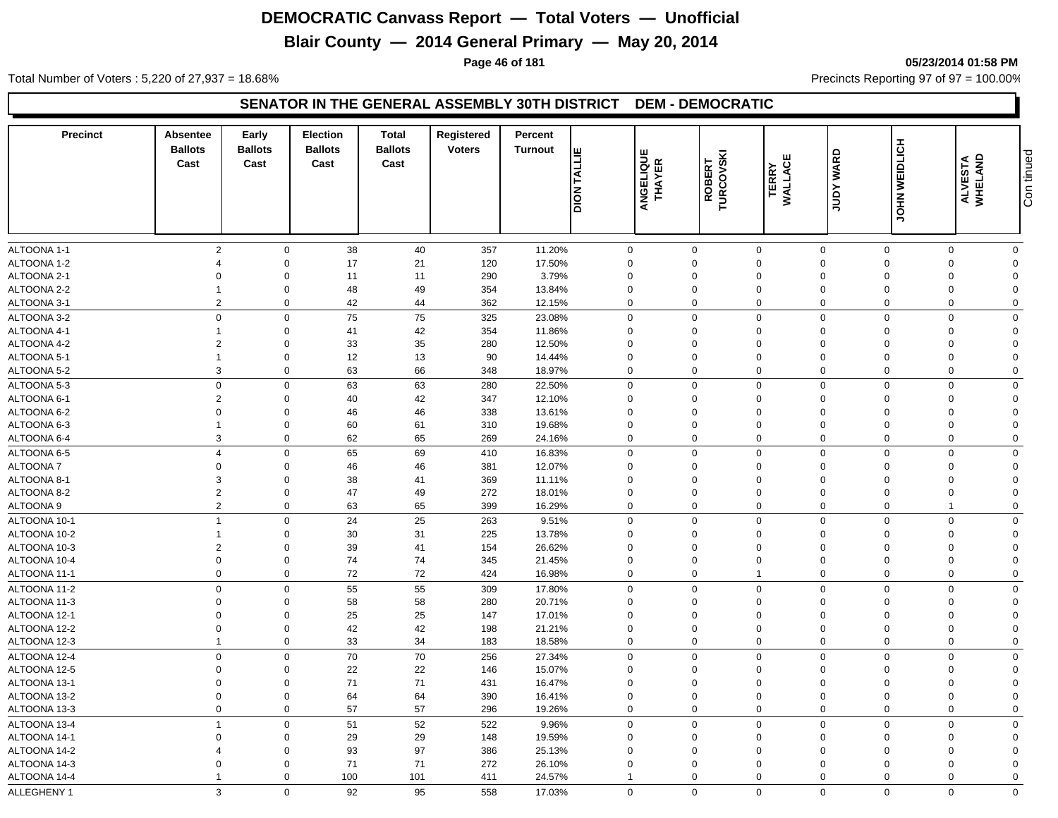## **Blair County — 2014 General Primary — May 20, 2014**

**Page 46 of 181 05/23/2014 01:58 PM**

Total Number of Voters : 5,220 of 27,937 = 18.68% Precincts Reporting 97 of 97 = 100.00%

#### **SENATOR IN THE GENERAL ASSEMBLY 30TH DISTRICT DEM - DEMOCRATIC**

| <b>Precinct</b> | Absentee<br><b>Ballots</b><br>Cast | Early<br><b>Ballots</b><br>Cast | <b>Election</b><br><b>Ballots</b><br>Cast | <b>Total</b><br><b>Ballots</b><br>Cast | Registered<br><b>Voters</b> | Percent<br>Turnout | <b>TALLIE</b><br><b>Nole</b> | <b>ANGELIQUE<br/>THAYER</b> | ROBERT<br>TURCOVSKI | ш<br><b>WALLAC</b><br><b>TERRY</b> | WARD<br>Xanr   | JOHN WEIDLICH | ALVESTA<br>WHELAND | Con tinued  |
|-----------------|------------------------------------|---------------------------------|-------------------------------------------|----------------------------------------|-----------------------------|--------------------|------------------------------|-----------------------------|---------------------|------------------------------------|----------------|---------------|--------------------|-------------|
| ALTOONA 1-1     | $\overline{2}$                     | $\mathbf 0$                     | 38                                        | 40                                     | 357                         | 11.20%             | 0                            |                             | $\mathbf 0$         | $\mathbf 0$                        | $\mathbf 0$    | $\mathbf 0$   | $\mathbf 0$        | $\mathbf 0$ |
| ALTOONA 1-2     | $\overline{4}$                     | $\mathbf 0$                     | 17                                        | 21                                     | 120                         | 17.50%             | $\mathbf 0$                  |                             | $\mathbf 0$         | $\mathbf 0$                        | $\Omega$       | $\Omega$      | $\Omega$           | $\mathbf 0$ |
| ALTOONA 2-1     | $\mathbf 0$                        | $\mathbf 0$                     | 11                                        | 11                                     | 290                         | 3.79%              | $\mathbf 0$                  |                             | $\mathbf 0$         | $\mathbf 0$                        | $\Omega$       | $\Omega$      | $\Omega$           | $\Omega$    |
| ALTOONA 2-2     | $\overline{1}$                     | $\mathbf 0$                     | 48                                        | 49                                     | 354                         | 13.84%             | $\mathbf 0$                  |                             | 0                   | $\mathbf 0$                        | $\mathbf 0$    | $\Omega$      | $\Omega$           | $\Omega$    |
| ALTOONA 3-1     | $\overline{2}$                     | $\mathbf 0$                     | 42                                        | 44                                     | 362                         | 12.15%             | $\mathbf 0$                  |                             | $\mathbf 0$         | $\mathbf 0$                        | $\mathbf 0$    | $\Omega$      | $\Omega$           | $\mathbf 0$ |
| ALTOONA 3-2     | $\mathbf 0$                        | $\mathbf 0$                     | 75                                        | 75                                     | 325                         | 23.08%             | $\mathbf 0$                  |                             | $\mathbf 0$         | $\mathbf 0$                        | $\mathbf 0$    | $\Omega$      | $\Omega$           | $\mathbf 0$ |
| ALTOONA 4-1     |                                    | $\mathbf 0$                     | 41                                        | 42                                     | 354                         | 11.86%             | $\mathbf 0$                  |                             | $\mathbf 0$         | $\mathbf 0$                        | $\mathbf 0$    | $\Omega$      | $\Omega$           | $\Omega$    |
| ALTOONA 4-2     | $\overline{2}$                     | $\mathbf 0$                     | 33                                        | 35                                     | 280                         | 12.50%             | $\mathbf 0$                  |                             | 0                   | $\mathbf 0$                        | $\mathbf 0$    | $\Omega$      | $\mathbf 0$        | $\Omega$    |
| ALTOONA 5-1     | $\overline{1}$                     | $\mathbf 0$                     | 12                                        | 13                                     | 90                          | 14.44%             | 0                            |                             | 0                   | $\mathbf 0$                        | $\overline{0}$ | $\Omega$      | $\Omega$           | $\Omega$    |
| ALTOONA 5-2     | 3                                  | $\mathbf 0$                     | 63                                        | 66                                     | 348                         | 18.97%             | $\mathbf 0$                  |                             | $\mathbf 0$         | $\mathbf 0$                        | $\mathbf 0$    | $\mathbf 0$   | $\Omega$           | $\mathbf 0$ |
| ALTOONA 5-3     | $\mathbf 0$                        | $\mathbf 0$                     | 63                                        | 63                                     | 280                         | 22.50%             | $\mathbf 0$                  |                             | $\Omega$            | $\mathbf 0$                        | $\Omega$       | $\Omega$      | $\Omega$           | $\mathbf 0$ |
| ALTOONA 6-1     | $\overline{2}$                     | $\mathbf 0$                     | 40                                        | 42                                     | 347                         | 12.10%             | $\Omega$                     |                             | $\Omega$            | $\mathbf{0}$                       | $\Omega$       | $\Omega$      | $\Omega$           | $\Omega$    |
| ALTOONA 6-2     | $\Omega$                           | $\mathbf 0$                     | 46                                        | 46                                     | 338                         | 13.61%             | $\mathbf 0$                  |                             | 0                   | $\mathbf 0$                        | $\Omega$       | $\Omega$      | $\Omega$           | $\Omega$    |
| ALTOONA 6-3     | $\overline{1}$                     | $\mathbf 0$                     | 60                                        | 61                                     | 310                         | 19.68%             | $\mathbf 0$                  |                             | 0                   | $\mathbf 0$                        | $\mathbf 0$    | $\Omega$      | $\mathbf 0$        | $\Omega$    |
| ALTOONA 6-4     | 3                                  | $\mathbf 0$                     | 62                                        | 65                                     | 269                         | 24.16%             | $\mathbf 0$                  |                             | $\mathbf 0$         | $\mathbf 0$                        | $\Omega$       | $\Omega$      | $\Omega$           | $\mathbf 0$ |
| ALTOONA 6-5     | $\overline{4}$                     | $\mathbf 0$                     | 65                                        | 69                                     | 410                         | 16.83%             | $\mathbf 0$                  |                             | $\mathbf 0$         | $\mathbf 0$                        | $\Omega$       | $\mathbf 0$   | $\Omega$           | $\mathbf 0$ |
| <b>ALTOONA7</b> | $\mathbf 0$                        | $\mathbf 0$                     | 46                                        | 46                                     | 381                         | 12.07%             | $\mathbf 0$                  |                             | $\mathbf 0$         | $\mathbf 0$                        | $\overline{0}$ | $\Omega$      | $\Omega$           | $\mathbf 0$ |
| ALTOONA 8-1     | 3                                  | $\mathbf 0$                     | 38                                        | 41                                     | 369                         | 11.11%             | $\mathbf 0$                  |                             | $\Omega$            | $\mathbf 0$                        | $\Omega$       | $\Omega$      | $\Omega$           | $\mathbf 0$ |
| ALTOONA 8-2     | $\overline{2}$                     | $\mathbf 0$                     | 47                                        | 49                                     | 272                         | 18.01%             | $\mathbf 0$                  |                             | $\mathbf 0$         | $\mathbf 0$                        | $\Omega$       | $\Omega$      | $\Omega$           | $\Omega$    |
| ALTOONA 9       | $\overline{2}$                     | $\mathbf 0$                     | 63                                        | 65                                     | 399                         | 16.29%             | $\mathbf 0$                  |                             | $\Omega$            | $\mathbf 0$                        | $\Omega$       | $\Omega$      | $\mathbf{1}$       | $\mathbf 0$ |
| ALTOONA 10-1    | $\overline{1}$                     | $\mathbf 0$                     | 24                                        | 25                                     | 263                         | 9.51%              | $\mathbf 0$                  |                             | $\mathbf 0$         | $\mathbf 0$                        | $\mathbf 0$    | $\Omega$      | $\mathbf 0$        | $\mathbf 0$ |
| ALTOONA 10-2    | $\overline{1}$                     | $\mathbf 0$                     | 30                                        | 31                                     | 225                         | 13.78%             | $\mathbf 0$                  |                             | $\mathbf 0$         | $\mathbf 0$                        | $\mathbf 0$    | $\Omega$      | $\Omega$           | $\mathbf 0$ |
| ALTOONA 10-3    | $\overline{2}$                     | $\mathbf 0$                     | 39                                        | 41                                     | 154                         | 26.62%             | $\mathbf 0$                  |                             | 0                   | $\mathbf 0$                        | $\mathbf 0$    | $\Omega$      | $\Omega$           | $\mathbf 0$ |
| ALTOONA 10-4    | $\mathbf 0$                        | $\mathbf 0$                     | 74                                        | 74                                     | 345                         | 21.45%             | $\mathbf 0$                  |                             | $\mathbf 0$         | $\mathbf 0$                        | $\mathbf 0$    | $\Omega$      | $\Omega$           | $\Omega$    |
| ALTOONA 11-1    | $\mathbf 0$                        | $\mathbf 0$                     | 72                                        | 72                                     | 424                         | 16.98%             | $\mathbf 0$                  |                             | $\mathbf 0$         | $\mathbf{1}$                       | $\mathbf 0$    | $\Omega$      | $\mathbf 0$        | $\mathbf 0$ |
| ALTOONA 11-2    | $\mathbf 0$                        | $\mathbf 0$                     | 55                                        | 55                                     | 309                         | 17.80%             | $\mathbf 0$                  |                             | $\mathbf 0$         | $\mathbf 0$                        | $\mathbf 0$    | $\Omega$      | $\mathbf 0$        | $\mathbf 0$ |
| ALTOONA 11-3    | $\mathbf 0$                        | $\mathbf 0$                     | 58                                        | 58                                     | 280                         | 20.71%             | 0                            |                             | 0                   | $\mathbf 0$                        | $\overline{0}$ | $\Omega$      | $\mathbf 0$        | $\Omega$    |
| ALTOONA 12-1    | $\mathbf 0$                        | $\mathbf 0$                     | 25                                        | 25                                     | 147                         | 17.01%             | $\mathbf 0$                  |                             | 0                   | $\mathbf 0$                        | $\Omega$       | $\Omega$      | $\Omega$           | $\Omega$    |
| ALTOONA 12-2    | $\mathbf 0$                        | $\mathbf 0$                     | 42                                        | 42                                     | 198                         | 21.21%             | $\mathbf 0$                  |                             | $\mathbf 0$         | $\mathbf 0$                        | $\overline{0}$ | $\Omega$      | $\Omega$           | $\Omega$    |
| ALTOONA 12-3    | $\overline{1}$                     | $\mathbf 0$                     | 33                                        | 34                                     | 183                         | 18.58%             | $\mathbf 0$                  |                             | $\mathbf 0$         | $\mathbf 0$                        | $\mathbf 0$    | $\mathbf 0$   | $\mathbf 0$        | $\mathbf 0$ |
| ALTOONA 12-4    | $\mathbf 0$                        | $\mathbf 0$                     | 70                                        | 70                                     | 256                         | 27.34%             | 0                            |                             | $\mathbf 0$         | $\mathbf 0$                        | $\mathbf 0$    | $\Omega$      | $\Omega$           | $\mathbf 0$ |
| ALTOONA 12-5    | $\Omega$                           | $\mathbf 0$                     | 22                                        | 22                                     | 146                         | 15.07%             | $\Omega$                     |                             | $\Omega$            | $\mathbf 0$                        | $\Omega$       | $\Omega$      | $\Omega$           | $\Omega$    |
| ALTOONA 13-1    | $\Omega$                           | $\mathbf 0$                     | 71                                        | $71$                                   | 431                         | 16.47%             | $\Omega$                     |                             | 0                   | $\mathbf 0$                        | $\Omega$       | $\Omega$      | $\Omega$           | $\Omega$    |
| ALTOONA 13-2    | $\Omega$                           | $\mathbf 0$                     | 64                                        | 64                                     | 390                         | 16.41%             | $\mathbf 0$                  |                             | $\mathbf 0$         | $\mathbf 0$                        | $\Omega$       | $\Omega$      | $\Omega$           | $\mathbf 0$ |
| ALTOONA 13-3    | $\mathbf 0$                        | $\mathbf 0$                     | 57                                        | 57                                     | 296                         | 19.26%             | $\mathbf 0$                  |                             | $\mathbf 0$         | $\mathbf 0$                        | $\Omega$       | $\Omega$      | 0                  | $\mathbf 0$ |
| ALTOONA 13-4    | $\overline{1}$                     | $\mathbf 0$                     | 51                                        | 52                                     | 522                         | 9.96%              | $\mathbf 0$                  |                             | $\overline{0}$      | $\mathbf 0$                        | $\Omega$       | $\Omega$      | $\Omega$           | $\Omega$    |
| ALTOONA 14-1    | $\Omega$                           | $\mathbf 0$                     | 29                                        | 29                                     | 148                         | 19.59%             | $\mathbf 0$                  |                             | $\mathbf 0$         | $\mathbf 0$                        | $\Omega$       | $\Omega$      | $\Omega$           | $\Omega$    |
| ALTOONA 14-2    | $\overline{4}$                     | $\mathbf 0$                     | 93                                        | 97                                     | 386                         | 25.13%             | $\Omega$                     |                             | $\Omega$            | $\mathbf 0$                        | $\Omega$       | $\Omega$      | $\Omega$           | $\Omega$    |
| ALTOONA 14-3    | $\Omega$                           | $\mathbf 0$                     | 71                                        | 71                                     | 272                         | 26.10%             | 0                            |                             | $\mathbf 0$         | $\mathbf 0$                        | $\Omega$       | $\Omega$      | $\Omega$           | $\Omega$    |
| ALTOONA 14-4    | -1                                 | $\mathbf 0$                     | 100                                       | 101                                    | 411                         | 24.57%             | $\overline{1}$               |                             | $\Omega$            | $\mathbf 0$                        | $\Omega$       | $\Omega$      | $\mathbf 0$        | $\Omega$    |
| ALLEGHENY 1     | 3                                  | $\Omega$                        | 92                                        | 95                                     | 558                         | 17.03%             | $\Omega$                     |                             | $\Omega$            | $\Omega$                           | $\Omega$       | $\Omega$      | $\Omega$           | $\Omega$    |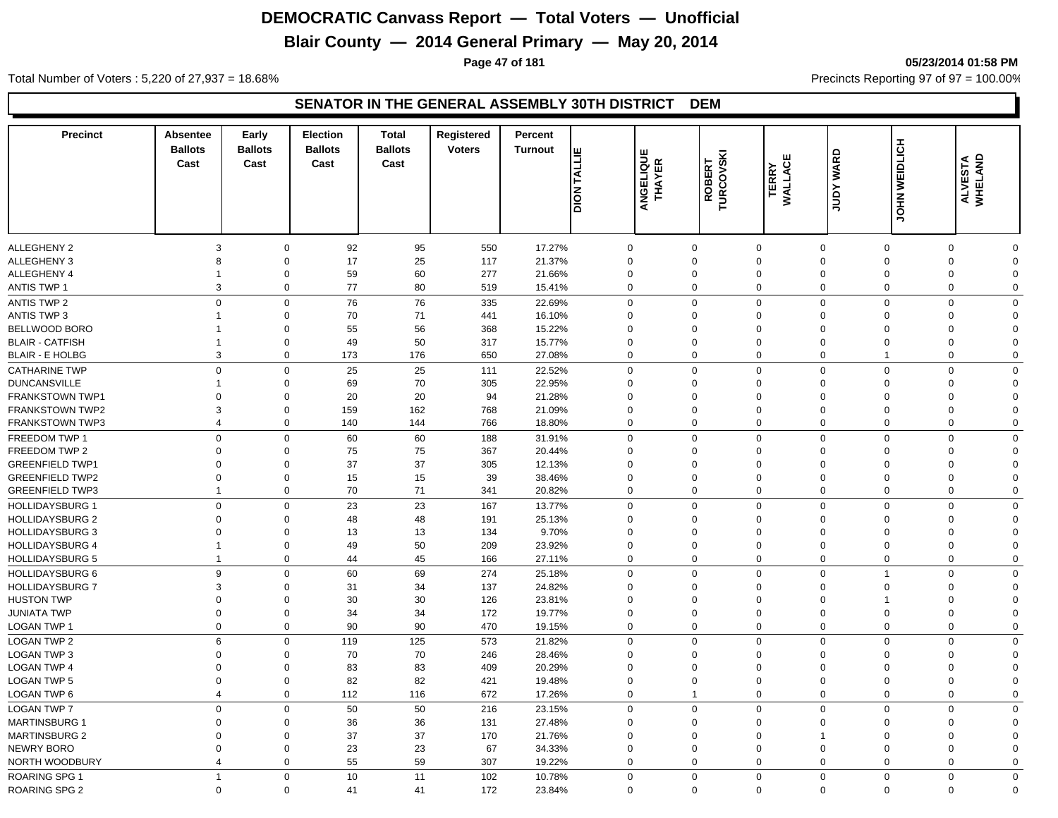## **Blair County — 2014 General Primary — May 20, 2014**

**Page 47 of 181 05/23/2014 01:58 PM**

Total Number of Voters : 5,220 of 27,937 = 18.68% Precincts Reporting 97 of 97 = 100.00%

| <b>Precinct</b>        | <b>Absentee</b><br><b>Ballots</b><br>Cast | Early<br><b>Ballots</b><br>Cast        | <b>Election</b><br><b>Ballots</b><br>Cast | <b>Total</b><br><b>Ballots</b><br>Cast | Registered<br><b>Voters</b> | Percent<br><b>Turnout</b> | <b>DION TALLIE</b> | <b>ANGELIQUE</b><br>THAYER | ROBERT<br>TURCOVSKI | ෪<br><b>TERRY</b><br>WALLACI | <b>WARD</b><br><b>Adnr</b>    | <b>WEIDLICH</b> | ALVESTA<br>WHELAND         |  |
|------------------------|-------------------------------------------|----------------------------------------|-------------------------------------------|----------------------------------------|-----------------------------|---------------------------|--------------------|----------------------------|---------------------|------------------------------|-------------------------------|-----------------|----------------------------|--|
|                        |                                           |                                        |                                           |                                        |                             |                           |                    |                            |                     |                              |                               | <b>NHOL</b>     |                            |  |
|                        |                                           |                                        |                                           |                                        |                             |                           |                    |                            |                     |                              |                               |                 |                            |  |
| <b>ALLEGHENY 2</b>     |                                           | 3<br>$\mathbf 0$                       | 92                                        | 95                                     | 550                         | 17.27%                    | $\mathbf 0$        | $\mathbf 0$                |                     | $\overline{0}$               | $\mathbf 0$                   | $\mathbf 0$     | $\mathbf 0$<br>$\Omega$    |  |
| <b>ALLEGHENY 3</b>     |                                           | $\mathbf 0$<br>8                       | 17                                        | 25                                     | 117                         | 21.37%                    | $\mathbf{0}$       | $\Omega$                   |                     | $\Omega$                     | $\Omega$<br>$\Omega$          |                 | $\Omega$<br>$\Omega$       |  |
| ALLEGHENY 4            | -1                                        | $\mathbf 0$                            | 59                                        | 60                                     | 277                         | 21.66%                    | 0                  | $\Omega$                   |                     | $\Omega$                     | $\mathbf 0$<br>$\mathbf 0$    |                 | $\Omega$<br>$\Omega$       |  |
| ANTIS TWP 1            |                                           | $\mathbf 0$<br>3                       | 77                                        | 80                                     | 519                         | 15.41%                    | $\mathbf 0$        | $\mathbf 0$                |                     | $\mathbf 0$                  | $\mathbf 0$                   | $\mathbf 0$     | $\mathbf 0$<br>$\mathbf 0$ |  |
| ANTIS TWP 2            |                                           | $\mathbf 0$<br>$\mathbf 0$             | 76                                        | 76                                     | 335                         | 22.69%                    | $\mathbf 0$        | $\mathbf 0$                |                     | $\mathbf 0$                  | $\mathbf 0$                   | $\mathbf 0$     | $\mathbf 0$<br>0           |  |
| ANTIS TWP 3            | $\mathbf 1$                               | $\mathbf 0$                            | 70                                        | 71                                     | 441                         | 16.10%                    | $\Omega$           | $\mathbf 0$                |                     | $\Omega$                     | $\Omega$                      | $\Omega$        | $\Omega$<br>$\Omega$       |  |
| BELLWOOD BORO          | -1                                        | $\mathbf 0$                            | 55                                        | 56                                     | 368                         | 15.22%                    | $\mathbf 0$        | $\mathbf 0$                |                     | $\mathbf 0$                  | $\mathbf 0$<br>$\mathbf 0$    |                 | $\mathbf 0$<br>0           |  |
| <b>BLAIR - CATFISH</b> | $\mathbf 1$                               | $\mathbf 0$                            | 49                                        | 50                                     | 317                         | 15.77%                    | $\mathbf 0$        | $\mathbf 0$                |                     | $\mathbf 0$                  | $\mathbf 0$<br>$\mathbf 0$    |                 | $\mathbf 0$<br>$\Omega$    |  |
| <b>BLAIR - E HOLBG</b> |                                           | 3<br>$\mathbf 0$                       | 173                                       | 176                                    | 650                         | 27.08%                    | $\mathbf 0$        | $\mathbf 0$                |                     | $\mathbf 0$                  | $\mathbf 0$<br>$\overline{1}$ |                 | $\Omega$<br>$\mathbf 0$    |  |
| <b>CATHARINE TWP</b>   |                                           | $\mathbf 0$<br>$\mathbf{0}$            | 25                                        | 25                                     | 111                         | 22.52%                    | $\mathbf 0$        | $\mathbf 0$                |                     | $\Omega$                     | $\Omega$                      | $\Omega$        | $\mathbf 0$<br>$\Omega$    |  |
| <b>DUNCANSVILLE</b>    | $\overline{1}$                            | $\mathbf 0$                            | 69                                        | 70                                     | 305                         | 22.95%                    | $\mathbf 0$        | $\mathbf 0$                |                     | $\Omega$                     | $\mathbf 0$                   | $\mathbf 0$     | $\Omega$<br>$\Omega$       |  |
| <b>FRANKSTOWN TWP1</b> |                                           | $\mathbf 0$<br>$\mathbf 0$             | 20                                        | 20                                     | 94                          | 21.28%                    | $\Omega$           | $\Omega$                   |                     | $\Omega$                     | $\mathbf 0$<br>$\mathbf 0$    |                 | $\Omega$<br>$\Omega$       |  |
| <b>FRANKSTOWN TWP2</b> |                                           | 3<br>$\mathbf 0$                       | 159                                       | 162                                    | 768                         | 21.09%                    | $\mathbf 0$        | $\Omega$                   |                     | $\mathbf 0$                  | $\mathbf 0$<br>$\mathbf 0$    |                 | $\Omega$<br>$\Omega$       |  |
| <b>FRANKSTOWN TWP3</b> |                                           | $\mathbf 0$<br>$\overline{4}$          | 140                                       | 144                                    | 766                         | 18.80%                    | $\mathbf 0$        | $\Omega$                   |                     | $\mathbf 0$                  | $\overline{0}$                | $\mathbf 0$     | $\Omega$<br>$\Omega$       |  |
| FREEDOM TWP 1          |                                           | $\mathbf 0$<br>$\mathbf 0$             | 60                                        | 60                                     | 188                         | 31.91%                    | $\mathbf 0$        | $\mathbf 0$                |                     | $\mathbf 0$                  | $\mathbf 0$                   | $\mathbf 0$     | $\mathbf 0$<br>$\mathbf 0$ |  |
| FREEDOM TWP 2          |                                           | $\Omega$<br>$\mathbf 0$                | 75                                        | 75                                     | 367                         | 20.44%                    | $\Omega$           | $\Omega$                   |                     | $\Omega$                     | $\Omega$                      | $\Omega$        | $\Omega$<br>$\Omega$       |  |
| <b>GREENFIELD TWP1</b> |                                           | $\Omega$<br>$\mathbf 0$                | 37                                        | 37                                     | 305                         | 12.13%                    | $\Omega$           | $\Omega$                   |                     | $\Omega$                     | $\Omega$<br>$\Omega$          |                 | $\Omega$<br>$\Omega$       |  |
| <b>GREENFIELD TWP2</b> |                                           | $\mathbf 0$<br>$\mathbf 0$             | 15                                        | 15                                     | 39                          | 38.46%                    | $\mathbf 0$        | $\mathbf 0$                |                     | $\mathbf 0$                  | $\mathbf 0$<br>$\mathbf 0$    |                 | $\mathbf 0$<br>$\Omega$    |  |
| <b>GREENFIELD TWP3</b> | $\mathbf{1}$                              | $\mathbf 0$                            | 70                                        | 71                                     | 341                         | 20.82%                    | $\mathbf 0$        | $\mathbf 0$                |                     | $\Omega$                     | $\mathbf 0$                   | $\mathbf 0$     | $\Omega$<br>$\Omega$       |  |
| <b>HOLLIDAYSBURG 1</b> |                                           | $\mathbf 0$<br>$\mathbf 0$             | 23                                        | 23                                     | 167                         | 13.77%                    | $\mathbf 0$        | $\mathbf 0$                |                     | $\mathbf 0$                  | $\Omega$                      | $\mathbf 0$     | $\mathbf{0}$<br>$\Omega$   |  |
| <b>HOLLIDAYSBURG 2</b> |                                           | $\mathbf 0$<br>$\mathbf 0$             | 48                                        | 48                                     | 191                         | 25.13%                    | $\mathbf 0$        | $\mathbf 0$                |                     | $\Omega$                     | $\mathbf 0$<br>$\mathbf 0$    |                 | $\Omega$<br>$\Omega$       |  |
| <b>HOLLIDAYSBURG 3</b> |                                           | $\mathbf 0$<br>$\mathbf 0$             | 13                                        | 13                                     | 134                         | 9.70%                     | $\mathbf{0}$       | $\Omega$                   |                     | $\Omega$                     | $\Omega$<br>$\Omega$          |                 | $\Omega$<br>$\Omega$       |  |
| <b>HOLLIDAYSBURG 4</b> | $\mathbf{1}$                              | $\mathbf 0$                            | 49                                        | 50                                     | 209                         | 23.92%                    | $\mathbf 0$        | $\mathbf 0$                |                     | $\mathbf 0$                  | $\mathbf 0$<br>$\mathbf 0$    |                 | $\Omega$<br>$\Omega$       |  |
| <b>HOLLIDAYSBURG 5</b> | $\overline{1}$                            | $\mathbf{0}$                           | 44                                        | 45                                     | 166                         | 27.11%                    | $\mathbf 0$        | $\Omega$                   |                     | $\mathbf 0$                  | $\Omega$                      | $\mathbf 0$     | $\Omega$<br>$\Omega$       |  |
| <b>HOLLIDAYSBURG 6</b> |                                           | $\mathbf 0$<br>9                       | 60                                        | 69                                     | 274                         | 25.18%                    | $\mathbf 0$        | $\mathbf 0$                |                     | $\mathbf 0$                  | $\mathbf 0$<br>$\overline{1}$ |                 | $\mathbf 0$<br>0           |  |
| HOLLIDAYSBURG 7        |                                           | 3<br>$\mathbf 0$                       | 31                                        | 34                                     | 137                         | 24.82%                    | $\Omega$           | $\mathbf 0$                |                     | $\Omega$                     | $\Omega$                      | $\Omega$        | $\Omega$<br>$\Omega$       |  |
| <b>HUSTON TWP</b>      |                                           | $\Omega$<br>$\mathbf 0$                | 30                                        | 30                                     | 126                         | 23.81%                    | $\mathbf 0$        | $\Omega$                   |                     | $\Omega$                     | $\Omega$<br>-1                |                 | $\Omega$<br>$\Omega$       |  |
| <b>JUNIATA TWP</b>     |                                           | $\Omega$<br>$\mathbf 0$                | 34                                        | 34                                     | 172                         | 19.77%                    | $\mathbf 0$        | $\Omega$                   |                     | $\Omega$                     | $\Omega$<br>$\Omega$          |                 | $\Omega$<br>$\Omega$       |  |
| LOGAN TWP 1            |                                           | $\mathbf 0$<br>$\mathbf 0$             | 90                                        | 90                                     | 470                         | 19.15%                    | $\mathbf 0$        | $\mathbf 0$                |                     | $\mathbf 0$                  | $\mathbf 0$                   | 0               | $\Omega$<br>$\mathbf 0$    |  |
| <b>LOGAN TWP 2</b>     |                                           | $\mathbf 0$<br>6                       | 119                                       | 125                                    | 573                         | 21.82%                    | $\mathbf 0$        | $\mathbf 0$                |                     | $\Omega$                     | $\Omega$                      | $\mathbf 0$     | $\mathbf{0}$<br>$\Omega$   |  |
| <b>LOGAN TWP 3</b>     |                                           | $\mathbf 0$<br>$\mathbf 0$             | 70                                        | 70                                     | 246                         | 28.46%                    | $\mathbf 0$        | $\mathbf 0$                |                     | $\Omega$                     | $\mathbf 0$                   | $\mathbf 0$     | $\Omega$<br>$\mathbf 0$    |  |
| <b>LOGAN TWP 4</b>     |                                           | $\mathbf 0$<br>$\mathbf 0$             | 83                                        | 83                                     | 409                         | 20.29%                    | $\Omega$           | $\Omega$                   |                     | $\mathbf 0$                  | $\mathbf 0$<br>$\mathbf 0$    |                 | $\Omega$<br>$\Omega$       |  |
| <b>LOGAN TWP 5</b>     |                                           | $\mathbf 0$<br>$\mathbf 0$             | 82                                        | 82                                     | 421                         | 19.48%                    | $\mathbf 0$        | $\Omega$                   |                     | $\mathbf 0$                  | $\mathbf 0$<br>$\mathbf 0$    | $\Omega$        | $\Omega$                   |  |
| <b>LOGAN TWP 6</b>     |                                           | $\mathbf{0}$<br>$\overline{4}$         | 112                                       | 116                                    | 672                         | 17.26%                    | $\mathbf 0$        | $\overline{1}$             |                     | $\mathbf 0$                  | $\Omega$                      | $\mathbf{0}$    | $\Omega$<br>$\mathbf 0$    |  |
| <b>LOGAN TWP 7</b>     |                                           | $\mathbf 0$<br>$\mathbf 0$             | 50                                        | 50                                     | 216                         | 23.15%                    | $\mathbf 0$        | $\mathbf 0$                |                     | $\Omega$                     | $\Omega$                      | $\Omega$        | $\Omega$<br>0              |  |
| <b>MARTINSBURG 1</b>   |                                           | $\mathbf 0$<br>0                       | 36                                        | 36                                     | 131                         | 27.48%                    | $\mathbf 0$        | $\Omega$                   |                     | $\Omega$                     | $\Omega$<br>$\Omega$          |                 | $\Omega$<br>$\Omega$       |  |
| <b>MARTINSBURG 2</b>   |                                           | $\mathbf 0$<br>$\mathbf 0$             | 37                                        | 37                                     | 170                         | 21.76%                    | $\Omega$           | $\Omega$                   |                     | $\Omega$                     | $\overline{1}$<br>$\Omega$    |                 | $\Omega$<br>$\Omega$       |  |
| <b>NEWRY BORO</b>      |                                           | $\mathbf 0$<br>$\Omega$                | 23                                        | 23                                     | 67                          | 34.33%                    | $\mathbf 0$        | $\Omega$                   |                     | $\Omega$                     | $\Omega$<br>$\Omega$          |                 | $\Omega$<br>$\Omega$       |  |
| NORTH WOODBURY         |                                           | $\mathbf 0$<br>$\overline{\mathbf{4}}$ | 55                                        | 59                                     | 307                         | 19.22%                    | $\mathbf 0$        | $\Omega$                   |                     | $\mathbf 0$                  | $\Omega$                      | 0               | $\Omega$<br>$\Omega$       |  |
| <b>ROARING SPG 1</b>   | $\mathbf{1}$                              | $\mathbf 0$                            | 10                                        | 11                                     | 102                         | 10.78%                    | $\Omega$           | $\mathbf 0$                |                     | $\Omega$                     | $\Omega$                      | $\Omega$        | $\Omega$<br>0              |  |
| <b>ROARING SPG 2</b>   |                                           | $\mathbf 0$<br>$\mathbf 0$             | 41                                        | 41                                     | 172                         | 23.84%                    | $\mathbf 0$        | $\Omega$                   |                     | $\Omega$                     | $\mathbf 0$                   | $\mathbf 0$     | $\mathbf 0$<br>$\Omega$    |  |
|                        |                                           |                                        |                                           |                                        |                             |                           |                    |                            |                     |                              |                               |                 |                            |  |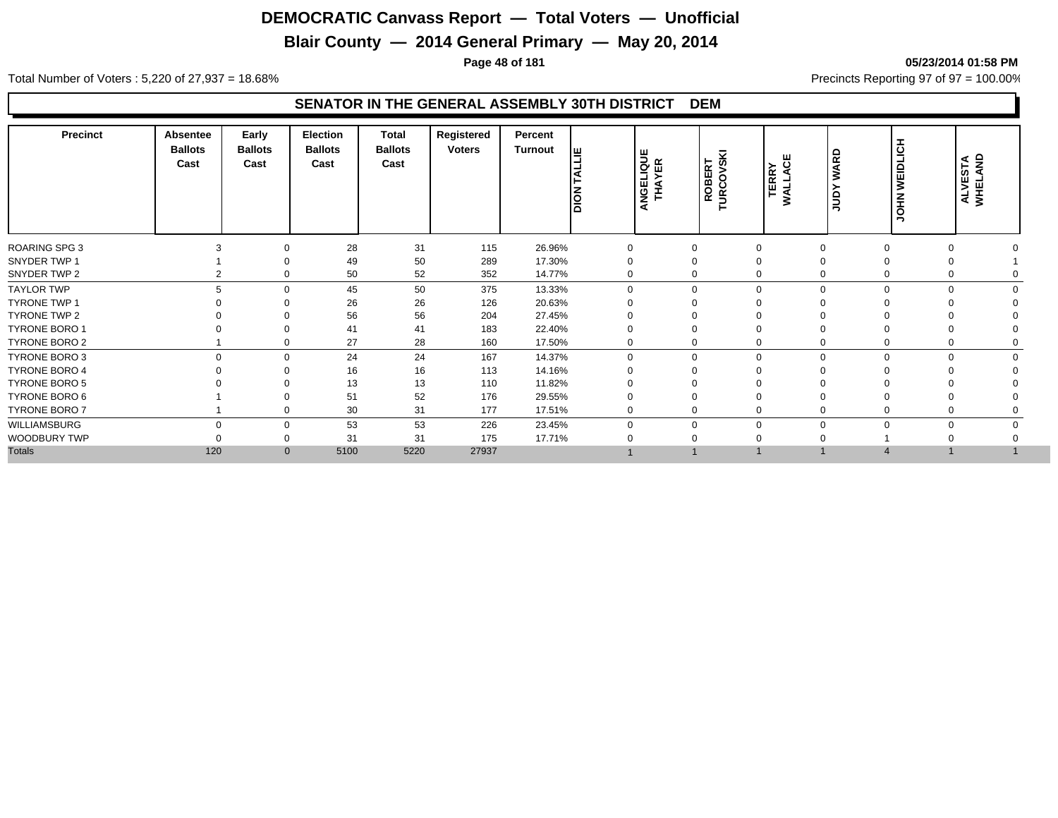## **Blair County — 2014 General Primary — May 20, 2014**

**Page 48 of 181 05/23/2014 01:58 PM**

Total Number of Voters : 5,220 of 27,937 = 18.68% Precincts Reporting 97 of 97 = 100.00%

| Registered<br>Early<br>Election<br><b>Precinct</b><br>Total<br><b>Absentee</b><br>Percent<br><b>Ballots</b><br><b>Ballots</b><br><b>Ballots</b><br><b>Ballots</b><br><b>Voters</b><br>Turnout<br>I≝<br>ANGELIQUE<br>THAYER<br>ROBERT<br>TURCOVSKI<br>≏<br><b>TERRY</b><br>WALLACE<br>ᅙ<br>Cast<br>Cast<br>Cast<br>Cast<br>⋖<br><b>Nold</b><br>gu | <b>HOLIGH</b><br>y<br>폴<br>5<br>っ | ALVESTA<br>WHELAND |
|--------------------------------------------------------------------------------------------------------------------------------------------------------------------------------------------------------------------------------------------------------------------------------------------------------------------------------------------------|-----------------------------------|--------------------|
| <b>ROARING SPG 3</b><br>28<br>31<br>115<br>26.96%<br>$\mathbf 0$<br>$\Omega$<br>$\Omega$                                                                                                                                                                                                                                                         |                                   |                    |
| SNYDER TWP 1<br>49<br>50<br>289<br>17.30%<br>$\Omega$                                                                                                                                                                                                                                                                                            |                                   |                    |
| 52<br>SNYDER TWP 2<br>50<br>352<br>14.77%<br>$\mathbf 0$<br>$\Omega$<br>$\Omega$                                                                                                                                                                                                                                                                 |                                   |                    |
| <b>TAYLOR TWP</b><br>45<br>50<br>375<br>13.33%<br>$\Omega$<br>$\Omega$<br>$\mathbf 0$<br>$\Omega$<br>$\Omega$                                                                                                                                                                                                                                    | $\Omega$                          |                    |
| 26<br><b>TYRONE TWP 1</b><br>26<br>126<br>20.63%                                                                                                                                                                                                                                                                                                 |                                   |                    |
| TYRONE TWP 2<br>56<br>56<br>204<br>27.45%                                                                                                                                                                                                                                                                                                        |                                   |                    |
| <b>TYRONE BORO 1</b><br>183<br>22.40%<br>41<br>41                                                                                                                                                                                                                                                                                                |                                   |                    |
| 27<br>28<br>TYRONE BORO 2<br>160<br>17.50%<br>$\mathbf 0$<br>0<br>$\mathbf 0$<br>0                                                                                                                                                                                                                                                               |                                   |                    |
| 24<br>TYRONE BORO 3<br>$\mathbf 0$<br>24<br>167<br>14.37%<br>$\mathbf 0$<br>$\Omega$<br>$\Omega$<br>0<br>$\mathbf 0$                                                                                                                                                                                                                             | $\Omega$<br>0                     |                    |
| <b>TYRONE BORO 4</b><br>16<br>14.16%<br>16<br>113<br>$\Omega$                                                                                                                                                                                                                                                                                    |                                   |                    |
| 11.82%<br>TYRONE BORO 5<br>13<br>13<br>110                                                                                                                                                                                                                                                                                                       |                                   |                    |
| 52<br>176<br>29.55%<br>TYRONE BORO 6<br>51                                                                                                                                                                                                                                                                                                       |                                   |                    |
| 30<br>177<br>TYRONE BORO 7<br>31<br>17.51%<br>$\mathbf 0$<br>$\mathbf 0$<br>$\Omega$<br>$\mathbf 0$                                                                                                                                                                                                                                              |                                   |                    |
| WILLIAMSBURG<br>53<br>53<br>226<br>23.45%<br>$\mathbf 0$<br>$\mathbf 0$<br>$\Omega$<br>$\Omega$<br>0<br>$\Omega$                                                                                                                                                                                                                                 | 0                                 |                    |
| WOODBURY TWP<br>31<br>31<br>175<br>17.71%<br>$\mathbf 0$                                                                                                                                                                                                                                                                                         |                                   |                    |
| <b>Totals</b><br>120<br>5220<br>27937<br>5100<br>$\overline{0}$                                                                                                                                                                                                                                                                                  |                                   |                    |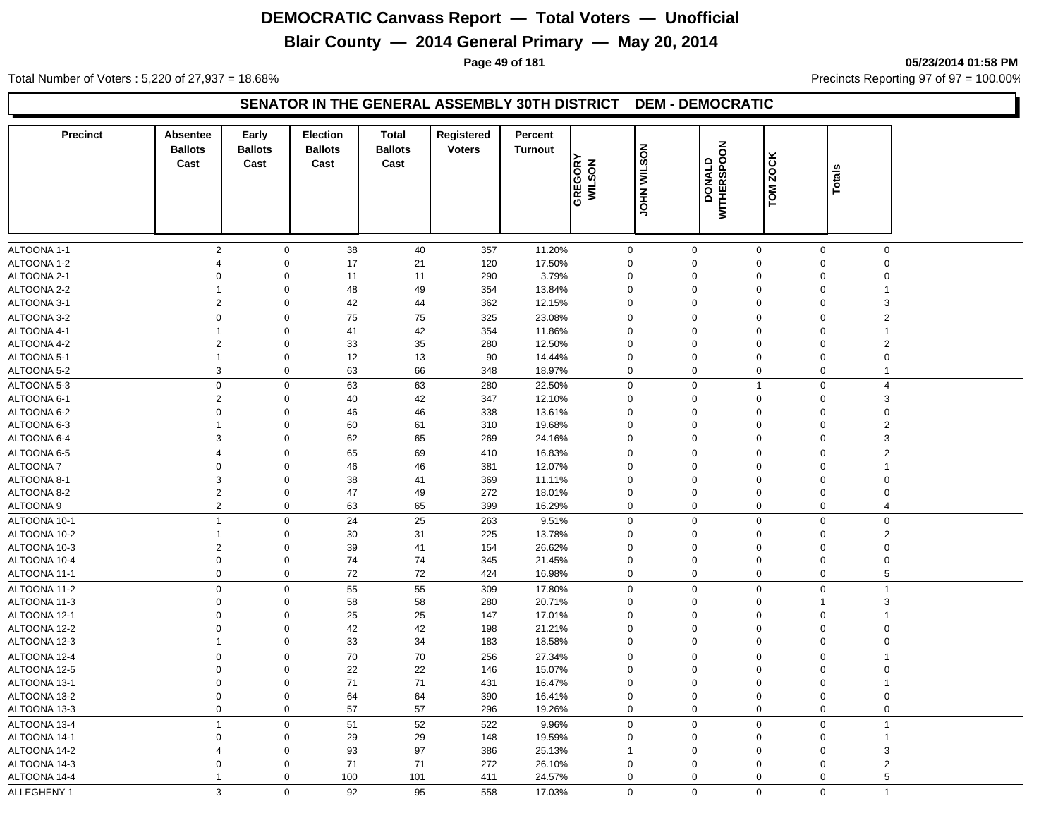## **Blair County — 2014 General Primary — May 20, 2014**

**Page 49 of 181 05/23/2014 01:58 PM**

Total Number of Voters : 5,220 of 27,937 = 18.68% Precincts Reporting 97 of 97 = 100.00%

#### **SENATOR IN THE GENERAL ASSEMBLY 30TH DISTRICT DEM - DEMOCRATIC**

| <b>Precinct</b> | <b>Absentee</b><br><b>Ballots</b><br>Cast | Early<br><b>Ballots</b><br>Cast | Election<br><b>Ballots</b><br>Cast | <b>Total</b><br><b>Ballots</b><br>Cast | Registered<br><b>Voters</b> | Percent<br><b>Turnout</b> | GREGORY<br>WILSON | <b>JOHN WILSON</b> | <b>DONALD<br/>WITHERSPOON</b> | <b>ZOCK</b><br>TOM | <b>Totals</b>                 |  |
|-----------------|-------------------------------------------|---------------------------------|------------------------------------|----------------------------------------|-----------------------------|---------------------------|-------------------|--------------------|-------------------------------|--------------------|-------------------------------|--|
| ALTOONA 1-1     | 2                                         | $\mathbf 0$                     | 38                                 | 40                                     | 357                         | 11.20%                    | $\mathbf 0$       | $\mathbf 0$        | 0                             | $\mathbf 0$        | $\mathbf 0$                   |  |
| ALTOONA 1-2     | $\overline{4}$                            | $\mathbf 0$                     | 17                                 | 21                                     | 120                         | 17.50%                    | $\mathbf 0$       | $\mathbf 0$        | $\mathbf 0$                   | $\overline{0}$     | $\mathbf 0$                   |  |
| ALTOONA 2-1     | $\Omega$                                  | $\mathbf 0$                     | 11                                 | 11                                     | 290                         | 3.79%                     | $\Omega$          | $\mathbf 0$        | $\Omega$                      | $\Omega$           | $\mathbf 0$                   |  |
| ALTOONA 2-2     | $\mathbf 1$                               | $\mathsf 0$                     | 48                                 | 49                                     | 354                         | 13.84%                    | $\Omega$          | $\mathbf 0$        | $\Omega$                      | $\Omega$           |                               |  |
| ALTOONA 3-1     | $\overline{2}$                            | $\mathbf 0$                     | 42                                 | 44                                     | 362                         | 12.15%                    | $\mathbf 0$       | $\mathbf 0$        | $\mathbf 0$                   | $\Omega$           | 3                             |  |
| ALTOONA 3-2     | $\mathbf 0$                               | $\mathsf{O}\xspace$             | 75                                 | 75                                     | 325                         | 23.08%                    | $\mathbf 0$       | $\boldsymbol{0}$   | $\mathbf 0$                   | $\Omega$           | $\overline{2}$                |  |
| ALTOONA 4-1     | $\mathbf{1}$                              | $\boldsymbol{0}$                | 41                                 | 42                                     | 354                         | 11.86%                    | $\Omega$          | $\mathbf 0$        | $\Omega$                      | $\mathbf 0$        | $\overline{1}$                |  |
| ALTOONA 4-2     | $\overline{2}$                            | $\mathsf 0$                     | 33                                 | 35                                     | 280                         | 12.50%                    | $\Omega$          | $\mathbf 0$        | $\Omega$                      | $\Omega$           | $\overline{2}$                |  |
| ALTOONA 5-1     | $\mathbf{1}$                              | $\mathbf 0$                     | 12                                 | 13                                     | 90                          | 14.44%                    | $\Omega$          | $\mathbf 0$        | $\Omega$                      | $\Omega$           | $\mathbf 0$                   |  |
| ALTOONA 5-2     | 3                                         | $\mathbf 0$                     | 63                                 | 66                                     | 348                         | 18.97%                    | $\mathbf 0$       | $\mathbf 0$        | 0                             | $\mathsf 0$        | $\overline{1}$                |  |
| ALTOONA 5-3     | $\mathbf 0$                               | $\mathsf{O}\xspace$             | 63                                 | 63                                     | 280                         | 22.50%                    | $\mathbf 0$       | $\mathsf 0$        | $\overline{1}$                | $\pmb{0}$          | $\overline{4}$                |  |
| ALTOONA 6-1     | $\overline{2}$                            | $\mathbf 0$                     | 40                                 | 42                                     | 347                         | 12.10%                    | $\Omega$          | $\mathbf 0$        | $\Omega$                      | $\Omega$           | 3                             |  |
| ALTOONA 6-2     | $\mathbf 0$                               | $\mathsf 0$                     | 46                                 | 46                                     | 338                         | 13.61%                    | $\mathbf 0$       | $\mathbf 0$        | $\Omega$                      | 0                  | $\mathbf 0$                   |  |
| ALTOONA 6-3     | $\mathbf{1}$                              | $\mathbf 0$                     | 60                                 | 61                                     | 310                         | 19.68%                    | $\Omega$          | $\mathbf 0$        | $\Omega$                      | $\Omega$           | $\overline{2}$                |  |
| ALTOONA 6-4     | 3                                         | $\mathbf 0$                     | 62                                 | 65                                     | 269                         | 24.16%                    | $\mathbf 0$       | $\mathbf 0$        | $\mathbf 0$                   | $\overline{0}$     | 3                             |  |
| ALTOONA 6-5     | $\overline{4}$                            | $\mathbf 0$                     | 65                                 | 69                                     | 410                         | 16.83%                    | $\mathbf 0$       | $\mathsf 0$        | $\Omega$                      | $\mathbf 0$        | $\overline{2}$                |  |
| ALTOONA 7       | $\mathbf 0$                               | $\mathbf 0$                     | 46                                 | 46                                     | 381                         | 12.07%                    | $\mathbf 0$       | $\mathbf 0$        | $\mathbf 0$                   | 0                  | $\overline{1}$                |  |
| ALTOONA 8-1     | 3                                         | $\mathsf 0$                     | 38                                 | 41                                     | 369                         | 11.11%                    | $\Omega$          | $\mathbf 0$        | $\Omega$                      | $\Omega$           | $\mathbf 0$                   |  |
| ALTOONA 8-2     | $\overline{2}$                            | $\mathbf 0$                     | 47                                 | 49                                     | 272                         | 18.01%                    | $\mathbf 0$       | $\mathbf 0$        | $\mathbf 0$                   | $\mathbf 0$        | $\mathbf 0$                   |  |
| ALTOONA 9       | $\overline{2}$                            | $\mathbf 0$                     | 63                                 | 65                                     | 399                         | 16.29%                    | $\mathbf 0$       | $\mathbf 0$        | $\Omega$                      | $\mathsf 0$        | $\overline{4}$                |  |
| ALTOONA 10-1    | $\mathbf{1}$                              | $\mathbf 0$                     | 24                                 | 25                                     | 263                         | 9.51%                     | $\mathbf 0$       | $\mathbf 0$        | 0                             | $\mathsf 0$        | $\mathbf 0$                   |  |
| ALTOONA 10-2    | $\mathbf{1}$                              | $\mathbf 0$                     | 30                                 | 31                                     | 225                         | 13.78%                    | $\Omega$          | $\mathbf 0$        | $\Omega$                      | $\Omega$           | $\overline{2}$                |  |
| ALTOONA 10-3    | $\overline{2}$                            | $\boldsymbol{0}$                | 39                                 | 41                                     | 154                         | 26.62%                    | $\mathbf 0$       | $\mathbf 0$        | $\mathbf 0$                   | 0                  | $\mathbf 0$                   |  |
| ALTOONA 10-4    | $\mathbf 0$                               | $\mathbf 0$                     | 74                                 | 74                                     | 345                         | 21.45%                    | $\Omega$          | $\mathbf 0$        | $\Omega$                      | $\mathbf 0$        | $\mathbf 0$                   |  |
| ALTOONA 11-1    | $\mathbf 0$                               | $\mathbf 0$                     | 72                                 | 72                                     | 424                         | 16.98%                    | $\mathbf 0$       | $\mathbf 0$        | $\mathbf 0$                   | $\mathsf 0$        | 5                             |  |
| ALTOONA 11-2    | $\mathsf 0$                               | $\mathbf 0$                     | 55                                 | 55                                     | 309                         | 17.80%                    | $\mathbf 0$       | $\mathsf 0$        | $\mathbf 0$                   | $\mathsf 0$        | $\overline{1}$                |  |
| ALTOONA 11-3    | $\mathsf 0$                               | $\boldsymbol{0}$                | 58                                 | 58                                     | 280                         | 20.71%                    | $\mathbf 0$       | $\boldsymbol{0}$   | $\mathbf 0$                   | 1                  | 3                             |  |
| ALTOONA 12-1    | $\mathbf 0$                               | $\boldsymbol{0}$                | 25                                 | 25                                     | 147                         | 17.01%                    | $\Omega$          | $\mathbf 0$        | $\Omega$                      | $\mathbf 0$        | $\overline{1}$                |  |
| ALTOONA 12-2    | $\mathbf 0$                               | $\boldsymbol{0}$                | 42                                 | 42                                     | 198                         | 21.21%                    | $\Omega$          | $\mathbf 0$        | $\Omega$                      | $\mathbf 0$        | $\mathbf 0$                   |  |
| ALTOONA 12-3    | $\mathbf{1}$                              | $\mathbf 0$                     | 33                                 | 34                                     | 183                         | 18.58%                    | $\mathbf 0$       | $\mathbf 0$        | $\mathbf 0$                   |                    | $\overline{0}$<br>$\mathbf 0$ |  |
| ALTOONA 12-4    | $\mathbf 0$                               | $\boldsymbol{0}$                | 70                                 | 70                                     | 256                         | 27.34%                    | $\mathbf 0$       | $\mathbf 0$        | 0                             | $\mathbf 0$        | $\overline{1}$                |  |
| ALTOONA 12-5    | $\mathbf 0$                               | $\boldsymbol{0}$                | 22                                 | 22                                     | 146                         | 15.07%                    | $\Omega$          | 0                  | $\Omega$                      | 0                  | $\mathbf 0$                   |  |
| ALTOONA 13-1    | $\mathbf 0$                               | $\boldsymbol{0}$                | 71                                 | 71                                     | 431                         | 16.47%                    | $\Omega$          | $\mathbf 0$        | $\Omega$                      | $\mathbf 0$        | $\overline{1}$                |  |
| ALTOONA 13-2    | $\mathbf 0$                               | $\mathbf 0$                     | 64                                 | 64                                     | 390                         | 16.41%                    | $\Omega$          | $\mathsf 0$        | $\Omega$                      | $\overline{0}$     | $\mathbf 0$                   |  |
| ALTOONA 13-3    | $\mathbf 0$                               | $\mathbf 0$                     | 57                                 | 57                                     | 296                         | 19.26%                    | $\mathbf 0$       | $\mathbf 0$        | $\mathbf 0$                   |                    | $\mathbf 0$<br>$\mathbf 0$    |  |
| ALTOONA 13-4    | $\mathbf{1}$                              | $\mathsf{O}\xspace$             | 51                                 | 52                                     | 522                         | 9.96%                     | $\mathbf 0$       | $\mathbf 0$        | $\mathbf 0$                   | $\mathsf 0$        | $\overline{1}$                |  |
| ALTOONA 14-1    | $\mathbf 0$                               | $\boldsymbol{0}$                | 29                                 | 29                                     | 148                         | 19.59%                    | $\Omega$          | 0                  | $\Omega$                      | 0                  | $\overline{1}$                |  |
| ALTOONA 14-2    | $\overline{4}$                            | $\mathbf 0$                     | 93                                 | 97                                     | 386                         | 25.13%                    | $\overline{1}$    | $\mathbf 0$        | $\Omega$                      | 0                  | 3                             |  |
| ALTOONA 14-3    | $\mathbf 0$                               | $\mathbf 0$                     | 71                                 | 71                                     | 272                         | 26.10%                    | $\mathbf 0$       | $\mathbf 0$        | $\mathbf 0$                   | $\Omega$           | $\overline{2}$                |  |
| ALTOONA 14-4    | $\mathbf{1}$                              | $\mathbf 0$                     | 100                                | 101                                    | 411                         | 24.57%                    | $\mathbf 0$       | $\mathbf 0$        | $\mathbf 0$                   |                    | $\mathbf 0$<br>5              |  |
| ALLEGHENY 1     | 3                                         | $\mathbf 0$                     | 92                                 | 95                                     | 558                         | 17.03%                    | $\Omega$          | $\mathbf 0$        | $\Omega$                      |                    | $\Omega$<br>$\overline{1}$    |  |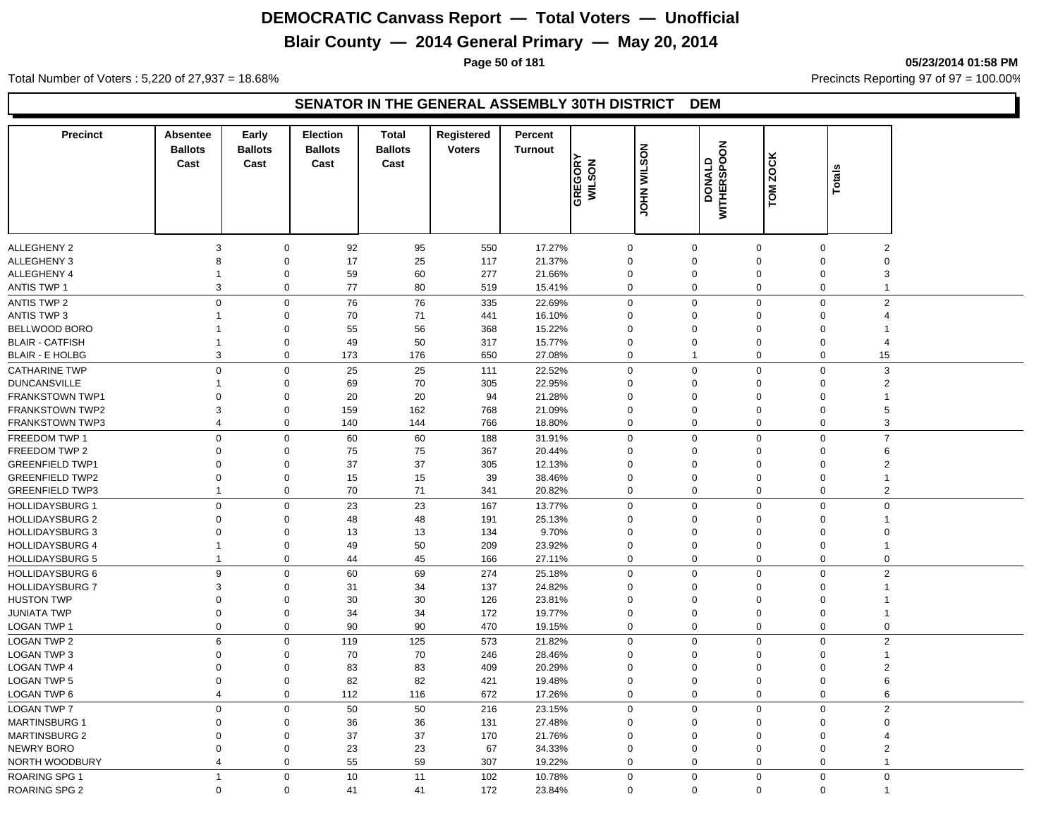## **Blair County — 2014 General Primary — May 20, 2014**

**Page 50 of 181 05/23/2014 01:58 PM**

Total Number of Voters : 5,220 of 27,937 = 18.68% Precincts Reporting 97 of 97 = 100.00%

|                                                                                                                                                                                     | $\boldsymbol{2}$<br>$\boldsymbol{0}$ |
|-------------------------------------------------------------------------------------------------------------------------------------------------------------------------------------|--------------------------------------|
| 92<br>17.27%<br><b>ALLEGHENY 2</b><br>3<br>0<br>95<br>550<br>$\mathbf 0$<br>$\boldsymbol{0}$<br>$\mathbf 0$<br>$\Omega$                                                             |                                      |
| ALLEGHENY 3<br>0<br>17<br>25<br>117<br>21.37%<br>$\Omega$<br>0<br>$\mathbf 0$<br>8<br>$\Omega$                                                                                      |                                      |
| ALLEGHENY 4<br>0<br>59<br>60<br>277<br>21.66%<br>0<br>$\mathbf 0$<br>$\mathbf 0$<br>$\Omega$<br>1                                                                                   |                                      |
| 0<br>15.41%<br><b>ANTIS TWP 1</b><br>3<br>77<br>80<br>519<br>$\mathbf 0$<br>$\mathbf 0$<br>$\mathbf 0$<br>$\mathbf 0$                                                               | $\mathsf 3$<br>$\mathbf{1}$          |
| 76<br>76<br>$\mathbf 0$<br>$\mathbf 0$<br>$\Omega$                                                                                                                                  |                                      |
| $\pmb{0}$<br>$\pmb{0}$<br>335<br>22.69%<br>$\mathbf 0$<br><b>ANTIS TWP 2</b><br><b>ANTIS TWP 3</b><br>0<br>70<br>71<br>441<br>16.10%<br>$\mathbf 0$<br>0<br>$\mathbf 0$<br>$\Omega$ | $\mathbf 2$<br>$\overline{4}$        |
| 55<br>BELLWOOD BORO<br>0<br>368<br>15.22%<br>$\mathbf 0$<br>$\mathbf 0$<br>$\mathbf 0$<br>$\Omega$                                                                                  | $\mathbf 1$                          |
| 56<br><b>BLAIR - CATFISH</b><br>0<br>49<br>50<br>317<br>15.77%<br>$\mathbf 0$<br>0<br>$\mathbf 0$<br>$\Omega$<br>-1                                                                 | $\overline{4}$                       |
| 3<br>0<br>173<br>176<br>650<br>27.08%<br>$\mathbf 0$<br>$\mathbf 0$<br><b>BLAIR - E HOLBG</b><br>$\overline{1}$<br>$\Omega$                                                         | 15                                   |
|                                                                                                                                                                                     |                                      |
| 25<br>25<br>$\mathbf 0$<br>0<br>0<br>111<br>22.52%<br>$\mathbf 0$<br>$\mathbf 0$<br><b>CATHARINE TWP</b><br>$\Omega$                                                                | $\ensuremath{\mathsf{3}}$            |
| 70<br>22.95%<br><b>DUNCANSVILLE</b><br>0<br>69<br>305<br>$\mathbf 0$<br>0<br>$\mathbf 0$<br>$\Omega$                                                                                | $\mathbf 2$                          |
| $\mathbf 0$<br>20<br>94<br>21.28%<br><b>FRANKSTOWN TWP1</b><br>$\mathbf 0$<br>20<br>$\Omega$<br>$\mathbf{0}$<br>$\mathbf 0$<br>$\Omega$<br>159<br>21.09%<br>$\Omega$<br>$\Omega$    | $\mathbf{1}$                         |
| <b>FRANKSTOWN TWP2</b><br>3<br>0<br>162<br>768<br>$\mathbf 0$<br>$\mathbf 0$                                                                                                        | 5                                    |
| 18.80%<br><b>FRANKSTOWN TWP3</b><br>$\overline{4}$<br>$\mathbf 0$<br>140<br>144<br>766<br>$\mathbf 0$<br>$\mathbf{0}$<br>$\mathbf 0$<br>$\Omega$                                    | 3                                    |
| $\mathbf 0$<br>$\pmb{0}$<br>$\pmb{0}$<br>60<br>$\mathbf 0$<br>$\mathbf 0$<br>FREEDOM TWP 1<br>60<br>188<br>31.91%<br>$\Omega$                                                       | $\overline{7}$                       |
| FREEDOM TWP 2<br>0<br>75<br>75<br>367<br>20.44%<br>0<br>$\mathbf 0$<br>$\Omega$<br>$\mathbf 0$<br>$\Omega$                                                                          | $\,6$                                |
| 0<br>37<br>37<br>305<br>12.13%<br>$\mathbf 0$<br>0<br>$\mathbf 0$<br><b>GREENFIELD TWP1</b><br>0<br>$\Omega$                                                                        | $\sqrt{2}$                           |
| <b>GREENFIELD TWP2</b><br>0<br>0<br>15<br>15<br>39<br>38.46%<br>$\mathbf 0$<br>0<br>$\mathbf 0$<br>$\Omega$                                                                         | $\mathbf{1}$                         |
| 0<br>70<br>71<br>20.82%<br>$\mathbf 0$<br>$\mathbf 0$<br><b>GREENFIELD TWP3</b><br>341<br>$\mathbf 0$<br>$\Omega$<br>$\mathbf 1$                                                    | $\overline{2}$                       |
| 23<br><b>HOLLIDAYSBURG 1</b><br>$\pmb{0}$<br>$\pmb{0}$<br>23<br>167<br>13.77%<br>$\mathbf 0$<br>$\mathbf 0$<br>$\mathbf 0$<br>$\Omega$                                              | $\mathbf 0$                          |
| 48<br>48<br>25.13%<br><b>HOLLIDAYSBURG 2</b><br>$\Omega$<br>0<br>191<br>$\Omega$<br>0<br>$\mathbf 0$<br>$\Omega$                                                                    | $\mathbf{1}$                         |
| $\mathbf 0$<br>134<br>9.70%<br>$\Omega$<br><b>HOLLIDAYSBURG 3</b><br>$\Omega$<br>13<br>13<br>$\Omega$<br>$\mathbf 0$<br>$\Omega$                                                    | $\mathbf 0$                          |
| 23.92%<br><b>HOLLIDAYSBURG 4</b><br>0<br>49<br>50<br>209<br>$\mathbf 0$<br>0<br>$\mathbf 0$<br>$\Omega$<br>1                                                                        | $\mathbf{1}$                         |
| <b>HOLLIDAYSBURG 5</b><br>0<br>44<br>45<br>166<br>27.11%<br>$\mathbf 0$<br>$\mathbf 0$<br>$\mathbf 0$<br>$\Omega$<br>1                                                              | $\mathbf 0$                          |
| 9<br>$\mathsf{O}\xspace$<br>$\mathbf 0$<br>0<br>60<br>69<br>274<br>25.18%<br>$\mathbf 0$<br><b>HOLLIDAYSBURG 6</b><br>$\Omega$                                                      | $\mathbf 2$                          |
| 3<br>0<br>31<br>34<br>137<br>24.82%<br>$\mathbf 0$<br>$\mathbf 0$<br>$\mathbf 0$<br><b>HOLLIDAYSBURG 7</b><br>$\Omega$                                                              | $\mathbf{1}$                         |
| <b>HUSTON TWP</b><br>0<br>30<br>30<br>126<br>23.81%<br>$\mathbf 0$<br>$\Omega$<br>$\Omega$<br>0<br>$\Omega$                                                                         | $\mathbf 1$                          |
| 0<br>172<br>19.77%<br>JUNIATA TWP<br>0<br>34<br>34<br>$\Omega$<br>$\mathbf 0$<br>$\mathbf 0$<br>$\Omega$                                                                            | $\mathbf{1}$                         |
| LOGAN TWP 1<br>0<br>0<br>90<br>90<br>19.15%<br>$\mathbf 0$<br>$\mathbf 0$<br>470<br>$\mathbf 0$<br>$\mathbf 0$                                                                      | $\mathbf 0$                          |
| <b>LOGAN TWP 2</b><br>6<br>$\pmb{0}$<br>119<br>125<br>573<br>21.82%<br>$\mathbf 0$<br>$\mathbf 0$<br>$\mathbf 0$<br>$\Omega$                                                        | $\sqrt{2}$                           |
| <b>LOGAN TWP 3</b><br>0<br>70<br>70<br>246<br>28.46%<br>$\mathbf 0$<br>0<br>$\mathbf 0$<br>0<br>$\Omega$                                                                            | $\mathbf{1}$                         |
| <b>LOGAN TWP 4</b><br>0<br>83<br>83<br>409<br>20.29%<br>$\mathbf 0$<br>0<br>$\mathbf 0$<br>$\Omega$<br>$\Omega$                                                                     | $\overline{2}$                       |
| <b>LOGAN TWP 5</b><br>$\Omega$<br>0<br>82<br>82<br>421<br>19.48%<br>$\mathbf 0$<br>$\mathbf 0$<br>$\mathbf 0$<br>$\Omega$                                                           | 6                                    |
| <b>LOGAN TWP 6</b><br>0<br>112<br>672<br>17.26%<br>$\mathbf 0$<br>$\mathbf 0$<br>$\overline{4}$<br>116<br>$\mathbf 0$<br>$\Omega$                                                   | 6                                    |
| $\mathbf 0$<br>$\pmb{0}$<br>50<br>50<br>216<br>23.15%<br>$\mathbf 0$<br>$\mathsf{O}\xspace$<br>$\mathbf 0$<br><b>LOGAN TWP 7</b><br>$\Omega$                                        | $\mathbf 2$                          |
| $\mathbf 0$<br>36<br>131<br>27.48%<br><b>MARTINSBURG 1</b><br>$\mathbf 0$<br>36<br>$\Omega$<br>$\mathbf{0}$<br>$\mathbf 0$<br>$\Omega$                                              | $\mathbf 0$                          |
| $\mathbf 0$<br>37<br>37<br>21.76%<br>$\mathbf 0$<br><b>MARTINSBURG 2</b><br>$\mathbf 0$<br>170<br>$\Omega$<br>$\mathbf{0}$<br>$\Omega$                                              | 4                                    |
| $\pmb{0}$<br><b>NEWRY BORO</b><br>$\Omega$<br>23<br>23<br>67<br>34.33%<br>$\Omega$<br>$\mathbf 0$<br>$\mathbf 0$<br>$\Omega$                                                        | $\overline{2}$                       |
| NORTH WOODBURY<br>0<br>55<br>59<br>307<br>19.22%<br>0<br>$\mathbf 0$<br>4<br>$\Omega$<br>$\Omega$                                                                                   | $\mathbf{1}$                         |
| $\mathbf 0$<br>11<br>$\mathbf 0$<br>10<br>102<br>$\overline{0}$<br>$\mathbf 0$<br>$\mathbf 0$<br><b>ROARING SPG 1</b><br>$\overline{1}$<br>10.78%                                   | $\pmb{0}$                            |
| <b>ROARING SPG 2</b><br>$\mathbf 0$<br>41<br>41<br>172<br>23.84%<br>$\mathbf 0$<br>$\mathbf 0$<br>$\mathbf 0$<br>$\mathbf 0$<br>$\mathbf 0$                                         | $\mathbf{1}$                         |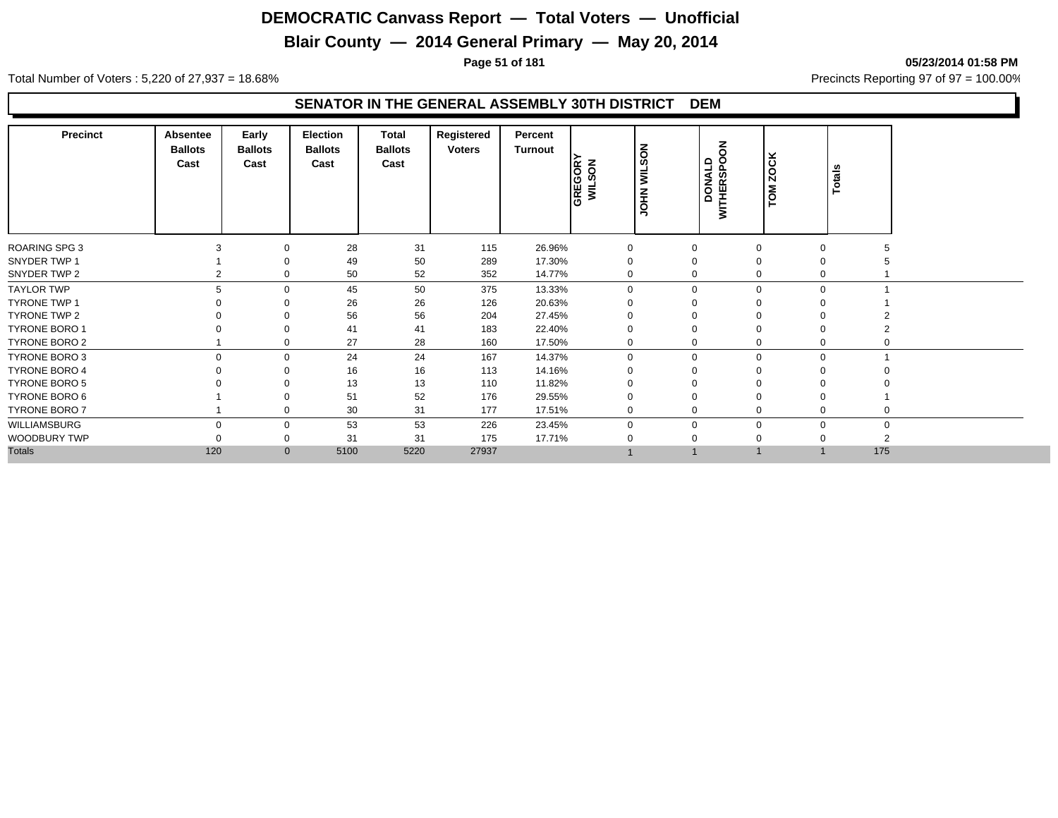## **Blair County — 2014 General Primary — May 20, 2014**

**Page 51 of 181 05/23/2014 01:58 PM**

Total Number of Voters : 5,220 of 27,937 = 18.68% Precincts Reporting 97 of 97 = 100.00%

| <b>Precinct</b>      | Absentee<br><b>Ballots</b><br>Cast | Early<br><b>Ballots</b><br>Cast | Election<br><b>Ballots</b><br>Cast | Total<br><b>Ballots</b><br>Cast | Registered<br><b>Voters</b> | Percent<br>Turnout | GREGORY<br>WILSON | る<br>ဖာ<br>⋚<br><b>NHOL</b> | $\overline{6}$<br><b>WITHERSPO</b><br>DONALD | č<br><b>Q</b><br><b>TOM</b> | <b>Totals</b> |             |
|----------------------|------------------------------------|---------------------------------|------------------------------------|---------------------------------|-----------------------------|--------------------|-------------------|-----------------------------|----------------------------------------------|-----------------------------|---------------|-------------|
| <b>ROARING SPG 3</b> |                                    |                                 | 28                                 | 31                              | 115                         | 26.96%             | $\mathbf 0$       | $\Omega$                    |                                              |                             | $\Omega$      |             |
| SNYDER TWP 1         |                                    |                                 | 49                                 | 50                              | 289                         | 17.30%             |                   | $\overline{0}$              |                                              |                             |               |             |
| SNYDER TWP 2         |                                    | $\Omega$                        | 50                                 | 52                              | 352                         | 14.77%             | $\Omega$          | $\mathbf 0$                 |                                              |                             |               |             |
| <b>TAYLOR TWP</b>    | 5                                  | $\mathbf 0$                     | 45                                 | 50                              | 375                         | 13.33%             | $\mathbf 0$       | $\mathbf 0$                 |                                              | $\Omega$                    | $\Omega$      |             |
| <b>TYRONE TWP 1</b>  |                                    |                                 | 26                                 | 26                              | 126                         | 20.63%             | O                 | $\Omega$                    |                                              |                             |               |             |
| <b>TYRONE TWP 2</b>  |                                    |                                 | 56                                 | 56                              | 204                         | 27.45%             | O                 | $\Omega$                    |                                              |                             |               |             |
| <b>TYRONE BORO 1</b> |                                    |                                 | 41                                 | 41                              | 183                         | 22.40%             | 0                 | $\Omega$                    |                                              | $\Omega$                    | O             |             |
| <b>TYRONE BORO 2</b> |                                    | $\mathbf 0$                     | 27                                 | 28                              | 160                         | 17.50%             | 0                 | 0                           |                                              |                             | 0             |             |
| <b>TYRONE BORO 3</b> | $\Omega$                           | $\mathbf 0$                     | 24                                 | 24                              | 167                         | 14.37%             | $\mathbf 0$       | $\mathbf 0$                 |                                              | $\Omega$                    | $\mathbf 0$   |             |
| <b>TYRONE BORO 4</b> |                                    |                                 | 16                                 | 16                              | 113                         | 14.16%             |                   |                             |                                              |                             |               |             |
| <b>TYRONE BORO 5</b> |                                    |                                 | 13                                 | 13                              | 110                         | 11.82%             |                   |                             |                                              |                             |               |             |
| TYRONE BORO 6        |                                    |                                 | 51                                 | 52                              | 176                         | 29.55%             | 0                 | $\mathbf 0$                 |                                              |                             | 0             |             |
| <b>TYRONE BORO 7</b> |                                    | 0                               | 30                                 | 31                              | 177                         | 17.51%             | 0                 | 0                           |                                              | $\Omega$                    | 0<br>0        |             |
| WILLIAMSBURG         | $\Omega$                           | $\mathbf 0$                     | 53                                 | 53                              | 226                         | 23.45%             | $\mathbf 0$       | $\mathbf 0$                 |                                              | $\Omega$                    | $\Omega$      | $\mathbf 0$ |
| WOODBURY TWP         |                                    | $\mathbf 0$                     | 31                                 | 31                              | 175                         | 17.71%             |                   |                             |                                              |                             |               |             |
| <b>Totals</b>        | 120                                | $\mathbf{0}$                    | 5100                               | 5220                            | 27937                       |                    |                   |                             |                                              |                             | 175           |             |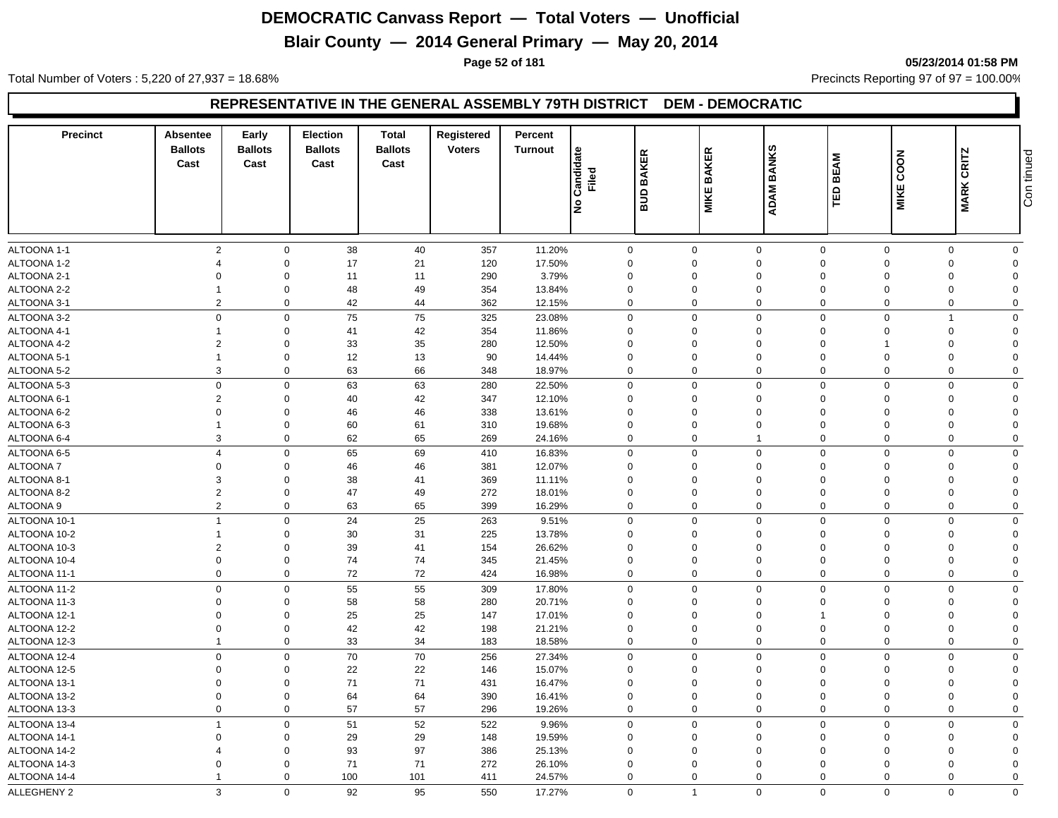## **Blair County — 2014 General Primary — May 20, 2014**

**Page 52 of 181 05/23/2014 01:58 PM**

Total Number of Voters : 5,220 of 27,937 = 18.68% Precincts Reporting 97 of 97 = 100.00%

#### **REPRESENTATIVE IN THE GENERAL ASSEMBLY 79TH DISTRICT DEM - DEMOCRATIC**

| <b>Precinct</b>    | Absentee<br><b>Ballots</b><br>Cast | Early<br><b>Ballots</b><br>Cast | <b>Election</b><br><b>Ballots</b><br>Cast | Total<br><b>Ballots</b><br>Cast | Registered<br><b>Voters</b> | Percent<br><b>Turnout</b> | Candidate<br>Filed | <b>BAKER</b><br>ans | <b>BAKER</b><br><b>MIKE</b> | <b>BANKS</b><br><b>ADAM</b> | <b>BEAM</b><br>ΓÊ | COON<br><b>MIKE</b> | <b>CRITZ</b><br><b>MARK</b> | Con tinued              |
|--------------------|------------------------------------|---------------------------------|-------------------------------------------|---------------------------------|-----------------------------|---------------------------|--------------------|---------------------|-----------------------------|-----------------------------|-------------------|---------------------|-----------------------------|-------------------------|
|                    |                                    |                                 |                                           |                                 |                             |                           | ۹è                 |                     |                             |                             |                   |                     |                             |                         |
| ALTOONA 1-1        | $\overline{2}$                     | $\mathbf 0$                     | 38                                        | 40                              | 357                         | 11.20%                    | $\mathbf 0$        |                     | $\mathbf 0$                 | $\mathbf 0$                 | $\mathbf 0$       | $\mathbf 0$         | $\mathbf 0$                 | $\mathbf 0$             |
| ALTOONA 1-2        | $\boldsymbol{\varDelta}$           | $\Omega$                        | 17                                        | 21                              | 120                         | 17.50%                    | $\Omega$           |                     | $\Omega$                    | $\mathbf 0$                 | $\Omega$          | $\Omega$            | $\Omega$                    | $\Omega$                |
| ALTOONA 2-1        | $\Omega$                           | $\Omega$                        | 11                                        | 11                              | 290                         | 3.79%                     | $\Omega$           |                     | $\Omega$                    | $\mathbf 0$                 | $\Omega$          | $\Omega$            | $\Omega$                    | $\Omega$                |
| ALTOONA 2-2        | $\overline{1}$                     | $\mathbf 0$                     | 48                                        | 49                              | 354                         | 13.84%                    | $\mathbf 0$        |                     | $\mathbf 0$                 | $\mathbf 0$                 | $\mathbf 0$       | $\Omega$            | $\Omega$                    | $\Omega$                |
| ALTOONA 3-1        | $\overline{2}$                     | $\mathbf 0$                     | 42                                        | 44                              | 362                         | 12.15%                    | 0                  |                     | $\mathbf 0$                 | $\mathbf 0$                 | $\mathbf 0$       | $\Omega$            | $\mathbf 0$                 | $\overline{0}$          |
| ALTOONA 3-2        | $\mathbf 0$                        | $\Omega$                        | 75                                        | 75                              | 325                         | 23.08%                    | $\mathbf 0$        |                     | $\mathbf 0$                 | $\mathbf 0$                 | $\mathbf 0$       | $\Omega$            |                             | $\Omega$                |
| ALTOONA 4-1        | $\overline{1}$                     | $\mathbf 0$                     | 41                                        | 42                              | 354                         | 11.86%                    | $\mathbf 0$        |                     | $\mathbf 0$                 | $\mathbf 0$                 | $\mathbf 0$       | $\Omega$            | $\Omega$                    | $\Omega$                |
| ALTOONA 4-2        | $\overline{2}$                     | $\Omega$                        | 33                                        | 35                              | 280                         | 12.50%                    | $\mathbf 0$        |                     | 0                           | $\mathbf 0$                 | $\mathbf 0$       |                     | $\Omega$                    | $\Omega$                |
| ALTOONA 5-1        | $\overline{1}$                     | $\mathbf 0$                     | 12                                        | 13                              | 90                          | 14.44%                    | $\mathbf 0$        |                     | $\mathbf 0$                 | $\mathbf 0$                 | $\mathbf 0$       | $\Omega$            | $\Omega$                    | $\Omega$                |
| ALTOONA 5-2        | $\mathbf{3}$                       | $\mathbf 0$                     | 63                                        | 66                              | 348                         | 18.97%                    | 0                  |                     | $\mathbf 0$                 | $\mathbf 0$                 | $\mathbf 0$       | $\mathbf 0$         | $\Omega$                    | $\Omega$                |
| ALTOONA 5-3        | $\mathbf 0$                        | $\mathbf 0$                     | 63                                        | 63                              | 280                         | 22.50%                    | 0                  |                     | $\mathbf 0$                 | $\mathsf 0$                 | $\mathbf 0$       | $\mathbf 0$         | $\Omega$                    | $\mathbf 0$             |
| ALTOONA 6-1        | $\overline{2}$                     | $\mathbf 0$                     | 40                                        | 42                              | 347                         | 12.10%                    | $\mathbf 0$        |                     | $\mathbf 0$                 | $\mathbf 0$                 | 0                 | $\Omega$            | $\Omega$                    | $\Omega$                |
| ALTOONA 6-2        | $\mathbf 0$                        | $\mathbf 0$                     | 46                                        | 46                              | 338                         | 13.61%                    | $\mathbf 0$        |                     | $\mathbf 0$                 | $\mathbf 0$                 | $\mathbf 0$       | $\Omega$            | $\Omega$                    | $\Omega$                |
| ALTOONA 6-3        | $\overline{1}$                     | $\mathbf 0$                     | 60                                        | 61                              | 310                         | 19.68%                    | $\mathbf 0$        |                     | $\mathbf 0$                 | $\mathbf 0$                 | $\mathbf 0$       | $\Omega$            | $\Omega$                    | $\Omega$                |
| ALTOONA 6-4        | $\mathbf{3}$                       | $\mathbf 0$                     | 62                                        | 65                              | 269                         | 24.16%                    | $\mathbf 0$        |                     | $\mathbf 0$                 | $\overline{1}$              | $\mathbf 0$       | $\Omega$            | $\Omega$                    | $\mathbf 0$             |
| ALTOONA 6-5        | $\overline{4}$                     | $\mathbf 0$                     | 65                                        | 69                              | 410                         | 16.83%                    | $\mathbf 0$        |                     | $\mathbf 0$                 | $\mathsf 0$                 | $\mathbf 0$       | $\Omega$            | $\Omega$                    | $\mathbf 0$             |
| ALTOONA 7          | $\overline{0}$                     | $\mathbf 0$                     | 46                                        | 46                              | 381                         | 12.07%                    | $\mathbf 0$        |                     | $\mathbf 0$                 | $\mathbf 0$                 | $\mathbf 0$       | $\Omega$            | $\Omega$                    | $\Omega$                |
| ALTOONA 8-1        | 3                                  | $\mathbf 0$                     | 38                                        | 41                              | 369                         | 11.11%                    | $\mathbf 0$        |                     | $\mathbf 0$                 | $\mathbf 0$                 | $\Omega$          | $\Omega$            | $\Omega$                    | $\Omega$                |
| ALTOONA 8-2        | $\overline{2}$                     | $\mathbf 0$                     | 47                                        | 49                              | 272                         | 18.01%                    | $\mathbf 0$        |                     | $\mathbf 0$                 | $\mathbf 0$                 | $\overline{0}$    | $\Omega$            | $\Omega$                    | $\Omega$                |
| ALTOONA 9          | $\overline{2}$                     | $\mathbf 0$                     | 63                                        | 65                              | 399                         | 16.29%                    | $\Omega$           |                     | $\mathbf 0$                 | $\mathsf 0$                 | $\mathbf 0$       | $\Omega$            | $\Omega$                    | $\mathbf 0$             |
| ALTOONA 10-1       | $\overline{1}$                     | $\mathbf 0$                     | 24                                        | 25                              | 263                         | 9.51%                     | 0                  |                     | $\mathbf 0$                 | $\mathsf 0$                 | $\mathbf 0$       | $\Omega$            | $\Omega$                    | $\mathbf 0$             |
| ALTOONA 10-2       | $\overline{1}$                     | $\mathbf 0$                     | 30                                        | 31                              | 225                         | 13.78%                    | $\mathbf 0$        |                     | $\mathbf 0$                 | $\mathbf 0$                 | $\Omega$          | $\Omega$            | $\Omega$                    | $\Omega$                |
| ALTOONA 10-3       | $\overline{2}$                     | $\mathbf 0$                     | 39                                        | 41                              | 154                         | 26.62%                    | $\mathbf 0$        |                     | $\mathbf 0$                 | $\mathbf 0$                 | $\mathbf 0$       | $\Omega$            | $\Omega$                    | $\Omega$                |
| ALTOONA 10-4       | $\mathbf 0$                        | $\mathsf 0$                     | 74                                        | 74                              | 345                         | 21.45%                    | $\Omega$           |                     | $\mathbf 0$                 | $\pmb{0}$                   | $\mathbf 0$       | $\Omega$            | $\Omega$                    | $\Omega$                |
| ALTOONA 11-1       | $\mathbf 0$                        | $\mathbf 0$                     | $72\,$                                    | $72\,$                          | 424                         | 16.98%                    | $\Omega$           |                     | $\mathbf 0$                 | $\mathbf 0$                 | $\mathbf 0$       | $\Omega$            | $\Omega$                    | $\mathbf 0$             |
| ALTOONA 11-2       | $\mathbf 0$                        | $\mathbf 0$                     | 55                                        | 55                              | 309                         | 17.80%                    | $\Omega$           |                     | $\mathbf 0$                 | $\mathbf 0$                 | $\Omega$          | $\Omega$            | $\Omega$                    | $\mathbf 0$             |
| ALTOONA 11-3       | $\mathbf 0$                        | $\mathbf 0$                     | 58                                        | 58                              | 280                         | 20.71%                    | $\mathbf 0$        |                     | $\mathbf 0$                 | $\mathbf 0$                 | $\mathbf 0$       | $\Omega$            | $\Omega$                    | $\Omega$                |
| ALTOONA 12-1       | $\Omega$                           | $\Omega$                        | 25                                        | 25                              | 147                         | 17.01%                    | $\Omega$           |                     | $\Omega$                    | $\mathbf 0$                 | $\overline{1}$    | $\Omega$            | $\Omega$                    | $\Omega$                |
| ALTOONA 12-2       | $\mathbf 0$                        | $\mathbf 0$                     | 42                                        | 42                              | 198                         | 21.21%                    | $\mathbf 0$        |                     | $\mathbf 0$                 | $\pmb{0}$                   | $\overline{0}$    | $\Omega$            | $\Omega$                    | $\Omega$                |
| ALTOONA 12-3       | $\overline{1}$                     | $\mathbf 0$                     | 33                                        | 34                              | 183                         | 18.58%                    | 0                  |                     | $\mathbf 0$                 | $\mathbf 0$                 | $\mathbf 0$       | $\mathbf 0$         | $\mathbf 0$                 | $\mathbf 0$             |
|                    |                                    |                                 |                                           |                                 |                             |                           |                    |                     |                             |                             |                   | $\Omega$            |                             |                         |
| ALTOONA 12-4       | $\mathbf 0$                        | $\mathbf 0$                     | 70                                        | 70                              | 256                         | 27.34%                    | $\mathbf 0$        |                     | $\mathbf 0$                 | $\mathbf 0$                 | $\overline{0}$    |                     | $\Omega$                    | $\mathbf 0$<br>$\Omega$ |
| ALTOONA 12-5       | $\Omega$                           | $\Omega$                        | 22                                        | 22                              | 146                         | 15.07%                    | $\Omega$           |                     | $\mathbf 0$                 | $\mathbf 0$                 | $\Omega$          | $\Omega$            | $\Omega$                    |                         |
| ALTOONA 13-1       | $\overline{0}$                     | $\mathbf 0$                     | 71                                        | 71                              | 431                         | 16.47%                    | $\mathbf 0$        |                     | 0                           | $\pmb{0}$                   | $\mathbf 0$       | $\Omega$            | $\Omega$                    | $\Omega$                |
| ALTOONA 13-2       | $\mathbf 0$                        | $\mathbf 0$                     | 64                                        | 64                              | 390                         | 16.41%                    | 0                  |                     | $\mathbf 0$                 | $\mathbf 0$                 | $\mathbf 0$       | $\Omega$            | $\mathbf 0$                 | $\mathbf 0$             |
| ALTOONA 13-3       | $\mathbf 0$                        | $\mathbf 0$                     | 57                                        | 57                              | 296                         | 19.26%                    | 0                  |                     | $\mathbf 0$                 | $\mathbf 0$                 | $\mathbf 0$       | $\mathbf 0$         | $\Omega$                    | $\mathbf 0$             |
| ALTOONA 13-4       | $\overline{1}$                     | $\mathsf 0$                     | 51                                        | 52                              | 522                         | 9.96%                     | $\mathbf 0$        |                     | $\Omega$                    | $\mathbf 0$                 | $\mathbf 0$       | $\Omega$            | $\Omega$                    | $\mathbf 0$             |
| ALTOONA 14-1       | $\overline{0}$                     | $\mathbf 0$                     | 29                                        | 29                              | 148                         | 19.59%                    | $\mathbf 0$        |                     | $\mathbf 0$                 | $\mathbf 0$                 | $\mathbf 0$       | $\Omega$            | $\Omega$                    | $\Omega$                |
| ALTOONA 14-2       | $\boldsymbol{\Delta}$              | $\mathbf 0$                     | 93                                        | 97                              | 386                         | 25.13%                    | $\mathbf 0$        |                     | $\mathbf 0$                 | $\mathbf 0$                 | $\Omega$          | $\Omega$            | $\Omega$                    | $\Omega$                |
| ALTOONA 14-3       | $\mathbf 0$                        | $\mathbf 0$                     | 71                                        | 71                              | 272                         | 26.10%                    | $\mathbf 0$        |                     | $\mathbf 0$                 | $\mathbf 0$                 | $\Omega$          | $\Omega$            | $\Omega$                    | $\Omega$                |
| ALTOONA 14-4       | $\overline{1}$                     | $\Omega$                        | 100                                       | 101                             | 411                         | 24.57%                    | $\mathbf 0$        |                     | $\mathbf 0$                 | $\mathbf 0$                 | $\Omega$          | $\Omega$            | $\Omega$                    | $\Omega$                |
| <b>ALLEGHENY 2</b> | 3                                  | $\mathbf 0$                     | 92                                        | 95                              | 550                         | 17.27%                    | $\mathbf 0$        |                     | $\overline{1}$              | $\mathbf 0$                 | $\mathbf 0$       | $\mathbf 0$         | $\mathbf 0$                 | $\mathbf 0$             |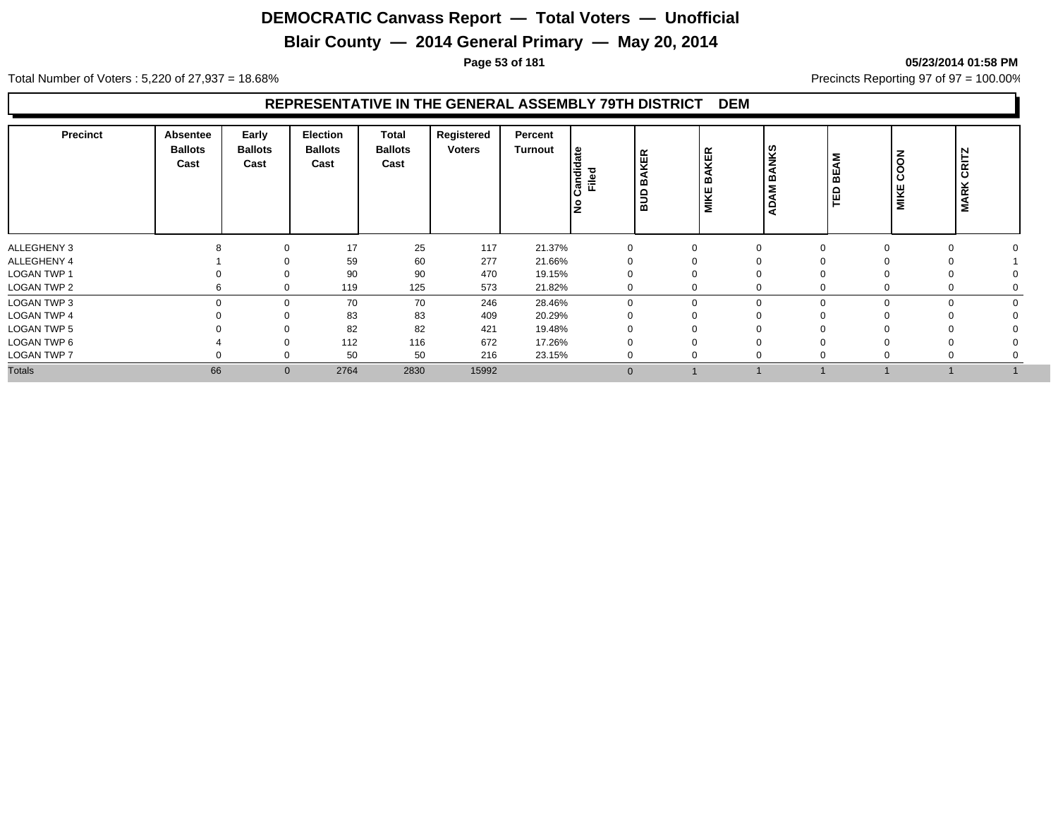## **Blair County — 2014 General Primary — May 20, 2014**

**Page 53 of 181 05/23/2014 01:58 PM**

Total Number of Voters : 5,220 of 27,937 = 18.68% Precincts Reporting 97 of 97 = 100.00%

#### **REPRESENTATIVE IN THE GENERAL ASSEMBLY 79TH DISTRICT DEM**

| <b>Precinct</b>    | Absentee<br><b>Ballots</b><br>Cast | Early<br><b>Ballots</b><br>Cast | <b>Election</b><br><b>Ballots</b><br>Cast | <b>Total</b><br><b>Ballots</b><br>Cast | Registered<br><b>Voters</b> | Percent<br><b>Turnout</b> | । ਵਿ<br>Candida<br>Filed<br>١ş | <b>BAKER</b><br>aua | KER<br>മ<br>MIKE | <b>NKS</b><br>മ<br>Σ<br>⋖ | <b>BEAM</b><br>ΓED | COON<br>MIKE | CRITZ<br><b>MARK</b> |  |
|--------------------|------------------------------------|---------------------------------|-------------------------------------------|----------------------------------------|-----------------------------|---------------------------|--------------------------------|---------------------|------------------|---------------------------|--------------------|--------------|----------------------|--|
| ALLEGHENY 3        |                                    | $\Omega$                        | 17                                        | 25                                     | 117                         | 21.37%                    |                                |                     | 0                | $\Omega$                  |                    | $\Omega$     |                      |  |
| ALLEGHENY 4        |                                    | ∩                               | 59                                        | 60                                     | 277                         | 21.66%                    |                                |                     | 0                | $\Omega$                  |                    |              |                      |  |
| <b>LOGAN TWP 1</b> |                                    | $\Omega$                        | 90                                        | 90                                     | 470                         | 19.15%                    |                                |                     | 0                | $\Omega$                  |                    |              |                      |  |
| LOGAN TWP 2        |                                    | $\Omega$                        | 119                                       | 125                                    | 573                         | 21.82%                    |                                |                     | 0                | $\Omega$                  |                    |              | 0                    |  |
| LOGAN TWP 3        |                                    | $\Omega$                        | 70                                        | 70                                     | 246                         | 28.46%                    | $\Omega$                       |                     | $\mathbf{0}$     | $\mathbf 0$               |                    | $\Omega$     | $\Omega$             |  |
| <b>LOGAN TWP 4</b> |                                    | $\Omega$                        | 83                                        | 83                                     | 409                         | 20.29%                    |                                |                     |                  | $\Omega$                  |                    |              |                      |  |
| LOGAN TWP 5        |                                    | $\Omega$                        | 82                                        | 82                                     | 421                         | 19.48%                    |                                |                     |                  | 0                         |                    |              |                      |  |
| LOGAN TWP 6        |                                    | $\Omega$                        | 112                                       | 116                                    | 672                         | 17.26%                    |                                |                     |                  | $\Omega$                  |                    |              |                      |  |
| <b>LOGAN TWP 7</b> |                                    | ∩                               | 50                                        | 50                                     | 216                         | 23.15%                    |                                |                     | $\Omega$         | $\Omega$                  |                    | $\Omega$     | 0                    |  |
| <b>Totals</b>      | 66                                 | $\mathbf{0}$                    | 2764                                      | 2830                                   | 15992                       |                           | $\Omega$                       |                     |                  |                           |                    |              |                      |  |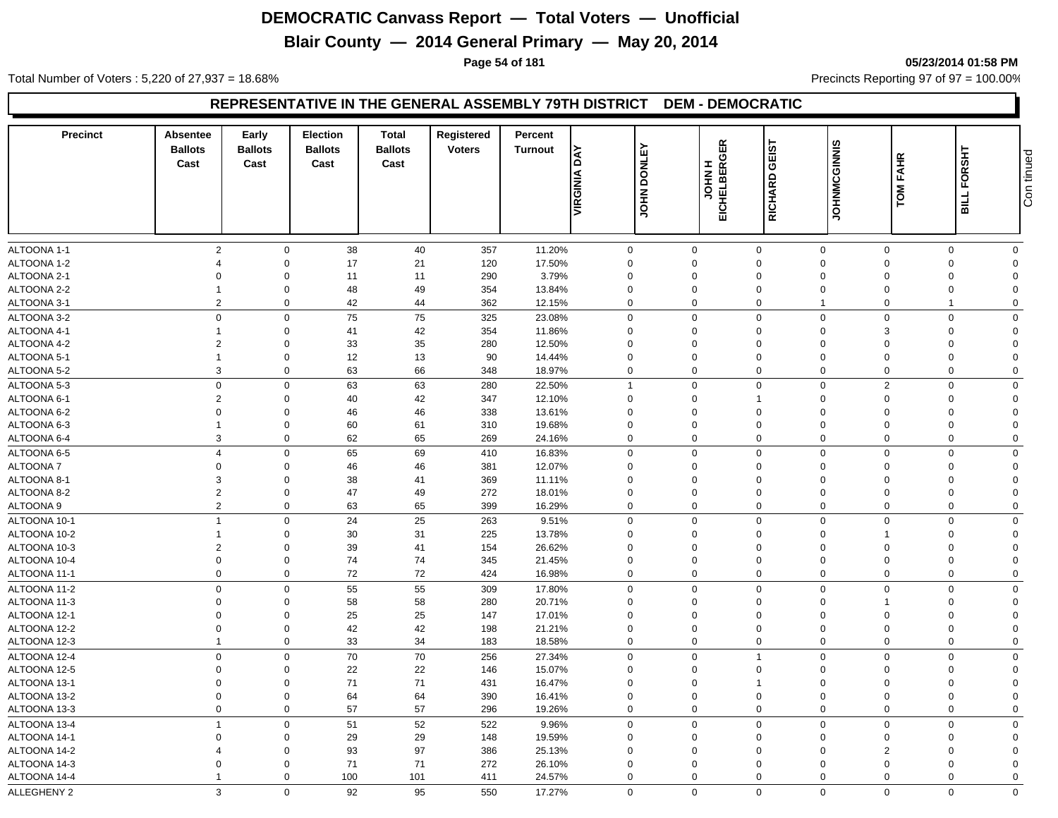## **Blair County — 2014 General Primary — May 20, 2014**

**Page 54 of 181 05/23/2014 01:58 PM**

Total Number of Voters : 5,220 of 27,937 = 18.68% Precincts Reporting 97 of 97 = 100.00%

#### **REPRESENTATIVE IN THE GENERAL ASSEMBLY 79TH DISTRICT DEM - DEMOCRATIC**

| <b>Precinct</b> | Absentee<br><b>Ballots</b><br>Cast | Early<br><b>Ballots</b><br>Cast | <b>Election</b><br><b>Ballots</b><br>Cast | <b>Total</b><br><b>Ballots</b><br>Cast | Registered<br><b>Voters</b> | Percent<br><b>Turnout</b> | ΔY                  | <b>DONLEY</b> | GER                         | GEIST          |                | <b>FAHR</b>    | FORSHT      |                |
|-----------------|------------------------------------|---------------------------------|-------------------------------------------|----------------------------------------|-----------------------------|---------------------------|---------------------|---------------|-----------------------------|----------------|----------------|----------------|-------------|----------------|
|                 |                                    |                                 |                                           |                                        |                             |                           | VIRGINIA            | <b>NHOT</b>   | <b>H NHOL</b><br>EICHELBERG | <b>RICHARD</b> | JOHNMCGINNIS   | TOM            | <b>BILL</b> | Con tinued     |
| ALTOONA 1-1     | $\overline{2}$                     | $\mathbf 0$                     | 38                                        | 40                                     | 357                         | 11.20%                    | $\mathbf 0$         |               | $\mathbf 0$                 | $\mathbf 0$    | $\overline{0}$ | $\mathbf 0$    | $\mathbf 0$ | $\mathbf 0$    |
| ALTOONA 1-2     |                                    | $\mathbf 0$                     | 17                                        | 21                                     | 120                         | 17.50%                    | $\mathbf 0$         |               | $\Omega$                    | $\mathbf 0$    | $\Omega$       | $\Omega$       | $\Omega$    | $\Omega$       |
| ALTOONA 2-1     | $\Omega$                           | $\Omega$                        | 11                                        | 11                                     | 290                         | 3.79%                     | $\Omega$            |               | $\Omega$                    | $\mathbf 0$    | $\Omega$       | $\Omega$       | $\Omega$    | $\Omega$       |
| ALTOONA 2-2     | -1                                 | $\mathbf 0$                     | 48                                        | 49                                     | 354                         | 13.84%                    | $\Omega$            |               | $\Omega$                    | $\mathbf{0}$   | $\Omega$       | $\Omega$       | $\Omega$    | $\Omega$       |
| ALTOONA 3-1     | $\overline{2}$                     | $\mathbf 0$                     | 42                                        | 44                                     | 362                         | 12.15%                    | $\mathbf 0$         |               | $\Omega$                    | $\mathbf 0$    |                | $\mathbf 0$    | 1           | $\Omega$       |
| ALTOONA 3-2     | $\mathbf 0$                        | $\mathbf 0$                     | 75                                        | 75                                     | 325                         | 23.08%                    | $\mathbf 0$         |               | $\mathbf 0$                 | $\mathbf 0$    | $\mathbf 0$    | $\Omega$       | $\Omega$    | $\Omega$       |
| ALTOONA 4-1     | -1                                 | $\mathbf 0$                     | 41                                        | 42                                     | 354                         | 11.86%                    | $\mathbf{0}$        |               | $\Omega$                    | $\mathbf 0$    | $\Omega$       | 3              | $\Omega$    | $\Omega$       |
| ALTOONA 4-2     | $\overline{2}$                     | $\mathbf 0$                     | 33                                        | 35                                     | 280                         | 12.50%                    | $\Omega$            |               | $\Omega$                    | $\mathbf{0}$   | $\Omega$       | $\Omega$       | $\Omega$    | $\Omega$       |
| ALTOONA 5-1     |                                    | $\mathbf 0$                     | 12                                        | 13                                     | 90                          | 14.44%                    | $\Omega$            |               | $\Omega$                    | $\mathbf 0$    | $\Omega$       | $\Omega$       | $\Omega$    | $\Omega$       |
| ALTOONA 5-2     | 3                                  | $\mathbf 0$                     | 63                                        | 66                                     | 348                         | 18.97%                    | $\mathbf 0$         |               | $\mathbf 0$                 | $\mathbf 0$    | $\mathbf 0$    | $\mathbf 0$    | $\mathbf 0$ | $\mathbf 0$    |
| ALTOONA 5-3     | $\mathbf 0$                        | $\mathbf 0$                     | 63                                        | 63                                     | 280                         | 22.50%                    | $\overline{1}$      |               | $\mathbf 0$                 | $\mathbf 0$    | $\mathbf 0$    | 2              | $\Omega$    | $\Omega$       |
| ALTOONA 6-1     | $\overline{2}$                     | $\mathbf 0$                     | 40                                        | 42                                     | 347                         | 12.10%                    | $\Omega$            |               | $\Omega$                    | -1             | $\Omega$       | $\Omega$       | $\Omega$    | $\Omega$       |
| ALTOONA 6-2     | $\Omega$                           | $\mathbf 0$                     | 46                                        | 46                                     | 338                         | 13.61%                    | $\Omega$            |               | $\Omega$                    | $\mathbf 0$    | $\Omega$       |                | $\Omega$    | $\Omega$       |
| ALTOONA 6-3     |                                    | $\mathbf 0$                     | 60                                        | 61                                     | 310                         | 19.68%                    | $\mathbf 0$         |               | $\mathbf 0$                 | $\mathbf 0$    | $\mathbf 0$    | $\Omega$       | $\mathbf 0$ | $\Omega$       |
| ALTOONA 6-4     | 3                                  | $\mathbf 0$                     | 62                                        | 65                                     | 269                         | 24.16%                    | $\mathbf 0$         |               | $\mathbf 0$                 | $\mathbf 0$    | $\mathbf 0$    | $\mathbf 0$    | $\mathbf 0$ | $\mathbf 0$    |
| ALTOONA 6-5     | $\overline{4}$                     | $\mathbf 0$                     | 65                                        | 69                                     | 410                         | 16.83%                    | $\mathbf 0$         |               | $\Omega$                    | $\mathbf 0$    | $\Omega$       | $\Omega$       | $\Omega$    | $\mathbf 0$    |
| ALTOONA 7       | $\mathbf 0$                        | $\mathbf 0$                     | 46                                        | 46                                     | 381                         | 12.07%                    | $\Omega$            |               | $\Omega$                    | $\mathbf 0$    | $\Omega$       | $\Omega$       | $\Omega$    | $\Omega$       |
| ALTOONA 8-1     | 3                                  | $\mathbf 0$                     | 38                                        | 41                                     | 369                         | 11.11%                    | $\mathbf 0$         |               | $\mathbf 0$                 | $\mathbf 0$    | $\Omega$       | $\Omega$       | $\Omega$    | $\mathbf 0$    |
| ALTOONA 8-2     | $\overline{2}$                     | $\mathbf 0$                     | 47                                        | 49                                     | 272                         | 18.01%                    | 0                   |               | $\mathbf 0$                 | $\mathbf 0$    | $\mathbf 0$    | $\Omega$       | $\mathbf 0$ | $\Omega$       |
| ALTOONA 9       | $\overline{2}$                     | $\mathbf 0$                     | 63                                        | 65                                     | 399                         | 16.29%                    | $\mathbf 0$         |               | $\mathbf 0$                 | $\mathbf 0$    | $\mathbf 0$    | $\mathbf 0$    | $\Omega$    | $\mathbf 0$    |
| ALTOONA 10-1    | $\overline{1}$                     | $\mathbf 0$                     | 24                                        | 25                                     | 263                         | 9.51%                     | $\mathsf{O}\xspace$ |               | $\mathbf 0$                 | $\mathbf 0$    | $\Omega$       | $\Omega$       | $\Omega$    | $\mathbf 0$    |
| ALTOONA 10-2    | $\overline{1}$                     | $\mathbf 0$                     | 30                                        | 31                                     | 225                         | 13.78%                    | $\mathbf 0$         |               | $\mathbf 0$                 | $\mathbf 0$    | $\Omega$       |                | $\Omega$    | $\overline{0}$ |
| ALTOONA 10-3    | $\overline{2}$                     | $\mathbf 0$                     | 39                                        | 41                                     | 154                         | 26.62%                    | $\mathbf 0$         |               | $\mathbf 0$                 | $\mathbf 0$    | $\mathbf 0$    | $\Omega$       | $\mathbf 0$ | $\Omega$       |
| ALTOONA 10-4    | $\mathbf 0$                        | $\mathbf 0$                     | 74                                        | 74                                     | 345                         | 21.45%                    | $\mathbf 0$         |               | 0                           | $\mathbf 0$    | $\mathbf 0$    | $\Omega$       | $\mathbf 0$ | $\Omega$       |
| ALTOONA 11-1    | $\Omega$                           | $\mathbf 0$                     | 72                                        | 72                                     | 424                         | 16.98%                    | $\mathbf 0$         |               | $\mathbf 0$                 | $\mathbf 0$    | $\mathbf 0$    | $\mathbf 0$    | $\mathbf 0$ | $\mathbf 0$    |
| ALTOONA 11-2    | $\mathbf 0$                        | $\mathbf 0$                     | 55                                        | 55                                     | 309                         | 17.80%                    | $\mathbf 0$         |               | $\Omega$                    | $\mathbf 0$    | $\Omega$       | $\Omega$       | $\Omega$    | $\mathbf 0$    |
| ALTOONA 11-3    | $\mathbf 0$                        | $\mathbf 0$                     | 58                                        | 58                                     | 280                         | 20.71%                    | $\mathbf 0$         |               | $\mathbf 0$                 | $\mathbf 0$    | $\mathbf 0$    |                | $\mathbf 0$ | $\Omega$       |
| ALTOONA 12-1    | $\mathbf 0$                        | $\mathbf 0$                     | 25                                        | 25                                     | 147                         | 17.01%                    | $\mathbf 0$         |               | 0                           | $\mathbf 0$    | $\mathbf 0$    | $\Omega$       | $\Omega$    | $\Omega$       |
| ALTOONA 12-2    | $\mathbf 0$                        | $\mathbf 0$                     | 42                                        | 42                                     | 198                         | 21.21%                    | $\mathbf 0$         |               | $\mathbf 0$                 | $\mathbf 0$    | $\overline{0}$ | $\Omega$       | $\Omega$    | $\Omega$       |
| ALTOONA 12-3    | $\overline{1}$                     | $\mathbf 0$                     | 33                                        | 34                                     | 183                         | 18.58%                    | $\mathbf 0$         |               | $\Omega$                    | $\mathbf 0$    | $\Omega$       | $\mathbf 0$    | $\mathbf 0$ | $\mathbf 0$    |
| ALTOONA 12-4    | $\mathbf 0$                        | $\mathbf 0$                     | 70                                        | 70                                     | 256                         | 27.34%                    | $\mathbf 0$         |               | $\mathbf 0$                 | $\mathbf{1}$   | $\overline{0}$ | $\Omega$       | $\mathbf 0$ | $\mathbf 0$    |
| ALTOONA 12-5    | $\mathbf 0$                        | $\mathbf 0$                     | 22                                        | 22                                     | 146                         | 15.07%                    | $\mathbf 0$         |               | 0                           | $\mathbf 0$    | $\mathbf 0$    | $\Omega$       | $\Omega$    | $\mathbf 0$    |
| ALTOONA 13-1    | $\Omega$                           | $\mathbf 0$                     | 71                                        | 71                                     | 431                         | 16.47%                    | $\mathbf 0$         |               | 0                           | $\overline{1}$ | $\mathbf 0$    | $\Omega$       | $\Omega$    | $\Omega$       |
| ALTOONA 13-2    | $\mathbf 0$                        | $\mathbf 0$                     | 64                                        | 64                                     | 390                         | 16.41%                    | $\mathbf 0$         |               | $\mathbf 0$                 | $\mathbf 0$    | $\mathbf 0$    | $\Omega$       | $\mathbf 0$ | $\Omega$       |
| ALTOONA 13-3    | $\mathbf 0$                        | $\mathbf 0$                     | 57                                        | 57                                     | 296                         | 19.26%                    | $\mathbf 0$         |               | $\mathbf 0$                 | $\mathbf 0$    | $\Omega$       | $\Omega$       | $\mathbf 0$ | $\mathbf 0$    |
| ALTOONA 13-4    | $\overline{1}$                     | $\mathbf 0$                     | 51                                        | 52                                     | 522                         | 9.96%                     | $\mathbf 0$         |               | $\mathbf 0$                 | $\mathbf 0$    | $\mathbf 0$    | $\Omega$       | $\Omega$    | $\mathbf 0$    |
| ALTOONA 14-1    | $\Omega$                           | $\mathbf 0$                     | 29                                        | 29                                     | 148                         | 19.59%                    | $\mathbf 0$         |               | 0                           | $\mathbf 0$    | $\mathbf 0$    | $\Omega$       | $\Omega$    | $\Omega$       |
| ALTOONA 14-2    |                                    | $\mathbf 0$                     | 93                                        | 97                                     | 386                         | 25.13%                    | $\Omega$            |               | $\Omega$                    | $\mathbf 0$    | $\Omega$       | $\overline{2}$ | $\Omega$    | $\Omega$       |
| ALTOONA 14-3    | $\Omega$                           | $\mathbf 0$                     | 71                                        | 71                                     | 272                         | 26.10%                    | $\mathbf 0$         |               | $\mathbf 0$                 | $\mathbf 0$    | $\Omega$       | $\Omega$       | $\Omega$    | $\Omega$       |
| ALTOONA 14-4    | -1                                 | $\mathbf 0$                     | 100                                       | 101                                    | 411                         | 24.57%                    | $\mathbf 0$         |               | $\Omega$                    | $\mathbf 0$    | $\Omega$       | $\Omega$       | $\mathbf 0$ | $\Omega$       |
|                 | 3                                  | $\Omega$                        | 92                                        |                                        |                             |                           | $\Omega$            |               | $\Omega$                    | $\mathbf 0$    | $\Omega$       | $\Omega$       | $\Omega$    | $\Omega$       |
| ALLEGHENY 2     |                                    |                                 |                                           | 95                                     | 550                         | 17.27%                    |                     |               |                             |                |                |                |             |                |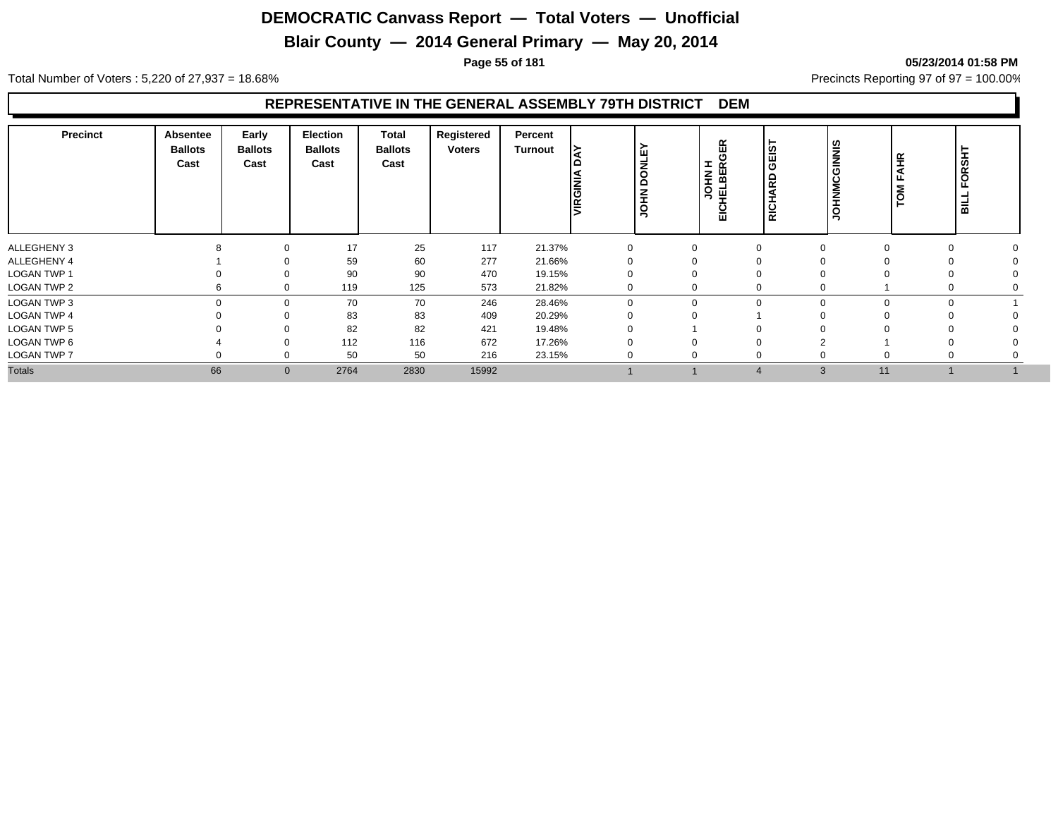## **Blair County — 2014 General Primary — May 20, 2014**

**Page 55 of 181 05/23/2014 01:58 PM**

Total Number of Voters : 5,220 of 27,937 = 18.68% Precincts Reporting 97 of 97 = 100.00%

#### **REPRESENTATIVE IN THE GENERAL ASSEMBLY 79TH DISTRICT DEM**

| <b>Precinct</b>    | Absentee<br><b>Ballots</b><br>Cast | Early<br><b>Ballots</b><br>Cast | <b>Election</b><br><b>Ballots</b><br>Cast | <b>Total</b><br><b>Ballots</b><br>Cast | Registered<br><b>Voters</b> | Percent<br><b>Turnout</b> | VIRGINI  | <b>DONLE</b><br><b>JOHN</b> | œ<br><u>ଗ</u><br><b>I</b><br>$\alpha$<br><b>SHIP</b><br>FTBEI<br>EICHEI<br>っ | GEIST<br>≏<br>$\overline{\alpha}$<br>I<br><b>RICI</b> | <b>JOHNMCGINNIS</b> | AHR<br><b>NOL</b> | FORSHT<br><b>BILL</b> |
|--------------------|------------------------------------|---------------------------------|-------------------------------------------|----------------------------------------|-----------------------------|---------------------------|----------|-----------------------------|------------------------------------------------------------------------------|-------------------------------------------------------|---------------------|-------------------|-----------------------|
| ALLEGHENY 3        |                                    | $\Omega$                        | 17                                        | 25                                     | 117                         | 21.37%                    |          |                             | 0                                                                            | $\Omega$                                              |                     | $\Omega$          |                       |
| ALLEGHENY 4        |                                    | ∩                               | 59                                        | 60                                     | 277                         | 21.66%                    |          |                             | 0                                                                            | $\Omega$                                              |                     |                   |                       |
| <b>LOGAN TWP 1</b> |                                    | $\Omega$                        | 90                                        | 90                                     | 470                         | 19.15%                    |          |                             | 0                                                                            | $\Omega$                                              |                     |                   |                       |
| LOGAN TWP 2        |                                    | $\Omega$                        | 119                                       | 125                                    | 573                         | 21.82%                    |          |                             | 0                                                                            | $\Omega$                                              |                     | υ                 |                       |
| LOGAN TWP 3        |                                    | $\Omega$                        | 70                                        | 70                                     | 246                         | 28.46%                    | $\Omega$ |                             | $\mathbf{0}$                                                                 | $\Omega$                                              |                     | $\Omega$<br>0     |                       |
| <b>LOGAN TWP 4</b> |                                    | $\Omega$                        | 83                                        | 83                                     | 409                         | 20.29%                    |          |                             |                                                                              |                                                       |                     |                   |                       |
| LOGAN TWP 5        |                                    | 0                               | 82                                        | 82                                     | 421                         | 19.48%                    |          |                             |                                                                              | $\Omega$                                              |                     |                   |                       |
| LOGAN TWP 6        |                                    | $\Omega$                        | 112                                       | 116                                    | 672                         | 17.26%                    |          |                             |                                                                              | $\Omega$                                              |                     |                   |                       |
| <b>LOGAN TWP 7</b> |                                    | ∩                               | 50                                        | 50                                     | 216                         | 23.15%                    |          |                             | $\Omega$                                                                     | $\Omega$                                              |                     | $\Omega$<br>0     |                       |
| <b>Totals</b>      | 66                                 | $\mathbf{0}$                    | 2764                                      | 2830                                   | 15992                       |                           |          |                             |                                                                              | $\overline{4}$                                        | 11<br>3             |                   |                       |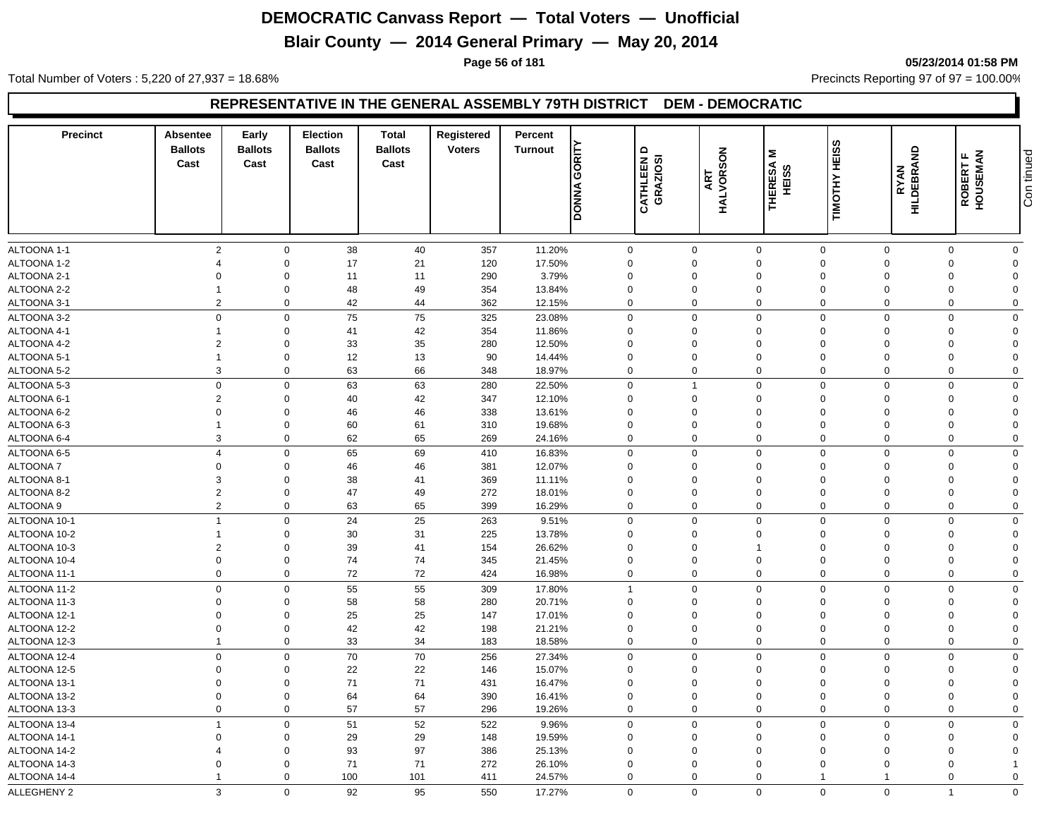## **Blair County — 2014 General Primary — May 20, 2014**

**Page 56 of 181 05/23/2014 01:58 PM**

Total Number of Voters : 5,220 of 27,937 = 18.68% Precincts Reporting 97 of 97 = 100.00%

#### **REPRESENTATIVE IN THE GENERAL ASSEMBLY 79TH DISTRICT DEM - DEMOCRATIC**

| <b>Precinct</b>              | <b>Absentee</b><br><b>Ballots</b><br>Cast | Early<br><b>Ballots</b><br>Cast | <b>Election</b><br><b>Ballots</b><br>Cast | <b>Total</b><br><b>Ballots</b><br>Cast | Registered<br><b>Voters</b> | Percent<br><b>Turnout</b> | GORITY<br><b>DONNA</b>  | $\Omega$<br>CATHLEEN I<br>GRAZIOSI | HALVORSON<br>HALVORSON | Σ<br>THERESA<br>HEISS   | TIMOTHY HEISS        | HILDEBRAND<br><b>RYAN</b> | ROBERT F<br>HOUSEMAN | Con tinued     |
|------------------------------|-------------------------------------------|---------------------------------|-------------------------------------------|----------------------------------------|-----------------------------|---------------------------|-------------------------|------------------------------------|------------------------|-------------------------|----------------------|---------------------------|----------------------|----------------|
| ALTOONA 1-1                  | $\overline{2}$                            | $\mathbf 0$                     | 38                                        | 40                                     | 357                         | 11.20%                    | 0                       |                                    | $\mathbf 0$            | $\mathbf 0$             | $\mathbf 0$          | $\Omega$                  | 0                    | $\mathbf 0$    |
| ALTOONA 1-2                  | $\Delta$                                  | $\Omega$                        | 17                                        | 21                                     | 120                         | 17.50%                    | 0                       |                                    | $\Omega$               | $\Omega$                | $\Omega$             | $\Omega$                  | $\Omega$             | $\Omega$       |
| ALTOONA 2-1                  | $\Omega$                                  | $\Omega$                        | 11                                        | 11                                     | 290                         | 3.79%                     | $\mathbf 0$             |                                    | 0                      | $\mathbf 0$             | $\Omega$             | $\Omega$                  | $\Omega$             | $\Omega$       |
| ALTOONA 2-2                  | $\mathbf 1$                               | $\Omega$                        | 48                                        | 49                                     | 354                         | 13.84%                    | $\mathbf 0$             |                                    | $\mathbf 0$            | $\Omega$                | $\mathbf 0$          | $\Omega$                  | $\mathbf 0$          | $\Omega$       |
| ALTOONA 3-1                  | $\overline{2}$                            | $\mathbf 0$                     | 42                                        | 44                                     | 362                         | 12.15%                    | $\mathbf 0$             |                                    | $\mathbf 0$            | $\mathbf 0$             | $\mathbf 0$          | $\mathbf 0$               | $\mathbf 0$          | $\Omega$       |
| ALTOONA 3-2                  | $\mathbf 0$                               | $\Omega$                        | 75                                        | 75                                     | 325                         | 23.08%                    | $\mathbf 0$             |                                    | $\Omega$               | $\mathbf 0$             | $\Omega$             | $\Omega$                  | $\Omega$             | $\Omega$       |
| ALTOONA 4-1                  |                                           | $\Omega$                        | 41                                        | 42                                     | 354                         | 11.86%                    | $\Omega$                |                                    | $\Omega$               | $\mathbf 0$             | $\Omega$             | $\Omega$                  | $\Omega$             | $\Omega$       |
| ALTOONA 4-2                  | $\overline{2}$                            | $\Omega$                        | 33                                        | 35                                     | 280                         | 12.50%                    | $\mathbf 0$             |                                    | 0                      | $\mathbf 0$             | $\Omega$             | $\Omega$                  | $\Omega$             | $\Omega$       |
| ALTOONA 5-1                  | $\overline{1}$                            | $\Omega$                        | 12                                        | 13                                     | 90                          | 14.44%                    | $\mathbf 0$             |                                    | $\mathbf 0$            | $\mathbf 0$             | $\mathbf 0$          | $\Omega$                  | $\mathbf 0$          | $\Omega$       |
| ALTOONA 5-2                  | 3                                         | $\Omega$                        | 63                                        | 66                                     | 348                         | 18.97%                    | $\mathbf 0$             |                                    | $\mathbf 0$            | $\mathbf 0$             | $\mathbf 0$          | $\mathbf 0$               | 0                    | $\Omega$       |
| ALTOONA 5-3                  | $\,0\,$                                   | $\Omega$                        | 63                                        | 63                                     | 280                         | 22.50%                    | 0                       |                                    | $\overline{1}$         | $\mathbf 0$             | $\Omega$             | $\Omega$                  | $\Omega$             | $\mathbf 0$    |
| ALTOONA 6-1                  | $\overline{2}$                            | $\Omega$                        | 40                                        | 42                                     | 347                         | 12.10%                    | $\Omega$                |                                    | $\Omega$               | $\Omega$                | $\Omega$             | $\Omega$                  | $\Omega$             | $\Omega$       |
| ALTOONA 6-2                  | $\Omega$                                  | $\Omega$                        | 46                                        | 46                                     | 338                         | 13.61%                    | $\Omega$                |                                    | 0                      | $\Omega$                | $\Omega$             | $\Omega$                  | $\Omega$             | $\Omega$       |
| ALTOONA 6-3                  | $\overline{1}$                            | $\Omega$                        | 60                                        | 61                                     | 310                         | 19.68%                    | $\mathbf 0$             |                                    | 0                      | $\mathbf 0$             | $\mathbf 0$          | $\Omega$                  | $\mathbf 0$          | $\Omega$       |
| ALTOONA 6-4                  | 3                                         | $\mathbf 0$                     | 62                                        | 65                                     | 269                         | 24.16%                    | $\mathbf 0$             |                                    | $\mathbf 0$            | $\mathbf 0$             | $\mathbf 0$          | $\mathbf 0$               | $\mathbf 0$          | $\mathbf 0$    |
| ALTOONA 6-5                  | $\overline{4}$                            | $\mathbf 0$                     | 65                                        | 69                                     | 410                         | 16.83%                    | $\mathbf 0$             |                                    | $\mathbf 0$            | $\mathbf 0$             | $\Omega$             | $\Omega$                  | $\Omega$             | $\Omega$       |
| <b>ALTOONA7</b>              | $\mathbf 0$                               | $\Omega$                        | 46                                        | 46                                     | 381                         | 12.07%                    | 0                       |                                    | $\mathbf 0$            | $\Omega$                | $\Omega$             | $\Omega$                  | $\Omega$             | $\Omega$       |
| ALTOONA 8-1                  | 3                                         | $\Omega$                        | 38                                        | 41                                     | 369                         | 11.11%                    | $\Omega$                |                                    | $\Omega$               | $\Omega$                | $\Omega$             | $\Omega$                  | $\Omega$             | $\Omega$       |
| ALTOONA 8-2                  | $\overline{2}$                            | $\Omega$                        | 47                                        | 49                                     | 272                         | 18.01%                    | 0                       |                                    | $\mathbf 0$            | $\mathbf 0$             | $\Omega$             | $\Omega$                  | $\Omega$             | $\Omega$       |
| ALTOONA 9                    | $\overline{2}$                            | $\Omega$                        | 63                                        | 65                                     | 399                         | 16.29%                    | $\mathbf 0$             |                                    | $\mathbf 0$            | $\mathbf 0$             | $\Omega$             | $\mathbf 0$               | 0                    | $\overline{0}$ |
| ALTOONA 10-1                 | $\overline{1}$                            | $\mathbf 0$                     | 24                                        | 25                                     | 263                         | 9.51%                     | $\mathbf 0$             |                                    | $\overline{0}$         | $\mathbf 0$             | $\mathbf 0$          | $\Omega$                  | $\Omega$             | $\mathbf 0$    |
| ALTOONA 10-2                 | $\overline{1}$                            | $\Omega$                        | 30                                        | 31                                     | 225                         | 13.78%                    | $\Omega$                |                                    | $\Omega$               | $\Omega$                | $\Omega$             | $\Omega$                  | $\Omega$             | $\Omega$       |
| ALTOONA 10-3                 | $\overline{2}$                            | $\Omega$                        | 39                                        | 41                                     | 154                         | 26.62%                    | $\mathbf 0$             |                                    | 0                      | -1                      | $\Omega$             | $\Omega$                  | $\Omega$             | $\Omega$       |
| ALTOONA 10-4                 | $\mathbf 0$                               | $\Omega$                        | 74                                        | 74                                     | 345                         | 21.45%                    | $\Omega$                |                                    | 0                      | $\Omega$                | $\Omega$             | $\Omega$                  | $\Omega$             | $\Omega$       |
| ALTOONA 11-1                 | $\overline{0}$                            | $\mathbf 0$                     | 72                                        | 72                                     | 424                         | 16.98%                    | $\mathbf 0$             |                                    | $\mathbf 0$            | $\mathbf 0$             | $\Omega$             | $\mathbf 0$               | $\mathbf 0$          | $\mathbf 0$    |
| ALTOONA 11-2                 | $\mathbf 0$                               | $\Omega$                        | 55                                        | 55                                     | 309                         | 17.80%                    | $\overline{1}$          |                                    | $\mathbf 0$            | $\mathbf 0$             | $\Omega$             | $\Omega$                  | $\Omega$             | $\Omega$       |
| ALTOONA 11-3                 | $\overline{0}$                            | $\Omega$                        | 58                                        | 58                                     | 280                         | 20.71%                    | $\mathbf 0$             |                                    | $\mathbf 0$            | $\mathbf 0$             | $\Omega$             | $\Omega$                  | $\Omega$             | $\Omega$       |
| ALTOONA 12-1                 | $\overline{0}$                            | $\Omega$                        | 25                                        | 25                                     | 147                         | 17.01%                    | $\Omega$                |                                    | 0                      | $\Omega$                | $\Omega$             | $\Omega$                  | $\Omega$             | $\Omega$       |
| ALTOONA 12-2                 | $\mathbf 0$                               | $\Omega$                        | 42                                        | 42                                     | 198                         | 21.21%                    | $\mathbf 0$             |                                    | $\mathbf 0$            | $\mathbf 0$             | $\Omega$             | $\Omega$                  | $\Omega$             | $\Omega$       |
| ALTOONA 12-3                 | $\overline{1}$                            | $\Omega$                        | 33                                        | 34                                     | 183                         | 18.58%                    | $\mathbf 0$             |                                    | $\mathbf 0$            | $\mathbf 0$             | $\Omega$             | $\Omega$                  | 0                    | $\mathbf 0$    |
| ALTOONA 12-4                 | $\mathbf 0$                               | $\Omega$                        |                                           | 70                                     |                             |                           | $\mathbf 0$             |                                    | $\mathbf 0$            | $\mathbf 0$             | $\mathbf 0$          | $\Omega$                  | $\mathbf 0$          | $\mathbf 0$    |
| ALTOONA 12-5                 | $\mathbf 0$                               | $\Omega$                        | 70<br>22                                  | 22                                     | 256<br>146                  | 27.34%<br>15.07%          | $\Omega$                |                                    | 0                      | $\Omega$                | $\Omega$             | $\Omega$                  | $\Omega$             | $\Omega$       |
|                              | $\mathbf 0$                               | $\Omega$                        | 71                                        | 71                                     |                             |                           | $\mathbf 0$             |                                    | 0                      | $\Omega$                | $\Omega$             | $\Omega$                  | $\Omega$             | $\Omega$       |
| ALTOONA 13-1<br>ALTOONA 13-2 | $\overline{0}$                            | $\Omega$                        | 64                                        | 64                                     | 431<br>390                  | 16.47%<br>16.41%          | $\Omega$                |                                    | $\mathbf 0$            | $\Omega$                | $\Omega$             | $\Omega$                  | $\Omega$             | $\Omega$       |
| ALTOONA 13-3                 | $\mathbf 0$                               | $\mathbf 0$                     | 57                                        | 57                                     | 296                         | 19.26%                    | 0                       |                                    | $\mathbf 0$            | $\mathbf 0$             | $\Omega$             | $\Omega$                  | $\mathbf 0$          | $\mathbf 0$    |
|                              | $\overline{1}$                            | $\Omega$                        |                                           |                                        |                             |                           |                         |                                    | $\mathbf 0$            | $\Omega$                | $\Omega$             | $\Omega$                  | $\Omega$             | $\Omega$       |
| ALTOONA 13-4                 |                                           |                                 | 51                                        | 52                                     | 522                         | 9.96%                     | $\mathbf 0$             |                                    |                        |                         |                      |                           |                      |                |
| ALTOONA 14-1                 | $\Omega$                                  | $\Omega$<br>$\Omega$            | 29                                        | 29<br>97                               | 148                         | 19.59%                    | $\mathbf 0$<br>$\Omega$ |                                    | 0<br>$\Omega$          | $\mathbf 0$<br>$\Omega$ | $\Omega$<br>$\Omega$ | $\Omega$                  | $\Omega$<br>$\Omega$ | $\Omega$       |
| ALTOONA 14-2<br>ALTOONA 14-3 | 4<br>$\Omega$                             | $\Omega$                        | 93<br>71                                  | 71                                     | 386<br>272                  | 25.13%<br>26.10%          | $\mathbf 0$             |                                    | $\mathbf 0$            | $\Omega$                | $\Omega$             | $\Omega$<br>$\Omega$      | $\Omega$             | $\Omega$       |
|                              | $\overline{1}$                            | $\mathbf 0$                     |                                           | 101                                    |                             |                           | $\mathbf 0$             |                                    | $\Omega$               | $\mathbf 0$             | -1                   |                           | $\mathbf 0$          | $\Omega$       |
| ALTOONA 14-4                 | $\mathbf{3}$                              |                                 | 100                                       |                                        | 411                         | 24.57%                    |                         |                                    |                        |                         |                      |                           |                      |                |
| ALLEGHENY 2                  |                                           | $\Omega$                        | 92                                        | 95                                     | 550                         | 17.27%                    | $\Omega$                |                                    | $\Omega$               | $\mathbf 0$             | $\Omega$             | $\Omega$                  | 1                    | $\Omega$       |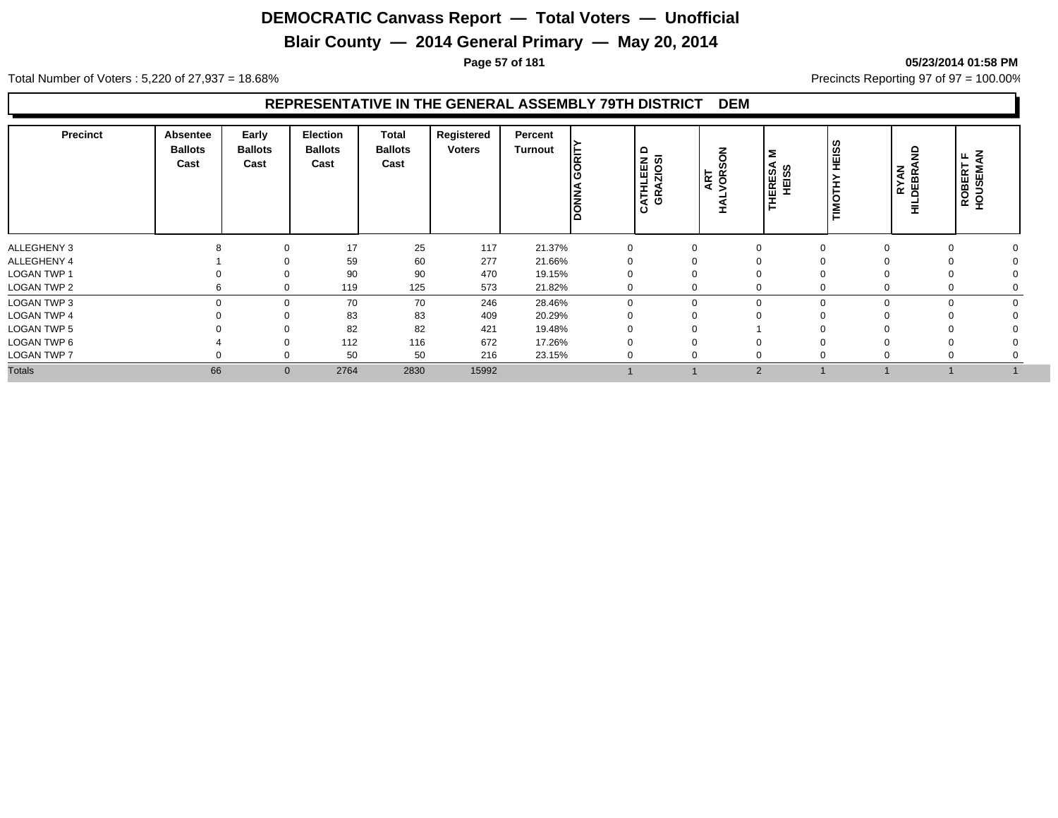## **Blair County — 2014 General Primary — May 20, 2014**

**Page 57 of 181 05/23/2014 01:58 PM**

Total Number of Voters : 5,220 of 27,937 = 18.68% Precincts Reporting 97 of 97 = 100.00%

#### **REPRESENTATIVE IN THE GENERAL ASSEMBLY 79TH DISTRICT DEM**

| <b>Precinct</b>    | <b>Absentee</b><br><b>Ballots</b><br>Cast | Early<br><b>Ballots</b><br>Cast | Election<br><b>Ballots</b><br>Cast | Total<br><b>Ballots</b><br>Cast | Registered<br><b>Voters</b> | Percent<br>Turnout | <b>BET</b><br><b>DONNA</b> | ≏<br>CATHLEEN<br>GRAZIOSI | る<br>S,<br>VOR:<br>ART | Σ<br>IERESA<br>HEISS<br>폰 | HEIS:<br>I<br>- | <b>RYAN<br/>DEBRA</b><br>굴 | Š<br>щ<br>ROBERT<br>HOUSEM/ |
|--------------------|-------------------------------------------|---------------------------------|------------------------------------|---------------------------------|-----------------------------|--------------------|----------------------------|---------------------------|------------------------|---------------------------|-----------------|----------------------------|-----------------------------|
| ALLEGHENY 3        |                                           | 0                               | 17                                 | 25                              | 117                         | 21.37%             | $\Omega$                   | $\Omega$                  |                        |                           |                 |                            |                             |
| ALLEGHENY 4        |                                           | $\Omega$                        | 59                                 | 60                              | 277                         | 21.66%             |                            |                           |                        |                           |                 |                            |                             |
| LOGAN TWP 1        |                                           | $\Omega$                        | 90                                 | 90                              | 470                         | 19.15%             |                            |                           |                        |                           |                 |                            |                             |
| LOGAN TWP 2        | b                                         | $\mathbf 0$                     | 119                                | 125                             | 573                         | 21.82%             | 0                          |                           |                        | 0                         | 0               |                            |                             |
| <b>LOGAN TWP 3</b> |                                           | $\mathbf 0$                     | 70                                 | 70                              | 246                         | 28.46%             |                            | $\Omega$<br>$\Omega$      |                        | $\Omega$                  | $\Omega$        |                            |                             |
| <b>LOGAN TWP 4</b> |                                           | $\Omega$                        | 83                                 | 83                              | 409                         | 20.29%             |                            |                           |                        |                           |                 |                            |                             |
| <b>LOGAN TWP 5</b> |                                           | $\Omega$                        | 82                                 | 82                              | 421                         | 19.48%             |                            |                           |                        |                           |                 |                            |                             |
| LOGAN TWP 6        |                                           | 0                               | 112                                | 116                             | 672                         | 17.26%             |                            |                           |                        |                           |                 |                            |                             |
| <b>LOGAN TWP 7</b> |                                           | $\Omega$                        | 50                                 | 50                              | 216                         | 23.15%             | $\Omega$                   | ∩                         |                        | 0                         |                 |                            |                             |
| <b>Totals</b>      | 66                                        | $\mathbf{0}$                    | 2764                               | 2830                            | 15992                       |                    |                            |                           |                        | 2                         |                 |                            |                             |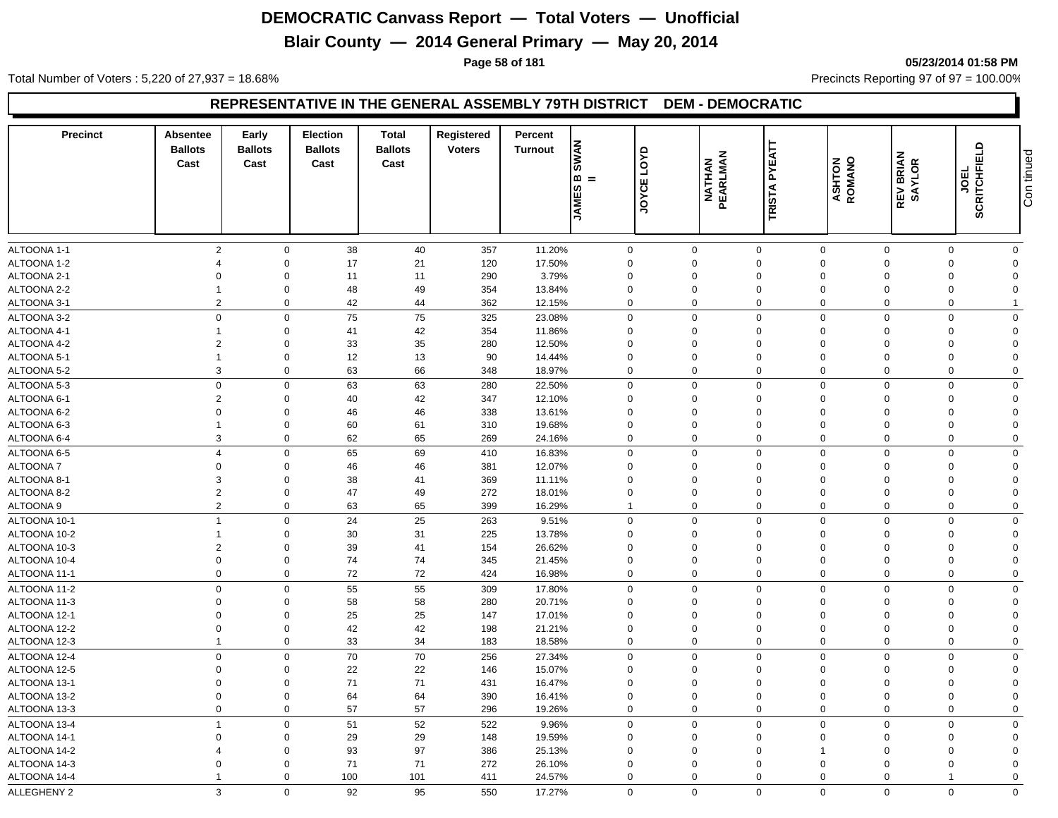## **Blair County — 2014 General Primary — May 20, 2014**

**Page 58 of 181 05/23/2014 01:58 PM**

Total Number of Voters : 5,220 of 27,937 = 18.68% Precincts Reporting 97 of 97 = 100.00%

#### **REPRESENTATIVE IN THE GENERAL ASSEMBLY 79TH DISTRICT DEM - DEMOCRATIC**

| 2<br>38<br>40<br>11.20%<br>$\mathbf 0$<br>$\mathbf 0$<br>$\mathbf 0$<br>$\mathbf 0$<br>357<br>$\mathbf 0$<br>$\mathbf 0$<br>$\mathbf 0$<br>0<br>ALTOONA 1-2<br>21<br>17.50%<br>$\mathbf 0$<br>$\mathbf 0$<br>17<br>120<br>$\mathbf 0$<br>$\Omega$<br>$\Omega$<br>$\Omega$<br>$\Omega$<br>$\Omega$<br>ALTOONA 2-1<br>11<br>11<br>290<br>3.79%<br>$\Omega$<br>$\Omega$<br>$\mathbf 0$<br>$\Omega$<br>$\mathbf 0$<br>$\Omega$<br>$\Omega$<br>$\Omega$<br>$\Omega$<br>49<br>ALTOONA 2-2<br>$\mathbf 0$<br>48<br>13.84%<br>$\Omega$<br>$\mathbf 0$<br>354<br>$\Omega$<br>$\Omega$<br>$\Omega$<br>$\mathbf{1}$<br>$\Omega$<br>$\Omega$<br>42<br>ALTOONA 3-1<br>$\overline{2}$<br>$\mathbf 0$<br>44<br>362<br>12.15%<br>$\mathbf 0$<br>$\mathbf 0$<br>$\mathbf 0$<br>$\Omega$<br>$\Omega$<br>$\mathbf 0$<br>75<br>75<br>$\mathbf 0$<br>$\mathbf 0$<br>$\mathbf 0$<br>325<br>$\mathbf 0$<br>$\mathbf 0$<br>$\Omega$<br>23.08%<br>$\mathbf 0$<br>$\Omega$<br>$\Omega$<br>42<br>41<br>354<br>$\mathbf 0$<br>$\mathbf 0$<br>11.86%<br>$\mathbf 0$<br>$\Omega$<br>$\mathbf 0$<br>$\Omega$<br>$\Omega$<br>$\Omega$<br>-1<br>$\overline{2}$<br>35<br>$\mathbf 0$<br>33<br>280<br>12.50%<br>$\mathbf 0$<br>$\Omega$<br>$\Omega$<br>$\Omega$<br>$\Omega$<br>$\Omega$<br>$\Omega$<br>$\mathbf 0$<br>12<br>13<br>90<br>14.44%<br>$\mathbf 0$<br>$\mathbf 0$<br>$\mathbf 0$<br>$\mathbf 0$<br>$\Omega$<br>$\Omega$<br>$\overline{1}$<br>$\Omega$<br>63<br>66<br>3<br>$\mathbf 0$<br>348<br>18.97%<br>$\mathbf 0$<br>$\mathbf 0$<br>$\mathbf 0$<br>$\mathbf 0$<br>$\mathbf 0$<br>$\mathbf 0$<br>$\mathbf 0$<br>$\mathbf 0$<br>$\mathbf 0$<br>63<br>63<br>$\mathbf 0$<br>$\mathbf 0$<br>280<br>22.50%<br>$\mathbf 0$<br>$\mathbf 0$<br>$\Omega$<br>$\Omega$<br>$\Omega$<br>$\overline{2}$<br>42<br>$\mathbf 0$<br>40<br>347<br>12.10%<br>$\Omega$<br>$\mathbf{0}$<br>$\Omega$<br>$\mathbf 0$<br>$\Omega$<br>$\Omega$<br>$\Omega$<br>$\mathbf 0$<br>$\mathbf 0$<br>46<br>46<br>338<br>13.61%<br>$\mathbf 0$<br>$\mathbf 0$<br>$\mathbf 0$<br>$\Omega$<br>$\Omega$<br>$\Omega$<br>$\Omega$<br>61<br>$\mathbf 0$<br>60<br>310<br>19.68%<br>$\mathbf 0$<br>$\mathbf 0$<br>$\Omega$<br>$\Omega$<br>$\Omega$<br>$\mathbf 0$<br>$\Omega$<br>3<br>65<br>$\mathbf 0$<br>62<br>269<br>24.16%<br>$\mathbf 0$<br>$\mathbf 0$<br>$\mathbf 0$<br>$\mathbf 0$<br>$\Omega$<br>$\mathbf 0$<br>$\Omega$<br>$\overline{4}$<br>65<br>69<br>$\mathbf 0$<br>16.83%<br>$\mathbf 0$<br>$\mathbf 0$<br>$\mathbf 0$<br>$\mathbf 0$<br>$\mathbf 0$<br>410<br>$\Omega$<br>$\Omega$<br>$\mathbf 0$<br>$\mathbf 0$<br>46<br>46<br>381<br>12.07%<br>$\mathbf 0$<br>$\mathbf 0$<br>$\mathbf 0$<br>$\Omega$<br>$\Omega$<br>$\Omega$<br>$\Omega$<br>3<br>$\mathbf 0$<br>38<br>41<br>369<br>11.11%<br>$\mathbf 0$<br>$\mathbf 0$<br>$\Omega$<br>$\mathbf 0$<br>$\Omega$<br>$\Omega$<br>$\Omega$<br>$\overline{2}$<br>$\mathbf 0$<br>47<br>49<br>272<br>18.01%<br>$\mathbf 0$<br>$\mathbf 0$<br>$\mathbf 0$<br>$\mathbf 0$<br>$\Omega$<br>$\mathbf 0$<br>$\Omega$<br>$\overline{2}$<br>63<br>65<br>$\overline{0}$<br>$\mathbf 0$<br>399<br>$\mathbf 0$<br>$\mathbf 0$<br>$\Omega$<br>$\mathbf 0$<br>16.29%<br>$\mathbf{1}$<br>$\Omega$<br>24<br>25<br>$\overline{1}$<br>$\mathbf 0$<br>263<br>9.51%<br>$\mathbf 0$<br>$\mathbf 0$<br>$\mathbf 0$<br>$\mathbf 0$<br>$\mathbf 0$<br>$\Omega$<br>$\Omega$<br>31<br>$\mathbf 0$<br>30<br>225<br>13.78%<br>$\mathbf 0$<br>$\mathbf 0$<br>$\Omega$<br>$\overline{1}$<br>$\mathbf 0$<br>$\Omega$<br>$\Omega$<br>$\Omega$<br>$\overline{2}$<br>$\mathbf 0$<br>39<br>41<br>26.62%<br>154<br>$\mathbf 0$<br>0<br>$\mathbf 0$<br>$\mathbf 0$<br>$\mathbf 0$<br>$\Omega$<br>$\Omega$<br>74<br>$\mathbf 0$<br>$\mathbf 0$<br>74<br>$\mathbf 0$<br>$\mathbf 0$<br>345<br>21.45%<br>$\mathbf 0$<br>$\mathbf 0$<br>$\Omega$<br>$\Omega$<br>$\Omega$<br>$72\,$<br>$\mathbf 0$<br>$\mathbf 0$<br>72<br>$\mathbf 0$<br>$\mathbf 0$<br>424<br>16.98%<br>$\mathbf 0$<br>$\Omega$<br>$\Omega$<br>$\Omega$<br>$\mathbf 0$<br>$\mathbf 0$<br>55<br>55<br>$\mathbf 0$<br>$\mathbf 0$<br>$\mathbf 0$<br>309<br>17.80%<br>$\mathbf 0$<br>$\mathbf 0$<br>$\Omega$<br>$\Omega$<br>$\mathbf 0$<br>$\mathbf 0$<br>58<br>58<br>20.71%<br>$\mathbf 0$<br>280<br>$\mathbf 0$<br>$\mathbf 0$<br>$\mathbf 0$<br>$\mathbf 0$<br>$\mathbf 0$<br>$\Omega$<br>$\Omega$<br>25<br>$\Omega$<br>25<br>$\mathbf 0$<br>147<br>17.01%<br>$\mathbf 0$<br>0<br>$\mathbf 0$<br>$\mathbf 0$<br>$\Omega$<br>$\Omega$<br>$\Omega$<br>42<br>$\Omega$<br>$\mathbf 0$<br>42<br>$\mathbf 0$<br>198<br>21.21%<br>$\mathbf 0$<br>0<br>$\mathbf 0$<br>$\Omega$<br>$\Omega$<br>$\Omega$<br>$\mathbf 0$<br>33<br>34<br>$\Omega$<br>$\mathbf 0$<br>$\overline{1}$<br>183<br>18.58%<br>$\mathbf 0$<br>$\Omega$<br>$\Omega$<br>$\mathbf 0$<br>$\mathbf 0$<br>70<br>ALTOONA 12-4<br>$\mathbf 0$<br>$\mathbf 0$<br>70<br>256<br>27.34%<br>$\mathbf 0$<br>$\mathbf 0$<br>$\mathbf 0$<br>$\mathbf 0$<br>$\mathbf 0$<br>$\Omega$<br>$\mathbf 0$<br>22<br>22<br>$\Omega$<br>$\mathbf 0$<br>146<br>15.07%<br>$\mathbf 0$<br>0<br>$\mathbf 0$<br>$\mathbf 0$<br>$\Omega$<br>$\mathbf 0$<br>$\Omega$<br>71<br>71<br>$\Omega$<br>$\mathbf 0$<br>16.47%<br>$\mathbf 0$<br>431<br>$\mathbf 0$<br>0<br>$\mathbf 0$<br>$\Omega$<br>$\Omega$<br>$\Omega$<br>$\mathbf 0$<br>$\mathsf 0$<br>64<br>64<br>$\overline{0}$<br>$\mathbf 0$<br>390<br>16.41%<br>$\mathbf 0$<br>$\mathbf 0$<br>$\mathbf 0$<br>$\Omega$<br>$\Omega$<br>$\mathbf 0$<br>57<br>ALTOONA 13-3<br>$\mathbf 0$<br>57<br>296<br>19.26%<br>$\mathbf 0$<br>$\mathbf 0$<br>$\mathbf 0$<br>$\Omega$<br>$\Omega$<br>$\mathbf 0$<br>$\mathbf 0$<br>51<br>52<br>$\mathbf 0$<br>ALTOONA 13-4<br>$\mathbf 0$<br>522<br>9.96%<br>$\mathbf 0$<br>$\mathbf 0$<br>$\mathbf 0$<br>$\mathbf 0$<br>$\overline{1}$<br>$\Omega$<br>$\Omega$<br>29<br>ALTOONA 14-1<br>29<br>19.59%<br>$\Omega$<br>$\mathbf 0$<br>148<br>$\mathbf 0$<br>0<br>$\mathbf 0$<br>$\mathbf 0$<br>$\Omega$<br>$\Omega$<br>$\Omega$<br>93<br>97<br>ALTOONA 14-2<br>$\mathbf 0$<br>386<br>$\Omega$<br>25.13%<br>$\Omega$<br>$\mathbf 0$<br>$\Omega$<br>$\Omega$<br>$\overline{4}$<br>1<br>$\Omega$<br>71<br>ALTOONA 14-3<br>$\Omega$<br>$\mathbf 0$<br>71<br>272<br>26.10%<br>$\mathbf 0$<br>$\mathbf 0$<br>$\mathbf 0$<br>$\Omega$<br>$\Omega$<br>$\Omega$<br>$\Omega$<br>ALTOONA 14-4<br>$\mathbf 0$<br>100<br>101<br>411<br>24.57%<br>$\mathbf 0$<br>$\Omega$<br>$\mathbf 0$<br>$\Omega$<br>$\Omega$<br>$\Omega$<br>-1<br>1<br>92<br>95<br>$\mathbf 0$<br>$\mathbf 0$<br>$\mathbf 0$<br>ALLEGHENY 2<br>3<br>$\Omega$<br>$\Omega$<br>$\mathbf{0}$<br>$\Omega$<br>$\Omega$<br>550<br>17.27% | <b>Precinct</b> | <b>Absentee</b><br><b>Ballots</b><br>Cast | Early<br><b>Ballots</b><br>Cast | <b>Election</b><br><b>Ballots</b><br>Cast | <b>Total</b><br><b>Ballots</b><br>Cast | Registered<br><b>Voters</b> | Percent<br><b>Turnout</b> | <b>SWAN</b><br>l∞ =<br><b>JAMES</b> | LOYD<br>JOYCE | <b>NATHAN</b><br>PEARLMAN | <b>PYEATT</b><br><b>TRISTA</b> | <b>ASHTON</b><br>ROMANO | <b>REV BRIAN<br/>SAYLOR</b> | <b>JOEL<br/>SCRITCHFIELD</b> | Con tinued |
|----------------------------------------------------------------------------------------------------------------------------------------------------------------------------------------------------------------------------------------------------------------------------------------------------------------------------------------------------------------------------------------------------------------------------------------------------------------------------------------------------------------------------------------------------------------------------------------------------------------------------------------------------------------------------------------------------------------------------------------------------------------------------------------------------------------------------------------------------------------------------------------------------------------------------------------------------------------------------------------------------------------------------------------------------------------------------------------------------------------------------------------------------------------------------------------------------------------------------------------------------------------------------------------------------------------------------------------------------------------------------------------------------------------------------------------------------------------------------------------------------------------------------------------------------------------------------------------------------------------------------------------------------------------------------------------------------------------------------------------------------------------------------------------------------------------------------------------------------------------------------------------------------------------------------------------------------------------------------------------------------------------------------------------------------------------------------------------------------------------------------------------------------------------------------------------------------------------------------------------------------------------------------------------------------------------------------------------------------------------------------------------------------------------------------------------------------------------------------------------------------------------------------------------------------------------------------------------------------------------------------------------------------------------------------------------------------------------------------------------------------------------------------------------------------------------------------------------------------------------------------------------------------------------------------------------------------------------------------------------------------------------------------------------------------------------------------------------------------------------------------------------------------------------------------------------------------------------------------------------------------------------------------------------------------------------------------------------------------------------------------------------------------------------------------------------------------------------------------------------------------------------------------------------------------------------------------------------------------------------------------------------------------------------------------------------------------------------------------------------------------------------------------------------------------------------------------------------------------------------------------------------------------------------------------------------------------------------------------------------------------------------------------------------------------------------------------------------------------------------------------------------------------------------------------------------------------------------------------------------------------------------------------------------------------------------------------------------------------------------------------------------------------------------------------------------------------------------------------------------------------------------------------------------------------------------------------------------------------------------------------------------------------------------------------------------------------------------------------------------------------------------------------------------------------------------------------------------------------------------------------------------------------------------------------------------------------------------------------------------------------------------------------------------------------------------------------------------------------------------------------------------------------------------------------------------------------------------------------------------------------------------------------------------------------------------------------------------------------------------------------------------------------------------------------------------------------------------------------------------------------------------------------------------------------------------------------------------------------------------------------------------------------------------------------------------------------------------------------------------------------------------------------------------------------------------------------------------------------------------------------------------------------------------------------------------------------------------------------------------------------------------------------------------------------------------------------------------------------------------------------------------------------------------------------------------------------------------------------------------------------------------------------------------------------------------------------------------------------------------------------------------------------------------------------------------------------------------------------------------------------------------------------------------------------------------------------------------------------------------------|-----------------|-------------------------------------------|---------------------------------|-------------------------------------------|----------------------------------------|-----------------------------|---------------------------|-------------------------------------|---------------|---------------------------|--------------------------------|-------------------------|-----------------------------|------------------------------|------------|
|                                                                                                                                                                                                                                                                                                                                                                                                                                                                                                                                                                                                                                                                                                                                                                                                                                                                                                                                                                                                                                                                                                                                                                                                                                                                                                                                                                                                                                                                                                                                                                                                                                                                                                                                                                                                                                                                                                                                                                                                                                                                                                                                                                                                                                                                                                                                                                                                                                                                                                                                                                                                                                                                                                                                                                                                                                                                                                                                                                                                                                                                                                                                                                                                                                                                                                                                                                                                                                                                                                                                                                                                                                                                                                                                                                                                                                                                                                                                                                                                                                                                                                                                                                                                                                                                                                                                                                                                                                                                                                                                                                                                                                                                                                                                                                                                                                                                                                                                                                                                                                                                                                                                                                                                                                                                                                                                                                                                                                                                                                                                                                                                                                                                                                                                                                                                                                                                                                                                                                                                                                                                                                                                                                                                                                                                                                                                                                                                                                                                                                                                                                                                                      |                 |                                           |                                 |                                           |                                        |                             |                           |                                     |               |                           |                                |                         |                             |                              |            |
|                                                                                                                                                                                                                                                                                                                                                                                                                                                                                                                                                                                                                                                                                                                                                                                                                                                                                                                                                                                                                                                                                                                                                                                                                                                                                                                                                                                                                                                                                                                                                                                                                                                                                                                                                                                                                                                                                                                                                                                                                                                                                                                                                                                                                                                                                                                                                                                                                                                                                                                                                                                                                                                                                                                                                                                                                                                                                                                                                                                                                                                                                                                                                                                                                                                                                                                                                                                                                                                                                                                                                                                                                                                                                                                                                                                                                                                                                                                                                                                                                                                                                                                                                                                                                                                                                                                                                                                                                                                                                                                                                                                                                                                                                                                                                                                                                                                                                                                                                                                                                                                                                                                                                                                                                                                                                                                                                                                                                                                                                                                                                                                                                                                                                                                                                                                                                                                                                                                                                                                                                                                                                                                                                                                                                                                                                                                                                                                                                                                                                                                                                                                                                      | ALTOONA 1-1     |                                           |                                 |                                           |                                        |                             |                           |                                     |               |                           |                                |                         |                             |                              |            |
|                                                                                                                                                                                                                                                                                                                                                                                                                                                                                                                                                                                                                                                                                                                                                                                                                                                                                                                                                                                                                                                                                                                                                                                                                                                                                                                                                                                                                                                                                                                                                                                                                                                                                                                                                                                                                                                                                                                                                                                                                                                                                                                                                                                                                                                                                                                                                                                                                                                                                                                                                                                                                                                                                                                                                                                                                                                                                                                                                                                                                                                                                                                                                                                                                                                                                                                                                                                                                                                                                                                                                                                                                                                                                                                                                                                                                                                                                                                                                                                                                                                                                                                                                                                                                                                                                                                                                                                                                                                                                                                                                                                                                                                                                                                                                                                                                                                                                                                                                                                                                                                                                                                                                                                                                                                                                                                                                                                                                                                                                                                                                                                                                                                                                                                                                                                                                                                                                                                                                                                                                                                                                                                                                                                                                                                                                                                                                                                                                                                                                                                                                                                                                      |                 |                                           |                                 |                                           |                                        |                             |                           |                                     |               |                           |                                |                         |                             |                              |            |
|                                                                                                                                                                                                                                                                                                                                                                                                                                                                                                                                                                                                                                                                                                                                                                                                                                                                                                                                                                                                                                                                                                                                                                                                                                                                                                                                                                                                                                                                                                                                                                                                                                                                                                                                                                                                                                                                                                                                                                                                                                                                                                                                                                                                                                                                                                                                                                                                                                                                                                                                                                                                                                                                                                                                                                                                                                                                                                                                                                                                                                                                                                                                                                                                                                                                                                                                                                                                                                                                                                                                                                                                                                                                                                                                                                                                                                                                                                                                                                                                                                                                                                                                                                                                                                                                                                                                                                                                                                                                                                                                                                                                                                                                                                                                                                                                                                                                                                                                                                                                                                                                                                                                                                                                                                                                                                                                                                                                                                                                                                                                                                                                                                                                                                                                                                                                                                                                                                                                                                                                                                                                                                                                                                                                                                                                                                                                                                                                                                                                                                                                                                                                                      |                 |                                           |                                 |                                           |                                        |                             |                           |                                     |               |                           |                                |                         |                             |                              |            |
|                                                                                                                                                                                                                                                                                                                                                                                                                                                                                                                                                                                                                                                                                                                                                                                                                                                                                                                                                                                                                                                                                                                                                                                                                                                                                                                                                                                                                                                                                                                                                                                                                                                                                                                                                                                                                                                                                                                                                                                                                                                                                                                                                                                                                                                                                                                                                                                                                                                                                                                                                                                                                                                                                                                                                                                                                                                                                                                                                                                                                                                                                                                                                                                                                                                                                                                                                                                                                                                                                                                                                                                                                                                                                                                                                                                                                                                                                                                                                                                                                                                                                                                                                                                                                                                                                                                                                                                                                                                                                                                                                                                                                                                                                                                                                                                                                                                                                                                                                                                                                                                                                                                                                                                                                                                                                                                                                                                                                                                                                                                                                                                                                                                                                                                                                                                                                                                                                                                                                                                                                                                                                                                                                                                                                                                                                                                                                                                                                                                                                                                                                                                                                      |                 |                                           |                                 |                                           |                                        |                             |                           |                                     |               |                           |                                |                         |                             |                              |            |
|                                                                                                                                                                                                                                                                                                                                                                                                                                                                                                                                                                                                                                                                                                                                                                                                                                                                                                                                                                                                                                                                                                                                                                                                                                                                                                                                                                                                                                                                                                                                                                                                                                                                                                                                                                                                                                                                                                                                                                                                                                                                                                                                                                                                                                                                                                                                                                                                                                                                                                                                                                                                                                                                                                                                                                                                                                                                                                                                                                                                                                                                                                                                                                                                                                                                                                                                                                                                                                                                                                                                                                                                                                                                                                                                                                                                                                                                                                                                                                                                                                                                                                                                                                                                                                                                                                                                                                                                                                                                                                                                                                                                                                                                                                                                                                                                                                                                                                                                                                                                                                                                                                                                                                                                                                                                                                                                                                                                                                                                                                                                                                                                                                                                                                                                                                                                                                                                                                                                                                                                                                                                                                                                                                                                                                                                                                                                                                                                                                                                                                                                                                                                                      |                 |                                           |                                 |                                           |                                        |                             |                           |                                     |               |                           |                                |                         |                             |                              |            |
|                                                                                                                                                                                                                                                                                                                                                                                                                                                                                                                                                                                                                                                                                                                                                                                                                                                                                                                                                                                                                                                                                                                                                                                                                                                                                                                                                                                                                                                                                                                                                                                                                                                                                                                                                                                                                                                                                                                                                                                                                                                                                                                                                                                                                                                                                                                                                                                                                                                                                                                                                                                                                                                                                                                                                                                                                                                                                                                                                                                                                                                                                                                                                                                                                                                                                                                                                                                                                                                                                                                                                                                                                                                                                                                                                                                                                                                                                                                                                                                                                                                                                                                                                                                                                                                                                                                                                                                                                                                                                                                                                                                                                                                                                                                                                                                                                                                                                                                                                                                                                                                                                                                                                                                                                                                                                                                                                                                                                                                                                                                                                                                                                                                                                                                                                                                                                                                                                                                                                                                                                                                                                                                                                                                                                                                                                                                                                                                                                                                                                                                                                                                                                      | ALTOONA 3-2     |                                           |                                 |                                           |                                        |                             |                           |                                     |               |                           |                                |                         |                             |                              |            |
|                                                                                                                                                                                                                                                                                                                                                                                                                                                                                                                                                                                                                                                                                                                                                                                                                                                                                                                                                                                                                                                                                                                                                                                                                                                                                                                                                                                                                                                                                                                                                                                                                                                                                                                                                                                                                                                                                                                                                                                                                                                                                                                                                                                                                                                                                                                                                                                                                                                                                                                                                                                                                                                                                                                                                                                                                                                                                                                                                                                                                                                                                                                                                                                                                                                                                                                                                                                                                                                                                                                                                                                                                                                                                                                                                                                                                                                                                                                                                                                                                                                                                                                                                                                                                                                                                                                                                                                                                                                                                                                                                                                                                                                                                                                                                                                                                                                                                                                                                                                                                                                                                                                                                                                                                                                                                                                                                                                                                                                                                                                                                                                                                                                                                                                                                                                                                                                                                                                                                                                                                                                                                                                                                                                                                                                                                                                                                                                                                                                                                                                                                                                                                      | ALTOONA 4-1     |                                           |                                 |                                           |                                        |                             |                           |                                     |               |                           |                                |                         |                             |                              |            |
|                                                                                                                                                                                                                                                                                                                                                                                                                                                                                                                                                                                                                                                                                                                                                                                                                                                                                                                                                                                                                                                                                                                                                                                                                                                                                                                                                                                                                                                                                                                                                                                                                                                                                                                                                                                                                                                                                                                                                                                                                                                                                                                                                                                                                                                                                                                                                                                                                                                                                                                                                                                                                                                                                                                                                                                                                                                                                                                                                                                                                                                                                                                                                                                                                                                                                                                                                                                                                                                                                                                                                                                                                                                                                                                                                                                                                                                                                                                                                                                                                                                                                                                                                                                                                                                                                                                                                                                                                                                                                                                                                                                                                                                                                                                                                                                                                                                                                                                                                                                                                                                                                                                                                                                                                                                                                                                                                                                                                                                                                                                                                                                                                                                                                                                                                                                                                                                                                                                                                                                                                                                                                                                                                                                                                                                                                                                                                                                                                                                                                                                                                                                                                      | ALTOONA 4-2     |                                           |                                 |                                           |                                        |                             |                           |                                     |               |                           |                                |                         |                             |                              |            |
|                                                                                                                                                                                                                                                                                                                                                                                                                                                                                                                                                                                                                                                                                                                                                                                                                                                                                                                                                                                                                                                                                                                                                                                                                                                                                                                                                                                                                                                                                                                                                                                                                                                                                                                                                                                                                                                                                                                                                                                                                                                                                                                                                                                                                                                                                                                                                                                                                                                                                                                                                                                                                                                                                                                                                                                                                                                                                                                                                                                                                                                                                                                                                                                                                                                                                                                                                                                                                                                                                                                                                                                                                                                                                                                                                                                                                                                                                                                                                                                                                                                                                                                                                                                                                                                                                                                                                                                                                                                                                                                                                                                                                                                                                                                                                                                                                                                                                                                                                                                                                                                                                                                                                                                                                                                                                                                                                                                                                                                                                                                                                                                                                                                                                                                                                                                                                                                                                                                                                                                                                                                                                                                                                                                                                                                                                                                                                                                                                                                                                                                                                                                                                      | ALTOONA 5-1     |                                           |                                 |                                           |                                        |                             |                           |                                     |               |                           |                                |                         |                             |                              |            |
|                                                                                                                                                                                                                                                                                                                                                                                                                                                                                                                                                                                                                                                                                                                                                                                                                                                                                                                                                                                                                                                                                                                                                                                                                                                                                                                                                                                                                                                                                                                                                                                                                                                                                                                                                                                                                                                                                                                                                                                                                                                                                                                                                                                                                                                                                                                                                                                                                                                                                                                                                                                                                                                                                                                                                                                                                                                                                                                                                                                                                                                                                                                                                                                                                                                                                                                                                                                                                                                                                                                                                                                                                                                                                                                                                                                                                                                                                                                                                                                                                                                                                                                                                                                                                                                                                                                                                                                                                                                                                                                                                                                                                                                                                                                                                                                                                                                                                                                                                                                                                                                                                                                                                                                                                                                                                                                                                                                                                                                                                                                                                                                                                                                                                                                                                                                                                                                                                                                                                                                                                                                                                                                                                                                                                                                                                                                                                                                                                                                                                                                                                                                                                      | ALTOONA 5-2     |                                           |                                 |                                           |                                        |                             |                           |                                     |               |                           |                                |                         |                             |                              |            |
|                                                                                                                                                                                                                                                                                                                                                                                                                                                                                                                                                                                                                                                                                                                                                                                                                                                                                                                                                                                                                                                                                                                                                                                                                                                                                                                                                                                                                                                                                                                                                                                                                                                                                                                                                                                                                                                                                                                                                                                                                                                                                                                                                                                                                                                                                                                                                                                                                                                                                                                                                                                                                                                                                                                                                                                                                                                                                                                                                                                                                                                                                                                                                                                                                                                                                                                                                                                                                                                                                                                                                                                                                                                                                                                                                                                                                                                                                                                                                                                                                                                                                                                                                                                                                                                                                                                                                                                                                                                                                                                                                                                                                                                                                                                                                                                                                                                                                                                                                                                                                                                                                                                                                                                                                                                                                                                                                                                                                                                                                                                                                                                                                                                                                                                                                                                                                                                                                                                                                                                                                                                                                                                                                                                                                                                                                                                                                                                                                                                                                                                                                                                                                      | ALTOONA 5-3     |                                           |                                 |                                           |                                        |                             |                           |                                     |               |                           |                                |                         |                             |                              |            |
|                                                                                                                                                                                                                                                                                                                                                                                                                                                                                                                                                                                                                                                                                                                                                                                                                                                                                                                                                                                                                                                                                                                                                                                                                                                                                                                                                                                                                                                                                                                                                                                                                                                                                                                                                                                                                                                                                                                                                                                                                                                                                                                                                                                                                                                                                                                                                                                                                                                                                                                                                                                                                                                                                                                                                                                                                                                                                                                                                                                                                                                                                                                                                                                                                                                                                                                                                                                                                                                                                                                                                                                                                                                                                                                                                                                                                                                                                                                                                                                                                                                                                                                                                                                                                                                                                                                                                                                                                                                                                                                                                                                                                                                                                                                                                                                                                                                                                                                                                                                                                                                                                                                                                                                                                                                                                                                                                                                                                                                                                                                                                                                                                                                                                                                                                                                                                                                                                                                                                                                                                                                                                                                                                                                                                                                                                                                                                                                                                                                                                                                                                                                                                      | ALTOONA 6-1     |                                           |                                 |                                           |                                        |                             |                           |                                     |               |                           |                                |                         |                             |                              |            |
|                                                                                                                                                                                                                                                                                                                                                                                                                                                                                                                                                                                                                                                                                                                                                                                                                                                                                                                                                                                                                                                                                                                                                                                                                                                                                                                                                                                                                                                                                                                                                                                                                                                                                                                                                                                                                                                                                                                                                                                                                                                                                                                                                                                                                                                                                                                                                                                                                                                                                                                                                                                                                                                                                                                                                                                                                                                                                                                                                                                                                                                                                                                                                                                                                                                                                                                                                                                                                                                                                                                                                                                                                                                                                                                                                                                                                                                                                                                                                                                                                                                                                                                                                                                                                                                                                                                                                                                                                                                                                                                                                                                                                                                                                                                                                                                                                                                                                                                                                                                                                                                                                                                                                                                                                                                                                                                                                                                                                                                                                                                                                                                                                                                                                                                                                                                                                                                                                                                                                                                                                                                                                                                                                                                                                                                                                                                                                                                                                                                                                                                                                                                                                      | ALTOONA 6-2     |                                           |                                 |                                           |                                        |                             |                           |                                     |               |                           |                                |                         |                             |                              |            |
|                                                                                                                                                                                                                                                                                                                                                                                                                                                                                                                                                                                                                                                                                                                                                                                                                                                                                                                                                                                                                                                                                                                                                                                                                                                                                                                                                                                                                                                                                                                                                                                                                                                                                                                                                                                                                                                                                                                                                                                                                                                                                                                                                                                                                                                                                                                                                                                                                                                                                                                                                                                                                                                                                                                                                                                                                                                                                                                                                                                                                                                                                                                                                                                                                                                                                                                                                                                                                                                                                                                                                                                                                                                                                                                                                                                                                                                                                                                                                                                                                                                                                                                                                                                                                                                                                                                                                                                                                                                                                                                                                                                                                                                                                                                                                                                                                                                                                                                                                                                                                                                                                                                                                                                                                                                                                                                                                                                                                                                                                                                                                                                                                                                                                                                                                                                                                                                                                                                                                                                                                                                                                                                                                                                                                                                                                                                                                                                                                                                                                                                                                                                                                      | ALTOONA 6-3     |                                           |                                 |                                           |                                        |                             |                           |                                     |               |                           |                                |                         |                             |                              |            |
|                                                                                                                                                                                                                                                                                                                                                                                                                                                                                                                                                                                                                                                                                                                                                                                                                                                                                                                                                                                                                                                                                                                                                                                                                                                                                                                                                                                                                                                                                                                                                                                                                                                                                                                                                                                                                                                                                                                                                                                                                                                                                                                                                                                                                                                                                                                                                                                                                                                                                                                                                                                                                                                                                                                                                                                                                                                                                                                                                                                                                                                                                                                                                                                                                                                                                                                                                                                                                                                                                                                                                                                                                                                                                                                                                                                                                                                                                                                                                                                                                                                                                                                                                                                                                                                                                                                                                                                                                                                                                                                                                                                                                                                                                                                                                                                                                                                                                                                                                                                                                                                                                                                                                                                                                                                                                                                                                                                                                                                                                                                                                                                                                                                                                                                                                                                                                                                                                                                                                                                                                                                                                                                                                                                                                                                                                                                                                                                                                                                                                                                                                                                                                      | ALTOONA 6-4     |                                           |                                 |                                           |                                        |                             |                           |                                     |               |                           |                                |                         |                             |                              |            |
|                                                                                                                                                                                                                                                                                                                                                                                                                                                                                                                                                                                                                                                                                                                                                                                                                                                                                                                                                                                                                                                                                                                                                                                                                                                                                                                                                                                                                                                                                                                                                                                                                                                                                                                                                                                                                                                                                                                                                                                                                                                                                                                                                                                                                                                                                                                                                                                                                                                                                                                                                                                                                                                                                                                                                                                                                                                                                                                                                                                                                                                                                                                                                                                                                                                                                                                                                                                                                                                                                                                                                                                                                                                                                                                                                                                                                                                                                                                                                                                                                                                                                                                                                                                                                                                                                                                                                                                                                                                                                                                                                                                                                                                                                                                                                                                                                                                                                                                                                                                                                                                                                                                                                                                                                                                                                                                                                                                                                                                                                                                                                                                                                                                                                                                                                                                                                                                                                                                                                                                                                                                                                                                                                                                                                                                                                                                                                                                                                                                                                                                                                                                                                      | ALTOONA 6-5     |                                           |                                 |                                           |                                        |                             |                           |                                     |               |                           |                                |                         |                             |                              |            |
|                                                                                                                                                                                                                                                                                                                                                                                                                                                                                                                                                                                                                                                                                                                                                                                                                                                                                                                                                                                                                                                                                                                                                                                                                                                                                                                                                                                                                                                                                                                                                                                                                                                                                                                                                                                                                                                                                                                                                                                                                                                                                                                                                                                                                                                                                                                                                                                                                                                                                                                                                                                                                                                                                                                                                                                                                                                                                                                                                                                                                                                                                                                                                                                                                                                                                                                                                                                                                                                                                                                                                                                                                                                                                                                                                                                                                                                                                                                                                                                                                                                                                                                                                                                                                                                                                                                                                                                                                                                                                                                                                                                                                                                                                                                                                                                                                                                                                                                                                                                                                                                                                                                                                                                                                                                                                                                                                                                                                                                                                                                                                                                                                                                                                                                                                                                                                                                                                                                                                                                                                                                                                                                                                                                                                                                                                                                                                                                                                                                                                                                                                                                                                      | ALTOONA 7       |                                           |                                 |                                           |                                        |                             |                           |                                     |               |                           |                                |                         |                             |                              |            |
|                                                                                                                                                                                                                                                                                                                                                                                                                                                                                                                                                                                                                                                                                                                                                                                                                                                                                                                                                                                                                                                                                                                                                                                                                                                                                                                                                                                                                                                                                                                                                                                                                                                                                                                                                                                                                                                                                                                                                                                                                                                                                                                                                                                                                                                                                                                                                                                                                                                                                                                                                                                                                                                                                                                                                                                                                                                                                                                                                                                                                                                                                                                                                                                                                                                                                                                                                                                                                                                                                                                                                                                                                                                                                                                                                                                                                                                                                                                                                                                                                                                                                                                                                                                                                                                                                                                                                                                                                                                                                                                                                                                                                                                                                                                                                                                                                                                                                                                                                                                                                                                                                                                                                                                                                                                                                                                                                                                                                                                                                                                                                                                                                                                                                                                                                                                                                                                                                                                                                                                                                                                                                                                                                                                                                                                                                                                                                                                                                                                                                                                                                                                                                      | ALTOONA 8-1     |                                           |                                 |                                           |                                        |                             |                           |                                     |               |                           |                                |                         |                             |                              |            |
|                                                                                                                                                                                                                                                                                                                                                                                                                                                                                                                                                                                                                                                                                                                                                                                                                                                                                                                                                                                                                                                                                                                                                                                                                                                                                                                                                                                                                                                                                                                                                                                                                                                                                                                                                                                                                                                                                                                                                                                                                                                                                                                                                                                                                                                                                                                                                                                                                                                                                                                                                                                                                                                                                                                                                                                                                                                                                                                                                                                                                                                                                                                                                                                                                                                                                                                                                                                                                                                                                                                                                                                                                                                                                                                                                                                                                                                                                                                                                                                                                                                                                                                                                                                                                                                                                                                                                                                                                                                                                                                                                                                                                                                                                                                                                                                                                                                                                                                                                                                                                                                                                                                                                                                                                                                                                                                                                                                                                                                                                                                                                                                                                                                                                                                                                                                                                                                                                                                                                                                                                                                                                                                                                                                                                                                                                                                                                                                                                                                                                                                                                                                                                      | ALTOONA 8-2     |                                           |                                 |                                           |                                        |                             |                           |                                     |               |                           |                                |                         |                             |                              |            |
|                                                                                                                                                                                                                                                                                                                                                                                                                                                                                                                                                                                                                                                                                                                                                                                                                                                                                                                                                                                                                                                                                                                                                                                                                                                                                                                                                                                                                                                                                                                                                                                                                                                                                                                                                                                                                                                                                                                                                                                                                                                                                                                                                                                                                                                                                                                                                                                                                                                                                                                                                                                                                                                                                                                                                                                                                                                                                                                                                                                                                                                                                                                                                                                                                                                                                                                                                                                                                                                                                                                                                                                                                                                                                                                                                                                                                                                                                                                                                                                                                                                                                                                                                                                                                                                                                                                                                                                                                                                                                                                                                                                                                                                                                                                                                                                                                                                                                                                                                                                                                                                                                                                                                                                                                                                                                                                                                                                                                                                                                                                                                                                                                                                                                                                                                                                                                                                                                                                                                                                                                                                                                                                                                                                                                                                                                                                                                                                                                                                                                                                                                                                                                      | ALTOONA 9       |                                           |                                 |                                           |                                        |                             |                           |                                     |               |                           |                                |                         |                             |                              |            |
|                                                                                                                                                                                                                                                                                                                                                                                                                                                                                                                                                                                                                                                                                                                                                                                                                                                                                                                                                                                                                                                                                                                                                                                                                                                                                                                                                                                                                                                                                                                                                                                                                                                                                                                                                                                                                                                                                                                                                                                                                                                                                                                                                                                                                                                                                                                                                                                                                                                                                                                                                                                                                                                                                                                                                                                                                                                                                                                                                                                                                                                                                                                                                                                                                                                                                                                                                                                                                                                                                                                                                                                                                                                                                                                                                                                                                                                                                                                                                                                                                                                                                                                                                                                                                                                                                                                                                                                                                                                                                                                                                                                                                                                                                                                                                                                                                                                                                                                                                                                                                                                                                                                                                                                                                                                                                                                                                                                                                                                                                                                                                                                                                                                                                                                                                                                                                                                                                                                                                                                                                                                                                                                                                                                                                                                                                                                                                                                                                                                                                                                                                                                                                      | ALTOONA 10-1    |                                           |                                 |                                           |                                        |                             |                           |                                     |               |                           |                                |                         |                             |                              |            |
|                                                                                                                                                                                                                                                                                                                                                                                                                                                                                                                                                                                                                                                                                                                                                                                                                                                                                                                                                                                                                                                                                                                                                                                                                                                                                                                                                                                                                                                                                                                                                                                                                                                                                                                                                                                                                                                                                                                                                                                                                                                                                                                                                                                                                                                                                                                                                                                                                                                                                                                                                                                                                                                                                                                                                                                                                                                                                                                                                                                                                                                                                                                                                                                                                                                                                                                                                                                                                                                                                                                                                                                                                                                                                                                                                                                                                                                                                                                                                                                                                                                                                                                                                                                                                                                                                                                                                                                                                                                                                                                                                                                                                                                                                                                                                                                                                                                                                                                                                                                                                                                                                                                                                                                                                                                                                                                                                                                                                                                                                                                                                                                                                                                                                                                                                                                                                                                                                                                                                                                                                                                                                                                                                                                                                                                                                                                                                                                                                                                                                                                                                                                                                      | ALTOONA 10-2    |                                           |                                 |                                           |                                        |                             |                           |                                     |               |                           |                                |                         |                             |                              |            |
|                                                                                                                                                                                                                                                                                                                                                                                                                                                                                                                                                                                                                                                                                                                                                                                                                                                                                                                                                                                                                                                                                                                                                                                                                                                                                                                                                                                                                                                                                                                                                                                                                                                                                                                                                                                                                                                                                                                                                                                                                                                                                                                                                                                                                                                                                                                                                                                                                                                                                                                                                                                                                                                                                                                                                                                                                                                                                                                                                                                                                                                                                                                                                                                                                                                                                                                                                                                                                                                                                                                                                                                                                                                                                                                                                                                                                                                                                                                                                                                                                                                                                                                                                                                                                                                                                                                                                                                                                                                                                                                                                                                                                                                                                                                                                                                                                                                                                                                                                                                                                                                                                                                                                                                                                                                                                                                                                                                                                                                                                                                                                                                                                                                                                                                                                                                                                                                                                                                                                                                                                                                                                                                                                                                                                                                                                                                                                                                                                                                                                                                                                                                                                      | ALTOONA 10-3    |                                           |                                 |                                           |                                        |                             |                           |                                     |               |                           |                                |                         |                             |                              |            |
|                                                                                                                                                                                                                                                                                                                                                                                                                                                                                                                                                                                                                                                                                                                                                                                                                                                                                                                                                                                                                                                                                                                                                                                                                                                                                                                                                                                                                                                                                                                                                                                                                                                                                                                                                                                                                                                                                                                                                                                                                                                                                                                                                                                                                                                                                                                                                                                                                                                                                                                                                                                                                                                                                                                                                                                                                                                                                                                                                                                                                                                                                                                                                                                                                                                                                                                                                                                                                                                                                                                                                                                                                                                                                                                                                                                                                                                                                                                                                                                                                                                                                                                                                                                                                                                                                                                                                                                                                                                                                                                                                                                                                                                                                                                                                                                                                                                                                                                                                                                                                                                                                                                                                                                                                                                                                                                                                                                                                                                                                                                                                                                                                                                                                                                                                                                                                                                                                                                                                                                                                                                                                                                                                                                                                                                                                                                                                                                                                                                                                                                                                                                                                      | ALTOONA 10-4    |                                           |                                 |                                           |                                        |                             |                           |                                     |               |                           |                                |                         |                             |                              |            |
|                                                                                                                                                                                                                                                                                                                                                                                                                                                                                                                                                                                                                                                                                                                                                                                                                                                                                                                                                                                                                                                                                                                                                                                                                                                                                                                                                                                                                                                                                                                                                                                                                                                                                                                                                                                                                                                                                                                                                                                                                                                                                                                                                                                                                                                                                                                                                                                                                                                                                                                                                                                                                                                                                                                                                                                                                                                                                                                                                                                                                                                                                                                                                                                                                                                                                                                                                                                                                                                                                                                                                                                                                                                                                                                                                                                                                                                                                                                                                                                                                                                                                                                                                                                                                                                                                                                                                                                                                                                                                                                                                                                                                                                                                                                                                                                                                                                                                                                                                                                                                                                                                                                                                                                                                                                                                                                                                                                                                                                                                                                                                                                                                                                                                                                                                                                                                                                                                                                                                                                                                                                                                                                                                                                                                                                                                                                                                                                                                                                                                                                                                                                                                      | ALTOONA 11-1    |                                           |                                 |                                           |                                        |                             |                           |                                     |               |                           |                                |                         |                             |                              |            |
|                                                                                                                                                                                                                                                                                                                                                                                                                                                                                                                                                                                                                                                                                                                                                                                                                                                                                                                                                                                                                                                                                                                                                                                                                                                                                                                                                                                                                                                                                                                                                                                                                                                                                                                                                                                                                                                                                                                                                                                                                                                                                                                                                                                                                                                                                                                                                                                                                                                                                                                                                                                                                                                                                                                                                                                                                                                                                                                                                                                                                                                                                                                                                                                                                                                                                                                                                                                                                                                                                                                                                                                                                                                                                                                                                                                                                                                                                                                                                                                                                                                                                                                                                                                                                                                                                                                                                                                                                                                                                                                                                                                                                                                                                                                                                                                                                                                                                                                                                                                                                                                                                                                                                                                                                                                                                                                                                                                                                                                                                                                                                                                                                                                                                                                                                                                                                                                                                                                                                                                                                                                                                                                                                                                                                                                                                                                                                                                                                                                                                                                                                                                                                      | ALTOONA 11-2    |                                           |                                 |                                           |                                        |                             |                           |                                     |               |                           |                                |                         |                             |                              |            |
|                                                                                                                                                                                                                                                                                                                                                                                                                                                                                                                                                                                                                                                                                                                                                                                                                                                                                                                                                                                                                                                                                                                                                                                                                                                                                                                                                                                                                                                                                                                                                                                                                                                                                                                                                                                                                                                                                                                                                                                                                                                                                                                                                                                                                                                                                                                                                                                                                                                                                                                                                                                                                                                                                                                                                                                                                                                                                                                                                                                                                                                                                                                                                                                                                                                                                                                                                                                                                                                                                                                                                                                                                                                                                                                                                                                                                                                                                                                                                                                                                                                                                                                                                                                                                                                                                                                                                                                                                                                                                                                                                                                                                                                                                                                                                                                                                                                                                                                                                                                                                                                                                                                                                                                                                                                                                                                                                                                                                                                                                                                                                                                                                                                                                                                                                                                                                                                                                                                                                                                                                                                                                                                                                                                                                                                                                                                                                                                                                                                                                                                                                                                                                      | ALTOONA 11-3    |                                           |                                 |                                           |                                        |                             |                           |                                     |               |                           |                                |                         |                             |                              |            |
|                                                                                                                                                                                                                                                                                                                                                                                                                                                                                                                                                                                                                                                                                                                                                                                                                                                                                                                                                                                                                                                                                                                                                                                                                                                                                                                                                                                                                                                                                                                                                                                                                                                                                                                                                                                                                                                                                                                                                                                                                                                                                                                                                                                                                                                                                                                                                                                                                                                                                                                                                                                                                                                                                                                                                                                                                                                                                                                                                                                                                                                                                                                                                                                                                                                                                                                                                                                                                                                                                                                                                                                                                                                                                                                                                                                                                                                                                                                                                                                                                                                                                                                                                                                                                                                                                                                                                                                                                                                                                                                                                                                                                                                                                                                                                                                                                                                                                                                                                                                                                                                                                                                                                                                                                                                                                                                                                                                                                                                                                                                                                                                                                                                                                                                                                                                                                                                                                                                                                                                                                                                                                                                                                                                                                                                                                                                                                                                                                                                                                                                                                                                                                      | ALTOONA 12-1    |                                           |                                 |                                           |                                        |                             |                           |                                     |               |                           |                                |                         |                             |                              |            |
|                                                                                                                                                                                                                                                                                                                                                                                                                                                                                                                                                                                                                                                                                                                                                                                                                                                                                                                                                                                                                                                                                                                                                                                                                                                                                                                                                                                                                                                                                                                                                                                                                                                                                                                                                                                                                                                                                                                                                                                                                                                                                                                                                                                                                                                                                                                                                                                                                                                                                                                                                                                                                                                                                                                                                                                                                                                                                                                                                                                                                                                                                                                                                                                                                                                                                                                                                                                                                                                                                                                                                                                                                                                                                                                                                                                                                                                                                                                                                                                                                                                                                                                                                                                                                                                                                                                                                                                                                                                                                                                                                                                                                                                                                                                                                                                                                                                                                                                                                                                                                                                                                                                                                                                                                                                                                                                                                                                                                                                                                                                                                                                                                                                                                                                                                                                                                                                                                                                                                                                                                                                                                                                                                                                                                                                                                                                                                                                                                                                                                                                                                                                                                      | ALTOONA 12-2    |                                           |                                 |                                           |                                        |                             |                           |                                     |               |                           |                                |                         |                             |                              |            |
|                                                                                                                                                                                                                                                                                                                                                                                                                                                                                                                                                                                                                                                                                                                                                                                                                                                                                                                                                                                                                                                                                                                                                                                                                                                                                                                                                                                                                                                                                                                                                                                                                                                                                                                                                                                                                                                                                                                                                                                                                                                                                                                                                                                                                                                                                                                                                                                                                                                                                                                                                                                                                                                                                                                                                                                                                                                                                                                                                                                                                                                                                                                                                                                                                                                                                                                                                                                                                                                                                                                                                                                                                                                                                                                                                                                                                                                                                                                                                                                                                                                                                                                                                                                                                                                                                                                                                                                                                                                                                                                                                                                                                                                                                                                                                                                                                                                                                                                                                                                                                                                                                                                                                                                                                                                                                                                                                                                                                                                                                                                                                                                                                                                                                                                                                                                                                                                                                                                                                                                                                                                                                                                                                                                                                                                                                                                                                                                                                                                                                                                                                                                                                      | ALTOONA 12-3    |                                           |                                 |                                           |                                        |                             |                           |                                     |               |                           |                                |                         |                             |                              |            |
|                                                                                                                                                                                                                                                                                                                                                                                                                                                                                                                                                                                                                                                                                                                                                                                                                                                                                                                                                                                                                                                                                                                                                                                                                                                                                                                                                                                                                                                                                                                                                                                                                                                                                                                                                                                                                                                                                                                                                                                                                                                                                                                                                                                                                                                                                                                                                                                                                                                                                                                                                                                                                                                                                                                                                                                                                                                                                                                                                                                                                                                                                                                                                                                                                                                                                                                                                                                                                                                                                                                                                                                                                                                                                                                                                                                                                                                                                                                                                                                                                                                                                                                                                                                                                                                                                                                                                                                                                                                                                                                                                                                                                                                                                                                                                                                                                                                                                                                                                                                                                                                                                                                                                                                                                                                                                                                                                                                                                                                                                                                                                                                                                                                                                                                                                                                                                                                                                                                                                                                                                                                                                                                                                                                                                                                                                                                                                                                                                                                                                                                                                                                                                      |                 |                                           |                                 |                                           |                                        |                             |                           |                                     |               |                           |                                |                         |                             |                              |            |
|                                                                                                                                                                                                                                                                                                                                                                                                                                                                                                                                                                                                                                                                                                                                                                                                                                                                                                                                                                                                                                                                                                                                                                                                                                                                                                                                                                                                                                                                                                                                                                                                                                                                                                                                                                                                                                                                                                                                                                                                                                                                                                                                                                                                                                                                                                                                                                                                                                                                                                                                                                                                                                                                                                                                                                                                                                                                                                                                                                                                                                                                                                                                                                                                                                                                                                                                                                                                                                                                                                                                                                                                                                                                                                                                                                                                                                                                                                                                                                                                                                                                                                                                                                                                                                                                                                                                                                                                                                                                                                                                                                                                                                                                                                                                                                                                                                                                                                                                                                                                                                                                                                                                                                                                                                                                                                                                                                                                                                                                                                                                                                                                                                                                                                                                                                                                                                                                                                                                                                                                                                                                                                                                                                                                                                                                                                                                                                                                                                                                                                                                                                                                                      | ALTOONA 12-5    |                                           |                                 |                                           |                                        |                             |                           |                                     |               |                           |                                |                         |                             |                              |            |
|                                                                                                                                                                                                                                                                                                                                                                                                                                                                                                                                                                                                                                                                                                                                                                                                                                                                                                                                                                                                                                                                                                                                                                                                                                                                                                                                                                                                                                                                                                                                                                                                                                                                                                                                                                                                                                                                                                                                                                                                                                                                                                                                                                                                                                                                                                                                                                                                                                                                                                                                                                                                                                                                                                                                                                                                                                                                                                                                                                                                                                                                                                                                                                                                                                                                                                                                                                                                                                                                                                                                                                                                                                                                                                                                                                                                                                                                                                                                                                                                                                                                                                                                                                                                                                                                                                                                                                                                                                                                                                                                                                                                                                                                                                                                                                                                                                                                                                                                                                                                                                                                                                                                                                                                                                                                                                                                                                                                                                                                                                                                                                                                                                                                                                                                                                                                                                                                                                                                                                                                                                                                                                                                                                                                                                                                                                                                                                                                                                                                                                                                                                                                                      | ALTOONA 13-1    |                                           |                                 |                                           |                                        |                             |                           |                                     |               |                           |                                |                         |                             |                              |            |
|                                                                                                                                                                                                                                                                                                                                                                                                                                                                                                                                                                                                                                                                                                                                                                                                                                                                                                                                                                                                                                                                                                                                                                                                                                                                                                                                                                                                                                                                                                                                                                                                                                                                                                                                                                                                                                                                                                                                                                                                                                                                                                                                                                                                                                                                                                                                                                                                                                                                                                                                                                                                                                                                                                                                                                                                                                                                                                                                                                                                                                                                                                                                                                                                                                                                                                                                                                                                                                                                                                                                                                                                                                                                                                                                                                                                                                                                                                                                                                                                                                                                                                                                                                                                                                                                                                                                                                                                                                                                                                                                                                                                                                                                                                                                                                                                                                                                                                                                                                                                                                                                                                                                                                                                                                                                                                                                                                                                                                                                                                                                                                                                                                                                                                                                                                                                                                                                                                                                                                                                                                                                                                                                                                                                                                                                                                                                                                                                                                                                                                                                                                                                                      | ALTOONA 13-2    |                                           |                                 |                                           |                                        |                             |                           |                                     |               |                           |                                |                         |                             |                              |            |
|                                                                                                                                                                                                                                                                                                                                                                                                                                                                                                                                                                                                                                                                                                                                                                                                                                                                                                                                                                                                                                                                                                                                                                                                                                                                                                                                                                                                                                                                                                                                                                                                                                                                                                                                                                                                                                                                                                                                                                                                                                                                                                                                                                                                                                                                                                                                                                                                                                                                                                                                                                                                                                                                                                                                                                                                                                                                                                                                                                                                                                                                                                                                                                                                                                                                                                                                                                                                                                                                                                                                                                                                                                                                                                                                                                                                                                                                                                                                                                                                                                                                                                                                                                                                                                                                                                                                                                                                                                                                                                                                                                                                                                                                                                                                                                                                                                                                                                                                                                                                                                                                                                                                                                                                                                                                                                                                                                                                                                                                                                                                                                                                                                                                                                                                                                                                                                                                                                                                                                                                                                                                                                                                                                                                                                                                                                                                                                                                                                                                                                                                                                                                                      |                 |                                           |                                 |                                           |                                        |                             |                           |                                     |               |                           |                                |                         |                             |                              |            |
|                                                                                                                                                                                                                                                                                                                                                                                                                                                                                                                                                                                                                                                                                                                                                                                                                                                                                                                                                                                                                                                                                                                                                                                                                                                                                                                                                                                                                                                                                                                                                                                                                                                                                                                                                                                                                                                                                                                                                                                                                                                                                                                                                                                                                                                                                                                                                                                                                                                                                                                                                                                                                                                                                                                                                                                                                                                                                                                                                                                                                                                                                                                                                                                                                                                                                                                                                                                                                                                                                                                                                                                                                                                                                                                                                                                                                                                                                                                                                                                                                                                                                                                                                                                                                                                                                                                                                                                                                                                                                                                                                                                                                                                                                                                                                                                                                                                                                                                                                                                                                                                                                                                                                                                                                                                                                                                                                                                                                                                                                                                                                                                                                                                                                                                                                                                                                                                                                                                                                                                                                                                                                                                                                                                                                                                                                                                                                                                                                                                                                                                                                                                                                      |                 |                                           |                                 |                                           |                                        |                             |                           |                                     |               |                           |                                |                         |                             |                              |            |
|                                                                                                                                                                                                                                                                                                                                                                                                                                                                                                                                                                                                                                                                                                                                                                                                                                                                                                                                                                                                                                                                                                                                                                                                                                                                                                                                                                                                                                                                                                                                                                                                                                                                                                                                                                                                                                                                                                                                                                                                                                                                                                                                                                                                                                                                                                                                                                                                                                                                                                                                                                                                                                                                                                                                                                                                                                                                                                                                                                                                                                                                                                                                                                                                                                                                                                                                                                                                                                                                                                                                                                                                                                                                                                                                                                                                                                                                                                                                                                                                                                                                                                                                                                                                                                                                                                                                                                                                                                                                                                                                                                                                                                                                                                                                                                                                                                                                                                                                                                                                                                                                                                                                                                                                                                                                                                                                                                                                                                                                                                                                                                                                                                                                                                                                                                                                                                                                                                                                                                                                                                                                                                                                                                                                                                                                                                                                                                                                                                                                                                                                                                                                                      |                 |                                           |                                 |                                           |                                        |                             |                           |                                     |               |                           |                                |                         |                             |                              |            |
|                                                                                                                                                                                                                                                                                                                                                                                                                                                                                                                                                                                                                                                                                                                                                                                                                                                                                                                                                                                                                                                                                                                                                                                                                                                                                                                                                                                                                                                                                                                                                                                                                                                                                                                                                                                                                                                                                                                                                                                                                                                                                                                                                                                                                                                                                                                                                                                                                                                                                                                                                                                                                                                                                                                                                                                                                                                                                                                                                                                                                                                                                                                                                                                                                                                                                                                                                                                                                                                                                                                                                                                                                                                                                                                                                                                                                                                                                                                                                                                                                                                                                                                                                                                                                                                                                                                                                                                                                                                                                                                                                                                                                                                                                                                                                                                                                                                                                                                                                                                                                                                                                                                                                                                                                                                                                                                                                                                                                                                                                                                                                                                                                                                                                                                                                                                                                                                                                                                                                                                                                                                                                                                                                                                                                                                                                                                                                                                                                                                                                                                                                                                                                      |                 |                                           |                                 |                                           |                                        |                             |                           |                                     |               |                           |                                |                         |                             |                              |            |
|                                                                                                                                                                                                                                                                                                                                                                                                                                                                                                                                                                                                                                                                                                                                                                                                                                                                                                                                                                                                                                                                                                                                                                                                                                                                                                                                                                                                                                                                                                                                                                                                                                                                                                                                                                                                                                                                                                                                                                                                                                                                                                                                                                                                                                                                                                                                                                                                                                                                                                                                                                                                                                                                                                                                                                                                                                                                                                                                                                                                                                                                                                                                                                                                                                                                                                                                                                                                                                                                                                                                                                                                                                                                                                                                                                                                                                                                                                                                                                                                                                                                                                                                                                                                                                                                                                                                                                                                                                                                                                                                                                                                                                                                                                                                                                                                                                                                                                                                                                                                                                                                                                                                                                                                                                                                                                                                                                                                                                                                                                                                                                                                                                                                                                                                                                                                                                                                                                                                                                                                                                                                                                                                                                                                                                                                                                                                                                                                                                                                                                                                                                                                                      |                 |                                           |                                 |                                           |                                        |                             |                           |                                     |               |                           |                                |                         |                             |                              |            |
|                                                                                                                                                                                                                                                                                                                                                                                                                                                                                                                                                                                                                                                                                                                                                                                                                                                                                                                                                                                                                                                                                                                                                                                                                                                                                                                                                                                                                                                                                                                                                                                                                                                                                                                                                                                                                                                                                                                                                                                                                                                                                                                                                                                                                                                                                                                                                                                                                                                                                                                                                                                                                                                                                                                                                                                                                                                                                                                                                                                                                                                                                                                                                                                                                                                                                                                                                                                                                                                                                                                                                                                                                                                                                                                                                                                                                                                                                                                                                                                                                                                                                                                                                                                                                                                                                                                                                                                                                                                                                                                                                                                                                                                                                                                                                                                                                                                                                                                                                                                                                                                                                                                                                                                                                                                                                                                                                                                                                                                                                                                                                                                                                                                                                                                                                                                                                                                                                                                                                                                                                                                                                                                                                                                                                                                                                                                                                                                                                                                                                                                                                                                                                      |                 |                                           |                                 |                                           |                                        |                             |                           |                                     |               |                           |                                |                         |                             |                              |            |
|                                                                                                                                                                                                                                                                                                                                                                                                                                                                                                                                                                                                                                                                                                                                                                                                                                                                                                                                                                                                                                                                                                                                                                                                                                                                                                                                                                                                                                                                                                                                                                                                                                                                                                                                                                                                                                                                                                                                                                                                                                                                                                                                                                                                                                                                                                                                                                                                                                                                                                                                                                                                                                                                                                                                                                                                                                                                                                                                                                                                                                                                                                                                                                                                                                                                                                                                                                                                                                                                                                                                                                                                                                                                                                                                                                                                                                                                                                                                                                                                                                                                                                                                                                                                                                                                                                                                                                                                                                                                                                                                                                                                                                                                                                                                                                                                                                                                                                                                                                                                                                                                                                                                                                                                                                                                                                                                                                                                                                                                                                                                                                                                                                                                                                                                                                                                                                                                                                                                                                                                                                                                                                                                                                                                                                                                                                                                                                                                                                                                                                                                                                                                                      |                 |                                           |                                 |                                           |                                        |                             |                           |                                     |               |                           |                                |                         |                             |                              |            |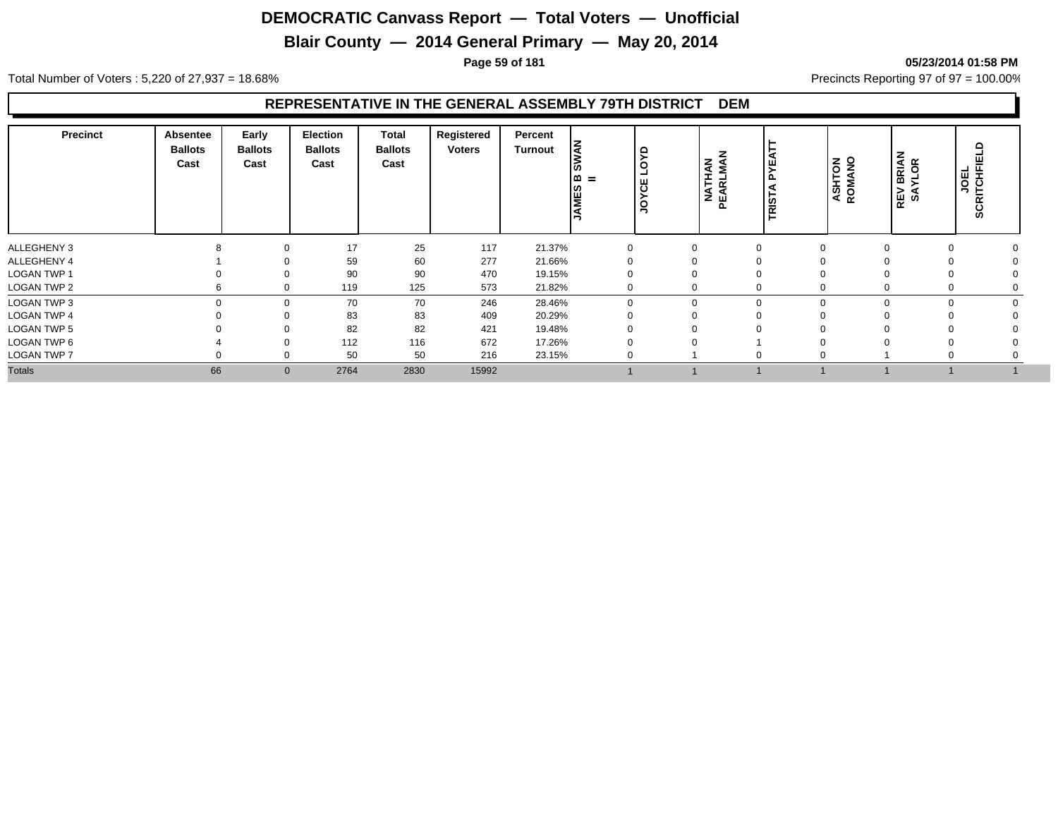## **Blair County — 2014 General Primary — May 20, 2014**

**Page 59 of 181 05/23/2014 01:58 PM**

Total Number of Voters : 5,220 of 27,937 = 18.68% Precincts Reporting 97 of 97 = 100.00%

#### **REPRESENTATIVE IN THE GENERAL ASSEMBLY 79TH DISTRICT DEM**

| <b>Precinct</b>    | <b>Absentee</b><br><b>Ballots</b><br>Cast | Early<br><b>Ballots</b><br>Cast | Election<br><b>Ballots</b><br>Cast | Total<br><b>Ballots</b><br>Cast | Registered<br><b>Voters</b> | Percent<br>Turnout | k<br>دαا<br>$=$<br><b>AMES</b> | $\circ$<br>෪<br>g | <b>NATHAN</b><br>PEARLMAN | <b>RIST</b> | <b>ASHTON</b><br>ROMANO | <b>BRIAN<br/>YLOR</b><br>REV<br>SA | ≏<br>JOEL<br>SCRITCHFI |  |
|--------------------|-------------------------------------------|---------------------------------|------------------------------------|---------------------------------|-----------------------------|--------------------|--------------------------------|-------------------|---------------------------|-------------|-------------------------|------------------------------------|------------------------|--|
| ALLEGHENY 3        |                                           | $\Omega$                        | 17                                 | 25                              | 117                         | 21.37%             |                                | 0                 |                           |             |                         |                                    |                        |  |
| ALLEGHENY 4        |                                           |                                 | 59                                 | 60                              | 277                         | 21.66%             |                                |                   |                           |             |                         |                                    |                        |  |
| LOGAN TWP 1        |                                           | $\Omega$                        | 90                                 | 90                              | 470                         | 19.15%             |                                |                   |                           |             |                         |                                    |                        |  |
| <b>LOGAN TWP 2</b> |                                           | $\mathbf 0$                     | 119                                | 125                             | 573                         | 21.82%             |                                |                   |                           |             |                         |                                    |                        |  |
| <b>LOGAN TWP 3</b> |                                           | $\mathbf 0$                     | 70                                 | 70                              | 246                         | 28.46%             |                                | $\Omega$          | $\Omega$                  | 0           | $\Omega$                |                                    |                        |  |
| <b>LOGAN TWP 4</b> |                                           | 0                               | 83                                 | 83                              | 409                         | 20.29%             |                                |                   |                           |             |                         |                                    |                        |  |
| <b>LOGAN TWP 5</b> |                                           | $\Omega$                        | 82                                 | 82                              | 421                         | 19.48%             |                                |                   |                           |             |                         |                                    |                        |  |
| LOGAN TWP 6        |                                           | $\Omega$                        | 112                                | 116                             | 672                         | 17.26%             |                                |                   |                           |             |                         |                                    |                        |  |
| <b>LOGAN TWP 7</b> |                                           | $\Omega$                        | 50                                 | 50                              | 216                         | 23.15%             | $\Omega$                       |                   |                           | $\Omega$    |                         |                                    |                        |  |
| <b>Totals</b>      | 66                                        | $\mathbf{0}$                    | 2764                               | 2830                            | 15992                       |                    |                                |                   |                           |             |                         |                                    |                        |  |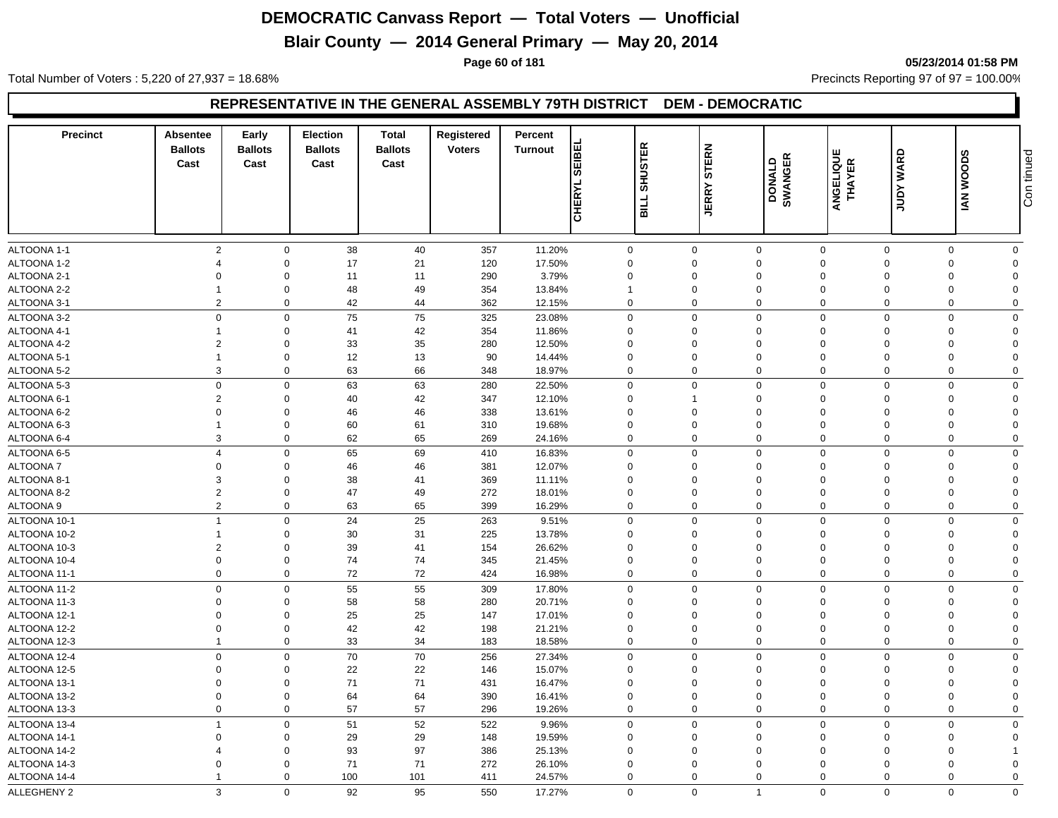## **Blair County — 2014 General Primary — May 20, 2014**

**Page 60 of 181 05/23/2014 01:58 PM**

Total Number of Voters : 5,220 of 27,937 = 18.68% Precincts Reporting 97 of 97 = 100.00%

#### **REPRESENTATIVE IN THE GENERAL ASSEMBLY 79TH DISTRICT DEM - DEMOCRATIC**

| <b>Precinct</b> | Absentee<br><b>Ballots</b><br>Cast | Early<br><b>Ballots</b><br>Cast | <b>Election</b><br><b>Ballots</b><br>Cast | <b>Total</b><br><b>Ballots</b><br>Cast | Registered<br><b>Voters</b> | Percent<br><b>Turnout</b> | EIBEI<br>စ<br>CHERYL | <b>SHUSTER</b><br><b>TTIE</b> | <b>STERN</b><br><b>JERRY</b> | DONALD<br>SWANGER | ANGELIQUE<br>THAYER | <b>JUDY WARD</b> | <b>IAN WOODS</b> | Con tinued     |
|-----------------|------------------------------------|---------------------------------|-------------------------------------------|----------------------------------------|-----------------------------|---------------------------|----------------------|-------------------------------|------------------------------|-------------------|---------------------|------------------|------------------|----------------|
|                 |                                    |                                 |                                           |                                        |                             |                           |                      |                               |                              |                   |                     |                  |                  |                |
| ALTOONA 1-1     | $\overline{2}$                     | $\mathbf 0$                     | 38                                        | 40                                     | 357                         | 11.20%                    |                      | $\mathbf 0$                   | $\mathbf 0$                  | $\mathbf 0$       | $\mathbf 0$         | $\mathbf 0$      | $\Omega$         | $\mathbf 0$    |
| ALTOONA 1-2     | $\overline{4}$                     | $\mathbf 0$                     | 17                                        | 21                                     | 120                         | 17.50%                    |                      | $\Omega$                      | $\Omega$                     | $\mathbf 0$       | $\Omega$            | $\Omega$         | $\Omega$         | $\Omega$       |
| ALTOONA 2-1     | $\Omega$                           | $\Omega$                        | 11                                        | 11                                     | 290                         | 3.79%                     |                      | $\mathbf 0$                   | $\Omega$                     | $\mathbf 0$       | $\Omega$            | $\Omega$         | $\Omega$         | $\Omega$       |
| ALTOONA 2-2     |                                    | $\mathbf 0$                     | 48                                        | 49                                     | 354                         | 13.84%                    | $\mathbf{1}$         |                               | $\mathbf 0$                  | $\mathbf 0$       | $\Omega$            | $\Omega$         | $\Omega$         | $\Omega$       |
| ALTOONA 3-1     | $\overline{2}$                     | $\mathbf 0$                     | 42                                        | 44                                     | 362                         | 12.15%                    |                      | $\mathbf 0$                   | $\mathbf 0$                  | $\mathbf 0$       | $\mathbf 0$         | 0                | $\Omega$         | $\Omega$       |
| ALTOONA 3-2     | $\mathbf 0$                        | $\mathbf 0$                     | 75                                        | 75                                     | 325                         | 23.08%                    |                      | $\mathbf 0$                   | $\Omega$                     | $\mathbf 0$       | $\Omega$            | $\Omega$         | $\Omega$         | $\Omega$       |
| ALTOONA 4-1     |                                    | $\mathbf 0$                     | 41                                        | 42                                     | 354                         | 11.86%                    |                      | $\mathbf 0$                   | $\Omega$                     | $\mathbf 0$       | $\Omega$            | $\Omega$         | $\Omega$         | $\Omega$       |
| ALTOONA 4-2     | $\overline{2}$                     | $\mathbf 0$                     | 33                                        | 35                                     | 280                         | 12.50%                    |                      | $\mathbf 0$                   | $\mathbf 0$                  | $\mathbf 0$       | $\Omega$            | $\Omega$         | $\Omega$         | $\Omega$       |
| ALTOONA 5-1     | $\overline{1}$                     | $\mathbf 0$                     | 12                                        | 13                                     | 90                          | 14.44%                    |                      | 0                             | 0                            | $\mathbf 0$       | $\Omega$            | $\Omega$         | $\Omega$         | $\Omega$       |
| ALTOONA 5-2     | 3                                  | $\mathbf 0$                     | 63                                        | 66                                     | 348                         | 18.97%                    |                      | 0                             | $\mathbf 0$                  | $\mathbf 0$       | $\mathbf 0$         | $\mathbf 0$      | $\Omega$         | $\mathbf 0$    |
| ALTOONA 5-3     | $\mathbf 0$                        | $\mathbf 0$                     | 63                                        | 63                                     | 280                         | 22.50%                    |                      | $\mathbf 0$                   | $\mathbf 0$                  | $\mathbf 0$       | $\Omega$            | $\Omega$         | $\Omega$         | $\mathbf 0$    |
| ALTOONA 6-1     | $\overline{2}$                     | $\mathbf 0$                     | 40                                        | 42                                     | 347                         | 12.10%                    |                      | $\mathbf 0$                   | 1                            | $\mathbf 0$       | $\Omega$            | $\Omega$         | $\Omega$         | $\Omega$       |
| ALTOONA 6-2     | $\Omega$                           | $\mathbf 0$                     | 46                                        | 46                                     | 338                         | 13.61%                    |                      | $\mathbf 0$                   | 0                            | $\mathbf 0$       | $\Omega$            | $\Omega$         | $\Omega$         | $\Omega$       |
| ALTOONA 6-3     | $\mathbf 1$                        | $\mathbf 0$                     | 60                                        | 61                                     | 310                         | 19.68%                    |                      | $\mathbf 0$                   | 0                            | $\mathbf{0}$      | $\Omega$            | $\Omega$         | $\Omega$         | $\Omega$       |
| ALTOONA 6-4     | 3                                  | $\Omega$                        | 62                                        | 65                                     | 269                         | 24.16%                    |                      | $\Omega$                      | $\Omega$                     | $\mathbf 0$       | $\Omega$            | $\Omega$         | $\Omega$         | $\mathbf 0$    |
| ALTOONA 6-5     | $\overline{4}$                     | $\mathbf{0}$                    | 65                                        | 69                                     | 410                         | 16.83%                    |                      | $\mathbf 0$                   | $\mathbf 0$                  | $\mathbf 0$       | $\Omega$            | $\mathbf 0$      | $\Omega$         | $\mathbf 0$    |
| <b>ALTOONA7</b> | $\mathbf 0$                        | $\mathbf 0$                     | 46                                        | 46                                     | 381                         | 12.07%                    |                      | $\mathbf 0$                   | $\mathbf 0$                  | $\mathbf 0$       | $\Omega$            | $\Omega$         | $\Omega$         | $\Omega$       |
| ALTOONA 8-1     | 3                                  | $\mathbf 0$                     | 38                                        | 41                                     | 369                         | 11.11%                    |                      | $\mathbf 0$                   | $\Omega$                     | $\mathbf{0}$      | $\Omega$            | $\Omega$         | $\Omega$         | $\Omega$       |
| ALTOONA 8-2     | $\overline{2}$                     | $\mathbf 0$                     | 47                                        | 49                                     | 272                         | 18.01%                    |                      | 0                             | 0                            | $\mathbf 0$       | $\Omega$            | $\Omega$         | $\Omega$         | $\Omega$       |
| ALTOONA 9       | $\overline{2}$                     | $\mathbf 0$                     | 63                                        | 65                                     | 399                         | 16.29%                    |                      | $\mathbf 0$                   | $\mathbf 0$                  | $\mathbf 0$       | $\mathbf 0$         | $\mathbf 0$      | 0                | $\mathbf 0$    |
| ALTOONA 10-1    | $\overline{1}$                     | $\mathbf 0$                     | 24                                        | 25                                     | 263                         | 9.51%                     |                      | $\mathbf 0$                   | $\mathbf 0$                  | $\mathbf 0$       | $\mathbf 0$         | $\Omega$         | $\Omega$         | $\mathbf 0$    |
| ALTOONA 10-2    | $\overline{1}$                     | $\mathbf 0$                     | 30                                        | 31                                     | 225                         | 13.78%                    |                      | $\mathbf 0$                   | $\Omega$                     | $\mathbf 0$       | $\Omega$            | $\Omega$         | $\Omega$         | $\Omega$       |
| ALTOONA 10-3    | $\overline{2}$                     | $\Omega$                        | 39                                        | 41                                     | 154                         | 26.62%                    |                      | 0                             | 0                            | $\mathbf 0$       | $\Omega$            | $\Omega$         | $\Omega$         | $\Omega$       |
| ALTOONA 10-4    | $\boldsymbol{0}$                   | $\mathbf 0$                     | 74                                        | 74                                     | 345                         | 21.45%                    |                      | $\mathbf 0$                   | $\mathbf 0$                  | $\mathbf 0$       | $\Omega$            | $\Omega$         | $\Omega$         | $\Omega$       |
| ALTOONA 11-1    | $\mathbf 0$                        | $\mathbf 0$                     | 72                                        | 72                                     | 424                         | 16.98%                    |                      | $\mathbf 0$                   | $\mathbf 0$                  | $\mathbf 0$       | $\mathbf 0$         | $\mathbf 0$      | $\mathbf 0$      | $\mathbf 0$    |
| ALTOONA 11-2    | $\Omega$                           | $\mathbf 0$                     | 55                                        | 55                                     | 309                         | 17.80%                    |                      | $\mathbf 0$                   | $\mathbf 0$                  | $\mathbf 0$       | $\Omega$            | $\Omega$         | $\Omega$         | $\mathbf 0$    |
| ALTOONA 11-3    | $\Omega$                           | $\mathbf 0$                     | 58                                        | 58                                     | 280                         | 20.71%                    |                      | $\mathbf 0$                   | 0                            | $\mathbf 0$       | $\Omega$            | $\Omega$         | $\Omega$         | $\Omega$       |
| ALTOONA 12-1    | $\Omega$                           | $\mathbf 0$                     | 25                                        | 25                                     | 147                         | 17.01%                    |                      | $\Omega$                      | $\Omega$                     | $\mathbf 0$       | $\Omega$            | $\Omega$         | $\Omega$         | $\Omega$       |
| ALTOONA 12-2    | $\mathbf 0$                        | $\mathbf 0$                     | 42                                        | 42                                     | 198                         | 21.21%                    |                      | $\mathbf 0$                   | $\mathbf 0$                  | $\mathbf 0$       | $\mathbf 0$         | $\Omega$         | $\Omega$         | $\overline{0}$ |
| ALTOONA 12-3    | $\overline{1}$                     | $\mathbf 0$                     | 33                                        | 34                                     | 183                         | 18.58%                    |                      | $\mathbf 0$                   | $\mathbf 0$                  | $\mathbf 0$       | $\mathbf 0$         | $\mathbf 0$      | 0                | $\mathbf 0$    |
| ALTOONA 12-4    | $\pmb{0}$                          | $\mathbf 0$                     | 70                                        | $70\,$                                 | 256                         | 27.34%                    |                      | $\mathsf{O}\xspace$           | $\mathbf 0$                  | $\mathbf 0$       | $\Omega$            | $\Omega$         | $\Omega$         | $\mathbf 0$    |
| ALTOONA 12-5    | $\Omega$                           | $\mathbf 0$                     | 22                                        | 22                                     | 146                         | 15.07%                    |                      | $\mathbf 0$                   | $\Omega$                     | $\mathbf 0$       | $\Omega$            | $\Omega$         | $\Omega$         | $\Omega$       |
| ALTOONA 13-1    | $\mathbf 0$                        | $\mathbf 0$                     | 71                                        | 71                                     | 431                         | 16.47%                    |                      | $\mathbf 0$                   | $\mathbf 0$                  | $\mathbf 0$       | $\Omega$            |                  | $\Omega$         | $\overline{0}$ |
| ALTOONA 13-2    | $\mathbf 0$                        | $\mathbf 0$                     | 64                                        | 64                                     | 390                         | 16.41%                    |                      | $\mathbf 0$                   | $\mathbf 0$                  | $\mathbf 0$       | $\mathbf 0$         | $\Omega$         | $\mathbf 0$      | $\mathbf{0}$   |
| ALTOONA 13-3    | $\mathbf 0$                        | $\mathbf 0$                     | 57                                        | 57                                     | 296                         | 19.26%                    |                      | $\mathbf 0$                   | $\mathbf 0$                  | $\mathbf 0$       | $\mathbf 0$         | $\mathbf 0$      | $\Omega$         | $\mathbf 0$    |
| ALTOONA 13-4    | $\overline{1}$                     | $\mathbf 0$                     | 51                                        | 52                                     | 522                         | 9.96%                     |                      | $\mathbf 0$                   | $\mathbf 0$                  | $\mathbf 0$       | $\Omega$            | $\Omega$         | $\Omega$         | $\mathbf 0$    |
| ALTOONA 14-1    | $\mathbf 0$                        | $\mathbf 0$                     | 29                                        | 29                                     | 148                         | 19.59%                    |                      | $\mathbf 0$                   | $\mathbf 0$                  | $\mathbf 0$       | $\Omega$            | $\Omega$         | $\Omega$         | $\Omega$       |
| ALTOONA 14-2    |                                    | $\mathbf 0$                     | 93                                        | 97                                     | 386                         | 25.13%                    |                      | $\mathbf 0$                   | $\Omega$                     | $\mathbf 0$       | $\Omega$            | $\Omega$         | $\Omega$         |                |
| ALTOONA 14-3    | $\Omega$                           | $\Omega$                        | 71                                        | 71                                     | 272                         | 26.10%                    |                      | $\mathbf 0$                   | $\Omega$                     | $\Omega$          | $\Omega$            | $\Omega$         | $\Omega$         | $\Omega$       |
| ALTOONA 14-4    |                                    | $\Omega$                        | 100                                       | 101                                    | 411                         | 24.57%                    |                      | $\mathbf 0$                   | $\mathbf 0$                  | $\mathbf 0$       | $\mathbf 0$         | $\Omega$         | $\Omega$         | $\Omega$       |
| ALLEGHENY 2     | 3                                  | $\mathbf 0$                     | 92                                        | 95                                     | 550                         | 17.27%                    |                      | $\mathbf 0$                   | $\mathbf 0$                  | $\overline{1}$    | $\mathbf{0}$        | $\mathbf 0$      | $\mathbf 0$      | $\mathbf 0$    |
|                 |                                    |                                 |                                           |                                        |                             |                           |                      |                               |                              |                   |                     |                  |                  |                |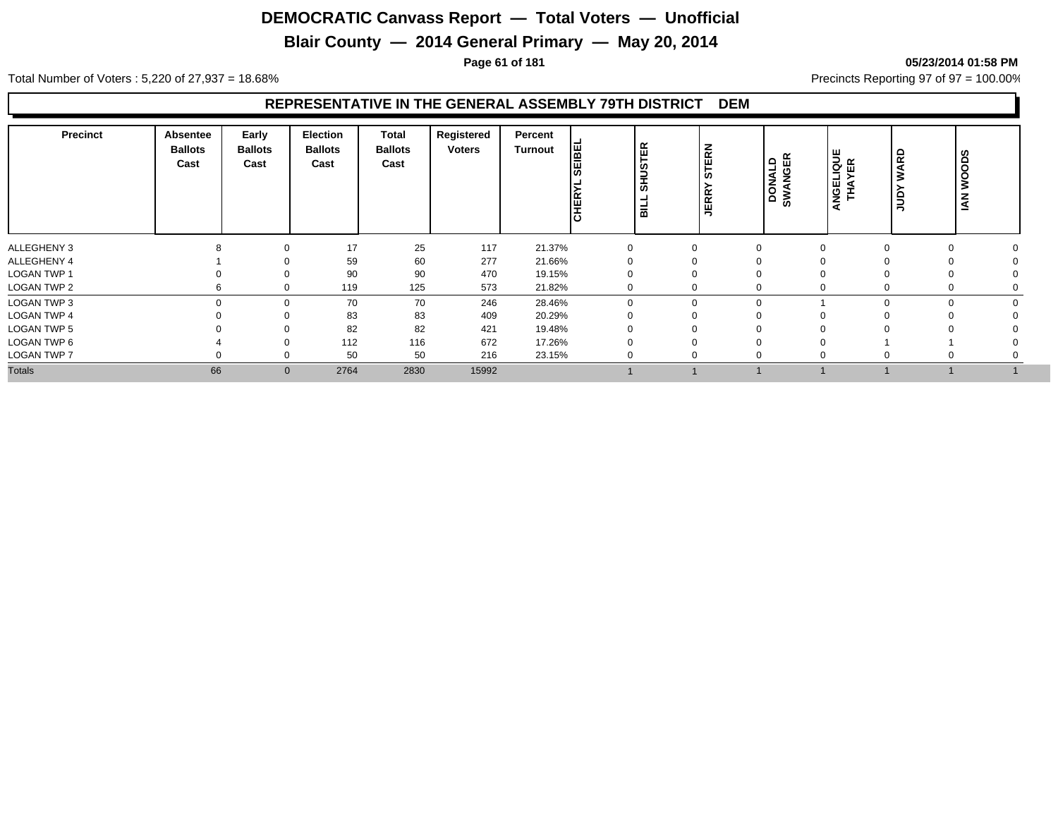## **Blair County — 2014 General Primary — May 20, 2014**

**Page 61 of 181 05/23/2014 01:58 PM**

Total Number of Voters : 5,220 of 27,937 = 18.68% Precincts Reporting 97 of 97 = 100.00%

#### **REPRESENTATIVE IN THE GENERAL ASSEMBLY 79TH DISTRICT DEM**

| <b>Precinct</b>    | Absentee<br><b>Ballots</b><br>Cast | Early<br><b>Ballots</b><br>Cast | <b>Election</b><br><b>Ballots</b><br>Cast | <b>Total</b><br><b>Ballots</b><br>Cast | Registered<br><b>Voters</b> | Percent<br>Turnout | <b>THE</b><br><b>CHER</b> | TER<br><b>SHUS</b><br>l al | TERN<br><b>in</b><br><b>JERR</b> | DONALD<br>SWANGER | <b>ANGELIQUE<br/>THAYER</b> | ARD<br>≳<br>guu | <b>WOODS</b><br>$\tilde{A}$ |  |
|--------------------|------------------------------------|---------------------------------|-------------------------------------------|----------------------------------------|-----------------------------|--------------------|---------------------------|----------------------------|----------------------------------|-------------------|-----------------------------|-----------------|-----------------------------|--|
| ALLEGHENY 3        |                                    | $\Omega$                        | 17                                        | 25                                     | 117                         | 21.37%             |                           |                            | 0                                | $\Omega$          |                             | $\Omega$        |                             |  |
| ALLEGHENY 4        |                                    | ∩                               | 59                                        | 60                                     | 277                         | 21.66%             |                           |                            | 0                                | $\Omega$          |                             |                 |                             |  |
| <b>LOGAN TWP 1</b> |                                    | $\Omega$                        | 90                                        | 90                                     | 470                         | 19.15%             |                           |                            | 0                                | $\Omega$          |                             |                 | 0                           |  |
| LOGAN TWP 2        |                                    | $\Omega$                        | 119                                       | 125                                    | 573                         | 21.82%             |                           |                            | 0                                | $\Omega$          |                             |                 | 0                           |  |
| LOGAN TWP 3        |                                    | $\Omega$                        | 70                                        | 70                                     | 246                         | 28.46%             | $\Omega$                  |                            | $\mathbf{0}$                     | $\Omega$          |                             | $\Omega$        | $\Omega$                    |  |
| <b>LOGAN TWP 4</b> |                                    | $\Omega$                        | 83                                        | 83                                     | 409                         | 20.29%             |                           |                            |                                  | $\Omega$          |                             |                 |                             |  |
| LOGAN TWP 5        |                                    | 0                               | 82                                        | 82                                     | 421                         | 19.48%             |                           |                            |                                  | $\mathbf 0$       |                             |                 |                             |  |
| LOGAN TWP 6        |                                    | $\Omega$                        | 112                                       | 116                                    | 672                         | 17.26%             |                           |                            |                                  | $\Omega$          |                             |                 |                             |  |
| <b>LOGAN TWP 7</b> |                                    | ∩                               | 50                                        | 50                                     | 216                         | 23.15%             |                           |                            | $\Omega$                         | $\Omega$          |                             | $\Omega$        | 0                           |  |
| <b>Totals</b>      | 66                                 | $\mathbf{0}$                    | 2764                                      | 2830                                   | 15992                       |                    |                           |                            |                                  |                   |                             |                 |                             |  |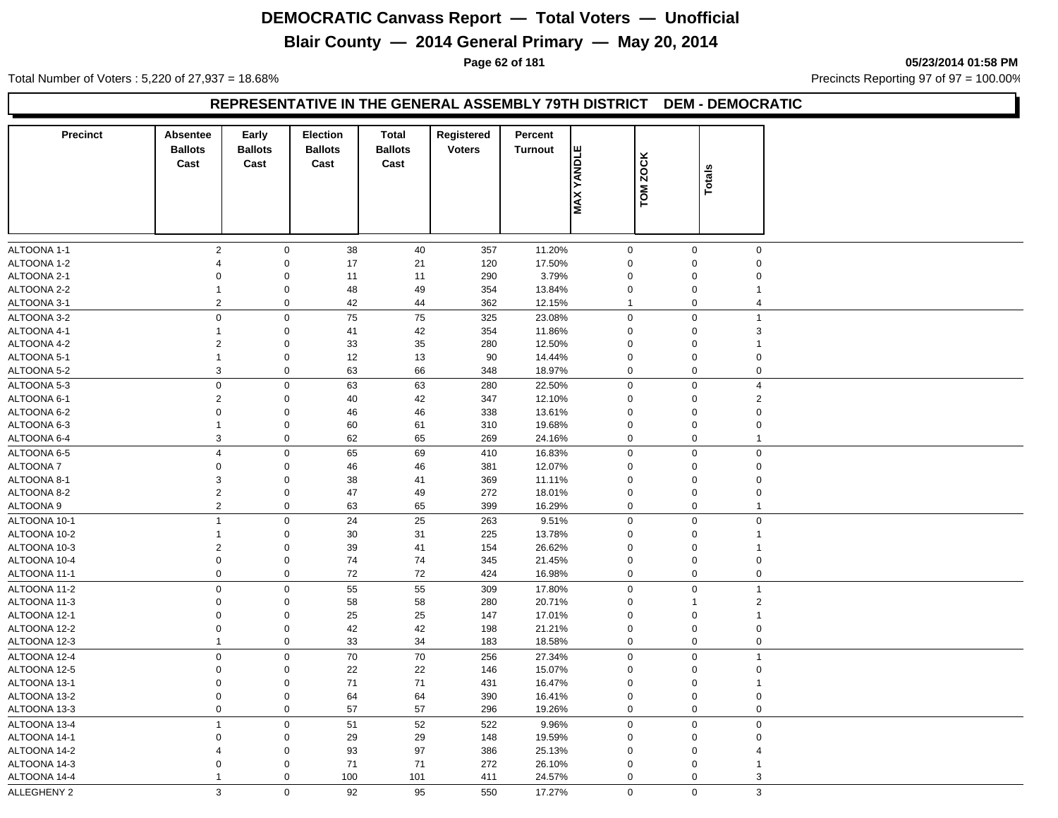## **Blair County — 2014 General Primary — May 20, 2014**

**Page 62 of 181 05/23/2014 01:58 PM**

Total Number of Voters : 5,220 of 27,937 = 18.68% Precincts Reporting 97 of 97 = 100.00%

#### **REPRESENTATIVE IN THE GENERAL ASSEMBLY 79TH DISTRICT DEM - DEMOCRATIC**

| <b>Precinct</b> | Absentee<br><b>Ballots</b><br>Cast | Early<br><b>Ballots</b><br>Cast | Election<br><b>Ballots</b><br>Cast | <b>Total</b><br><b>Ballots</b><br>Cast | Registered<br><b>Voters</b> | Percent<br><b>Turnout</b> | YANDLE<br>MAX <sup>-</sup> | <b>ZOCK</b><br>TOM. | Totals                  |  |
|-----------------|------------------------------------|---------------------------------|------------------------------------|----------------------------------------|-----------------------------|---------------------------|----------------------------|---------------------|-------------------------|--|
| ALTOONA 1-1     | $\sqrt{2}$                         | $\mathbf 0$                     | 38                                 | 40                                     | 357                         | 11.20%                    | $\mathbf 0$                | $\mathbf 0$         | $\mathbf 0$             |  |
| ALTOONA 1-2     | $\overline{4}$                     | $\mathbf 0$                     | 17                                 | 21                                     | 120                         | 17.50%                    | $\mathbf 0$                | $\mathbf 0$         | 0                       |  |
| ALTOONA 2-1     | $\mathbf 0$                        | $\mathbf 0$                     | 11                                 | 11                                     | 290                         | 3.79%                     | $\mathbf 0$                | $\mathsf 0$         | $\Omega$                |  |
| ALTOONA 2-2     | $\mathbf{1}$                       | $\mathbf 0$                     | 48                                 | 49                                     | 354                         | 13.84%                    | $\mathbf 0$                | $\mathbf 0$         | 1                       |  |
| ALTOONA 3-1     | $\overline{2}$                     | $\mathbf 0$                     | 42                                 | 44                                     | 362                         | 12.15%                    | 1                          | $\mathbf 0$         | $\overline{4}$          |  |
| ALTOONA 3-2     | $\mathbf 0$                        | $\mathbf 0$                     | 75                                 | 75                                     | 325                         | 23.08%                    | $\mathbf 0$                | $\mathbf 0$         | 1                       |  |
| ALTOONA 4-1     | $\mathbf{1}$                       | $\mathbf 0$                     | 41                                 | 42                                     | 354                         | 11.86%                    | $\mathbf 0$                | $\mathbf 0$         | 3                       |  |
| ALTOONA 4-2     | $\overline{c}$                     | $\mathbf 0$                     | 33                                 | 35                                     | 280                         | 12.50%                    | $\mathbf 0$                | $\mathbf 0$         | 1                       |  |
| ALTOONA 5-1     | $\mathbf{1}$                       | $\mathbf 0$                     | 12                                 | 13                                     | 90                          | 14.44%                    | $\mathbf 0$                | $\mathbf 0$         | $\Omega$                |  |
| ALTOONA 5-2     | 3                                  | $\mathsf 0$                     | 63                                 | 66                                     | 348                         | 18.97%                    | $\mathbf 0$                | $\mathbf 0$         | $\mathbf 0$             |  |
| ALTOONA 5-3     | $\pmb{0}$                          | $\mathbf 0$                     | 63                                 | 63                                     | 280                         | 22.50%                    | $\mathbf 0$                | $\mathbf 0$         | $\overline{\mathbf{A}}$ |  |
| ALTOONA 6-1     | $\overline{c}$                     | $\mathbf 0$                     | 40                                 | 42                                     | 347                         | 12.10%                    | $\mathbf 0$                | $\mathbf 0$         | $\overline{2}$          |  |
| ALTOONA 6-2     | $\mathbf 0$                        | $\mathbf 0$                     | 46                                 | 46                                     | 338                         | 13.61%                    | $\mathbf 0$                | $\mathbf 0$         | $\Omega$                |  |
| ALTOONA 6-3     | $\mathbf{1}$                       | $\mathsf 0$                     | 60                                 | 61                                     | 310                         | 19.68%                    | $\mathbf 0$                | $\mathbf 0$         | $\Omega$                |  |
| ALTOONA 6-4     | 3                                  | $\mathbf 0$                     | 62                                 | 65                                     | 269                         | 24.16%                    | $\Omega$                   | $\mathbf 0$         | $\overline{1}$          |  |
| ALTOONA 6-5     | $\overline{4}$                     | $\mathbf 0$                     | 65                                 | 69                                     | 410                         | 16.83%                    | $\mathbf 0$                | $\mathbf 0$         | $\mathbf 0$             |  |
| ALTOONA 7       | $\mathbf 0$                        | $\mathbf 0$                     | 46                                 | 46                                     | 381                         | 12.07%                    | $\mathbf 0$                | $\mathbf 0$         | $\mathbf 0$             |  |
| ALTOONA 8-1     | 3                                  | $\mathbf 0$                     | 38                                 | 41                                     | 369                         | 11.11%                    | $\mathbf 0$                | $\mathbf 0$         | $\Omega$                |  |
| ALTOONA 8-2     | $\overline{2}$                     | $\mathbf 0$                     | 47                                 | 49                                     | 272                         | 18.01%                    | $\mathbf 0$                | $\mathbf 0$         | $\mathbf 0$             |  |
| ALTOONA 9       | $\overline{2}$                     | $\mathbf 0$                     | 63                                 | 65                                     | 399                         | 16.29%                    | $\mathbf 0$                | $\mathbf 0$         | $\mathbf{1}$            |  |
| ALTOONA 10-1    | $\mathbf{1}$                       | $\mathbf 0$                     | 24                                 | 25                                     | 263                         | 9.51%                     | $\mathbf 0$                | $\mathbf 0$         | $\mathbf 0$             |  |
| ALTOONA 10-2    | 1                                  | $\mathbf 0$                     | 30                                 | 31                                     | 225                         | 13.78%                    | $\mathbf 0$                | $\mathbf 0$         | 1                       |  |
| ALTOONA 10-3    | $\overline{2}$                     | $\mathbf 0$                     | 39                                 | 41                                     | 154                         | 26.62%                    | $\mathbf 0$                | $\mathbf 0$         | 1                       |  |
| ALTOONA 10-4    | $\mathbf 0$                        | $\mathbf 0$                     | 74                                 | 74                                     | 345                         | 21.45%                    | $\mathbf 0$                | $\mathbf 0$         | $\mathbf 0$             |  |
| ALTOONA 11-1    | $\mathbf 0$                        | $\mathbf 0$                     | 72                                 | 72                                     | 424                         | 16.98%                    | $\mathbf 0$                | $\mathbf 0$         | $\mathbf 0$             |  |
| ALTOONA 11-2    | $\pmb{0}$                          | $\mathsf 0$                     | 55                                 | 55                                     | 309                         | 17.80%                    | $\mathbf 0$                | $\mathsf 0$         | $\overline{1}$          |  |
| ALTOONA 11-3    | $\mathbf 0$                        | $\mathbf 0$                     | 58                                 | 58                                     | 280                         | 20.71%                    | $\mathbf 0$                | $\mathbf{1}$        | $\overline{2}$          |  |
| ALTOONA 12-1    | $\mathbf 0$                        | $\mathbf 0$                     | 25                                 | 25                                     | 147                         | 17.01%                    | $\mathbf 0$                | $\mathbf 0$         | 1                       |  |
| ALTOONA 12-2    | $\mathbf 0$                        | $\mathbf 0$                     | 42                                 | 42                                     | 198                         | 21.21%                    | $\mathbf 0$                | $\mathbf 0$         | $\Omega$                |  |
| ALTOONA 12-3    | $\mathbf{1}$                       | $\mathbf 0$                     | 33                                 | 34                                     | 183                         | 18.58%                    | $\Omega$                   | $\mathbf 0$         | $\mathbf 0$             |  |
| ALTOONA 12-4    | $\pmb{0}$                          | $\pmb{0}$                       | 70                                 | $70\,$                                 | 256                         | 27.34%                    | $\mathbf 0$                | $\pmb{0}$           | $\mathbf{1}$            |  |
| ALTOONA 12-5    | 0                                  | $\mathbf 0$                     | 22                                 | 22                                     | 146                         | 15.07%                    | $\mathbf 0$                | $\mathbf 0$         | $\mathbf 0$             |  |
| ALTOONA 13-1    | $\mathbf 0$                        | $\mathbf 0$                     | 71                                 | 71                                     | 431                         | 16.47%                    | $\mathbf 0$                | $\mathbf 0$         | 1                       |  |
| ALTOONA 13-2    | $\mathbf 0$                        | $\mathbf 0$                     | 64                                 | 64                                     | 390                         | 16.41%                    | $\mathbf 0$                | $\mathbf 0$         | $\Omega$                |  |
| ALTOONA 13-3    | 0                                  | $\mathbf 0$                     | 57                                 | 57                                     | 296                         | 19.26%                    | $\mathbf 0$                | $\mathbf 0$         | $\mathbf 0$             |  |
| ALTOONA 13-4    | $\mathbf{1}$                       | $\pmb{0}$                       | 51                                 | 52                                     | 522                         | 9.96%                     | $\mathbf 0$                | $\pmb{0}$           | $\mathbf 0$             |  |
| ALTOONA 14-1    | $\mathbf 0$                        | $\mathbf 0$                     | 29                                 | 29                                     | 148                         | 19.59%                    | $\mathbf 0$                | $\mathbf 0$         | $\Omega$                |  |
| ALTOONA 14-2    | $\overline{4}$                     | $\mathbf 0$                     | 93                                 | 97                                     | 386                         | 25.13%                    | $\mathbf 0$                | $\mathbf 0$         |                         |  |
| ALTOONA 14-3    | $\mathbf 0$                        | $\mathbf 0$                     | 71                                 | 71                                     | 272                         | 26.10%                    | $\Omega$                   | $\mathbf 0$         |                         |  |
| ALTOONA 14-4    | 1                                  | $\mathbf 0$                     | 100                                | 101                                    | 411                         | 24.57%                    | $\Omega$                   | $\mathbf 0$         | 3                       |  |
| ALLEGHENY 2     | 3                                  | $\mathbf 0$                     | 92                                 | 95                                     | 550                         | 17.27%                    | $\mathbf 0$                | $\mathbf 0$         | 3                       |  |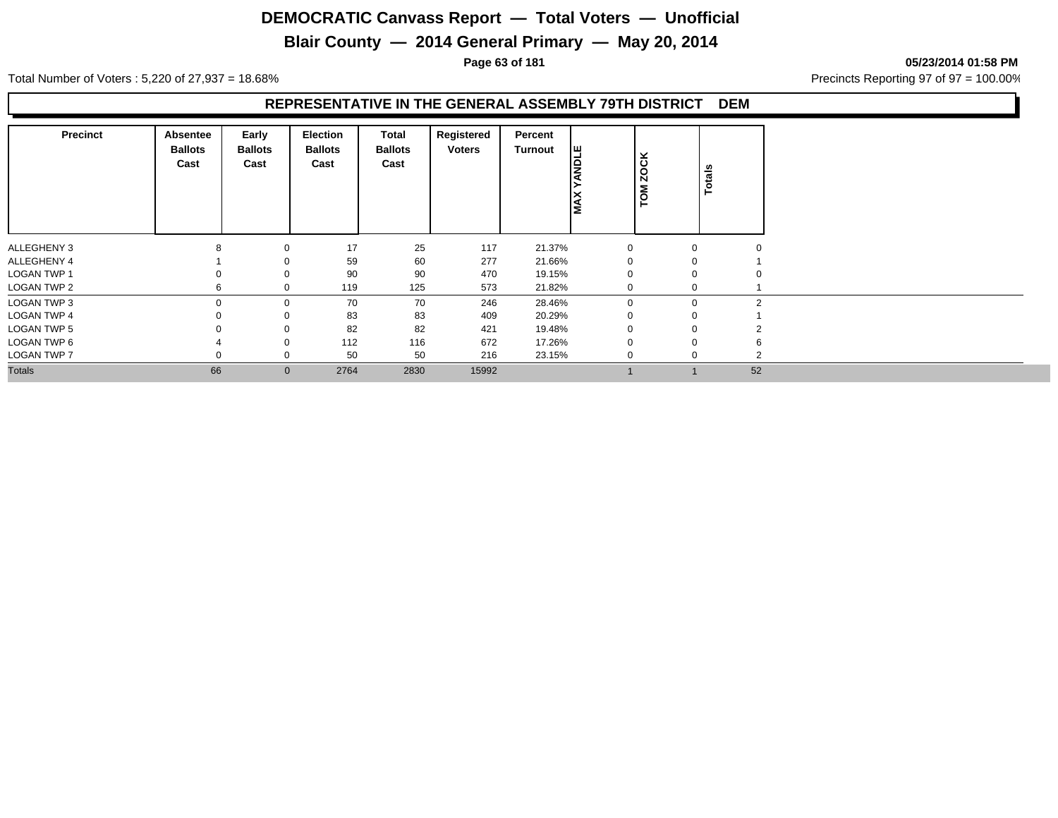## **Blair County — 2014 General Primary — May 20, 2014**

**Page 63 of 181 05/23/2014 01:58 PM**

Total Number of Voters : 5,220 of 27,937 = 18.68% Precincts Reporting 97 of 97 = 100.00%

#### **REPRESENTATIVE IN THE GENERAL ASSEMBLY 79TH DISTRICT DEM**

| <b>Precinct</b>    | Absentee<br><b>Ballots</b><br>Cast | Early<br><b>Ballots</b><br>Cast | Election<br><b>Ballots</b><br>Cast | Total<br><b>Ballots</b><br>Cast | Registered<br><b>Voters</b> | Percent<br>Turnout | <b>SER</b><br>Ιξ | <b>ZOCK</b><br>TOM |          | Totals   |
|--------------------|------------------------------------|---------------------------------|------------------------------------|---------------------------------|-----------------------------|--------------------|------------------|--------------------|----------|----------|
| ALLEGHENY 3        | $\circ$                            | $\Omega$                        | 17                                 | 25                              | 117                         | 21.37%             | $\Omega$         |                    | $\Omega$ | $\Omega$ |
| ALLEGHENY 4        |                                    |                                 | 59                                 | 60                              | 277                         | 21.66%             |                  |                    |          |          |
| <b>LOGAN TWP 1</b> |                                    |                                 | 90                                 | 90                              | 470                         | 19.15%             |                  |                    | $\Omega$ |          |
| LOGAN TWP 2        |                                    | $\Omega$                        | 119                                | 125                             | 573                         | 21.82%             |                  |                    | $\Omega$ |          |
| LOGAN TWP 3        |                                    | $\mathbf 0$                     | 70                                 | 70                              | 246                         | 28.46%             | $\Omega$         |                    | $\Omega$ | 2        |
| <b>LOGAN TWP 4</b> |                                    | $\Omega$                        | 83                                 | 83                              | 409                         | 20.29%             |                  |                    | $\Omega$ |          |
| LOGAN TWP 5        |                                    |                                 | 82                                 | 82                              | 421                         | 19.48%             |                  |                    | $\Omega$ |          |
| LOGAN TWP 6        |                                    | $\mathbf 0$                     | 112                                | 116                             | 672                         | 17.26%             |                  |                    | $\Omega$ | 6        |
| LOGAN TWP 7        |                                    | $\mathbf 0$                     | 50                                 | 50                              | 216                         | 23.15%             | $\mathbf 0$      |                    |          | $\Omega$ |
| <b>Totals</b>      | 66                                 | $\mathbf{0}$                    | 2764                               | 2830                            | 15992                       |                    |                  |                    |          | 52       |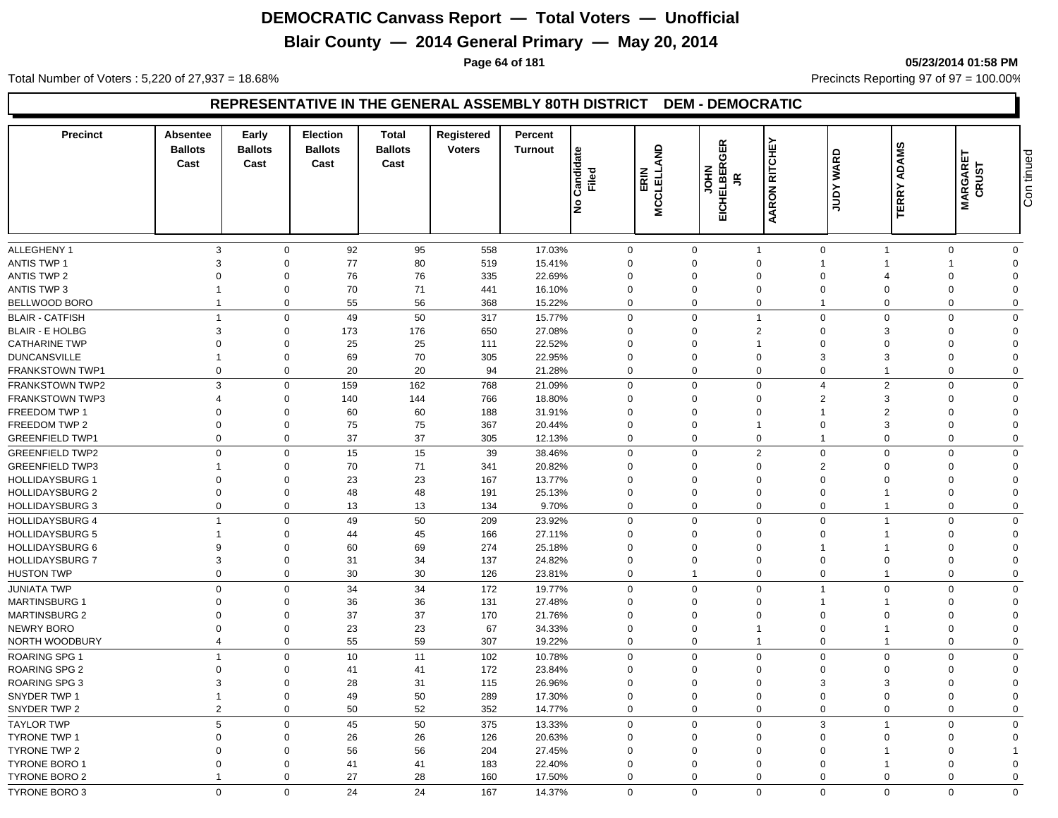## **Blair County — 2014 General Primary — May 20, 2014**

**Page 64 of 181 05/23/2014 01:58 PM**

Total Number of Voters : 5,220 of 27,937 = 18.68% Precincts Reporting 97 of 97 = 100.00%

#### **REPRESENTATIVE IN THE GENERAL ASSEMBLY 80TH DISTRICT DEM - DEMOCRATIC**

| <b>Precinct</b>                                | <b>Absentee</b><br><b>Ballots</b><br>Cast | Early<br><b>Ballots</b><br>Cast | <b>Election</b><br><b>Ballots</b><br>Cast | Total<br><b>Ballots</b><br>Cast | Registered<br><b>Voters</b> | Percent<br><b>Turnout</b> | Candidate<br>Filed<br>Ιş | ERIN<br>MCCLELLAND | GER<br><b>JOHN</b><br>IELBER<br>$\tilde{z}$<br>품 | AARON RITCHEY              | <b>WARD</b><br><b>AdDY</b> | <b>ADAMS</b><br><b>TERRY</b> | <b>MARGARET</b><br>CRUST | Con tinued  |
|------------------------------------------------|-------------------------------------------|---------------------------------|-------------------------------------------|---------------------------------|-----------------------------|---------------------------|--------------------------|--------------------|--------------------------------------------------|----------------------------|----------------------------|------------------------------|--------------------------|-------------|
| <b>ALLEGHENY 1</b>                             | 3                                         | $\mathbf 0$                     | 92                                        | 95                              | 558                         | 17.03%                    |                          | $\mathbf 0$        | $\mathbf 0$                                      | $\mathbf{1}$               | $\mathbf 0$                | $\overline{1}$               | $\mathbf 0$              | $\mathbf 0$ |
| <b>ANTIS TWP 1</b>                             | $\mathbf{3}$                              | $\Omega$                        | 77                                        | 80                              | 519                         | 15.41%                    |                          | $\Omega$           | $\Omega$                                         | $\mathbf 0$                | $\overline{\mathbf{1}}$    |                              |                          | $\Omega$    |
| <b>ANTIS TWP 2</b>                             | $\Omega$                                  | $\Omega$                        | 76                                        | 76                              | 335                         | 22.69%                    |                          | $\Omega$           | $\Omega$                                         | $\mathbf 0$                | $\Omega$                   |                              | $\Omega$                 | $\Omega$    |
| <b>ANTIS TWP 3</b>                             |                                           | $\mathbf 0$                     | 70                                        | 71                              | 441                         | 16.10%                    |                          | $\Omega$           | $\Omega$                                         | $\mathbf 0$                | $\Omega$                   |                              | $\Omega$                 | $\Omega$    |
| BELLWOOD BORO                                  | $\overline{1}$                            | $\mathbf 0$                     | 55                                        | 56                              | 368                         | 15.22%                    |                          | 0                  | $\mathbf 0$                                      | $\mathbf 0$                | 1                          | $\Omega$                     | $\Omega$                 | $\Omega$    |
| <b>BLAIR - CATFISH</b>                         | $\overline{1}$                            | $\Omega$                        | 49                                        | 50                              | 317                         | 15.77%                    |                          | $\Omega$           | $\Omega$                                         | $\overline{1}$             | $\mathbf 0$                | $\Omega$                     | $\Omega$                 | $\Omega$    |
|                                                | 3                                         | $\Omega$                        | 173                                       | 176                             | 650                         |                           |                          | $\mathbf 0$        | $\Omega$                                         | $\overline{2}$             | $\mathbf 0$                | 3                            | $\Omega$                 | $\Omega$    |
| <b>BLAIR - E HOLBG</b><br><b>CATHARINE TWP</b> | $\Omega$                                  | $\Omega$                        | 25                                        | 25                              | 111                         | 27.08%<br>22.52%          |                          | $\Omega$           | $\Omega$                                         | $\overline{1}$             | $\Omega$                   | $\Omega$                     | $\Omega$                 | $\Omega$    |
| <b>DUNCANSVILLE</b>                            |                                           | $\mathbf 0$                     | 69                                        | 70                              | 305                         | 22.95%                    |                          | $\mathbf 0$        | $\mathbf 0$                                      | $\mathbf 0$                | 3                          |                              | $\Omega$                 | $\Omega$    |
| <b>FRANKSTOWN TWP1</b>                         | $\mathbf 0$                               | $\mathbf 0$                     | 20                                        | 20                              | 94                          | 21.28%                    |                          | 0                  | $\mathbf 0$                                      | $\mathbf 0$                | $\mathbf 0$                |                              | $\Omega$                 | $\Omega$    |
|                                                |                                           | $\Omega$                        |                                           |                                 |                             |                           |                          |                    | $\Omega$                                         |                            | $\overline{4}$             |                              | $\Omega$                 |             |
| <b>FRANKSTOWN TWP2</b>                         | 3                                         | $\Omega$                        | 159                                       | 162                             | 768                         | 21.09%                    |                          | $\mathbf 0$        |                                                  | $\mathbf 0$                |                            | $\overline{2}$               |                          | $\mathbf 0$ |
| <b>FRANKSTOWN TWP3</b>                         | $\overline{4}$<br>$\Omega$                |                                 | 140                                       | 144                             | 766                         | 18.80%                    |                          | $\Omega$           | $\Omega$<br>$\Omega$                             | $\mathbf 0$<br>$\mathbf 0$ | $\overline{2}$             | 3                            | $\Omega$                 | $\Omega$    |
| FREEDOM TWP 1                                  |                                           | $\mathbf 0$                     | 60                                        | 60                              | 188                         | 31.91%                    |                          | $\Omega$           |                                                  |                            |                            | $\overline{2}$               | $\Omega$                 | $\Omega$    |
| FREEDOM TWP 2                                  | $\Omega$                                  | $\mathbf 0$                     | 75                                        | 75                              | 367                         | 20.44%                    |                          | $\Omega$           | $\Omega$                                         | $\overline{1}$             | $\Omega$                   | 3                            | $\Omega$                 | $\Omega$    |
| <b>GREENFIELD TWP1</b>                         | $\mathbf 0$                               | $\mathbf 0$                     | 37                                        | 37                              | 305                         | 12.13%                    |                          | $\mathbf 0$        | $\mathbf 0$                                      | $\mathbf 0$                | 1                          | $\Omega$                     | $\Omega$                 | $\mathbf 0$ |
| <b>GREENFIELD TWP2</b>                         | $\mathbf 0$                               | $\Omega$                        | 15                                        | 15                              | 39                          | 38.46%                    |                          | $\Omega$           | $\Omega$                                         | $\overline{2}$             | $\mathbf 0$                | $\Omega$                     | $\Omega$                 | $\mathbf 0$ |
| <b>GREENFIELD TWP3</b>                         |                                           | $\Omega$                        | 70                                        | 71                              | 341                         | 20.82%                    |                          | $\Omega$           | $\Omega$                                         | $\mathbf 0$                | $\overline{2}$             |                              | $\Omega$                 | $\Omega$    |
| <b>HOLLIDAYSBURG 1</b>                         | $\Omega$                                  | $\Omega$                        | 23                                        | 23                              | 167                         | 13.77%                    |                          | $\Omega$           | $\Omega$                                         | $\mathbf 0$                | $\Omega$                   |                              | $\Omega$                 | $\Omega$    |
| <b>HOLLIDAYSBURG 2</b>                         | $\mathbf 0$                               | $\mathbf 0$                     | 48                                        | 48                              | 191                         | 25.13%                    |                          | $\mathbf 0$        | $\mathbf 0$                                      | $\mathbf 0$                | $\mathbf 0$                |                              | $\Omega$                 | $\Omega$    |
| <b>HOLLIDAYSBURG 3</b>                         | $\mathbf 0$                               | $\mathbf 0$                     | 13                                        | 13                              | 134                         | 9.70%                     |                          | 0                  | $\mathbf 0$                                      | $\mathbf 0$                | $\mathbf 0$                |                              | $\Omega$                 | $\mathbf 0$ |
| <b>HOLLIDAYSBURG 4</b>                         | $\overline{1}$                            | $\Omega$                        | 49                                        | 50                              | 209                         | 23.92%                    |                          | 0                  | $\Omega$                                         | $\mathbf 0$                | $\Omega$                   |                              | $\Omega$                 | $\Omega$    |
| <b>HOLLIDAYSBURG 5</b>                         |                                           | $\Omega$                        | 44                                        | 45                              | 166                         | 27.11%                    |                          | $\Omega$           | $\Omega$                                         | $\mathbf 0$                | $\Omega$                   |                              | $\Omega$                 | $\Omega$    |
| <b>HOLLIDAYSBURG 6</b>                         | 9                                         | $\mathbf 0$                     | 60                                        | 69                              | 274                         | 25.18%                    |                          | $\mathbf 0$        | $\mathbf 0$                                      | $\mathbf 0$                |                            |                              | $\Omega$                 | $\Omega$    |
| <b>HOLLIDAYSBURG 7</b>                         | 3                                         | $\mathbf 0$                     | 31                                        | 34                              | 137                         | 24.82%                    |                          | $\mathbf 0$        | $\mathbf 0$                                      | $\mathbf 0$                | $\mathbf 0$                | $\Omega$                     | $\mathbf 0$              | $\Omega$    |
| <b>HUSTON TWP</b>                              | $\mathbf 0$                               | $\mathbf 0$                     | 30                                        | 30                              | 126                         | 23.81%                    |                          | 0                  | $\overline{1}$                                   | $\mathbf 0$                | $\mathbf 0$                |                              | $\mathbf 0$              | $\Omega$    |
| <b>JUNIATA TWP</b>                             | $\mathbf 0$                               | $\Omega$                        | 34                                        | 34                              | 172                         | 19.77%                    |                          | $\Omega$           | $\Omega$                                         | $\mathbf 0$                | $\overline{1}$             | $\Omega$                     | $\Omega$                 | $\Omega$    |
| <b>MARTINSBURG 1</b>                           | $\Omega$                                  | $\Omega$                        | 36                                        | 36                              | 131                         | 27.48%                    |                          | $\Omega$           | $\Omega$                                         | $\mathbf 0$                |                            |                              | $\Omega$                 | $\Omega$    |
| <b>MARTINSBURG 2</b>                           | $\Omega$                                  | $\mathbf 0$                     | 37                                        | 37                              | 170                         | 21.76%                    |                          | $\Omega$           | $\Omega$                                         | $\mathbf 0$                | $\Omega$                   |                              | $\Omega$                 | $\Omega$    |
| NEWRY BORO                                     | $\Omega$                                  | $\mathbf 0$                     | 23                                        | 23                              | 67                          | 34.33%                    |                          | $\mathbf 0$        | $\mathbf 0$                                      | $\overline{1}$             | $\overline{0}$             |                              | $\Omega$                 | $\Omega$    |
| NORTH WOODBURY                                 | $\overline{4}$                            | $\mathbf 0$                     | 55                                        | 59                              | 307                         | 19.22%                    |                          | $\Omega$           | $\mathbf 0$                                      | $\mathbf{1}$               | $\mathbf 0$                | -1                           | $\Omega$                 | $\mathbf 0$ |
| ROARING SPG 1                                  | $\overline{1}$                            | $\Omega$                        | 10                                        | 11                              | 102                         | 10.78%                    |                          | $\mathbf{0}$       | $\Omega$                                         | $\mathbf 0$                | $\mathbf 0$                | $\Omega$                     | $\Omega$                 | $\mathbf 0$ |
| <b>ROARING SPG 2</b>                           | $\overline{0}$                            | $\mathbf 0$                     | 41                                        | 41                              | 172                         | 23.84%                    |                          | $\mathbf 0$        | $\mathbf 0$                                      | $\mathbf 0$                | $\Omega$                   | $\Omega$                     | $\Omega$                 | $\Omega$    |
| <b>ROARING SPG 3</b>                           | 3                                         | $\mathbf 0$                     | 28                                        | 31                              | 115                         | 26.96%                    |                          | $\mathbf 0$        | $\mathbf 0$                                      | $\mathbf 0$                | 3                          |                              | $\Omega$                 | $\Omega$    |
| SNYDER TWP 1                                   | $\overline{1}$                            | $\mathbf 0$                     | 49                                        | 50                              | 289                         | 17.30%                    |                          | $\mathbf 0$        | $\mathbf 0$                                      | $\mathbf 0$                | $\mathbf 0$                | $\Omega$                     | $\Omega$                 | $\Omega$    |
| SNYDER TWP 2                                   | $\overline{2}$                            | $\Omega$                        | 50                                        | 52                              | 352                         | 14.77%                    |                          | $\mathbf 0$        | $\mathbf 0$                                      | $\mathbf 0$                | $\mathbf 0$                | $\Omega$                     | $\Omega$                 | $\mathbf 0$ |
| <b>TAYLOR TWP</b>                              | $5\phantom{.0}$                           | $\Omega$                        | 45                                        | 50                              | 375                         | 13.33%                    |                          | 0                  | $\Omega$                                         | $\mathbf 0$                | 3                          | $\overline{\mathbf{1}}$      | $\Omega$                 | $\mathbf 0$ |
| <b>TYRONE TWP 1</b>                            | $\overline{0}$                            | $\Omega$                        | 26                                        | 26                              | 126                         | 20.63%                    |                          | $\mathbf 0$        | $\mathbf 0$                                      | $\mathbf 0$                | $\mathbf 0$                |                              | $\Omega$                 | $\Omega$    |
| TYRONE TWP 2                                   | $\Omega$                                  | $\mathbf 0$                     | 56                                        | 56                              | 204                         | 27.45%                    |                          | $\mathbf 0$        | $\mathbf 0$                                      | $\mathbf 0$                | $\Omega$                   |                              | $\Omega$                 |             |
| <b>TYRONE BORO 1</b>                           | $\mathbf 0$                               | $\mathbf 0$                     | 41                                        | 41                              | 183                         | 22.40%                    |                          | $\mathbf 0$        | $\mathbf 0$                                      | $\mathbf 0$                | $\Omega$                   |                              | $\Omega$                 | $\Omega$    |
| <b>TYRONE BORO 2</b>                           | $\overline{1}$                            | $\Omega$                        | 27                                        | 28                              | 160                         | 17.50%                    |                          | $\mathbf 0$        | $\mathbf 0$                                      | $\mathbf 0$                | $\mathbf 0$                | $\Omega$                     | $\Omega$                 | $\mathbf 0$ |
| TYRONE BORO 3                                  | $\Omega$                                  | $\Omega$                        | 24                                        | 24                              | 167                         | 14.37%                    |                          | $\Omega$           | $\Omega$                                         | $\Omega$                   | $\Omega$                   | $\Omega$                     | $\Omega$                 | $\Omega$    |
|                                                |                                           |                                 |                                           |                                 |                             |                           |                          |                    |                                                  |                            |                            |                              |                          |             |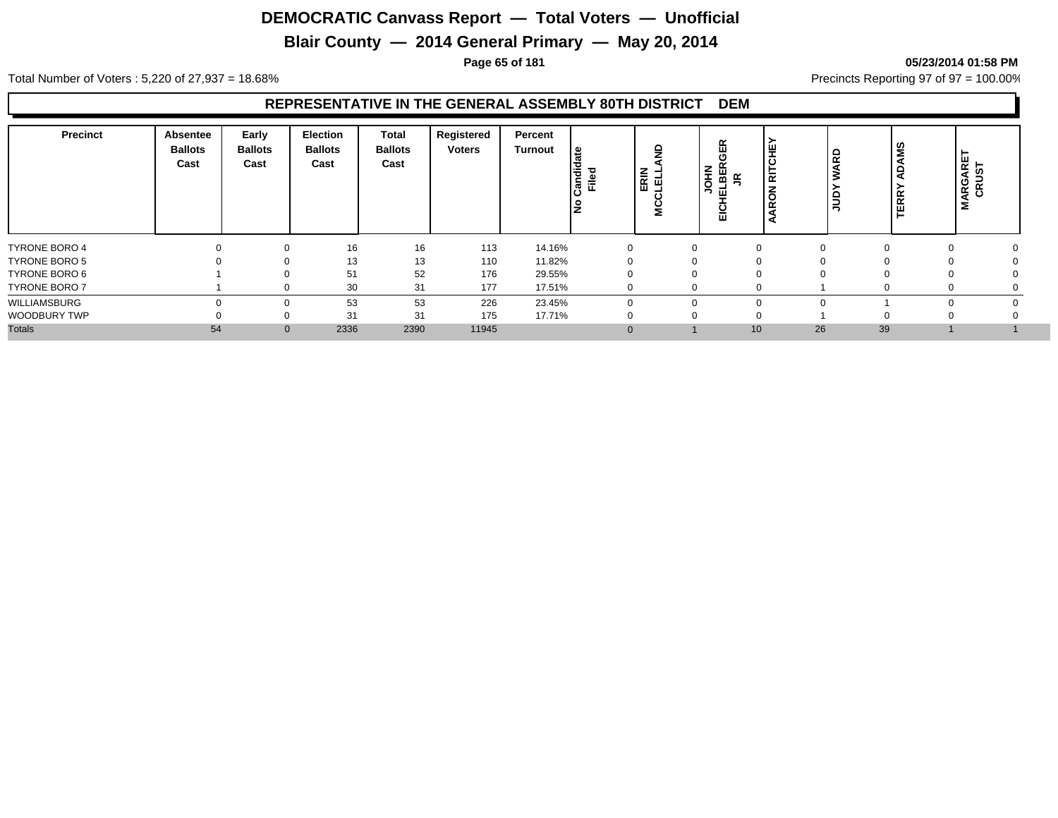## **Blair County — 2014 General Primary — May 20, 2014**

#### **Page 65 of 181 05/23/2014 01:58 PM**

Total Number of Voters : 5,220 of 27,937 = 18.68% Precincts Reporting 97 of 97 = 100.00%

#### **REPRESENTATIVE IN THE GENERAL ASSEMBLY 80TH DISTRICT DEM**

| <b>Precinct</b>      | Absentee<br><b>Ballots</b><br>Cast | Early<br><b>Ballots</b><br>Cast | <b>Election</b><br><b>Ballots</b><br>Cast | <b>Total</b><br><b>Ballots</b><br>Cast | Registered<br><b>Voters</b> | Percent<br><b>Turnout</b> | ' ഇ<br>Candid<br>Filed<br>١ž | ERIN<br>LELL | <b>GER</b><br><b>JOHN</b><br>ELBER<br>$\tilde{z}$<br><b>EIG</b> | ≝<br>ం<br>듦<br>$\overline{\phantom{a}}$<br>Œ | ARD<br>guu | <b>AMS</b><br><b>TERR</b> | <b>IARGARET</b><br>CRUST<br>Σ |  |
|----------------------|------------------------------------|---------------------------------|-------------------------------------------|----------------------------------------|-----------------------------|---------------------------|------------------------------|--------------|-----------------------------------------------------------------|----------------------------------------------|------------|---------------------------|-------------------------------|--|
| <b>TYRONE BORO 4</b> |                                    | $\Omega$                        | 16                                        | 16                                     | 113                         | 14.16%                    |                              |              | 0                                                               | $\Omega$                                     |            |                           | 0                             |  |
| <b>TYRONE BORO 5</b> |                                    |                                 | 13                                        | 13                                     | 110                         | 11.82%                    |                              |              | 0                                                               |                                              |            |                           |                               |  |
| TYRONE BORO 6        |                                    |                                 | 51                                        | 52                                     | 176                         | 29.55%                    |                              |              |                                                                 |                                              |            |                           |                               |  |
| <b>TYRONE BORO 7</b> |                                    |                                 | 30                                        | 31                                     | 177                         | 17.51%                    |                              |              | $\Omega$                                                        |                                              |            |                           | v                             |  |
| WILLIAMSBURG         |                                    |                                 | 53                                        | 53                                     | 226                         | 23.45%                    |                              |              | $\Omega$                                                        |                                              |            |                           |                               |  |
| WOODBURY TWP         |                                    |                                 | 31                                        | 31                                     | 175                         | 17.71%                    |                              |              | 0                                                               |                                              |            |                           |                               |  |
| <b>Totals</b>        | 54                                 | $\Omega$                        | 2336                                      | 2390                                   | 11945                       |                           |                              |              |                                                                 | 10 <sup>1</sup>                              | 26         | 39                        |                               |  |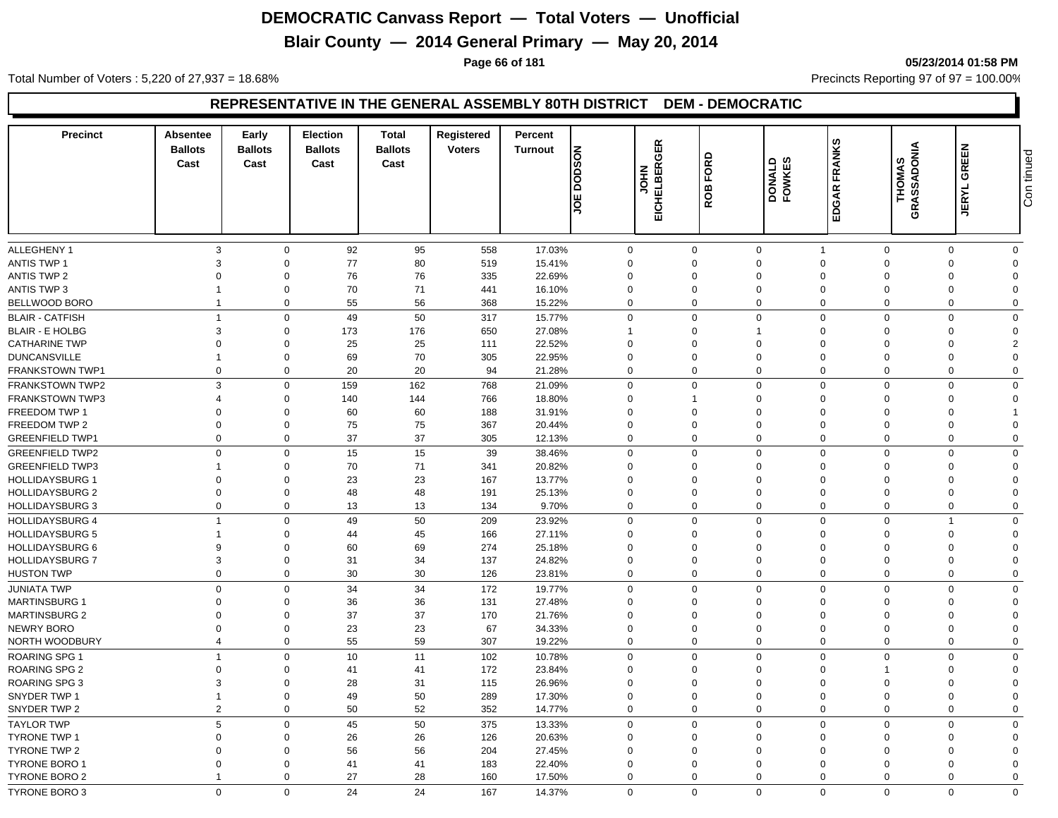## **Blair County — 2014 General Primary — May 20, 2014**

**Page 66 of 181 05/23/2014 01:58 PM**

Total Number of Voters : 5,220 of 27,937 = 18.68% Precincts Reporting 97 of 97 = 100.00%

#### **REPRESENTATIVE IN THE GENERAL ASSEMBLY 80TH DISTRICT DEM - DEMOCRATIC**

| <b>Precinct</b>        | Absentee<br><b>Ballots</b><br>Cast | Early<br><b>Ballots</b><br>Cast | <b>Election</b><br><b>Ballots</b><br>Cast | Total<br><b>Ballots</b><br>Cast | Registered<br><b>Voters</b> | Percent<br><b>Turnout</b> | <b>NOSOO</b><br>Ш<br>ļā | EICHELBERGER<br>HOL<br>S | FORD<br>ROB    | <b>FOWKES</b>  | FRANKS<br>EDGAR I | <b>THOMAS</b><br>GRASSADONIA | <b>GREEN</b><br><b>JERYL</b> | Con tinued     |
|------------------------|------------------------------------|---------------------------------|-------------------------------------------|---------------------------------|-----------------------------|---------------------------|-------------------------|--------------------------|----------------|----------------|-------------------|------------------------------|------------------------------|----------------|
|                        |                                    |                                 |                                           |                                 |                             |                           |                         |                          |                |                |                   |                              |                              |                |
| <b>ALLEGHENY 1</b>     | $\mathbf{3}$                       | $\mathbf 0$                     | 92                                        | 95                              | 558                         | 17.03%                    |                         | $\mathbf 0$              | $\mathbf 0$    | $\mathbf 0$    | $\overline{1}$    | $\mathbf 0$                  | $\Omega$                     | $\mathbf 0$    |
| <b>ANTIS TWP 1</b>     | 3                                  | $\Omega$                        | 77                                        | 80                              | 519                         | 15.41%                    |                         | $\Omega$                 | $\Omega$       | $\Omega$       | $\Omega$          | $\Omega$                     | $\Omega$                     | $\Omega$       |
| <b>ANTIS TWP 2</b>     | $\Omega$                           | $\Omega$                        | 76                                        | 76                              | 335                         | 22.69%                    |                         | $\Omega$                 | $\Omega$       | $\mathbf 0$    | $\Omega$          | $\Omega$                     | $\Omega$                     |                |
| <b>ANTIS TWP 3</b>     |                                    | $\mathbf 0$                     | 70                                        | 71                              | 441                         | 16.10%                    |                         | $\mathbf 0$              | $\mathbf 0$    | $\mathbf 0$    | $\mathbf 0$       | $\Omega$                     | $\Omega$                     | $\Omega$       |
| BELLWOOD BORO          | $\overline{1}$                     | $\mathbf 0$                     | 55                                        | 56                              | 368                         | 15.22%                    |                         | 0                        | $\mathbf 0$    | $\mathbf 0$    | $\mathbf 0$       | $\mathbf 0$                  | $\mathbf 0$                  | $\Omega$       |
| <b>BLAIR - CATFISH</b> | $\overline{1}$                     | $\Omega$                        | 49                                        | 50                              | 317                         | 15.77%                    |                         | $\Omega$                 | $\Omega$       | $\mathbf 0$    | $\mathbf 0$       | $\Omega$                     | $\Omega$                     | $\Omega$       |
| <b>BLAIR - E HOLBG</b> | $\mathbf{3}$                       | $\Omega$                        | 173                                       | 176                             | 650                         | 27.08%                    |                         | $\mathbf{1}$             | $\Omega$       | $\overline{1}$ | $\Omega$          | $\Omega$                     | $\Omega$                     | $\Omega$       |
| <b>CATHARINE TWP</b>   | $\overline{0}$                     | $\mathbf 0$                     | 25                                        | 25                              | 111                         | 22.52%                    |                         | $\mathbf 0$              | $\mathbf 0$    | $\mathbf 0$    | $\mathbf 0$       | $\Omega$                     | $\Omega$                     | $\overline{2}$ |
| <b>DUNCANSVILLE</b>    |                                    | $\mathbf 0$                     | 69                                        | 70                              | 305                         | 22.95%                    |                         | $\mathbf 0$              | $\mathbf 0$    | $\mathbf 0$    | $\mathbf 0$       | $\Omega$                     | $\Omega$                     | $\Omega$       |
| FRANKSTOWN TWP1        | $\mathbf 0$                        | $\mathbf 0$                     | 20                                        | 20                              | 94                          | 21.28%                    |                         | $\mathbf 0$              | $\mathbf 0$    | $\mathbf 0$    | $\mathbf 0$       | $\mathbf 0$                  | $\mathbf 0$                  | $\Omega$       |
| FRANKSTOWN TWP2        | 3                                  | $\Omega$                        | 159                                       | 162                             | 768                         | 21.09%                    |                         | $\mathbf{0}$             | $\Omega$       | $\mathbf 0$    | $\mathbf 0$       | $\Omega$                     | $\Omega$                     | $\Omega$       |
| <b>FRANKSTOWN TWP3</b> | 4                                  | $\mathbf 0$                     | 140                                       | 144                             | 766                         | 18.80%                    |                         | $\Omega$                 |                | $\mathbf 0$    | $\Omega$          |                              | $\Omega$                     | $\Omega$       |
| FREEDOM TWP 1          | $\Omega$                           | $\mathbf 0$                     | 60                                        | 60                              | 188                         | 31.91%                    |                         | $\Omega$                 | $\mathbf 0$    | $\mathbf 0$    | $\Omega$          | $\Omega$                     | $\Omega$                     |                |
| FREEDOM TWP 2          | $\overline{0}$                     | $\mathbf 0$                     | 75                                        | 75                              | 367                         | 20.44%                    |                         | $\mathbf 0$              | $\mathbf 0$    | $\mathbf 0$    | $\mathbf 0$       | $\Omega$                     | $\mathbf 0$                  | $\Omega$       |
| <b>GREENFIELD TWP1</b> | $\mathbf 0$                        | $\Omega$                        | 37                                        | 37                              | 305                         | 12.13%                    |                         | $\mathbf 0$              | $\mathbf 0$    | $\mathbf 0$    | $\mathbf 0$       | $\Omega$                     | $\Omega$                     | $\mathbf 0$    |
| <b>GREENFIELD TWP2</b> | $\mathbf 0$                        | $\mathbf 0$                     | 15                                        | 15                              | 39                          | 38.46%                    |                         | $\mathbf{0}$             | $\overline{0}$ | $\mathbf 0$    | $\mathbf 0$       | $\Omega$                     | $\Omega$                     | $\mathbf 0$    |
| <b>GREENFIELD TWP3</b> |                                    | $\mathbf 0$                     | 70                                        | 71                              | 341                         | 20.82%                    |                         | $\Omega$                 | $\mathbf 0$    | $\mathbf 0$    | $\Omega$          |                              | $\Omega$                     | $\Omega$       |
| <b>HOLLIDAYSBURG 1</b> | $\Omega$                           | $\mathbf 0$                     | 23                                        | 23                              | 167                         | 13.77%                    |                         | $\Omega$                 | $\Omega$       | $\mathbf 0$    | $\Omega$          |                              | $\Omega$                     | $\Omega$       |
| <b>HOLLIDAYSBURG 2</b> | $\mathbf 0$                        | $\mathbf 0$                     | 48                                        | 48                              | 191                         | 25.13%                    |                         | $\Omega$                 | $\mathbf 0$    | $\mathbf 0$    | $\Omega$          | $\Omega$                     | $\Omega$                     | $\Omega$       |
| <b>HOLLIDAYSBURG 3</b> | $\mathbf 0$                        | $\Omega$                        | 13                                        | 13                              | 134                         | 9.70%                     |                         | $\mathbf 0$              | $\mathbf 0$    | $\mathbf 0$    | $\mathbf 0$       | $\Omega$                     | $\Omega$                     | $\overline{0}$ |
| <b>HOLLIDAYSBURG 4</b> | $\overline{1}$                     | $\mathbf 0$                     | 49                                        | 50                              | 209                         | 23.92%                    |                         | 0                        | $\mathbf 0$    | $\mathbf 0$    | $\mathbf 0$       | $\Omega$                     | 1                            | $\mathbf 0$    |
| <b>HOLLIDAYSBURG 5</b> | $\overline{1}$                     | $\mathbf 0$                     | 44                                        | 45                              | 166                         | 27.11%                    |                         | $\Omega$                 | $\Omega$       | $\mathbf 0$    | $\Omega$          | $\Omega$                     | $\Omega$                     | $\Omega$       |
| <b>HOLLIDAYSBURG 6</b> | 9                                  | $\Omega$                        | 60                                        | 69                              | 274                         | 25.18%                    |                         | $\Omega$                 | $\mathbf 0$    | $\mathbf 0$    | $\Omega$          | $\Omega$                     | $\Omega$                     | $\Omega$       |
| HOLLIDAYSBURG 7        | $\mathbf{3}$                       | $\Omega$                        | 31                                        | 34                              | 137                         | 24.82%                    |                         | $\Omega$                 | $\mathbf 0$    | $\mathbf 0$    | $\Omega$          | $\Omega$                     | $\Omega$                     | $\Omega$       |
| <b>HUSTON TWP</b>      | $\mathbf 0$                        | $\mathbf 0$                     | 30                                        | 30                              | 126                         | 23.81%                    |                         | $\Omega$                 | $\mathbf 0$    | $\mathbf 0$    | $\mathbf 0$       | $\Omega$                     | $\Omega$                     | $\mathbf 0$    |
| <b>JUNIATA TWP</b>     | $\mathbf 0$                        | $\mathbf 0$                     | 34                                        | 34                              | 172                         | 19.77%                    |                         | $\mathbf 0$              | $\mathbf 0$    | $\mathbf 0$    | $\mathbf 0$       | $\Omega$                     | $\Omega$                     | $\mathbf 0$    |
| <b>MARTINSBURG 1</b>   | $\mathbf 0$                        | $\mathbf 0$                     | 36                                        | 36                              | 131                         | 27.48%                    |                         | $\mathbf 0$              | $\mathbf 0$    | $\mathbf 0$    | $\Omega$          | $\Omega$                     | $\Omega$                     | $\Omega$       |
| <b>MARTINSBURG 2</b>   | $\Omega$                           | $\Omega$                        | 37                                        | 37                              | 170                         | 21.76%                    |                         | $\Omega$                 | 0              | $\mathbf 0$    | $\Omega$          |                              | $\Omega$                     | $\Omega$       |
| NEWRY BORO             | $\Omega$                           | $\Omega$                        | 23                                        | 23                              | 67                          | 34.33%                    |                         | $\Omega$                 | $\mathbf 0$    | $\mathbf 0$    | $\Omega$          | $\Omega$                     | $\Omega$                     | $\Omega$       |
| NORTH WOODBURY         | $\overline{4}$                     | $\mathbf 0$                     | 55                                        | 59                              | 307                         | 19.22%                    |                         | 0                        | $\mathbf 0$    | $\mathbf 0$    | $\mathbf 0$       | $\Omega$                     | $\Omega$                     | $\mathbf 0$    |
| <b>ROARING SPG 1</b>   | $\overline{1}$                     | $\Omega$                        | 10                                        | 11                              | 102                         | 10.78%                    |                         | 0                        | $\mathbf 0$    | $\mathbf 0$    | $\overline{0}$    | $\Omega$                     | $\Omega$                     | $\mathbf 0$    |
| <b>ROARING SPG 2</b>   | $\mathbf 0$                        | $\Omega$                        | 41                                        | 41                              | 172                         | 23.84%                    |                         | $\Omega$                 | $\mathbf 0$    | $\mathbf 0$    | $\mathbf 0$       |                              | $\Omega$                     | $\Omega$       |
| <b>ROARING SPG 3</b>   | 3                                  | $\Omega$                        | 28                                        | 31                              | 115                         | 26.96%                    |                         | $\Omega$                 | $\mathbf 0$    | $\mathbf 0$    | $\Omega$          | $\Omega$                     | $\Omega$                     | $\Omega$       |
| SNYDER TWP 1           | $\overline{1}$                     | $\mathbf 0$                     | 49                                        | 50                              | 289                         | 17.30%                    |                         | $\Omega$                 | $\mathbf 0$    | $\mathbf 0$    | $\mathbf 0$       | $\Omega$                     | $\Omega$                     | $\Omega$       |
| SNYDER TWP 2           | $\overline{2}$                     | $\mathbf 0$                     | 50                                        | 52                              | 352                         | 14.77%                    |                         | $\mathbf 0$              | $\mathbf 0$    | $\mathbf 0$    | $\mathbf 0$       | $\Omega$                     | $\mathbf 0$                  | $\mathbf 0$    |
| <b>TAYLOR TWP</b>      | $5\phantom{.0}$                    | $\Omega$                        | 45                                        | 50                              | 375                         | 13.33%                    |                         | $\Omega$                 | $\mathbf 0$    | $\mathbf 0$    | $\mathbf 0$       | $\Omega$                     | $\Omega$                     | $\mathbf 0$    |
| <b>TYRONE TWP 1</b>    | $\Omega$                           | $\Omega$                        | 26                                        | 26                              | 126                         | 20.63%                    |                         | $\Omega$                 | $\mathbf 0$    | $\mathbf 0$    | $\Omega$          | $\Omega$                     | $\Omega$                     | $\Omega$       |
| <b>TYRONE TWP 2</b>    | $\Omega$                           | $\Omega$                        | 56                                        | 56                              | 204                         | 27.45%                    |                         | $\Omega$                 | $\Omega$       | $\mathbf 0$    | $\Omega$          | $\Omega$                     | $\Omega$                     | $\Omega$       |
| <b>TYRONE BORO 1</b>   | $\mathbf 0$                        | $\Omega$                        | 41                                        | 41                              | 183                         | 22.40%                    |                         | $\Omega$                 | $\mathbf 0$    | $\mathbf 0$    | $\Omega$          | $\Omega$                     | $\Omega$                     | $\Omega$       |
| <b>TYRONE BORO 2</b>   | $\overline{1}$                     | $\Omega$                        | 27                                        | 28                              | 160                         | 17.50%                    |                         | $\mathbf{0}$             | $\Omega$       | $\mathbf 0$    | $\Omega$          | $\Omega$                     | $\Omega$                     | $\Omega$       |
| <b>TYRONE BORO 3</b>   | $\Omega$                           | $\Omega$                        | 24                                        | 24                              | 167                         | 14.37%                    |                         | $\Omega$                 | $\Omega$       | $\Omega$       | $\Omega$          | $\Omega$                     | $\Omega$                     | $\Omega$       |
|                        |                                    |                                 |                                           |                                 |                             |                           |                         |                          |                |                |                   |                              |                              |                |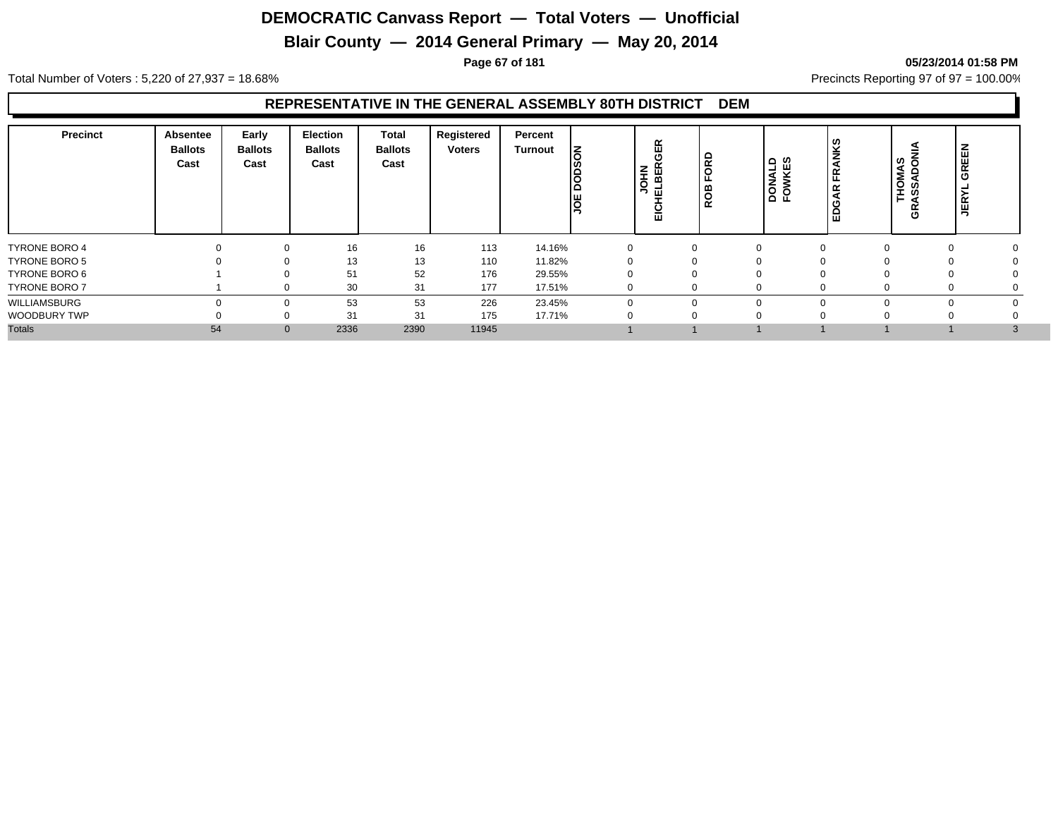## **Blair County — 2014 General Primary — May 20, 2014**

#### **Page 67 of 181 05/23/2014 01:58 PM**

Total Number of Voters : 5,220 of 27,937 = 18.68% Precincts Reporting 97 of 97 = 100.00%

#### **REPRESENTATIVE IN THE GENERAL ASSEMBLY 80TH DISTRICT DEM**

| Precinct             | <b>Absentee</b><br><b>Ballots</b><br>Cast | Early<br><b>Ballots</b><br>Cast | Election<br><b>Ballots</b><br>Cast | <b>Total</b><br><b>Ballots</b><br>Cast | Registered<br>Voters | Percent<br><b>Turnout</b> | Ιš<br>jë<br>D<br>lg | GER<br><b>NHOL</b><br>ш<br>ш<br>븞 | 윤<br> 8<br><b>ROB</b> | DONALD<br>FOWKES | ζŚ<br>FRANI<br><b>AR</b><br>Ö<br>۱à | ラ<br>THOMAS<br>ASSADON<br>5 | GREEN<br><b>JER</b> |              |
|----------------------|-------------------------------------------|---------------------------------|------------------------------------|----------------------------------------|----------------------|---------------------------|---------------------|-----------------------------------|-----------------------|------------------|-------------------------------------|-----------------------------|---------------------|--------------|
| <b>TYRONE BORO 4</b> |                                           | 0                               | 16                                 | 16                                     | 113                  | 14.16%                    |                     |                                   | $\Omega$              | $\Omega$         |                                     | $\Omega$                    | 0                   |              |
| <b>TYRONE BORO 5</b> |                                           | $\Omega$                        | 13                                 | 13                                     | 110                  | 11.82%                    |                     |                                   |                       | $\Omega$         |                                     |                             | 0                   |              |
| TYRONE BORO 6        |                                           |                                 | 51                                 | 52                                     | 176                  | 29.55%                    |                     |                                   |                       | $\Omega$         |                                     |                             |                     |              |
| <b>TYRONE BORO 7</b> |                                           |                                 | 30                                 | 31                                     | 177                  | 17.51%                    |                     |                                   | U                     | $\Omega$         |                                     |                             | υ                   |              |
| WILLIAMSBURG         |                                           | ∩                               | 53                                 | 53                                     | 226                  | 23.45%                    |                     |                                   | $\Omega$              | $\Omega$         |                                     |                             |                     |              |
| WOODBURY TWP         |                                           | C                               | 31                                 | 31                                     | 175                  | 17.71%                    |                     |                                   |                       | $\Omega$         |                                     |                             |                     |              |
| <b>Totals</b>        | 54                                        | $\mathbf{0}$                    | 2336                               | 2390                                   | 11945                |                           |                     |                                   |                       |                  |                                     |                             |                     | $\mathbf{3}$ |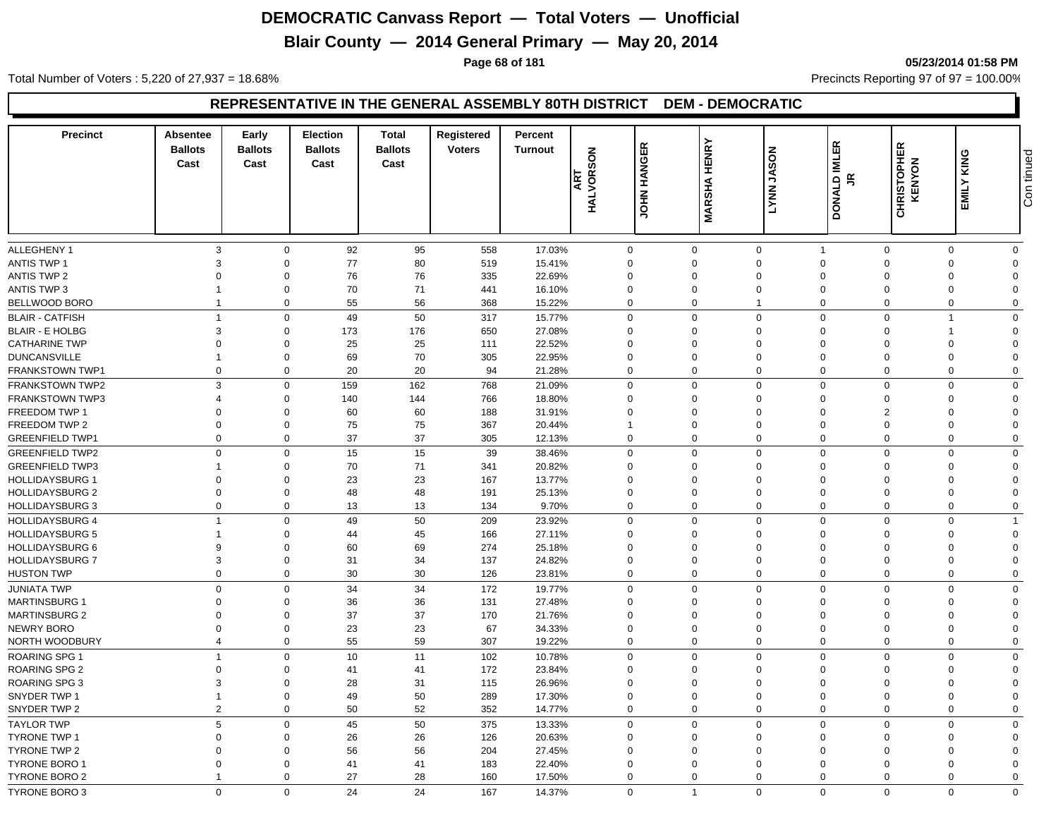## **Blair County — 2014 General Primary — May 20, 2014**

**Page 68 of 181 05/23/2014 01:58 PM**

Total Number of Voters : 5,220 of 27,937 = 18.68% Precincts Reporting 97 of 97 = 100.00%

#### **REPRESENTATIVE IN THE GENERAL ASSEMBLY 80TH DISTRICT DEM - DEMOCRATIC**

| <b>Precinct</b>        | Absentee<br><b>Ballots</b><br>Cast | Early<br><b>Ballots</b><br>Cast | <b>Election</b><br><b>Ballots</b><br>Cast | <b>Total</b><br><b>Ballots</b><br>Cast | Registered<br><b>Voters</b> | Percent<br><b>Turnout</b> | <b>ART<br/>HALVORSON</b> | <b>JOHN HANGER</b> | <b>MARSHA HENRY</b> | <b>NOSAL</b><br>LYNN.      | DONALD IMLER<br>$\tilde{\mathbf{r}}$ | <b>CHRISTOPHER</b><br>KENYON | EMILY KING           | Con tinued     |
|------------------------|------------------------------------|---------------------------------|-------------------------------------------|----------------------------------------|-----------------------------|---------------------------|--------------------------|--------------------|---------------------|----------------------------|--------------------------------------|------------------------------|----------------------|----------------|
|                        |                                    |                                 |                                           |                                        |                             |                           |                          |                    |                     |                            |                                      |                              |                      |                |
| ALLEGHENY 1            | 3                                  | $\mathbf 0$                     | 92                                        | 95                                     | 558                         | 17.03%                    | $\mathbf 0$              |                    | $\mathbf 0$         | $\mathbf 0$                | $\overline{1}$                       | $\mathbf 0$                  | $\mathbf 0$          | $\mathbf 0$    |
| <b>ANTIS TWP 1</b>     | 3                                  | $\mathbf 0$                     | 77                                        | 80                                     | 519                         | 15.41%                    | $\mathbf 0$              |                    | $\Omega$            | $\mathbf 0$                | $\Omega$                             | $\Omega$                     | $\Omega$             | $\Omega$       |
| <b>ANTIS TWP 2</b>     | $\Omega$                           | $\Omega$                        | 76                                        | 76                                     | 335                         | 22.69%                    | $\Omega$                 |                    | $\Omega$            | $\Omega$                   | $\Omega$                             | $\Omega$                     | $\Omega$             | $\Omega$       |
| <b>ANTIS TWP 3</b>     |                                    | $\mathbf 0$                     | 70                                        | 71                                     | 441                         | 16.10%                    | $\mathbf 0$              |                    | $\Omega$            | $\mathbf 0$                | $\Omega$                             | $\Omega$                     | $\Omega$             | $\Omega$       |
| BELLWOOD BORO          | $\mathbf{1}$                       | $\mathbf 0$                     | 55                                        | 56                                     | 368                         | 15.22%                    | $\mathbf 0$              |                    | $\mathbf 0$         | $\overline{1}$             | $\mathbf 0$                          | $\mathbf 0$                  | $\mathbf 0$          | $\mathbf 0$    |
| <b>BLAIR - CATFISH</b> | $\overline{1}$                     | $\Omega$                        | 49                                        | 50                                     | 317                         | 15.77%                    | $\mathbf 0$              |                    | $\Omega$            | $\mathbf 0$                | $\Omega$                             | $\Omega$                     | 1                    | $\Omega$       |
| <b>BLAIR - E HOLBG</b> | 3                                  | $\mathbf 0$                     | 173                                       | 176                                    | 650                         | 27.08%                    | $\mathbf 0$              |                    | $\Omega$            | $\mathbf 0$                | $\mathbf 0$                          | $\Omega$                     |                      | $\Omega$       |
| <b>CATHARINE TWP</b>   | $\Omega$                           | $\mathbf 0$                     | 25                                        | 25                                     | 111                         | 22.52%                    | $\Omega$                 |                    | $\Omega$            | $\Omega$                   | $\Omega$                             | $\Omega$                     | $\Omega$             | $\Omega$       |
| <b>DUNCANSVILLE</b>    |                                    | $\mathbf 0$                     | 69                                        | 70                                     | 305                         | 22.95%                    | $\mathbf 0$              |                    | $\mathbf 0$         | $\mathbf 0$                | $\mathbf 0$                          | $\Omega$                     | $\Omega$             | $\Omega$       |
| FRANKSTOWN TWP1        | $\mathbf 0$                        | $\mathbf 0$                     | 20                                        | 20                                     | 94                          | 21.28%                    | $\mathbf 0$              |                    | $\mathbf 0$         | $\mathbf 0$                | $\mathbf 0$                          | $\mathbf 0$                  | $\mathbf 0$          | $\overline{0}$ |
| <b>FRANKSTOWN TWP2</b> | 3                                  | $\mathbf 0$                     | 159                                       | 162                                    | 768                         | 21.09%                    | $\mathbf 0$              |                    | $\Omega$            | $\mathbf 0$                | $\Omega$                             | $\Omega$                     | $\Omega$             | $\Omega$       |
| FRANKSTOWN TWP3        | $\boldsymbol{\Delta}$              | $\Omega$                        | 140                                       | 144                                    | 766                         | 18.80%                    | $\Omega$                 |                    | $\Omega$            | $\mathbf 0$                | $\Omega$                             | $\Omega$                     | $\Omega$             | $\Omega$       |
| FREEDOM TWP 1          | $\mathbf 0$                        | $\mathbf 0$                     | 60                                        | 60                                     | 188                         | 31.91%                    | $\mathbf 0$              |                    | 0                   | $\mathbf 0$                | $\Omega$                             | $\mathcal{P}$                | $\Omega$             | $\Omega$       |
| FREEDOM TWP 2          | $\mathbf 0$                        | $\mathbf 0$                     | 75                                        | 75                                     | 367                         | 20.44%                    | $\mathbf{1}$             |                    | $\mathbf 0$         | $\mathbf 0$                | $\mathbf 0$                          | $\Omega$                     | $\Omega$             | $\Omega$       |
| <b>GREENFIELD TWP1</b> | $\mathbf 0$                        | $\mathbf 0$                     | 37                                        | 37                                     | 305                         | 12.13%                    | $\mathbf 0$              |                    | $\mathbf 0$         | $\mathbf 0$                | $\mathbf 0$                          | $\Omega$                     | $\mathbf 0$          | $\mathbf 0$    |
| <b>GREENFIELD TWP2</b> | $\mathbf 0$                        | $\Omega$                        | 15                                        | 15                                     | 39                          | 38.46%                    | $\mathbf 0$              |                    | $\mathbf 0$         | $\mathbf 0$                | $\Omega$                             | $\Omega$                     | $\Omega$             | $\mathbf 0$    |
| <b>GREENFIELD TWP3</b> |                                    | $\mathbf 0$                     | 70                                        | 71                                     | 341                         | 20.82%                    | $\Omega$                 |                    | $\Omega$            | $\mathbf 0$                | $\Omega$                             |                              | $\Omega$             | $\Omega$       |
| <b>HOLLIDAYSBURG 1</b> | $\overline{0}$                     | $\mathbf 0$                     | 23                                        | 23                                     | 167                         | 13.77%                    | $\mathbf 0$              |                    | 0                   | $\mathbf 0$                | $\Omega$                             |                              | $\Omega$             | $\Omega$       |
| <b>HOLLIDAYSBURG 2</b> | $\mathbf 0$                        | $\mathbf 0$                     | 48                                        | 48                                     | 191                         | 25.13%                    | 0                        |                    | $\mathbf 0$         | $\mathbf 0$                | $\mathbf 0$                          | $\Omega$                     | $\mathbf 0$          | $\overline{0}$ |
| <b>HOLLIDAYSBURG 3</b> | $\mathbf 0$                        | $\mathbf 0$                     | 13                                        | 13                                     | 134                         | 9.70%                     | $\mathbf 0$              |                    | $\mathbf 0$         | $\mathbf 0$                | $\mathbf 0$                          | $\Omega$                     | $\Omega$             | $\mathbf 0$    |
| <b>HOLLIDAYSBURG 4</b> | $\overline{1}$                     | $\mathbf 0$                     | 49                                        | 50                                     | 209                         | 23.92%                    | $\mathbf 0$              |                    | $\Omega$            | $\mathbf 0$                | $\Omega$                             | $\Omega$                     | $\Omega$             | $\overline{1}$ |
| <b>HOLLIDAYSBURG 5</b> | $\overline{1}$                     | $\mathbf 0$                     | 44                                        | 45                                     | 166                         | 27.11%                    | $\Omega$                 |                    | $\Omega$            | $\mathbf 0$                | $\Omega$                             | $\Omega$                     | $\Omega$             | $\mathbf 0$    |
| <b>HOLLIDAYSBURG 6</b> | 9                                  | $\mathbf 0$                     | 60                                        | 69                                     | 274                         | 25.18%                    | 0                        |                    | $\mathbf 0$         | $\mathbf 0$                | $\Omega$                             | $\Omega$                     | $\Omega$             | $\Omega$       |
| <b>HOLLIDAYSBURG 7</b> | 3                                  | $\mathbf 0$                     | 31                                        | 34                                     | 137                         | 24.82%                    | 0                        |                    | 0                   | $\mathbf 0$                | $\Omega$                             | $\Omega$                     | $\Omega$             | $\Omega$       |
| <b>HUSTON TWP</b>      | $\mathbf 0$                        | $\mathbf 0$                     | 30                                        | 30                                     | 126                         | 23.81%                    | 0                        |                    | $\pmb{0}$           | $\mathbf 0$                | $\mathbf 0$                          | $\mathbf 0$                  | $\Omega$             | $\mathbf 0$    |
| <b>JUNIATA TWP</b>     | $\mathbf 0$                        | $\mathbf 0$                     | 34                                        | 34                                     | 172                         | 19.77%                    | $\mathbf 0$              |                    | $\Omega$            | $\mathbf 0$                | $\Omega$                             | $\Omega$                     | $\Omega$             | $\mathbf 0$    |
| <b>MARTINSBURG 1</b>   | $\mathbf 0$                        | $\mathbf 0$                     | 36                                        | 36                                     | 131                         | 27.48%                    |                          |                    | $\mathbf 0$         | $\mathbf 0$                | $\Omega$                             | $\Omega$                     | $\Omega$             | $\Omega$       |
| <b>MARTINSBURG 2</b>   | $\Omega$                           | $\mathbf 0$                     | 37                                        | 37                                     | 170                         | 21.76%                    | 0<br>$\Omega$            |                    | $\Omega$            | $\mathbf 0$                | $\Omega$                             | $\Omega$                     | $\Omega$             | $\Omega$       |
| <b>NEWRY BORO</b>      | $\Omega$                           | $\mathbf 0$                     | 23                                        | 23                                     | 67                          | 34.33%                    | 0                        |                    | $\mathbf 0$         | $\mathbf 0$                | $\Omega$                             | $\Omega$                     | $\Omega$             | $\Omega$       |
| NORTH WOODBURY         | $\overline{4}$                     | $\mathbf 0$                     | 55                                        | 59                                     | 307                         | 19.22%                    | $\mathbf 0$              |                    | $\mathbf 0$         | $\mathbf 0$                | $\mathbf 0$                          | $\mathbf 0$                  | $\mathbf 0$          | $\overline{0}$ |
|                        | $\overline{1}$                     |                                 |                                           |                                        |                             |                           |                          |                    |                     |                            |                                      | $\Omega$                     |                      |                |
| <b>ROARING SPG 1</b>   |                                    | $\mathbf 0$                     | 10                                        | 11                                     | 102                         | 10.78%                    | $\mathbf 0$              |                    | $\mathbf 0$         | $\mathbf 0$                | $\Omega$                             |                              | $\Omega$             | $\mathbf 0$    |
| ROARING SPG 2          | $\Omega$                           | $\mathbf 0$                     | 41                                        | 41                                     | 172                         | 23.84%                    | $\mathbf 0$              |                    | 0                   | $\mathbf 0$                | $\Omega$                             | $\Omega$                     | $\Omega$             | $\Omega$       |
| <b>ROARING SPG 3</b>   | 3                                  | $\mathbf 0$                     | 28                                        | 31                                     | 115                         | 26.96%                    | $\mathbf 0$              |                    | 0                   | $\mathbf 0$<br>$\mathbf 0$ | $\Omega$                             | $\Omega$                     | $\Omega$             | $\Omega$       |
| SNYDER TWP 1           | $\mathbf{1}$<br>$\overline{2}$     | $\mathbf 0$                     | 49                                        | 50                                     | 289                         | 17.30%                    | $\mathbf 0$              |                    | 0<br>$\Omega$       |                            | $\Omega$<br>$\Omega$                 | $\Omega$                     | $\Omega$<br>$\Omega$ | $\Omega$       |
| SNYDER TWP 2           |                                    | $\mathbf 0$                     | 50                                        | 52                                     | 352                         | 14.77%                    | $\mathbf 0$              |                    |                     | $\mathbf 0$                |                                      | $\Omega$                     |                      | $\mathbf 0$    |
| <b>TAYLOR TWP</b>      | 5                                  | $\mathbf 0$                     | 45                                        | 50                                     | 375                         | 13.33%                    | $\mathbf 0$              |                    | $\mathbf 0$         | $\mathbf 0$                | $\mathbf 0$                          | $\mathbf 0$                  | $\Omega$             | $\mathbf 0$    |
| <b>TYRONE TWP 1</b>    | $\Omega$                           | $\mathbf 0$                     | 26                                        | 26                                     | 126                         | 20.63%                    | $\mathbf 0$              |                    | $\mathbf 0$         | $\mathbf 0$                | $\Omega$                             | $\Omega$                     | $\Omega$             | $\Omega$       |
| TYRONE TWP 2           | $\Omega$                           | $\mathbf 0$                     | 56                                        | 56                                     | 204                         | 27.45%                    | $\Omega$                 |                    | $\mathbf 0$         | $\Omega$                   | $\Omega$                             | $\Omega$                     | $\Omega$             | $\Omega$       |
| <b>TYRONE BORO 1</b>   | $\Omega$                           | $\mathbf 0$                     | 41                                        | 41                                     | 183                         | 22.40%                    | $\Omega$                 |                    | $\mathbf 0$         | $\mathbf 0$                | $\Omega$                             | $\Omega$                     | $\Omega$             | $\Omega$       |
| <b>TYRONE BORO 2</b>   | $\overline{1}$                     | $\mathbf 0$                     | 27                                        | 28                                     | 160                         | 17.50%                    | $\mathbf 0$              |                    | $\Omega$            | $\mathbf 0$                | $\Omega$                             | $\Omega$                     | $\Omega$             | $\mathbf 0$    |
| <b>TYRONE BORO 3</b>   | $\Omega$                           | $\Omega$                        | 24                                        | 24                                     | 167                         | 14.37%                    | $\Omega$                 |                    | $\overline{1}$      | $\Omega$                   | $\Omega$                             | $\Omega$                     | $\Omega$             | $\Omega$       |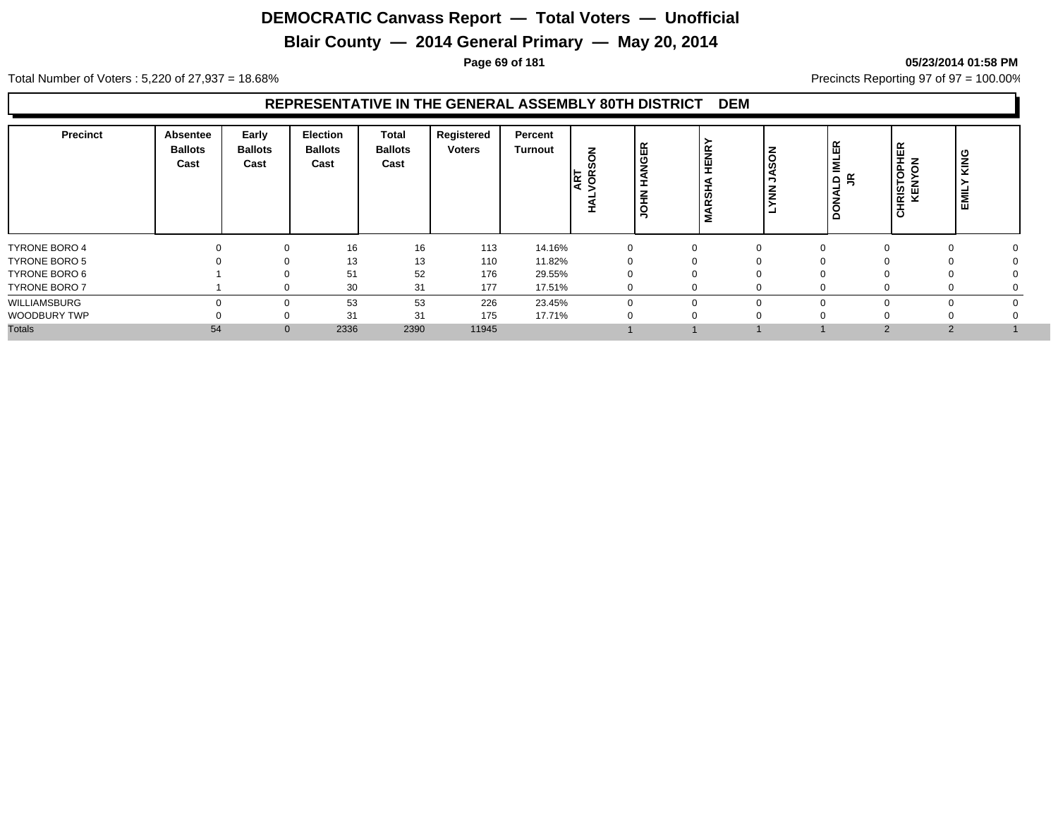## **Blair County — 2014 General Primary — May 20, 2014**

#### **Page 69 of 181 05/23/2014 01:58 PM**

Total Number of Voters : 5,220 of 27,937 = 18.68% Precincts Reporting 97 of 97 = 100.00%

#### **REPRESENTATIVE IN THE GENERAL ASSEMBLY 80TH DISTRICT DEM**

| <b>Precinct</b>      | <b>Absentee</b><br><b>Ballots</b><br>Cast | Early<br><b>Ballots</b><br>Cast | <b>Election</b><br><b>Ballots</b><br>Cast | Total<br><b>Ballots</b><br>Cast | Registered<br><b>Voters</b> | Percent<br><b>Turnout</b> | š<br>ဖာ<br><b>ART</b><br>VOR:<br>∸ | 띥<br><b>DE</b><br>E<br>$\frac{2}{1}$ | <b>HENR</b><br><b>ARSHA</b><br>Σ | <b>NOS</b><br>$\tilde{\epsilon}$ | 띥<br><b>N</b><br>$Q \nsubseteq$<br>L. | <b>HRISTOPHER<br/>KENYON</b><br>ပ | KING<br><b>EMIL</b> |  |
|----------------------|-------------------------------------------|---------------------------------|-------------------------------------------|---------------------------------|-----------------------------|---------------------------|------------------------------------|--------------------------------------|----------------------------------|----------------------------------|---------------------------------------|-----------------------------------|---------------------|--|
| <b>TYRONE BORO 4</b> |                                           |                                 | 16                                        | 16                              | 113                         | 14.16%                    |                                    |                                      | $\mathbf{0}$                     | $\Omega$                         | $\Omega$                              |                                   |                     |  |
| <b>TYRONE BORO 5</b> |                                           |                                 | 13                                        | 13                              | 110                         | 11.82%                    |                                    |                                      | $\Omega$                         |                                  |                                       |                                   |                     |  |
| TYRONE BORO 6        |                                           |                                 | 51                                        | 52                              | 176                         | 29.55%                    |                                    |                                      |                                  |                                  |                                       |                                   |                     |  |
| <b>TYRONE BORO 7</b> |                                           |                                 | 30                                        | 31                              | 177                         | 17.51%                    |                                    |                                      |                                  | $\Omega$                         |                                       |                                   |                     |  |
| WILLIAMSBURG         |                                           |                                 | 53                                        | 53                              | 226                         | 23.45%                    |                                    |                                      |                                  | $\Omega$                         | $\Omega$                              |                                   |                     |  |
| WOODBURY TWP         |                                           |                                 | 31                                        | 31                              | 175                         | 17.71%                    |                                    |                                      |                                  |                                  |                                       |                                   |                     |  |
| <b>Totals</b>        | 54                                        | $\mathbf{0}$                    | 2336                                      | 2390                            | 11945                       |                           |                                    |                                      |                                  |                                  |                                       | $\mathcal{P}$                     |                     |  |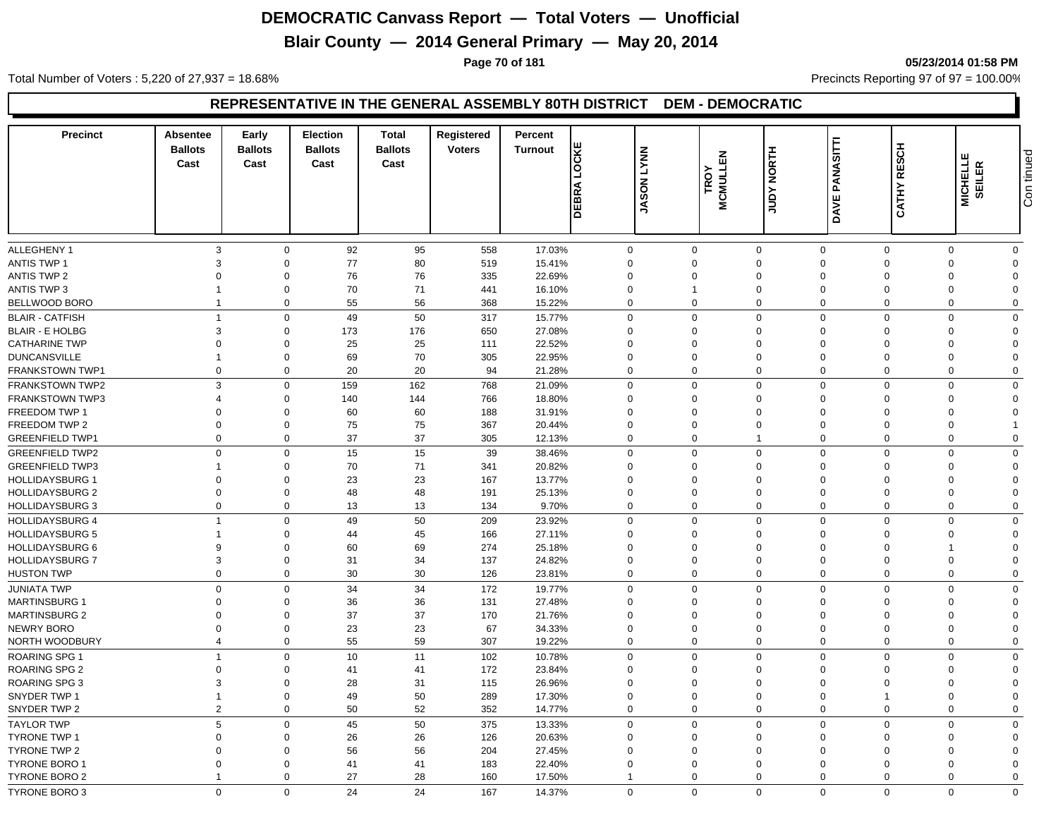## **Blair County — 2014 General Primary — May 20, 2014**

**Page 70 of 181 05/23/2014 01:58 PM**

Total Number of Voters : 5,220 of 27,937 = 18.68% Precincts Reporting 97 of 97 = 100.00%

#### **REPRESENTATIVE IN THE GENERAL ASSEMBLY 80TH DISTRICT DEM - DEMOCRATIC**

| <b>Precinct</b>                           | Absentee<br><b>Ballots</b><br>Cast | Early<br><b>Ballots</b><br>Cast | <b>Election</b><br><b>Ballots</b><br>Cast | <b>Total</b><br><b>Ballots</b><br>Cast | Registered<br><b>Voters</b> | Percent<br><b>Turnout</b> | LOCKE<br>DEBRA | <b>NNAT NOS</b><br>ξ | 显<br><b>MCMULL</b><br>TROY | <b>HLNON AGNT</b>          | PANASITTI<br>DAVE    | <b>RESCH</b><br><b>CATHY</b> | MICHELLE<br>SEILER   | Con tinued              |
|-------------------------------------------|------------------------------------|---------------------------------|-------------------------------------------|----------------------------------------|-----------------------------|---------------------------|----------------|----------------------|----------------------------|----------------------------|----------------------|------------------------------|----------------------|-------------------------|
| ALLEGHENY 1                               | 3                                  | $\mathbf 0$                     | 92                                        | 95                                     | 558                         | 17.03%                    | 0              |                      | $\mathbf 0$                | $\mathbf 0$                | $\mathbf 0$          | $\Omega$                     | $\Omega$             | $\Omega$                |
| ANTIS TWP 1                               | 3                                  | $\Omega$                        | 77                                        | 80                                     | 519                         | 15.41%                    | $\Omega$       |                      | $\Omega$                   | $\mathbf 0$                | $\Omega$             | $\Omega$                     | $\Omega$             | $\Omega$                |
| <b>ANTIS TWP 2</b>                        | $\Omega$                           | $\Omega$                        | 76                                        | 76                                     | 335                         | 22.69%                    | $\mathbf 0$    |                      | $\Omega$                   | $\mathbf 0$                | $\Omega$             | $\Omega$                     | $\Omega$             |                         |
| <b>ANTIS TWP 3</b>                        |                                    | $\mathbf 0$                     | 70                                        | 71                                     | 441                         | 16.10%                    | $\mathbf 0$    |                      |                            | $\mathbf 0$                | $\mathbf 0$          | $\Omega$                     | $\Omega$             | $\Omega$                |
| BELLWOOD BORO                             | $\overline{1}$                     | $\mathbf 0$                     | 55                                        | 56                                     | 368                         | 15.22%                    | $\mathbf 0$    |                      | $\mathbf 0$                | $\mathbf 0$                | $\mathbf 0$          | $\mathbf 0$                  | $\mathbf 0$          | $\Omega$                |
| <b>BLAIR - CATFISH</b>                    | $\overline{1}$                     | $\Omega$                        | 49                                        | 50                                     | 317                         | 15.77%                    | $\mathbf 0$    |                      | $\Omega$                   | $\mathbf 0$                | $\Omega$             | $\Omega$                     | $\Omega$             | $\Omega$                |
| <b>BLAIR - E HOLBG</b>                    | 3                                  | $\Omega$                        | 173                                       | 176                                    | 650                         | 27.08%                    | $\Omega$       |                      | $\Omega$                   | $\mathbf 0$                | $\Omega$             | $\Omega$                     | $\Omega$             | $\Omega$                |
| <b>CATHARINE TWP</b>                      | $\mathbf 0$                        | $\mathbf 0$                     | 25                                        | 25                                     | 111                         | 22.52%                    | $\mathbf 0$    |                      | 0                          | $\mathbf 0$                | $\Omega$             | $\Omega$                     | $\Omega$             | $\Omega$                |
| <b>DUNCANSVILLE</b>                       |                                    | $\mathbf 0$                     | 69                                        | 70                                     | 305                         | 22.95%                    | $\mathbf 0$    |                      | $\mathbf 0$                | $\mathbf 0$                | $\mathbf 0$          | $\Omega$                     | $\mathbf 0$          | $\Omega$                |
| <b>FRANKSTOWN TWP1</b>                    | $\mathbf 0$                        | $\mathbf 0$                     | 20                                        | 20                                     | 94                          | 21.28%                    | $\mathbf 0$    |                      | $\mathbf 0$                | $\mathbf 0$                | $\mathbf 0$          | $\mathbf 0$                  | $\mathbf 0$          | $\mathbf 0$             |
|                                           | 3                                  |                                 |                                           |                                        |                             |                           |                |                      | $\Omega$                   |                            | $\Omega$             |                              |                      |                         |
| FRANKSTOWN TWP2<br><b>FRANKSTOWN TWP3</b> | $\overline{4}$                     | $\mathbf 0$<br>$\mathbf 0$      | 159                                       | 162                                    | 768<br>766                  | 21.09%                    | 0<br>$\Omega$  |                      | $\Omega$                   | $\mathbf 0$<br>$\mathbf 0$ | $\Omega$             | $\Omega$<br>$\Omega$         | $\Omega$<br>$\Omega$ | $\mathbf 0$<br>$\Omega$ |
| FREEDOM TWP 1                             | $\Omega$                           | $\mathbf 0$                     | 140<br>60                                 | 144<br>60                              | 188                         | 18.80%<br>31.91%          | $\Omega$       |                      | 0                          | $\mathbf 0$                | $\Omega$             | $\Omega$                     | $\Omega$             | $\Omega$                |
| FREEDOM TWP 2                             | $\mathbf 0$                        | $\mathbf 0$                     | 75                                        | 75                                     |                             |                           | $\mathbf 0$    |                      | 0                          | $\mathbf 0$                | $\mathbf 0$          | $\Omega$                     | $\mathbf 0$          |                         |
| <b>GREENFIELD TWP1</b>                    | $\mathbf 0$                        | $\mathbf 0$                     | 37                                        | 37                                     | 367<br>305                  | 20.44%<br>12.13%          | $\mathbf 0$    |                      | $\mathbf 0$                | $\mathbf{1}$               | $\mathbf 0$          | $\Omega$                     | $\Omega$             | $\mathbf 0$             |
|                                           |                                    |                                 |                                           |                                        |                             |                           |                |                      |                            |                            |                      |                              |                      |                         |
| <b>GREENFIELD TWP2</b>                    | $\mathbf 0$                        | $\mathbf 0$                     | 15                                        | 15                                     | 39                          | 38.46%                    | $\mathbf 0$    |                      | $\mathbf 0$                | $\mathbf 0$                | $\mathbf{0}$         | $\Omega$                     | $\Omega$             | $\mathbf 0$             |
| <b>GREENFIELD TWP3</b>                    |                                    | $\mathbf 0$                     | 70                                        | 71                                     | 341                         | 20.82%                    | $\mathbf 0$    |                      | $\mathbf 0$                | $\mathbf 0$                | $\Omega$             | $\Omega$                     | $\Omega$             | $\Omega$                |
| <b>HOLLIDAYSBURG 1</b>                    | $\Omega$<br>$\Omega$               | $\mathbf 0$                     | 23                                        | 23                                     | 167                         | 13.77%                    | $\Omega$       |                      | $\Omega$                   | $\mathbf 0$                | $\Omega$<br>$\Omega$ | $\Omega$<br>$\Omega$         | $\Omega$             | $\Omega$<br>$\Omega$    |
| <b>HOLLIDAYSBURG 2</b>                    | $\mathbf 0$                        | $\mathbf 0$                     | 48                                        | 48                                     | 191                         | 25.13%                    | 0              |                      | $\mathbf 0$                | $\mathbf 0$                |                      |                              | $\Omega$             |                         |
| <b>HOLLIDAYSBURG 3</b>                    |                                    | $\mathbf 0$                     | 13                                        | 13                                     | 134                         | 9.70%                     | $\mathbf 0$    |                      | $\pmb{0}$                  | $\mathbf 0$                | $\mathbf 0$          | $\mathbf 0$                  | $\mathbf 0$          | $\overline{0}$          |
| <b>HOLLIDAYSBURG 4</b>                    | $\overline{1}$                     | $\mathbf 0$                     | 49                                        | 50                                     | 209                         | 23.92%                    | $\mathbf 0$    |                      | $\mathbf 0$                | $\mathbf 0$                | $\mathbf 0$          | $\Omega$                     | $\Omega$             | $\mathbf 0$             |
| <b>HOLLIDAYSBURG 5</b>                    | -1                                 | $\mathbf 0$                     | 44                                        | 45                                     | 166                         | 27.11%                    | $\Omega$       |                      | $\Omega$                   | $\mathbf 0$                | $\Omega$             | $\Omega$                     | $\Omega$             | $\Omega$                |
| <b>HOLLIDAYSBURG 6</b>                    | 9                                  | $\mathbf 0$                     | 60                                        | 69                                     | 274                         | 25.18%                    | $\mathbf 0$    |                      | 0                          | $\mathbf 0$                | $\Omega$             | $\Omega$                     |                      | $\Omega$                |
| <b>HOLLIDAYSBURG 7</b>                    | 3                                  | $\mathbf 0$                     | 31                                        | 34                                     | 137                         | 24.82%                    | $\Omega$       |                      | 0                          | $\mathbf 0$                | $\Omega$             | $\Omega$                     | $\Omega$             | $\Omega$                |
| <b>HUSTON TWP</b>                         | $\Omega$                           | $\mathbf 0$                     | 30                                        | 30                                     | 126                         | 23.81%                    | $\mathbf 0$    |                      | $\mathbf 0$                | $\mathbf 0$                | $\Omega$             | $\mathbf 0$                  | $\Omega$             | $\overline{0}$          |
| <b>JUNIATA TWP</b>                        | $\mathbf 0$                        | $\mathbf 0$                     | 34                                        | 34                                     | 172                         | 19.77%                    | $\mathbf 0$    |                      | $\mathbf 0$                | $\mathbf 0$                | $\Omega$             | $\Omega$                     | $\Omega$             | $\mathbf 0$             |
| <b>MARTINSBURG 1</b>                      | $\Omega$                           | $\mathbf 0$                     | 36                                        | 36                                     | 131                         | 27.48%                    | $\mathbf 0$    |                      | $\mathbf 0$                | $\mathbf 0$                | $\Omega$             | $\Omega$                     | $\Omega$             | $\Omega$                |
| <b>MARTINSBURG 2</b>                      | $\Omega$                           | $\Omega$                        | 37                                        | 37                                     | 170                         | 21.76%                    | $\Omega$       |                      | $\Omega$                   | 0                          | $\Omega$             | $\Omega$                     | $\Omega$             | $\Omega$                |
| <b>NEWRY BORO</b>                         | $\Omega$                           | $\mathbf 0$                     | 23                                        | 23                                     | 67                          | 34.33%                    | $\mathbf 0$    |                      | $\mathbf 0$                | $\mathbf 0$                | $\Omega$             | $\Omega$                     | $\Omega$             | $\Omega$                |
| NORTH WOODBURY                            | $\overline{4}$                     | $\mathbf 0$                     | 55                                        | 59                                     | 307                         | 19.22%                    | $\mathbf 0$    |                      | $\mathbf 0$                | $\mathbf 0$                | $\mathbf 0$          | $\Omega$                     | 0                    | $\mathbf 0$             |
| <b>ROARING SPG 1</b>                      | $\overline{1}$                     | $\mathbf 0$                     | 10                                        | 11                                     | 102                         | 10.78%                    | $\mathbf 0$    |                      | $\mathbf 0$                | $\mathbf 0$                | $\mathbf 0$          | $\Omega$                     | $\Omega$             | $\mathbf 0$             |
| ROARING SPG 2                             | $\Omega$                           | $\mathbf 0$                     | 41                                        | 41                                     | 172                         | 23.84%                    | $\mathbf 0$    |                      | $\Omega$                   | $\mathbf 0$                | $\Omega$             | $\Omega$                     | $\Omega$             | $\Omega$                |
| <b>ROARING SPG 3</b>                      | 3                                  | $\mathbf 0$                     | 28                                        | 31                                     | 115                         | 26.96%                    | $\mathbf 0$    |                      | 0                          | $\mathbf 0$                | $\Omega$             | $\Omega$                     | $\Omega$             | $\Omega$                |
| SNYDER TWP 1                              | -1                                 | $\mathbf 0$                     | 49                                        | 50                                     | 289                         | 17.30%                    | $\Omega$       |                      | $\overline{0}$             | $\mathbf 0$                | $\Omega$             |                              | $\Omega$             | $\Omega$                |
| SNYDER TWP 2                              | $\overline{2}$                     | $\mathbf 0$                     | 50                                        | 52                                     | 352                         | 14.77%                    | $\mathbf 0$    |                      | $\mathbf 0$                | $\mathbf 0$                | $\mathbf 0$          | $\Omega$                     | $\mathbf 0$          | $\mathbf 0$             |
| <b>TAYLOR TWP</b>                         | 5                                  | $\Omega$                        | 45                                        | 50                                     | 375                         | 13.33%                    | $\mathbf 0$    |                      | $\mathbf 0$                | $\mathbf 0$                | $\mathbf 0$          | $\Omega$                     | $\Omega$             | $\Omega$                |
| <b>TYRONE TWP 1</b>                       | $\Omega$                           | $\mathbf 0$                     | 26                                        | 26                                     | 126                         | 20.63%                    | $\mathbf 0$    |                      | 0                          | $\mathbf 0$                | $\Omega$             | $\Omega$                     | $\Omega$             | $\Omega$                |
| <b>TYRONE TWP 2</b>                       | $\Omega$                           | $\mathbf 0$                     | 56                                        | 56                                     | 204                         | 27.45%                    | $\Omega$       |                      | $\Omega$                   | $\mathbf 0$                | $\Omega$             | $\Omega$                     | $\Omega$             | $\Omega$                |
| <b>TYRONE BORO 1</b>                      | $\Omega$                           | $\Omega$                        | 41                                        | 41                                     | 183                         | 22.40%                    | $\mathbf 0$    |                      | $\mathbf 0$                | $\mathbf 0$                | $\Omega$             |                              | $\Omega$             | $\Omega$                |
| <b>TYRONE BORO 2</b>                      | -1                                 | $\mathbf 0$                     | 27                                        | 28                                     | 160                         | 17.50%                    | $\overline{1}$ |                      | $\Omega$                   | $\Omega$                   | $\Omega$             | $\Omega$                     | $\mathbf 0$          | $\Omega$                |
| <b>TYRONE BORO 3</b>                      | $\Omega$                           | $\Omega$                        | 24                                        | 24                                     | 167                         | 14.37%                    | $\Omega$       |                      | $\Omega$                   | $\Omega$                   | $\Omega$             | $\Omega$                     | $\Omega$             | $\Omega$                |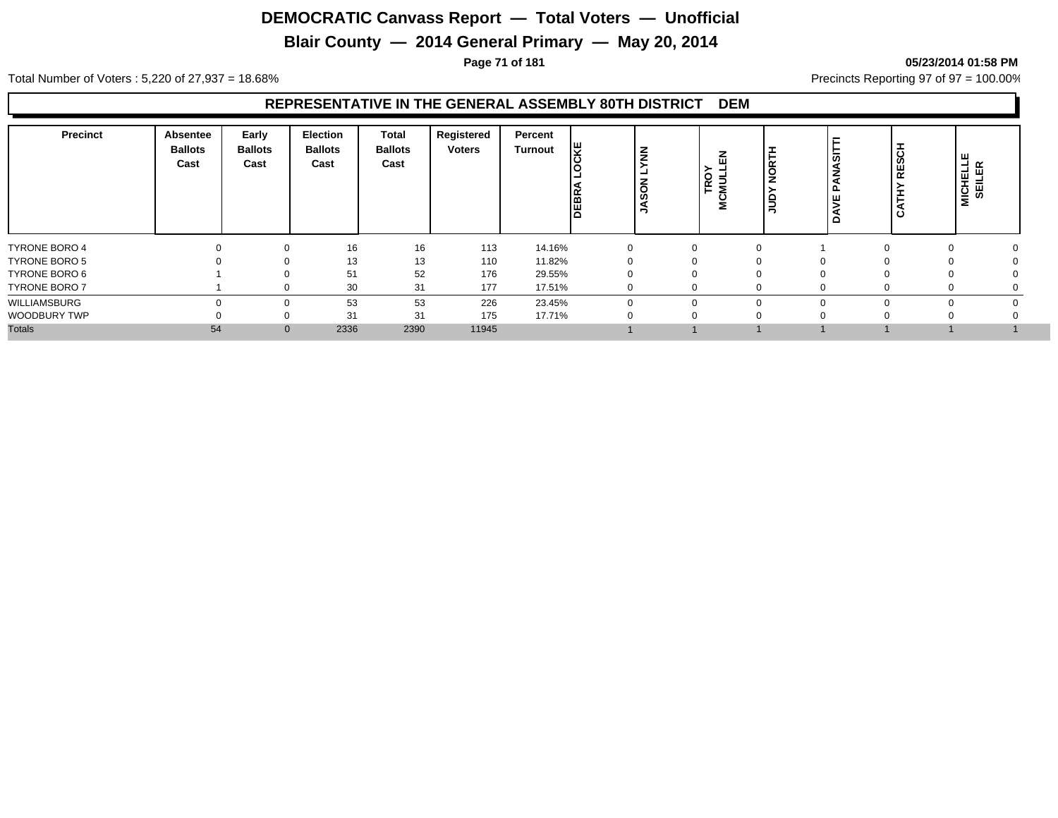## **Blair County — 2014 General Primary — May 20, 2014**

#### **Page 71 of 181 05/23/2014 01:58 PM**

Total Number of Voters : 5,220 of 27,937 = 18.68% Precincts Reporting 97 of 97 = 100.00%

#### **REPRESENTATIVE IN THE GENERAL ASSEMBLY 80TH DISTRICT DEM**

| <b>Precinct</b>      | <b>Absentee</b><br><b>Ballots</b><br>Cast | Early<br><b>Ballots</b><br>Cast | Election<br><b>Ballots</b><br>Cast | Total<br><b>Ballots</b><br>Cast | Registered<br><b>Voters</b> | Percent<br>Turnout | <b>CKE</b><br>DEBR | $\tilde{\epsilon}$<br>$\overline{6}$<br>ဖ | <b>TRO</b><br>Ē<br>ت<br>Σ | R <sub>TH</sub><br>∍<br>- | <b>cr</b> | <u>ہ</u><br>ш<br>$\overline{\alpha}$<br>$\epsilon$ | <b>MICHELLE</b><br>SEILER |
|----------------------|-------------------------------------------|---------------------------------|------------------------------------|---------------------------------|-----------------------------|--------------------|--------------------|-------------------------------------------|---------------------------|---------------------------|-----------|----------------------------------------------------|---------------------------|
| <b>TYRONE BORO 4</b> |                                           | $\mathbf 0$                     | 16                                 | 16                              | 113                         | 14.16%             | $\Omega$           | $\Omega$                                  | $\Omega$                  |                           |           |                                                    |                           |
| <b>TYRONE BORO 5</b> |                                           | $\Omega$                        | 13                                 | 13                              | 110                         | 11.82%             |                    | $\Omega$                                  |                           |                           |           |                                                    |                           |
| TYRONE BORO 6        |                                           |                                 | 51                                 | 52                              | 176                         | 29.55%             |                    |                                           |                           |                           |           |                                                    |                           |
| <b>TYRONE BORO 7</b> |                                           | $\Omega$                        | 30                                 | 31                              | 177                         | 17.51%             |                    |                                           |                           |                           |           |                                                    |                           |
| WILLIAMSBURG         |                                           | $\Omega$                        | 53                                 | 53                              | 226                         | 23.45%             |                    | ∩                                         |                           | 0                         |           |                                                    |                           |
| <b>WOODBURY TWP</b>  |                                           | $\Omega$                        | 31                                 | 31                              | 175                         | 17.71%             |                    |                                           |                           |                           |           |                                                    |                           |
| <b>Totals</b>        | 54                                        | $\mathbf{0}$                    | 2336                               | 2390                            | 11945                       |                    |                    |                                           |                           |                           |           |                                                    |                           |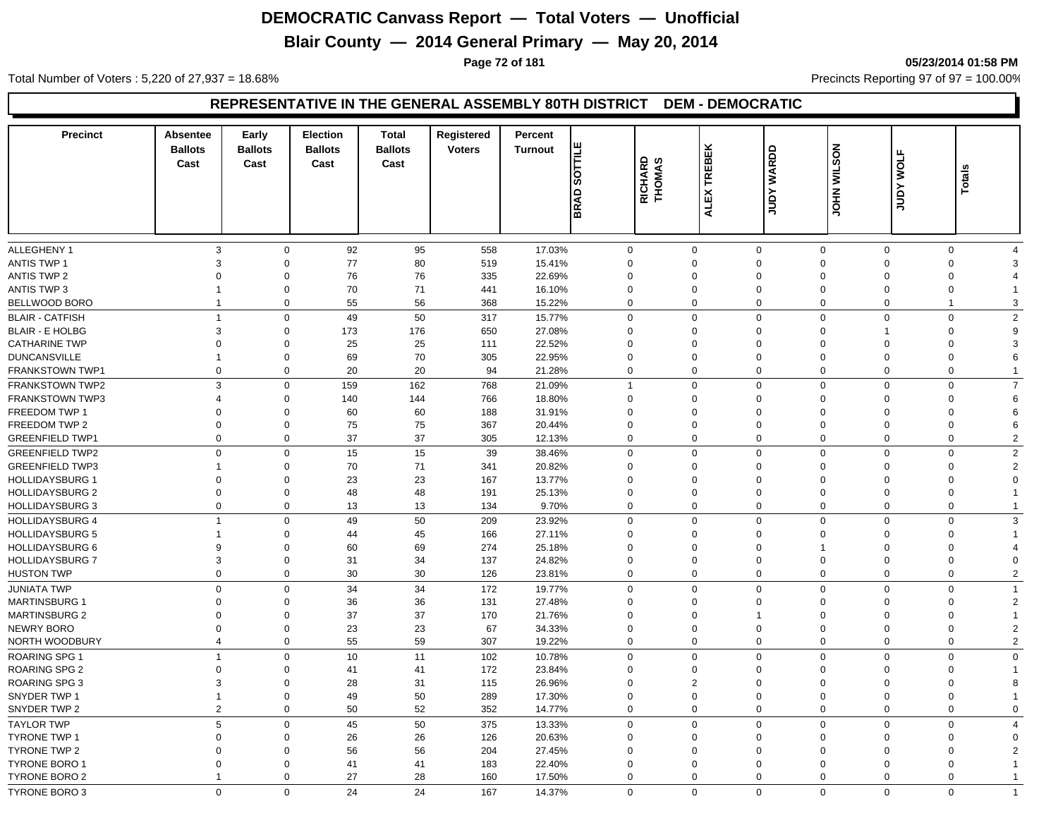## **Blair County — 2014 General Primary — May 20, 2014**

**Page 72 of 181 05/23/2014 01:58 PM**

Total Number of Voters : 5,220 of 27,937 = 18.68% Precincts Reporting 97 of 97 = 100.00%

#### **REPRESENTATIVE IN THE GENERAL ASSEMBLY 80TH DISTRICT DEM - DEMOCRATIC**

| <b>Precinct</b>        | Absentee<br><b>Ballots</b><br>Cast | Early<br><b>Ballots</b><br>Cast | <b>Election</b><br><b>Ballots</b><br>Cast | <b>Total</b><br><b>Ballots</b><br>Cast | Registered<br><b>Voters</b> | Percent<br><b>Turnout</b> | <b>SOTTILE</b> | RICHARD<br>THOMAS | <b>TREBEK</b>  | <b>WARDD</b>               | <b>NOSTIM NHOL</b> | <b>WOLF</b> | Totals         |
|------------------------|------------------------------------|---------------------------------|-------------------------------------------|----------------------------------------|-----------------------------|---------------------------|----------------|-------------------|----------------|----------------------------|--------------------|-------------|----------------|
|                        |                                    |                                 |                                           |                                        |                             |                           | <b>BRAD</b>    |                   | <b>ALEX</b>    | Yanr                       |                    | <b>Adnr</b> |                |
| ALLEGHENY 1            | 3                                  | $\mathbf 0$                     | 92                                        | 95                                     | 558                         | 17.03%                    | $\mathbf 0$    |                   | $\mathbf 0$    | $\mathbf 0$<br>$\mathbf 0$ | $\mathbf 0$        | $\mathbf 0$ | $\overline{4}$ |
| <b>ANTIS TWP 1</b>     | 3                                  | $\mathbf 0$                     | 77                                        | 80                                     | 519                         | 15.41%                    | $\Omega$       |                   | 0              | $\mathbf 0$<br>$\Omega$    | $\Omega$           | $\mathbf 0$ | 3              |
| <b>ANTIS TWP 2</b>     | $\Omega$                           | $\mathbf 0$                     | 76                                        | 76                                     | 335                         | 22.69%                    | $\Omega$       |                   | $\Omega$       | $\Omega$<br>$\Omega$       | $\Omega$           | $\mathbf 0$ |                |
| <b>ANTIS TWP 3</b>     | -1                                 | $\mathbf 0$                     | 70                                        | 71                                     | 441                         | 16.10%                    | $\Omega$       |                   | $\Omega$       | $\Omega$<br>$\Omega$       | $\Omega$           | $\mathbf 0$ |                |
| BELLWOOD BORO          | $\mathbf{1}$                       | $\mathbf 0$                     | 55                                        | 56                                     | 368                         | 15.22%                    | $\Omega$       |                   | $\mathbf 0$    | $\mathbf 0$<br>$\Omega$    | $\Omega$           | -1          | 3              |
| <b>BLAIR - CATFISH</b> | $\mathbf{1}$                       | $\mathbf 0$                     | 49                                        | 50                                     | 317                         | 15.77%                    | $\Omega$       |                   | $\mathbf 0$    | $\mathbf 0$<br>$\mathbf 0$ | $\Omega$           | $\mathbf 0$ | $\overline{2}$ |
| <b>BLAIR - E HOLBG</b> | 3                                  | $\mathbf 0$                     | 173                                       | 176                                    | 650                         | 27.08%                    | $\Omega$       |                   | 0              | $\mathbf 0$<br>$\Omega$    | 1                  | 0           | 9              |
| <b>CATHARINE TWP</b>   | $\Omega$                           | $\mathbf 0$                     | 25                                        | 25                                     | 111                         | 22.52%                    | $\Omega$       |                   | $\Omega$       | $\Omega$<br>$\Omega$       | $\Omega$           | $\mathbf 0$ | 3              |
| <b>DUNCANSVILLE</b>    | 1                                  | $\mathbf 0$                     | 69                                        | 70                                     | 305                         | 22.95%                    | $\Omega$       |                   | $\Omega$       | $\Omega$<br>$\Omega$       | $\Omega$           | $\mathbf 0$ | 6              |
| FRANKSTOWN TWP1        | $\mathbf 0$                        | $\mathbf 0$                     | 20                                        | 20                                     | 94                          | 21.28%                    | $\Omega$       |                   | $\mathbf 0$    | $\mathbf 0$<br>$\mathbf 0$ | $\Omega$           | $\mathbf 0$ |                |
| <b>FRANKSTOWN TWP2</b> | 3                                  | $\mathbf 0$                     | 159                                       | 162                                    | 768                         | 21.09%                    | 1              |                   | $\mathbf 0$    | $\mathbf 0$<br>$\mathbf 0$ | $\Omega$           | $\mathbf 0$ | $\overline{7}$ |
| <b>FRANKSTOWN TWP3</b> | $\overline{4}$                     | $\mathbf 0$                     | 140                                       | 144                                    | 766                         | 18.80%                    | $\Omega$       |                   | $\Omega$       | $\Omega$<br>$\Omega$       | $\Omega$           | $\mathbf 0$ | 6              |
| FREEDOM TWP 1          | $\Omega$                           | $\mathbf 0$                     | 60                                        | 60                                     | 188                         | 31.91%                    | $\Omega$       |                   | $\Omega$       | $\Omega$<br>$\Omega$       | $\Omega$           | $\mathbf 0$ | 6              |
| FREEDOM TWP 2          | $\Omega$                           | $\mathbf 0$                     | 75                                        | 75                                     | 367                         | 20.44%                    | $\Omega$       |                   | $\Omega$       | $\Omega$<br>$\Omega$       | $\Omega$           | $\mathbf 0$ | 6              |
| <b>GREENFIELD TWP1</b> | $\mathbf 0$                        | $\mathbf 0$                     | 37                                        | 37                                     | 305                         | 12.13%                    | $\Omega$       |                   | $\mathbf 0$    | $\mathbf 0$<br>$\Omega$    | $\Omega$           | $\mathbf 0$ | $\overline{2}$ |
| <b>GREENFIELD TWP2</b> | $\mathbf 0$                        | $\mathbf 0$                     | 15                                        | 15                                     | 39                          | 38.46%                    | $\Omega$       |                   | $\mathbf 0$    | $\mathbf 0$<br>$\Omega$    | $\Omega$           | $\mathbf 0$ | $\overline{2}$ |
| <b>GREENFIELD TWP3</b> | 1                                  | $\mathbf 0$                     | 70                                        | 71                                     | 341                         | 20.82%                    | $\Omega$       |                   | $\Omega$       | $\Omega$<br>$\Omega$       | $\Omega$           | $\mathbf 0$ | $\overline{2}$ |
| <b>HOLLIDAYSBURG 1</b> | $\Omega$                           | $\mathbf 0$                     | 23                                        | 23                                     | 167                         | 13.77%                    | $\Omega$       | $\Omega$          |                | $\Omega$<br>$\Omega$       | $\Omega$           | $\mathbf 0$ | $\Omega$       |
| <b>HOLLIDAYSBURG 2</b> | $\Omega$                           | $\mathbf 0$                     | 48                                        | 48                                     | 191                         | 25.13%                    | $\mathbf 0$    |                   | 0              | $\mathbf 0$<br>$\Omega$    | $\Omega$           | $\mathbf 0$ |                |
| <b>HOLLIDAYSBURG 3</b> | $\Omega$                           | $\mathbf 0$                     | 13                                        | 13                                     | 134                         | 9.70%                     | $\Omega$       |                   | $\mathbf 0$    | $\mathbf 0$<br>$\Omega$    | $\Omega$           | $\mathbf 0$ |                |
| <b>HOLLIDAYSBURG 4</b> | $\overline{1}$                     | $\mathbf 0$                     | 49                                        | 50                                     | 209                         | 23.92%                    | $\Omega$       |                   | $\mathbf 0$    | $\mathbf 0$<br>$\Omega$    | $\Omega$           | $\mathbf 0$ | 3              |
| <b>HOLLIDAYSBURG 5</b> | 1                                  | $\mathbf 0$                     | 44                                        | 45                                     | 166                         | 27.11%                    | $\Omega$       |                   | $\Omega$       | $\Omega$<br>$\Omega$       | $\Omega$           | $\mathbf 0$ |                |
| <b>HOLLIDAYSBURG 6</b> | 9                                  | $\mathbf 0$                     | 60                                        | 69                                     | 274                         | 25.18%                    | $\Omega$       |                   | $\mathbf 0$    | $\mathbf 0$                | $\Omega$           | $\mathbf 0$ |                |
| <b>HOLLIDAYSBURG 7</b> | 3                                  | $\mathbf 0$                     | 31                                        | 34                                     | 137                         | 24.82%                    | $\Omega$       |                   | $\mathbf 0$    | $\mathbf 0$<br>$\Omega$    | $\Omega$           | $\mathbf 0$ | 4<br>$\Omega$  |
|                        | $\mathbf 0$                        | $\mathbf 0$                     | 30                                        | 30                                     |                             |                           | $\Omega$       |                   |                | $\mathbf 0$<br>$\Omega$    | $\Omega$           | $\mathbf 0$ |                |
| <b>HUSTON TWP</b>      |                                    |                                 |                                           |                                        | 126                         | 23.81%                    |                |                   | 0              |                            |                    |             | $\overline{2}$ |
| <b>JUNIATA TWP</b>     | $\Omega$                           | $\mathbf 0$                     | 34                                        | 34                                     | 172                         | 19.77%                    | $\Omega$       |                   | $\mathbf 0$    | $\mathbf 0$<br>$\Omega$    | $\Omega$           | $\mathbf 0$ | $\mathbf{1}$   |
| <b>MARTINSBURG 1</b>   | $\mathbf 0$                        | $\mathbf 0$                     | 36                                        | 36                                     | 131                         | 27.48%                    | 0              |                   | $\mathbf 0$    | $\mathbf 0$<br>$\Omega$    | $\Omega$           | $\mathbf 0$ | $\overline{2}$ |
| <b>MARTINSBURG 2</b>   | $\Omega$                           | $\mathbf 0$                     | 37                                        | 37                                     | 170                         | 21.76%                    | $\Omega$       |                   | $\mathbf 0$    | $\Omega$<br>$\mathbf{1}$   | $\Omega$           | 0           |                |
| <b>NEWRY BORO</b>      | $\Omega$                           | $\mathbf 0$                     | 23                                        | 23                                     | 67                          | 34.33%                    | $\Omega$       |                   | 0              | $\mathbf 0$<br>$\Omega$    | $\Omega$           | $\mathbf 0$ | 2              |
| NORTH WOODBURY         | 4                                  | $\mathbf 0$                     | 55                                        | 59                                     | 307                         | 19.22%                    | $\mathbf 0$    |                   | 0              | $\mathbf 0$<br>$\mathbf 0$ | $\Omega$           | $\mathbf 0$ | $\overline{2}$ |
| <b>ROARING SPG 1</b>   | $\mathbf{1}$                       | $\mathbf 0$                     | 10                                        | 11                                     | 102                         | 10.78%                    | $\mathbf 0$    |                   | $\mathbf 0$    | $\mathbf 0$<br>$\Omega$    | $\Omega$           | $\mathbf 0$ | $\mathbf 0$    |
| <b>ROARING SPG 2</b>   | $\Omega$                           | $\mathbf 0$                     | 41                                        | 41                                     | 172                         | 23.84%                    | $\Omega$       |                   | $\mathbf 0$    | $\Omega$<br>$\Omega$       | $\Omega$           | 0           |                |
| <b>ROARING SPG 3</b>   | 3                                  | $\mathbf 0$                     | 28                                        | 31                                     | 115                         | 26.96%                    | $\Omega$       |                   | $\overline{2}$ | $\mathbf 0$<br>$\Omega$    | $\Omega$           | $\mathbf 0$ | 8              |
| SNYDER TWP 1           | $\mathbf{1}$                       | $\mathbf 0$                     | 49                                        | 50                                     | 289                         | 17.30%                    | $\Omega$       |                   | $\Omega$       | $\Omega$<br>$\Omega$       | $\Omega$           | $\mathbf 0$ |                |
| SNYDER TWP 2           | $\overline{2}$                     | $\mathbf 0$                     | 50                                        | 52                                     | 352                         | 14.77%                    | $\Omega$       |                   | $\mathbf 0$    | $\mathbf 0$<br>$\mathbf 0$ | $\mathbf 0$        | $\mathbf 0$ | $\Omega$       |
| <b>TAYLOR TWP</b>      | 5                                  | $\mathbf 0$                     | 45                                        | 50                                     | 375                         | 13.33%                    | $\Omega$       |                   | $\mathbf 0$    | $\mathbf 0$<br>$\mathbf 0$ | $\Omega$           | $\mathbf 0$ | $\overline{4}$ |
| <b>TYRONE TWP 1</b>    | $\Omega$                           | $\mathbf 0$                     | 26                                        | 26                                     | 126                         | 20.63%                    | $\Omega$       |                   | $\mathbf 0$    | $\mathbf 0$<br>$\Omega$    | $\mathbf 0$        | 0           | $\Omega$       |
| <b>TYRONE TWP 2</b>    | $\Omega$                           | $\mathbf 0$                     | 56                                        | 56                                     | 204                         | 27.45%                    | 0              |                   | $\Omega$       | $\Omega$<br>$\Omega$       | $\Omega$           | $\mathbf 0$ | 2              |
| <b>TYRONE BORO 1</b>   | $\Omega$                           | $\Omega$                        | 41                                        | 41                                     | 183                         | 22.40%                    | $\Omega$       |                   | $\Omega$       | $\Omega$<br>$\Omega$       | $\Omega$           | $\mathbf 0$ |                |
| TYRONE BORO 2          | $\overline{1}$                     | $\mathbf 0$                     | 27                                        | 28                                     | 160                         | 17.50%                    | $\Omega$       |                   | $\mathbf 0$    | $\mathbf 0$<br>$\mathbf 0$ | $\mathbf 0$        | $\mathbf 0$ |                |
| <b>TYRONE BORO 3</b>   | $\Omega$                           | $\Omega$                        | 24                                        | 24                                     | 167                         | 14.37%                    | $\Omega$       |                   | $\Omega$       | $\Omega$<br>$\mathbf 0$    | $\Omega$           | $\Omega$    | $\overline{1}$ |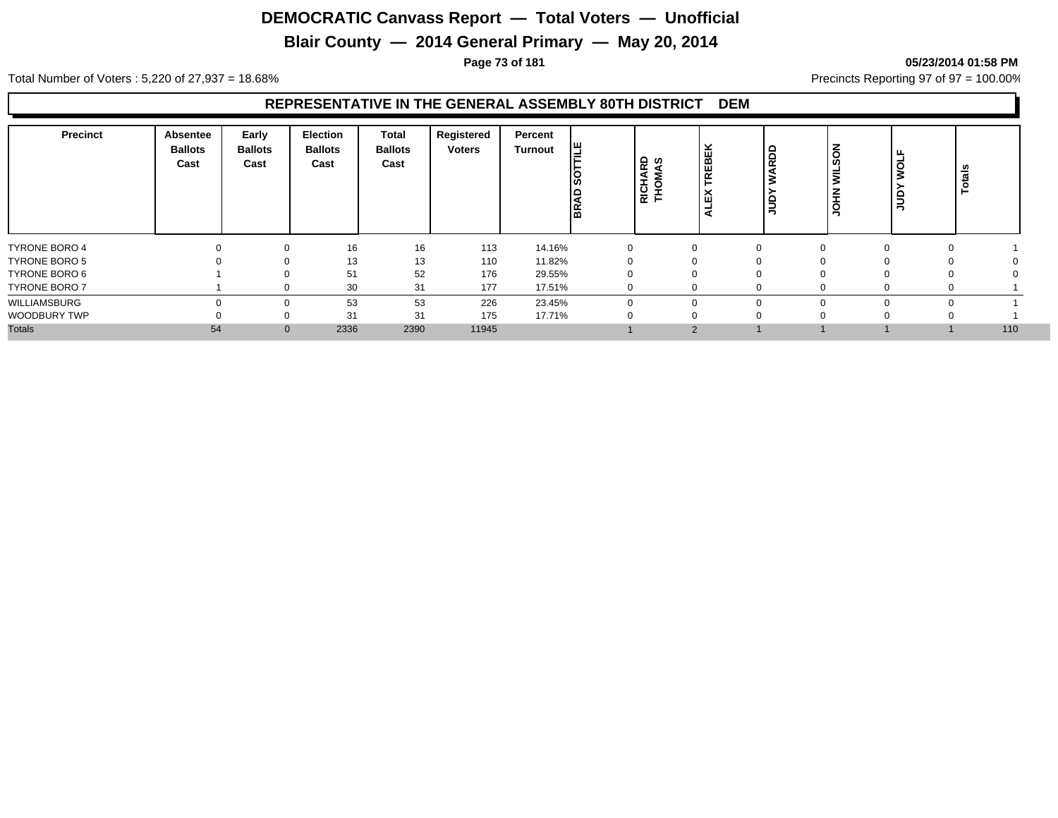## **Blair County — 2014 General Primary — May 20, 2014**

#### **Page 73 of 181 05/23/2014 01:58 PM**

Total Number of Voters : 5,220 of 27,937 = 18.68% Precincts Reporting 97 of 97 = 100.00%

#### **REPRESENTATIVE IN THE GENERAL ASSEMBLY 80TH DISTRICT DEM**

| <b>Precinct</b>      | <b>Absentee</b><br><b>Ballots</b><br>Cast | Early<br><b>Ballots</b><br>Cast | Election<br><b>Ballots</b><br>Cast | <b>Total</b><br><b>Ballots</b><br>Cast | Registered<br><b>Voters</b> | Percent<br>Turnout | 삠<br> ဟ<br>lЭ<br>lg | RICHARD<br>THOMAS | REBEK<br>ᄎ<br>ш | RDD<br>∍<br>っ | Ιš<br>ທ<br>ΙĔ<br><b>UOHN</b> | $\circ$<br>≏<br>ミ | Totals |
|----------------------|-------------------------------------------|---------------------------------|------------------------------------|----------------------------------------|-----------------------------|--------------------|---------------------|-------------------|-----------------|---------------|------------------------------|-------------------|--------|
| <b>TYRONE BORO 4</b> |                                           | 0                               | 16                                 | 16                                     | 113                         | 14.16%             |                     |                   | $\mathbf{0}$    | $\mathbf 0$   |                              | $\Omega$<br>0     |        |
| <b>TYRONE BORO 5</b> |                                           | $\Omega$                        | 13                                 | 13                                     | 110                         | 11.82%             |                     |                   | υ               | $\Omega$      |                              | 0                 |        |
| TYRONE BORO 6        |                                           |                                 | 51                                 | 52                                     | 176                         | 29.55%             |                     |                   |                 | $\Omega$      |                              |                   |        |
| <b>TYRONE BORO 7</b> |                                           |                                 | 30                                 | 31                                     | 177                         | 17.51%             |                     |                   | $\Omega$        | $\Omega$      |                              | υ                 |        |
| WILLIAMSBURG         |                                           | $\Omega$                        | 53                                 | 53                                     | 226                         | 23.45%             |                     |                   | $\Omega$        | $\Omega$      |                              |                   |        |
| WOODBURY TWP         |                                           | C                               | 31                                 | 31                                     | 175                         | 17.71%             |                     |                   |                 | $\Omega$      |                              |                   |        |
| <b>Totals</b>        | 54                                        | $\mathbf{0}$                    | 2336                               | 2390                                   | 11945                       |                    |                     |                   | $\overline{2}$  |               |                              |                   | 110    |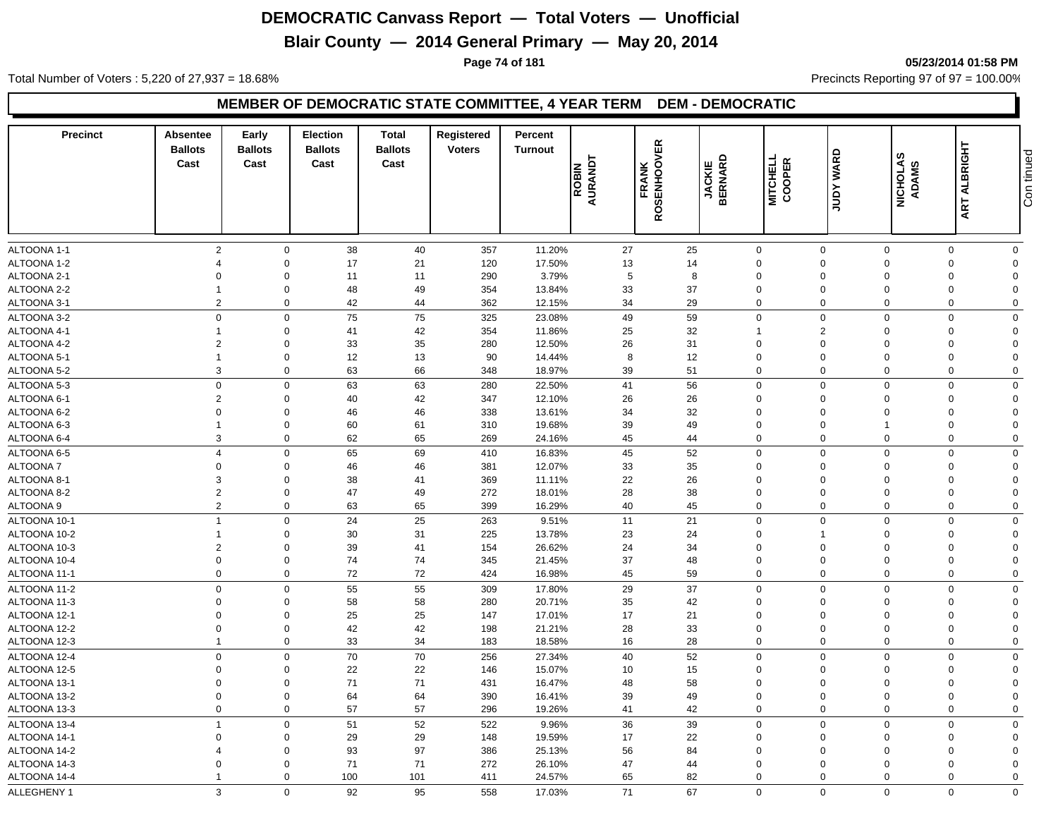## **Blair County — 2014 General Primary — May 20, 2014**

**Page 74 of 181 05/23/2014 01:58 PM**

Total Number of Voters : 5,220 of 27,937 = 18.68% Precincts Reporting 97 of 97 = 100.00%

#### **MEMBER OF DEMOCRATIC STATE COMMITTEE, 4 YEAR TERM DEM - DEMOCRATIC**

| <b>Precinct</b>              | <b>Absentee</b><br><b>Ballots</b><br>Cast | Early<br><b>Ballots</b><br>Cast | Election<br><b>Ballots</b><br>Cast | <b>Total</b><br><b>Ballots</b><br>Cast | Registered<br><b>Voters</b> | Percent<br><b>Turnout</b> | ROBIN<br>AURANDT | <b>ROSENHOOVER</b><br><b>FRANK</b> | <b>JACKIE<br/>BERNARD</b> | MITCHELL<br>COOPER         | <b>WARD</b><br><b>Adnr</b> | <b>NICHOLAS</b><br><b>ADAMS</b> | <b>ART ALBRIGHT</b>     | Con tinued              |
|------------------------------|-------------------------------------------|---------------------------------|------------------------------------|----------------------------------------|-----------------------------|---------------------------|------------------|------------------------------------|---------------------------|----------------------------|----------------------------|---------------------------------|-------------------------|-------------------------|
| ALTOONA 1-1                  | $\overline{2}$                            | $\Omega$                        | 38                                 | 40                                     | 357                         | 11.20%                    | 27               |                                    | 25                        | $\mathbf 0$                | $\Omega$                   | $\Omega$                        | $\Omega$                | $\mathbf 0$             |
| ALTOONA 1-2                  | $\overline{4}$                            | $\Omega$                        | 17                                 | 21                                     | 120                         | 17.50%                    | 13               |                                    | 14                        | $\mathbf 0$                | $\mathbf 0$                | $\Omega$                        | $\mathbf 0$             | $\overline{0}$          |
| ALTOONA 2-1                  | $\mathbf 0$                               | $\Omega$                        | 11                                 | 11                                     | 290                         | 3.79%                     | 5                |                                    | 8                         | $\mathbf 0$                | $\mathbf 0$                | $\Omega$                        | $\mathbf 0$             | $\Omega$                |
| ALTOONA 2-2                  | $\mathbf 1$                               | $\Omega$                        | 48                                 | 49                                     | 354                         | 13.84%                    | 33               |                                    | 37                        | $\mathbf 0$                | $\mathbf 0$                | $\Omega$                        | $\mathbf 0$             | $\Omega$                |
| ALTOONA 3-1                  | $\overline{2}$                            | $\mathbf 0$                     | 42                                 | 44                                     | 362                         | 12.15%                    | 34               |                                    | 29                        | $\mathbf 0$                | $\mathbf 0$                | $\mathbf 0$                     | $\Omega$                | $\mathbf 0$             |
| ALTOONA 3-2                  | $\mathbf 0$                               | $\Omega$                        | 75                                 | 75                                     | 325                         | 23.08%                    | 49               |                                    | 59                        | $\mathbf 0$                | $\Omega$                   | $\Omega$                        | $\Omega$                | $\Omega$                |
| ALTOONA 4-1                  | $\overline{1}$                            | $\Omega$                        | 41                                 | 42                                     | 354                         | 11.86%                    | 25               |                                    | 32                        | $\overline{1}$             | $\overline{2}$             | $\Omega$                        | $\mathbf 0$             | $\overline{0}$          |
| ALTOONA 4-2                  | $\overline{2}$                            | $\Omega$                        | 33                                 | 35                                     | 280                         | 12.50%                    | 26               |                                    | 31                        | $\mathbf 0$                | $\mathbf 0$                | $\Omega$                        | $\mathbf 0$             | $\Omega$                |
| ALTOONA 5-1                  | $\overline{1}$                            | $\Omega$                        | 12                                 | 13                                     | 90                          | 14.44%                    | 8                |                                    | 12                        | $\mathbf 0$                | $\mathbf 0$                | $\Omega$                        | $\mathbf 0$             | $\Omega$                |
| ALTOONA 5-2                  | 3                                         | $\Omega$                        | 63                                 | 66                                     | 348                         | 18.97%                    | 39               |                                    | 51                        | $\mathbf 0$                | $\mathbf 0$                | $\mathbf 0$                     | $\mathbf 0$             | $\mathbf 0$             |
| ALTOONA 5-3                  | $\mathbf 0$                               | $\Omega$                        | 63                                 | 63                                     | 280                         | 22.50%                    | 41               |                                    | 56                        | $\mathbf 0$                | $\Omega$                   | $\Omega$                        | $\Omega$                | $\mathbf 0$             |
| ALTOONA 6-1                  | $\overline{2}$                            | $\Omega$                        | 40                                 | 42                                     | 347                         | 12.10%                    | 26               |                                    | 26                        | $\mathbf 0$                | 0                          | $\Omega$                        | $\mathbf 0$             | $\overline{0}$          |
| ALTOONA 6-2                  | $\mathbf 0$                               | $\Omega$                        | 46                                 | 46                                     | 338                         | 13.61%                    | 34               |                                    | 32                        | $\mathbf 0$                | $\Omega$                   | $\Omega$                        | $\mathbf 0$             | $\Omega$                |
| ALTOONA 6-3                  | $\overline{1}$                            | $\Omega$                        | 60                                 | 61                                     | 310                         | 19.68%                    | 39               |                                    | 49                        | $\Omega$                   | $\mathbf 0$                |                                 | $\mathbf 0$             | $\Omega$                |
| ALTOONA 6-4                  | 3                                         | $\Omega$                        | 62                                 | 65                                     | 269                         | 24.16%                    | 45               |                                    | 44                        | $\Omega$                   | $\Omega$                   | $\Omega$                        | $\mathbf 0$             | $\mathbf 0$             |
| ALTOONA 6-5                  | $\overline{4}$                            | $\Omega$                        | 65                                 | 69                                     | 410                         | 16.83%                    | 45               |                                    | 52                        | $\mathbf 0$                | $\Omega$                   | $\Omega$                        | $\Omega$                | $\mathbf 0$             |
| ALTOONA 7                    | $\overline{0}$                            | $\Omega$                        | 46                                 | 46                                     | 381                         | 12.07%                    | 33               |                                    | 35                        | $\mathbf 0$                | 0                          | $\Omega$                        | $\mathbf 0$             | $\Omega$                |
| ALTOONA 8-1                  | 3                                         | $\Omega$                        | 38                                 | 41                                     | 369                         | 11.11%                    | 22               |                                    | 26                        | $\mathbf 0$                | $\Omega$                   | $\Omega$                        | $\Omega$                | $\Omega$                |
| ALTOONA 8-2                  | $\overline{2}$                            | $\Omega$                        | 47                                 | 49                                     | 272                         | 18.01%                    | 28               |                                    | 38                        | $\mathbf 0$                | $\Omega$                   | $\Omega$                        | $\Omega$                | $\Omega$                |
| ALTOONA 9                    | $\overline{2}$                            | $\mathbf 0$                     | 63                                 | 65                                     | 399                         | 16.29%                    | 40               |                                    | 45                        | $\mathbf 0$                | $\Omega$                   | $\Omega$                        | $\mathbf 0$             | $\mathbf 0$             |
| ALTOONA 10-1                 | $\overline{1}$                            | $\Omega$                        | 24                                 | 25                                     | 263                         | 9.51%                     | 11               |                                    | 21                        | $\mathbf 0$                | $\Omega$                   | $\Omega$                        | $\Omega$                | $\Omega$                |
| ALTOONA 10-2                 | $\overline{1}$                            | $\Omega$                        | 30                                 | 31                                     | 225                         | 13.78%                    | 23               |                                    | 24                        | $\mathbf 0$                | $\overline{1}$             | $\Omega$                        | $\mathbf 0$             | $\Omega$                |
| ALTOONA 10-3                 | $\overline{2}$                            | $\Omega$                        | 39                                 | 41                                     | 154                         | 26.62%                    | 24               |                                    | 34                        | $\mathbf 0$                | $\Omega$                   | $\Omega$                        | $\mathbf 0$             | $\overline{0}$          |
| ALTOONA 10-4                 | $\mathbf 0$                               | $\Omega$                        | 74                                 | 74                                     | 345                         | 21.45%                    | 37               |                                    | 48                        | $\mathbf 0$                | $\mathbf 0$                | $\Omega$                        | $\mathbf 0$             | $\overline{0}$          |
| ALTOONA 11-1                 | $\mathbf 0$                               | $\mathbf 0$                     | 72                                 | 72                                     | 424                         | 16.98%                    | 45               |                                    | 59                        | $\mathbf 0$                | $\Omega$                   | $\mathbf 0$                     | $\mathbf 0$             | $\mathbf 0$             |
|                              | $\mathbf 0$                               | $\Omega$                        | 55                                 | 55                                     |                             |                           | 29               |                                    | 37                        | $\mathbf 0$                | $\mathbf 0$                | $\mathbf 0$                     | $\mathbf 0$             | $\mathbf 0$             |
| ALTOONA 11-2                 | $\overline{0}$                            | $\Omega$                        | 58                                 | 58                                     | 309                         | 17.80%                    |                  |                                    | 42                        | $\mathbf 0$                | $\Omega$                   | $\Omega$                        | 0                       | $\overline{0}$          |
| ALTOONA 11-3<br>ALTOONA 12-1 | $\overline{0}$                            | $\Omega$                        | 25                                 | 25                                     | 280<br>147                  | 20.71%<br>17.01%          | 35<br>17         |                                    | 21                        | $\mathbf 0$                | $\Omega$                   | $\Omega$                        | $\Omega$                | $\overline{0}$          |
| ALTOONA 12-2                 | $\overline{0}$                            | $\Omega$                        | 42                                 | 42                                     | 198                         | 21.21%                    | 28               |                                    | 33                        | $\mathbf 0$                | $\Omega$                   | $\Omega$                        | $\Omega$                | $\mathbf 0$             |
| ALTOONA 12-3                 | $\overline{\mathbf{1}}$                   | $\mathbf 0$                     | 33                                 | 34                                     | 183                         | 18.58%                    | 16               |                                    | 28                        | $\mathbf 0$                | $\mathbf 0$                | $\mathbf 0$                     | $\mathbf 0$             | $\mathbf 0$             |
|                              |                                           | $\Omega$                        |                                    |                                        |                             |                           |                  |                                    |                           |                            | $\Omega$                   |                                 |                         |                         |
| ALTOONA 12-4                 | $\,0\,$                                   | $\Omega$                        | 70                                 | $70\,$                                 | 256                         | 27.34%                    | 40               |                                    | 52                        | $\mathbf 0$                | $\Omega$                   | $\Omega$<br>$\Omega$            | $\mathbf 0$             | $\mathbf 0$             |
| ALTOONA 12-5                 | $\mathbf 0$                               |                                 | 22                                 | 22                                     | 146                         | 15.07%                    | 10 <sup>1</sup>  |                                    | 15                        | $\mathbf 0$                |                            | $\Omega$                        | $\mathbf 0$             | $\mathbf 0$             |
| ALTOONA 13-1                 | $\overline{0}$<br>$\overline{0}$          | $\Omega$<br>$\Omega$            | 71<br>64                           | 71                                     | 431<br>390                  | 16.47%                    | 48               |                                    | 58                        | $\mathbf 0$<br>$\mathbf 0$ | $\Omega$<br>$\mathbf 0$    | $\Omega$                        | $\Omega$<br>$\mathbf 0$ | $\mathbf 0$<br>$\Omega$ |
| ALTOONA 13-2                 | $\overline{0}$                            | $\mathbf 0$                     | 57                                 | 64<br>57                               | 296                         | 16.41%                    | 39<br>41         |                                    | 49<br>42                  | $\mathbf 0$                | $\mathbf 0$                | $\mathbf 0$                     | $\Omega$                | $\mathbf 0$             |
| ALTOONA 13-3                 |                                           |                                 |                                    |                                        |                             | 19.26%                    |                  |                                    |                           |                            |                            |                                 |                         |                         |
| ALTOONA 13-4                 | $\overline{1}$                            | $\Omega$                        | 51                                 | 52                                     | 522                         | 9.96%                     | 36               |                                    | 39                        | $\mathbf 0$                | $\Omega$                   | $\Omega$                        | $\Omega$                | $\mathbf 0$             |
| ALTOONA 14-1                 | $\overline{0}$                            | $\Omega$                        | 29                                 | 29                                     | 148                         | 19.59%                    | 17               |                                    | 22                        | $\mathbf 0$                | $\Omega$                   | $\Omega$                        | $\Omega$                | $\Omega$                |
| ALTOONA 14-2                 | $\Delta$                                  | $\Omega$                        | 93                                 | 97                                     | 386                         | 25.13%                    | 56               |                                    | 84                        | $\Omega$                   | $\Omega$                   | $\Omega$                        | $\Omega$                | $\Omega$                |
| ALTOONA 14-3                 | $\Omega$                                  | $\Omega$                        | 71                                 | 71                                     | 272                         | 26.10%                    | 47               |                                    | 44                        | $\Omega$                   | $\Omega$                   | $\Omega$                        | $\Omega$                | $\Omega$                |
| ALTOONA 14-4                 |                                           | $\Omega$                        | 100                                | 101                                    | 411                         | 24.57%                    | 65               |                                    | 82                        | $\Omega$                   | $\Omega$                   | $\Omega$                        | $\Omega$                | $\Omega$                |
| ALLEGHENY 1                  | 3                                         | $\mathbf 0$                     | 92                                 | 95                                     | 558                         | 17.03%                    | 71               |                                    | 67                        | $\mathbf 0$                | $\mathbf 0$                | $\mathbf 0$                     | $\mathbf 0$             | $\mathbf 0$             |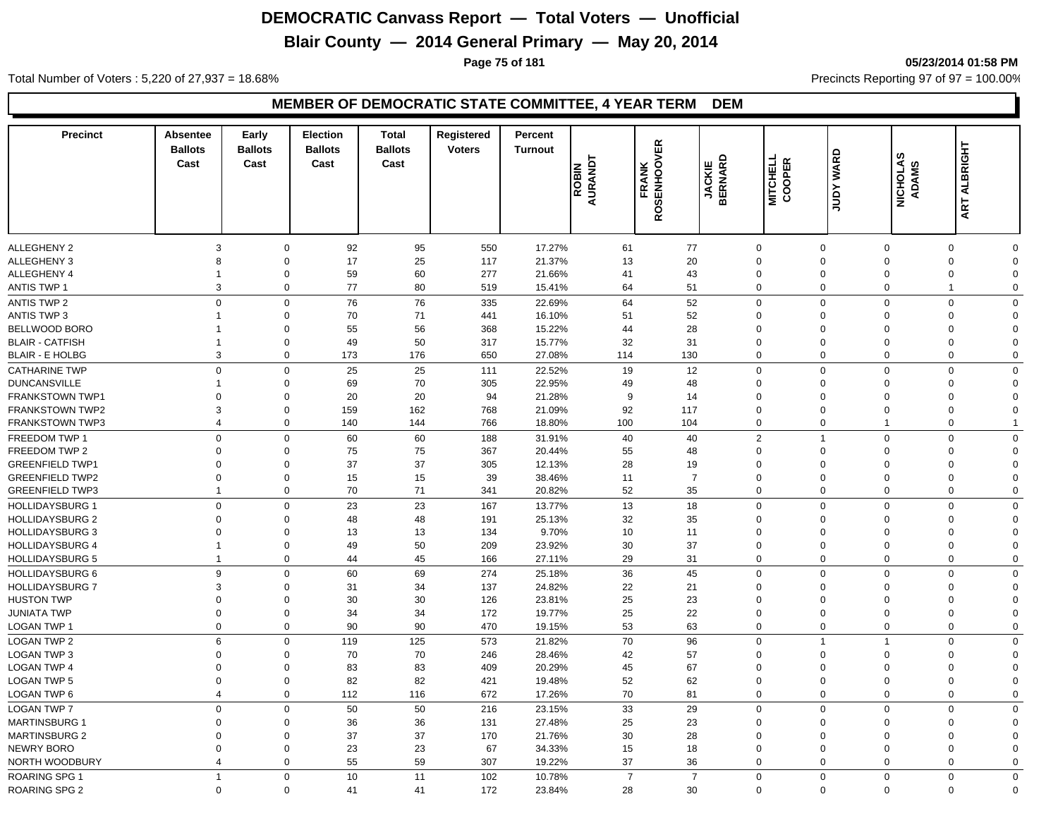# **Blair County — 2014 General Primary — May 20, 2014**

**Page 75 of 181 05/23/2014 01:58 PM**

Total Number of Voters : 5,220 of 27,937 = 18.68% Precincts Reporting 97 of 97 = 100.00%

#### **MEMBER OF DEMOCRATIC STATE COMMITTEE, 4 YEAR TERM DEM**

| <b>Precinct</b>        | <b>Absentee</b><br><b>Ballots</b><br>Cast | Early<br><b>Ballots</b><br>Cast | <b>Election</b><br><b>Ballots</b><br>Cast | <b>Total</b><br><b>Ballots</b><br>Cast | Registered<br><b>Voters</b> | Percent<br><b>Turnout</b> | ROBIN<br>AURANDT | <b>OVER</b><br><b>FRANK</b><br>ROSENHOON | <b>JACKIE<br/>BERNARD</b> | <b>MITCHELL</b><br>COOPER | <b>JUDY WARD</b> | NICHOLAS<br>ADAMS | ART ALBRIGHT |             |
|------------------------|-------------------------------------------|---------------------------------|-------------------------------------------|----------------------------------------|-----------------------------|---------------------------|------------------|------------------------------------------|---------------------------|---------------------------|------------------|-------------------|--------------|-------------|
| ALLEGHENY 2            | 3                                         | $\mathbf 0$                     | 92                                        | 95                                     | 550                         | 17.27%                    | 61               | 77                                       |                           | $\mathbf 0$               | $\mathbf 0$      | $\mathbf 0$       | $\mathbf 0$  | $\Omega$    |
| ALLEGHENY 3            | 8                                         | $\mathbf 0$                     | 17                                        | 25                                     | 117                         | 21.37%                    | 13               | 20                                       |                           | $\mathbf 0$               | $\mathbf 0$      | $\overline{0}$    | $\mathbf 0$  | $\Omega$    |
| ALLEGHENY 4            | $\overline{1}$                            | $\mathbf 0$                     | 59                                        | 60                                     | 277                         | 21.66%                    | 41               | 43                                       |                           | $\mathbf 0$               | $\mathbf 0$      | $\mathbf 0$       | 0            | $\Omega$    |
| <b>ANTIS TWP 1</b>     | 3                                         | $\mathbf 0$                     | 77                                        | 80                                     | 519                         | 15.41%                    | 64               | 51                                       |                           | $\mathbf 0$               | $\mathbf 0$      | $\mathbf 0$       | $\mathbf{1}$ | $\mathbf 0$ |
| <b>ANTIS TWP 2</b>     | $\mathbf 0$                               | $\mathbf 0$                     | 76                                        | 76                                     | 335                         | 22.69%                    | 64               | 52                                       |                           | $\mathsf{O}\xspace$       | $\mathbf 0$      | $\overline{0}$    | $\mathbf 0$  | $\Omega$    |
| <b>ANTIS TWP 3</b>     | $\overline{1}$                            | $\mathbf 0$                     | 70                                        | 71                                     | 441                         | 16.10%                    | 51               | 52                                       |                           | $\mathbf 0$               | $\Omega$         | $\mathbf 0$       | $\mathbf 0$  | $\Omega$    |
| BELLWOOD BORO          | 1                                         | $\mathbf 0$                     | 55                                        | 56                                     | 368                         | 15.22%                    | 44               | 28                                       |                           | $\mathbf 0$               | $\Omega$         | $\mathbf 0$       | 0            | $\Omega$    |
| <b>BLAIR - CATFISH</b> | $\mathbf{1}$                              | $\mathbf 0$                     | 49                                        | 50                                     | 317                         | 15.77%                    | 32               | 31                                       |                           | $\mathbf 0$               | $\mathbf 0$      | $\mathbf 0$       | $\mathbf 0$  | $\Omega$    |
| <b>BLAIR - E HOLBG</b> | 3                                         | $\mathbf 0$                     | 173                                       | 176                                    | 650                         | 27.08%                    | 114              | 130                                      |                           | $\mathbf 0$               | $\mathbf 0$      | $\mathbf 0$       | 0            | $\mathbf 0$ |
| <b>CATHARINE TWP</b>   | $\mathbf 0$                               | $\mathbf 0$                     | 25                                        | 25                                     | 111                         | 22.52%                    | 19               | 12                                       |                           | $\mathbf 0$               | $\mathbf 0$      | $\Omega$          | $\mathbf 0$  | $\mathbf 0$ |
| <b>DUNCANSVILLE</b>    | $\overline{1}$                            | $\mathbf 0$                     | 69                                        | 70                                     | 305                         | 22.95%                    | 49               | 48                                       |                           | $\mathbf 0$               | $\Omega$         | $\mathbf 0$       | 0            | $\Omega$    |
| <b>FRANKSTOWN TWP1</b> | $\mathbf 0$                               | $\Omega$                        | 20                                        | 20                                     | 94                          | 21.28%                    | 9                | 14                                       |                           | $\mathbf 0$               | $\Omega$         | $\Omega$          | 0            | $\Omega$    |
| <b>FRANKSTOWN TWP2</b> | 3                                         | $\mathbf 0$                     | 159                                       | 162                                    | 768                         | 21.09%                    | 92               | 117                                      |                           | $\mathbf 0$               | $\mathbf 0$      | $\mathbf 0$       | $\mathbf 0$  | $\Omega$    |
| <b>FRANKSTOWN TWP3</b> | $\overline{4}$                            | $\mathbf 0$                     | 140                                       | 144                                    | 766                         | 18.80%                    | 100              | 104                                      |                           | $\mathbf 0$               | $\mathbf 0$      | $\overline{1}$    | $\mathbf 0$  | -1          |
| FREEDOM TWP 1          | $\mathbf 0$                               | $\mathbf 0$                     | 60                                        | 60                                     | 188                         | 31.91%                    | 40               | 40                                       |                           | 2                         |                  | $\Omega$          | $\mathbf 0$  | $\Omega$    |
| FREEDOM TWP 2          | $\mathbf 0$                               | $\mathbf 0$                     | 75                                        | 75                                     | 367                         | 20.44%                    | 55               | 48                                       |                           | $\mathbf 0$               | $\mathbf{0}$     | $\mathbf 0$       | 0            | $\Omega$    |
| <b>GREENFIELD TWP1</b> | $\mathbf 0$                               | $\Omega$                        | 37                                        | 37                                     | 305                         | 12.13%                    | 28               | 19                                       |                           | $\mathbf 0$               | $\Omega$         | $\mathbf 0$       | 0            | $\Omega$    |
| <b>GREENFIELD TWP2</b> | $\mathbf 0$                               | $\mathbf 0$                     | 15                                        | 15                                     | 39                          | 38.46%                    | 11               |                                          | $\overline{7}$            | $\mathbf 0$               | $\mathbf 0$      | $\mathbf 0$       | $\mathbf 0$  | $\Omega$    |
| <b>GREENFIELD TWP3</b> | $\mathbf{1}$                              | $\mathbf 0$                     | 70                                        | 71                                     | 341                         | 20.82%                    | 52               | 35                                       |                           | $\mathbf 0$               | $\mathbf 0$      | $\mathbf 0$       | $\mathbf 0$  | $\Omega$    |
| <b>HOLLIDAYSBURG 1</b> | $\mathbf 0$                               | $\mathbf 0$                     | 23                                        | 23                                     | 167                         | 13.77%                    | 13               | 18                                       |                           | $\mathbf 0$               | $\mathbf 0$      | $\mathbf 0$       | $\mathbf 0$  | $\mathbf 0$ |
| <b>HOLLIDAYSBURG 2</b> | $\mathbf 0$                               | $\mathbf 0$                     | 48                                        | 48                                     | 191                         | 25.13%                    | 32               | 35                                       |                           | $\mathbf 0$               | $\Omega$         | $\mathbf 0$       | 0            | $\Omega$    |
| <b>HOLLIDAYSBURG 3</b> | $\mathbf 0$                               | $\Omega$                        | 13                                        | 13                                     | 134                         | 9.70%                     | 10               | 11                                       |                           | $\mathbf 0$               | $\Omega$         | $\mathbf 0$       | 0            | $\Omega$    |
| <b>HOLLIDAYSBURG 4</b> | $\overline{1}$                            | $\mathbf 0$                     | 49                                        | 50                                     | 209                         | 23.92%                    | 30               | 37                                       |                           | $\mathbf 0$               | $\mathbf 0$      | $\mathbf 0$       | 0            | $\Omega$    |
| <b>HOLLIDAYSBURG 5</b> | $\overline{1}$                            | $\mathbf 0$                     | 44                                        | 45                                     | 166                         | 27.11%                    | 29               | 31                                       |                           | $\mathbf 0$               | $\mathbf 0$      | $\mathbf 0$       | $\mathbf 0$  | $\Omega$    |
| <b>HOLLIDAYSBURG 6</b> | 9                                         | $\mathbf 0$                     | 60                                        | 69                                     | 274                         | 25.18%                    | 36               | 45                                       |                           | $\mathbf 0$               | $\Omega$         | $\mathbf 0$       | $\mathbf 0$  | $\Omega$    |
| <b>HOLLIDAYSBURG 7</b> | 3                                         | $\mathbf 0$                     | 31                                        | 34                                     | 137                         | 24.82%                    | 22               | 21                                       |                           | $\mathbf 0$               | $\Omega$         | $\Omega$          | 0            | $\Omega$    |
| <b>HUSTON TWP</b>      | $\mathbf 0$                               | $\mathbf 0$                     | 30                                        | 30                                     | 126                         | 23.81%                    | 25               | 23                                       |                           | $\mathbf 0$               | $\Omega$         | $\mathbf 0$       | 0            | $\Omega$    |
| <b>JUNIATA TWP</b>     | $\mathbf 0$                               | $\mathbf 0$                     | 34                                        | 34                                     | 172                         | 19.77%                    | 25               | 22                                       |                           | $\mathbf 0$               | $\mathbf 0$      | $\mathbf 0$       | $\mathbf 0$  | $\Omega$    |
| LOGAN TWP 1            | $\Omega$                                  | $\mathbf 0$                     | 90                                        | 90                                     | 470                         | 19.15%                    | 53               | 63                                       |                           | $\mathbf 0$               | $\mathbf 0$      | $\mathbf 0$       | $\mathbf 0$  | $\Omega$    |
| <b>LOGAN TWP 2</b>     | 6                                         | $\mathbf 0$                     | 119                                       | 125                                    | 573                         | 21.82%                    | 70               | 96                                       |                           | $\mathbf 0$               | $\overline{1}$   | $\overline{1}$    | $\mathbf 0$  | $\mathbf 0$ |
| <b>LOGAN TWP 3</b>     | $\mathbf 0$                               | $\mathbf 0$                     | 70                                        | 70                                     | 246                         | 28.46%                    | 42               | 57                                       |                           | $\mathbf 0$               | $\mathbf 0$      | $\mathbf 0$       | 0            | $\Omega$    |
| LOGAN TWP 4            | $\mathbf 0$                               | $\mathbf 0$                     | 83                                        | 83                                     | 409                         | 20.29%                    | 45               | 67                                       |                           | $\mathbf 0$               | $\Omega$         | $\mathbf 0$       | 0            | $\Omega$    |
| <b>LOGAN TWP 5</b>     | $\mathbf 0$                               | $\mathbf 0$                     | 82                                        | 82                                     | 421                         | 19.48%                    | 52               | 62                                       |                           | $\mathbf 0$               | $\mathbf 0$      | $\mathbf 0$       | 0            | $\Omega$    |
| <b>LOGAN TWP 6</b>     | $\overline{4}$                            | $\mathbf 0$                     | 112                                       | 116                                    | 672                         | 17.26%                    | 70               | 81                                       |                           | $\mathbf 0$               | $\mathbf 0$      | $\mathbf 0$       | $\mathbf 0$  | $\Omega$    |
| <b>LOGAN TWP 7</b>     | $\mathbf 0$                               | $\mathbf 0$                     | 50                                        | 50                                     | 216                         | 23.15%                    | 33               | 29                                       |                           | $\mathbf 0$               | $\Omega$         | $\Omega$          | $\mathbf 0$  | $\mathbf 0$ |
| <b>MARTINSBURG 1</b>   | $\mathbf 0$                               | $\mathbf 0$                     | 36                                        | 36                                     | 131                         | 27.48%                    | 25               | 23                                       |                           | $\mathbf 0$               | $\Omega$         | $\Omega$          | 0            | $\Omega$    |
| <b>MARTINSBURG 2</b>   | $\mathbf 0$                               | $\mathbf 0$                     | 37                                        | 37                                     | 170                         | 21.76%                    | 30               | 28                                       |                           | $\mathbf 0$               | $\Omega$         | $\mathbf 0$       | 0            | $\Omega$    |
| NEWRY BORO             | $\mathbf 0$                               | $\mathbf 0$                     | 23                                        | 23                                     | 67                          | 34.33%                    | 15               | 18                                       |                           | $\mathbf 0$               | $\mathbf 0$      | $\mathbf 0$       | 0            | $\Omega$    |
| NORTH WOODBURY         | $\overline{4}$                            | $\Omega$                        | 55                                        | 59                                     | 307                         | 19.22%                    | 37               | 36                                       |                           | $\mathbf 0$               | $\Omega$         | $\Omega$          | $\mathbf 0$  | $\mathbf 0$ |
| <b>ROARING SPG 1</b>   | $\overline{1}$                            | $\mathbf 0$                     | 10                                        | 11                                     | 102                         | 10.78%                    | $\overline{7}$   |                                          | $\overline{7}$            | $\mathbf 0$               | $\mathbf 0$      | $\mathbf 0$       | $\mathbf 0$  | $\mathbf 0$ |
|                        | $\mathbf 0$                               | $\Omega$                        | 41                                        | 41                                     |                             |                           | 28               | 30                                       |                           | $\Omega$                  | $\mathbf 0$      | $\mathbf 0$       | $\mathbf 0$  | $\Omega$    |
| <b>ROARING SPG 2</b>   |                                           |                                 |                                           |                                        | 172                         | 23.84%                    |                  |                                          |                           |                           |                  |                   |              |             |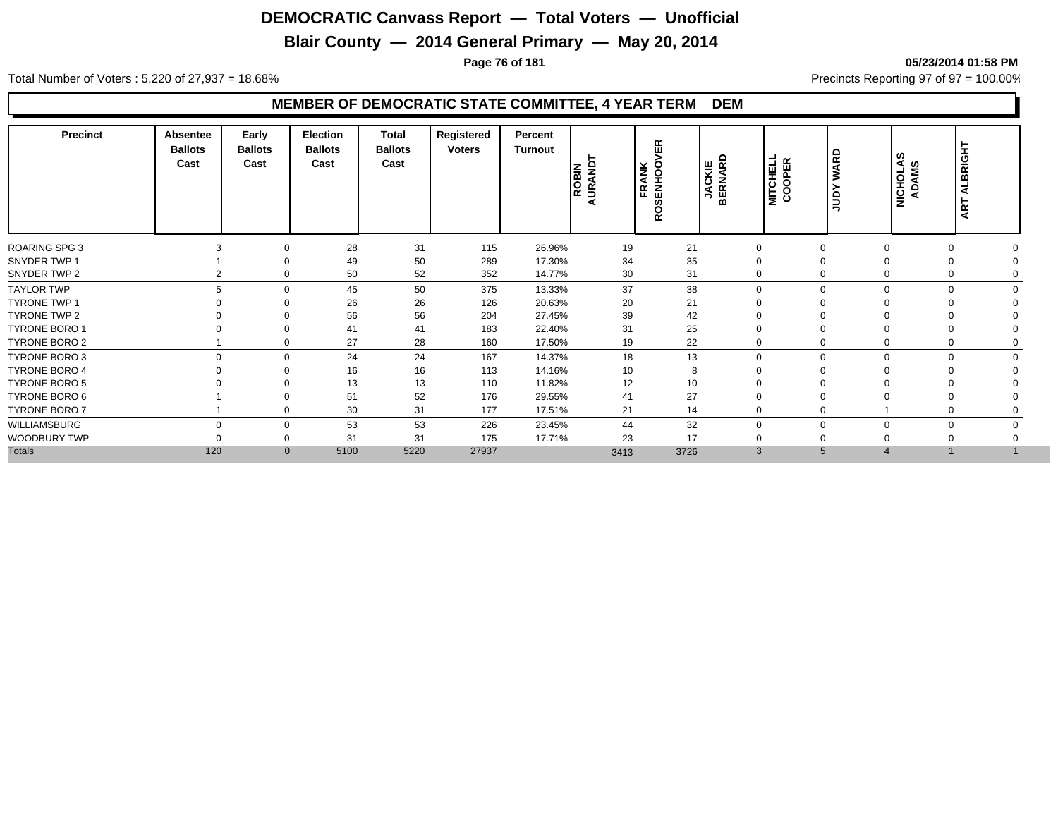## **Blair County — 2014 General Primary — May 20, 2014**

**Page 76 of 181 05/23/2014 01:58 PM**

Total Number of Voters : 5,220 of 27,937 = 18.68% Precincts Reporting 97 of 97 = 100.00%

#### **MEMBER OF DEMOCRATIC STATE COMMITTEE, 4 YEAR TERM DEM**

| <b>Precinct</b>      | Absentee<br><b>Ballots</b><br>Cast | Early<br><b>Ballots</b><br>Cast | <b>Election</b><br><b>Ballots</b><br>Cast | <b>Total</b><br><b>Ballots</b><br>Cast | Registered<br><b>Voters</b> | Percent<br>Turnout | <b>ROBIN</b><br>URAND<br>⋖ | VER<br><b>RANK</b><br>NHOO'<br>ŠËN,<br>ш.<br>$\circ$<br>∝ | <b>JACKIE<br/>BERNARD</b> | <b>MITCHELL</b><br>COOPER | <b>WARD</b><br><b>AdDr</b> | NICHOLAS<br>ADAMS | LBRIGHT<br>⋖<br>ART |  |
|----------------------|------------------------------------|---------------------------------|-------------------------------------------|----------------------------------------|-----------------------------|--------------------|----------------------------|-----------------------------------------------------------|---------------------------|---------------------------|----------------------------|-------------------|---------------------|--|
| <b>ROARING SPG 3</b> |                                    | $\Omega$                        | 28                                        | 31                                     | 115                         | 26.96%             | 19                         | 21                                                        | $\mathbf 0$               |                           | $\Omega$                   |                   | $\Omega$            |  |
| SNYDER TWP 1         |                                    | $\Omega$                        | 49                                        | 50                                     | 289                         | 17.30%             | 34                         | 35                                                        | $\mathbf 0$               |                           | 0                          |                   | 0                   |  |
| SNYDER TWP 2         |                                    | $\Omega$                        | 50                                        | 52                                     | 352                         | 14.77%             | 30                         | 31                                                        | $\mathbf 0$               |                           | 0                          |                   | 0                   |  |
| <b>TAYLOR TWP</b>    | 5                                  | $\Omega$                        | 45                                        | 50                                     | 375                         | 13.33%             | 37                         | 38                                                        | $\mathbf 0$               | $\Omega$                  |                            | $\Omega$          | $\Omega$            |  |
| TYRONE TWP 1         |                                    | $\Omega$                        | 26                                        | 26                                     | 126                         | 20.63%             | 20                         | 21                                                        | $\Omega$                  |                           |                            |                   |                     |  |
| TYRONE TWP 2         |                                    | $\Omega$                        | 56                                        | 56                                     | 204                         | 27.45%             | 39                         | 42                                                        | $\mathbf 0$               |                           |                            |                   |                     |  |
| <b>TYRONE BORO 1</b> |                                    | $\Omega$                        | 41                                        | 41                                     | 183                         | 22.40%             | 31                         | 25                                                        | $\mathbf 0$               |                           |                            |                   |                     |  |
| <b>TYRONE BORO 2</b> |                                    | 0                               | 27                                        | 28                                     | 160                         | 17.50%             | 19                         | 22                                                        | $\mathbf 0$               |                           |                            |                   |                     |  |
| TYRONE BORO 3        | $\Omega$                           | $\Omega$                        | 24                                        | 24                                     | 167                         | 14.37%             | 18                         | 13                                                        | $\mathbf 0$               | 0                         | $\Omega$                   |                   | $\Omega$            |  |
| <b>TYRONE BORO 4</b> |                                    | $\Omega$                        | 16                                        | 16                                     | 113                         | 14.16%             | 10                         | 8                                                         | $\mathbf 0$               |                           |                            |                   |                     |  |
| <b>TYRONE BORO 5</b> |                                    | $\Omega$                        | 13                                        | 13                                     | 110                         | 11.82%             | 12                         | 10                                                        | $\mathbf 0$               |                           |                            |                   |                     |  |
| TYRONE BORO 6        |                                    | $\Omega$                        | 51                                        | 52                                     | 176                         | 29.55%             | 41                         | 27                                                        | $\mathbf 0$               |                           |                            |                   |                     |  |
| TYRONE BORO 7        |                                    | $\Omega$                        | 30                                        | 31                                     | 177                         | 17.51%             | 21                         | 14                                                        | $\mathbf 0$               |                           |                            |                   | $\Omega$            |  |
| WILLIAMSBURG         | $\Omega$                           | $\Omega$                        | 53                                        | 53                                     | 226                         | 23.45%             | 44                         | 32                                                        | $\mathbf 0$               | $\Omega$                  |                            | $\Omega$          | $\mathbf 0$         |  |
| WOODBURY TWP         |                                    | 0                               | 31                                        | 31                                     | 175                         | 17.71%             | 23                         | 17                                                        | $\mathbf 0$               |                           |                            |                   |                     |  |
| <b>Totals</b>        | 120                                | $\mathbf{0}$                    | 5100                                      | 5220                                   | 27937                       |                    | 3413                       | 3726                                                      | 3                         | 5                         |                            |                   |                     |  |
|                      |                                    |                                 |                                           |                                        |                             |                    |                            |                                                           |                           |                           |                            |                   |                     |  |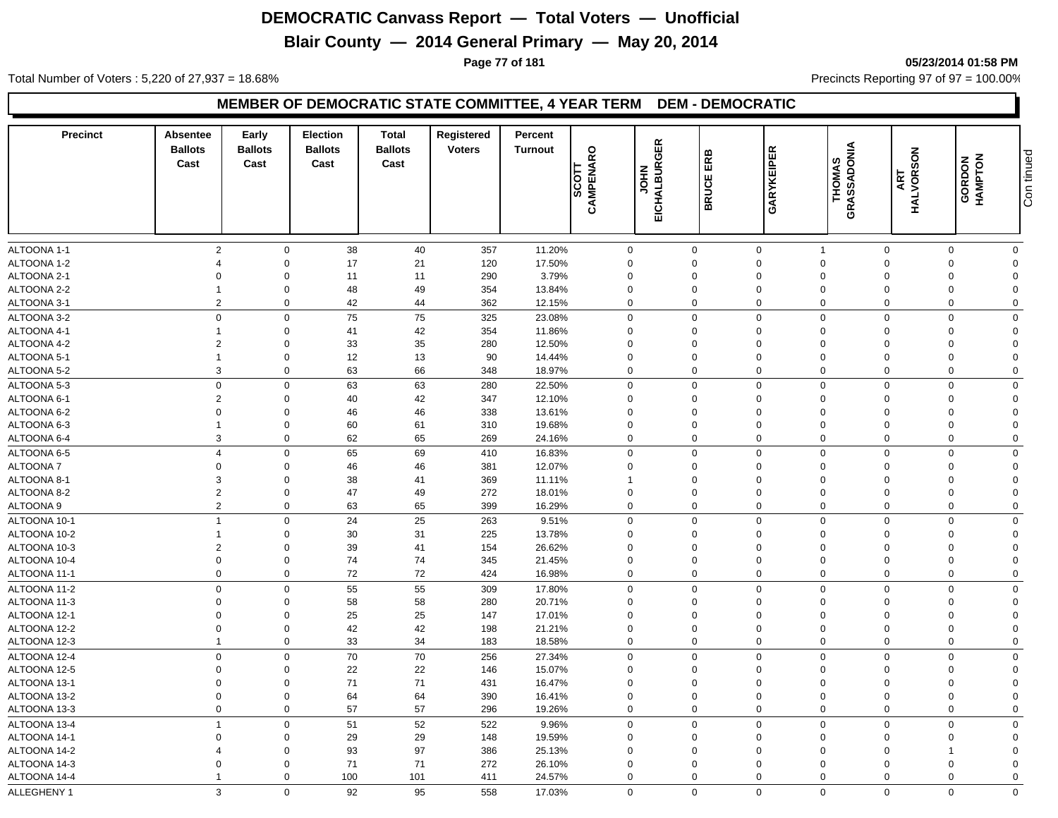## **Blair County — 2014 General Primary — May 20, 2014**

**Page 77 of 181 05/23/2014 01:58 PM**

Total Number of Voters : 5,220 of 27,937 = 18.68% Precincts Reporting 97 of 97 = 100.00%

#### **MEMBER OF DEMOCRATIC STATE COMMITTEE, 4 YEAR TERM DEM - DEMOCRATIC**

| ALTOONA 1-1<br>$\overline{2}$<br>38<br>357<br>$\mathbf 0$<br>40<br>11.20%<br>0<br>0<br>$\mathbf 0$<br>$\mathbf 0$<br>0<br>$\mathbf 0$<br>$\overline{1}$<br>$\Omega$<br>21<br>17.50%<br>$\mathbf 0$<br>$\Omega$<br>17<br>120<br>$\Omega$<br>$\Omega$<br>$\Omega$<br>$\boldsymbol{\Delta}$<br>0<br>$\Omega$<br>ALTOONA 2-1<br>11<br>$\mathbf 0$<br>11<br>290<br>3.79%<br>0<br>$\mathbf 0$<br>$\Omega$<br>$\mathbf 0$<br>$\mathbf 0$<br>$\Omega$<br>$\Omega$<br>$\Omega$<br>$\mathbf 0$<br>48<br>49<br>13.84%<br>$\mathbf 0$<br>$\mathbf 0$<br>354<br>$\mathbf 0$<br>$\mathbf 0$<br>$\Omega$<br>$\mathbf 0$<br>$\Omega$<br>$\overline{2}$<br>$\mathbf 0$<br>42<br>44<br>362<br>12.15%<br>$\mathbf 0$<br>$\mathbf 0$<br>$\mathbf 0$<br>$\mathbf 0$<br>$\mathbf 0$<br>$\mathbf 0$<br>$\Omega$<br>$\mathbf 0$<br>75<br>75<br>$\mathbf 0$<br>$\Omega$<br>325<br>$\Omega$<br>$\Omega$<br>$\Omega$<br>ALTOONA 3-2<br>23.08%<br>$\Omega$<br>$\Omega$<br>$\Omega$<br>42<br>$\mathbf 0$<br>$\mathbf 0$<br>41<br>354<br>11.86%<br>$\Omega$<br>$\Omega$<br>$\Omega$<br>$\Omega$<br>$\Omega$<br>$\Omega$<br>-1<br>$\overline{2}$<br>$\mathbf 0$<br>33<br>35<br>12.50%<br>280<br>0<br>$\mathbf 0$<br>$\mathbf 0$<br>$\Omega$<br>$\overline{0}$<br>$\mathbf 0$<br>$\Omega$<br>12<br>13<br>ALTOONA 5-1<br>$\mathbf 0$<br>90<br>14.44%<br>$\mathbf 0$<br>$\mathbf 0$<br>$\mathbf 0$<br>$\overline{0}$<br>$\mathbf 0$<br>$\Omega$<br>$\overline{1}$<br>$\Omega$<br>66<br>3<br>$\mathbf 0$<br>63<br>348<br>18.97%<br>$\mathbf 0$<br>$\mathbf 0$<br>$\mathbf 0$<br>$\mathbf 0$<br>$\mathbf 0$<br>$\mathbf 0$<br>$\mathbf 0$<br>$\mathbf 0$<br>63<br>$\mathbf 0$<br>63<br>$\Omega$<br>$\mathbf 0$<br>$\Omega$<br>$\mathbf 0$<br>ALTOONA 5-3<br>280<br>22.50%<br>0<br>$\Omega$<br>$\Omega$<br>ALTOONA 6-1<br>$\overline{2}$<br>42<br>$\mathbf 0$<br>40<br>347<br>12.10%<br>$\Omega$<br>$\mathbf 0$<br>$\Omega$<br>$\Omega$<br>$\Omega$<br>$\Omega$<br>$\Omega$<br>ALTOONA 6-2<br>$\mathbf 0$<br>$\mathbf 0$<br>46<br>46<br>338<br>13.61%<br>0<br>$\mathbf 0$<br>$\Omega$<br>$\Omega$<br>0<br>$\Omega$<br>$\Omega$<br>$\mathbf 0$<br>60<br>61<br>19.68%<br>ALTOONA 6-3<br>310<br>$\mathbf 0$<br>0<br>$\mathbf 0$<br>$\mathbf 0$<br>$\mathbf 0$<br>$\Omega$<br>$\overline{1}$<br>$\Omega$<br>3<br>$\mathbf 0$<br>62<br>65<br>$\mathbf 0$<br>269<br>24.16%<br>0<br>$\mathbf 0$<br>$\mathbf 0$<br>$\Omega$<br>$\Omega$<br>$\mathbf 0$<br>69<br>ALTOONA 6-5<br>$\overline{4}$<br>$\mathbf 0$<br>65<br>16.83%<br>$\mathbf 0$<br>$\Omega$<br>$\mathbf 0$<br>$\Omega$<br>$\mathbf 0$<br>410<br>$\Omega$<br>$\Omega$<br><b>ALTOONA7</b><br>$\mathbf 0$<br>$\mathbf 0$<br>46<br>46<br>381<br>12.07%<br>$\mathbf 0$<br>$\mathbf 0$<br>$\Omega$<br>$\mathbf 0$<br>$\Omega$<br>$\Omega$<br>$\Omega$<br>ALTOONA 8-1<br>3<br>$\mathbf 0$<br>38<br>41<br>369<br>11.11%<br>$\Omega$<br>$\mathbf 0$<br>$\Omega$<br>$\Omega$<br>$\Omega$<br>$\mathbf{1}$<br>$\Omega$<br>$\overline{2}$<br>47<br>ALTOONA 8-2<br>$\mathbf 0$<br>49<br>272<br>18.01%<br>0<br>$\mathbf 0$<br>$\mathbf 0$<br>$\Omega$<br>$\Omega$<br>$\Omega$<br>$\Omega$<br>$\overline{2}$<br>65<br>$\mathbf 0$<br>63<br>$\pmb{0}$<br>$\mathbf 0$<br>399<br>16.29%<br>$\mathbf 0$<br>$\mathbf 0$<br>$\mathbf 0$<br>$\mathbf 0$<br>$\mathbf 0$<br>24<br>25<br>$\mathbf 0$<br>$\mathbf 0$<br>$\mathbf 0$<br>ALTOONA 10-1<br>$\overline{1}$<br>$\mathbf 0$<br>263<br>9.51%<br>$\mathbf 0$<br>$\mathbf 0$<br>$\Omega$<br>$\Omega$<br>31<br>ALTOONA 10-2<br>$\mathbf 0$<br>30<br>225<br>13.78%<br>$\Omega$<br>$\mathbf 0$<br>$\mathbf 0$<br>$\Omega$<br>$\Omega$<br>$\Omega$<br>$\mathbf{1}$<br>$\Omega$<br>ALTOONA 10-3<br>$\overline{2}$<br>$\mathbf 0$<br>39<br>41<br>154<br>26.62%<br>$\mathbf 0$<br>$\mathbf{0}$<br>$\mathbf 0$<br>0<br>$\Omega$<br>$\Omega$<br>$\Omega$<br>$\mathbf 0$<br>74<br>74<br>ALTOONA 10-4<br>$\mathbf 0$<br>345<br>21.45%<br>0<br>$\mathbf 0$<br>$\Omega$<br>$\Omega$<br>$\mathbf 0$<br>$\Omega$<br>$\Omega$<br>$\mathbf 0$<br>72<br>72<br>$\mathbf 0$<br>16.98%<br>$\mathbf 0$<br>$\mathbf 0$<br>$\mathbf 0$<br>$\mathbf 0$<br>$\mathbf 0$<br>424<br>$\mathbf 0$<br>$\mathbf 0$<br>$\mathbf 0$<br>$\mathbf 0$<br>55<br>55<br>17.80%<br>$\mathbf 0$<br>$\mathbf 0$<br>$\mathbf 0$<br>$\Omega$<br>$\mathbf 0$<br>ALTOONA 11-2<br>309<br>$\Omega$<br>$\Omega$<br>58<br>ALTOONA 11-3<br>$\Omega$<br>$\mathbf 0$<br>58<br>280<br>20.71%<br>$\mathbf 0$<br>$\mathbf 0$<br>$\mathbf 0$<br>$\mathbf 0$<br>$\Omega$<br>$\Omega$<br>$\Omega$<br>25<br>$\Omega$<br>$\mathbf 0$<br>25<br>147<br>17.01%<br>$\Omega$<br>0<br>0<br>$\Omega$<br>$\Omega$<br>$\Omega$<br>$\Omega$<br>42<br>$\Omega$<br>42<br>$\mathbf 0$<br>198<br>21.21%<br>$\mathbf 0$<br>$\mathbf 0$<br>$\Omega$<br>$\Omega$<br>$\Omega$<br>$\mathbf 0$<br>$\Omega$<br>$\mathbf 0$<br>33<br>34<br>183<br>$\mathbf 0$<br>$\mathbf 0$<br>$\mathbf 0$<br>$\mathbf 0$<br>$\overline{1}$<br>18.58%<br>$\Omega$<br>$\Omega$<br>0<br>70<br>$\mathbf 0$<br>$\mathbf 0$<br>70<br>256<br>27.34%<br>$\mathbf 0$<br>$\mathbf 0$<br>$\mathbf 0$<br>$\overline{0}$<br>$\mathbf 0$<br>$\Omega$<br>$\mathbf 0$<br>22<br>22<br>15.07%<br>$\Omega$<br>$\mathbf 0$<br>146<br>$\mathbf 0$<br>0<br>$\mathbf 0$<br>$\Omega$<br>$\Omega$<br>$\mathbf 0$<br>$\Omega$<br>71<br>71<br>$\Omega$<br>$\mathbf 0$<br>16.47%<br>$\mathbf 0$<br>$\Omega$<br>431<br>$\mathbf 0$<br>0<br>$\Omega$<br>$\Omega$<br>$\Omega$<br>$\mathbf 0$<br>$\mathbf 0$<br>64<br>64<br>$\overline{0}$<br>$\mathbf 0$<br>390<br>16.41%<br>$\mathbf 0$<br>$\Omega$<br>$\Omega$<br>$\Omega$<br>$\Omega$<br>$\mathbf 0$<br>$\mathbf{0}$<br>57<br>57<br>296<br>19.26%<br>0<br>$\mathbf 0$<br>$\mathbf 0$<br>$\Omega$<br>$\Omega$<br>$\mathbf 0$<br>$\mathbf 0$<br>51<br>52<br>$\mathbf 0$<br>$\mathbf 0$<br>522<br>9.96%<br>$\mathbf 0$<br>$\mathbf 0$<br>$\mathbf 0$<br>$\Omega$<br>$\Omega$<br>$\mathbf 0$<br>$\overline{1}$<br>29<br>ALTOONA 14-1<br>$\mathbf 0$<br>29<br>19.59%<br>$\mathbf 0$<br>$\Omega$<br>148<br>$\mathbf 0$<br>0<br>$\mathbf 0$<br>$\Omega$<br>$\Omega$<br>$\Omega$<br>93<br>97<br>$\mathbf 0$<br>386<br>$\Omega$<br>$\mathbf 0$<br>25.13%<br>$\Omega$<br>$\Omega$<br>$\Omega$<br>$\overline{4}$<br>$\Omega$<br>71<br>$\Omega$<br>$\mathbf 0$<br>71<br>272<br>26.10%<br>$\mathbf 0$<br>$\mathbf 0$<br>$\mathbf 0$<br>$\Omega$<br>$\Omega$<br>$\Omega$<br>$\Omega$<br>$\mathbf 0$<br>100<br>101<br>411<br>24.57%<br>$\mathbf 0$<br>$\Omega$<br>$\mathbf{0}$<br>$\Omega$<br>$\Omega$<br>$\Omega$<br>$\Omega$<br>-1<br>3<br>92<br>$\Omega$<br>$\Omega$<br>$\mathbf 0$<br>$\Omega$<br>$\Omega$<br>$\Omega$<br>$\Omega$<br>$\Omega$<br>17.03% | <b>Precinct</b> | Absentee<br><b>Ballots</b><br>Cast | Early<br><b>Ballots</b><br>Cast | <b>Election</b><br><b>Ballots</b><br>Cast | <b>Total</b><br><b>Ballots</b><br>Cast | Registered<br><b>Voters</b> | Percent<br><b>Turnout</b> | SCOTT<br>CAMPENARO | EICHALBURGER<br>HOL | ERB<br><b>BRUCE</b> | GARYKEIPER | THOMAS<br>GRASSADONIA | HALVORSON<br>ART | GORDON<br>HAMPTON | Con tinued |
|----------------------------------------------------------------------------------------------------------------------------------------------------------------------------------------------------------------------------------------------------------------------------------------------------------------------------------------------------------------------------------------------------------------------------------------------------------------------------------------------------------------------------------------------------------------------------------------------------------------------------------------------------------------------------------------------------------------------------------------------------------------------------------------------------------------------------------------------------------------------------------------------------------------------------------------------------------------------------------------------------------------------------------------------------------------------------------------------------------------------------------------------------------------------------------------------------------------------------------------------------------------------------------------------------------------------------------------------------------------------------------------------------------------------------------------------------------------------------------------------------------------------------------------------------------------------------------------------------------------------------------------------------------------------------------------------------------------------------------------------------------------------------------------------------------------------------------------------------------------------------------------------------------------------------------------------------------------------------------------------------------------------------------------------------------------------------------------------------------------------------------------------------------------------------------------------------------------------------------------------------------------------------------------------------------------------------------------------------------------------------------------------------------------------------------------------------------------------------------------------------------------------------------------------------------------------------------------------------------------------------------------------------------------------------------------------------------------------------------------------------------------------------------------------------------------------------------------------------------------------------------------------------------------------------------------------------------------------------------------------------------------------------------------------------------------------------------------------------------------------------------------------------------------------------------------------------------------------------------------------------------------------------------------------------------------------------------------------------------------------------------------------------------------------------------------------------------------------------------------------------------------------------------------------------------------------------------------------------------------------------------------------------------------------------------------------------------------------------------------------------------------------------------------------------------------------------------------------------------------------------------------------------------------------------------------------------------------------------------------------------------------------------------------------------------------------------------------------------------------------------------------------------------------------------------------------------------------------------------------------------------------------------------------------------------------------------------------------------------------------------------------------------------------------------------------------------------------------------------------------------------------------------------------------------------------------------------------------------------------------------------------------------------------------------------------------------------------------------------------------------------------------------------------------------------------------------------------------------------------------------------------------------------------------------------------------------------------------------------------------------------------------------------------------------------------------------------------------------------------------------------------------------------------------------------------------------------------------------------------------------------------------------------------------------------------------------------------------------------------------------------------------------------------------------------------------------------------------------------------------------------------------------------------------------------------------------------------------------------------------------------------------------------------------------------------------------------------------------------------------------------------------------------------------------------------------------------------------------------------------------------------------------------------------------------------------------------------------------------------------------------------------------------------------------------------------------------------------------------------------------------------------------------------------------------------------------------------------------------------------------------------------------------------------------------------------------------------------------------------------------------------------------------------------------------------------------------------------------------------------------------------------------------------------------------------------------------------------------------|-----------------|------------------------------------|---------------------------------|-------------------------------------------|----------------------------------------|-----------------------------|---------------------------|--------------------|---------------------|---------------------|------------|-----------------------|------------------|-------------------|------------|
|                                                                                                                                                                                                                                                                                                                                                                                                                                                                                                                                                                                                                                                                                                                                                                                                                                                                                                                                                                                                                                                                                                                                                                                                                                                                                                                                                                                                                                                                                                                                                                                                                                                                                                                                                                                                                                                                                                                                                                                                                                                                                                                                                                                                                                                                                                                                                                                                                                                                                                                                                                                                                                                                                                                                                                                                                                                                                                                                                                                                                                                                                                                                                                                                                                                                                                                                                                                                                                                                                                                                                                                                                                                                                                                                                                                                                                                                                                                                                                                                                                                                                                                                                                                                                                                                                                                                                                                                                                                                                                                                                                                                                                                                                                                                                                                                                                                                                                                                                                                                                                                                                                                                                                                                                                                                                                                                                                                                                                                                                                                                                                                                                                                                                                                                                                                                                                                                                                                                                                                                                                                                                                                                                                                                                                                                                                                                                                                                                                                                                                                                                                                                          |                 |                                    |                                 |                                           |                                        |                             |                           |                    |                     |                     |            |                       |                  |                   |            |
|                                                                                                                                                                                                                                                                                                                                                                                                                                                                                                                                                                                                                                                                                                                                                                                                                                                                                                                                                                                                                                                                                                                                                                                                                                                                                                                                                                                                                                                                                                                                                                                                                                                                                                                                                                                                                                                                                                                                                                                                                                                                                                                                                                                                                                                                                                                                                                                                                                                                                                                                                                                                                                                                                                                                                                                                                                                                                                                                                                                                                                                                                                                                                                                                                                                                                                                                                                                                                                                                                                                                                                                                                                                                                                                                                                                                                                                                                                                                                                                                                                                                                                                                                                                                                                                                                                                                                                                                                                                                                                                                                                                                                                                                                                                                                                                                                                                                                                                                                                                                                                                                                                                                                                                                                                                                                                                                                                                                                                                                                                                                                                                                                                                                                                                                                                                                                                                                                                                                                                                                                                                                                                                                                                                                                                                                                                                                                                                                                                                                                                                                                                                                          | ALTOONA 1-2     |                                    |                                 |                                           |                                        |                             |                           |                    |                     |                     |            |                       |                  |                   |            |
|                                                                                                                                                                                                                                                                                                                                                                                                                                                                                                                                                                                                                                                                                                                                                                                                                                                                                                                                                                                                                                                                                                                                                                                                                                                                                                                                                                                                                                                                                                                                                                                                                                                                                                                                                                                                                                                                                                                                                                                                                                                                                                                                                                                                                                                                                                                                                                                                                                                                                                                                                                                                                                                                                                                                                                                                                                                                                                                                                                                                                                                                                                                                                                                                                                                                                                                                                                                                                                                                                                                                                                                                                                                                                                                                                                                                                                                                                                                                                                                                                                                                                                                                                                                                                                                                                                                                                                                                                                                                                                                                                                                                                                                                                                                                                                                                                                                                                                                                                                                                                                                                                                                                                                                                                                                                                                                                                                                                                                                                                                                                                                                                                                                                                                                                                                                                                                                                                                                                                                                                                                                                                                                                                                                                                                                                                                                                                                                                                                                                                                                                                                                                          |                 |                                    |                                 |                                           |                                        |                             |                           |                    |                     |                     |            |                       |                  |                   |            |
|                                                                                                                                                                                                                                                                                                                                                                                                                                                                                                                                                                                                                                                                                                                                                                                                                                                                                                                                                                                                                                                                                                                                                                                                                                                                                                                                                                                                                                                                                                                                                                                                                                                                                                                                                                                                                                                                                                                                                                                                                                                                                                                                                                                                                                                                                                                                                                                                                                                                                                                                                                                                                                                                                                                                                                                                                                                                                                                                                                                                                                                                                                                                                                                                                                                                                                                                                                                                                                                                                                                                                                                                                                                                                                                                                                                                                                                                                                                                                                                                                                                                                                                                                                                                                                                                                                                                                                                                                                                                                                                                                                                                                                                                                                                                                                                                                                                                                                                                                                                                                                                                                                                                                                                                                                                                                                                                                                                                                                                                                                                                                                                                                                                                                                                                                                                                                                                                                                                                                                                                                                                                                                                                                                                                                                                                                                                                                                                                                                                                                                                                                                                                          | ALTOONA 2-2     |                                    |                                 |                                           |                                        |                             |                           |                    |                     |                     |            |                       |                  |                   |            |
|                                                                                                                                                                                                                                                                                                                                                                                                                                                                                                                                                                                                                                                                                                                                                                                                                                                                                                                                                                                                                                                                                                                                                                                                                                                                                                                                                                                                                                                                                                                                                                                                                                                                                                                                                                                                                                                                                                                                                                                                                                                                                                                                                                                                                                                                                                                                                                                                                                                                                                                                                                                                                                                                                                                                                                                                                                                                                                                                                                                                                                                                                                                                                                                                                                                                                                                                                                                                                                                                                                                                                                                                                                                                                                                                                                                                                                                                                                                                                                                                                                                                                                                                                                                                                                                                                                                                                                                                                                                                                                                                                                                                                                                                                                                                                                                                                                                                                                                                                                                                                                                                                                                                                                                                                                                                                                                                                                                                                                                                                                                                                                                                                                                                                                                                                                                                                                                                                                                                                                                                                                                                                                                                                                                                                                                                                                                                                                                                                                                                                                                                                                                                          | ALTOONA 3-1     |                                    |                                 |                                           |                                        |                             |                           |                    |                     |                     |            |                       |                  |                   |            |
|                                                                                                                                                                                                                                                                                                                                                                                                                                                                                                                                                                                                                                                                                                                                                                                                                                                                                                                                                                                                                                                                                                                                                                                                                                                                                                                                                                                                                                                                                                                                                                                                                                                                                                                                                                                                                                                                                                                                                                                                                                                                                                                                                                                                                                                                                                                                                                                                                                                                                                                                                                                                                                                                                                                                                                                                                                                                                                                                                                                                                                                                                                                                                                                                                                                                                                                                                                                                                                                                                                                                                                                                                                                                                                                                                                                                                                                                                                                                                                                                                                                                                                                                                                                                                                                                                                                                                                                                                                                                                                                                                                                                                                                                                                                                                                                                                                                                                                                                                                                                                                                                                                                                                                                                                                                                                                                                                                                                                                                                                                                                                                                                                                                                                                                                                                                                                                                                                                                                                                                                                                                                                                                                                                                                                                                                                                                                                                                                                                                                                                                                                                                                          |                 |                                    |                                 |                                           |                                        |                             |                           |                    |                     |                     |            |                       |                  |                   |            |
|                                                                                                                                                                                                                                                                                                                                                                                                                                                                                                                                                                                                                                                                                                                                                                                                                                                                                                                                                                                                                                                                                                                                                                                                                                                                                                                                                                                                                                                                                                                                                                                                                                                                                                                                                                                                                                                                                                                                                                                                                                                                                                                                                                                                                                                                                                                                                                                                                                                                                                                                                                                                                                                                                                                                                                                                                                                                                                                                                                                                                                                                                                                                                                                                                                                                                                                                                                                                                                                                                                                                                                                                                                                                                                                                                                                                                                                                                                                                                                                                                                                                                                                                                                                                                                                                                                                                                                                                                                                                                                                                                                                                                                                                                                                                                                                                                                                                                                                                                                                                                                                                                                                                                                                                                                                                                                                                                                                                                                                                                                                                                                                                                                                                                                                                                                                                                                                                                                                                                                                                                                                                                                                                                                                                                                                                                                                                                                                                                                                                                                                                                                                                          | ALTOONA 4-1     |                                    |                                 |                                           |                                        |                             |                           |                    |                     |                     |            |                       |                  |                   |            |
|                                                                                                                                                                                                                                                                                                                                                                                                                                                                                                                                                                                                                                                                                                                                                                                                                                                                                                                                                                                                                                                                                                                                                                                                                                                                                                                                                                                                                                                                                                                                                                                                                                                                                                                                                                                                                                                                                                                                                                                                                                                                                                                                                                                                                                                                                                                                                                                                                                                                                                                                                                                                                                                                                                                                                                                                                                                                                                                                                                                                                                                                                                                                                                                                                                                                                                                                                                                                                                                                                                                                                                                                                                                                                                                                                                                                                                                                                                                                                                                                                                                                                                                                                                                                                                                                                                                                                                                                                                                                                                                                                                                                                                                                                                                                                                                                                                                                                                                                                                                                                                                                                                                                                                                                                                                                                                                                                                                                                                                                                                                                                                                                                                                                                                                                                                                                                                                                                                                                                                                                                                                                                                                                                                                                                                                                                                                                                                                                                                                                                                                                                                                                          | ALTOONA 4-2     |                                    |                                 |                                           |                                        |                             |                           |                    |                     |                     |            |                       |                  |                   |            |
|                                                                                                                                                                                                                                                                                                                                                                                                                                                                                                                                                                                                                                                                                                                                                                                                                                                                                                                                                                                                                                                                                                                                                                                                                                                                                                                                                                                                                                                                                                                                                                                                                                                                                                                                                                                                                                                                                                                                                                                                                                                                                                                                                                                                                                                                                                                                                                                                                                                                                                                                                                                                                                                                                                                                                                                                                                                                                                                                                                                                                                                                                                                                                                                                                                                                                                                                                                                                                                                                                                                                                                                                                                                                                                                                                                                                                                                                                                                                                                                                                                                                                                                                                                                                                                                                                                                                                                                                                                                                                                                                                                                                                                                                                                                                                                                                                                                                                                                                                                                                                                                                                                                                                                                                                                                                                                                                                                                                                                                                                                                                                                                                                                                                                                                                                                                                                                                                                                                                                                                                                                                                                                                                                                                                                                                                                                                                                                                                                                                                                                                                                                                                          |                 |                                    |                                 |                                           |                                        |                             |                           |                    |                     |                     |            |                       |                  |                   |            |
|                                                                                                                                                                                                                                                                                                                                                                                                                                                                                                                                                                                                                                                                                                                                                                                                                                                                                                                                                                                                                                                                                                                                                                                                                                                                                                                                                                                                                                                                                                                                                                                                                                                                                                                                                                                                                                                                                                                                                                                                                                                                                                                                                                                                                                                                                                                                                                                                                                                                                                                                                                                                                                                                                                                                                                                                                                                                                                                                                                                                                                                                                                                                                                                                                                                                                                                                                                                                                                                                                                                                                                                                                                                                                                                                                                                                                                                                                                                                                                                                                                                                                                                                                                                                                                                                                                                                                                                                                                                                                                                                                                                                                                                                                                                                                                                                                                                                                                                                                                                                                                                                                                                                                                                                                                                                                                                                                                                                                                                                                                                                                                                                                                                                                                                                                                                                                                                                                                                                                                                                                                                                                                                                                                                                                                                                                                                                                                                                                                                                                                                                                                                                          | ALTOONA 5-2     |                                    |                                 |                                           |                                        |                             |                           |                    |                     |                     |            |                       |                  |                   |            |
|                                                                                                                                                                                                                                                                                                                                                                                                                                                                                                                                                                                                                                                                                                                                                                                                                                                                                                                                                                                                                                                                                                                                                                                                                                                                                                                                                                                                                                                                                                                                                                                                                                                                                                                                                                                                                                                                                                                                                                                                                                                                                                                                                                                                                                                                                                                                                                                                                                                                                                                                                                                                                                                                                                                                                                                                                                                                                                                                                                                                                                                                                                                                                                                                                                                                                                                                                                                                                                                                                                                                                                                                                                                                                                                                                                                                                                                                                                                                                                                                                                                                                                                                                                                                                                                                                                                                                                                                                                                                                                                                                                                                                                                                                                                                                                                                                                                                                                                                                                                                                                                                                                                                                                                                                                                                                                                                                                                                                                                                                                                                                                                                                                                                                                                                                                                                                                                                                                                                                                                                                                                                                                                                                                                                                                                                                                                                                                                                                                                                                                                                                                                                          |                 |                                    |                                 |                                           |                                        |                             |                           |                    |                     |                     |            |                       |                  |                   |            |
|                                                                                                                                                                                                                                                                                                                                                                                                                                                                                                                                                                                                                                                                                                                                                                                                                                                                                                                                                                                                                                                                                                                                                                                                                                                                                                                                                                                                                                                                                                                                                                                                                                                                                                                                                                                                                                                                                                                                                                                                                                                                                                                                                                                                                                                                                                                                                                                                                                                                                                                                                                                                                                                                                                                                                                                                                                                                                                                                                                                                                                                                                                                                                                                                                                                                                                                                                                                                                                                                                                                                                                                                                                                                                                                                                                                                                                                                                                                                                                                                                                                                                                                                                                                                                                                                                                                                                                                                                                                                                                                                                                                                                                                                                                                                                                                                                                                                                                                                                                                                                                                                                                                                                                                                                                                                                                                                                                                                                                                                                                                                                                                                                                                                                                                                                                                                                                                                                                                                                                                                                                                                                                                                                                                                                                                                                                                                                                                                                                                                                                                                                                                                          |                 |                                    |                                 |                                           |                                        |                             |                           |                    |                     |                     |            |                       |                  |                   |            |
|                                                                                                                                                                                                                                                                                                                                                                                                                                                                                                                                                                                                                                                                                                                                                                                                                                                                                                                                                                                                                                                                                                                                                                                                                                                                                                                                                                                                                                                                                                                                                                                                                                                                                                                                                                                                                                                                                                                                                                                                                                                                                                                                                                                                                                                                                                                                                                                                                                                                                                                                                                                                                                                                                                                                                                                                                                                                                                                                                                                                                                                                                                                                                                                                                                                                                                                                                                                                                                                                                                                                                                                                                                                                                                                                                                                                                                                                                                                                                                                                                                                                                                                                                                                                                                                                                                                                                                                                                                                                                                                                                                                                                                                                                                                                                                                                                                                                                                                                                                                                                                                                                                                                                                                                                                                                                                                                                                                                                                                                                                                                                                                                                                                                                                                                                                                                                                                                                                                                                                                                                                                                                                                                                                                                                                                                                                                                                                                                                                                                                                                                                                                                          |                 |                                    |                                 |                                           |                                        |                             |                           |                    |                     |                     |            |                       |                  |                   |            |
|                                                                                                                                                                                                                                                                                                                                                                                                                                                                                                                                                                                                                                                                                                                                                                                                                                                                                                                                                                                                                                                                                                                                                                                                                                                                                                                                                                                                                                                                                                                                                                                                                                                                                                                                                                                                                                                                                                                                                                                                                                                                                                                                                                                                                                                                                                                                                                                                                                                                                                                                                                                                                                                                                                                                                                                                                                                                                                                                                                                                                                                                                                                                                                                                                                                                                                                                                                                                                                                                                                                                                                                                                                                                                                                                                                                                                                                                                                                                                                                                                                                                                                                                                                                                                                                                                                                                                                                                                                                                                                                                                                                                                                                                                                                                                                                                                                                                                                                                                                                                                                                                                                                                                                                                                                                                                                                                                                                                                                                                                                                                                                                                                                                                                                                                                                                                                                                                                                                                                                                                                                                                                                                                                                                                                                                                                                                                                                                                                                                                                                                                                                                                          |                 |                                    |                                 |                                           |                                        |                             |                           |                    |                     |                     |            |                       |                  |                   |            |
|                                                                                                                                                                                                                                                                                                                                                                                                                                                                                                                                                                                                                                                                                                                                                                                                                                                                                                                                                                                                                                                                                                                                                                                                                                                                                                                                                                                                                                                                                                                                                                                                                                                                                                                                                                                                                                                                                                                                                                                                                                                                                                                                                                                                                                                                                                                                                                                                                                                                                                                                                                                                                                                                                                                                                                                                                                                                                                                                                                                                                                                                                                                                                                                                                                                                                                                                                                                                                                                                                                                                                                                                                                                                                                                                                                                                                                                                                                                                                                                                                                                                                                                                                                                                                                                                                                                                                                                                                                                                                                                                                                                                                                                                                                                                                                                                                                                                                                                                                                                                                                                                                                                                                                                                                                                                                                                                                                                                                                                                                                                                                                                                                                                                                                                                                                                                                                                                                                                                                                                                                                                                                                                                                                                                                                                                                                                                                                                                                                                                                                                                                                                                          | ALTOONA 6-4     |                                    |                                 |                                           |                                        |                             |                           |                    |                     |                     |            |                       |                  |                   |            |
|                                                                                                                                                                                                                                                                                                                                                                                                                                                                                                                                                                                                                                                                                                                                                                                                                                                                                                                                                                                                                                                                                                                                                                                                                                                                                                                                                                                                                                                                                                                                                                                                                                                                                                                                                                                                                                                                                                                                                                                                                                                                                                                                                                                                                                                                                                                                                                                                                                                                                                                                                                                                                                                                                                                                                                                                                                                                                                                                                                                                                                                                                                                                                                                                                                                                                                                                                                                                                                                                                                                                                                                                                                                                                                                                                                                                                                                                                                                                                                                                                                                                                                                                                                                                                                                                                                                                                                                                                                                                                                                                                                                                                                                                                                                                                                                                                                                                                                                                                                                                                                                                                                                                                                                                                                                                                                                                                                                                                                                                                                                                                                                                                                                                                                                                                                                                                                                                                                                                                                                                                                                                                                                                                                                                                                                                                                                                                                                                                                                                                                                                                                                                          |                 |                                    |                                 |                                           |                                        |                             |                           |                    |                     |                     |            |                       |                  |                   |            |
|                                                                                                                                                                                                                                                                                                                                                                                                                                                                                                                                                                                                                                                                                                                                                                                                                                                                                                                                                                                                                                                                                                                                                                                                                                                                                                                                                                                                                                                                                                                                                                                                                                                                                                                                                                                                                                                                                                                                                                                                                                                                                                                                                                                                                                                                                                                                                                                                                                                                                                                                                                                                                                                                                                                                                                                                                                                                                                                                                                                                                                                                                                                                                                                                                                                                                                                                                                                                                                                                                                                                                                                                                                                                                                                                                                                                                                                                                                                                                                                                                                                                                                                                                                                                                                                                                                                                                                                                                                                                                                                                                                                                                                                                                                                                                                                                                                                                                                                                                                                                                                                                                                                                                                                                                                                                                                                                                                                                                                                                                                                                                                                                                                                                                                                                                                                                                                                                                                                                                                                                                                                                                                                                                                                                                                                                                                                                                                                                                                                                                                                                                                                                          |                 |                                    |                                 |                                           |                                        |                             |                           |                    |                     |                     |            |                       |                  |                   |            |
|                                                                                                                                                                                                                                                                                                                                                                                                                                                                                                                                                                                                                                                                                                                                                                                                                                                                                                                                                                                                                                                                                                                                                                                                                                                                                                                                                                                                                                                                                                                                                                                                                                                                                                                                                                                                                                                                                                                                                                                                                                                                                                                                                                                                                                                                                                                                                                                                                                                                                                                                                                                                                                                                                                                                                                                                                                                                                                                                                                                                                                                                                                                                                                                                                                                                                                                                                                                                                                                                                                                                                                                                                                                                                                                                                                                                                                                                                                                                                                                                                                                                                                                                                                                                                                                                                                                                                                                                                                                                                                                                                                                                                                                                                                                                                                                                                                                                                                                                                                                                                                                                                                                                                                                                                                                                                                                                                                                                                                                                                                                                                                                                                                                                                                                                                                                                                                                                                                                                                                                                                                                                                                                                                                                                                                                                                                                                                                                                                                                                                                                                                                                                          |                 |                                    |                                 |                                           |                                        |                             |                           |                    |                     |                     |            |                       |                  |                   |            |
|                                                                                                                                                                                                                                                                                                                                                                                                                                                                                                                                                                                                                                                                                                                                                                                                                                                                                                                                                                                                                                                                                                                                                                                                                                                                                                                                                                                                                                                                                                                                                                                                                                                                                                                                                                                                                                                                                                                                                                                                                                                                                                                                                                                                                                                                                                                                                                                                                                                                                                                                                                                                                                                                                                                                                                                                                                                                                                                                                                                                                                                                                                                                                                                                                                                                                                                                                                                                                                                                                                                                                                                                                                                                                                                                                                                                                                                                                                                                                                                                                                                                                                                                                                                                                                                                                                                                                                                                                                                                                                                                                                                                                                                                                                                                                                                                                                                                                                                                                                                                                                                                                                                                                                                                                                                                                                                                                                                                                                                                                                                                                                                                                                                                                                                                                                                                                                                                                                                                                                                                                                                                                                                                                                                                                                                                                                                                                                                                                                                                                                                                                                                                          |                 |                                    |                                 |                                           |                                        |                             |                           |                    |                     |                     |            |                       |                  |                   |            |
|                                                                                                                                                                                                                                                                                                                                                                                                                                                                                                                                                                                                                                                                                                                                                                                                                                                                                                                                                                                                                                                                                                                                                                                                                                                                                                                                                                                                                                                                                                                                                                                                                                                                                                                                                                                                                                                                                                                                                                                                                                                                                                                                                                                                                                                                                                                                                                                                                                                                                                                                                                                                                                                                                                                                                                                                                                                                                                                                                                                                                                                                                                                                                                                                                                                                                                                                                                                                                                                                                                                                                                                                                                                                                                                                                                                                                                                                                                                                                                                                                                                                                                                                                                                                                                                                                                                                                                                                                                                                                                                                                                                                                                                                                                                                                                                                                                                                                                                                                                                                                                                                                                                                                                                                                                                                                                                                                                                                                                                                                                                                                                                                                                                                                                                                                                                                                                                                                                                                                                                                                                                                                                                                                                                                                                                                                                                                                                                                                                                                                                                                                                                                          | ALTOONA 9       |                                    |                                 |                                           |                                        |                             |                           |                    |                     |                     |            |                       |                  |                   |            |
|                                                                                                                                                                                                                                                                                                                                                                                                                                                                                                                                                                                                                                                                                                                                                                                                                                                                                                                                                                                                                                                                                                                                                                                                                                                                                                                                                                                                                                                                                                                                                                                                                                                                                                                                                                                                                                                                                                                                                                                                                                                                                                                                                                                                                                                                                                                                                                                                                                                                                                                                                                                                                                                                                                                                                                                                                                                                                                                                                                                                                                                                                                                                                                                                                                                                                                                                                                                                                                                                                                                                                                                                                                                                                                                                                                                                                                                                                                                                                                                                                                                                                                                                                                                                                                                                                                                                                                                                                                                                                                                                                                                                                                                                                                                                                                                                                                                                                                                                                                                                                                                                                                                                                                                                                                                                                                                                                                                                                                                                                                                                                                                                                                                                                                                                                                                                                                                                                                                                                                                                                                                                                                                                                                                                                                                                                                                                                                                                                                                                                                                                                                                                          |                 |                                    |                                 |                                           |                                        |                             |                           |                    |                     |                     |            |                       |                  |                   |            |
|                                                                                                                                                                                                                                                                                                                                                                                                                                                                                                                                                                                                                                                                                                                                                                                                                                                                                                                                                                                                                                                                                                                                                                                                                                                                                                                                                                                                                                                                                                                                                                                                                                                                                                                                                                                                                                                                                                                                                                                                                                                                                                                                                                                                                                                                                                                                                                                                                                                                                                                                                                                                                                                                                                                                                                                                                                                                                                                                                                                                                                                                                                                                                                                                                                                                                                                                                                                                                                                                                                                                                                                                                                                                                                                                                                                                                                                                                                                                                                                                                                                                                                                                                                                                                                                                                                                                                                                                                                                                                                                                                                                                                                                                                                                                                                                                                                                                                                                                                                                                                                                                                                                                                                                                                                                                                                                                                                                                                                                                                                                                                                                                                                                                                                                                                                                                                                                                                                                                                                                                                                                                                                                                                                                                                                                                                                                                                                                                                                                                                                                                                                                                          |                 |                                    |                                 |                                           |                                        |                             |                           |                    |                     |                     |            |                       |                  |                   |            |
|                                                                                                                                                                                                                                                                                                                                                                                                                                                                                                                                                                                                                                                                                                                                                                                                                                                                                                                                                                                                                                                                                                                                                                                                                                                                                                                                                                                                                                                                                                                                                                                                                                                                                                                                                                                                                                                                                                                                                                                                                                                                                                                                                                                                                                                                                                                                                                                                                                                                                                                                                                                                                                                                                                                                                                                                                                                                                                                                                                                                                                                                                                                                                                                                                                                                                                                                                                                                                                                                                                                                                                                                                                                                                                                                                                                                                                                                                                                                                                                                                                                                                                                                                                                                                                                                                                                                                                                                                                                                                                                                                                                                                                                                                                                                                                                                                                                                                                                                                                                                                                                                                                                                                                                                                                                                                                                                                                                                                                                                                                                                                                                                                                                                                                                                                                                                                                                                                                                                                                                                                                                                                                                                                                                                                                                                                                                                                                                                                                                                                                                                                                                                          |                 |                                    |                                 |                                           |                                        |                             |                           |                    |                     |                     |            |                       |                  |                   |            |
|                                                                                                                                                                                                                                                                                                                                                                                                                                                                                                                                                                                                                                                                                                                                                                                                                                                                                                                                                                                                                                                                                                                                                                                                                                                                                                                                                                                                                                                                                                                                                                                                                                                                                                                                                                                                                                                                                                                                                                                                                                                                                                                                                                                                                                                                                                                                                                                                                                                                                                                                                                                                                                                                                                                                                                                                                                                                                                                                                                                                                                                                                                                                                                                                                                                                                                                                                                                                                                                                                                                                                                                                                                                                                                                                                                                                                                                                                                                                                                                                                                                                                                                                                                                                                                                                                                                                                                                                                                                                                                                                                                                                                                                                                                                                                                                                                                                                                                                                                                                                                                                                                                                                                                                                                                                                                                                                                                                                                                                                                                                                                                                                                                                                                                                                                                                                                                                                                                                                                                                                                                                                                                                                                                                                                                                                                                                                                                                                                                                                                                                                                                                                          |                 |                                    |                                 |                                           |                                        |                             |                           |                    |                     |                     |            |                       |                  |                   |            |
|                                                                                                                                                                                                                                                                                                                                                                                                                                                                                                                                                                                                                                                                                                                                                                                                                                                                                                                                                                                                                                                                                                                                                                                                                                                                                                                                                                                                                                                                                                                                                                                                                                                                                                                                                                                                                                                                                                                                                                                                                                                                                                                                                                                                                                                                                                                                                                                                                                                                                                                                                                                                                                                                                                                                                                                                                                                                                                                                                                                                                                                                                                                                                                                                                                                                                                                                                                                                                                                                                                                                                                                                                                                                                                                                                                                                                                                                                                                                                                                                                                                                                                                                                                                                                                                                                                                                                                                                                                                                                                                                                                                                                                                                                                                                                                                                                                                                                                                                                                                                                                                                                                                                                                                                                                                                                                                                                                                                                                                                                                                                                                                                                                                                                                                                                                                                                                                                                                                                                                                                                                                                                                                                                                                                                                                                                                                                                                                                                                                                                                                                                                                                          | ALTOONA 11-1    |                                    |                                 |                                           |                                        |                             |                           |                    |                     |                     |            |                       |                  |                   |            |
|                                                                                                                                                                                                                                                                                                                                                                                                                                                                                                                                                                                                                                                                                                                                                                                                                                                                                                                                                                                                                                                                                                                                                                                                                                                                                                                                                                                                                                                                                                                                                                                                                                                                                                                                                                                                                                                                                                                                                                                                                                                                                                                                                                                                                                                                                                                                                                                                                                                                                                                                                                                                                                                                                                                                                                                                                                                                                                                                                                                                                                                                                                                                                                                                                                                                                                                                                                                                                                                                                                                                                                                                                                                                                                                                                                                                                                                                                                                                                                                                                                                                                                                                                                                                                                                                                                                                                                                                                                                                                                                                                                                                                                                                                                                                                                                                                                                                                                                                                                                                                                                                                                                                                                                                                                                                                                                                                                                                                                                                                                                                                                                                                                                                                                                                                                                                                                                                                                                                                                                                                                                                                                                                                                                                                                                                                                                                                                                                                                                                                                                                                                                                          |                 |                                    |                                 |                                           |                                        |                             |                           |                    |                     |                     |            |                       |                  |                   |            |
|                                                                                                                                                                                                                                                                                                                                                                                                                                                                                                                                                                                                                                                                                                                                                                                                                                                                                                                                                                                                                                                                                                                                                                                                                                                                                                                                                                                                                                                                                                                                                                                                                                                                                                                                                                                                                                                                                                                                                                                                                                                                                                                                                                                                                                                                                                                                                                                                                                                                                                                                                                                                                                                                                                                                                                                                                                                                                                                                                                                                                                                                                                                                                                                                                                                                                                                                                                                                                                                                                                                                                                                                                                                                                                                                                                                                                                                                                                                                                                                                                                                                                                                                                                                                                                                                                                                                                                                                                                                                                                                                                                                                                                                                                                                                                                                                                                                                                                                                                                                                                                                                                                                                                                                                                                                                                                                                                                                                                                                                                                                                                                                                                                                                                                                                                                                                                                                                                                                                                                                                                                                                                                                                                                                                                                                                                                                                                                                                                                                                                                                                                                                                          |                 |                                    |                                 |                                           |                                        |                             |                           |                    |                     |                     |            |                       |                  |                   |            |
|                                                                                                                                                                                                                                                                                                                                                                                                                                                                                                                                                                                                                                                                                                                                                                                                                                                                                                                                                                                                                                                                                                                                                                                                                                                                                                                                                                                                                                                                                                                                                                                                                                                                                                                                                                                                                                                                                                                                                                                                                                                                                                                                                                                                                                                                                                                                                                                                                                                                                                                                                                                                                                                                                                                                                                                                                                                                                                                                                                                                                                                                                                                                                                                                                                                                                                                                                                                                                                                                                                                                                                                                                                                                                                                                                                                                                                                                                                                                                                                                                                                                                                                                                                                                                                                                                                                                                                                                                                                                                                                                                                                                                                                                                                                                                                                                                                                                                                                                                                                                                                                                                                                                                                                                                                                                                                                                                                                                                                                                                                                                                                                                                                                                                                                                                                                                                                                                                                                                                                                                                                                                                                                                                                                                                                                                                                                                                                                                                                                                                                                                                                                                          | ALTOONA 12-1    |                                    |                                 |                                           |                                        |                             |                           |                    |                     |                     |            |                       |                  |                   |            |
|                                                                                                                                                                                                                                                                                                                                                                                                                                                                                                                                                                                                                                                                                                                                                                                                                                                                                                                                                                                                                                                                                                                                                                                                                                                                                                                                                                                                                                                                                                                                                                                                                                                                                                                                                                                                                                                                                                                                                                                                                                                                                                                                                                                                                                                                                                                                                                                                                                                                                                                                                                                                                                                                                                                                                                                                                                                                                                                                                                                                                                                                                                                                                                                                                                                                                                                                                                                                                                                                                                                                                                                                                                                                                                                                                                                                                                                                                                                                                                                                                                                                                                                                                                                                                                                                                                                                                                                                                                                                                                                                                                                                                                                                                                                                                                                                                                                                                                                                                                                                                                                                                                                                                                                                                                                                                                                                                                                                                                                                                                                                                                                                                                                                                                                                                                                                                                                                                                                                                                                                                                                                                                                                                                                                                                                                                                                                                                                                                                                                                                                                                                                                          | ALTOONA 12-2    |                                    |                                 |                                           |                                        |                             |                           |                    |                     |                     |            |                       |                  |                   |            |
|                                                                                                                                                                                                                                                                                                                                                                                                                                                                                                                                                                                                                                                                                                                                                                                                                                                                                                                                                                                                                                                                                                                                                                                                                                                                                                                                                                                                                                                                                                                                                                                                                                                                                                                                                                                                                                                                                                                                                                                                                                                                                                                                                                                                                                                                                                                                                                                                                                                                                                                                                                                                                                                                                                                                                                                                                                                                                                                                                                                                                                                                                                                                                                                                                                                                                                                                                                                                                                                                                                                                                                                                                                                                                                                                                                                                                                                                                                                                                                                                                                                                                                                                                                                                                                                                                                                                                                                                                                                                                                                                                                                                                                                                                                                                                                                                                                                                                                                                                                                                                                                                                                                                                                                                                                                                                                                                                                                                                                                                                                                                                                                                                                                                                                                                                                                                                                                                                                                                                                                                                                                                                                                                                                                                                                                                                                                                                                                                                                                                                                                                                                                                          | ALTOONA 12-3    |                                    |                                 |                                           |                                        |                             |                           |                    |                     |                     |            |                       |                  |                   |            |
|                                                                                                                                                                                                                                                                                                                                                                                                                                                                                                                                                                                                                                                                                                                                                                                                                                                                                                                                                                                                                                                                                                                                                                                                                                                                                                                                                                                                                                                                                                                                                                                                                                                                                                                                                                                                                                                                                                                                                                                                                                                                                                                                                                                                                                                                                                                                                                                                                                                                                                                                                                                                                                                                                                                                                                                                                                                                                                                                                                                                                                                                                                                                                                                                                                                                                                                                                                                                                                                                                                                                                                                                                                                                                                                                                                                                                                                                                                                                                                                                                                                                                                                                                                                                                                                                                                                                                                                                                                                                                                                                                                                                                                                                                                                                                                                                                                                                                                                                                                                                                                                                                                                                                                                                                                                                                                                                                                                                                                                                                                                                                                                                                                                                                                                                                                                                                                                                                                                                                                                                                                                                                                                                                                                                                                                                                                                                                                                                                                                                                                                                                                                                          | ALTOONA 12-4    |                                    |                                 |                                           |                                        |                             |                           |                    |                     |                     |            |                       |                  |                   |            |
|                                                                                                                                                                                                                                                                                                                                                                                                                                                                                                                                                                                                                                                                                                                                                                                                                                                                                                                                                                                                                                                                                                                                                                                                                                                                                                                                                                                                                                                                                                                                                                                                                                                                                                                                                                                                                                                                                                                                                                                                                                                                                                                                                                                                                                                                                                                                                                                                                                                                                                                                                                                                                                                                                                                                                                                                                                                                                                                                                                                                                                                                                                                                                                                                                                                                                                                                                                                                                                                                                                                                                                                                                                                                                                                                                                                                                                                                                                                                                                                                                                                                                                                                                                                                                                                                                                                                                                                                                                                                                                                                                                                                                                                                                                                                                                                                                                                                                                                                                                                                                                                                                                                                                                                                                                                                                                                                                                                                                                                                                                                                                                                                                                                                                                                                                                                                                                                                                                                                                                                                                                                                                                                                                                                                                                                                                                                                                                                                                                                                                                                                                                                                          | ALTOONA 12-5    |                                    |                                 |                                           |                                        |                             |                           |                    |                     |                     |            |                       |                  |                   |            |
|                                                                                                                                                                                                                                                                                                                                                                                                                                                                                                                                                                                                                                                                                                                                                                                                                                                                                                                                                                                                                                                                                                                                                                                                                                                                                                                                                                                                                                                                                                                                                                                                                                                                                                                                                                                                                                                                                                                                                                                                                                                                                                                                                                                                                                                                                                                                                                                                                                                                                                                                                                                                                                                                                                                                                                                                                                                                                                                                                                                                                                                                                                                                                                                                                                                                                                                                                                                                                                                                                                                                                                                                                                                                                                                                                                                                                                                                                                                                                                                                                                                                                                                                                                                                                                                                                                                                                                                                                                                                                                                                                                                                                                                                                                                                                                                                                                                                                                                                                                                                                                                                                                                                                                                                                                                                                                                                                                                                                                                                                                                                                                                                                                                                                                                                                                                                                                                                                                                                                                                                                                                                                                                                                                                                                                                                                                                                                                                                                                                                                                                                                                                                          | ALTOONA 13-1    |                                    |                                 |                                           |                                        |                             |                           |                    |                     |                     |            |                       |                  |                   |            |
|                                                                                                                                                                                                                                                                                                                                                                                                                                                                                                                                                                                                                                                                                                                                                                                                                                                                                                                                                                                                                                                                                                                                                                                                                                                                                                                                                                                                                                                                                                                                                                                                                                                                                                                                                                                                                                                                                                                                                                                                                                                                                                                                                                                                                                                                                                                                                                                                                                                                                                                                                                                                                                                                                                                                                                                                                                                                                                                                                                                                                                                                                                                                                                                                                                                                                                                                                                                                                                                                                                                                                                                                                                                                                                                                                                                                                                                                                                                                                                                                                                                                                                                                                                                                                                                                                                                                                                                                                                                                                                                                                                                                                                                                                                                                                                                                                                                                                                                                                                                                                                                                                                                                                                                                                                                                                                                                                                                                                                                                                                                                                                                                                                                                                                                                                                                                                                                                                                                                                                                                                                                                                                                                                                                                                                                                                                                                                                                                                                                                                                                                                                                                          | ALTOONA 13-2    |                                    |                                 |                                           |                                        |                             |                           |                    |                     |                     |            |                       |                  |                   |            |
|                                                                                                                                                                                                                                                                                                                                                                                                                                                                                                                                                                                                                                                                                                                                                                                                                                                                                                                                                                                                                                                                                                                                                                                                                                                                                                                                                                                                                                                                                                                                                                                                                                                                                                                                                                                                                                                                                                                                                                                                                                                                                                                                                                                                                                                                                                                                                                                                                                                                                                                                                                                                                                                                                                                                                                                                                                                                                                                                                                                                                                                                                                                                                                                                                                                                                                                                                                                                                                                                                                                                                                                                                                                                                                                                                                                                                                                                                                                                                                                                                                                                                                                                                                                                                                                                                                                                                                                                                                                                                                                                                                                                                                                                                                                                                                                                                                                                                                                                                                                                                                                                                                                                                                                                                                                                                                                                                                                                                                                                                                                                                                                                                                                                                                                                                                                                                                                                                                                                                                                                                                                                                                                                                                                                                                                                                                                                                                                                                                                                                                                                                                                                          | ALTOONA 13-3    |                                    |                                 |                                           |                                        |                             |                           |                    |                     |                     |            |                       |                  |                   |            |
|                                                                                                                                                                                                                                                                                                                                                                                                                                                                                                                                                                                                                                                                                                                                                                                                                                                                                                                                                                                                                                                                                                                                                                                                                                                                                                                                                                                                                                                                                                                                                                                                                                                                                                                                                                                                                                                                                                                                                                                                                                                                                                                                                                                                                                                                                                                                                                                                                                                                                                                                                                                                                                                                                                                                                                                                                                                                                                                                                                                                                                                                                                                                                                                                                                                                                                                                                                                                                                                                                                                                                                                                                                                                                                                                                                                                                                                                                                                                                                                                                                                                                                                                                                                                                                                                                                                                                                                                                                                                                                                                                                                                                                                                                                                                                                                                                                                                                                                                                                                                                                                                                                                                                                                                                                                                                                                                                                                                                                                                                                                                                                                                                                                                                                                                                                                                                                                                                                                                                                                                                                                                                                                                                                                                                                                                                                                                                                                                                                                                                                                                                                                                          | ALTOONA 13-4    |                                    |                                 |                                           |                                        |                             |                           |                    |                     |                     |            |                       |                  |                   |            |
|                                                                                                                                                                                                                                                                                                                                                                                                                                                                                                                                                                                                                                                                                                                                                                                                                                                                                                                                                                                                                                                                                                                                                                                                                                                                                                                                                                                                                                                                                                                                                                                                                                                                                                                                                                                                                                                                                                                                                                                                                                                                                                                                                                                                                                                                                                                                                                                                                                                                                                                                                                                                                                                                                                                                                                                                                                                                                                                                                                                                                                                                                                                                                                                                                                                                                                                                                                                                                                                                                                                                                                                                                                                                                                                                                                                                                                                                                                                                                                                                                                                                                                                                                                                                                                                                                                                                                                                                                                                                                                                                                                                                                                                                                                                                                                                                                                                                                                                                                                                                                                                                                                                                                                                                                                                                                                                                                                                                                                                                                                                                                                                                                                                                                                                                                                                                                                                                                                                                                                                                                                                                                                                                                                                                                                                                                                                                                                                                                                                                                                                                                                                                          |                 |                                    |                                 |                                           |                                        |                             |                           |                    |                     |                     |            |                       |                  |                   |            |
|                                                                                                                                                                                                                                                                                                                                                                                                                                                                                                                                                                                                                                                                                                                                                                                                                                                                                                                                                                                                                                                                                                                                                                                                                                                                                                                                                                                                                                                                                                                                                                                                                                                                                                                                                                                                                                                                                                                                                                                                                                                                                                                                                                                                                                                                                                                                                                                                                                                                                                                                                                                                                                                                                                                                                                                                                                                                                                                                                                                                                                                                                                                                                                                                                                                                                                                                                                                                                                                                                                                                                                                                                                                                                                                                                                                                                                                                                                                                                                                                                                                                                                                                                                                                                                                                                                                                                                                                                                                                                                                                                                                                                                                                                                                                                                                                                                                                                                                                                                                                                                                                                                                                                                                                                                                                                                                                                                                                                                                                                                                                                                                                                                                                                                                                                                                                                                                                                                                                                                                                                                                                                                                                                                                                                                                                                                                                                                                                                                                                                                                                                                                                          | ALTOONA 14-2    |                                    |                                 |                                           |                                        |                             |                           |                    |                     |                     |            |                       |                  |                   |            |
|                                                                                                                                                                                                                                                                                                                                                                                                                                                                                                                                                                                                                                                                                                                                                                                                                                                                                                                                                                                                                                                                                                                                                                                                                                                                                                                                                                                                                                                                                                                                                                                                                                                                                                                                                                                                                                                                                                                                                                                                                                                                                                                                                                                                                                                                                                                                                                                                                                                                                                                                                                                                                                                                                                                                                                                                                                                                                                                                                                                                                                                                                                                                                                                                                                                                                                                                                                                                                                                                                                                                                                                                                                                                                                                                                                                                                                                                                                                                                                                                                                                                                                                                                                                                                                                                                                                                                                                                                                                                                                                                                                                                                                                                                                                                                                                                                                                                                                                                                                                                                                                                                                                                                                                                                                                                                                                                                                                                                                                                                                                                                                                                                                                                                                                                                                                                                                                                                                                                                                                                                                                                                                                                                                                                                                                                                                                                                                                                                                                                                                                                                                                                          | ALTOONA 14-3    |                                    |                                 |                                           |                                        |                             |                           |                    |                     |                     |            |                       |                  |                   |            |
|                                                                                                                                                                                                                                                                                                                                                                                                                                                                                                                                                                                                                                                                                                                                                                                                                                                                                                                                                                                                                                                                                                                                                                                                                                                                                                                                                                                                                                                                                                                                                                                                                                                                                                                                                                                                                                                                                                                                                                                                                                                                                                                                                                                                                                                                                                                                                                                                                                                                                                                                                                                                                                                                                                                                                                                                                                                                                                                                                                                                                                                                                                                                                                                                                                                                                                                                                                                                                                                                                                                                                                                                                                                                                                                                                                                                                                                                                                                                                                                                                                                                                                                                                                                                                                                                                                                                                                                                                                                                                                                                                                                                                                                                                                                                                                                                                                                                                                                                                                                                                                                                                                                                                                                                                                                                                                                                                                                                                                                                                                                                                                                                                                                                                                                                                                                                                                                                                                                                                                                                                                                                                                                                                                                                                                                                                                                                                                                                                                                                                                                                                                                                          | ALTOONA 14-4    |                                    |                                 |                                           |                                        |                             |                           |                    |                     |                     |            |                       |                  |                   |            |
|                                                                                                                                                                                                                                                                                                                                                                                                                                                                                                                                                                                                                                                                                                                                                                                                                                                                                                                                                                                                                                                                                                                                                                                                                                                                                                                                                                                                                                                                                                                                                                                                                                                                                                                                                                                                                                                                                                                                                                                                                                                                                                                                                                                                                                                                                                                                                                                                                                                                                                                                                                                                                                                                                                                                                                                                                                                                                                                                                                                                                                                                                                                                                                                                                                                                                                                                                                                                                                                                                                                                                                                                                                                                                                                                                                                                                                                                                                                                                                                                                                                                                                                                                                                                                                                                                                                                                                                                                                                                                                                                                                                                                                                                                                                                                                                                                                                                                                                                                                                                                                                                                                                                                                                                                                                                                                                                                                                                                                                                                                                                                                                                                                                                                                                                                                                                                                                                                                                                                                                                                                                                                                                                                                                                                                                                                                                                                                                                                                                                                                                                                                                                          | ALLEGHENY 1     |                                    |                                 |                                           | 95                                     | 558                         |                           |                    |                     |                     |            |                       |                  |                   |            |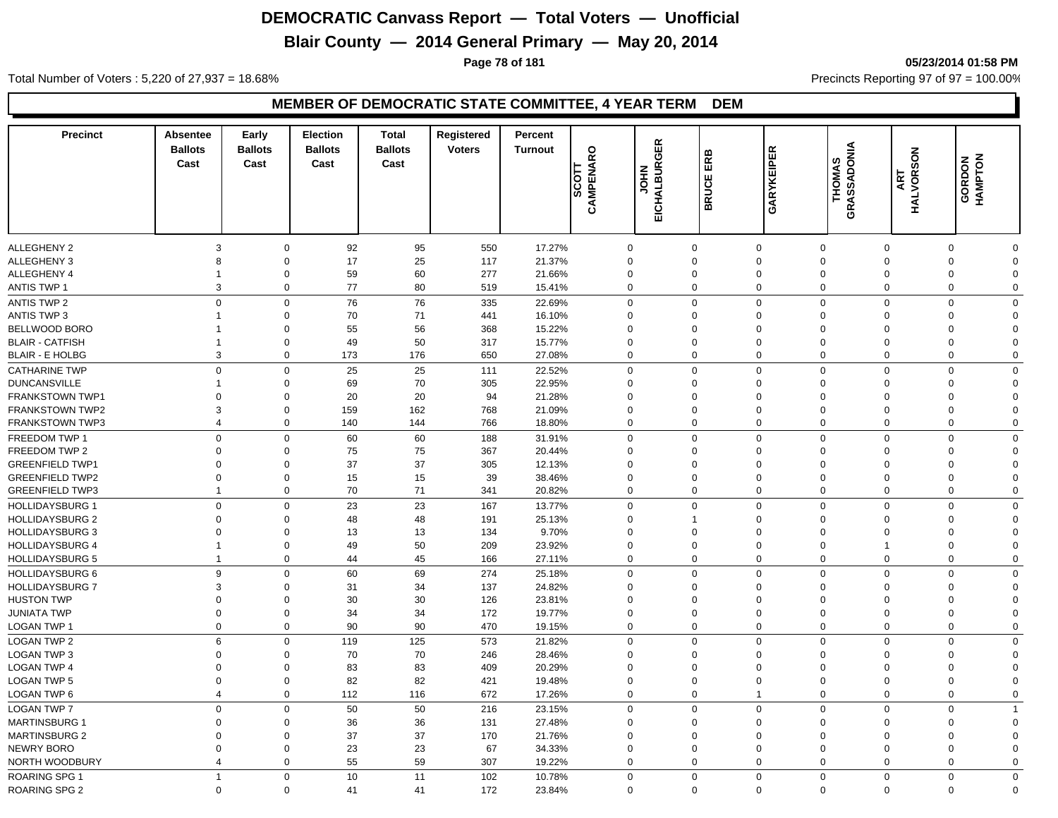# **Blair County — 2014 General Primary — May 20, 2014**

**Page 78 of 181 05/23/2014 01:58 PM**

Total Number of Voters : 5,220 of 27,937 = 18.68% Precincts Reporting 97 of 97 = 100.00%

#### **MEMBER OF DEMOCRATIC STATE COMMITTEE, 4 YEAR TERM DEM**

| <b>Precinct</b>        | <b>Absentee</b><br><b>Ballots</b><br>Cast | Early<br><b>Ballots</b><br>Cast | <b>Election</b><br><b>Ballots</b><br>Cast | <b>Total</b><br><b>Ballots</b><br>Cast | Registered<br><b>Voters</b> | Percent<br><b>Turnout</b> | CAMPENARO<br>$rac{1}{\sqrt{2}}$ | EICHALBURGER<br><b>NHOL</b> | ERB<br><b>BRUCE</b>  | GARYKEIPER           | GRASSADONIA<br><b>THOMAS</b> | SON<br>ART<br>HALVORS | GORDON<br>HAMPTON    |                      |
|------------------------|-------------------------------------------|---------------------------------|-------------------------------------------|----------------------------------------|-----------------------------|---------------------------|---------------------------------|-----------------------------|----------------------|----------------------|------------------------------|-----------------------|----------------------|----------------------|
| <b>ALLEGHENY 2</b>     | 3                                         | $\mathbf 0$                     | 92                                        | 95                                     | 550                         | 17.27%                    |                                 | $\mathbf 0$                 | $\mathbf 0$          | $\mathbf 0$          | $\mathbf 0$                  | $\mathbf 0$           | $\mathbf 0$          | 0                    |
| <b>ALLEGHENY 3</b>     | 8                                         | $\mathbf 0$                     | 17                                        | 25                                     | 117                         | 21.37%                    |                                 | $\mathbf 0$                 | $\mathbf 0$          | $\mathbf 0$          | $\mathbf 0$                  | $\mathbf 0$           | $\Omega$             | $\mathbf 0$          |
| ALLEGHENY 4            | $\mathbf 1$                               | $\mathbf 0$                     | 59                                        | 60                                     | 277                         | 21.66%                    |                                 | 0                           | $\mathbf 0$          | $\mathbf 0$          | $\mathbf 0$                  | 0                     | $\Omega$             | 0                    |
| <b>ANTIS TWP 1</b>     | 3                                         | $\mathbf 0$                     | 77                                        | 80                                     | 519                         | 15.41%                    |                                 | $\mathbf 0$                 | $\mathbf 0$          | $\mathbf 0$          | $\mathbf 0$                  | 0                     | $\mathbf 0$          | 0                    |
| <b>ANTIS TWP 2</b>     | $\mathbf 0$                               | $\mathbf 0$                     | 76                                        | 76                                     | 335                         | 22.69%                    |                                 | $\mathbf 0$                 | $\mathbf 0$          | $\Omega$             | $\mathbf 0$                  | $\mathbf 0$           | $\mathbf 0$          | $\mathbf 0$          |
| <b>ANTIS TWP 3</b>     | 1                                         | $\mathbf 0$                     | 70                                        | 71                                     | 441                         | 16.10%                    |                                 | $\mathbf 0$                 | $\Omega$             | $\mathbf 0$          | $\mathbf 0$                  | $\mathbf 0$           | $\Omega$             | $\Omega$             |
| BELLWOOD BORO          |                                           | $\mathbf 0$                     | 55                                        | 56                                     | 368                         | 15.22%                    |                                 | $\mathbf 0$                 | $\Omega$             | $\mathbf 0$          | $\mathbf 0$                  | $\mathbf 0$           | $\Omega$             | $\Omega$             |
| <b>BLAIR - CATFISH</b> | $\mathbf{1}$                              | $\mathsf 0$                     | 49                                        | 50                                     | 317                         | 15.77%                    |                                 | $\mathbf 0$                 | $\Omega$             | $\mathbf 0$          | $\mathbf 0$                  | $\mathbf 0$           | $\Omega$             | $\Omega$             |
| <b>BLAIR - E HOLBG</b> |                                           | 3<br>$\mathbf 0$                | 173                                       | 176                                    | 650                         | 27.08%                    |                                 | $\mathbf 0$                 | $\mathbf 0$          | $\mathbf 0$          | $\mathbf 0$                  | 0                     | $\Omega$             | 0                    |
|                        |                                           |                                 |                                           |                                        |                             |                           |                                 |                             |                      |                      |                              |                       |                      |                      |
| <b>CATHARINE TWP</b>   | $\mathbf 0$                               | $\mathbf 0$                     | 25                                        | 25                                     | 111                         | 22.52%                    |                                 | $\mathbf 0$                 | $\mathbf 0$          | $\mathbf 0$          | $\mathbf 0$                  | $\mathbf 0$           | $\mathbf 0$          | 0                    |
| <b>DUNCANSVILLE</b>    | $\Omega$                                  | $\mathbf 0$                     | 69                                        | 70                                     | 305                         | 22.95%                    |                                 | $\mathbf 0$                 | $\Omega$<br>$\Omega$ | $\Omega$<br>$\Omega$ | $\mathbf 0$                  | 0                     | $\Omega$<br>$\Omega$ | $\Omega$             |
| <b>FRANKSTOWN TWP1</b> |                                           | $\mathbf 0$                     | 20<br>159                                 | 20<br>162                              | 94<br>768                   | 21.28%                    |                                 | $\Omega$                    | $\mathbf 0$          | $\Omega$             | $\Omega$<br>$\Omega$         | $\Omega$<br>$\Omega$  | $\Omega$             | $\Omega$<br>$\Omega$ |
| <b>FRANKSTOWN TWP2</b> | 3                                         | $\mathbf 0$                     |                                           |                                        |                             | 21.09%                    |                                 | $\mathbf{0}$                |                      |                      |                              |                       |                      |                      |
| <b>FRANKSTOWN TWP3</b> | $\overline{4}$                            | $\mathbf 0$                     | 140                                       | 144                                    | 766                         | 18.80%                    |                                 | $\mathbf 0$                 | $\mathbf 0$          | $\mathbf 0$          | $\mathbf 0$                  | 0                     | $\Omega$             | 0                    |
| FREEDOM TWP 1          | $\mathbf 0$                               | $\mathbf 0$                     | 60                                        | 60                                     | 188                         | 31.91%                    |                                 | $\mathbf 0$                 | $\mathbf 0$          | $\overline{0}$       | $\mathbf 0$                  | $\mathbf 0$           | $\mathbf 0$          | 0                    |
| FREEDOM TWP 2          | $\Omega$                                  | $\mathbf 0$                     | 75                                        | 75                                     | 367                         | 20.44%                    |                                 | $\mathbf{0}$                | $\Omega$             | $\mathbf 0$          | $\mathbf 0$                  | $\mathbf 0$           | $\Omega$             | $\Omega$             |
| <b>GREENFIELD TWP1</b> | $\mathbf 0$                               | $\mathbf 0$                     | 37                                        | 37                                     | 305                         | 12.13%                    |                                 | $\mathbf 0$                 | $\mathbf 0$          | $\Omega$             | $\mathbf 0$                  | $\mathbf 0$           | $\Omega$             | $\Omega$             |
| <b>GREENFIELD TWP2</b> | $\mathbf 0$                               | $\mathbf 0$                     | 15                                        | 15                                     | 39                          | 38.46%                    |                                 | $\mathbf 0$                 | $\mathbf 0$          | $\mathbf 0$          | $\overline{0}$               | $\mathbf 0$           | $\Omega$             | $\Omega$             |
| <b>GREENFIELD TWP3</b> | $\overline{1}$                            | $\mathbf 0$                     | 70                                        | 71                                     | 341                         | 20.82%                    |                                 | $\mathbf 0$                 | $\mathbf 0$          | $\mathbf 0$          | $\mathbf 0$                  | 0                     | $\Omega$             | 0                    |
| <b>HOLLIDAYSBURG 1</b> | $\mathbf 0$                               | $\mathbf 0$                     | 23                                        | 23                                     | 167                         | 13.77%                    |                                 | $\mathbf 0$                 | $\mathbf 0$          | $\mathbf{0}$         | $\mathbf 0$                  | $\mathbf 0$           | $\Omega$             | $\mathbf 0$          |
| <b>HOLLIDAYSBURG 2</b> | $\Omega$                                  | $\mathbf 0$                     | 48                                        | 48                                     | 191                         | 25.13%                    |                                 | 0                           | $\overline{1}$       | $\Omega$             | $\mathbf 0$                  | $\mathbf 0$           | $\Omega$             | $\Omega$             |
| <b>HOLLIDAYSBURG 3</b> | $\Omega$                                  | $\mathbf 0$                     | 13                                        | 13                                     | 134                         | 9.70%                     |                                 | $\Omega$                    | $\Omega$             | $\mathbf 0$          | $\Omega$                     | $\Omega$              | $\Omega$             | $\Omega$             |
| <b>HOLLIDAYSBURG 4</b> | $\overline{1}$                            | $\mathbf 0$                     | 49                                        | 50                                     | 209                         | 23.92%                    |                                 | $\mathbf 0$                 | $\mathbf 0$          | $\Omega$             | $\mathbf 0$                  | $\mathbf{1}$          | $\Omega$             | $\Omega$             |
| <b>HOLLIDAYSBURG 5</b> | $\mathbf{1}$                              | $\mathbf 0$                     | 44                                        | 45                                     | 166                         | 27.11%                    |                                 | $\mathbf 0$                 | $\mathbf 0$          | $\mathbf 0$          | $\mathbf 0$                  | $\mathbf{0}$          | $\Omega$             | $\mathbf 0$          |
| <b>HOLLIDAYSBURG 6</b> | 9                                         | $\mathbf 0$                     | 60                                        | 69                                     | 274                         | 25.18%                    |                                 | $\mathbf 0$                 | $\mathbf 0$          | $\mathbf 0$          | $\mathbf 0$                  | $\mathbf 0$           | $\mathbf 0$          | 0                    |
| <b>HOLLIDAYSBURG 7</b> | 3                                         | $\mathbf 0$                     | 31                                        | 34                                     | 137                         | 24.82%                    |                                 | $\mathbf 0$                 | $\mathbf 0$          | $\mathbf 0$          | $\mathbf 0$                  | $\mathbf 0$           | $\Omega$             | $\mathbf 0$          |
| <b>HUSTON TWP</b>      | $\mathbf 0$                               | $\mathbf 0$                     | 30                                        | 30                                     | 126                         | 23.81%                    |                                 | 0                           | $\mathbf 0$          | $\mathbf 0$          | $\mathbf 0$                  | $\mathbf 0$           | $\Omega$             | 0                    |
| <b>JUNIATA TWP</b>     | $\mathbf 0$                               | $\mathbf 0$                     | 34                                        | 34                                     | 172                         | 19.77%                    |                                 | $\mathbf 0$                 | $\mathbf 0$          | $\mathbf 0$          | $\mathbf 0$                  | $\mathbf 0$           | $\Omega$             | $\Omega$             |
| LOGAN TWP 1            | $\mathbf 0$                               | $\mathbf 0$                     | 90                                        | 90                                     | 470                         | 19.15%                    |                                 | $\mathbf 0$                 | $\mathbf 0$          | $\mathbf 0$          | $\mathbf 0$                  | 0                     | $\mathbf 0$          | 0                    |
| <b>LOGAN TWP 2</b>     | 6                                         | $\mathbf 0$                     | 119                                       | 125                                    | 573                         | 21.82%                    |                                 | $\mathbf 0$                 | $\mathbf 0$          | $\Omega$             | $\mathbf 0$                  | $\mathbf 0$           | $\Omega$             | 0                    |
| <b>LOGAN TWP 3</b>     | $\mathbf 0$                               | $\mathbf 0$                     | 70                                        | 70                                     | 246                         | 28.46%                    |                                 | $\mathbf 0$                 | $\Omega$             | $\mathbf 0$          | $\mathbf 0$                  | $\mathbf 0$           | $\Omega$             | $\Omega$             |
| <b>LOGAN TWP 4</b>     | $\Omega$                                  | $\mathsf 0$                     | 83                                        | 83                                     | 409                         | 20.29%                    |                                 | $\mathbf 0$                 | $\Omega$             | $\Omega$             | $\Omega$                     | $\Omega$              | $\Omega$             | $\Omega$             |
| <b>LOGAN TWP 5</b>     | $\mathbf 0$                               | $\mathsf 0$                     | 82                                        | 82                                     | 421                         | 19.48%                    |                                 | $\mathbf 0$                 | $\mathbf 0$          | $\Omega$             | $\Omega$                     | $\Omega$              | $\Omega$             | $\Omega$             |
| <b>LOGAN TWP 6</b>     | $\overline{4}$                            | $\mathbf 0$                     | 112                                       | 116                                    | 672                         | 17.26%                    |                                 | $\mathbf 0$                 | $\mathbf 0$          | $\overline{1}$       | $\mathbf 0$                  | 0                     | $\Omega$             | 0                    |
| <b>LOGAN TWP 7</b>     | $\mathbf 0$                               | $\mathbf 0$                     | 50                                        | 50                                     | 216                         | 23.15%                    |                                 | $\mathbf 0$                 | $\mathbf 0$          | $\mathbf 0$          | $\Omega$                     | $\mathbf 0$           | $\Omega$             | $\mathbf{1}$         |
| <b>MARTINSBURG 1</b>   | $\Omega$                                  | $\mathbf 0$                     | 36                                        | 36                                     | 131                         | 27.48%                    |                                 | $\mathbf 0$                 | $\Omega$             | $\Omega$             | $\Omega$                     | $\Omega$              | $\Omega$             | $\Omega$             |
| <b>MARTINSBURG 2</b>   | $\Omega$                                  | $\mathbf 0$                     | 37                                        | 37                                     | 170                         | 21.76%                    |                                 | $\mathbf 0$                 | $\Omega$             | $\Omega$             | $\Omega$                     | $\Omega$              | $\Omega$             | $\Omega$             |
| <b>NEWRY BORO</b>      | $\mathbf 0$                               | $\mathbf 0$                     | 23                                        | 23                                     | 67                          | 34.33%                    |                                 | $\mathbf 0$                 | $\mathbf 0$          | $\Omega$             | $\Omega$                     | $\Omega$              | $\Omega$             | $\Omega$             |
| NORTH WOODBURY         | $\overline{4}$                            | $\mathbf 0$                     | 55                                        | 59                                     | 307                         | 19.22%                    |                                 | $\mathbf 0$                 | $\mathbf 0$          | $\mathbf 0$          | $\Omega$                     | $\mathbf{0}$          | $\Omega$             | $\Omega$             |
| <b>ROARING SPG 1</b>   | $\mathbf{1}$                              | $\mathbf 0$                     | 10                                        | 11                                     | 102                         | 10.78%                    |                                 | $\mathbf 0$                 | $\mathbf 0$          | $\mathbf 0$          | $\mathbf 0$                  | $\mathbf 0$           | $\Omega$             | 0                    |
| <b>ROARING SPG 2</b>   | $\Omega$                                  | $\Omega$                        | 41                                        | 41                                     | 172                         | 23.84%                    |                                 | $\mathbf 0$                 | $\Omega$             | $\mathbf 0$          | $\Omega$                     | $\mathbf{0}$          | $\Omega$             | $\mathbf 0$          |
|                        |                                           |                                 |                                           |                                        |                             |                           |                                 |                             |                      |                      |                              |                       |                      |                      |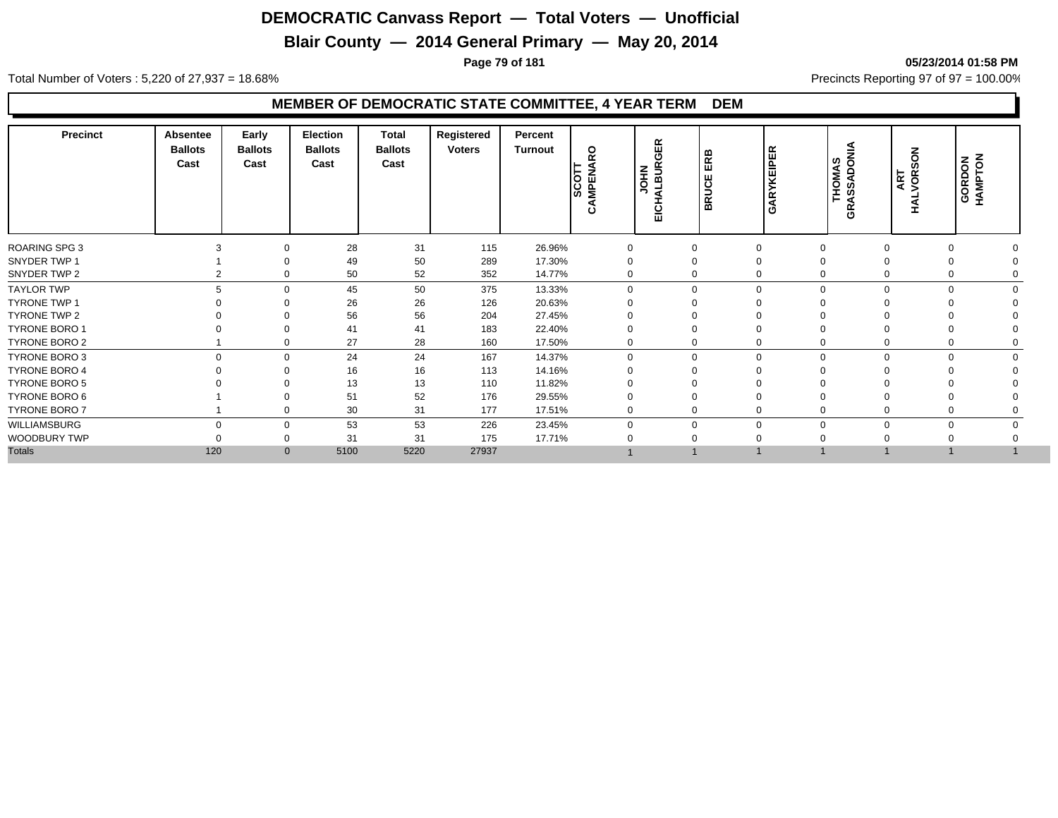## **Blair County — 2014 General Primary — May 20, 2014**

**Page 79 of 181 05/23/2014 01:58 PM**

Total Number of Voters : 5,220 of 27,937 = 18.68% Precincts Reporting 97 of 97 = 100.00%

#### **MEMBER OF DEMOCRATIC STATE COMMITTEE, 4 YEAR TERM DEM**

| <b>Precinct</b>      | Absentee<br><b>Ballots</b><br>Cast | Early<br><b>Ballots</b><br>Cast | Election<br><b>Ballots</b><br>Cast | Total<br><b>Ballots</b><br>Cast | Registered<br><b>Voters</b> | Percent<br><b>Turnout</b> | $\circ$<br><b>SCOT</b><br>AMPENA<br><u>د،</u> | $\propto$<br>₩<br>≃<br><b>МЮС</b><br><b>ALBU</b><br>ΕIC | ERB<br><b>BRUCE</b> | <b>KEIPER</b><br>$\alpha$<br>◀<br>Ō | <b>THOMAS<br/>GRASSADONIA</b> | $rac{8}{2}$<br>ART<br>VOR: | GORDON<br>HAMPTON |  |
|----------------------|------------------------------------|---------------------------------|------------------------------------|---------------------------------|-----------------------------|---------------------------|-----------------------------------------------|---------------------------------------------------------|---------------------|-------------------------------------|-------------------------------|----------------------------|-------------------|--|
| <b>ROARING SPG 3</b> |                                    | 0                               | 28                                 | 31                              | 115                         | 26.96%                    | $\mathbf 0$                                   | $\mathbf 0$                                             |                     | 0                                   | 0                             |                            |                   |  |
| SNYDER TWP 1         |                                    | $\Omega$                        | 49                                 | 50                              | 289                         | 17.30%                    | $\Omega$                                      | $\Omega$                                                |                     | 0                                   | $\mathbf 0$                   |                            |                   |  |
| SNYDER TWP 2         |                                    | $\mathbf 0$                     | 50                                 | 52                              | 352                         | 14.77%                    | $\mathbf{0}$                                  | $\Omega$                                                |                     | $\mathbf 0$                         | $\mathbf 0$                   | $\mathbf 0$                |                   |  |
| TAYLOR TWP           | 5                                  | $\Omega$                        | 45                                 | 50                              | 375                         | 13.33%                    | $\Omega$                                      | $\Omega$                                                |                     | $\Omega$                            | $\mathbf{0}$                  | $\Omega$                   |                   |  |
| <b>TYRONE TWP 1</b>  |                                    | $\Omega$                        | 26                                 | 26                              | 126                         | 20.63%                    |                                               |                                                         |                     |                                     |                               |                            |                   |  |
| TYRONE TWP 2         |                                    | $\Omega$                        | 56                                 | 56                              | 204                         | 27.45%                    |                                               |                                                         |                     |                                     |                               |                            |                   |  |
| <b>TYRONE BORO 1</b> |                                    | $\Omega$                        | 41                                 | 41                              | 183                         | 22.40%                    |                                               |                                                         |                     |                                     |                               |                            |                   |  |
| TYRONE BORO 2        |                                    | 0                               | 27                                 | 28                              | 160                         | 17.50%                    | 0                                             |                                                         |                     | 0                                   | 0                             |                            |                   |  |
| TYRONE BORO 3        | $\Omega$                           | $\mathbf 0$                     | 24                                 | 24                              | 167                         | 14.37%                    | $\mathbf 0$                                   | $\Omega$                                                |                     | $\mathbf 0$                         | $\mathbf 0$                   | $\Omega$                   | $\Omega$          |  |
| <b>TYRONE BORO 4</b> |                                    | $\Omega$                        | 16                                 | 16                              | 113                         | 14.16%                    |                                               |                                                         |                     | $\Omega$                            | $\Omega$                      |                            |                   |  |
| TYRONE BORO 5        |                                    |                                 | 13                                 | 13                              | 110                         | 11.82%                    |                                               |                                                         |                     |                                     |                               |                            |                   |  |
| TYRONE BORO 6        |                                    |                                 | 51                                 | 52                              | 176                         | 29.55%                    |                                               |                                                         |                     |                                     |                               |                            |                   |  |
| TYRONE BORO 7        |                                    | 0                               | 30                                 | 31                              | 177                         | 17.51%                    |                                               | $\Omega$                                                |                     | $\mathbf 0$                         | 0                             |                            |                   |  |
| WILLIAMSBURG         | $\Omega$                           | $\mathbf 0$                     | 53                                 | 53                              | 226                         | 23.45%                    | $\Omega$                                      | $\Omega$                                                |                     | $\Omega$                            | $\mathbf 0$                   | $\Omega$                   |                   |  |
| WOODBURY TWP         |                                    | 0                               | 31                                 | 31                              | 175                         | 17.71%                    |                                               |                                                         |                     |                                     |                               |                            |                   |  |
| <b>Totals</b>        | 120                                | $\mathbf{0}$                    | 5100                               | 5220                            | 27937                       |                           |                                               |                                                         |                     |                                     |                               |                            |                   |  |
|                      |                                    |                                 |                                    |                                 |                             |                           |                                               |                                                         |                     |                                     |                               |                            |                   |  |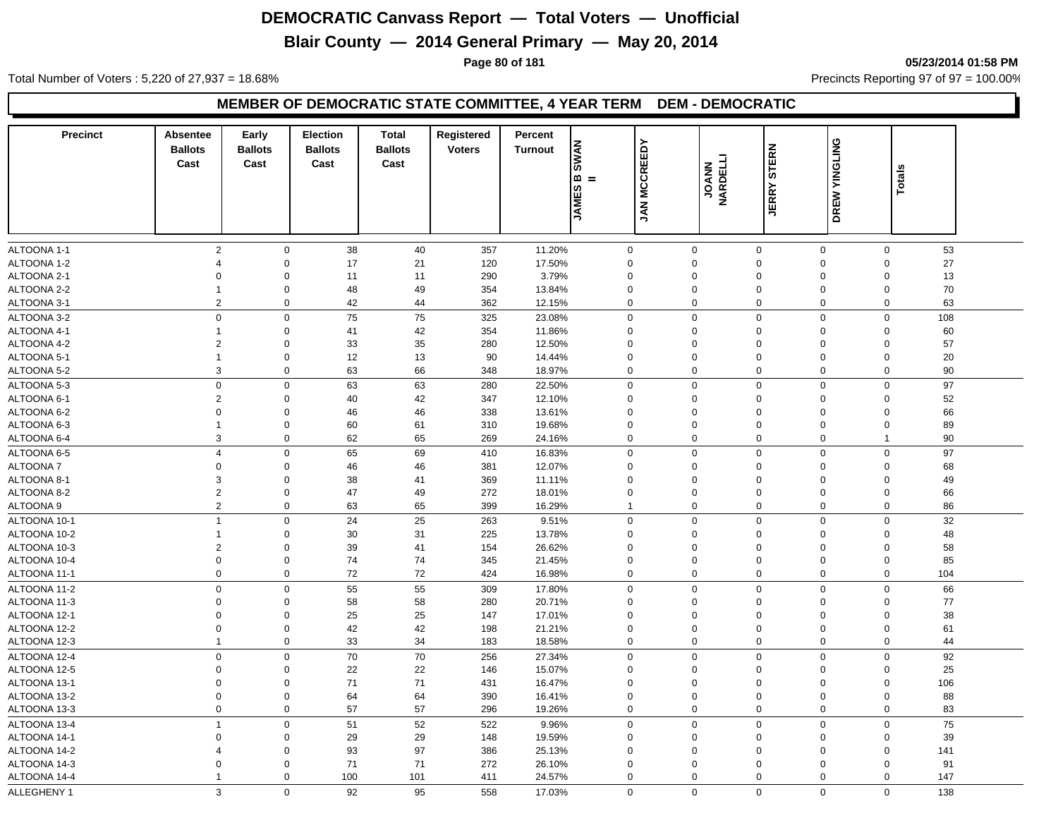## **Blair County — 2014 General Primary — May 20, 2014**

**Page 80 of 181 05/23/2014 01:58 PM**

Total Number of Voters : 5,220 of 27,937 = 18.68% Precincts Reporting 97 of 97 = 100.00%

#### **MEMBER OF DEMOCRATIC STATE COMMITTEE, 4 YEAR TERM DEM - DEMOCRATIC**

| <b>Precinct</b> | <b>Absentee</b> | Early          | <b>Election</b> | <b>Total</b>   | Registered    | Percent                       |                     |                   |              |               |                         |     |  |
|-----------------|-----------------|----------------|-----------------|----------------|---------------|-------------------------------|---------------------|-------------------|--------------|---------------|-------------------------|-----|--|
|                 | <b>Ballots</b>  | <b>Ballots</b> | <b>Ballots</b>  | <b>Ballots</b> | <b>Voters</b> | <b>SWAN</b><br><b>Turnout</b> | <b>JAN MCCREEDY</b> |                   | <b>STERN</b> | DREW YINGLING |                         |     |  |
|                 | Cast            | Cast           | Cast            | Cast           |               |                               |                     | JOANN<br>NARDELLI |              |               | <b>Totals</b>           |     |  |
|                 |                 |                |                 |                |               | ဖ                             | ∞ =                 |                   |              |               |                         |     |  |
|                 |                 |                |                 |                |               | <b>JAME</b>                   |                     |                   | <b>JERRY</b> |               |                         |     |  |
|                 |                 |                |                 |                |               |                               |                     |                   |              |               |                         |     |  |
|                 |                 |                |                 |                |               |                               |                     |                   |              |               |                         |     |  |
| ALTOONA 1-1     | $\overline{2}$  | $\mathbf 0$    | 38              | 40             | 357           | 11.20%                        | $\mathbf{0}$        | $\mathbf 0$       | $\mathbf 0$  | $\mathbf 0$   | $\mathbf 0$             | 53  |  |
| ALTOONA 1-2     | $\overline{4}$  | $\Omega$       | 17              | 21             | 120           | 17.50%                        | 0                   | $\mathbf 0$       | $\mathbf 0$  | $\mathbf 0$   | $\mathbf 0$             | 27  |  |
| ALTOONA 2-1     | $\Omega$        | $\Omega$       | 11              | 11             | 290           | 3.79%                         | 0                   | $\Omega$          | $\mathbf 0$  | $\Omega$      | $\mathbf 0$             | 13  |  |
| ALTOONA 2-2     | $\mathbf{1}$    | $\Omega$       | 48              | 49             | 354           | 13.84%                        | $\Omega$            | $\Omega$          | $\Omega$     | 0             | $\Omega$                | 70  |  |
| ALTOONA 3-1     | 2               | $\mathbf 0$    | 42              | 44             | 362           | 12.15%                        | 0                   | $\mathbf 0$       | $\mathbf 0$  | 0             | 0                       | 63  |  |
| ALTOONA 3-2     | $\mathbf 0$     | $\mathbf 0$    | 75              | 75             | 325           | 23.08%                        | $\mathbf 0$         | $\mathbf 0$       | $\mathbf 0$  | 0             | $\mathbf 0$             | 108 |  |
| ALTOONA 4-1     | $\mathbf{1}$    | $\mathbf 0$    | 41              | 42             | 354           | 11.86%                        | 0                   | $\mathbf 0$       | $\mathbf 0$  | $\mathbf 0$   | $\mathbf 0$             | 60  |  |
| ALTOONA 4-2     | $\overline{c}$  | $\Omega$       | 33              | 35             | 280           | 12.50%                        | $\Omega$            | $\Omega$          | $\mathbf 0$  | 0             | $\mathbf 0$             | 57  |  |
| ALTOONA 5-1     | $\mathbf{1}$    | $\mathbf 0$    | 12              | 13             | 90            | 14.44%                        | $\mathbf 0$         | $\mathbf 0$       | $\mathbf 0$  | 0             | $\mathbf 0$             | 20  |  |
| ALTOONA 5-2     | 3               | $\mathbf 0$    | 63              | 66             | 348           | 18.97%                        | 0                   | $\mathbf 0$       | $\mathbf 0$  | $\mathbf 0$   | $\mathbf 0$             | 90  |  |
| ALTOONA 5-3     | $\mathbf 0$     | $\mathbf 0$    | 63              | 63             | 280           | 22.50%                        | $\mathbf 0$         | $\mathbf 0$       | $\mathbf 0$  | $\mathbf 0$   | $\mathbf 0$             | 97  |  |
| ALTOONA 6-1     | $\overline{c}$  | $\Omega$       | 40              | 42             | 347           | 12.10%                        | $\Omega$            | $\Omega$          | $\Omega$     | 0             | $\Omega$                | 52  |  |
| ALTOONA 6-2     | $\Omega$        | $\mathbf 0$    | 46              | 46             | 338           | 13.61%                        | $\mathbf 0$         | $\Omega$          | $\mathbf 0$  | 0             | $\mathbf 0$             | 66  |  |
| ALTOONA 6-3     | $\overline{1}$  | $\mathbf 0$    | 60              | 61             | 310           | 19.68%                        | $\mathbf 0$         | $\Omega$          | $\mathbf 0$  | $\Omega$      | $\mathbf 0$             | 89  |  |
| ALTOONA 6-4     | 3               | 0              | 62              | 65             | 269           | 24.16%                        | 0                   | $\mathbf 0$       | $\mathbf 0$  | 0             | $\overline{\mathbf{1}}$ | 90  |  |
| ALTOONA 6-5     | $\overline{4}$  | 0              | 65              | 69             | 410           | 16.83%                        | 0                   | $\Omega$          | $\mathbf 0$  | 0             | $\mathbf 0$             | 97  |  |
| ALTOONA 7       | $\Omega$        | $\Omega$       | 46              | 46             | 381           | 12.07%                        | $\Omega$            | $\Omega$          | $\mathbf 0$  | $\Omega$      | $\Omega$                | 68  |  |
| ALTOONA 8-1     | 3               | $\Omega$       | 38              | 41             | 369           | 11.11%                        | $\mathbf 0$         | $\Omega$          | $\mathbf 0$  | $\Omega$      | $\mathbf 0$             | 49  |  |
| ALTOONA 8-2     | 2               | $\mathbf 0$    | 47              | 49             | 272           | 18.01%                        | 0                   | $\mathbf 0$       | $\mathbf 0$  | 0             | $\mathbf 0$             | 66  |  |
| ALTOONA 9       | 2               | $\mathbf 0$    | 63              | 65             | 399           | 16.29%                        | $\mathbf{1}$        | $\mathbf 0$       | $\mathbf 0$  | 0             | 0                       | 86  |  |
| ALTOONA 10-1    | $\overline{1}$  | $\mathbf 0$    | 24              | 25             | 263           | 9.51%                         | $\mathbf 0$         | $\Omega$          | $\mathbf 0$  | 0             | $\mathbf 0$             | 32  |  |
| ALTOONA 10-2    | $\mathbf{1}$    | $\mathbf 0$    | 30              | 31             | 225           | 13.78%                        | $\Omega$            | $\Omega$          | $\mathbf 0$  | $\Omega$      | $\Omega$                | 48  |  |
| ALTOONA 10-3    | $\overline{2}$  | 0              | 39              | 41             | 154           | 26.62%                        | $\mathbf 0$         | $\mathbf 0$       | $\mathbf 0$  | $\mathbf 0$   | $\mathbf 0$             | 58  |  |
| ALTOONA 10-4    | $\mathbf 0$     | $\mathbf 0$    | 74              | 74             | 345           | 21.45%                        | 0                   | $\mathbf 0$       | $\mathbf 0$  | 0             | $\mathbf 0$             | 85  |  |
| ALTOONA 11-1    | $\mathbf 0$     | $\mathbf 0$    | 72              | 72             | 424           | 16.98%                        | 0                   | $\mathbf 0$       | $\mathbf 0$  | 0             | $\mathbf 0$             | 104 |  |
| ALTOONA 11-2    | $\mathbf 0$     | $\mathbf 0$    | 55              | 55             | 309           | 17.80%                        | 0                   | $\mathbf 0$       | $\mathbf 0$  | $\mathbf 0$   | $\mathsf 0$             | 66  |  |
| ALTOONA 11-3    | $\mathbf 0$     | 0              | 58              | 58             | 280           | 20.71%                        | 0                   | $\mathbf 0$       | $\mathbf 0$  | 0             | $\mathbf 0$             | 77  |  |
| ALTOONA 12-1    | $\mathbf 0$     | $\mathbf 0$    | 25              | 25             | 147           | 17.01%                        | 0                   | $\mathbf 0$       | $\mathbf 0$  | $\mathbf 0$   | $\mathbf 0$             | 38  |  |
| ALTOONA 12-2    | $\mathbf 0$     | $\mathbf 0$    | 42              | 42             | 198           | 21.21%                        | 0                   | $\mathbf 0$       | $\mathbf 0$  | 0             | $\mathbf 0$             | 61  |  |
| ALTOONA 12-3    | $\mathbf{1}$    | $\mathbf 0$    | 33              | 34             | 183           | 18.58%                        | 0                   | $\mathbf 0$       | $\mathbf 0$  | 0             | 0                       | 44  |  |
| ALTOONA 12-4    | $\mathbf 0$     | $\mathbf 0$    | 70              | 70             | 256           | 27.34%                        | 0                   | $\Omega$          | $\mathbf 0$  | 0             | $\mathsf 0$             | 92  |  |
| ALTOONA 12-5    | $\mathbf 0$     | $\mathbf 0$    | 22              | 22             | 146           | 15.07%                        | 0                   | $\mathbf 0$       | $\mathbf 0$  | 0             | $\mathbf 0$             | 25  |  |
| ALTOONA 13-1    | $\mathbf 0$     | $\mathbf 0$    | 71              | 71             | 431           | 16.47%                        | 0                   | $\mathbf 0$       | $\mathbf 0$  | 0             | $\mathbf 0$             | 106 |  |
| ALTOONA 13-2    | $\mathbf 0$     | $\mathbf 0$    | 64              | 64             | 390           | 16.41%                        | $\mathbf 0$         | $\mathbf 0$       | $\mathbf 0$  | $\mathbf 0$   | $\mathbf 0$             | 88  |  |
| ALTOONA 13-3    | $\mathbf 0$     | $\mathbf 0$    | 57              | 57             | 296           | 19.26%                        | 0                   | $\mathbf 0$       | $\mathbf 0$  | $\mathbf 0$   | $\mathbf 0$             | 83  |  |
| ALTOONA 13-4    | $\overline{1}$  | $\mathbf 0$    | 51              | 52             | 522           | 9.96%                         | 0                   | $\mathbf 0$       | $\mathbf 0$  | 0             | $\mathbf 0$             | 75  |  |
| ALTOONA 14-1    | $\mathbf 0$     | $\mathbf 0$    | 29              | 29             | 148           | 19.59%                        | 0                   | $\mathbf 0$       | $\mathbf 0$  | 0             | $\mathbf 0$             | 39  |  |
| ALTOONA 14-2    | $\overline{4}$  | $\mathbf 0$    | 93              | 97             | 386           | 25.13%                        | $\mathbf 0$         | $\mathbf 0$       | $\mathbf 0$  | $\Omega$      | $\mathbf 0$             | 141 |  |
| ALTOONA 14-3    | $\Omega$        | $\mathbf 0$    | 71              | 71             | 272           | 26.10%                        | 0                   | $\Omega$          | $\mathbf 0$  | $\mathbf 0$   | $\Omega$                | 91  |  |
| ALTOONA 14-4    | $\mathbf{1}$    | $\mathbf 0$    | 100             | 101            | 411           | 24.57%                        | $\mathbf 0$         | $\mathbf 0$       | $\mathbf 0$  | $\mathbf 0$   | $\mathbf 0$             | 147 |  |
| ALLEGHENY 1     | 3               | $\Omega$       | 92              | 95             | 558           | 17.03%                        | 0                   | $\Omega$          | $\Omega$     | $\Omega$      | $\Omega$                | 138 |  |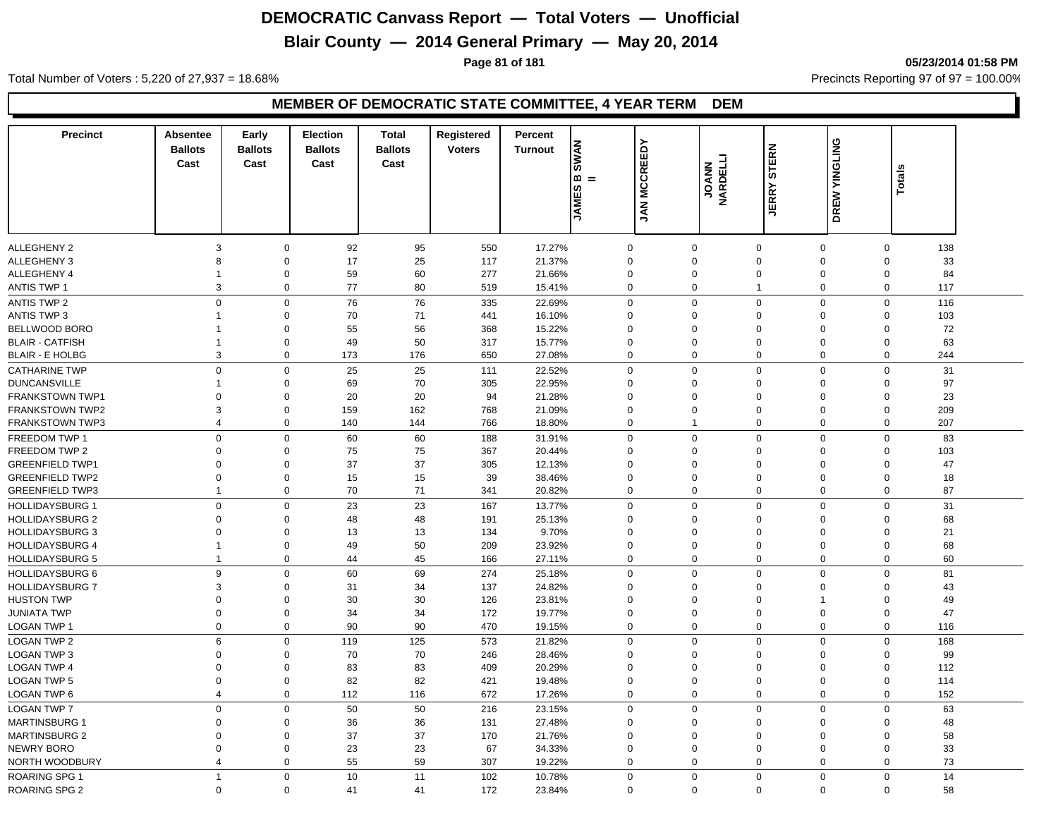## **Blair County — 2014 General Primary — May 20, 2014**

**Page 81 of 181 05/23/2014 01:58 PM**

Total Number of Voters : 5,220 of 27,937 = 18.68% Precincts Reporting 97 of 97 = 100.00%

#### **MEMBER OF DEMOCRATIC STATE COMMITTEE, 4 YEAR TERM DEM**

| <b>Precinct</b>        | <b>Absentee</b>         | Early          | <b>Election</b> | <b>Total</b>   | Registered    | Percent        |                 |                 |                         |                             |               |                    |  |
|------------------------|-------------------------|----------------|-----------------|----------------|---------------|----------------|-----------------|-----------------|-------------------------|-----------------------------|---------------|--------------------|--|
|                        | <b>Ballots</b>          | <b>Ballots</b> | <b>Ballots</b>  | <b>Ballots</b> | <b>Voters</b> | <b>Turnout</b> |                 |                 |                         |                             | DREW YINGLING |                    |  |
|                        | Cast                    | Cast           | Cast            | Cast           |               |                | <b>SWAN</b>     | <b>MCCREEDY</b> | <b>DANN</b><br>NARDELLI | <b>STERN</b>                |               |                    |  |
|                        |                         |                |                 |                |               |                | <b>m</b><br>$=$ |                 |                         |                             |               | Totals             |  |
|                        |                         |                |                 |                |               |                | ဖာ              |                 |                         | <b>JERRY</b>                |               |                    |  |
|                        |                         |                |                 |                |               |                | <b>JAME</b>     | ΜY              |                         |                             |               |                    |  |
|                        |                         |                |                 |                |               |                |                 |                 |                         |                             |               |                    |  |
|                        |                         |                |                 |                |               |                |                 |                 |                         |                             |               |                    |  |
| <b>ALLEGHENY 2</b>     | 3                       | $\Omega$       | 92              | 95             | 550           | 17.27%         | $\mathbf 0$     | $\mathbf 0$     |                         | $\mathbf 0$<br>0            |               | 138<br>$\mathbf 0$ |  |
| ALLEGHENY 3            | 8                       | $\Omega$       | 17              | 25             | 117           | 21.37%         | $\mathbf 0$     | $\Omega$        |                         | $\mathbf 0$<br>$\Omega$     |               | 33<br>$\Omega$     |  |
| ALLEGHENY 4            | 1                       | $\mathbf 0$    | 59              | 60             | 277           | 21.66%         | 0               | $\mathbf 0$     |                         | $\mathbf 0$<br>0            |               | 84<br>$\Omega$     |  |
| <b>ANTIS TWP 1</b>     | 3                       | $\mathbf 0$    | 77              | 80             | 519           | 15.41%         | $\mathbf 0$     | $\Omega$        | $\overline{1}$          | $\mathbf 0$                 |               | $\Omega$<br>117    |  |
| <b>ANTIS TWP 2</b>     | $\mathbf 0$             | $\mathbf 0$    | 76              | 76             | 335           | 22.69%         | $\mathbf 0$     | $\mathbf 0$     |                         | $\mathbf 0$<br>0            |               | $\mathsf 0$<br>116 |  |
| ANTIS TWP 3            | 1                       | $\Omega$       | 70              | 71             | 441           | 16.10%         | 0               | $\Omega$        |                         | $\mathbf 0$<br>$\Omega$     |               | $\Omega$<br>103    |  |
| BELLWOOD BORO          | $\mathbf 1$             | $\mathbf 0$    | 55              | 56             | 368           | 15.22%         | 0               | $\mathbf 0$     | $\mathbf 0$             | $\mathbf 0$                 |               | 72<br>$\mathbf 0$  |  |
| <b>BLAIR - CATFISH</b> | 1                       | $\mathbf 0$    | 49              | 50             | 317           | 15.77%         | 0               | $\mathbf 0$     |                         | $\mathbf 0$<br>$\Omega$     |               | $\mathbf 0$<br>63  |  |
| <b>BLAIR - E HOLBG</b> | 3                       | $\mathbf 0$    | 173             | 176            | 650           | 27.08%         | $\mathbf 0$     | $\mathbf 0$     |                         | $\mathbf 0$<br>$\mathbf 0$  |               | 244<br>$\mathbf 0$ |  |
| <b>CATHARINE TWP</b>   | $\mathbf 0$             | $\mathbf 0$    | 25              | 25             | 111           | 22.52%         | $\mathbf 0$     | $\Omega$        |                         | $\mathbf 0$<br>$\Omega$     |               | $\mathbf 0$<br>31  |  |
| <b>DUNCANSVILLE</b>    | 1                       | $\Omega$       | 69              | 70             | 305           | 22.95%         | 0               | $\Omega$        |                         | $\mathbf 0$<br>0            |               | 97<br>$\Omega$     |  |
| FRANKSTOWN TWP1        | 0                       | $\Omega$       | 20              | 20             | 94            | 21.28%         | $\mathbf 0$     | $\Omega$        | $\Omega$                | $\Omega$                    |               | 23<br>$\mathbf 0$  |  |
| <b>FRANKSTOWN TWP2</b> | 3                       | $\Omega$       | 159             | 162            | 768           | 21.09%         | 0               | $\mathbf 0$     | $\Omega$                | $\Omega$                    |               | 209<br>$\Omega$    |  |
| <b>FRANKSTOWN TWP3</b> | $\overline{\mathbf{4}}$ | $\mathbf 0$    | 140             | 144            | 766           | 18.80%         | $\mathbf 0$     | $\mathbf{1}$    |                         | $\mathbf 0$<br>$\Omega$     |               | $\Omega$<br>207    |  |
| FREEDOM TWP 1          | $\mathbf 0$             | $\mathbf 0$    | 60              | 60             | 188           | 31.91%         | $\mathbf 0$     | $\mathbf 0$     |                         | $\mathbf 0$<br>0            |               | 83<br>$\mathsf 0$  |  |
| FREEDOM TWP 2          | 0                       | $\Omega$       | 75              | 75             | 367           | 20.44%         | 0               | $\Omega$        |                         | $\mathbf 0$<br>$\Omega$     |               | $\Omega$<br>103    |  |
| <b>GREENFIELD TWP1</b> | 0                       | $\Omega$       | 37              | 37             | 305           | 12.13%         | 0               | $\Omega$        |                         | $\mathbf 0$<br>$\Omega$     |               | 47<br>$\Omega$     |  |
| <b>GREENFIELD TWP2</b> | 0                       | $\mathbf 0$    | 15              | 15             | 39            | 38.46%         | $\mathbf 0$     | $\mathbf 0$     |                         | $\mathbf 0$<br>$\mathbf 0$  |               | 18<br>$\mathbf 0$  |  |
| <b>GREENFIELD TWP3</b> | $\mathbf{1}$            | $\Omega$       | 70              | 71             | 341           | 20.82%         | 0               | $\Omega$        |                         | $\mathbf 0$<br>$\Omega$     |               | 87<br>$\Omega$     |  |
| <b>HOLLIDAYSBURG 1</b> | $\mathbf 0$             | $\mathbf 0$    | 23              | 23             | 167           | 13.77%         | $\mathbf 0$     | $\Omega$        |                         | $\mathbf 0$<br>$\mathbf 0$  |               | $\mathbf 0$<br>31  |  |
| <b>HOLLIDAYSBURG 2</b> | 0                       | $\Omega$       | 48              | 48             | 191           | 25.13%         | 0               | $\Omega$        |                         | $\mathbf 0$<br>$\mathbf 0$  |               | 68<br>$\Omega$     |  |
| <b>HOLLIDAYSBURG 3</b> | $\mathbf 0$             | $\mathbf 0$    | 13              | 13             | 134           | 9.70%          | $\mathbf 0$     | $\Omega$        |                         | $\mathbf 0$<br>$\Omega$     |               | 21<br>$\Omega$     |  |
| <b>HOLLIDAYSBURG 4</b> | $\mathbf{1}$            | $\mathbf 0$    | 49              | 50             | 209           | 23.92%         | $\mathbf 0$     | $\mathbf 0$     |                         | $\mathbf 0$<br>$\mathbf 0$  |               | 68<br>$\mathbf 0$  |  |
| <b>HOLLIDAYSBURG 5</b> | 1                       | $\mathbf 0$    | 44              | 45             | 166           | 27.11%         | $\mathbf 0$     |                 | $\mathbf 0$             | $\mathbf 0$<br>$\mathbf 0$  |               | $\mathbf 0$<br>60  |  |
| <b>HOLLIDAYSBURG 6</b> | 9                       | $\mathbf 0$    | 60              | 69             | 274           | 25.18%         | $\mathbf 0$     | $\Omega$        |                         | $\mathbf 0$<br>0            |               | $\mathbf 0$<br>81  |  |
| <b>HOLLIDAYSBURG 7</b> | 3                       | $\Omega$       | 31              | 34             | 137           | 24.82%         | 0               | $\Omega$        |                         | $\mathbf 0$<br>$\Omega$     |               | 43<br>$\Omega$     |  |
| <b>HUSTON TWP</b>      | 0                       | $\Omega$       | 30              | 30             | 126           | 23.81%         | 0               | $\Omega$        | $\Omega$                | $\mathbf{1}$                |               | 49<br>$\Omega$     |  |
| <b>JUNIATA TWP</b>     | 0                       | $\Omega$       | 34              | 34             | 172           | 19.77%         | 0               | $\Omega$        |                         | $\mathbf 0$<br>$\Omega$     |               | 47<br>$\Omega$     |  |
| LOGAN TWP 1            | $\mathbf 0$             | $\mathbf 0$    | 90              | 90             | 470           | 19.15%         | $\mathbf 0$     | $\mathbf 0$     |                         | $\mathbf 0$<br>$\mathbf 0$  |               | $\mathbf 0$<br>116 |  |
| <b>LOGAN TWP 2</b>     | 6                       | $\mathbf 0$    | 119             | 125            | 573           | 21.82%         | $\mathbf 0$     | $\Omega$        |                         | $\mathbf 0$<br>$\mathbf 0$  |               | $\mathbf 0$<br>168 |  |
| <b>LOGAN TWP 3</b>     | $\mathbf 0$             | $\mathbf 0$    | 70              | 70             | 246           | 28.46%         | $\mathbf 0$     | $\mathbf 0$     |                         | $\mathbf 0$<br>0            |               | 99<br>$\mathbf 0$  |  |
| <b>LOGAN TWP 4</b>     | 0                       | $\Omega$       | 83              | 83             | 409           | 20.29%         | $\mathbf 0$     | $\mathbf 0$     |                         | $\mathbf 0$<br>$\Omega$     |               | $\mathbf 0$<br>112 |  |
| <b>LOGAN TWP 5</b>     | $\Omega$                | $\Omega$       | 82              | 82             | 421           | 19.48%         | $\mathbf 0$     | $\mathbf 0$     | $\Omega$                | $\Omega$                    |               | 114<br>$\Omega$    |  |
| <b>LOGAN TWP 6</b>     | $\overline{\mathbf{4}}$ | $\mathbf 0$    | 112             | 116            | 672           | 17.26%         | $\mathbf 0$     |                 | $\mathbf{0}$            | $\mathbf 0$<br>$\mathbf 0$  |               | $\mathbf 0$<br>152 |  |
| <b>LOGAN TWP 7</b>     | 0                       | $\mathbf 0$    | 50              | 50             | 216           | 23.15%         | $\mathbf 0$     | $\Omega$        |                         | $\mathbf 0$<br>0            |               | 63<br>$\mathbf 0$  |  |
| <b>MARTINSBURG 1</b>   | $\mathbf 0$             | $\Omega$       | 36              | 36             | 131           | 27.48%         | $\mathbf 0$     | $\Omega$        |                         | $\mathbf 0$<br>$\Omega$     |               | 48<br>$\Omega$     |  |
| <b>MARTINSBURG 2</b>   | 0                       | $\mathbf 0$    | 37              | 37             | 170           | 21.76%         | 0               | $\Omega$        |                         | $\mathbf 0$<br>$\Omega$     |               | 58<br>$\Omega$     |  |
| NEWRY BORO             | 0                       | $\Omega$       | 23              | 23             | 67            | 34.33%         | 0               | $\Omega$        |                         | $\mathbf 0$<br>$\Omega$     |               | $\Omega$<br>33     |  |
| NORTH WOODBURY         | 4                       | $\mathbf 0$    | 55              | 59             | 307           | 19.22%         | 0               | $\mathbf 0$     |                         | $\mathbf 0$<br>0            |               | 73<br>$\Omega$     |  |
|                        | $\mathbf{1}$            | $\Omega$       |                 |                |               |                |                 | $\Omega$        |                         |                             |               |                    |  |
| <b>ROARING SPG 1</b>   |                         |                | 10              | 11             | 102           | 10.78%         | 0               |                 |                         | $\mathbf 0$<br>$\mathbf{0}$ |               | 14<br>$\Omega$     |  |
| <b>ROARING SPG 2</b>   | $\mathbf 0$             | $\Omega$       | 41              | 41             | 172           | 23.84%         | $\mathbf 0$     | $\Omega$        |                         | $\Omega$<br>$\mathbf 0$     |               | 58<br>$\Omega$     |  |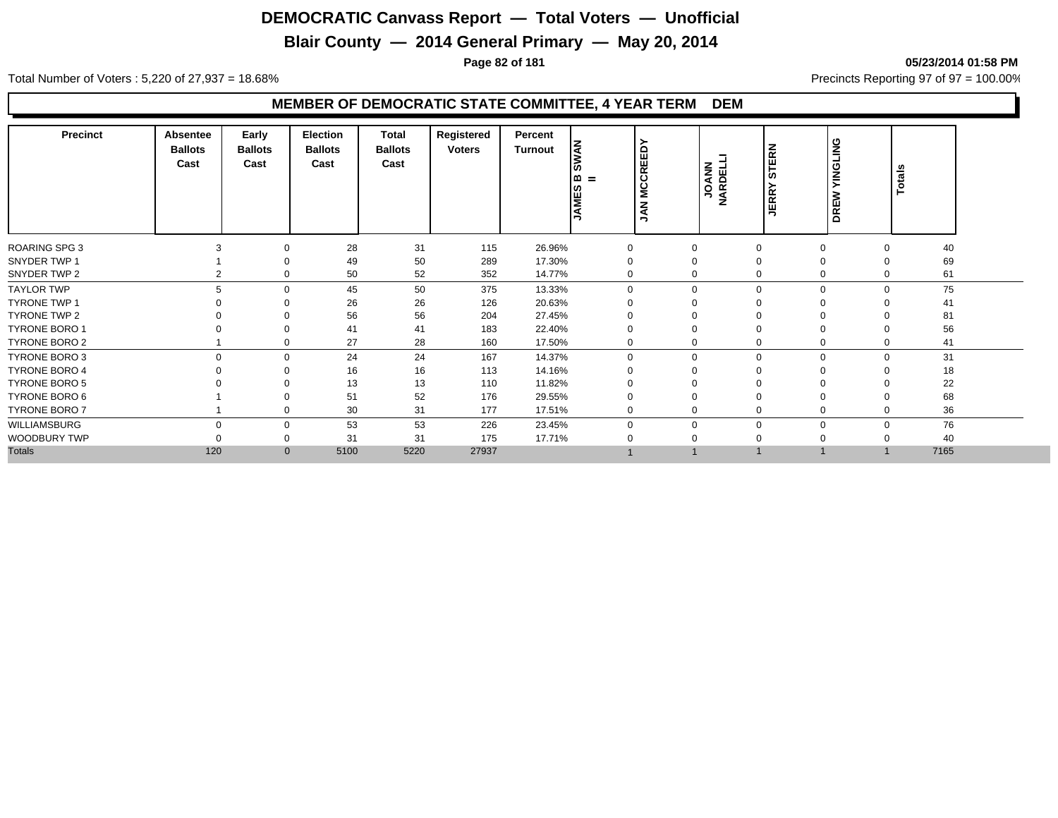## **Blair County — 2014 General Primary — May 20, 2014**

**Page 82 of 181 05/23/2014 01:58 PM**

Total Number of Voters : 5,220 of 27,937 = 18.68% Precincts Reporting 97 of 97 = 100.00%

#### **MEMBER OF DEMOCRATIC STATE COMMITTEE, 4 YEAR TERM DEM**

| <b>Precinct</b>      | Absentee<br><b>Ballots</b><br>Cast | Early<br><b>Ballots</b><br>Cast | <b>Election</b><br><b>Ballots</b><br>Cast | Total<br><b>Ballots</b><br>Cast | Registered<br><b>Voters</b> | Percent<br>Turnout | <b>NAN</b><br>= ۱۵<br>ဖာ<br><b>JAME</b> | <b>REED</b><br>$\overline{\mathbf{o}}$<br>Š<br>$\mathbf{z}$<br>∍ | <b>UARDELLI</b><br>MARDELLI | STERN<br><b>JERR</b> | <b>TINGLING</b><br>₹<br>DRE | Totals |  |
|----------------------|------------------------------------|---------------------------------|-------------------------------------------|---------------------------------|-----------------------------|--------------------|-----------------------------------------|------------------------------------------------------------------|-----------------------------|----------------------|-----------------------------|--------|--|
| ROARING SPG 3        |                                    |                                 | 28                                        | 31                              | 115                         | 26.96%             | 0                                       |                                                                  | $\Omega$                    |                      | $\mathbf 0$<br>$\Omega$     | 40     |  |
| SNYDER TWP 1         |                                    |                                 | 49                                        | 50                              | 289                         | 17.30%             |                                         |                                                                  | $\Omega$                    | $\mathbf 0$          |                             | 69     |  |
| SNYDER TWP 2         |                                    |                                 | 50                                        | 52                              | 352                         | 14.77%             | 0                                       |                                                                  | $\Omega$                    |                      | 0<br>$\Omega$               | 61     |  |
| <b>TAYLOR TWP</b>    |                                    |                                 | 45                                        | 50                              | 375                         | 13.33%             | $\Omega$                                | $\Omega$                                                         | $\Omega$                    |                      | $\mathbf 0$<br>$\Omega$     | 75     |  |
| <b>TYRONE TWP 1</b>  |                                    |                                 | 26                                        | 26                              | 126                         | 20.63%             |                                         |                                                                  |                             | $\Omega$             |                             | 41     |  |
| TYRONE TWP 2         |                                    |                                 | 56                                        | 56                              | 204                         | 27.45%             |                                         |                                                                  | $\Omega$                    | 0                    |                             | 81     |  |
| <b>TYRONE BORO 1</b> |                                    |                                 | 41                                        | 41                              | 183                         | 22.40%             | 0                                       |                                                                  | $\Omega$                    | $\mathbf 0$          |                             | 56     |  |
| TYRONE BORO 2        |                                    |                                 | 27                                        | 28                              | 160                         | 17.50%             | 0                                       |                                                                  | 0                           |                      | 0<br>0                      | 41     |  |
| <b>TYRONE BORO 3</b> | $\Omega$                           | 0                               | 24                                        | 24                              | 167                         | 14.37%             | 0                                       | $\Omega$                                                         | $\Omega$                    |                      | $\Omega$<br>0               | 31     |  |
| <b>TYRONE BORO 4</b> |                                    |                                 | 16                                        | 16                              | 113                         | 14.16%             |                                         |                                                                  | $\Omega$                    | $\Omega$             |                             | 18     |  |
| <b>TYRONE BORO 5</b> |                                    |                                 | 13                                        | 13                              | 110                         | 11.82%             |                                         |                                                                  |                             |                      |                             | 22     |  |
| TYRONE BORO 6        |                                    |                                 | 51                                        | 52                              | 176                         | 29.55%             | 0                                       |                                                                  | $\Omega$                    | $\mathbf 0$          |                             | 68     |  |
| TYRONE BORO 7        |                                    |                                 | 30                                        | 31                              | 177                         | 17.51%             | 0                                       | $\Omega$                                                         | $\mathbf 0$                 |                      | 0<br>$\mathbf 0$            | 36     |  |
| WILLIAMSBURG         |                                    |                                 | 53                                        | 53                              | 226                         | 23.45%             | $\Omega$                                | $\Omega$                                                         | $\Omega$                    |                      | $\mathbf 0$<br>$\Omega$     | 76     |  |
| WOODBURY TWP         |                                    |                                 | 31                                        | 31                              | 175                         | 17.71%             |                                         |                                                                  |                             |                      |                             | 40     |  |
| <b>Totals</b>        | 120                                | $\mathbf{0}$                    | 5100                                      | 5220                            | 27937                       |                    |                                         |                                                                  |                             |                      |                             | 7165   |  |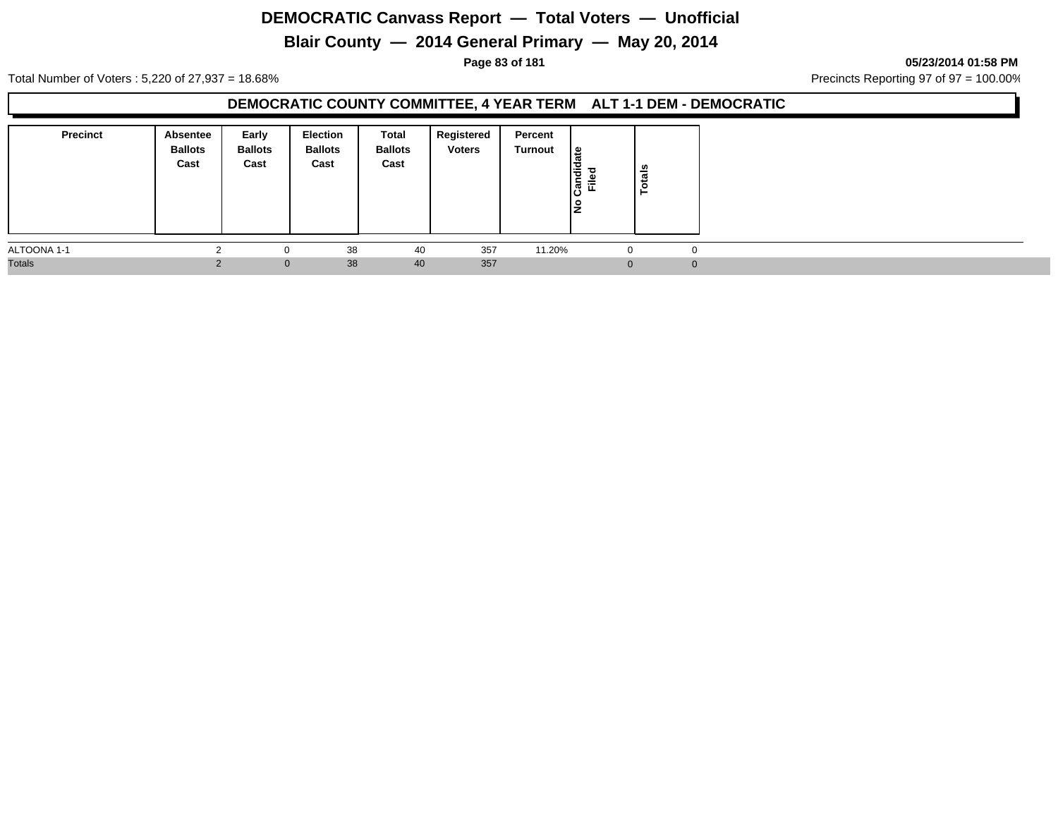## **Blair County — 2014 General Primary — May 20, 2014**

#### **Page 83 of 181 05/23/2014 01:58 PM**

Total Number of Voters : 5,220 of 27,937 = 18.68% Precincts Reporting 97 of 97 = 100.00%

#### **DEMOCRATIC COUNTY COMMITTEE, 4 YEAR TERM ALT 1-1 DEM - DEMOCRATIC**

| <b>Precinct</b> | Absentee<br><b>Ballots</b><br>Cast | Early<br><b>Ballots</b><br>Cast | Election<br><b>Ballots</b><br>Cast | <b>Total</b><br><b>Ballots</b><br>Cast | Registered<br><b>Voters</b> | Percent<br>Turnout | $\frac{1}{\pi}$<br>Candid<br>Filed | otals<br>⊢ |  |
|-----------------|------------------------------------|---------------------------------|------------------------------------|----------------------------------------|-----------------------------|--------------------|------------------------------------|------------|--|
| ALTOONA 1-1     |                                    | 0                               | 38                                 | 40                                     | 357                         | 11.20%             | O                                  |            |  |
| <b>Totals</b>   |                                    | $\mathbf{0}$                    | 38                                 | 40                                     | 357                         |                    |                                    |            |  |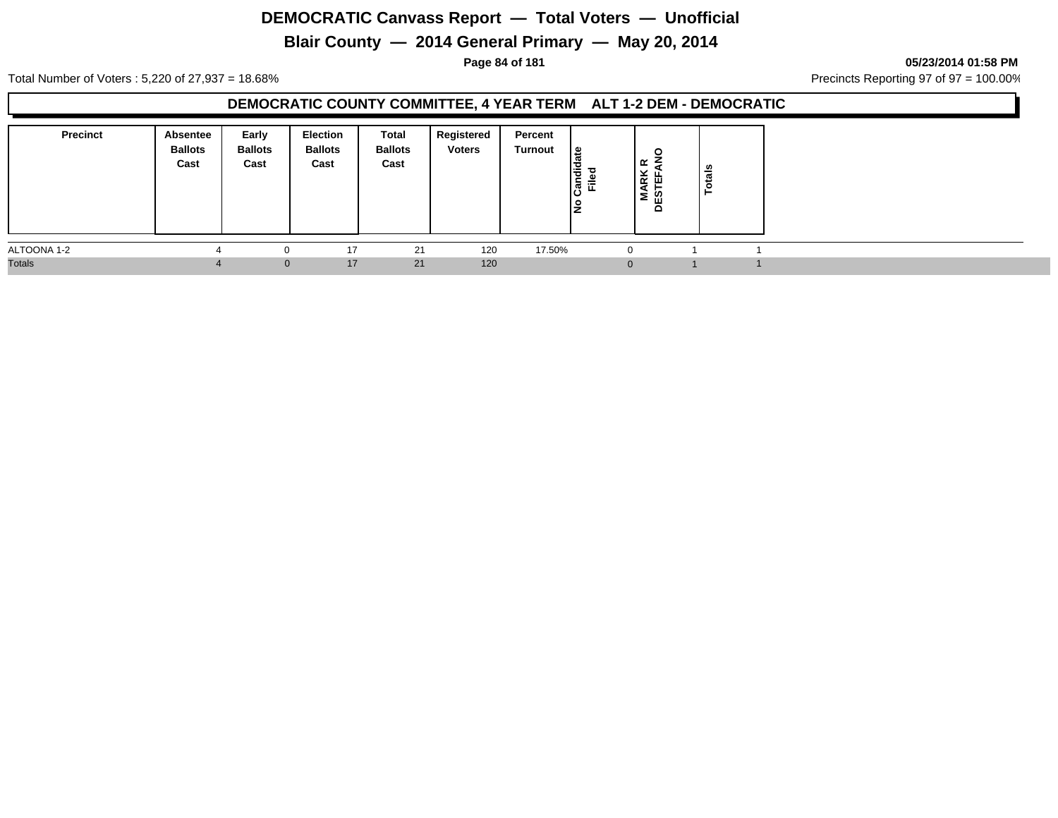## **Blair County — 2014 General Primary — May 20, 2014**

**Page 84 of 181 05/23/2014 01:58 PM**

Total Number of Voters : 5,220 of 27,937 = 18.68% Precincts Reporting 97 of 97 = 100.00%

#### **DEMOCRATIC COUNTY COMMITTEE, 4 YEAR TERM ALT 1-2 DEM - DEMOCRATIC**

| <b>Precinct</b> | <b>Absentee</b><br><b>Ballots</b><br>Cast | Early<br><b>Ballots</b><br>Cast | <b>Election</b><br><b>Ballots</b><br>Cast | Total<br><b>Ballots</b><br>Cast | Registered<br><b>Voters</b> | Percent<br>Turnout | ¦≌<br>о<br>Candi<br>Filed | $\circ$<br>ا ≃<br> 뜻<br> K<br>ş<br><b>DES</b> | n<br>្ថិ |  |
|-----------------|-------------------------------------------|---------------------------------|-------------------------------------------|---------------------------------|-----------------------------|--------------------|---------------------------|-----------------------------------------------|----------|--|
| ALTOONA 1-2     |                                           | $\Omega$                        | 17                                        | 21                              | 120                         | 17.50%             |                           |                                               |          |  |
| <b>Totals</b>   |                                           | $\mathbf{0}$                    | 17                                        | 21                              | 120                         |                    |                           |                                               |          |  |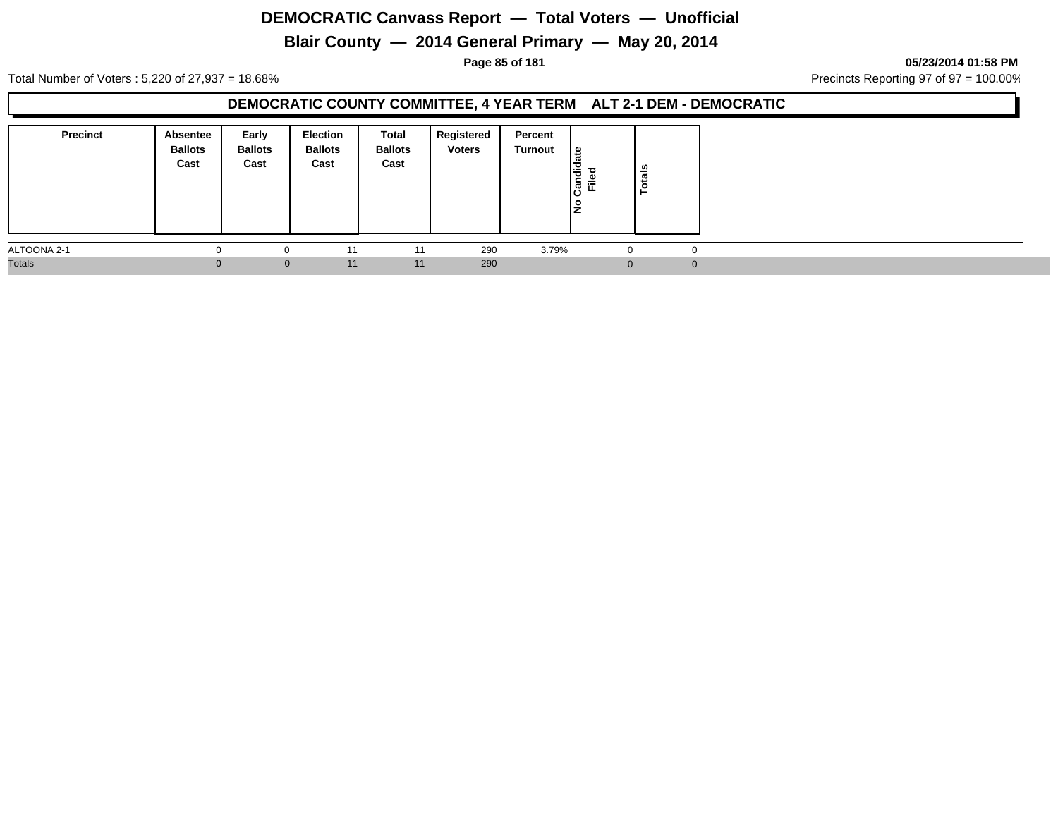## **Blair County — 2014 General Primary — May 20, 2014**

**Page 85 of 181 05/23/2014 01:58 PM**

Total Number of Voters : 5,220 of 27,937 = 18.68% Precincts Reporting 97 of 97 = 100.00%

#### **DEMOCRATIC COUNTY COMMITTEE, 4 YEAR TERM ALT 2-1 DEM - DEMOCRATIC**

| <b>Precinct</b> | Absentee<br><b>Ballots</b><br>Cast | Early<br><b>Ballots</b><br>Cast | <b>Election</b><br><b>Ballots</b><br>Cast | Total<br><b>Ballots</b><br>Cast | Registered<br><b>Voters</b> | Percent<br>Turnout | <sub>æ</sub><br>١÷<br>ြွှစ်<br>匠 | otals<br>⊢ |  |
|-----------------|------------------------------------|---------------------------------|-------------------------------------------|---------------------------------|-----------------------------|--------------------|----------------------------------|------------|--|
| ALTOONA 2-1     |                                    | 0                               |                                           | 11                              | 290                         | 3.79%              | $\Omega$                         | $\Omega$   |  |
| <b>Totals</b>   | 0                                  | $\mathbf{0}$                    | 11                                        | 11                              | 290                         |                    | ∩                                |            |  |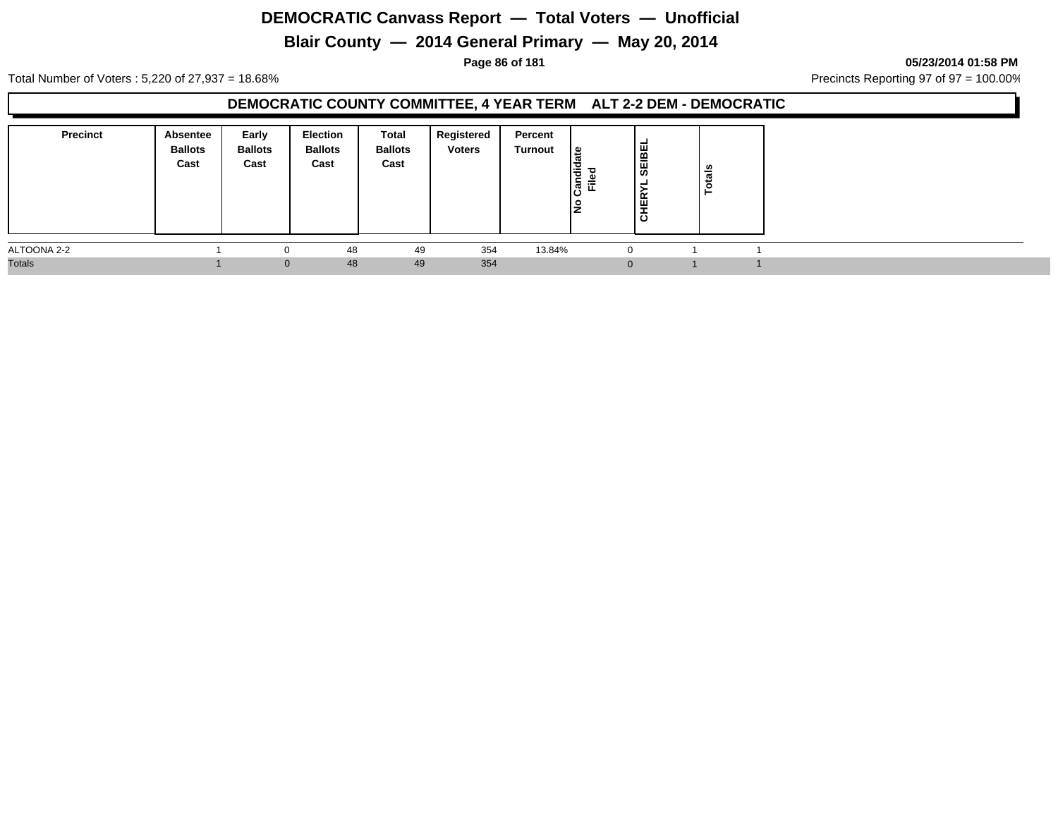## **Blair County — 2014 General Primary — May 20, 2014**

**Page 86 of 181 05/23/2014 01:58 PM**

Total Number of Voters : 5,220 of 27,937 = 18.68% Precincts Reporting 97 of 97 = 100.00%

#### **DEMOCRATIC COUNTY COMMITTEE, 4 YEAR TERM ALT 2-2 DEM - DEMOCRATIC**

| <b>Precinct</b> | Absentee<br><b>Ballots</b><br>Cast | Early<br><b>Ballots</b><br>Cast | Election<br><b>Ballots</b><br>Cast | Total<br><b>Ballots</b><br>Cast | Registered<br><b>Voters</b> | Percent<br>Turnout | <u> ഉ</u><br>$\overline{\mathbf{r}}$<br>- 41<br>Ē.<br>ାଞ୍ଚି<br>o<br>IŻ | SEIBEL<br>-<br>ΈŘ<br>ㅎ | otals<br>- |  |
|-----------------|------------------------------------|---------------------------------|------------------------------------|---------------------------------|-----------------------------|--------------------|------------------------------------------------------------------------|------------------------|------------|--|
| ALTOONA 2-2     |                                    |                                 | 48                                 | 49                              | 354                         | 13.84%             |                                                                        | $\Omega$               |            |  |
| <b>Totals</b>   |                                    | $\Omega$                        | 48                                 | 49                              | 354                         |                    |                                                                        | $\Omega$               |            |  |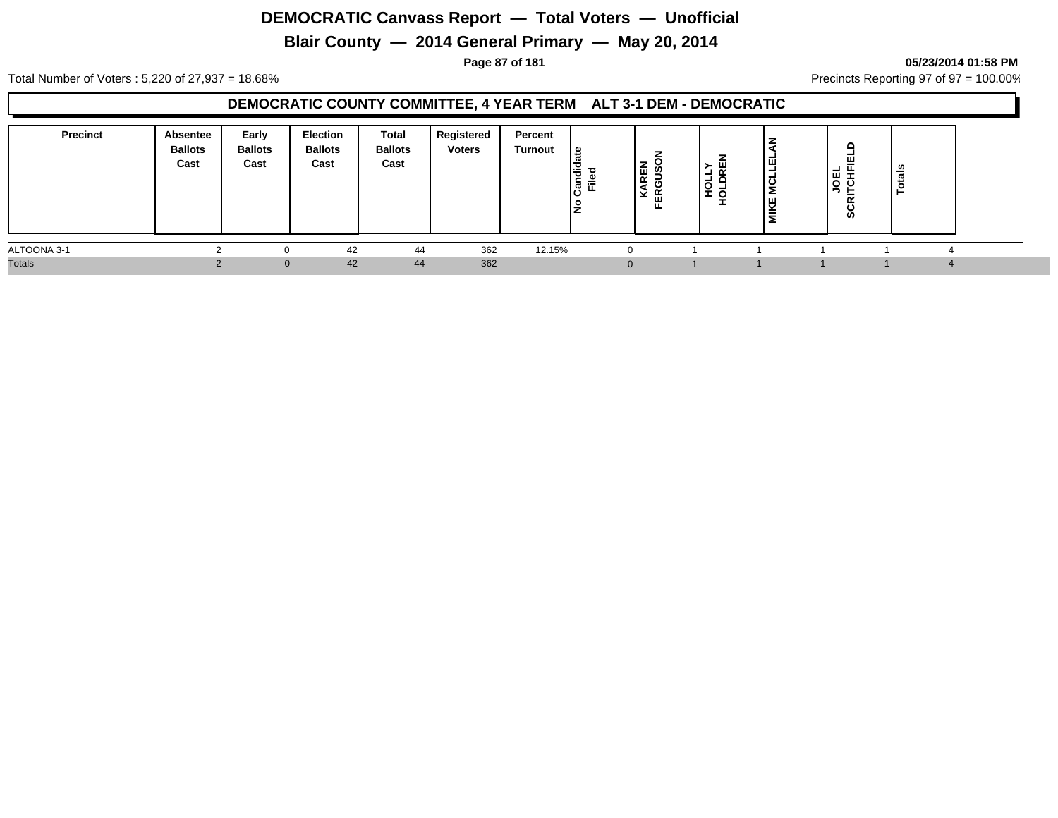## **Blair County — 2014 General Primary — May 20, 2014**

**Page 87 of 181 05/23/2014 01:58 PM**

Total Number of Voters : 5,220 of 27,937 = 18.68% Precincts Reporting 97 of 97 = 100.00%

#### **DEMOCRATIC COUNTY COMMITTEE, 4 YEAR TERM ALT 3-1 DEM - DEMOCRATIC**

| <b>Precinct</b> | Absentee<br><b>Ballots</b><br>Cast | Early<br><b>Ballots</b><br>Cast | Election<br><b>Ballots</b><br>Cast | Total<br><b>Ballots</b><br>Cast | Registered<br><b>Voters</b> | Percent<br>Turnout | ၊ ဗ<br>l o<br>코 회<br>ΙŻ | <b>AREN</b><br>GUSC<br>⋖<br>FER<br>× | $\alpha$<br>┙<br>пон<br>$\Box$<br>- 0 | 피<br><b>NCLL</b><br><b>MIKE</b> | ≏<br>ш<br>$\mathbf{\mathbf{\mathbf{\mathbf{\mathbf{-1}}}}}$<br>핑 공<br>∍<br>œ<br>ပ<br>ທ | _∽<br>$\mathbf{r}$ |  |
|-----------------|------------------------------------|---------------------------------|------------------------------------|---------------------------------|-----------------------------|--------------------|-------------------------|--------------------------------------|---------------------------------------|---------------------------------|----------------------------------------------------------------------------------------|--------------------|--|
| ALTOONA 3-1     |                                    |                                 | 42                                 | 44                              | 362                         | 12.15%             |                         | 0                                    |                                       |                                 |                                                                                        |                    |  |
| <b>Totals</b>   |                                    | $\Omega$                        | 42                                 | 44                              | 362                         |                    |                         | $\mathbf 0$                          |                                       |                                 |                                                                                        |                    |  |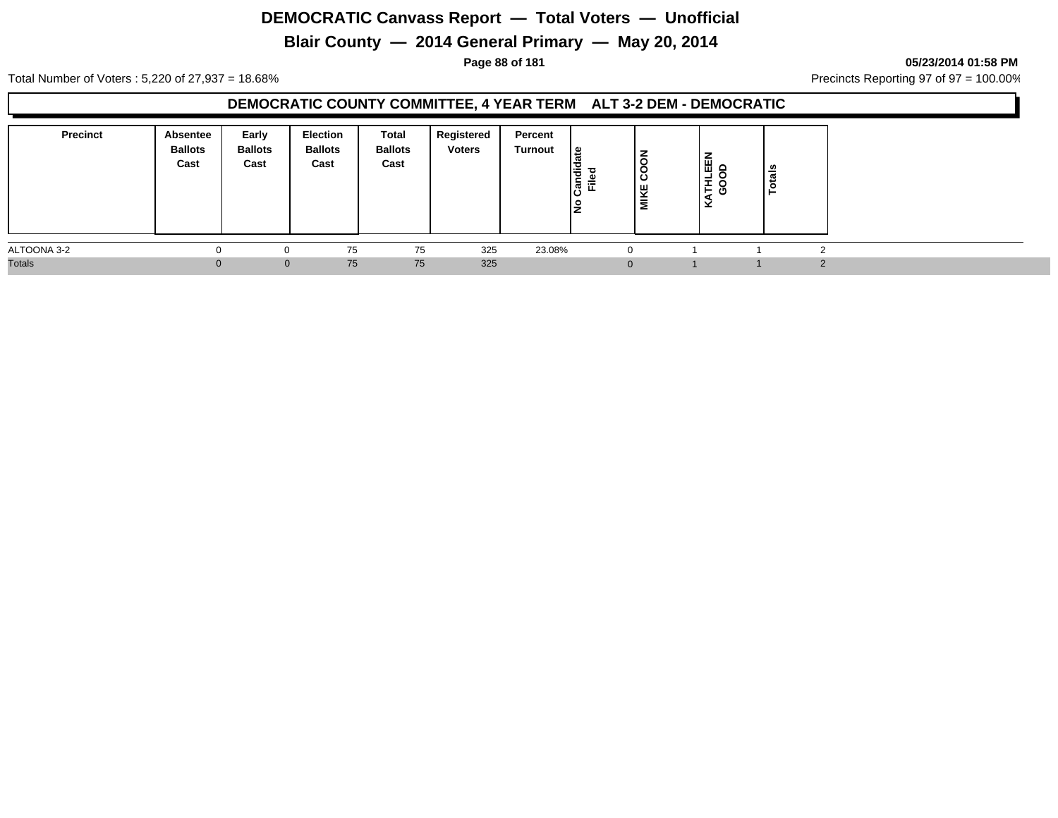## **Blair County — 2014 General Primary — May 20, 2014**

**Page 88 of 181 05/23/2014 01:58 PM**

Total Number of Voters : 5,220 of 27,937 = 18.68% Precincts Reporting 97 of 97 = 100.00%

#### **DEMOCRATIC COUNTY COMMITTEE, 4 YEAR TERM ALT 3-2 DEM - DEMOCRATIC**

| <b>Precinct</b> | Absentee<br><b>Ballots</b><br>Cast | Early<br><b>Ballots</b><br>Cast | Election<br><b>Ballots</b><br>Cast | Total<br><b>Ballots</b><br>Cast | Registered<br><b>Voters</b> | Percent<br>Turnout | . ≅ا<br>I÷<br>c.<br>Ē.<br>$\boldsymbol{\varpi}$<br>IŻ | $\overline{6}$<br>ပ္ပ<br><b>MIKE</b> | -<br>و ڦا<br>┙<br>ΞŠ<br>∣⊻ | tais |  |
|-----------------|------------------------------------|---------------------------------|------------------------------------|---------------------------------|-----------------------------|--------------------|-------------------------------------------------------|--------------------------------------|----------------------------|------|--|
| ALTOONA 3-2     |                                    |                                 | 75                                 | 75                              | 325                         | 23.08%             | $\Omega$                                              |                                      |                            |      |  |
| <b>Totals</b>   |                                    | $\Omega$                        | 75                                 | 75                              | 325                         |                    |                                                       |                                      |                            |      |  |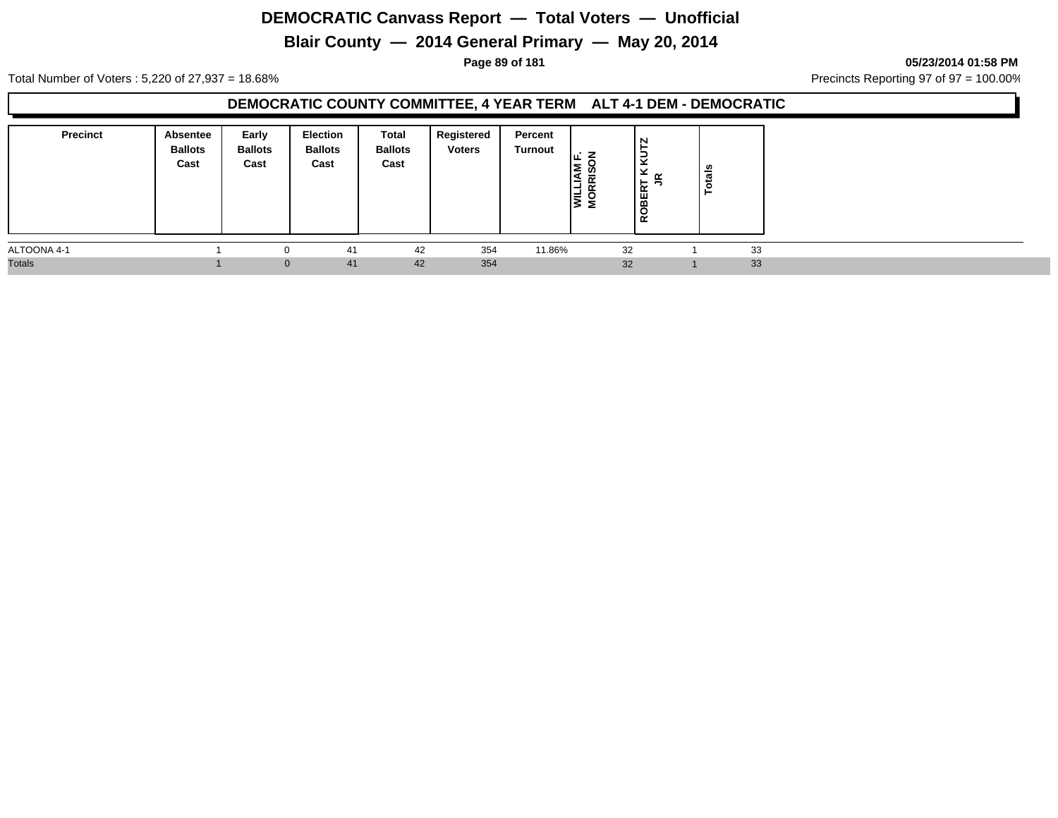## **Blair County — 2014 General Primary — May 20, 2014**

**Page 89 of 181 05/23/2014 01:58 PM**

Total Number of Voters : 5,220 of 27,937 = 18.68% Precincts Reporting 97 of 97 = 100.00%

#### **DEMOCRATIC COUNTY COMMITTEE, 4 YEAR TERM ALT 4-1 DEM - DEMOCRATIC**

| <b>Precinct</b> | Absentee<br><b>Ballots</b><br>Cast | Early<br><b>Ballots</b><br>Cast | Election<br><b>Ballots</b><br>Cast | Total<br><b>Ballots</b><br>Cast | Registered<br><b>Voters</b> | Percent<br>Turnout | Iщ.<br><b>TIAM</b><br>RRIS<br>Ī<br>Σ | N<br>►<br>$\tilde{\mathbf{5}}$<br>×<br>≃<br><b>OBERT</b><br>-<br>$\propto$ | <b>S</b><br>្ទ្រី<br>c |    |  |
|-----------------|------------------------------------|---------------------------------|------------------------------------|---------------------------------|-----------------------------|--------------------|--------------------------------------|----------------------------------------------------------------------------|------------------------|----|--|
| ALTOONA 4-1     |                                    |                                 | 41                                 | 42                              | 354                         | 11.86%             |                                      | 32                                                                         |                        | 33 |  |
| <b>Totals</b>   |                                    | $\Omega$                        | 41                                 | 42                              | 354                         |                    |                                      | 32                                                                         |                        | 33 |  |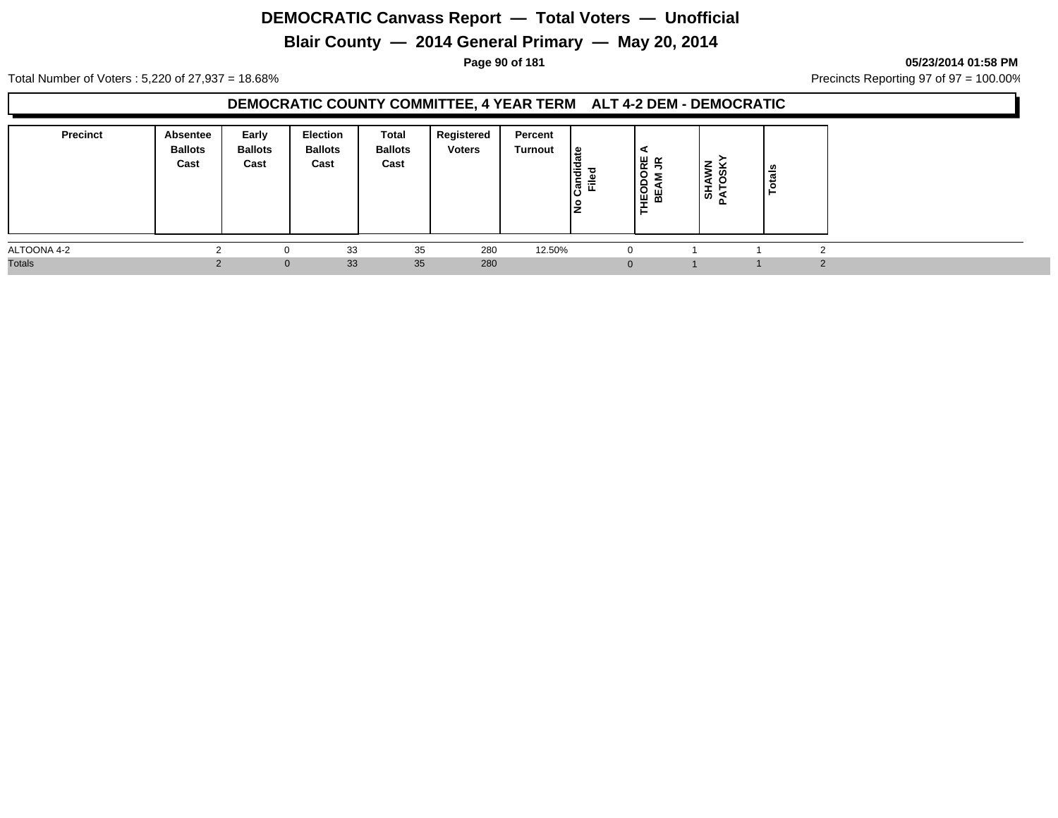## **Blair County — 2014 General Primary — May 20, 2014**

**Page 90 of 181 05/23/2014 01:58 PM**

Total Number of Voters : 5,220 of 27,937 = 18.68% Precincts Reporting 97 of 97 = 100.00%

#### **DEMOCRATIC COUNTY COMMITTEE, 4 YEAR TERM ALT 4-2 DEM - DEMOCRATIC**

| <b>Precinct</b> | Absentee<br><b>Ballots</b><br>Cast | Early<br><b>Ballots</b><br>Cast | Election<br><b>Ballots</b><br>Cast | Total<br><b>Ballots</b><br>Cast | Registered<br><b>Voters</b> | Percent<br>Turnout | ி<br>ᇰ<br>原定 | ⋖<br>$\leq$<br>분<br>$\circ$<br>5<br><b>IEOD</b><br>BEAM | –<br>⋚<br>ഗ<br>$\frac{12}{3}$<br>-ã | <b>S</b><br>ಕ<br>- |  |
|-----------------|------------------------------------|---------------------------------|------------------------------------|---------------------------------|-----------------------------|--------------------|--------------|---------------------------------------------------------|-------------------------------------|--------------------|--|
| ALTOONA 4-2     |                                    | 0                               | 33                                 | 35                              | 280                         | 12.50%             |              |                                                         |                                     |                    |  |
| <b>Totals</b>   |                                    | $\mathbf{0}$                    | 33                                 | 35                              | 280                         |                    |              |                                                         |                                     |                    |  |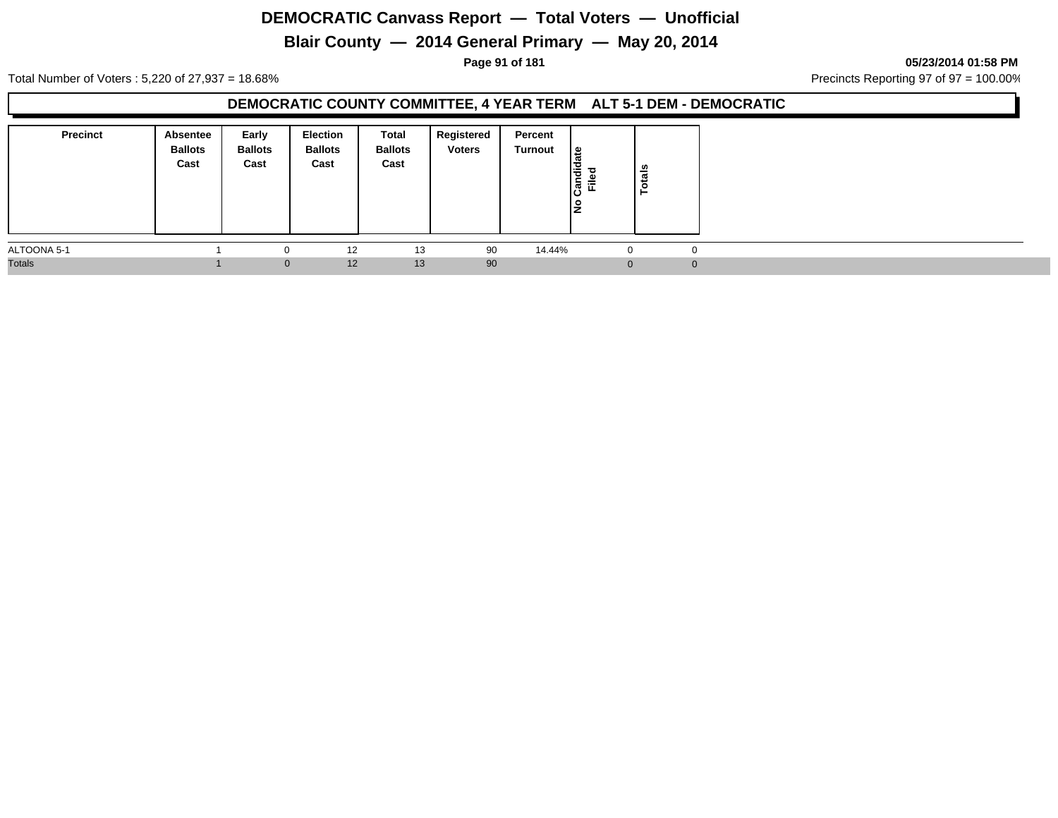## **Blair County — 2014 General Primary — May 20, 2014**

**Page 91 of 181 05/23/2014 01:58 PM**

Total Number of Voters : 5,220 of 27,937 = 18.68% Precincts Reporting 97 of 97 = 100.00%

#### **DEMOCRATIC COUNTY COMMITTEE, 4 YEAR TERM ALT 5-1 DEM - DEMOCRATIC**

| <b>Precinct</b> | Absentee<br><b>Ballots</b><br>Cast | Early<br><b>Ballots</b><br>Cast | Election<br><b>Ballots</b><br>Cast | Total<br><b>Ballots</b><br>Cast | Registered<br><b>Voters</b> | Percent<br>Turnout | $\frac{1}{a}$<br>Candid<br>Filed | otals<br>⊢ |  |
|-----------------|------------------------------------|---------------------------------|------------------------------------|---------------------------------|-----------------------------|--------------------|----------------------------------|------------|--|
| ALTOONA 5-1     |                                    | $\Omega$                        | 12                                 | 13                              | 90                          | 14.44%             | $\mathbf{0}$                     |            |  |
| <b>Totals</b>   |                                    | $\mathbf{0}$                    | 12                                 | 13                              | 90                          |                    |                                  |            |  |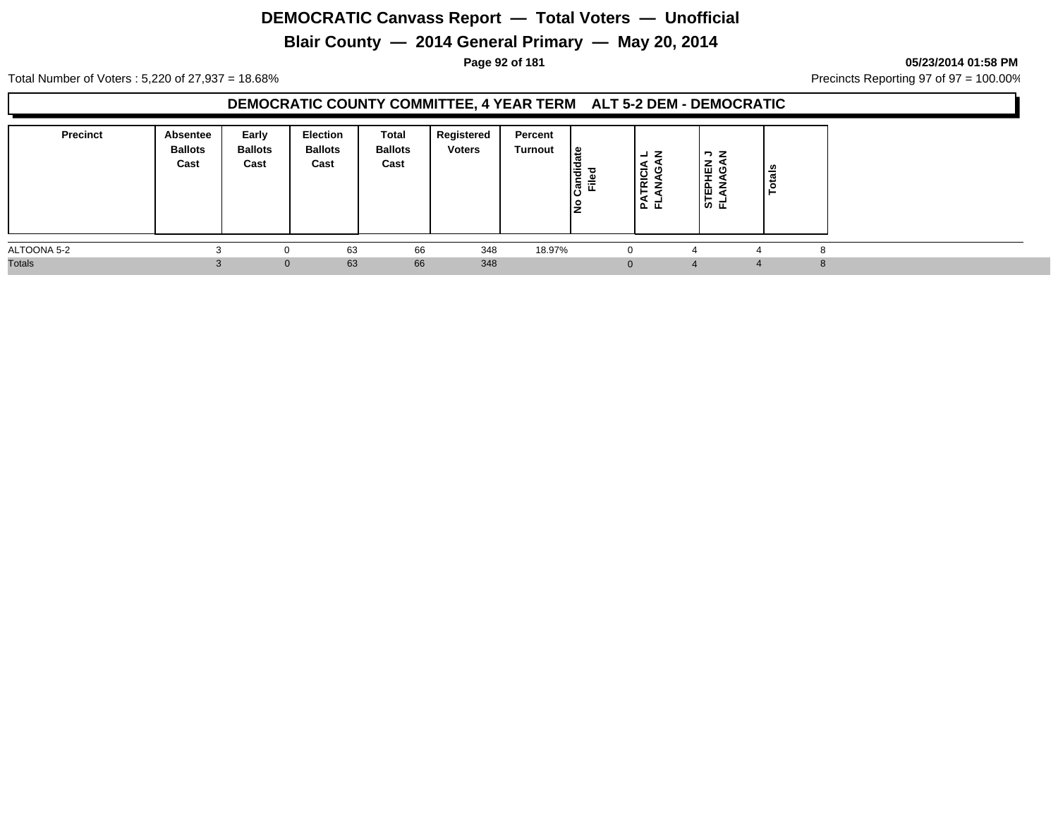## **Blair County — 2014 General Primary — May 20, 2014**

**Page 92 of 181 05/23/2014 01:58 PM**

Total Number of Voters : 5,220 of 27,937 = 18.68% Precincts Reporting 97 of 97 = 100.00%

#### **DEMOCRATIC COUNTY COMMITTEE, 4 YEAR TERM ALT 5-2 DEM - DEMOCRATIC**

| <b>Precinct</b> | Absentee<br><b>Ballots</b><br>Cast | Early<br><b>Ballots</b><br>Cast | <b>Election</b><br><b>Ballots</b><br>Cast | <b>Total</b><br><b>Ballots</b><br>Cast | Registered<br><b>Voters</b> | Percent<br>Turnout | ا ≅<br>l o<br> ਫ਼ ਛੋ | z<br>┙<br>a<br>RICI<br>NAG<br>⊢<br>125 군 | $\neg$ z<br>EPHEN<br>ANAGA<br>모일 | _∽<br>$\overline{\mathfrak{a}}$<br>- |  |
|-----------------|------------------------------------|---------------------------------|-------------------------------------------|----------------------------------------|-----------------------------|--------------------|----------------------|------------------------------------------|----------------------------------|--------------------------------------|--|
| ALTOONA 5-2     |                                    | $\Omega$                        | 63                                        | 66                                     | 348                         | 18.97%             |                      |                                          |                                  |                                      |  |
| <b>Totals</b>   |                                    | $\mathbf{0}$                    | 63                                        | 66                                     | 348                         |                    |                      |                                          |                                  | 4                                    |  |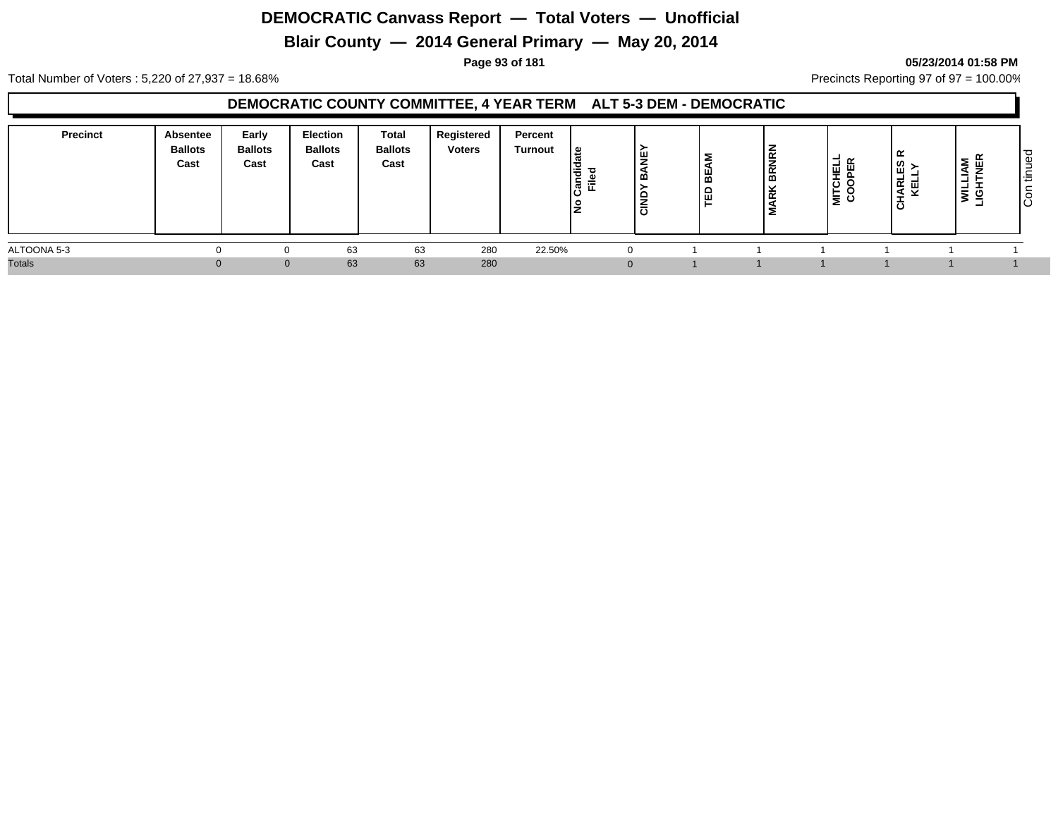## **Blair County — 2014 General Primary — May 20, 2014**

#### **Page 93 of 181 05/23/2014 01:58 PM**

Total Number of Voters : 5,220 of 27,937 = 18.68% Precincts Reporting 97 of 97 = 100.00%

#### **DEMOCRATIC COUNTY COMMITTEE, 4 YEAR TERM ALT 5-3 DEM - DEMOCRATIC**

| <b>Precinct</b> | Absentee<br><b>Ballots</b><br>Cast | Early<br><b>Ballots</b><br>Cast | Election<br><b>Ballots</b><br>Cast | <b>Total</b><br><b>Ballots</b><br>Cast | Registered<br><b>Voters</b> | Percent<br><b>Turnout</b> | မ္<br>lə<br>ြီ<br>טו | щ<br>-<br>-<br>-<br>∸<br>-<br>$\overline{\cdot}$<br>◡ | -<br>ш.<br>൚ | ğ<br> 동<br>ᄒ<br>- | <b>MITCHELL</b><br>COOPER<br>ັບ | ≃<br>ΕS<br><b>HARL</b><br>KEL<br>ㅎ | ≥.<br>5<br>-2 | ت<br>$\Omega$<br>-<br>l ÷<br>ΙÖ |
|-----------------|------------------------------------|---------------------------------|------------------------------------|----------------------------------------|-----------------------------|---------------------------|----------------------|-------------------------------------------------------|--------------|-------------------|---------------------------------|------------------------------------|---------------|---------------------------------|
| ALTOONA 5-3     |                                    |                                 | 63                                 | 63                                     | 280                         | 22.50%                    |                      | 0                                                     |              |                   |                                 |                                    |               |                                 |
| <b>Totals</b>   |                                    |                                 | 63                                 | 63                                     | 280                         |                           |                      | $\Omega$                                              |              |                   |                                 |                                    |               |                                 |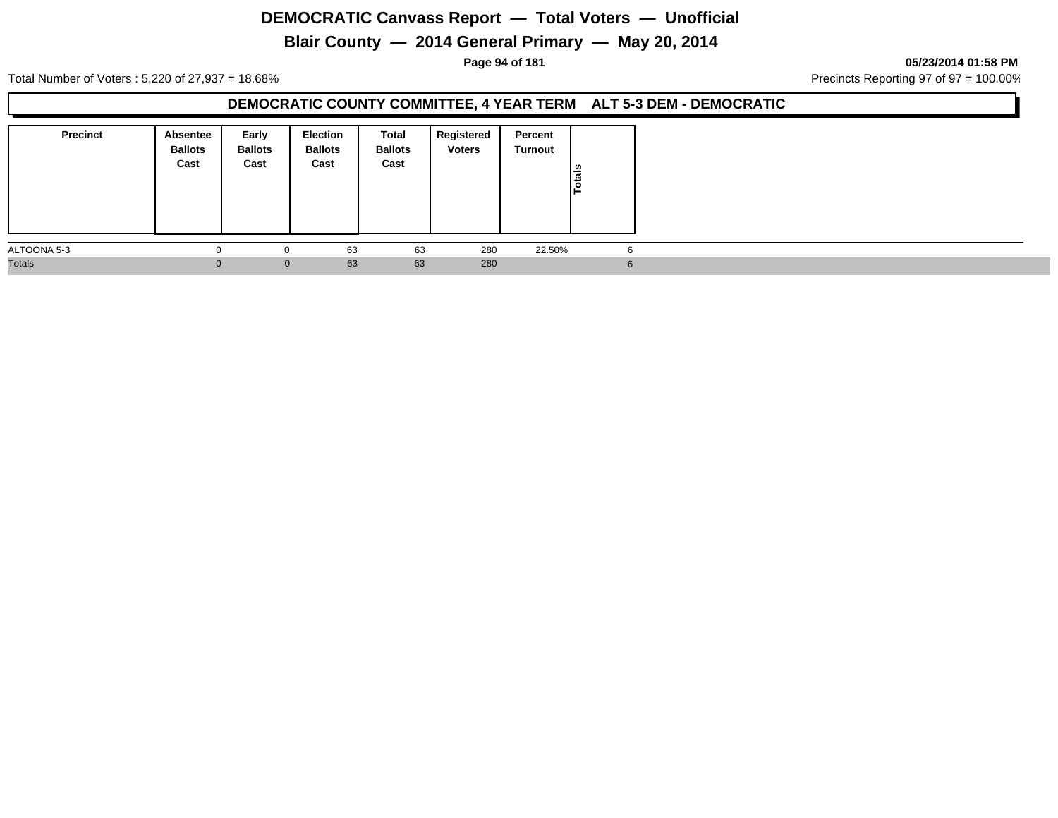## **Blair County — 2014 General Primary — May 20, 2014**

**Page 94 of 181 05/23/2014 01:58 PM**

Total Number of Voters : 5,220 of 27,937 = 18.68% Precincts Reporting 97 of 97 = 100.00%

#### **DEMOCRATIC COUNTY COMMITTEE, 4 YEAR TERM ALT 5-3 DEM - DEMOCRATIC**

| <b>Precinct</b> | <b>Absentee</b><br><b>Ballots</b><br>Cast | Early<br><b>Ballots</b><br>Cast | <b>Election</b><br><b>Ballots</b><br>Cast | Total<br><b>Ballots</b><br>Cast | Registered<br><b>Voters</b> | Percent<br>Turnout | ≝<br>w |
|-----------------|-------------------------------------------|---------------------------------|-------------------------------------------|---------------------------------|-----------------------------|--------------------|--------|
| ALTOONA 5-3     | $\Omega$                                  | $\Omega$                        | 63                                        | 63                              | 280                         | 22.50%             | - 6    |
| <b>Totals</b>   | $\Omega$                                  | $\mathbf{0}$                    | 63                                        | 63                              | 280                         |                    | 6      |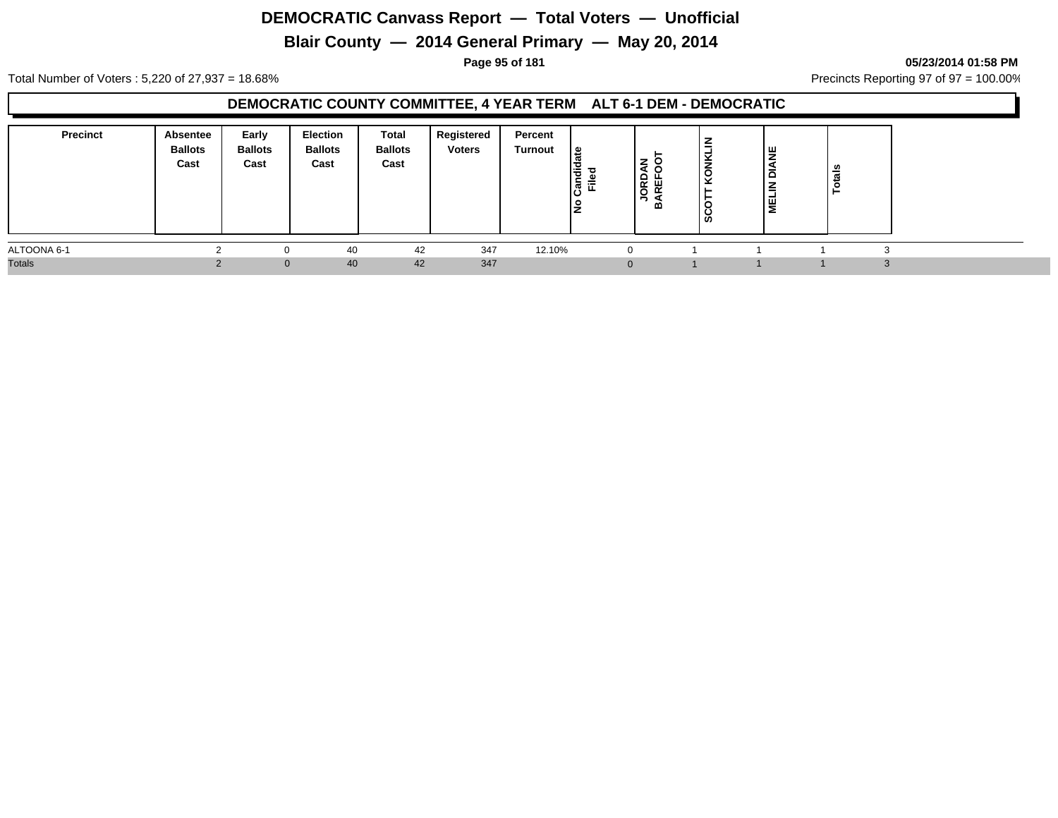## **Blair County — 2014 General Primary — May 20, 2014**

**Page 95 of 181 05/23/2014 01:58 PM**

Total Number of Voters : 5,220 of 27,937 = 18.68% Precincts Reporting 97 of 97 = 100.00%

#### **DEMOCRATIC COUNTY COMMITTEE, 4 YEAR TERM ALT 6-1 DEM - DEMOCRATIC**

| <b>Precinct</b> | Absentee<br><b>Ballots</b><br>Cast | Early<br><b>Ballots</b><br>Cast | Election<br><b>Ballots</b><br>Cast | Total<br><b>Ballots</b><br>Cast | Registered<br><b>Voters</b> | Percent<br>Turnout | ا≅<br>Candid<br>Ē.<br>١ş | –<br><b>ORD</b><br>щ<br>RE<br>$\overline{\phantom{0}}$<br>മ | $\checkmark$<br>KONK<br>SCO <sup>T</sup> | <b>DIANE</b><br>E<br>l≣ | U. |            |  |
|-----------------|------------------------------------|---------------------------------|------------------------------------|---------------------------------|-----------------------------|--------------------|--------------------------|-------------------------------------------------------------|------------------------------------------|-------------------------|----|------------|--|
| ALTOONA 6-1     | $\sim$                             | 0                               | 40                                 | 42                              | 347                         | 12.10%             |                          |                                                             |                                          |                         |    | $\sqrt{2}$ |  |
| <b>Totals</b>   |                                    | $\mathbf{0}$                    | 40                                 | 42                              | 347                         |                    |                          | $\Omega$                                                    |                                          |                         |    | $\sim$     |  |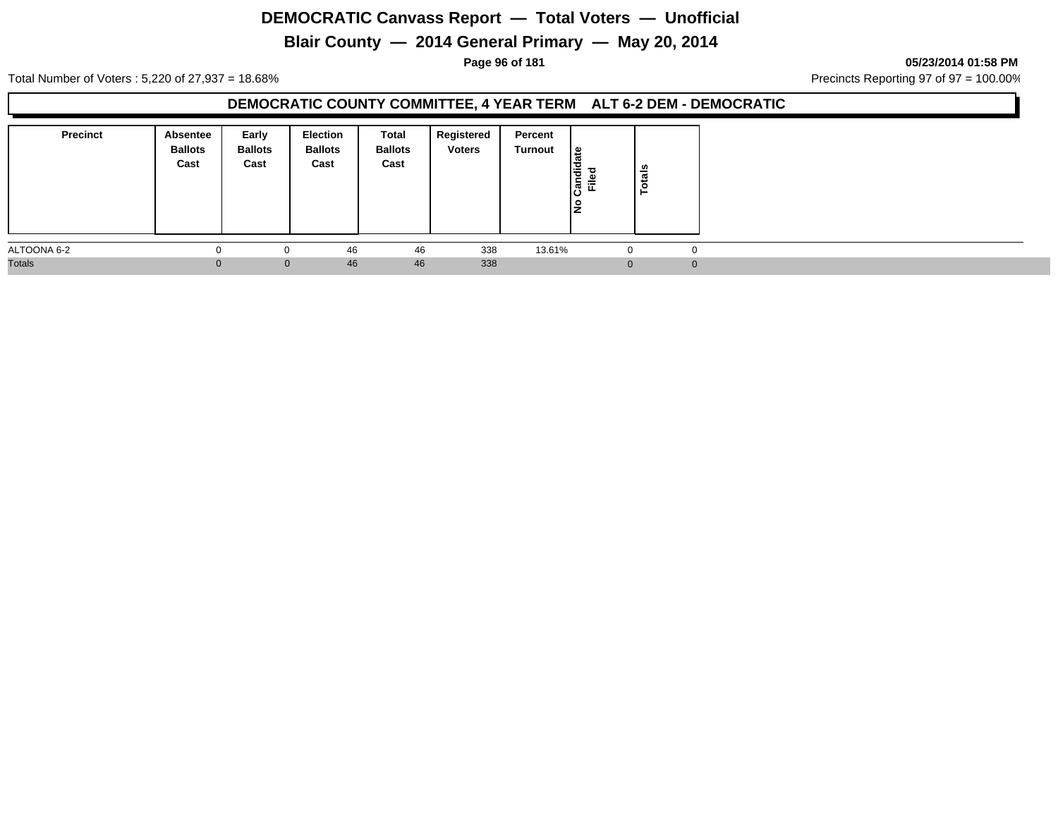## **Blair County — 2014 General Primary — May 20, 2014**

**Page 96 of 181 05/23/2014 01:58 PM**

Total Number of Voters : 5,220 of 27,937 = 18.68% Precincts Reporting 97 of 97 = 100.00%

#### **DEMOCRATIC COUNTY COMMITTEE, 4 YEAR TERM ALT 6-2 DEM - DEMOCRATIC**

| <b>Precinct</b> | Absentee<br><b>Ballots</b><br>Cast | Early<br><b>Ballots</b><br>Cast | <b>Election</b><br><b>Ballots</b><br>Cast | Total<br><b>Ballots</b><br>Cast | Registered<br><b>Voters</b> | Percent<br>Turnout | ∣៖<br>١÷<br>ခြံ<br>Ē | otals<br>⊢ |  |
|-----------------|------------------------------------|---------------------------------|-------------------------------------------|---------------------------------|-----------------------------|--------------------|----------------------|------------|--|
| ALTOONA 6-2     |                                    | $\Omega$                        | 46                                        | 46                              | 338                         | 13.61%             | $\mathbf{0}$         | O          |  |
| <b>Totals</b>   | $\Omega$                           | $\mathbf{0}$                    | 46                                        | 46                              | 338                         |                    | $\Omega$             |            |  |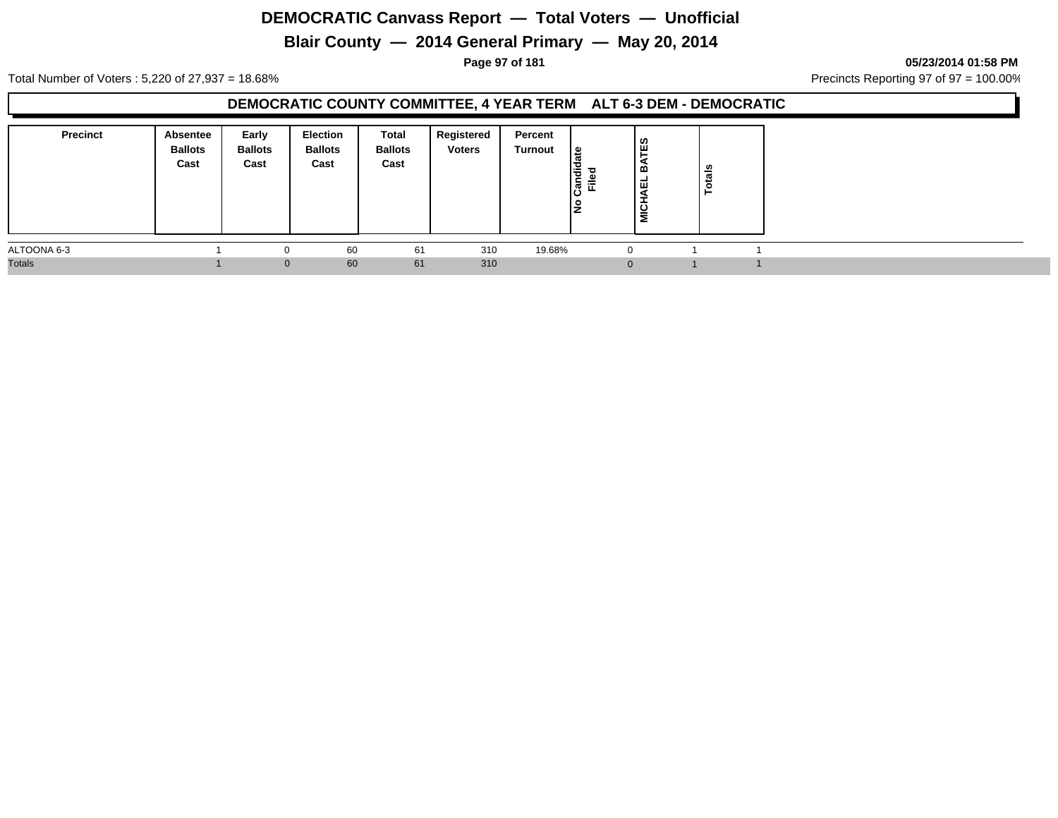## **Blair County — 2014 General Primary — May 20, 2014**

**Page 97 of 181 05/23/2014 01:58 PM**

Total Number of Voters : 5,220 of 27,937 = 18.68% Precincts Reporting 97 of 97 = 100.00%

#### **DEMOCRATIC COUNTY COMMITTEE, 4 YEAR TERM ALT 6-3 DEM - DEMOCRATIC**

| <b>Precinct</b> | <b>Absentee</b><br><b>Ballots</b><br>Cast | Early<br><b>Ballots</b><br>Cast | <b>Election</b><br><b>Ballots</b><br>Cast | Total<br><b>Ballots</b><br>Cast | Registered<br><b>Voters</b> | Percent<br>Turnout | ¦≌<br>andied<br>Filed | ြို့<br>∣≃<br>∣ ѿ<br>ಕ<br>Š | otals |  |
|-----------------|-------------------------------------------|---------------------------------|-------------------------------------------|---------------------------------|-----------------------------|--------------------|-----------------------|-----------------------------|-------|--|
| ALTOONA 6-3     |                                           | 0                               | 60                                        | 61                              | 310                         | 19.68%             |                       |                             |       |  |
| <b>Totals</b>   |                                           | $\Omega$                        | 60                                        | 61                              | 310                         |                    |                       |                             |       |  |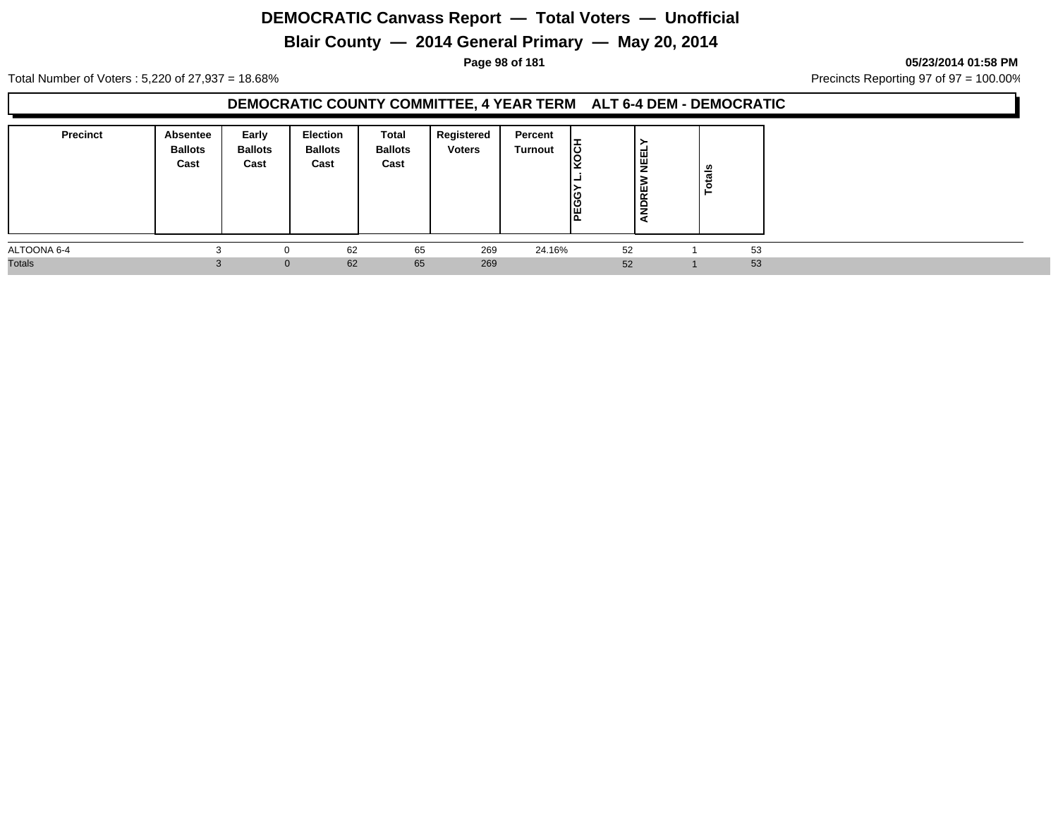## **Blair County — 2014 General Primary — May 20, 2014**

**Page 98 of 181 05/23/2014 01:58 PM**

Total Number of Voters : 5,220 of 27,937 = 18.68% Precincts Reporting 97 of 97 = 100.00%

#### **DEMOCRATIC COUNTY COMMITTEE, 4 YEAR TERM ALT 6-4 DEM - DEMOCRATIC**

| <b>Precinct</b> | Absentee<br><b>Ballots</b><br>Cast | Early<br><b>Ballots</b><br>Cast | <b>Election</b><br><b>Ballots</b><br>Cast | Total<br><b>Ballots</b><br>Cast | Registered<br><b>Voters</b> | Percent<br>Turnout | lë<br>ΙC<br>Ιc<br>Ш | ן<br>ש<br><b>NDRET</b> | <b>Totals</b> |  |
|-----------------|------------------------------------|---------------------------------|-------------------------------------------|---------------------------------|-----------------------------|--------------------|---------------------|------------------------|---------------|--|
| ALTOONA 6-4     |                                    | $\Omega$                        | 62                                        | 65                              | 269                         | 24.16%             | 52                  |                        | 53            |  |
| <b>Totals</b>   |                                    | $\mathbf{0}$                    | 62                                        | 65                              | 269                         |                    | 52                  |                        | 53            |  |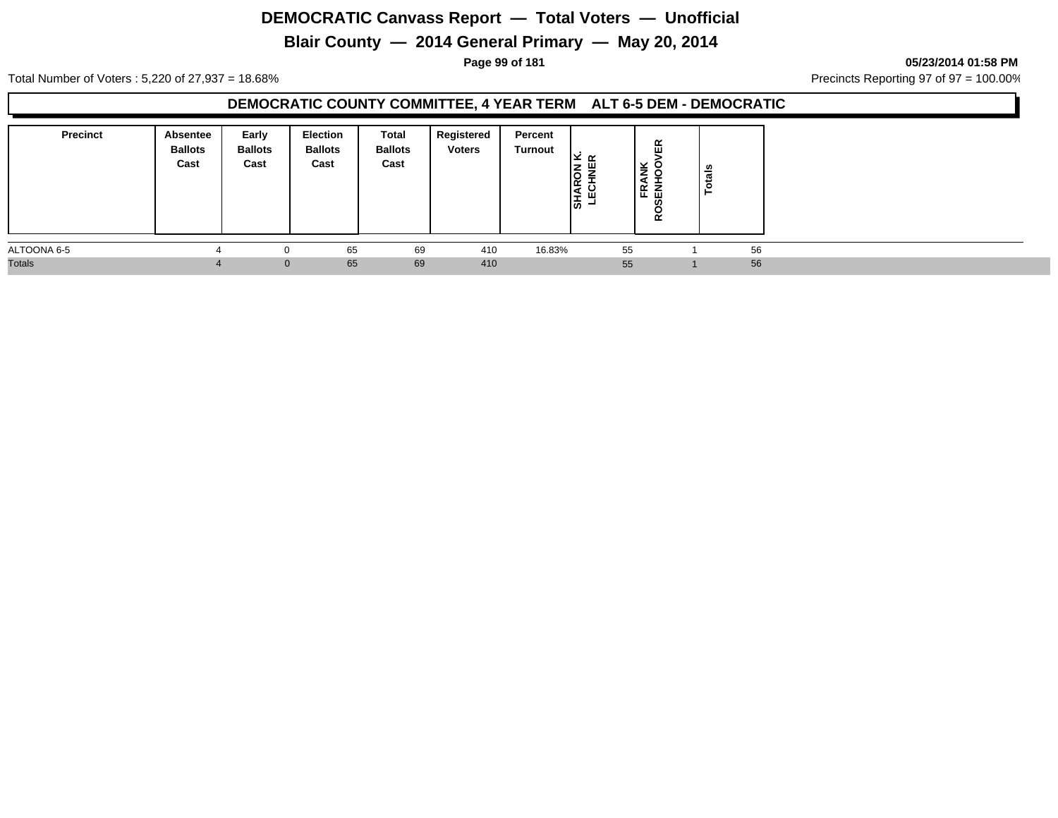## **Blair County — 2014 General Primary — May 20, 2014**

**Page 99 of 181 05/23/2014 01:58 PM**

Total Number of Voters : 5,220 of 27,937 = 18.68% Precincts Reporting 97 of 97 = 100.00%

#### **DEMOCRATIC COUNTY COMMITTEE, 4 YEAR TERM ALT 6-5 DEM - DEMOCRATIC**

| <b>Precinct</b> | <b>Absentee</b><br><b>Ballots</b><br>Cast | Early<br><b>Ballots</b><br>Cast | Election<br><b>Ballots</b><br>Cast | Total<br><b>Ballots</b><br>Cast | Registered<br><b>Voters</b> | Percent<br>Turnout | צ בי<br>ш<br>lõ<br>leg<br>ע בו<br>∣ਨੋ | 띥<br>'≚ 8<br>વ<br>│ਜ਼ੵ<br>ਫ਼<br>5 | n<br>otai |    |  |
|-----------------|-------------------------------------------|---------------------------------|------------------------------------|---------------------------------|-----------------------------|--------------------|---------------------------------------|-----------------------------------|-----------|----|--|
| ALTOONA 6-5     |                                           |                                 | 65                                 | 69                              | 410                         | 16.83%             | 55                                    |                                   |           | 56 |  |
| <b>Totals</b>   |                                           | $\mathbf{0}$                    | 65                                 | 69                              | 410                         |                    | 55                                    |                                   |           | 56 |  |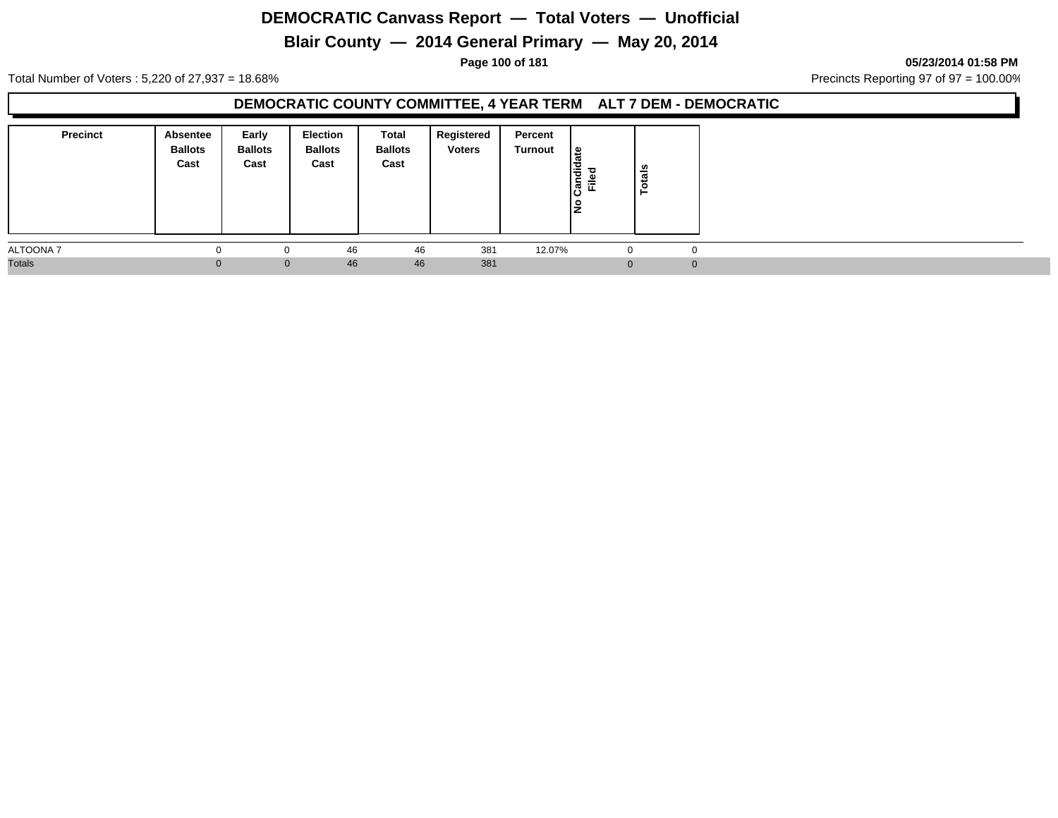## **Blair County — 2014 General Primary — May 20, 2014**

**Page 100 of 181 05/23/2014 01:58 PM**

Total Number of Voters : 5,220 of 27,937 = 18.68% Precincts Reporting 97 of 97 = 100.00%

#### **DEMOCRATIC COUNTY COMMITTEE, 4 YEAR TERM ALT 7 DEM - DEMOCRATIC**

| <b>Precinct</b> | Absentee<br><b>Ballots</b><br>Cast | Early<br><b>Ballots</b><br>Cast | <b>Election</b><br><b>Ballots</b><br>Cast | Total<br><b>Ballots</b><br>Cast | Registered<br><b>Voters</b> | Percent<br>Turnout | ∣៖<br>١÷<br>ျွန္မြ<br>匠 | otals<br>⊢ |  |
|-----------------|------------------------------------|---------------------------------|-------------------------------------------|---------------------------------|-----------------------------|--------------------|-------------------------|------------|--|
| ALTOONA 7       |                                    | 0                               | 46                                        | 46                              | 381                         | 12.07%             | $\Omega$                | $\Omega$   |  |
| <b>Totals</b>   | 0                                  | $\mathbf{0}$                    | 46                                        | 46                              | 381                         |                    | ∩                       |            |  |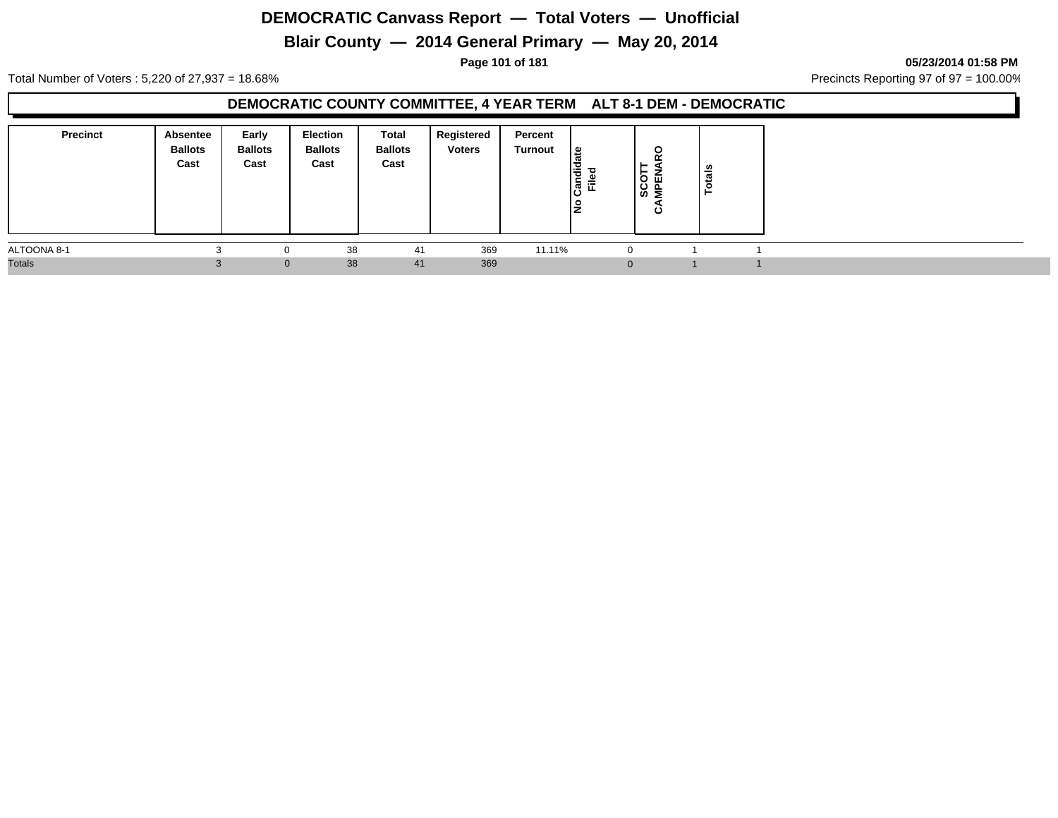## **Blair County — 2014 General Primary — May 20, 2014**

**Page 101 of 181 05/23/2014 01:58 PM**

Total Number of Voters : 5,220 of 27,937 = 18.68% Precincts Reporting 97 of 97 = 100.00%

#### **DEMOCRATIC COUNTY COMMITTEE, 4 YEAR TERM ALT 8-1 DEM - DEMOCRATIC**

| <b>Precinct</b> | Absentee<br><b>Ballots</b><br>Cast | Early<br><b>Ballots</b><br>Cast | Election<br><b>Ballots</b><br>Cast | Total<br><b>Ballots</b><br>Cast | Registered<br><b>Voters</b> | Percent<br>Turnout | ⊕<br>Candid<br>ю.<br>Ē.<br>o<br>IŻ | <b>Q</b><br>⊢<br>SCOT<br>MPEN<br>ం | tals |  |
|-----------------|------------------------------------|---------------------------------|------------------------------------|---------------------------------|-----------------------------|--------------------|------------------------------------|------------------------------------|------|--|
| ALTOONA 8-1     |                                    |                                 | 38                                 | 41                              | 369                         | 11.11%             |                                    | $\Omega$                           |      |  |
| <b>Totals</b>   |                                    | $\mathbf{0}$                    | 38                                 | 41                              | 369                         |                    |                                    | $\Omega$                           |      |  |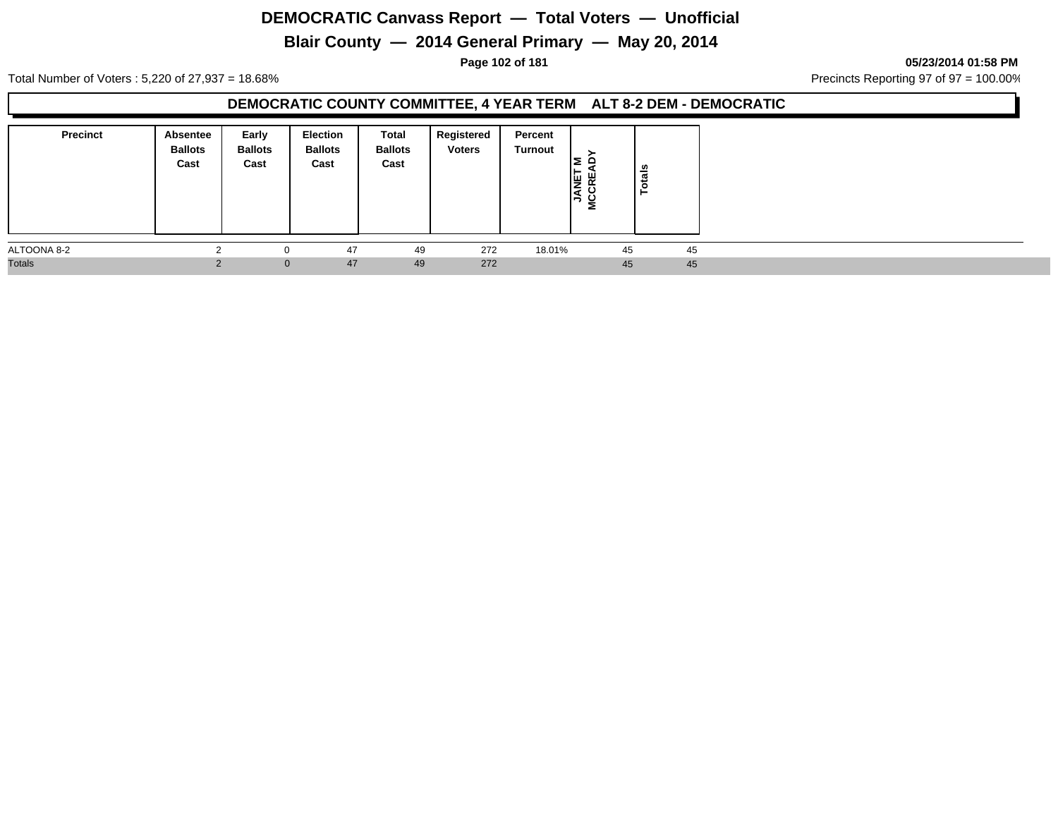## **Blair County — 2014 General Primary — May 20, 2014**

**Page 102 of 181 05/23/2014 01:58 PM**

Total Number of Voters : 5,220 of 27,937 = 18.68% Precincts Reporting 97 of 97 = 100.00%

#### **DEMOCRATIC COUNTY COMMITTEE, 4 YEAR TERM ALT 8-2 DEM - DEMOCRATIC**

| <b>Precinct</b> | <b>Absentee</b><br><b>Ballots</b><br>Cast | Early<br><b>Ballots</b><br>Cast | <b>Election</b><br><b>Ballots</b><br>Cast | Total<br><b>Ballots</b><br>Cast | Registered<br><b>Voters</b> | Percent<br>Turnout | 한 동<br>- -<br>$\rightarrow$<br>່≋ | otals<br>− |  |
|-----------------|-------------------------------------------|---------------------------------|-------------------------------------------|---------------------------------|-----------------------------|--------------------|-----------------------------------|------------|--|
| ALTOONA 8-2     |                                           | 0                               | 47                                        | 49                              | 272                         | 18.01%             | 45                                | 45         |  |
| <b>Totals</b>   |                                           | $\mathbf{0}$                    | 47                                        | 49                              | 272                         |                    | 45                                | 45         |  |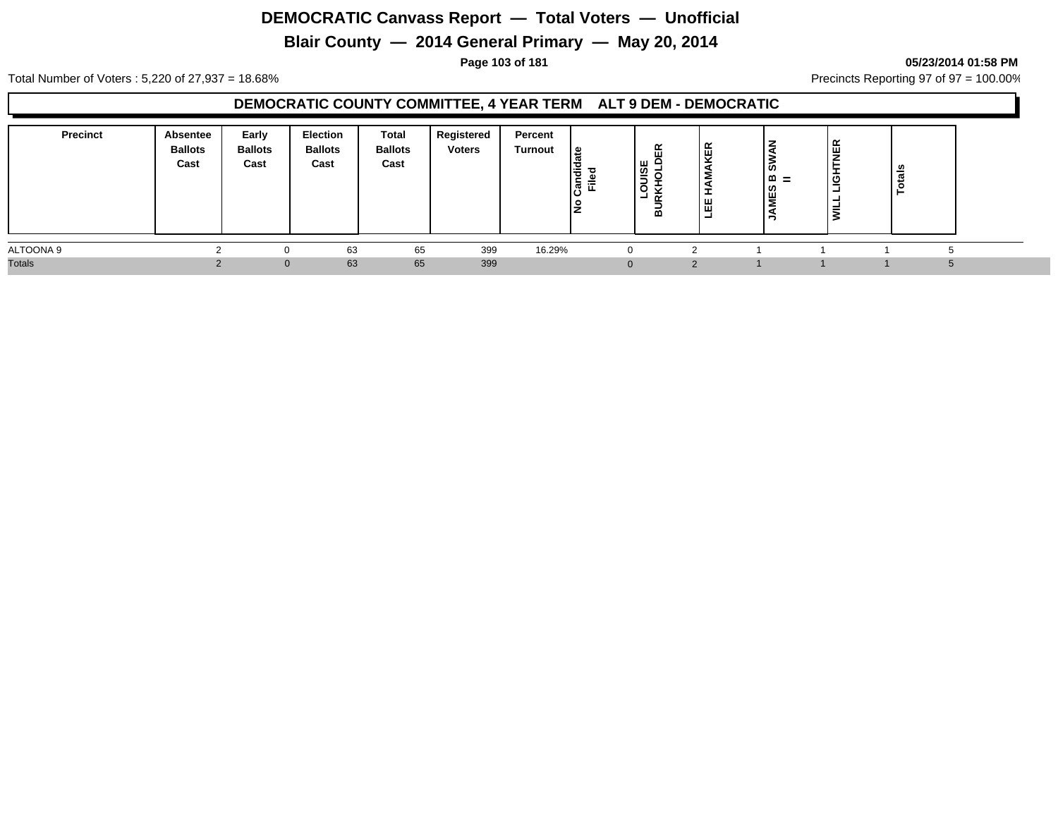## **Blair County — 2014 General Primary — May 20, 2014**

#### **Page 103 of 181 05/23/2014 01:58 PM**

Total Number of Voters : 5,220 of 27,937 = 18.68% Precincts Reporting 97 of 97 = 100.00%

#### **DEMOCRATIC COUNTY COMMITTEE, 4 YEAR TERM ALT 9 DEM - DEMOCRATIC**

| <b>Precinct</b> | Absentee<br><b>Ballots</b><br>Cast | Early<br><b>Ballots</b><br>Cast | <b>Election</b><br><b>Ballots</b><br>Cast | Total<br><b>Ballots</b><br>Cast | Registered<br><b>Voters</b> | Percent<br>Turnout | ہ ا<br>I÷<br>∣ອໍ້ ≖ື<br>lŹ | 띥<br> ສ<br>$\alpha$<br>-<br>ᅆ | KER<br>щ<br>ш<br>ᆜ | ∣`s<br>≃<br>$=$<br><b>INES</b> | $\overline{\phantom{a}}$<br>$\cdots$ | - |  |
|-----------------|------------------------------------|---------------------------------|-------------------------------------------|---------------------------------|-----------------------------|--------------------|----------------------------|-------------------------------|--------------------|--------------------------------|--------------------------------------|---|--|
| ALTOONA 9       |                                    |                                 | 63                                        | 65                              | 399                         | 16.29%             |                            | 0                             |                    |                                |                                      |   |  |
| <b>Totals</b>   |                                    | $\mathbf{0}$                    | 63                                        | 65                              | 399                         |                    |                            | $\Omega$                      |                    |                                |                                      |   |  |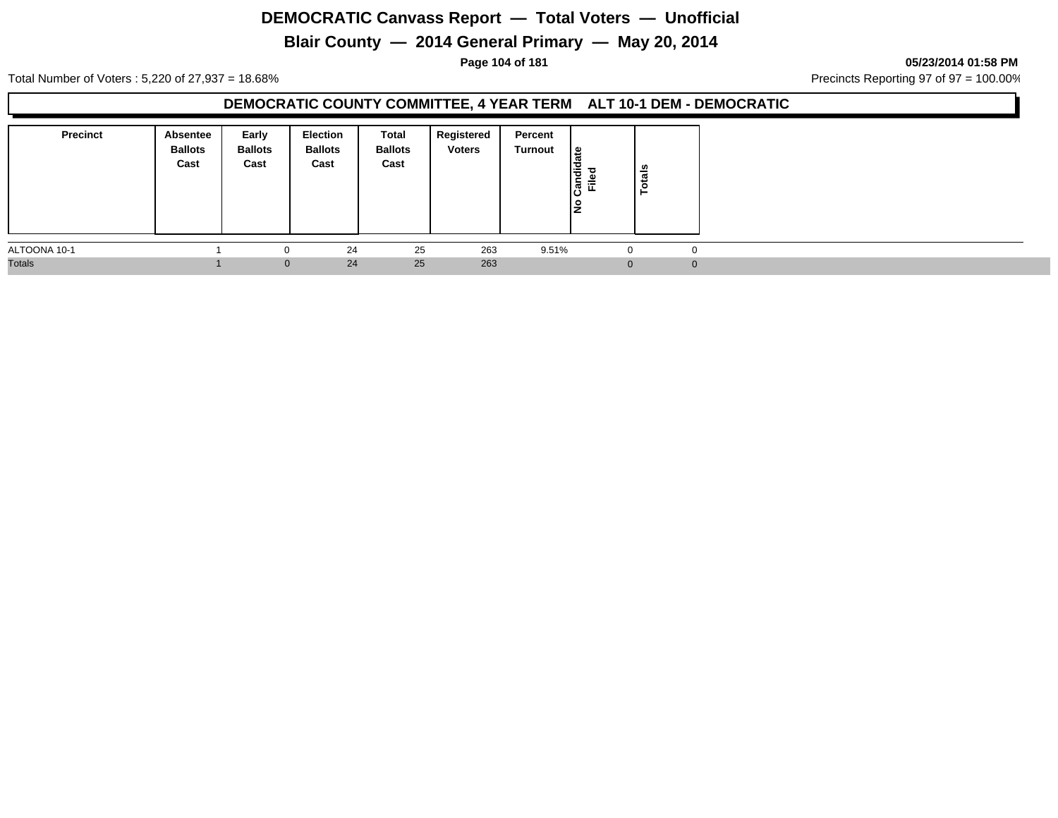## **Blair County — 2014 General Primary — May 20, 2014**

**Page 104 of 181 05/23/2014 01:58 PM**

Total Number of Voters : 5,220 of 27,937 = 18.68% Precincts Reporting 97 of 97 = 100.00%

#### **DEMOCRATIC COUNTY COMMITTEE, 4 YEAR TERM ALT 10-1 DEM - DEMOCRATIC**

| <b>Precinct</b> | Absentee<br><b>Ballots</b><br>Cast | Early<br><b>Ballots</b><br>Cast | Election<br><b>Ballots</b><br>Cast | Total<br><b>Ballots</b><br>Cast | Registered<br><b>Voters</b> | Percent<br>Turnout | $\frac{1}{6}$<br>ᆞᆼ<br>Candie<br>Filed<br>١ş | otals<br>► |  |
|-----------------|------------------------------------|---------------------------------|------------------------------------|---------------------------------|-----------------------------|--------------------|----------------------------------------------|------------|--|
| ALTOONA 10-1    |                                    | $\Omega$                        | 24                                 | 25                              | 263                         | 9.51%              | $\Omega$                                     |            |  |
| <b>Totals</b>   |                                    | $\mathbf{0}$                    | 24                                 | 25                              | 263                         |                    |                                              |            |  |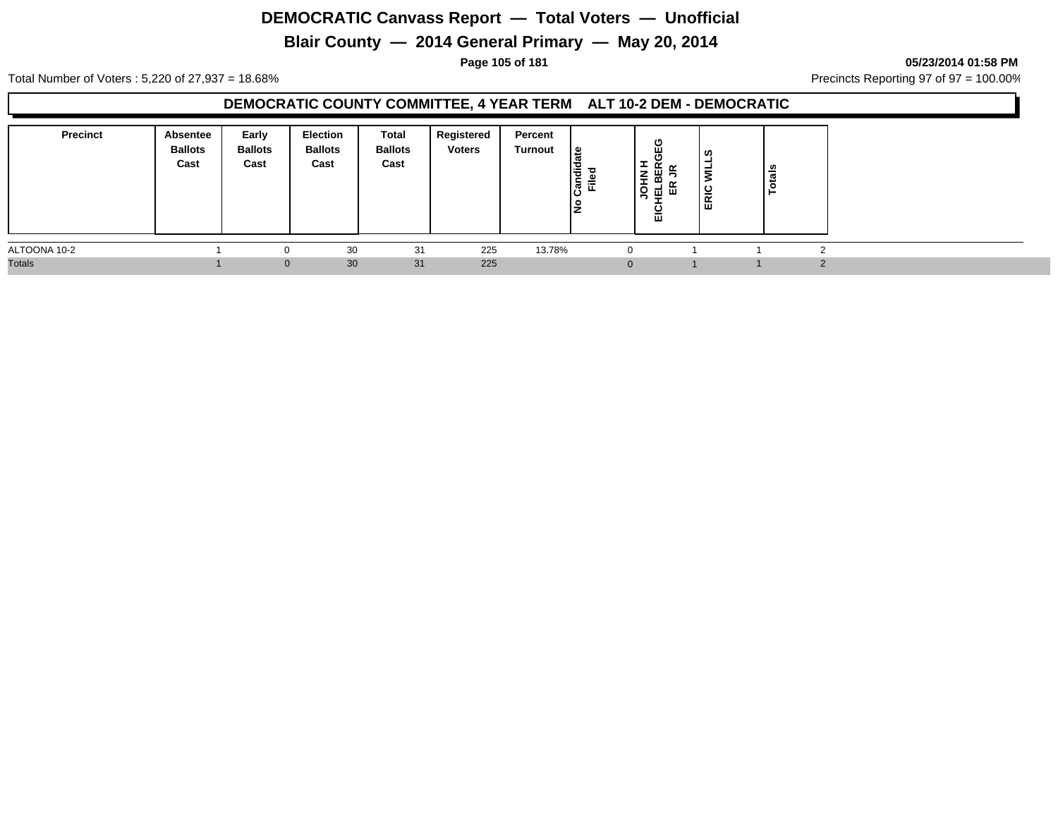## **Blair County — 2014 General Primary — May 20, 2014**

#### **Page 105 of 181 05/23/2014 01:58 PM**

Total Number of Voters : 5,220 of 27,937 = 18.68% Precincts Reporting 97 of 97 = 100.00%

#### **DEMOCRATIC COUNTY COMMITTEE, 4 YEAR TERM ALT 10-2 DEM - DEMOCRATIC**

| <b>Precinct</b> | <b>Absentee</b><br><b>Ballots</b><br>Cast | Early<br><b>Ballots</b><br>Cast | <b>Election</b><br><b>Ballots</b><br>Cast | Total<br><b>Ballots</b><br>Cast | Registered<br><b>Voters</b> | Percent<br>Turnout | ீ<br>Candie<br>Filed | ပ<br>Ŵ<br>O<br>ᆂ<br><b>NHOL</b><br>ш<br>m<br>할때<br>$\overline{5}$ | ທ<br>=<br>ERIC | ីត<br>- 11 |  |
|-----------------|-------------------------------------------|---------------------------------|-------------------------------------------|---------------------------------|-----------------------------|--------------------|----------------------|-------------------------------------------------------------------|----------------|------------|--|
| ALTOONA 10-2    |                                           | 0                               | 30                                        | 31                              | 225                         | 13.78%             |                      |                                                                   |                |            |  |
| <b>Totals</b>   |                                           | $\Omega$                        | 30                                        | 31                              | 225                         |                    |                      |                                                                   |                |            |  |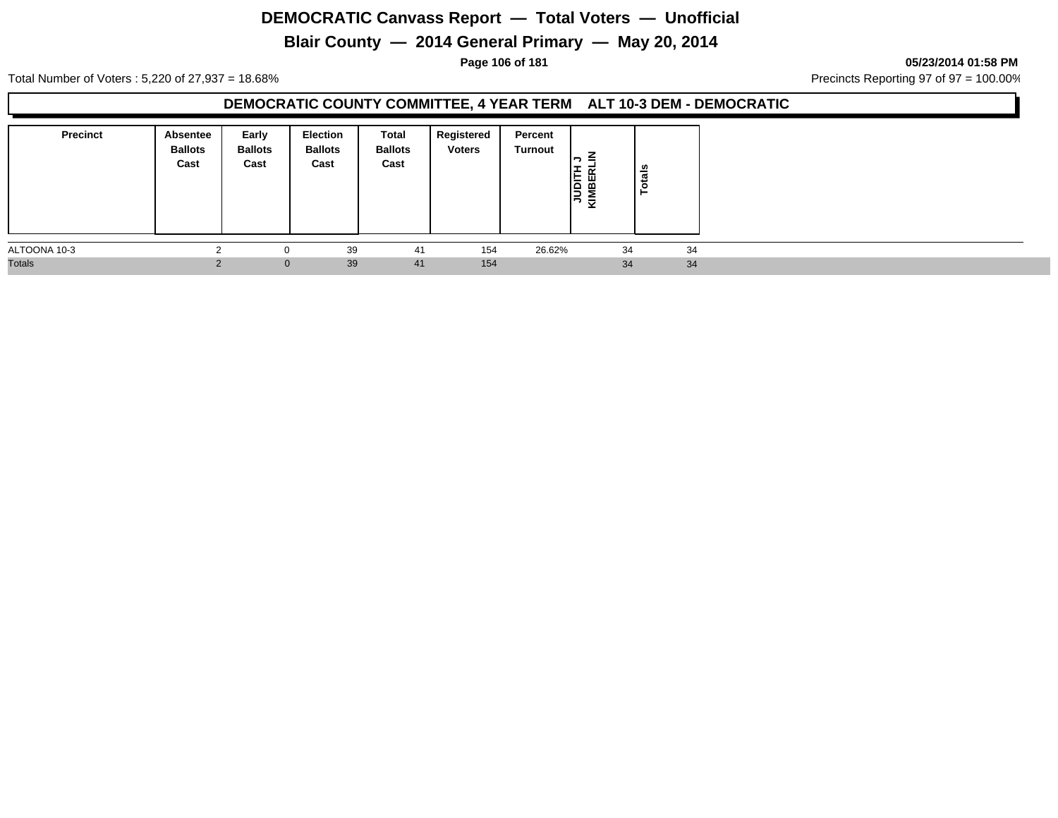## **Blair County — 2014 General Primary — May 20, 2014**

**Page 106 of 181 05/23/2014 01:58 PM**

Total Number of Voters : 5,220 of 27,937 = 18.68% Precincts Reporting 97 of 97 = 100.00%

#### **DEMOCRATIC COUNTY COMMITTEE, 4 YEAR TERM ALT 10-3 DEM - DEMOCRATIC**

| <b>Precinct</b> | Absentee<br><b>Ballots</b><br>Cast | Early<br><b>Ballots</b><br>Cast | <b>Election</b><br><b>Ballots</b><br>Cast | Total<br><b>Ballots</b><br>Cast | Registered<br><b>Voters</b> | Percent<br>Turnout | <b>JUDITH</b><br>KIMBERI | otals |    |
|-----------------|------------------------------------|---------------------------------|-------------------------------------------|---------------------------------|-----------------------------|--------------------|--------------------------|-------|----|
| ALTOONA 10-3    | $\sim$                             |                                 | 39                                        | 41                              | 154                         | 26.62%             | 34                       |       | 34 |
| <b>Totals</b>   |                                    | $\mathbf{0}$                    | 39                                        | 41                              | 154                         |                    | 34                       |       | 34 |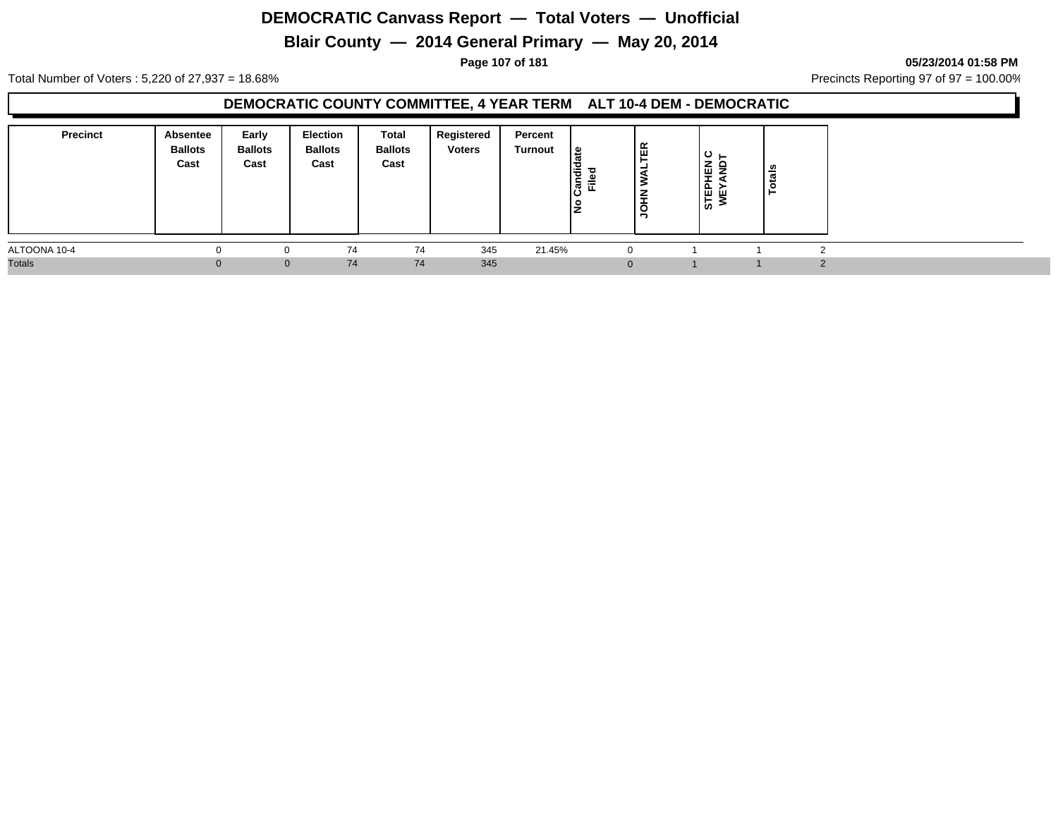## **Blair County — 2014 General Primary — May 20, 2014**

**Page 107 of 181 05/23/2014 01:58 PM**

Total Number of Voters : 5,220 of 27,937 = 18.68% Precincts Reporting 97 of 97 = 100.00%

#### **DEMOCRATIC COUNTY COMMITTEE, 4 YEAR TERM ALT 10-4 DEM - DEMOCRATIC**

| <b>Precinct</b> | Absentee<br><b>Ballots</b><br>Cast | Early<br><b>Ballots</b><br>Cast | Election<br><b>Ballots</b><br>Cast | Total<br><b>Ballots</b><br>Cast | Registered<br><b>Voters</b> | Percent<br>Turnout | ' ഇ<br>ত<br>-<br>통 로 | Æ<br>ш<br>ັ<br>∍ | ് ∟<br><b>STEPHEN<br/>WEYAND</b> | <b>S</b><br>ढ<br>ت |  |
|-----------------|------------------------------------|---------------------------------|------------------------------------|---------------------------------|-----------------------------|--------------------|----------------------|------------------|----------------------------------|--------------------|--|
| ALTOONA 10-4    |                                    | 0                               | 74                                 | 74                              | 345                         | 21.45%             |                      |                  |                                  |                    |  |
| <b>Totals</b>   | $\Omega$                           | $\mathbf{0}$                    | 74                                 | 74                              | 345                         |                    |                      |                  |                                  |                    |  |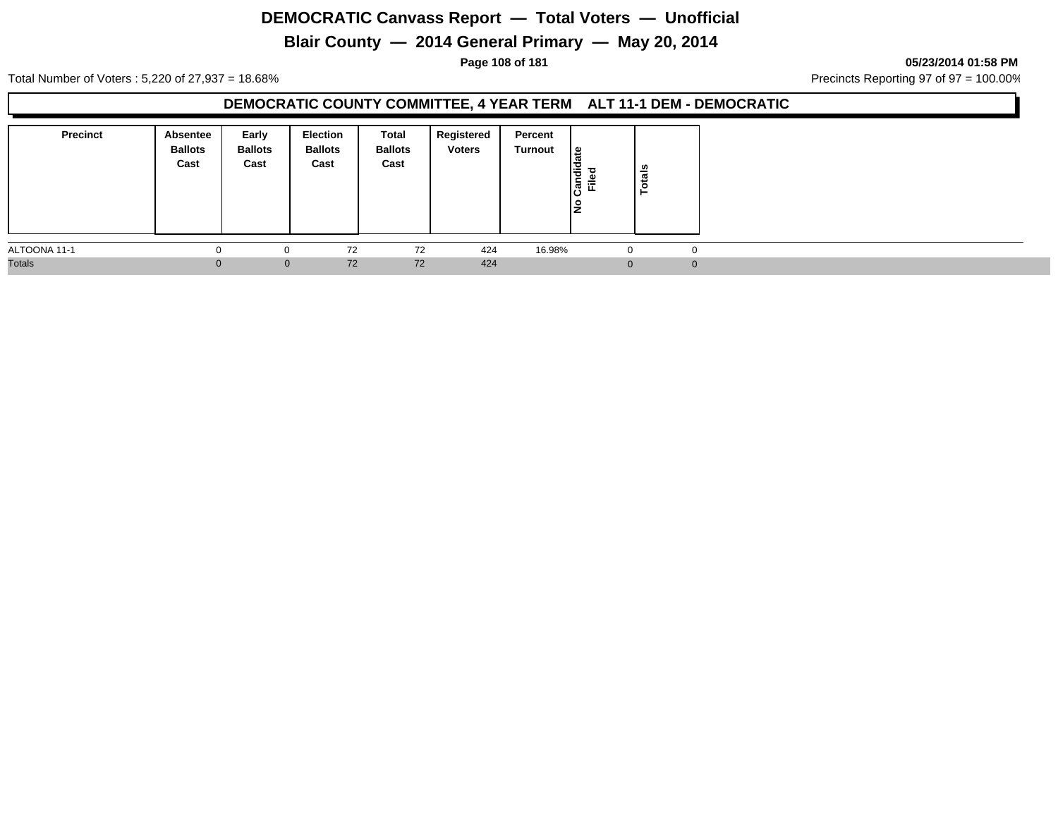## **Blair County — 2014 General Primary — May 20, 2014**

**Page 108 of 181 05/23/2014 01:58 PM**

Total Number of Voters : 5,220 of 27,937 = 18.68% Precincts Reporting 97 of 97 = 100.00%

#### **DEMOCRATIC COUNTY COMMITTEE, 4 YEAR TERM ALT 11-1 DEM - DEMOCRATIC**

| <b>Precinct</b> | Absentee<br><b>Ballots</b><br>Cast | Early<br><b>Ballots</b><br>Cast | <b>Election</b><br><b>Ballots</b><br>Cast | Total<br><b>Ballots</b><br>Cast | Registered<br><b>Voters</b> | Percent<br>Turnout | ا ≅<br>Candid<br>Filed<br>١£ | otals |          |
|-----------------|------------------------------------|---------------------------------|-------------------------------------------|---------------------------------|-----------------------------|--------------------|------------------------------|-------|----------|
| ALTOONA 11-1    |                                    |                                 | 72                                        | 72                              | 424                         | 16.98%             |                              |       | 0        |
| <b>Totals</b>   | $\Omega$                           | $\mathbf{0}$                    | 72                                        | 72                              | 424                         |                    | $\Omega$                     |       | $\Omega$ |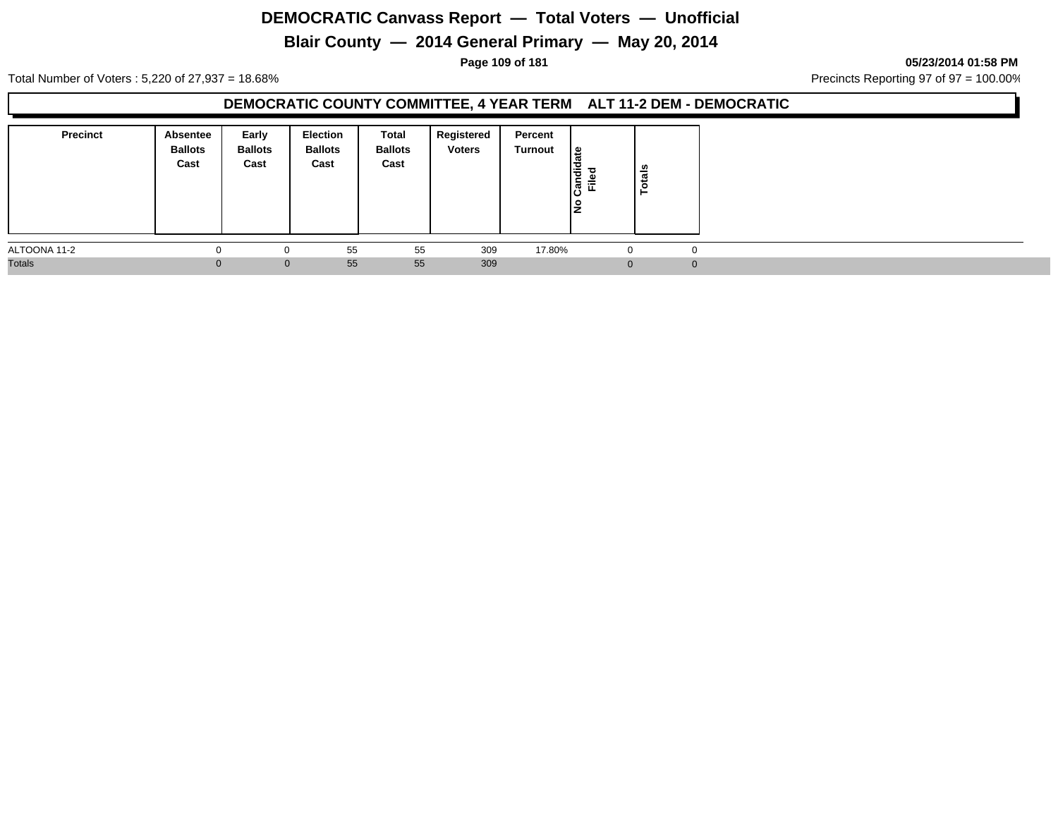# **Blair County — 2014 General Primary — May 20, 2014**

**Page 109 of 181 05/23/2014 01:58 PM**

Total Number of Voters : 5,220 of 27,937 = 18.68% Precincts Reporting 97 of 97 = 100.00%

### **DEMOCRATIC COUNTY COMMITTEE, 4 YEAR TERM ALT 11-2 DEM - DEMOCRATIC**

| <b>Precinct</b> | Absentee<br><b>Ballots</b><br>Cast | Early<br><b>Ballots</b><br>Cast | Election<br><b>Ballots</b><br>Cast | <b>Total</b><br><b>Ballots</b><br>Cast | Registered<br><b>Voters</b> | Percent<br>Turnout | <sub>සි</sub><br>Candid<br>Filed | ន់<br>ت<br>$\circ$<br>► |  |
|-----------------|------------------------------------|---------------------------------|------------------------------------|----------------------------------------|-----------------------------|--------------------|----------------------------------|-------------------------|--|
| ALTOONA 11-2    |                                    | $\Omega$                        | 55                                 | 55                                     | 309                         | 17.80%             | -0                               |                         |  |
| <b>Totals</b>   | $\Omega$                           | $\mathbf{0}$                    | 55                                 | 55                                     | 309                         |                    |                                  |                         |  |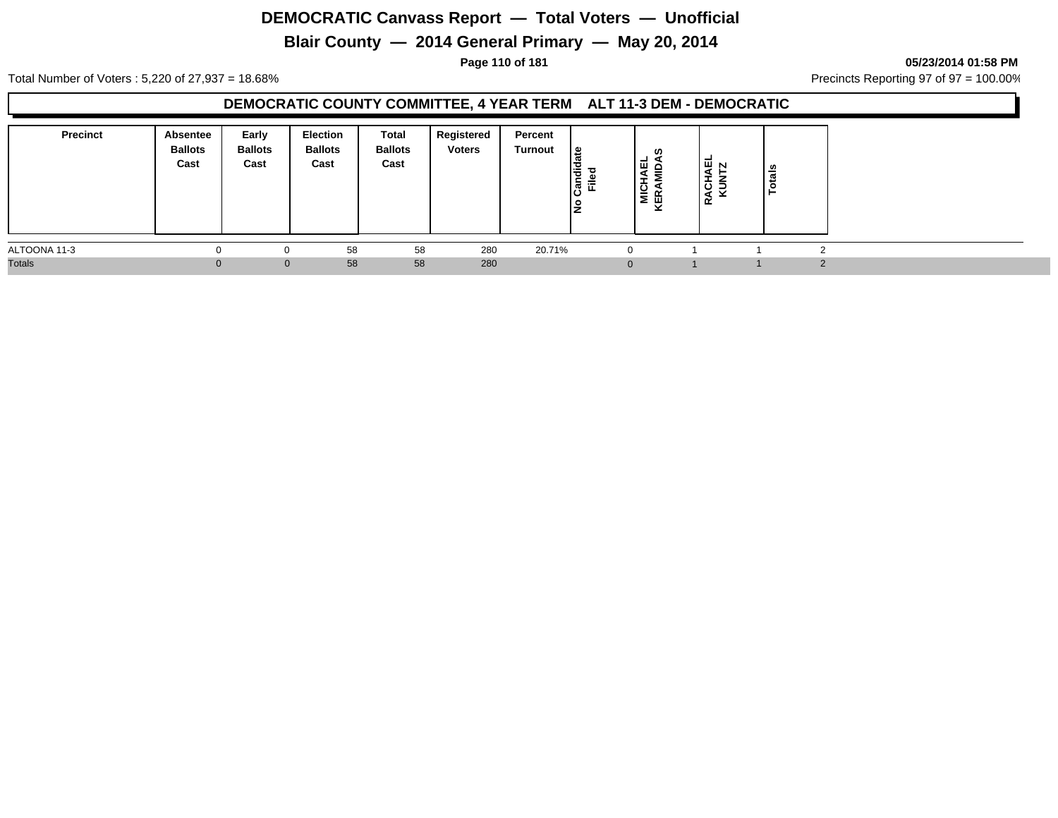# **Blair County — 2014 General Primary — May 20, 2014**

**Page 110 of 181 05/23/2014 01:58 PM**

Total Number of Voters : 5,220 of 27,937 = 18.68% Precincts Reporting 97 of 97 = 100.00%

### **DEMOCRATIC COUNTY COMMITTEE, 4 YEAR TERM ALT 11-3 DEM - DEMOCRATIC**

| <b>Precinct</b> | Absentee<br><b>Ballots</b><br>Cast | Early<br><b>Ballots</b><br>Cast | Election<br><b>Ballots</b><br>Cast | Total<br><b>Ballots</b><br>Cast | Registered<br><b>Voters</b> | Percent<br>Turnout | ¦≌<br>Candi<br>흕 | ທ<br>보호<br>$\equiv$<br><b>MICHA</b><br>KERAMI | אֲםֲ<br>ပ<br>◀<br>≃ | ls<br>als<br>-44 |  |  |
|-----------------|------------------------------------|---------------------------------|------------------------------------|---------------------------------|-----------------------------|--------------------|------------------|-----------------------------------------------|---------------------|------------------|--|--|
| ALTOONA 11-3    |                                    |                                 | 58                                 | 58                              | 280                         | 20.71%             |                  | $\Omega$                                      |                     |                  |  |  |
| <b>Totals</b>   |                                    | $\Omega$                        | 58                                 | 58                              | 280                         |                    |                  | $\Omega$                                      |                     |                  |  |  |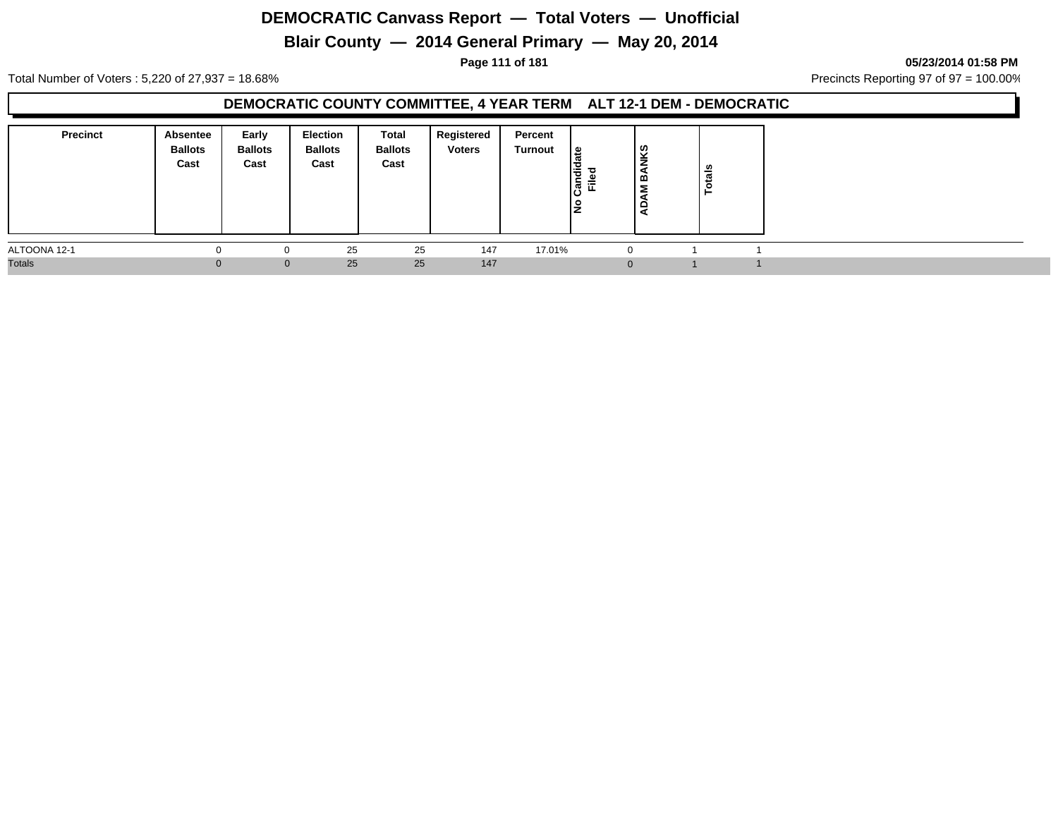# **Blair County — 2014 General Primary — May 20, 2014**

**Page 111 of 181 05/23/2014 01:58 PM**

Total Number of Voters : 5,220 of 27,937 = 18.68% Precincts Reporting 97 of 97 = 100.00%

### **DEMOCRATIC COUNTY COMMITTEE, 4 YEAR TERM ALT 12-1 DEM - DEMOCRATIC**

| <b>Precinct</b> | Absentee<br><b>Ballots</b><br>Cast | Early<br><b>Ballots</b><br>Cast | Election<br><b>Ballots</b><br>Cast | Total<br><b>Ballots</b><br>Cast | Registered<br><b>Voters</b> | Percent<br>Turnout | ا ≅<br>Candid<br>Filed<br>IŻ | <b>IKS</b><br>മ<br>Σ<br>$\Box$ | otals |  |
|-----------------|------------------------------------|---------------------------------|------------------------------------|---------------------------------|-----------------------------|--------------------|------------------------------|--------------------------------|-------|--|
| ALTOONA 12-1    |                                    |                                 | 25                                 | 25                              | 147                         | 17.01%             |                              | $\Omega$                       |       |  |
| <b>Totals</b>   |                                    | $\Omega$                        | 25                                 | 25                              | 147                         |                    |                              | $\Omega$                       |       |  |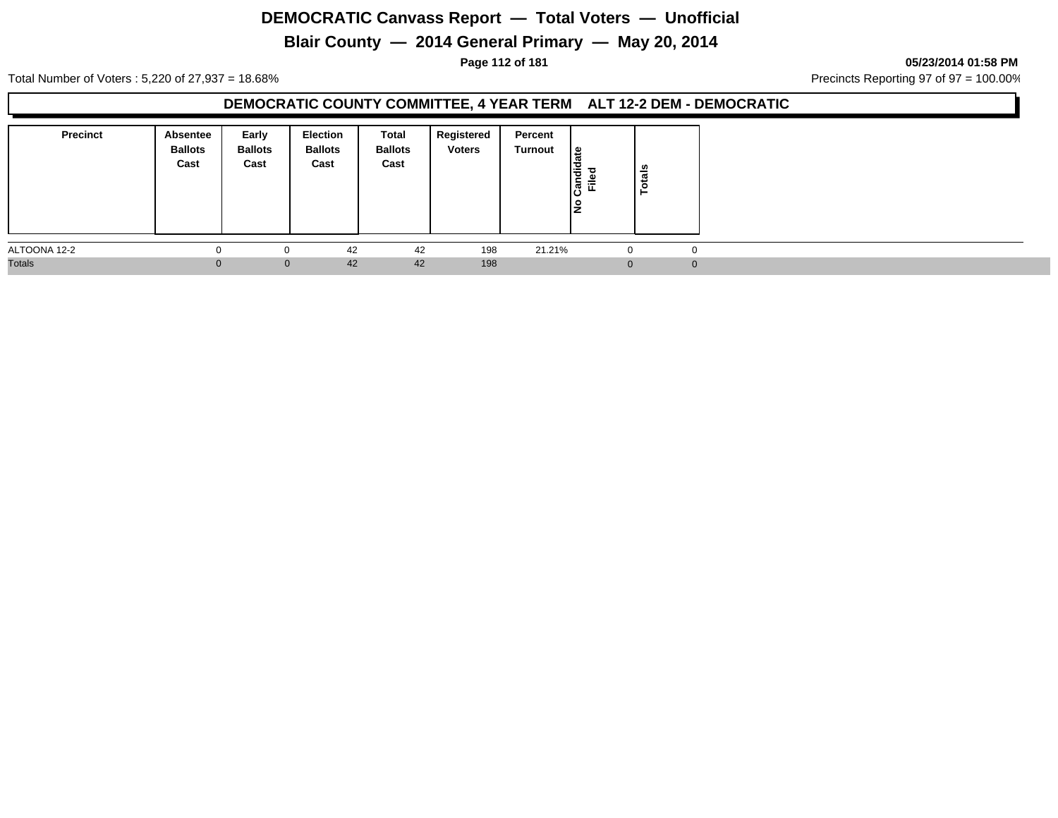# **Blair County — 2014 General Primary — May 20, 2014**

#### **Page 112 of 181 05/23/2014 01:58 PM**

Total Number of Voters : 5,220 of 27,937 = 18.68% Precincts Reporting 97 of 97 = 100.00%

### **DEMOCRATIC COUNTY COMMITTEE, 4 YEAR TERM ALT 12-2 DEM - DEMOCRATIC**

| <b>Precinct</b> | Absentee<br><b>Ballots</b><br>Cast | Early<br><b>Ballots</b><br>Cast | Election<br><b>Ballots</b><br>Cast | Total<br><b>Ballots</b><br>Cast | Registered<br><b>Voters</b> | Percent<br>Turnout | $\frac{1}{a}$<br>Candid<br>Filed | otals<br>⊢ |  |
|-----------------|------------------------------------|---------------------------------|------------------------------------|---------------------------------|-----------------------------|--------------------|----------------------------------|------------|--|
| ALTOONA 12-2    |                                    | $\Omega$                        | 42                                 | 42                              | 198                         | 21.21%             | $\mathbf{0}$                     |            |  |
| <b>Totals</b>   | $\Omega$                           | $\mathbf{0}$                    | 42                                 | 42                              | 198                         |                    |                                  |            |  |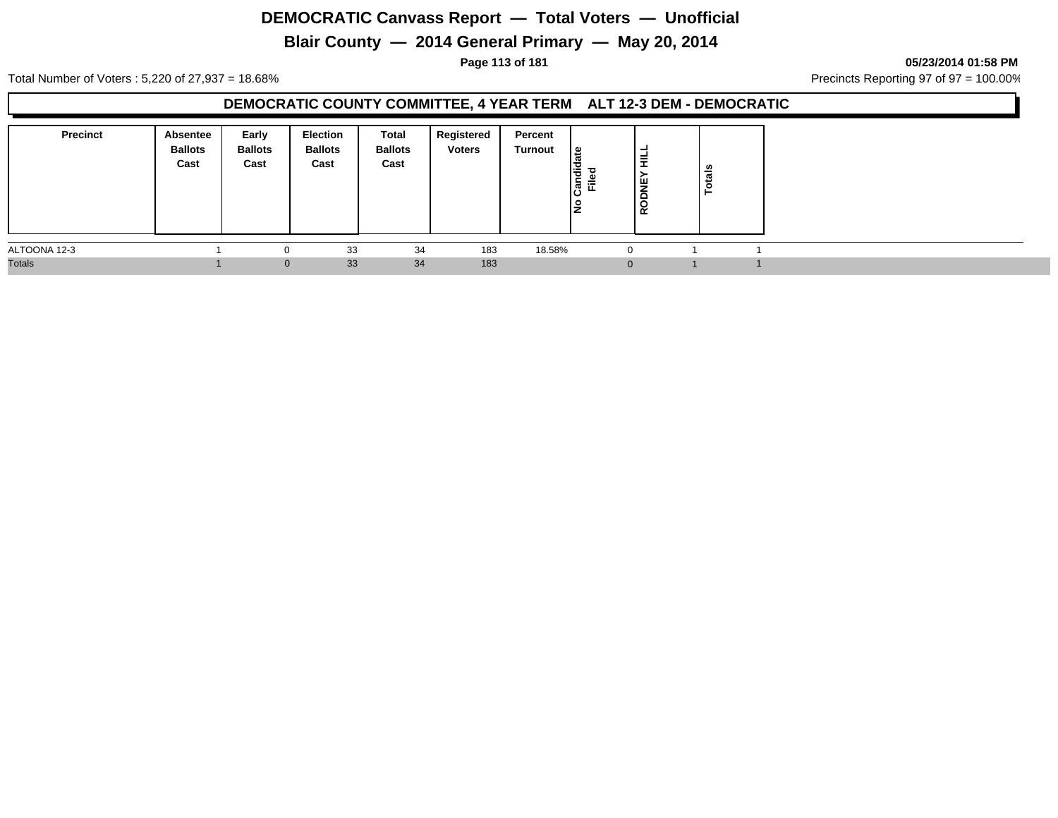# **Blair County — 2014 General Primary — May 20, 2014**

**Page 113 of 181 05/23/2014 01:58 PM**

Total Number of Voters : 5,220 of 27,937 = 18.68% Precincts Reporting 97 of 97 = 100.00%

### **DEMOCRATIC COUNTY COMMITTEE, 4 YEAR TERM ALT 12-3 DEM - DEMOCRATIC**

| <b>Precinct</b> | Absentee<br><b>Ballots</b><br>Cast | Early<br><b>Ballots</b><br>Cast | Election<br><b>Ballots</b><br>Cast | Total<br><b>Ballots</b><br>Cast | Registered<br><b>Voters</b> | Percent<br>Turnout | ا ≅<br>Candi<br>Filed<br>o<br>IŻ | ⊣<br>≢<br><b>.</b><br>١¥<br>∼<br>RODI | otals |  |
|-----------------|------------------------------------|---------------------------------|------------------------------------|---------------------------------|-----------------------------|--------------------|----------------------------------|---------------------------------------|-------|--|
| ALTOONA 12-3    |                                    |                                 | 33                                 | 34                              | 183                         | 18.58%             |                                  | 0                                     |       |  |
| <b>Totals</b>   |                                    | $\Omega$                        | 33                                 | 34                              | 183                         |                    |                                  | $\Omega$                              |       |  |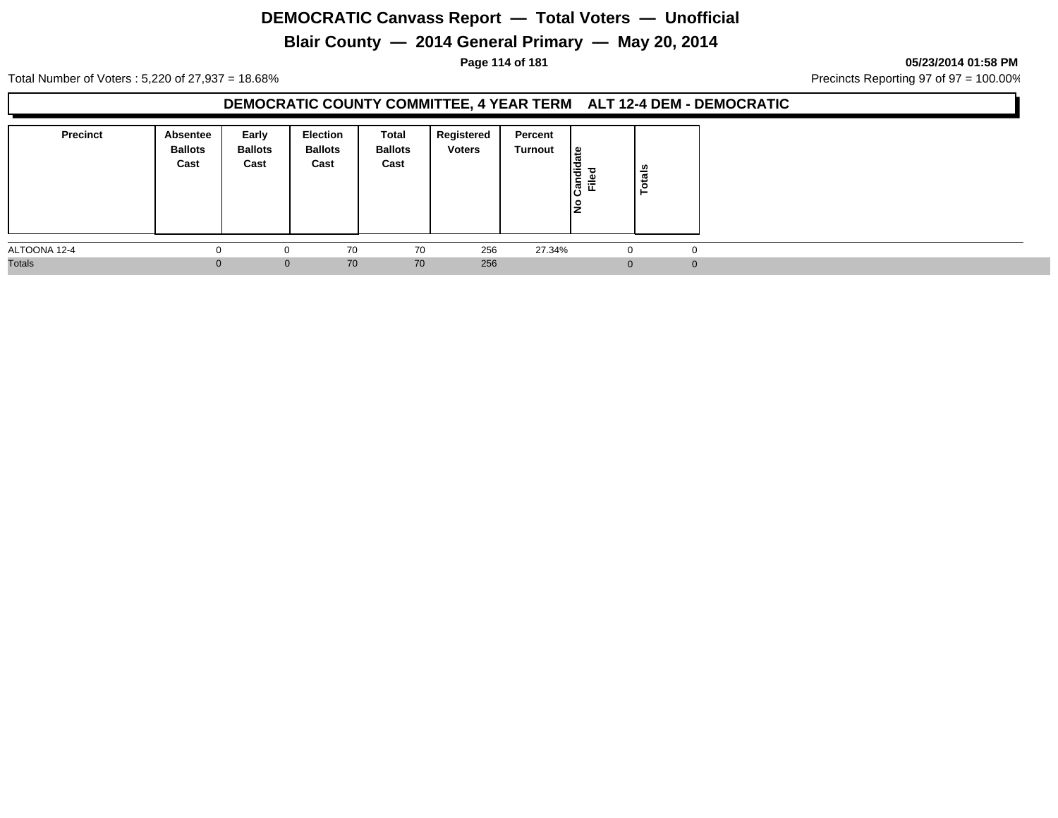# **Blair County — 2014 General Primary — May 20, 2014**

**Page 114 of 181 05/23/2014 01:58 PM**

Total Number of Voters : 5,220 of 27,937 = 18.68% Precincts Reporting 97 of 97 = 100.00%

### **DEMOCRATIC COUNTY COMMITTEE, 4 YEAR TERM ALT 12-4 DEM - DEMOCRATIC**

| <b>Precinct</b> | <b>Absentee</b><br><b>Ballots</b><br>Cast | Early<br><b>Ballots</b><br>Cast | <b>Election</b><br><b>Ballots</b><br>Cast | Total<br><b>Ballots</b><br>Cast | Registered<br><b>Voters</b> | Percent<br>Turnout | l≗<br>ത<br>Candid<br>ᇰ<br>$\frac{e}{L}$<br>١£ | otals |             |  |  |  |
|-----------------|-------------------------------------------|---------------------------------|-------------------------------------------|---------------------------------|-----------------------------|--------------------|-----------------------------------------------|-------|-------------|--|--|--|
| ALTOONA 12-4    |                                           |                                 | 70                                        | 70                              | 256                         | 27.34%             | -U                                            |       | $\mathbf 0$ |  |  |  |
| <b>Totals</b>   |                                           | $\mathbf{0}$                    | 70                                        | 70                              | 256                         |                    | $\Omega$                                      |       | $\Omega$    |  |  |  |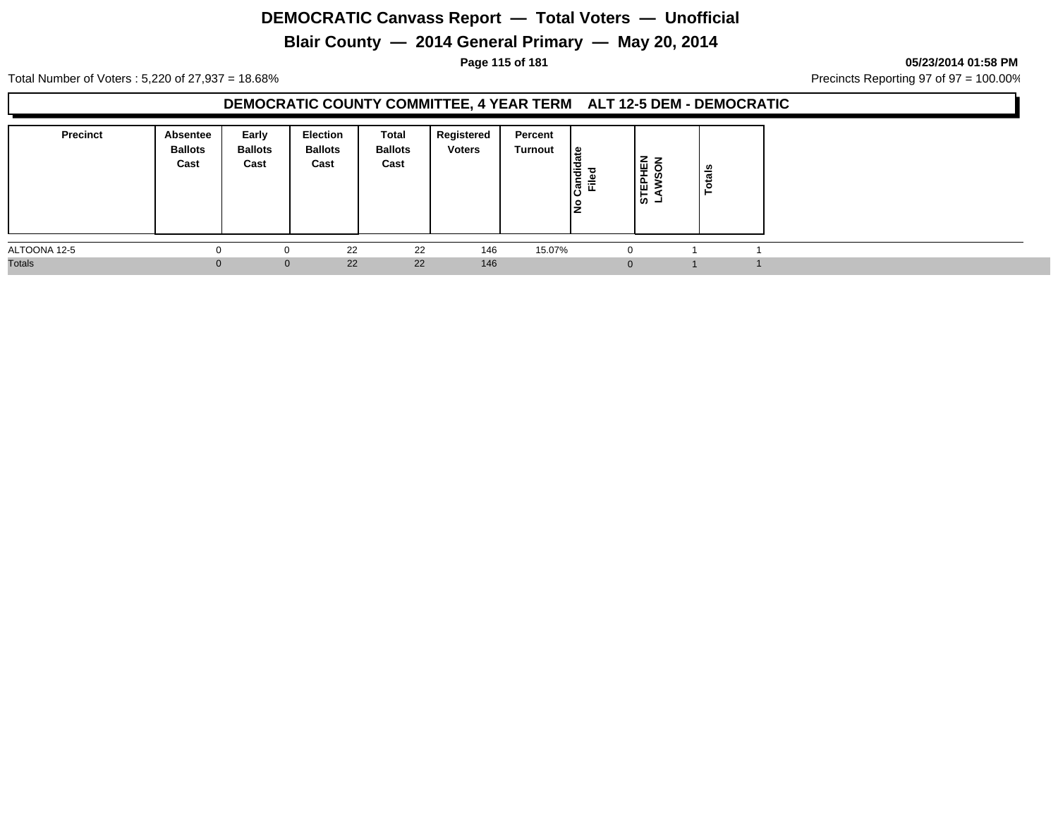# **Blair County — 2014 General Primary — May 20, 2014**

**Page 115 of 181 05/23/2014 01:58 PM**

Total Number of Voters : 5,220 of 27,937 = 18.68% Precincts Reporting 97 of 97 = 100.00%

### **DEMOCRATIC COUNTY COMMITTEE, 4 YEAR TERM ALT 12-5 DEM - DEMOCRATIC**

| <b>Precinct</b> | Absentee<br><b>Ballots</b><br>Cast | Early<br><b>Ballots</b><br>Cast | Election<br><b>Ballots</b><br>Cast | Total<br><b>Ballots</b><br>Cast | Registered<br><b>Voters</b> | Percent<br>Turnout | ا ≅<br>ъ<br>Candi<br>Filed<br>o<br>Iž | STEPHEN<br>LAWSON | otals |  |
|-----------------|------------------------------------|---------------------------------|------------------------------------|---------------------------------|-----------------------------|--------------------|---------------------------------------|-------------------|-------|--|
| ALTOONA 12-5    |                                    |                                 | 22                                 | 22                              | 146                         | 15.07%             |                                       | 0                 |       |  |
| <b>Totals</b>   |                                    | $\Omega$                        | 22                                 | 22                              | 146                         |                    |                                       | $\Omega$          |       |  |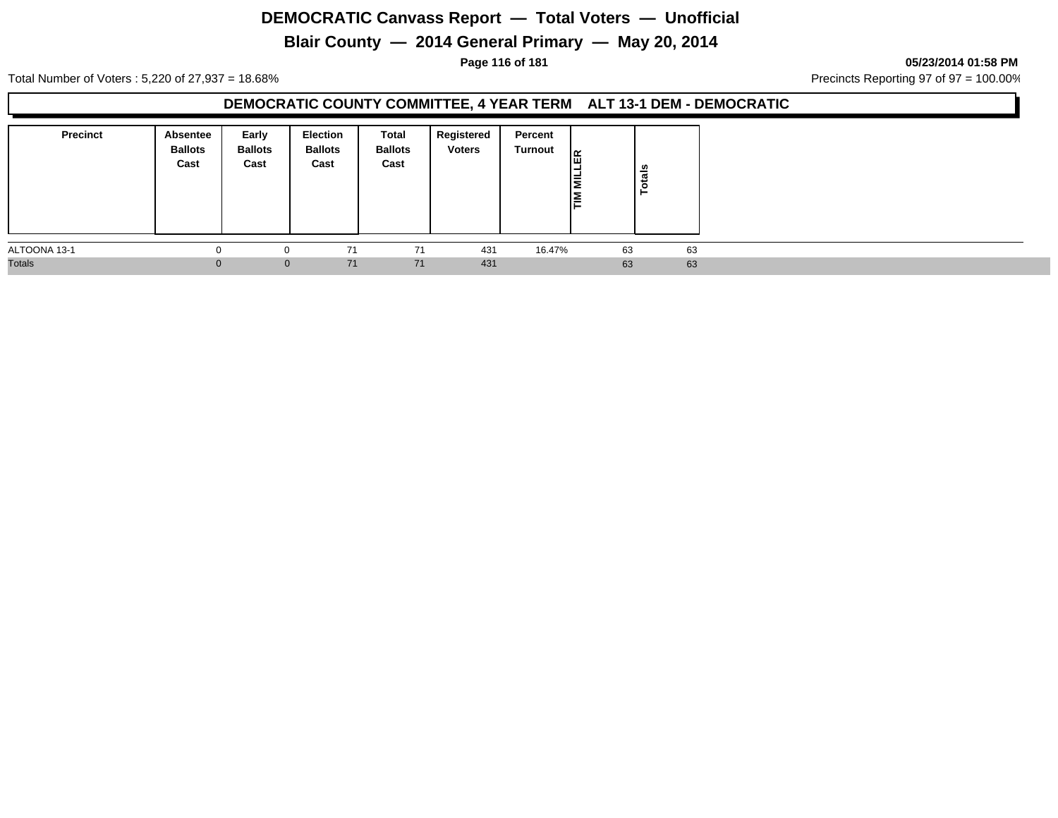# **Blair County — 2014 General Primary — May 20, 2014**

#### **Page 116 of 181 05/23/2014 01:58 PM**

Total Number of Voters : 5,220 of 27,937 = 18.68% Precincts Reporting 97 of 97 = 100.00%

### **DEMOCRATIC COUNTY COMMITTEE, 4 YEAR TERM ALT 13-1 DEM - DEMOCRATIC**

| <b>Precinct</b> | Absentee<br><b>Ballots</b><br>Cast | Early<br><b>Ballots</b><br>Cast | <b>Election</b><br><b>Ballots</b><br>Cast | <b>Total</b><br><b>Ballots</b><br>Cast | Registered<br><b>Voters</b> | Percent<br>Turnout | 高<br>I≣ | Totals |  |
|-----------------|------------------------------------|---------------------------------|-------------------------------------------|----------------------------------------|-----------------------------|--------------------|---------|--------|--|
| ALTOONA 13-1    |                                    | 0                               | 71                                        | 71                                     | 431                         | 16.47%             | 63      | 63     |  |
| <b>Totals</b>   | 0                                  | $\mathbf 0$                     | 71                                        | 71                                     | 431                         |                    | 63      | 63     |  |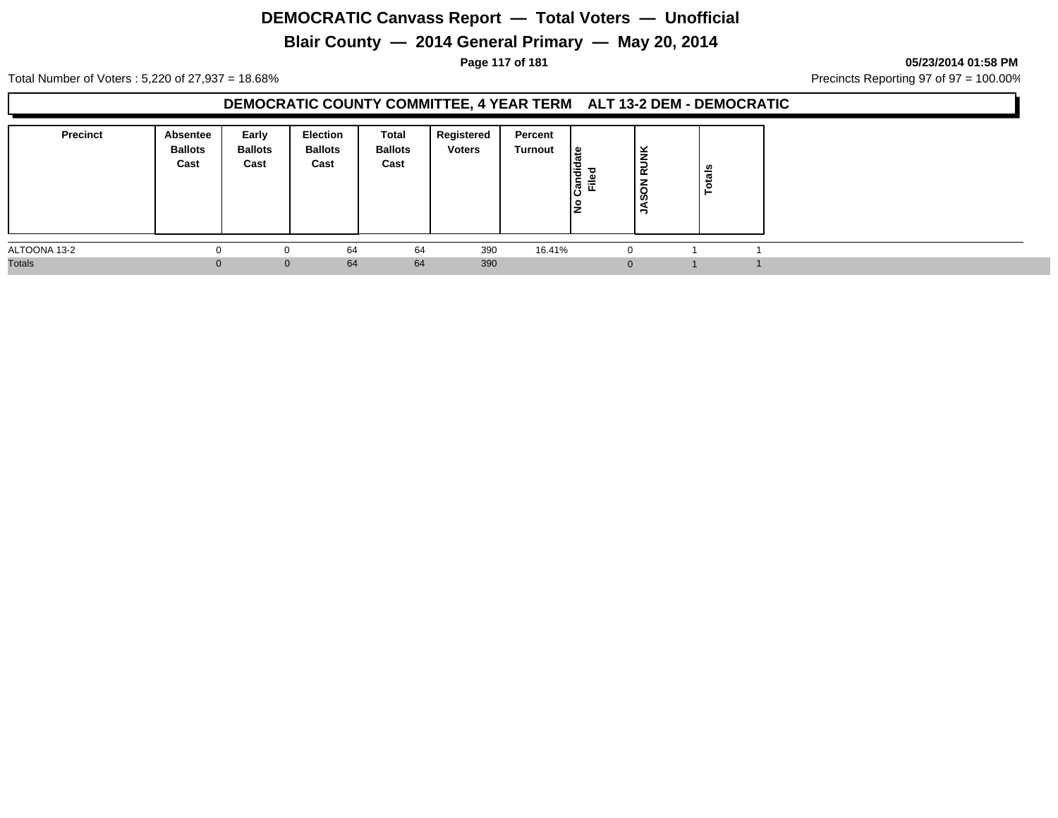# **Blair County — 2014 General Primary — May 20, 2014**

**Page 117 of 181 05/23/2014 01:58 PM**

Total Number of Voters : 5,220 of 27,937 = 18.68% Precincts Reporting 97 of 97 = 100.00%

### **DEMOCRATIC COUNTY COMMITTEE, 4 YEAR TERM ALT 13-2 DEM - DEMOCRATIC**

| <b>Precinct</b> | Absentee<br><b>Ballots</b><br>Cast | Early<br><b>Ballots</b><br>Cast | Election<br><b>Ballots</b><br>Cast | Total<br><b>Ballots</b><br>Cast | Registered<br><b>Voters</b> | Percent<br>Turnout | ١s<br>Candi<br>Filed<br>IŻ | $\check{\mathbf{z}}$<br><b>RU</b><br>-<br>∸<br>$\circ$<br><b>ဟ</b><br>∍ | otals |  |
|-----------------|------------------------------------|---------------------------------|------------------------------------|---------------------------------|-----------------------------|--------------------|----------------------------|-------------------------------------------------------------------------|-------|--|
| ALTOONA 13-2    |                                    |                                 | 64                                 | 64                              | 390                         | 16.41%             | 0                          |                                                                         |       |  |
| <b>Totals</b>   |                                    | $\Omega$                        | 64                                 | 64                              | 390                         |                    | $\Omega$                   |                                                                         |       |  |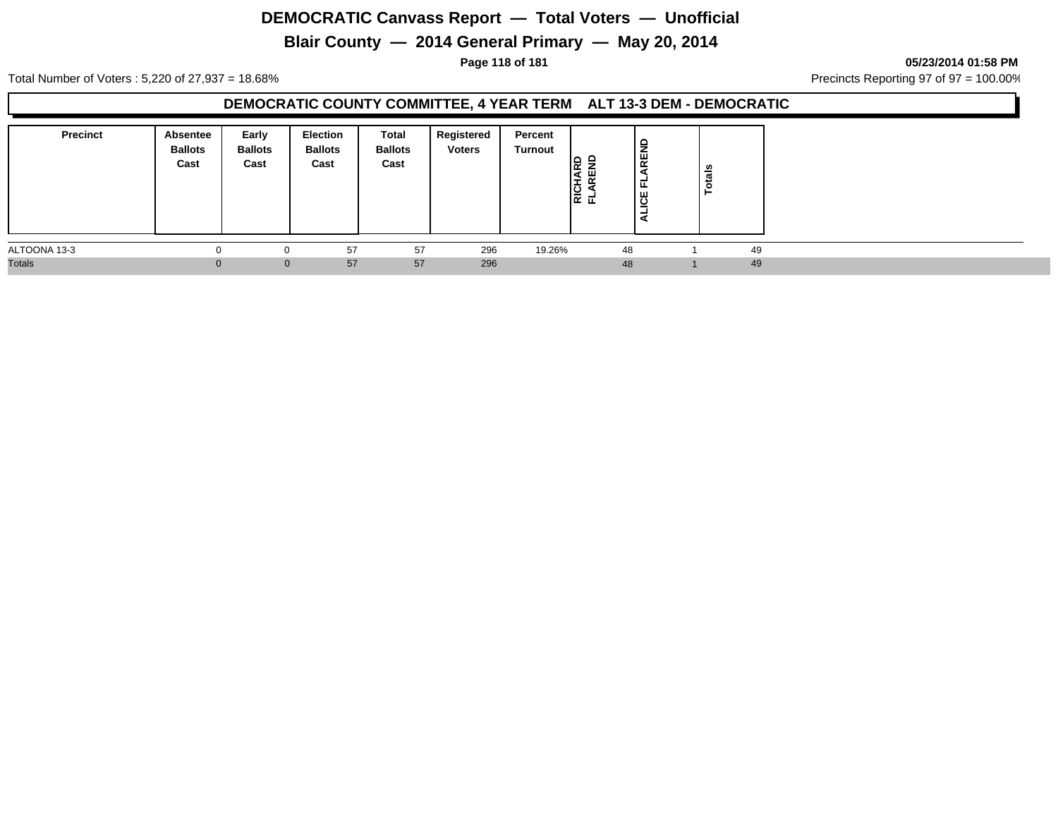# **Blair County — 2014 General Primary — May 20, 2014**

**Page 118 of 181 05/23/2014 01:58 PM**

Total Number of Voters : 5,220 of 27,937 = 18.68% Precincts Reporting 97 of 97 = 100.00%

### **DEMOCRATIC COUNTY COMMITTEE, 4 YEAR TERM ALT 13-3 DEM - DEMOCRATIC**

| <b>Precinct</b> | Absentee<br><b>Ballots</b><br>Cast | Early<br><b>Ballots</b><br>Cast | <b>Election</b><br><b>Ballots</b><br>Cast | Total<br><b>Ballots</b><br>Cast | Registered<br><b>Voters</b> | Percent<br>Turnout | c<br>$\alpha$<br>ய<br>ዼ፟ | ₽<br>문<br>∸<br>෪<br>- | Totals |  |
|-----------------|------------------------------------|---------------------------------|-------------------------------------------|---------------------------------|-----------------------------|--------------------|--------------------------|-----------------------|--------|--|
| ALTOONA 13-3    |                                    |                                 | 57                                        | 57                              | 296                         | 19.26%             | 48                       |                       | 49     |  |
| <b>Totals</b>   | $\Omega$                           | $\Omega$                        | 57                                        | 57                              | 296                         |                    | 48                       |                       | 49     |  |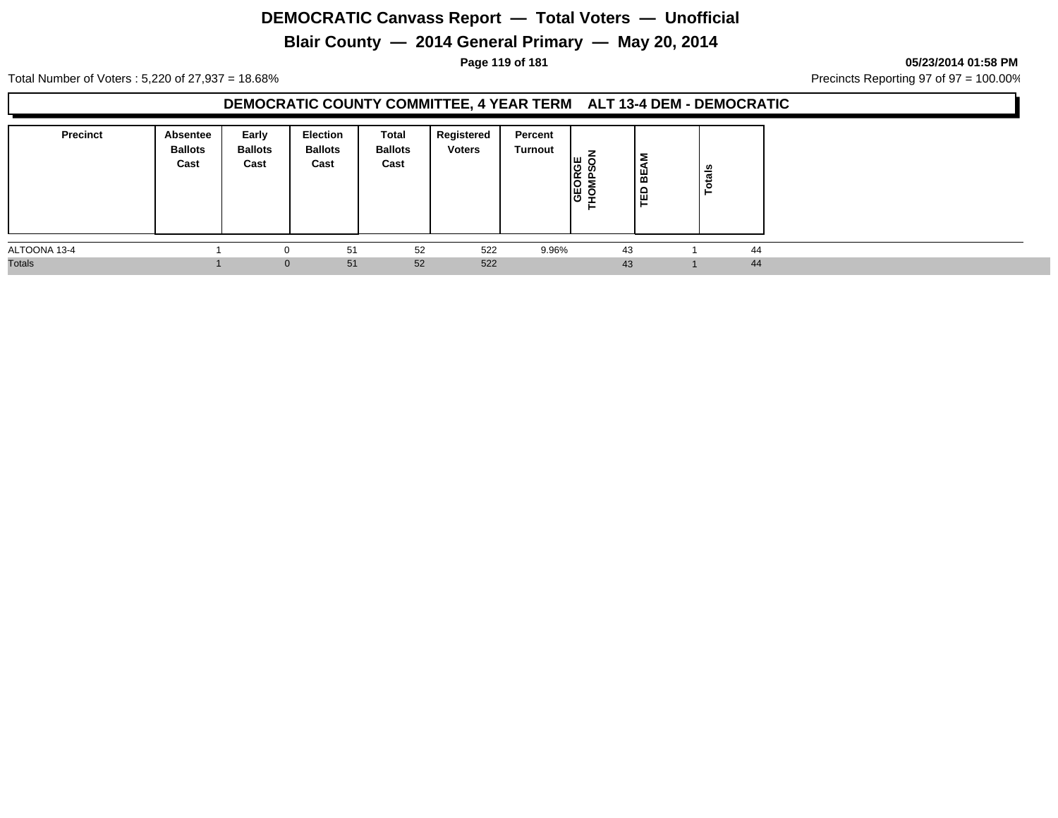# **Blair County — 2014 General Primary — May 20, 2014**

**Page 119 of 181 05/23/2014 01:58 PM**

Total Number of Voters : 5,220 of 27,937 = 18.68% Precincts Reporting 97 of 97 = 100.00%

### **DEMOCRATIC COUNTY COMMITTEE, 4 YEAR TERM ALT 13-4 DEM - DEMOCRATIC**

| <b>Precinct</b> | Absentee<br><b>Ballots</b><br>Cast | Early<br><b>Ballots</b><br>Cast | Election<br><b>Ballots</b><br>Cast | Total<br><b>Ballots</b><br>Cast | Registered<br><b>Voters</b> | Percent<br>Turnout | -<br>ıш<br><b>Salv</b><br>행호 | ξ<br>빎<br>ED | otals |    |
|-----------------|------------------------------------|---------------------------------|------------------------------------|---------------------------------|-----------------------------|--------------------|------------------------------|--------------|-------|----|
| ALTOONA 13-4    |                                    |                                 | 51                                 | 52                              | 522                         | 9.96%              |                              | 43           |       | 44 |
| <b>Totals</b>   |                                    | $\Omega$                        | 51                                 | 52                              | 522                         |                    |                              | 43           |       | 44 |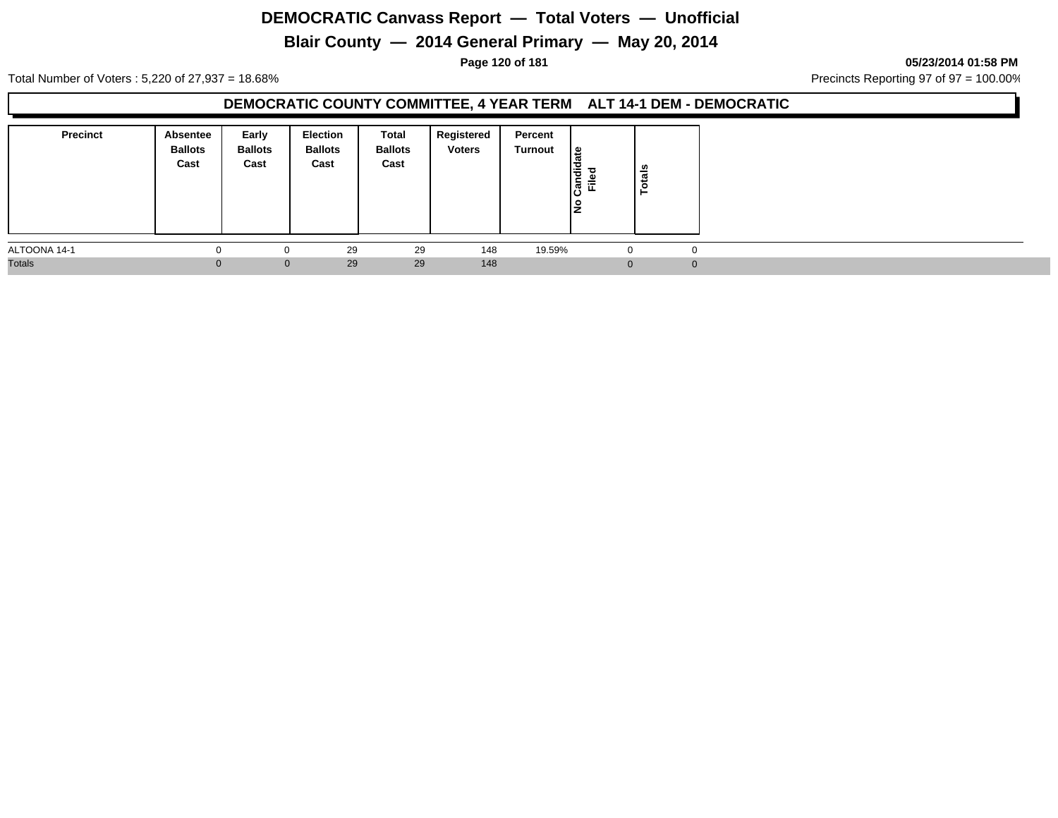# **Blair County — 2014 General Primary — May 20, 2014**

**Page 120 of 181 05/23/2014 01:58 PM**

Total Number of Voters : 5,220 of 27,937 = 18.68% Precincts Reporting 97 of 97 = 100.00%

### **DEMOCRATIC COUNTY COMMITTEE, 4 YEAR TERM ALT 14-1 DEM - DEMOCRATIC**

| <b>Precinct</b> | Absentee<br><b>Ballots</b><br>Cast | Early<br><b>Ballots</b><br>Cast | <b>Election</b><br><b>Ballots</b><br>Cast | Total<br><b>Ballots</b><br>Cast | Registered<br><b>Voters</b> | Percent<br>Turnout | l≗<br>ω<br>Candid<br><b>Filed</b><br>١ş | <b>otals</b><br>− |  |
|-----------------|------------------------------------|---------------------------------|-------------------------------------------|---------------------------------|-----------------------------|--------------------|-----------------------------------------|-------------------|--|
| ALTOONA 14-1    |                                    |                                 | 29                                        | 29                              | 148                         | 19.59%             | -U                                      | $\mathbf 0$       |  |
| <b>Totals</b>   |                                    | $\mathbf{0}$                    | 29                                        | 29                              | 148                         |                    | $\Omega$                                | $\Omega$          |  |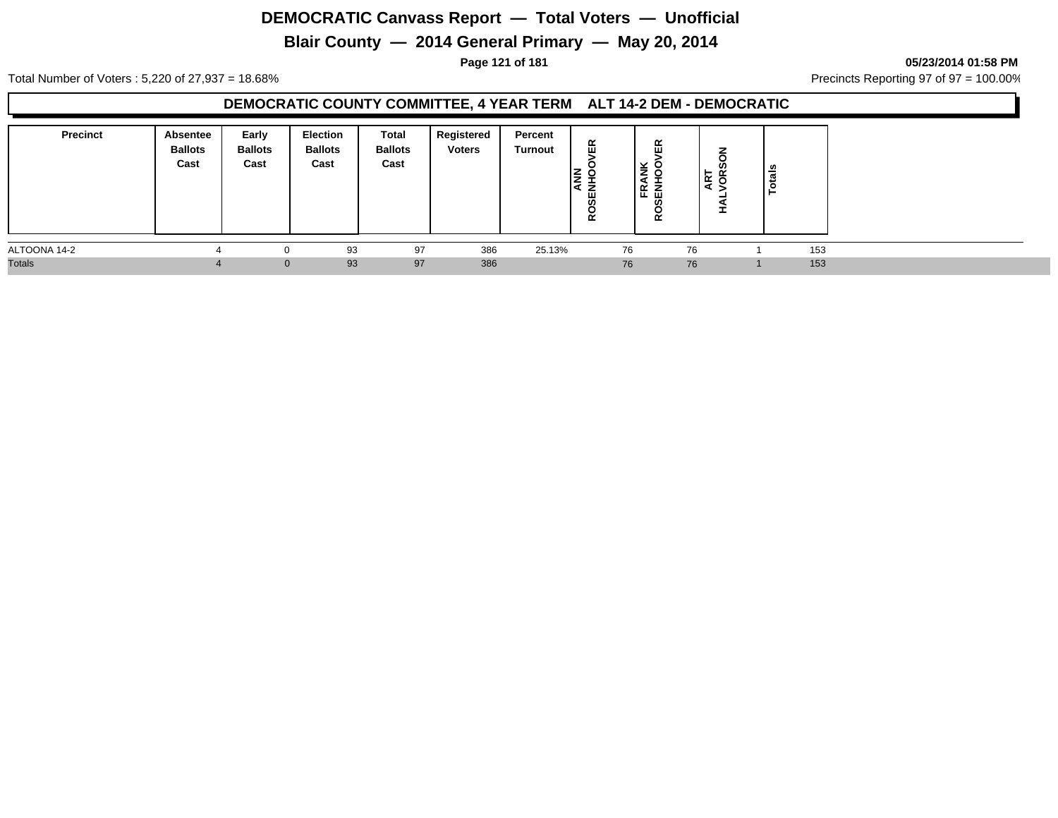# **Blair County — 2014 General Primary — May 20, 2014**

**Page 121 of 181 05/23/2014 01:58 PM**

Total Number of Voters : 5,220 of 27,937 = 18.68% Precincts Reporting 97 of 97 = 100.00%

### **DEMOCRATIC COUNTY COMMITTEE, 4 YEAR TERM ALT 14-2 DEM - DEMOCRATIC**

| <b>Precinct</b> | Absentee<br><b>Ballots</b><br>Cast | Early<br><b>Ballots</b><br>Cast | <b>Election</b><br><b>Ballots</b><br>Cast | <b>Total</b><br><b>Ballots</b><br>Cast | Registered<br><b>Voters</b> | Percent<br>Turnout | 띥<br>⇁<br>ے م<br>5€<br>$\circ$<br>$\alpha$ | 띥<br>l≨ 8<br>⋖<br> 또 로<br>ഗ<br>œ | -<br>C<br>ທ<br>ART | ឹ<br>► |  |
|-----------------|------------------------------------|---------------------------------|-------------------------------------------|----------------------------------------|-----------------------------|--------------------|--------------------------------------------|----------------------------------|--------------------|--------|--|
| ALTOONA 14-2    |                                    | 0                               | 93                                        | 97                                     | 386                         | 25.13%             | 76                                         |                                  | 76                 | 153    |  |
| <b>Totals</b>   |                                    | $\mathbf{0}$                    | 93                                        | 97                                     | 386                         |                    | 76                                         |                                  | 76                 | 153    |  |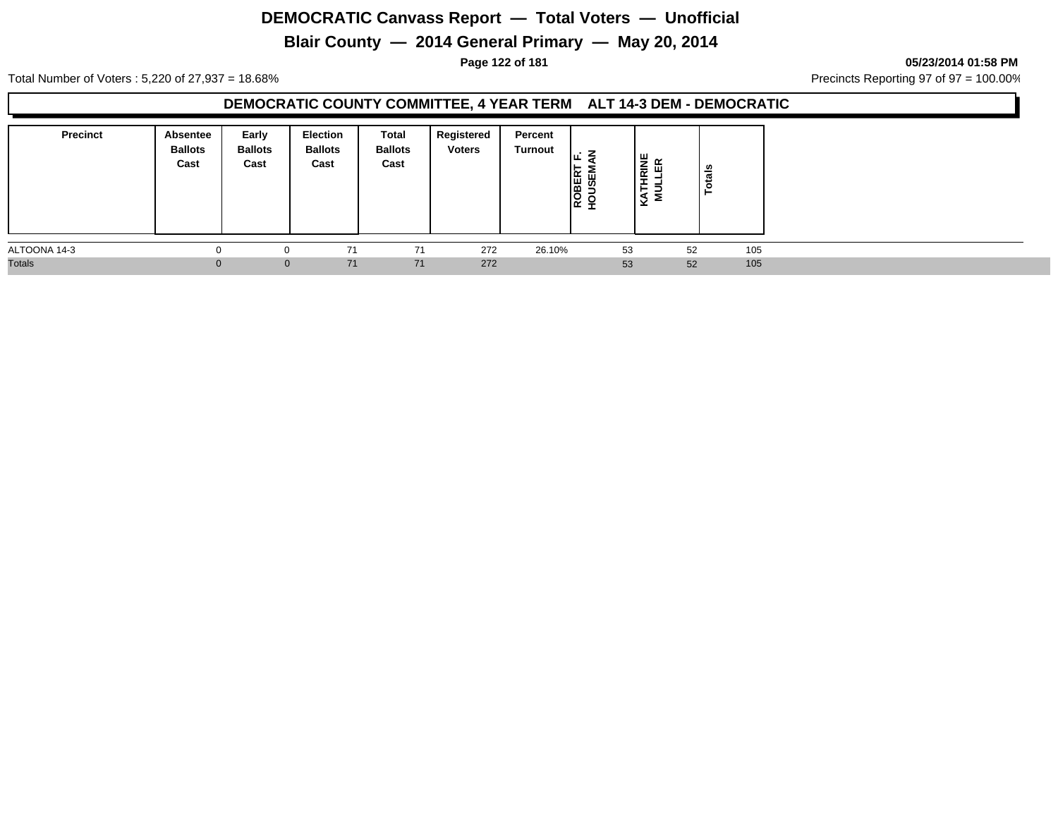# **Blair County — 2014 General Primary — May 20, 2014**

**Page 122 of 181 05/23/2014 01:58 PM**

Total Number of Voters : 5,220 of 27,937 = 18.68% Precincts Reporting 97 of 97 = 100.00%

### **DEMOCRATIC COUNTY COMMITTEE, 4 YEAR TERM ALT 14-3 DEM - DEMOCRATIC**

| <b>Precinct</b> | Absentee<br><b>Ballots</b><br>Cast | Early<br><b>Ballots</b><br>Cast | <b>Election</b><br><b>Ballots</b><br>Cast | Total<br><b>Ballots</b><br>Cast | Registered<br><b>Voters</b> | Percent<br><b>Turnout</b> | ıα<br>ш<br>ROBEI<br>ω<br>$\circ$<br>- | <b>IRINE</b><br>띥<br>-<br>Ξ<br>a | Totals    |  |
|-----------------|------------------------------------|---------------------------------|-------------------------------------------|---------------------------------|-----------------------------|---------------------------|---------------------------------------|----------------------------------|-----------|--|
| ALTOONA 14-3    |                                    |                                 | 71                                        | 71                              | 272                         | 26.10%                    | 53                                    |                                  | 105<br>52 |  |
| <b>Totals</b>   | $\Omega$                           | $\overline{0}$                  | 71                                        | 71                              | 272                         |                           | 53                                    |                                  | 105<br>52 |  |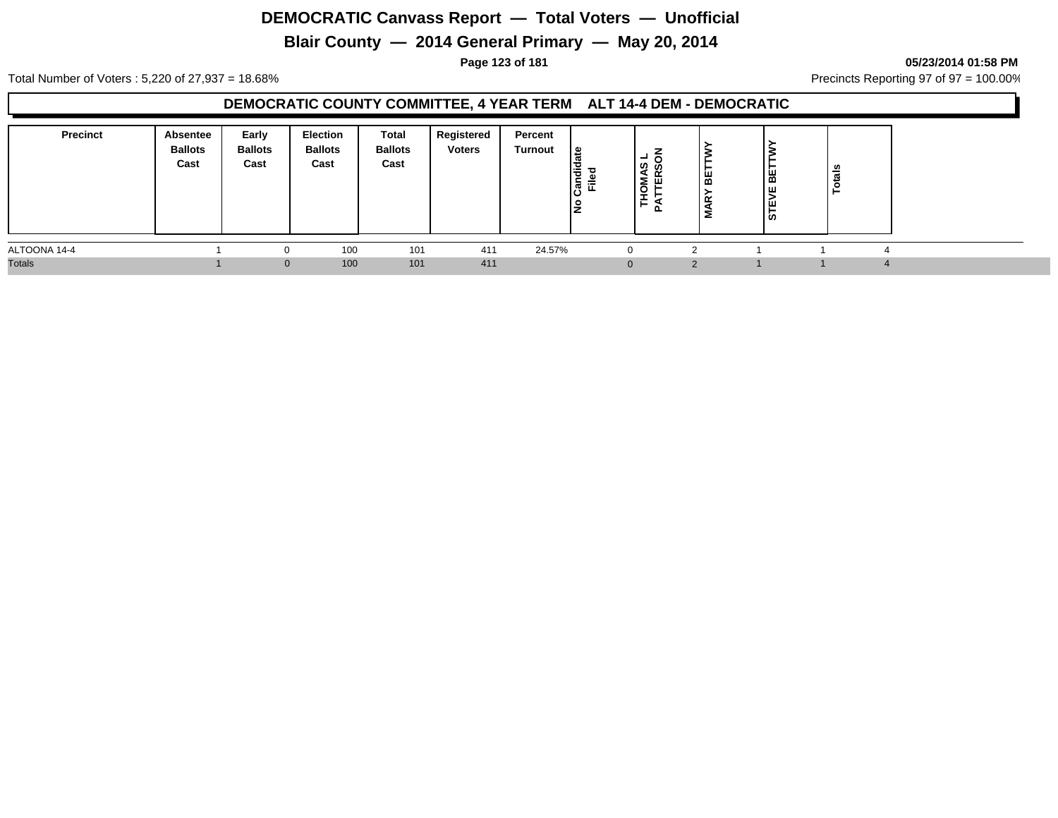# **Blair County — 2014 General Primary — May 20, 2014**

#### **Page 123 of 181 05/23/2014 01:58 PM**

Total Number of Voters : 5,220 of 27,937 = 18.68% Precincts Reporting 97 of 97 = 100.00%

### **DEMOCRATIC COUNTY COMMITTEE, 4 YEAR TERM ALT 14-4 DEM - DEMOCRATIC**

| <b>Precinct</b> | Absentee<br><b>Ballots</b><br>Cast | Early<br><b>Ballots</b><br>Cast | <b>Election</b><br><b>Ballots</b><br>Cast | Total<br><b>Ballots</b><br>Cast | Registered<br><b>Voters</b> | Percent<br><b>Turnout</b> | 9  <br>lə<br>ခြံ<br>Ē<br>o | −<br>ທ ທ<br>ş<br>ш<br>ō<br>È.<br>$\mathbf{a}$ | ►<br>볾<br>$\propto$ | । ਛ<br>ıш.<br>∣ ≂<br>STE | _∽ |  |
|-----------------|------------------------------------|---------------------------------|-------------------------------------------|---------------------------------|-----------------------------|---------------------------|----------------------------|-----------------------------------------------|---------------------|--------------------------|----|--|
| ALTOONA 14-4    |                                    |                                 | 100                                       | 101                             | 411                         | 24.57%                    |                            | $\Omega$                                      |                     |                          |    |  |
| <b>Totals</b>   |                                    | $\overline{0}$                  | 100                                       | 101                             | 411                         |                           |                            | $\Omega$                                      |                     |                          |    |  |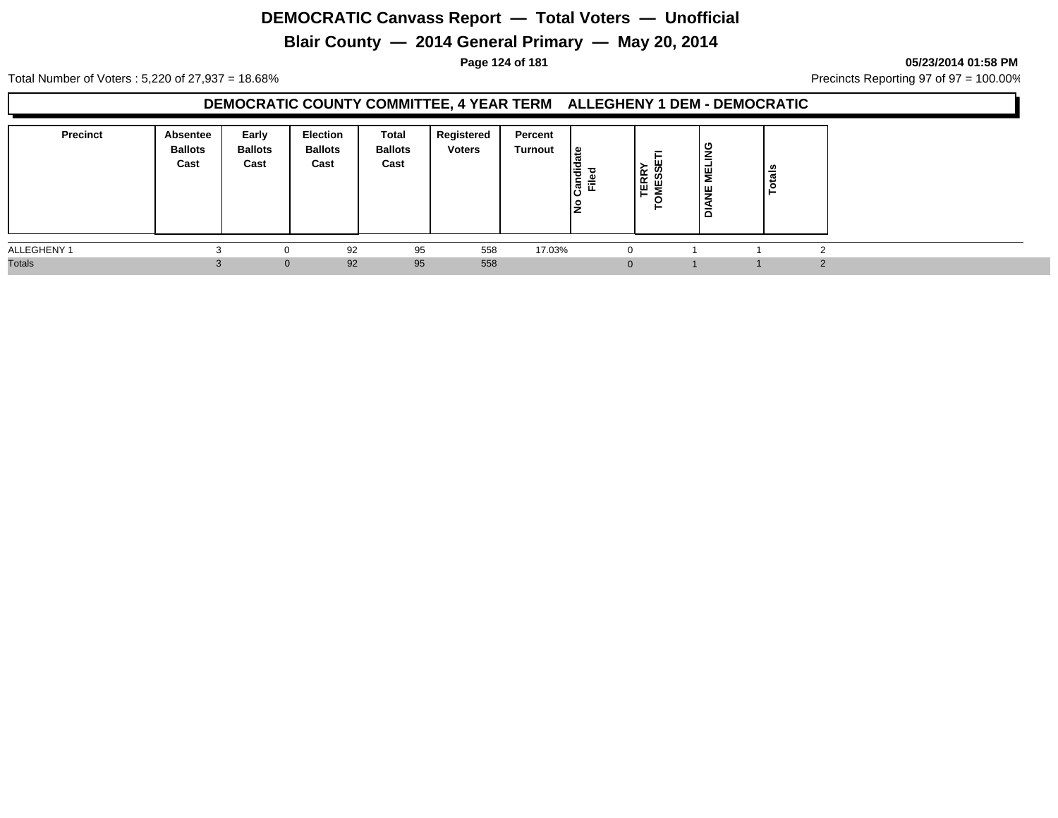# **Blair County — 2014 General Primary — May 20, 2014**

**Page 124 of 181 05/23/2014 01:58 PM**

Total Number of Voters : 5,220 of 27,937 = 18.68% Precincts Reporting 97 of 97 = 100.00%

### **DEMOCRATIC COUNTY COMMITTEE, 4 YEAR TERM ALLEGHENY 1 DEM - DEMOCRATIC**

| <b>Precinct</b> | Absentee<br><b>Ballots</b><br>Cast | Early<br><b>Ballots</b><br>Cast | Election<br><b>Ballots</b><br>Cast | Total<br><b>Ballots</b><br>Cast | Registered<br><b>Voters</b> | Percent<br>Turnout | . ≅ا<br>andid<br>Ē.<br>IŻ | ш<br><b>TERRY<br/>OMESSE</b><br>ဖာ<br>- | O<br>-<br>lã<br>Σ<br>l y<br>▴<br>ă | tais |  |
|-----------------|------------------------------------|---------------------------------|------------------------------------|---------------------------------|-----------------------------|--------------------|---------------------------|-----------------------------------------|------------------------------------|------|--|
| ALLEGHENY 1     |                                    |                                 | 92                                 | 95                              | 558                         | 17.03%             | $\Omega$                  |                                         |                                    |      |  |
| <b>Totals</b>   |                                    | $\Omega$                        | 92                                 | 95                              | 558                         |                    |                           |                                         |                                    |      |  |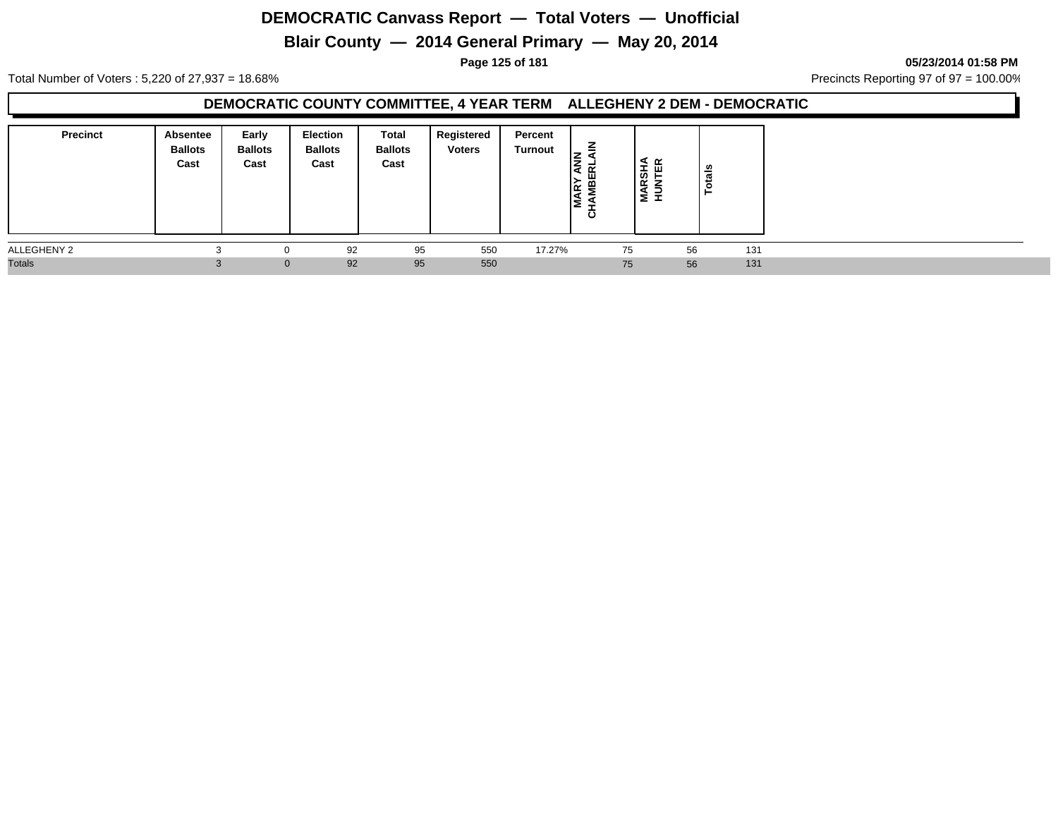# **Blair County — 2014 General Primary — May 20, 2014**

**Page 125 of 181 05/23/2014 01:58 PM**

Total Number of Voters : 5,220 of 27,937 = 18.68% Precincts Reporting 97 of 97 = 100.00%

### **DEMOCRATIC COUNTY COMMITTEE, 4 YEAR TERM ALLEGHENY 2 DEM - DEMOCRATIC**

| <b>Precinct</b> | Absentee<br><b>Ballots</b><br>Cast | Early<br><b>Ballots</b><br>Cast | <b>Election</b><br><b>Ballots</b><br>Cast | <b>Total</b><br><b>Ballots</b><br>Cast | Registered<br><b>Voters</b> | Percent<br>Turnout | ≙<br><b>IBERI</b><br>ıσ<br>▷<br>l∝<br>. .<br>ပ | <b>MARSHA</b><br>HUNTER | otals |     |
|-----------------|------------------------------------|---------------------------------|-------------------------------------------|----------------------------------------|-----------------------------|--------------------|------------------------------------------------|-------------------------|-------|-----|
| ALLEGHENY 2     |                                    |                                 | 92                                        | 95                                     | 550                         | 17.27%             |                                                | 75                      | 56    | 131 |
| <b>Totals</b>   |                                    | $\Omega$                        | 92                                        | 95                                     | 550                         |                    |                                                | 75                      | 56    | 131 |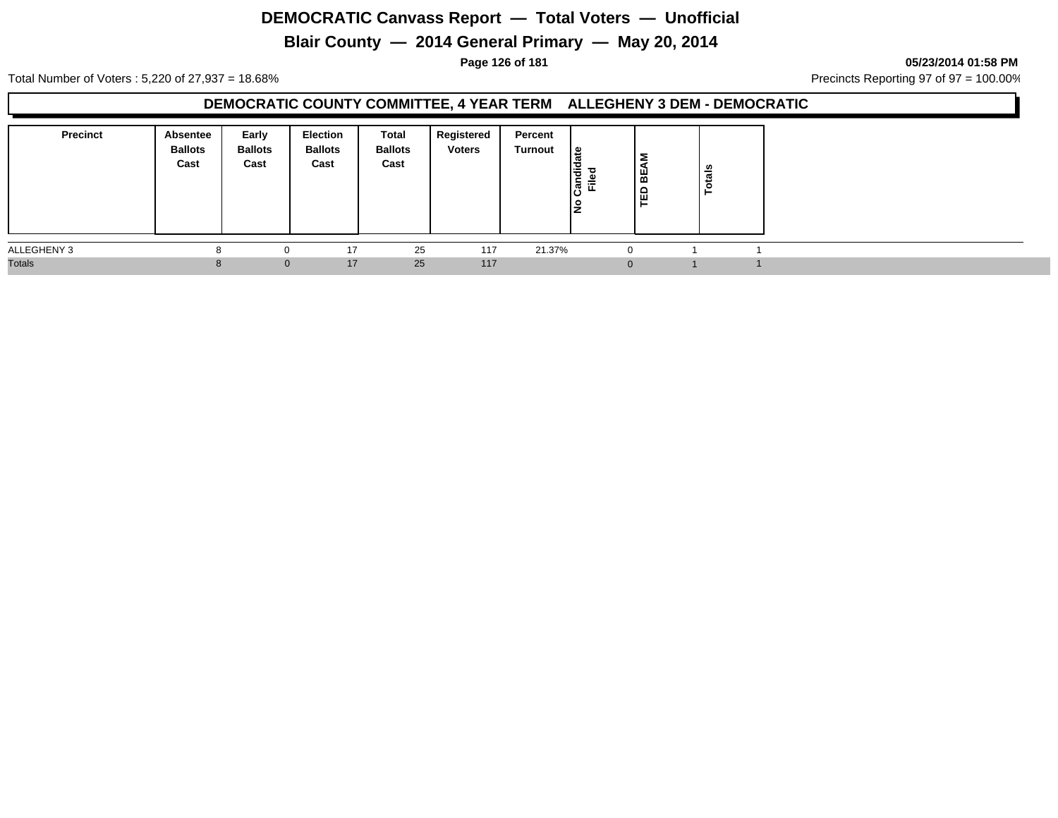# **Blair County — 2014 General Primary — May 20, 2014**

#### **Page 126 of 181 05/23/2014 01:58 PM**

Total Number of Voters : 5,220 of 27,937 = 18.68% Precincts Reporting 97 of 97 = 100.00%

### **DEMOCRATIC COUNTY COMMITTEE, 4 YEAR TERM ALLEGHENY 3 DEM - DEMOCRATIC**

| <b>Precinct</b> | <b>Absentee</b><br><b>Ballots</b><br>Cast | Early<br><b>Ballots</b><br>Cast | <b>Election</b><br><b>Ballots</b><br>Cast | Total<br><b>Ballots</b><br>Cast | Registered<br><b>Voters</b> | Percent<br>Turnout | ¦ ⊕<br>Candie<br>Filed | Σ<br>l ≌<br>입 | <b>S</b><br>otai |  |
|-----------------|-------------------------------------------|---------------------------------|-------------------------------------------|---------------------------------|-----------------------------|--------------------|------------------------|---------------|------------------|--|
| ALLEGHENY 3     | o                                         | 0                               | 17                                        | 25                              | 117                         | 21.37%             |                        |               |                  |  |
| <b>Totals</b>   |                                           | $\Omega$                        | 17                                        | 25                              | 117                         |                    |                        |               |                  |  |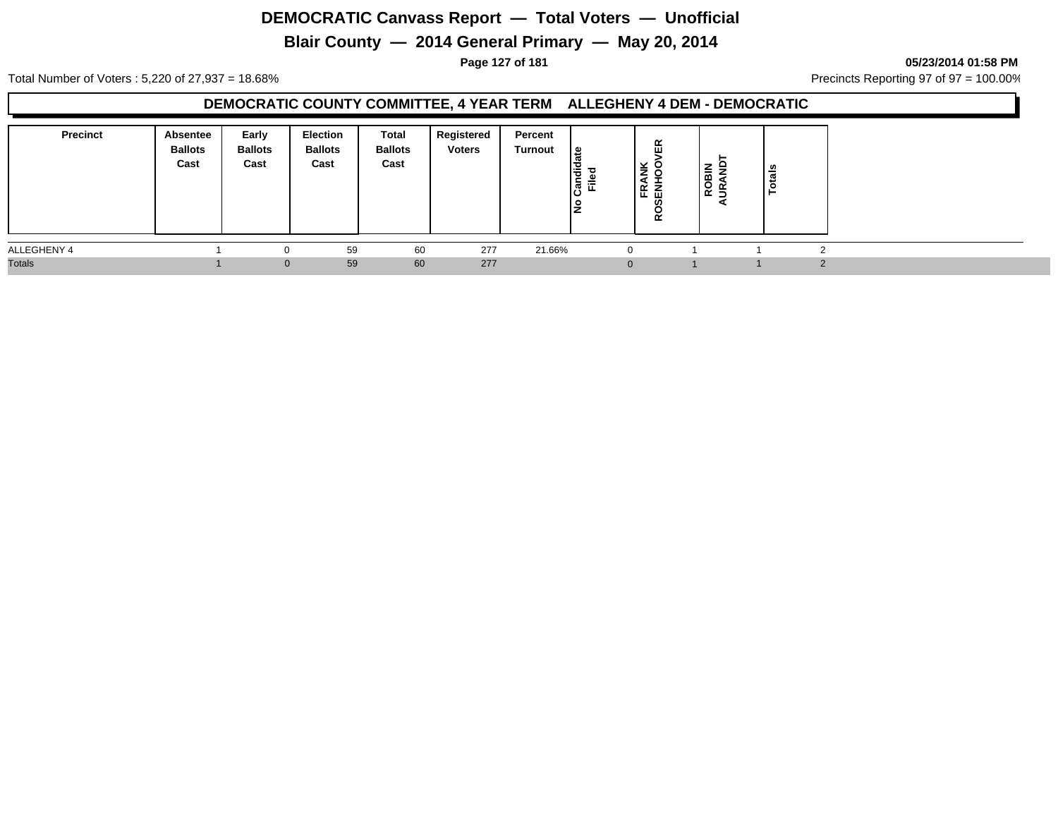# **Blair County — 2014 General Primary — May 20, 2014**

**Page 127 of 181 05/23/2014 01:58 PM**

Total Number of Voters : 5,220 of 27,937 = 18.68% Precincts Reporting 97 of 97 = 100.00%

### **DEMOCRATIC COUNTY COMMITTEE, 4 YEAR TERM ALLEGHENY 4 DEM - DEMOCRATIC**

| <b>Precinct</b> | Absentee<br><b>Ballots</b><br>Cast | Early<br><b>Ballots</b><br>Cast | Election<br><b>Ballots</b><br>Cast | Total<br><b>Ballots</b><br>Cast | Registered<br><b>Voters</b> | Percent<br>Turnout | '≅<br>Candid<br>Filed<br>o | 띥<br><b>FRANK</b><br>SENHOO'<br><b>Q</b> | $\sim$<br>--<br><b>ROBIN<br/>URANI</b><br>- | <b>elet</b><br>╺ |  |
|-----------------|------------------------------------|---------------------------------|------------------------------------|---------------------------------|-----------------------------|--------------------|----------------------------|------------------------------------------|---------------------------------------------|------------------|--|
| ALLEGHENY 4     |                                    |                                 | 59                                 | 60                              | 277                         | 21.66%             |                            | $\Omega$                                 |                                             |                  |  |
| <b>Totals</b>   |                                    | $\Omega$                        | 59                                 | 60                              | 277                         |                    |                            | $\Omega$                                 |                                             |                  |  |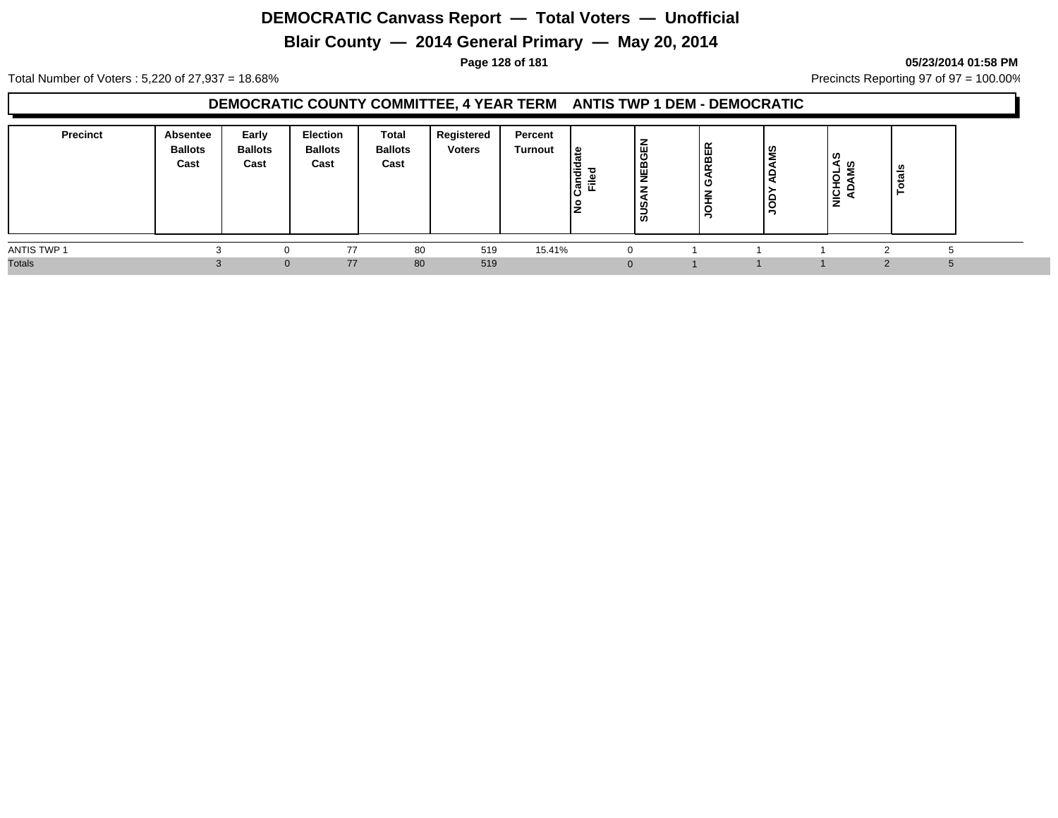# **Blair County — 2014 General Primary — May 20, 2014**

**Page 128 of 181 05/23/2014 01:58 PM**

Total Number of Voters : 5,220 of 27,937 = 18.68% Precincts Reporting 97 of 97 = 100.00%

### **DEMOCRATIC COUNTY COMMITTEE, 4 YEAR TERM ANTIS TWP 1 DEM - DEMOCRATIC**

| <b>Precinct</b> | Absentee<br><b>Ballots</b><br>Cast | Early<br><b>Ballots</b><br>Cast | Election<br><b>Ballots</b><br>Cast | Total<br><b>Ballots</b><br>Cast | Registered<br><b>Voters</b> | Percent<br>Turnout | ہ_ ا<br>$\overline{\phantom{0}}$<br>- פ<br>-<br>हैं,<br>iī.<br>lž | 몺<br>ඏ<br>ய<br>画<br>$\overline{\phantom{0}}$<br>ၯႍ<br>စ | $\tilde{\phantom{a}}$<br>岇<br>m<br>$\propto$<br>Ο<br>-<br>≐<br>u<br>∍ | ADAMS<br>lĝ | । ଓ<br>ଏ ଡ<br>-<br>O<br>-<br><b>.</b><br>$\frac{1}{2}$ | - 67<br>- |  |
|-----------------|------------------------------------|---------------------------------|------------------------------------|---------------------------------|-----------------------------|--------------------|-------------------------------------------------------------------|---------------------------------------------------------|-----------------------------------------------------------------------|-------------|--------------------------------------------------------|-----------|--|
| ANTIS TWP 1     |                                    |                                 | 77                                 | 80                              | 519                         | 15.41%             |                                                                   | $\left($                                                |                                                                       |             |                                                        |           |  |
| <b>Totals</b>   |                                    | $\Omega$                        | 77                                 | 80                              | 519                         |                    |                                                                   | $\Omega$                                                |                                                                       |             |                                                        |           |  |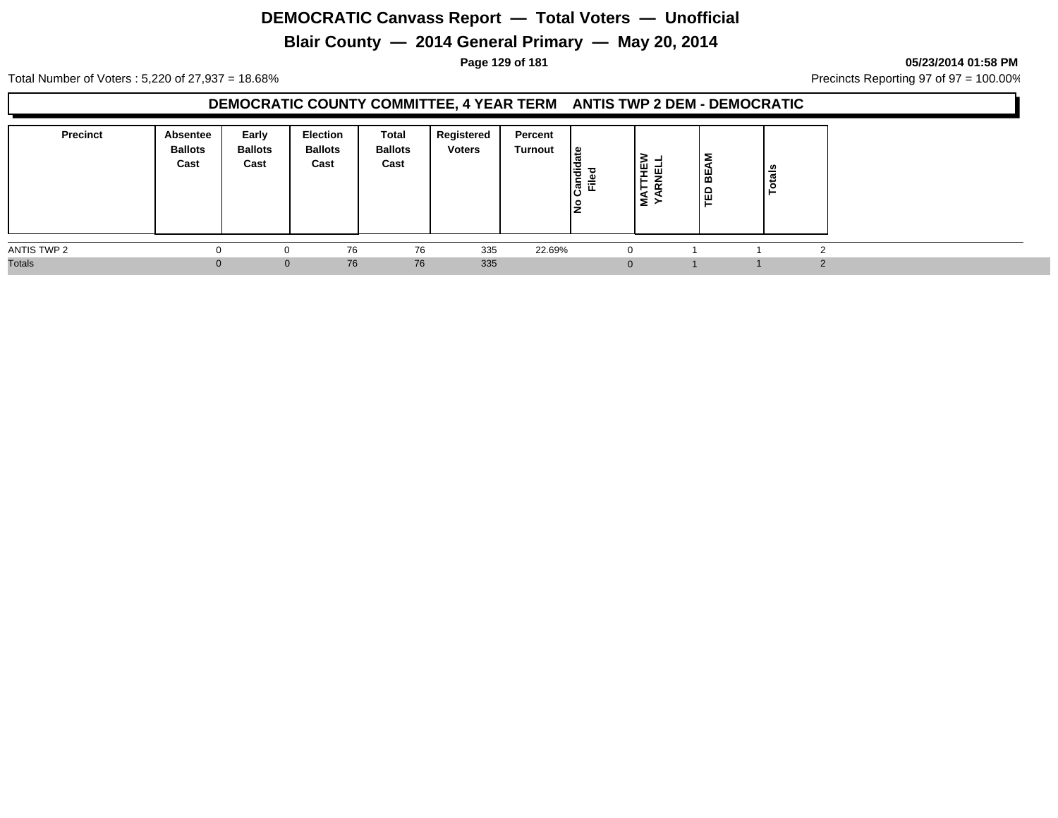# **Blair County — 2014 General Primary — May 20, 2014**

**Page 129 of 181 05/23/2014 01:58 PM**

Total Number of Voters : 5,220 of 27,937 = 18.68% Precincts Reporting 97 of 97 = 100.00%

### **DEMOCRATIC COUNTY COMMITTEE, 4 YEAR TERM ANTIS TWP 2 DEM - DEMOCRATIC**

| <b>Precinct</b> | <b>Absentee</b><br><b>Ballots</b><br>Cast | Early<br><b>Ballots</b><br>Cast | <b>Election</b><br><b>Ballots</b><br>Cast | Total<br><b>Ballots</b><br>Cast | Registered<br><b>Voters</b> | Percent<br>Turnout | ீ<br>Candi<br>73<br>$\frac{d}{dE}$ | ₹<br>١¥<br>画<br>-<br>$\alpha$<br>$\mathbf{r}$<br>§ ⊱ | 2<br>볾<br>≏<br>画 | ais<br>ೆ |  |
|-----------------|-------------------------------------------|---------------------------------|-------------------------------------------|---------------------------------|-----------------------------|--------------------|------------------------------------|------------------------------------------------------|------------------|----------|--|
| ANTIS TWP 2     |                                           | 0                               | 76                                        | 76                              | 335                         | 22.69%             |                                    |                                                      |                  |          |  |
| <b>Totals</b>   |                                           | $\Omega$                        | 76                                        | 76                              | 335                         |                    |                                    |                                                      |                  |          |  |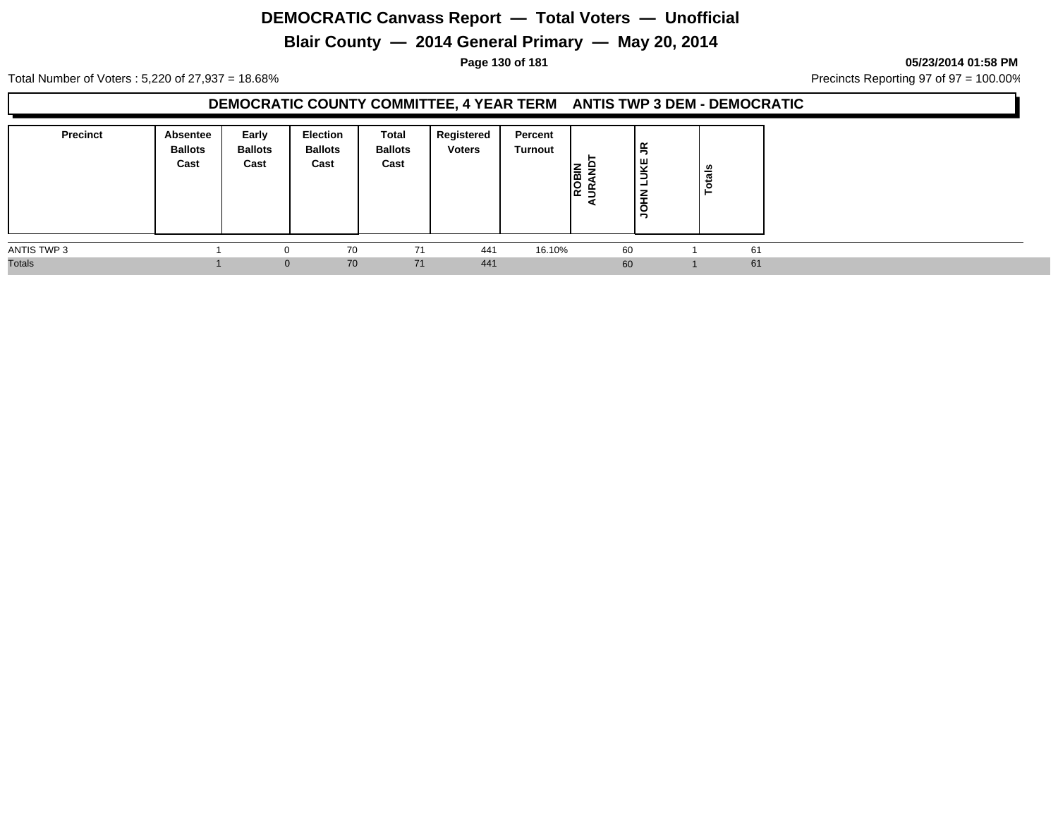# **Blair County — 2014 General Primary — May 20, 2014**

**Page 130 of 181 05/23/2014 01:58 PM**

Total Number of Voters : 5,220 of 27,937 = 18.68% Precincts Reporting 97 of 97 = 100.00%

### **DEMOCRATIC COUNTY COMMITTEE, 4 YEAR TERM ANTIS TWP 3 DEM - DEMOCRATIC**

| <b>Precinct</b> | Absentee<br><b>Ballots</b><br>Cast | Early<br><b>Ballots</b><br>Cast | Election<br><b>Ballots</b><br>Cast | Total<br><b>Ballots</b><br>Cast | Registered<br><b>Voters</b> | Percent<br>Turnout | <b>ROBIN</b><br>URAND | $\tilde{z}$<br><b>UKE</b><br>ᆜ<br>-<br>ّ<br>ㅎ<br>∍ | ဖာ<br>otai |    |  |
|-----------------|------------------------------------|---------------------------------|------------------------------------|---------------------------------|-----------------------------|--------------------|-----------------------|----------------------------------------------------|------------|----|--|
| ANTIS TWP 3     |                                    |                                 | 70                                 | 71                              | 441                         | 16.10%             |                       | 60                                                 |            | 61 |  |
| <b>Totals</b>   |                                    | $\mathbf{0}$                    | 70                                 | 71                              | 441                         |                    |                       | 60                                                 |            | 61 |  |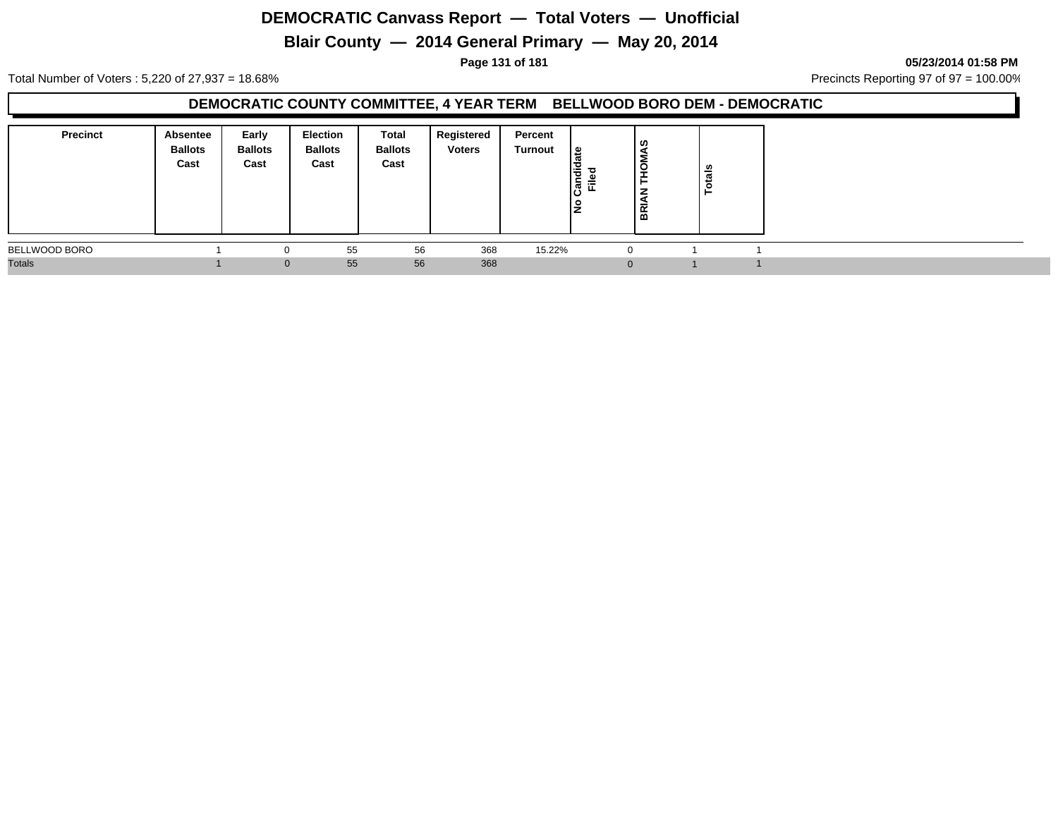# **Blair County — 2014 General Primary — May 20, 2014**

#### **Page 131 of 181 05/23/2014 01:58 PM**

Total Number of Voters : 5,220 of 27,937 = 18.68% Precincts Reporting 97 of 97 = 100.00%

### **DEMOCRATIC COUNTY COMMITTEE, 4 YEAR TERM BELLWOOD BORO DEM - DEMOCRATIC**

| <b>Precinct</b> | <b>Absentee</b><br><b>Ballots</b><br>Cast | Early<br><b>Ballots</b><br>Cast | Election<br><b>Ballots</b><br>Cast | Total<br><b>Ballots</b><br>Cast | Registered<br><b>Voters</b> | Percent<br>Turnout | உ<br>Candie<br>Filed | ၊ ဟ<br>O<br>-<br>-<br>B | tals<br>Ö |  |
|-----------------|-------------------------------------------|---------------------------------|------------------------------------|---------------------------------|-----------------------------|--------------------|----------------------|-------------------------|-----------|--|
| BELLWOOD BORO   |                                           | 0                               | 55                                 | 56                              | 368                         | 15.22%             |                      |                         |           |  |
| <b>Totals</b>   |                                           | $\Omega$                        | 55                                 | 56                              | 368                         |                    |                      |                         |           |  |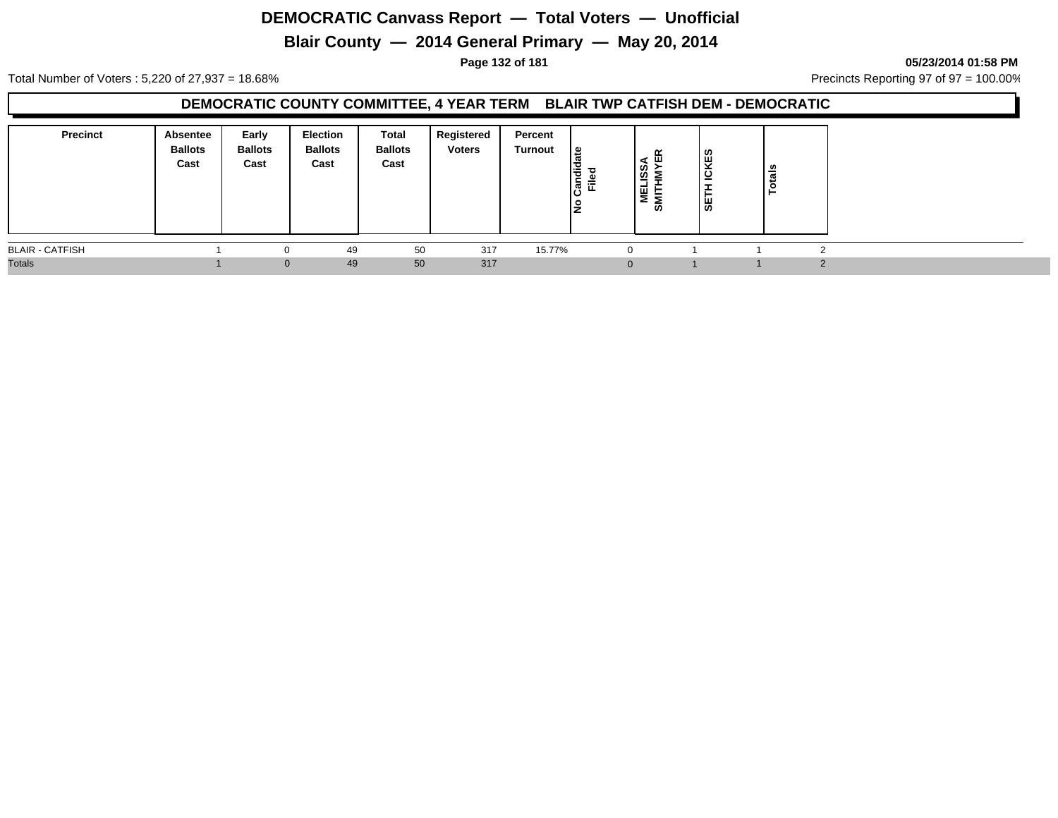# **Blair County — 2014 General Primary — May 20, 2014**

**Page 132 of 181 05/23/2014 01:58 PM**

Total Number of Voters : 5,220 of 27,937 = 18.68% Precincts Reporting 97 of 97 = 100.00%

#### **DEMOCRATIC COUNTY COMMITTEE, 4 YEAR TERM BLAIR TWP CATFISH DEM - DEMOCRATIC**

| <b>Precinct</b>        | Absentee<br><b>Ballots</b><br>Cast | Early<br><b>Ballots</b><br>Cast | <b>Election</b><br><b>Ballots</b><br>Cast | Total<br><b>Ballots</b><br>Cast | Registered<br><b>Voters</b> | Percent<br><b>Turnout</b> | 9  <br>w<br>Candi<br>Ē.<br>ιo | ≃<br>ш<br><b>1SSA<br/>HMYE</b><br>NET<br>SWLL | <b>CKES</b><br>-<br>÷<br>庄<br>္တူ | otals |  |
|------------------------|------------------------------------|---------------------------------|-------------------------------------------|---------------------------------|-----------------------------|---------------------------|-------------------------------|-----------------------------------------------|-----------------------------------|-------|--|
| <b>BLAIR - CATFISH</b> |                                    |                                 | 49                                        | 50                              | 317                         | 15.77%                    |                               | $\Omega$                                      |                                   |       |  |
| <b>Totals</b>          |                                    |                                 | 49<br>0                                   | 50                              | 317                         |                           |                               | $\Omega$                                      |                                   |       |  |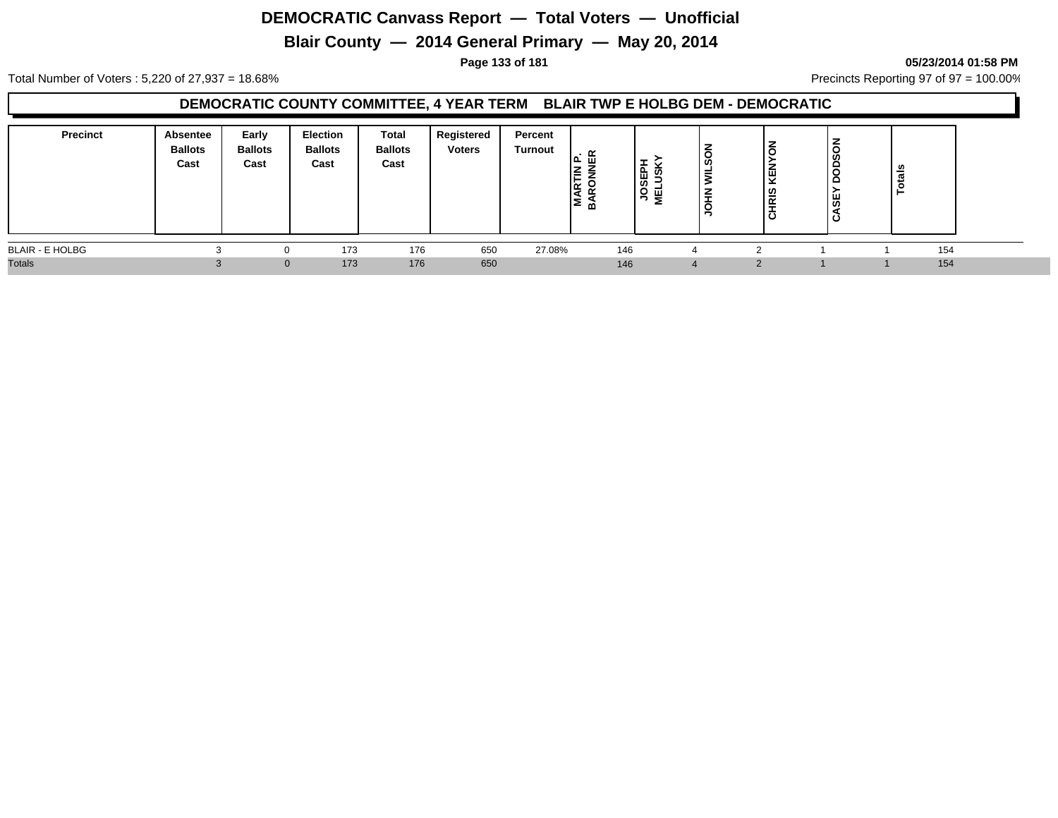# **Blair County — 2014 General Primary — May 20, 2014**

#### **Page 133 of 181 05/23/2014 01:58 PM**

Total Number of Voters : 5,220 of 27,937 = 18.68% Precincts Reporting 97 of 97 = 100.00%

#### **DEMOCRATIC COUNTY COMMITTEE, 4 YEAR TERM BLAIR TWP E HOLBG DEM - DEMOCRATIC**

| Precinct               | Absentee<br><b>Ballots</b><br>Cast | Early<br><b>Ballots</b><br>Cast | Election<br><b>Ballots</b><br>Cast | Total<br><b>Ballots</b><br>Cast | Registered<br><b>Voters</b> | Percent<br>Turnout | $\cdot$ $\alpha$<br>lz<br>⊢<br>O<br>MAR <sup>-</sup><br>മ | $\circ$<br>面<br>ᄀᄛ | u<br><b>SC</b><br>=<br>- | $\overline{6}$<br><b>KEN</b><br><b>CHRIS</b> | $\circ$<br>ğ<br>c<br>c<br>5€<br>Ω | otals<br>⊢ |  |
|------------------------|------------------------------------|---------------------------------|------------------------------------|---------------------------------|-----------------------------|--------------------|-----------------------------------------------------------|--------------------|--------------------------|----------------------------------------------|-----------------------------------|------------|--|
| <b>BLAIR - E HOLBG</b> |                                    |                                 | 173                                | 176                             | 650                         | 27.08%             | 146                                                       |                    |                          |                                              |                                   | 154        |  |
| <b>Totals</b>          |                                    |                                 | 173<br>$\Omega$                    | 176                             | 650                         |                    | 146                                                       |                    |                          |                                              |                                   | 154        |  |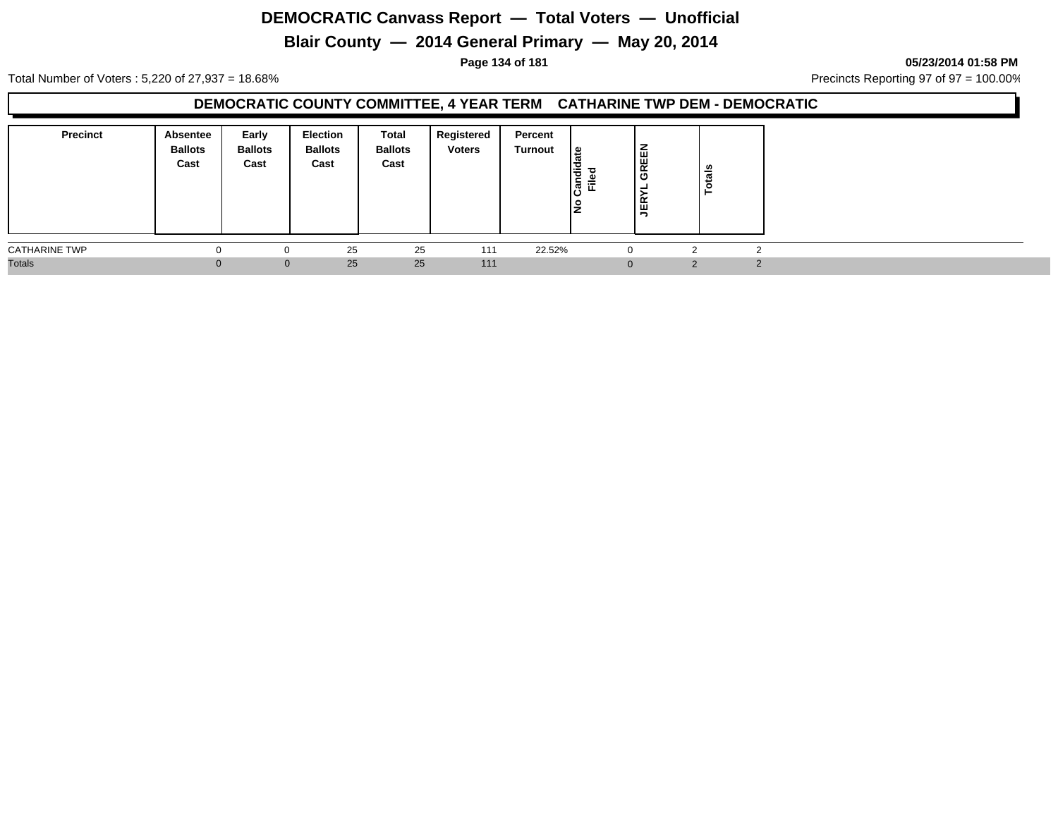# **Blair County — 2014 General Primary — May 20, 2014**

**Page 134 of 181 05/23/2014 01:58 PM**

Total Number of Voters : 5,220 of 27,937 = 18.68% Precincts Reporting 97 of 97 = 100.00%

### **DEMOCRATIC COUNTY COMMITTEE, 4 YEAR TERM CATHARINE TWP DEM - DEMOCRATIC**

| <b>Precinct</b>      | Absentee<br><b>Ballots</b><br>Cast | Early<br><b>Ballots</b><br>Cast | Election<br><b>Ballots</b><br>Cast | Total<br><b>Ballots</b><br>Cast | Registered<br><b>Voters</b> | Percent<br>Turnout | ⊕<br>I÷<br>ြွမ်<br>Ē.<br>IŻ | <b>GREEN</b><br>-<br><b>JER</b> | . ഗ<br>otal |        |
|----------------------|------------------------------------|---------------------------------|------------------------------------|---------------------------------|-----------------------------|--------------------|-----------------------------|---------------------------------|-------------|--------|
| <b>CATHARINE TWP</b> |                                    | $\Omega$                        | 25                                 | 25                              | 111                         | 22.52%             |                             | $\Omega$                        |             |        |
| <b>Totals</b>        |                                    | $\Omega$                        | 25                                 | 25                              | 111                         |                    |                             | $\Omega$                        | ົ           | $\sim$ |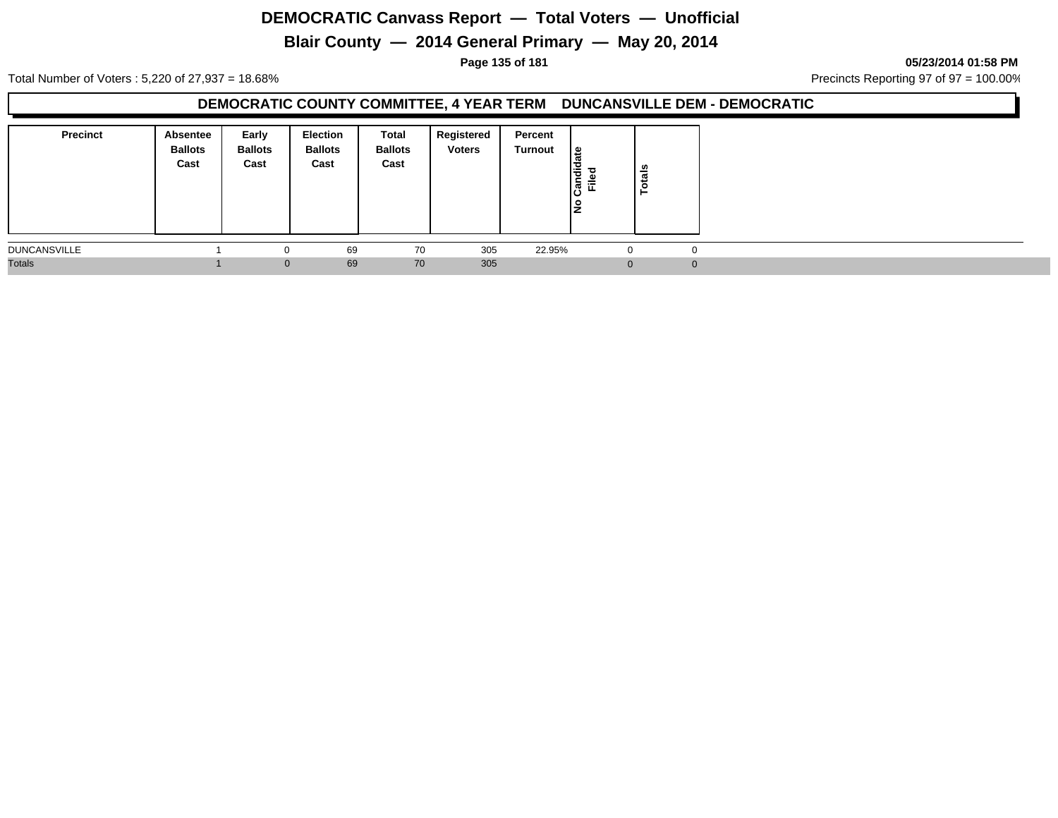# **Blair County — 2014 General Primary — May 20, 2014**

**Page 135 of 181 05/23/2014 01:58 PM**

Total Number of Voters : 5,220 of 27,937 = 18.68% Precincts Reporting 97 of 97 = 100.00%

### **DEMOCRATIC COUNTY COMMITTEE, 4 YEAR TERM DUNCANSVILLE DEM - DEMOCRATIC**

| <b>Precinct</b>     | Absentee<br><b>Ballots</b><br>Cast | Early<br><b>Ballots</b><br>Cast | <b>Election</b><br><b>Ballots</b><br>Cast | Total<br><b>Ballots</b><br>Cast | Registered<br><b>Voters</b> | Percent<br>Turnout | l≗<br>ω<br>Candid<br><b>Filed</b><br>١是 | <b>chais</b><br>− |  |
|---------------------|------------------------------------|---------------------------------|-------------------------------------------|---------------------------------|-----------------------------|--------------------|-----------------------------------------|-------------------|--|
| <b>DUNCANSVILLE</b> |                                    | 0                               | 69                                        | 70                              | 305                         | 22.95%             | -U                                      | $\mathbf 0$       |  |
| <b>Totals</b>       |                                    | $\mathbf{0}$                    | 69                                        | 70                              | 305                         |                    | $\Omega$                                | $\overline{0}$    |  |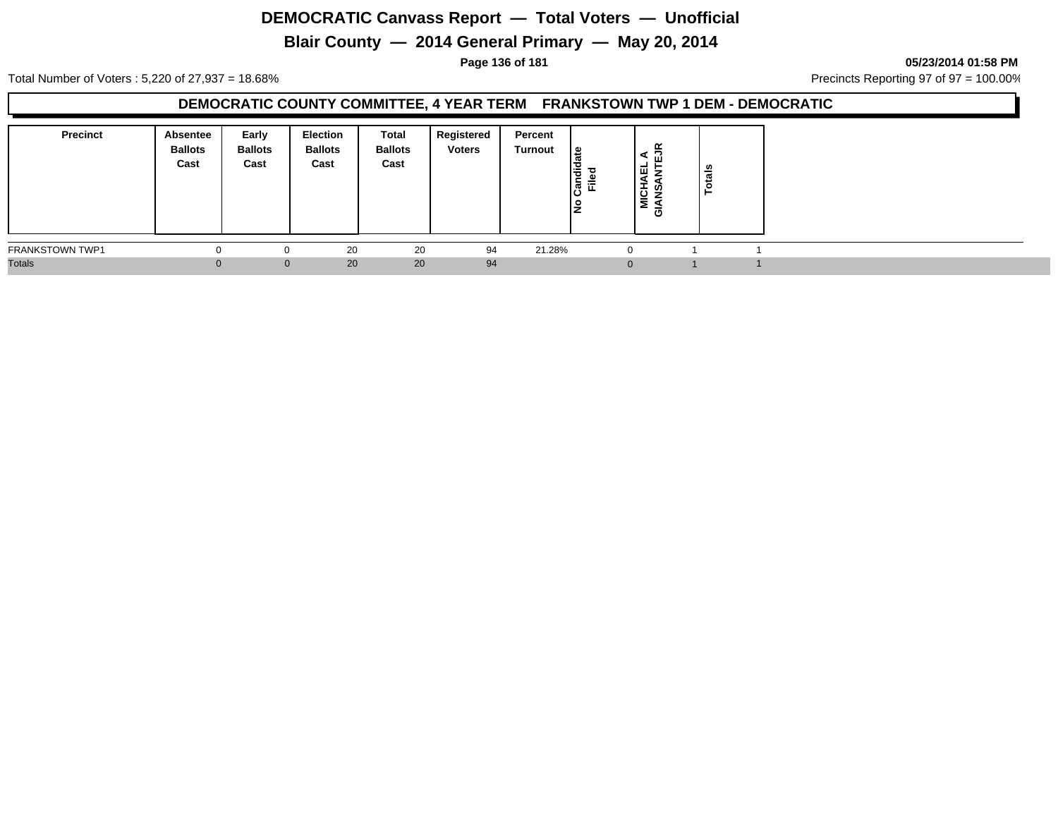# **Blair County — 2014 General Primary — May 20, 2014**

**Page 136 of 181 05/23/2014 01:58 PM**

Total Number of Voters : 5,220 of 27,937 = 18.68% Precincts Reporting 97 of 97 = 100.00%

### **DEMOCRATIC COUNTY COMMITTEE, 4 YEAR TERM FRANKSTOWN TWP 1 DEM - DEMOCRATIC**

| <b>Precinct</b>        | Absentee<br><b>Ballots</b><br>Cast | Early<br><b>Ballots</b><br>Cast | Election<br><b>Ballots</b><br>Cast | Total<br><b>Ballots</b><br>Cast | Registered<br><b>Voters</b> | Percent<br>Turnout | ی ا<br>Candi<br>Ě<br>١ž | ≃<br>⋖<br>ш<br>ᅵᇳ<br>⇁<br><b>MICHA</b><br>ທ<br>₹<br>ල | tais |  |  |
|------------------------|------------------------------------|---------------------------------|------------------------------------|---------------------------------|-----------------------------|--------------------|-------------------------|-------------------------------------------------------|------|--|--|
| <b>FRANKSTOWN TWP1</b> |                                    |                                 | 20                                 | 20                              | 94                          | 21.28%             |                         | $\Omega$                                              |      |  |  |
| <b>Totals</b>          |                                    | $\Omega$                        | 20                                 | 20                              | 94                          |                    |                         |                                                       |      |  |  |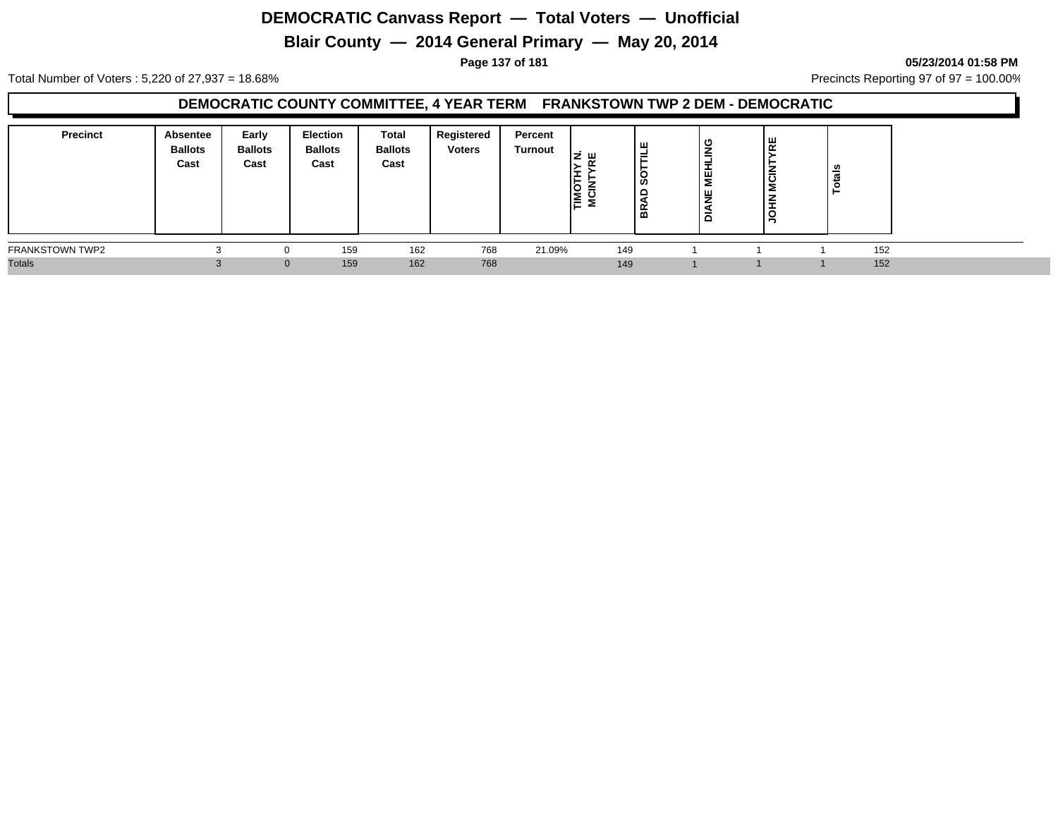# **Blair County — 2014 General Primary — May 20, 2014**

#### **Page 137 of 181 05/23/2014 01:58 PM**

Total Number of Voters : 5,220 of 27,937 = 18.68% Precincts Reporting 97 of 97 = 100.00%

### **DEMOCRATIC COUNTY COMMITTEE, 4 YEAR TERM FRANKSTOWN TWP 2 DEM - DEMOCRATIC**

| <b>Precinct</b>        | <b>Absentee</b><br><b>Ballots</b><br>Cast | Early<br><b>Ballots</b><br>Cast | <b>Election</b><br><b>Ballots</b><br>Cast | Total<br><b>Ballots</b><br>Cast | Registered<br><b>Voters</b> | Percent<br>Turnout | ш<br>10<br>۱≧ | ш<br>≓<br>္တ<br>▭<br>BK. | ு<br><b>MEHLIN</b><br>뷩<br>ᅙ | ப<br>$\alpha$<br><b>MCIN</b><br><b>NHOL</b> |     |  |
|------------------------|-------------------------------------------|---------------------------------|-------------------------------------------|---------------------------------|-----------------------------|--------------------|---------------|--------------------------|------------------------------|---------------------------------------------|-----|--|
| <b>FRANKSTOWN TWP2</b> |                                           |                                 | 159                                       | 162                             | 768                         | 21.09%             | 149           |                          |                              |                                             | 152 |  |
| <b>Totals</b>          |                                           | $\Omega$                        | 159                                       | 162                             | 768                         |                    | 149           |                          |                              |                                             | 152 |  |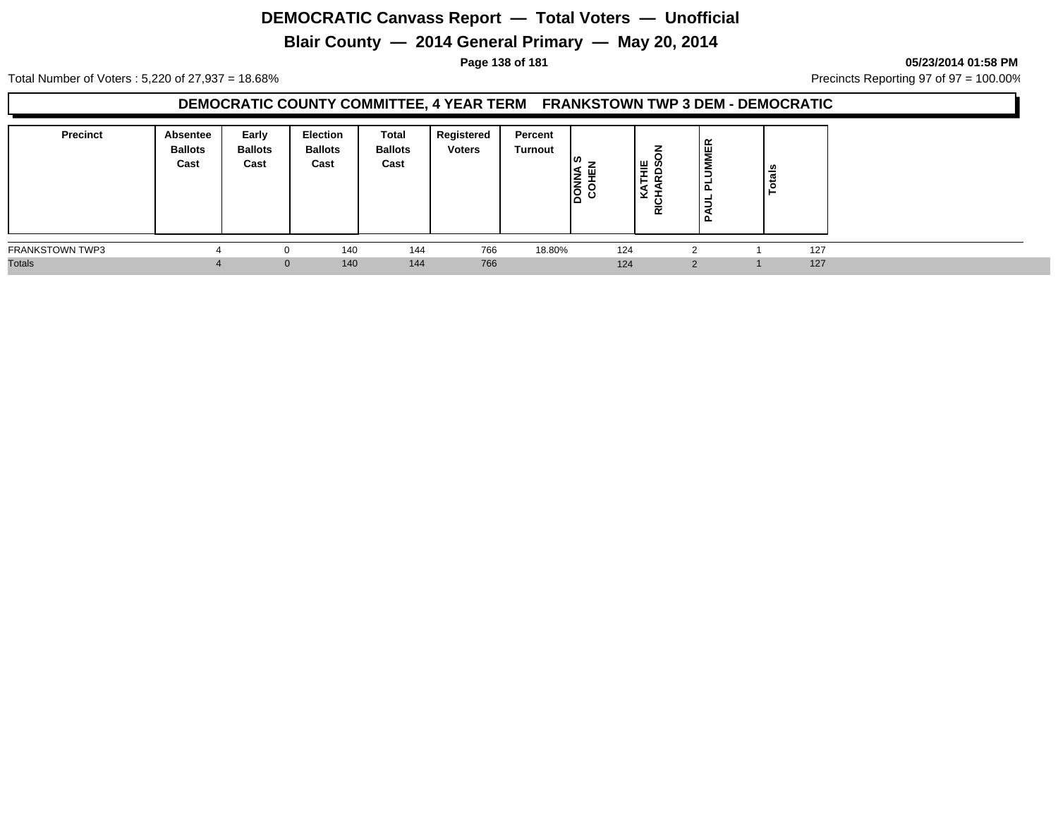# **Blair County — 2014 General Primary — May 20, 2014**

#### **Page 138 of 181 05/23/2014 01:58 PM**

Total Number of Voters : 5,220 of 27,937 = 18.68% Precincts Reporting 97 of 97 = 100.00%

### **DEMOCRATIC COUNTY COMMITTEE, 4 YEAR TERM FRANKSTOWN TWP 3 DEM - DEMOCRATIC**

| <b>Precinct</b>        | Absentee<br><b>Ballots</b><br>Cast | Early<br><b>Ballots</b><br>Cast | <b>Election</b><br><b>Ballots</b><br>Cast | <b>Total</b><br><b>Ballots</b><br>Cast | Registered<br><b>Voters</b> | Percent<br>Turnout | ၊ဖာ<br>ıя<br>画<br><b>NATION</b> | –<br><b>THE</b><br>RDS<br>⊻<br><b>RICH</b> | <b>UMMER</b><br>ո<br>∍<br><b>.</b> | ele<br>S |     |  |
|------------------------|------------------------------------|---------------------------------|-------------------------------------------|----------------------------------------|-----------------------------|--------------------|---------------------------------|--------------------------------------------|------------------------------------|----------|-----|--|
| <b>FRANKSTOWN TWP3</b> |                                    |                                 | 140                                       | 144                                    | 766                         | 18.80%             | 124                             |                                            |                                    |          | 127 |  |
| <b>Totals</b>          |                                    | $\mathbf{0}$                    | 140                                       | 144                                    | 766                         |                    | 124                             |                                            | $\Omega$                           |          | 127 |  |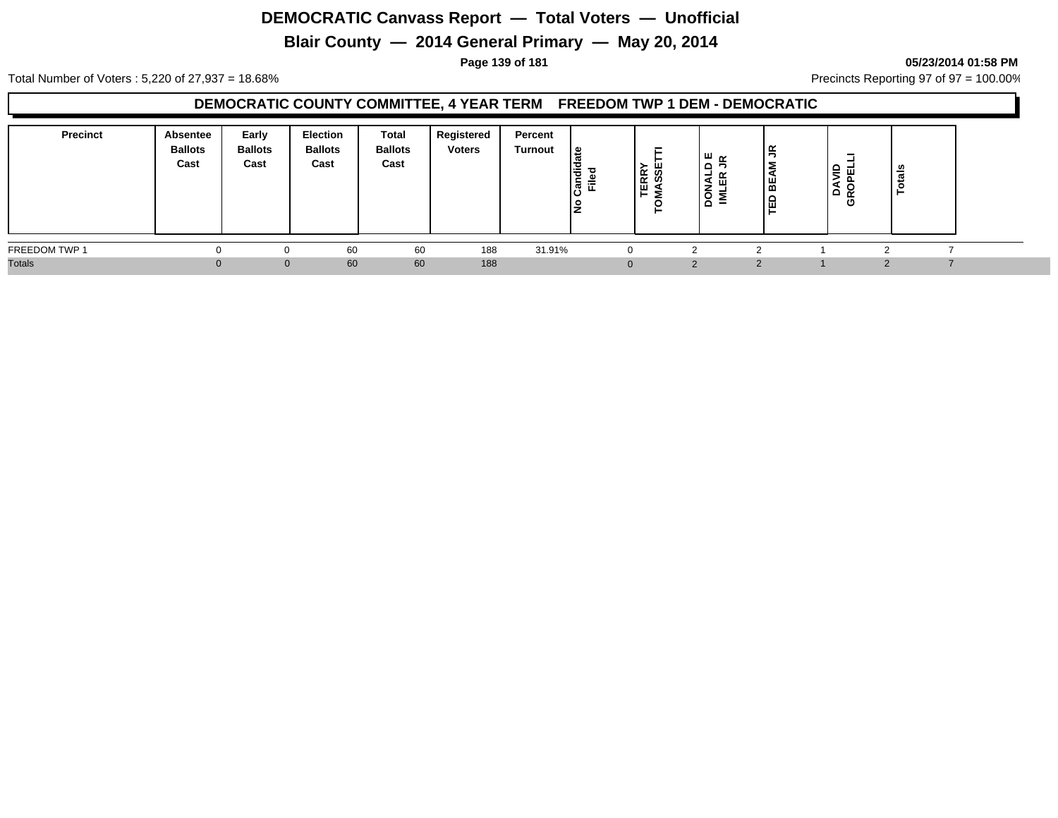# **Blair County — 2014 General Primary — May 20, 2014**

**Page 139 of 181 05/23/2014 01:58 PM**

Total Number of Voters : 5,220 of 27,937 = 18.68% Precincts Reporting 97 of 97 = 100.00%

#### **DEMOCRATIC COUNTY COMMITTEE, 4 YEAR TERM FREEDOM TWP 1 DEM - DEMOCRATIC**

| <b>Precinct</b> | Absentee<br><b>Ballots</b><br>Cast | Early<br><b>Ballots</b><br>Cast | Election<br><b>Ballots</b><br>Cast | Total<br><b>Ballots</b><br>Cast | Registered<br><b>Voters</b> | Percent<br>Turnout | ا گ<br>I÷<br>-<br>्रहें हैं:<br>ΙŻ | -<br><b>TERRY</b><br>MASSE<br>⊢ | ய ∝<br>$\mathbf{\Omega}$<br>┙<br>$\sim$<br>DONA | ١š<br>∣ ≅<br>।ਜ਼<br>ᇣ | $\mathbf{r}$<br>≏<br>$\alpha$<br>פ | - 67<br>- |
|-----------------|------------------------------------|---------------------------------|------------------------------------|---------------------------------|-----------------------------|--------------------|------------------------------------|---------------------------------|-------------------------------------------------|-----------------------|------------------------------------|-----------|
| FREEDOM TWP 1   |                                    |                                 | 60                                 | 60                              | 188                         | 31.91%             |                                    | 0                               |                                                 |                       |                                    |           |
| <b>Totals</b>   |                                    | $\Omega$                        | 60                                 | 60                              | 188                         |                    |                                    | $\Omega$                        |                                                 |                       |                                    |           |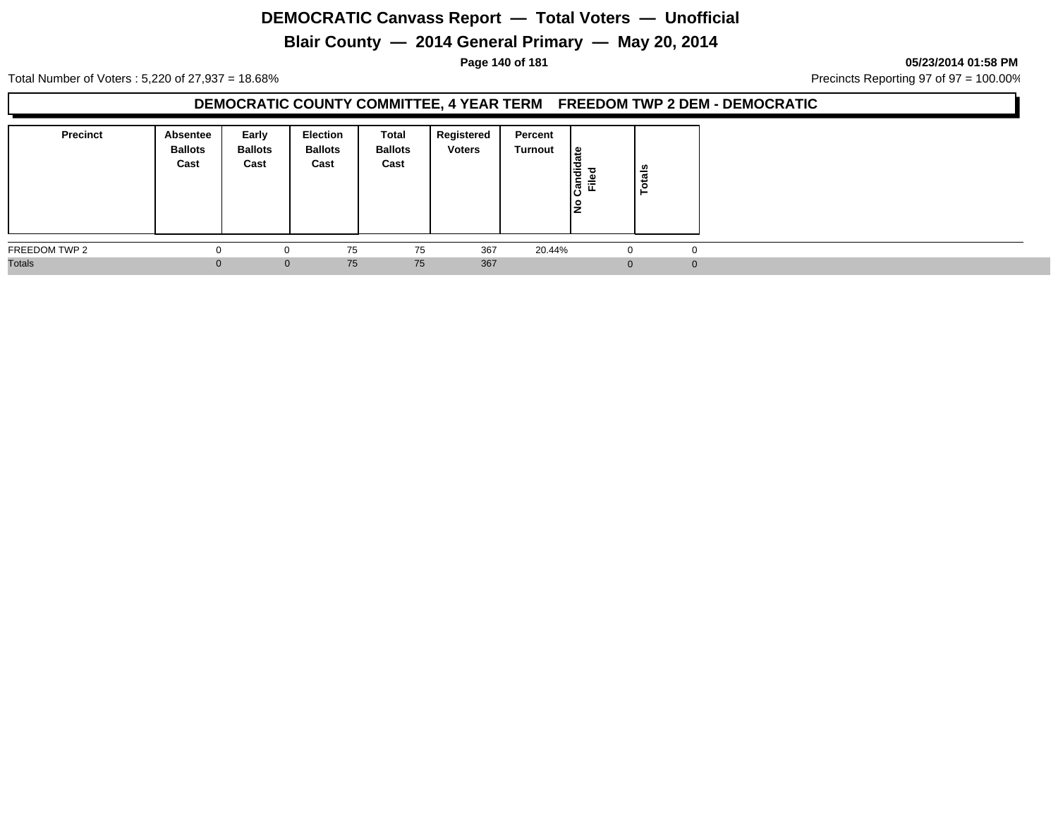# **Blair County — 2014 General Primary — May 20, 2014**

**Page 140 of 181 05/23/2014 01:58 PM**

Total Number of Voters : 5,220 of 27,937 = 18.68% Precincts Reporting 97 of 97 = 100.00%

### **DEMOCRATIC COUNTY COMMITTEE, 4 YEAR TERM FREEDOM TWP 2 DEM - DEMOCRATIC**

| <b>Precinct</b> | Absentee<br><b>Ballots</b><br>Cast | Early<br><b>Ballots</b><br>Cast | Election<br><b>Ballots</b><br>Cast | Total<br><b>Ballots</b><br>Cast | Registered<br><b>Voters</b> | Percent<br>Turnout | ا ≅<br>ω<br>Ð<br>Candi<br><u>ام</u><br>١是 | នី<br>مّ |  |
|-----------------|------------------------------------|---------------------------------|------------------------------------|---------------------------------|-----------------------------|--------------------|-------------------------------------------|----------|--|
| FREEDOM TWP 2   | $\Omega$                           | $\Omega$                        | 75                                 | 75                              | 367                         | 20.44%             | 0                                         | 0        |  |
| <b>Totals</b>   |                                    | $\mathbf{0}$                    | 75                                 | 75                              | 367                         |                    | $\Omega$                                  | $\Omega$ |  |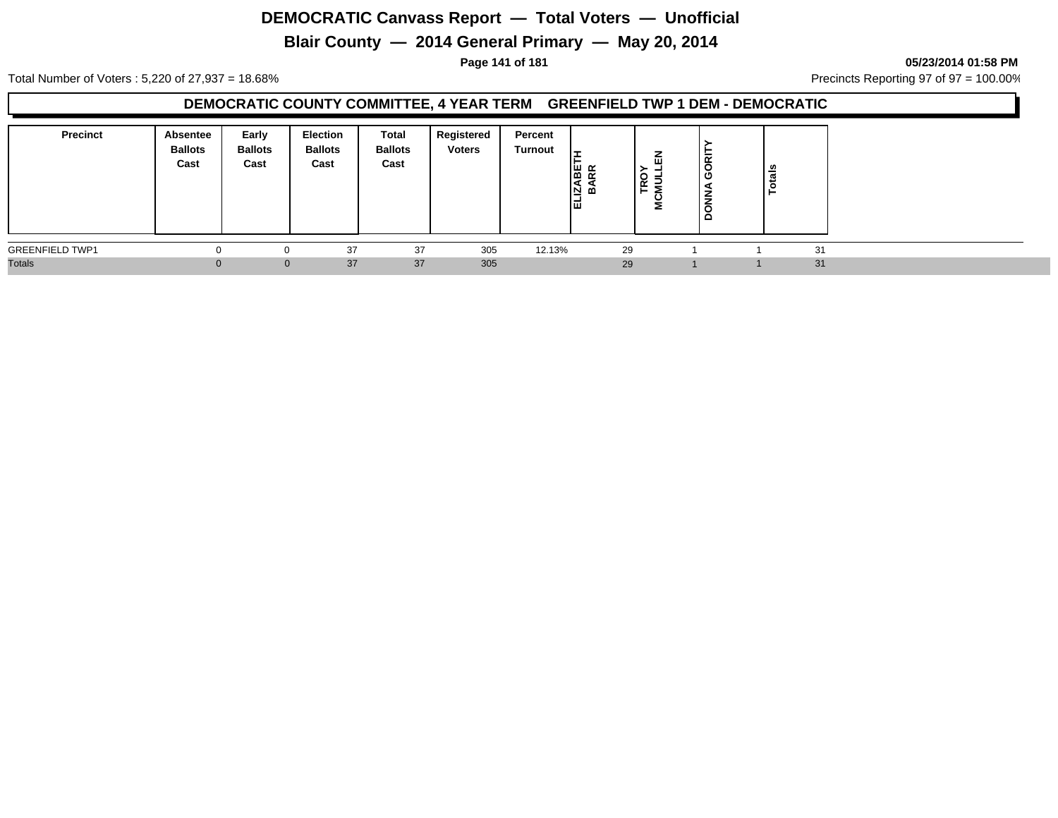# **Blair County — 2014 General Primary — May 20, 2014**

**Page 141 of 181 05/23/2014 01:58 PM**

Total Number of Voters : 5,220 of 27,937 = 18.68% Precincts Reporting 97 of 97 = 100.00%

### **DEMOCRATIC COUNTY COMMITTEE, 4 YEAR TERM GREENFIELD TWP 1 DEM - DEMOCRATIC**

| <b>Precinct</b>        | <b>Absentee</b><br><b>Ballots</b><br>Cast | Early<br><b>Ballots</b><br>Cast | <b>Election</b><br><b>Ballots</b><br>Cast | Total<br><b>Ballots</b><br>Cast | Registered<br><b>Voters</b> | Percent<br><b>Turnout</b> | සි සි<br>I٩<br>同可<br>同 | 血<br><b>TRO</b><br>CMUL<br>Σ | <b>BE</b><br>Φ<br>$rac{1}{5}$<br>õ<br>$\Omega$ | $\frac{1}{5}$ |    |  |
|------------------------|-------------------------------------------|---------------------------------|-------------------------------------------|---------------------------------|-----------------------------|---------------------------|------------------------|------------------------------|------------------------------------------------|---------------|----|--|
| <b>GREENFIELD TWP1</b> |                                           |                                 | 37                                        | 37                              | 305                         | 12.13%                    | 29                     |                              |                                                |               | 31 |  |
| <b>Totals</b>          |                                           |                                 | 37<br>0                                   | 37                              | 305                         |                           | 29                     |                              |                                                |               | 31 |  |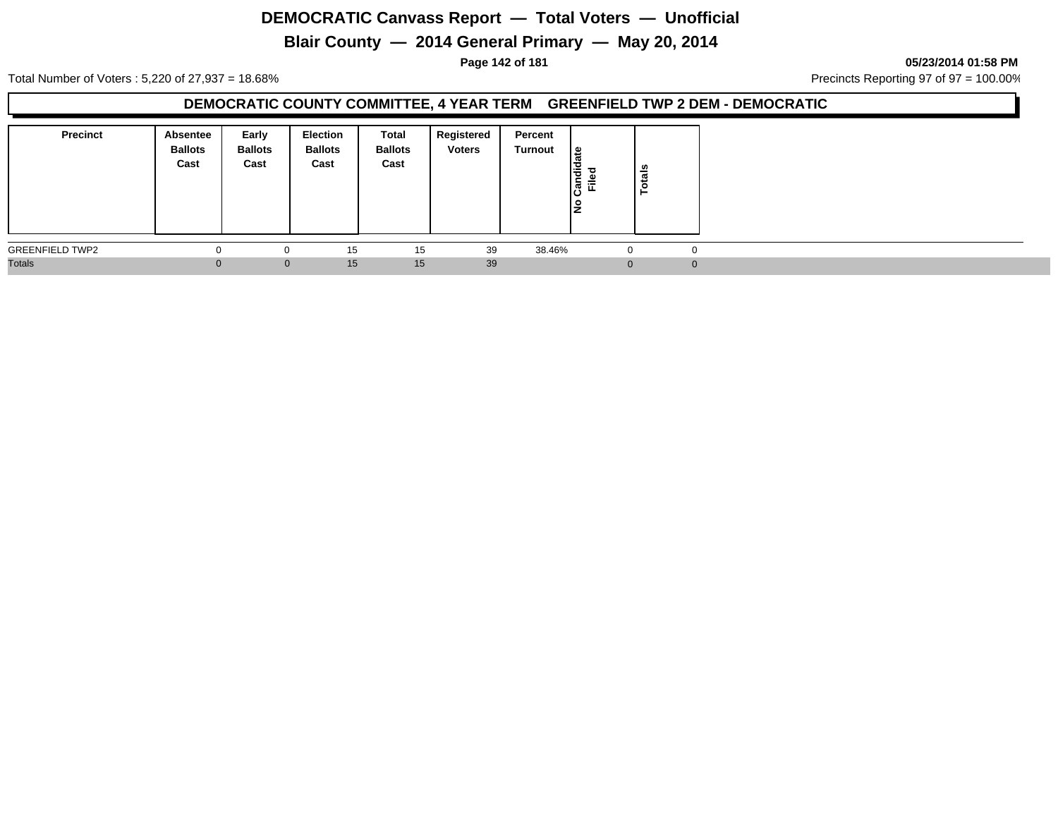# **Blair County — 2014 General Primary — May 20, 2014**

**Page 142 of 181 05/23/2014 01:58 PM**

Total Number of Voters : 5,220 of 27,937 = 18.68% Precincts Reporting 97 of 97 = 100.00%

### **DEMOCRATIC COUNTY COMMITTEE, 4 YEAR TERM GREENFIELD TWP 2 DEM - DEMOCRATIC**

| <b>Precinct</b>        | Absentee<br><b>Ballots</b><br>Cast | Early<br><b>Ballots</b><br>Cast | Election<br><b>Ballots</b><br>Cast | Total<br><b>Ballots</b><br>Cast | Registered<br><b>Voters</b> | Percent<br>Turnout | ا ≅<br>andid<br>ΞĒ<br>ن١<br>١是 | ន់<br>P |          |
|------------------------|------------------------------------|---------------------------------|------------------------------------|---------------------------------|-----------------------------|--------------------|--------------------------------|---------|----------|
| <b>GREENFIELD TWP2</b> | - 0                                | $\Omega$                        | 15                                 | 15                              | 39                          | 38.46%             | $\Omega$                       |         | $\Omega$ |
| <b>Totals</b>          |                                    | $\mathbf{0}$                    | 15                                 | 15                              | 39                          |                    | $\Omega$                       |         | $\Omega$ |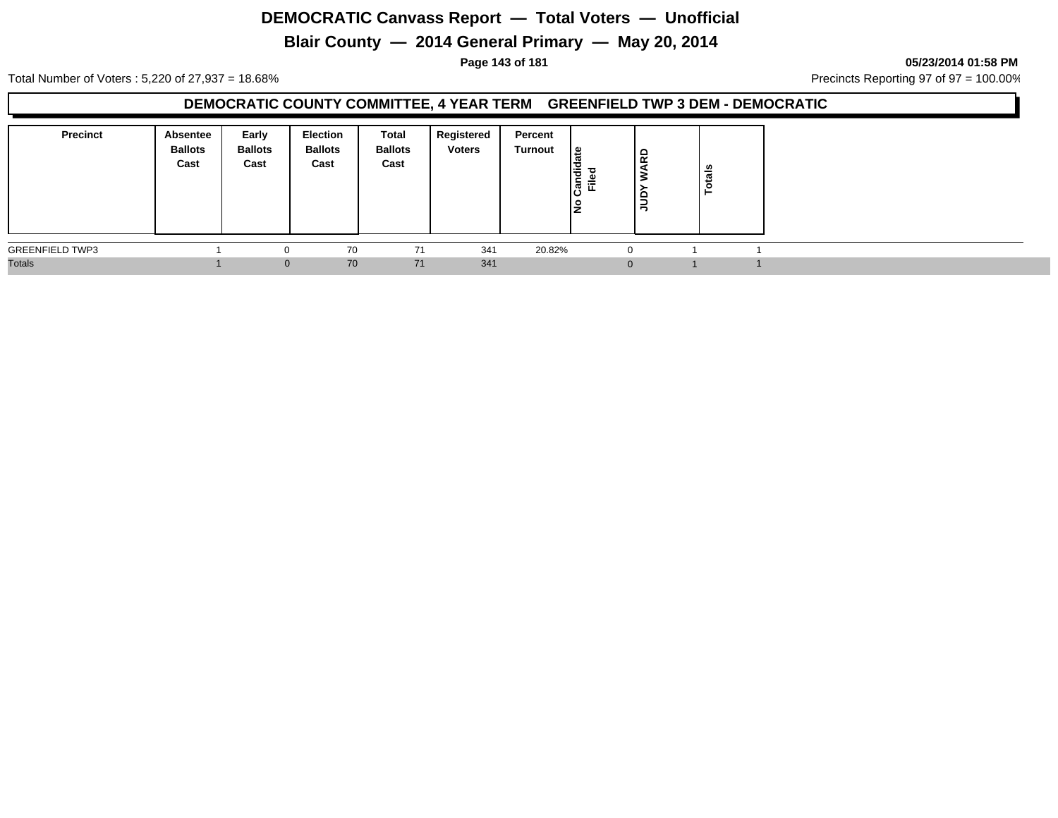# **Blair County — 2014 General Primary — May 20, 2014**

**Page 143 of 181 05/23/2014 01:58 PM**

Total Number of Voters : 5,220 of 27,937 = 18.68% Precincts Reporting 97 of 97 = 100.00%

### **DEMOCRATIC COUNTY COMMITTEE, 4 YEAR TERM GREENFIELD TWP 3 DEM - DEMOCRATIC**

| <b>Precinct</b>        | Absentee<br><b>Ballots</b><br>Cast | Early<br><b>Ballots</b><br>Cast | Election<br><b>Ballots</b><br>Cast | Total<br><b>Ballots</b><br>Cast | Registered<br><b>Voters</b> | Percent<br>Turnout | ہ  <br>'ਰ<br>∣ਨੋ⊡ | ဋ<br>$\frac{6}{2}$ | <b>Totals</b> |  |
|------------------------|------------------------------------|---------------------------------|------------------------------------|---------------------------------|-----------------------------|--------------------|-------------------|--------------------|---------------|--|
| <b>GREENFIELD TWP3</b> |                                    | 0                               | 70                                 | 71                              | 341                         | 20.82%             | 0                 |                    |               |  |
| <b>Totals</b>          |                                    | $\mathbf{0}$                    | 70                                 | 71                              | 341                         |                    | $\Omega$          |                    |               |  |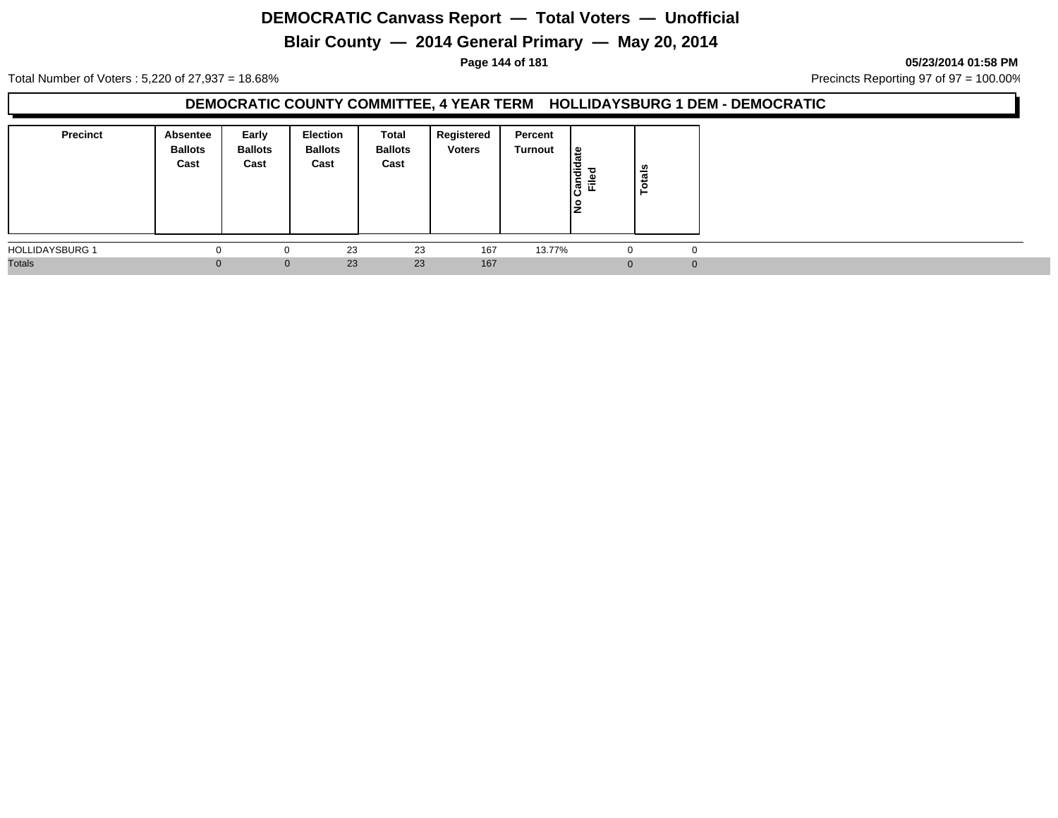# **Blair County — 2014 General Primary — May 20, 2014**

**Page 144 of 181 05/23/2014 01:58 PM**

Total Number of Voters : 5,220 of 27,937 = 18.68% Precincts Reporting 97 of 97 = 100.00%

### **DEMOCRATIC COUNTY COMMITTEE, 4 YEAR TERM HOLLIDAYSBURG 1 DEM - DEMOCRATIC**

| <b>Precinct</b>        | Absentee<br><b>Ballots</b><br>Cast | Early<br><b>Ballots</b><br>Cast | <b>Election</b><br><b>Ballots</b><br>Cast | Total<br><b>Ballots</b><br>Cast | Registered<br><b>Voters</b> | Percent<br>Turnout | ہ ا<br>ю<br>も<br>윷ቘ | Totals   |  |
|------------------------|------------------------------------|---------------------------------|-------------------------------------------|---------------------------------|-----------------------------|--------------------|---------------------|----------|--|
| <b>HOLLIDAYSBURG 1</b> | $\Omega$                           | 0                               | 23                                        | 23                              | 167                         | 13.77%             | $\Omega$            |          |  |
| <b>Totals</b>          | $\Omega$                           | $\mathbf{0}$                    | 23                                        | 23                              | 167                         |                    | $\Omega$            | $\Omega$ |  |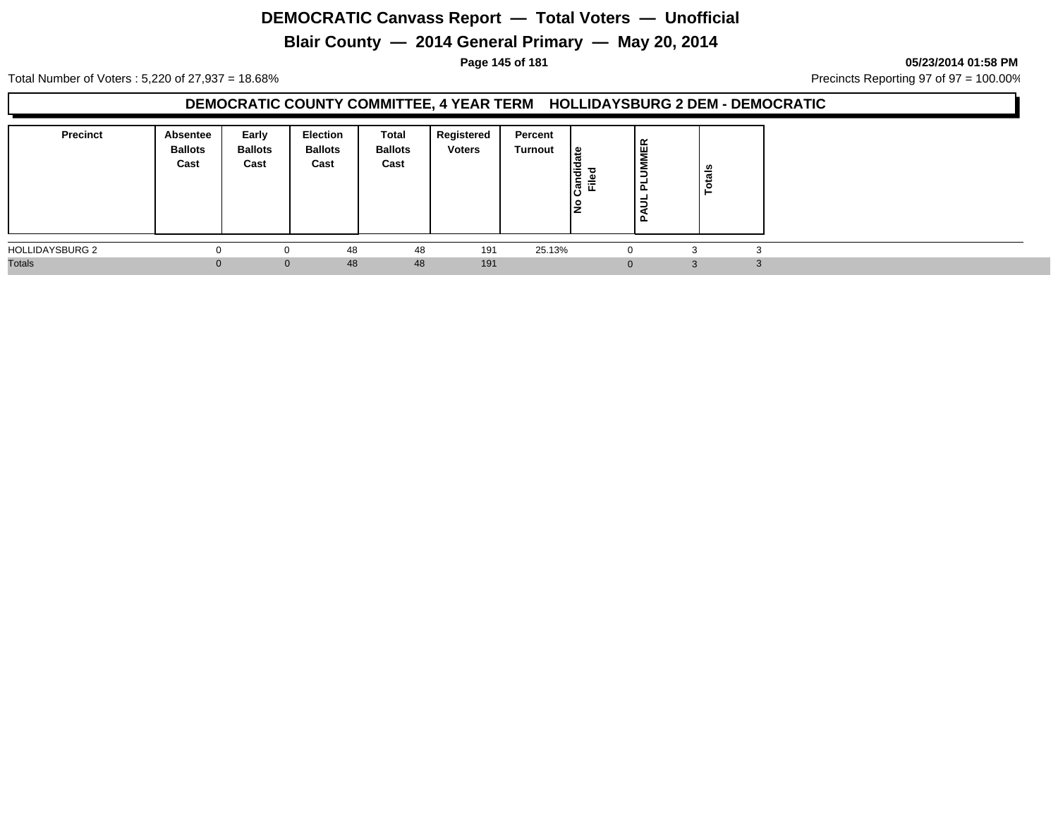# **Blair County — 2014 General Primary — May 20, 2014**

**Page 145 of 181 05/23/2014 01:58 PM**

Total Number of Voters : 5,220 of 27,937 = 18.68% Precincts Reporting 97 of 97 = 100.00%

### **DEMOCRATIC COUNTY COMMITTEE, 4 YEAR TERM HOLLIDAYSBURG 2 DEM - DEMOCRATIC**

| <b>Precinct</b>        | <b>Absentee</b><br><b>Ballots</b><br>Cast | Early<br><b>Ballots</b><br>Cast | <b>Election</b><br><b>Ballots</b><br>Cast | Total<br><b>Ballots</b><br>Cast | Registered<br><b>Voters</b> | Percent<br>Turnout | ீ<br>iandied<br>Filed | <b>IMER</b><br>2<br>-<br>௨<br>-<br>-<br>-<br>ם ו | n<br>otai |  |
|------------------------|-------------------------------------------|---------------------------------|-------------------------------------------|---------------------------------|-----------------------------|--------------------|-----------------------|--------------------------------------------------|-----------|--|
| <b>HOLLIDAYSBURG 2</b> |                                           | $\Omega$                        | 48                                        | 48                              | 191                         | 25.13%             |                       |                                                  | 3         |  |
| <b>Totals</b>          |                                           | $\Omega$                        | 48                                        | 48                              | 191                         |                    |                       |                                                  | $\Omega$  |  |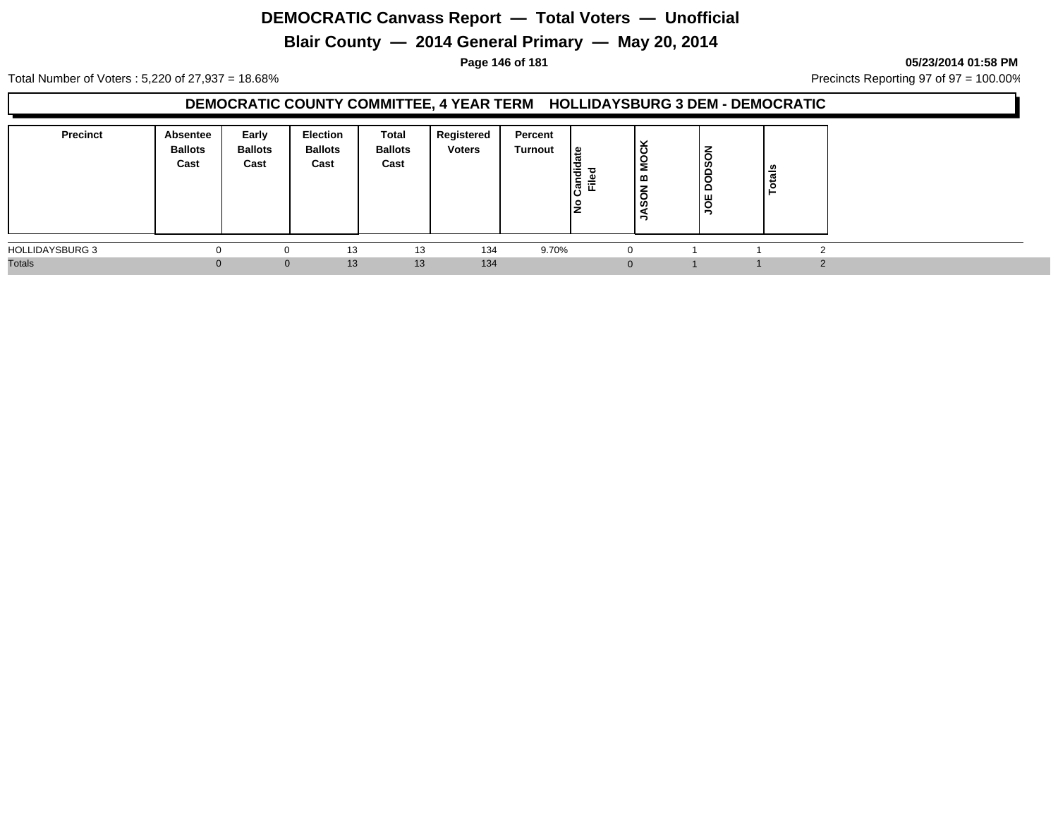# **Blair County — 2014 General Primary — May 20, 2014**

**Page 146 of 181 05/23/2014 01:58 PM**

Total Number of Voters : 5,220 of 27,937 = 18.68% Precincts Reporting 97 of 97 = 100.00%

### **DEMOCRATIC COUNTY COMMITTEE, 4 YEAR TERM HOLLIDAYSBURG 3 DEM - DEMOCRATIC**

| <b>Precinct</b>        | Absentee<br><b>Ballots</b><br>Cast | Early<br><b>Ballots</b><br>Cast | Election<br><b>Ballots</b><br>Cast | Total<br><b>Ballots</b><br>Cast | Registered<br><b>Voters</b> | Percent<br>Turnout | <u> ഉ</u><br>I÷<br>ċ<br>Ē.<br>$\boldsymbol{\varpi}$ | č<br>g<br>മ<br>⇁<br>O<br>ທ<br>= | ODSON<br>$\Omega$<br>∣ g | otals |  |
|------------------------|------------------------------------|---------------------------------|------------------------------------|---------------------------------|-----------------------------|--------------------|-----------------------------------------------------|---------------------------------|--------------------------|-------|--|
| <b>HOLLIDAYSBURG 3</b> |                                    | $\Omega$                        | 13                                 | 13                              | 134                         | 9.70%              |                                                     | $\Omega$                        |                          |       |  |
| <b>Totals</b>          |                                    | $\Omega$                        | 13                                 | 13                              | 134                         |                    |                                                     |                                 |                          |       |  |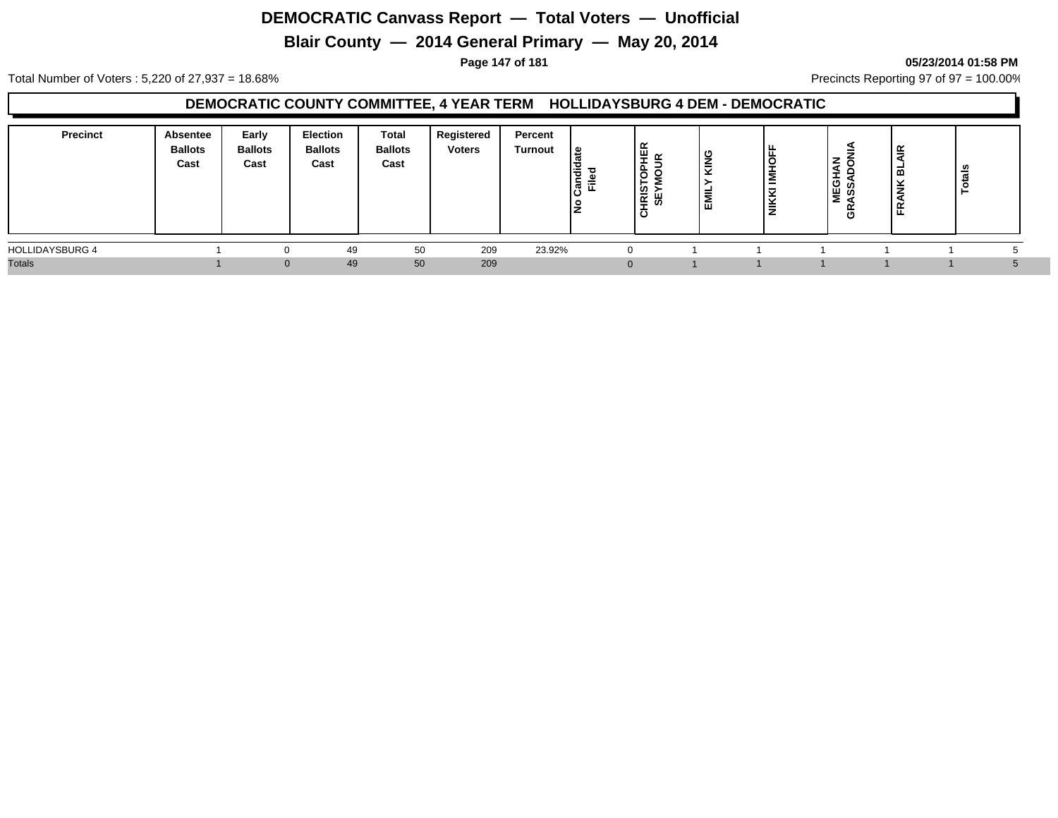# **Blair County — 2014 General Primary — May 20, 2014**

#### **Page 147 of 181 05/23/2014 01:58 PM**

Total Number of Voters : 5,220 of 27,937 = 18.68% Precincts Reporting 97 of 97 = 100.00%

#### **DEMOCRATIC COUNTY COMMITTEE, 4 YEAR TERM HOLLIDAYSBURG 4 DEM - DEMOCRATIC**

| <b>Precinct</b>        | Absentee<br><b>Ballots</b><br>Cast | Early<br><b>Ballots</b><br>Cast | <b>Election</b><br><b>Ballots</b><br>Cast | Total<br><b>Ballots</b><br>Cast | Registered<br><b>Voters</b> | Percent<br>Turnout | ہ ا<br>I÷<br>$\epsilon$<br> ਫ਼ੈਂ ⊏ੋ<br>١ž | ່∝<br>₩<br><b>TRIS<br/>SEY</b><br>τē | פ<br>$\overline{\phantom{a}}$<br>-<br>ш | ີ<br>-<br>-<br>ັ<br>$\overline{\phantom{0}}$<br>₿ | z<br>-<br>NEGH<br>ASSA<br>$\alpha$<br>Φ | $\tilde{\phantom{a}}$<br>띀<br>--<br>▥<br>¥<br>÷ | ឹ |  |
|------------------------|------------------------------------|---------------------------------|-------------------------------------------|---------------------------------|-----------------------------|--------------------|-------------------------------------------|--------------------------------------|-----------------------------------------|---------------------------------------------------|-----------------------------------------|-------------------------------------------------|---|--|
| <b>HOLLIDAYSBURG 4</b> |                                    |                                 | 49                                        | 50                              | 209                         | 23.92%             |                                           |                                      |                                         |                                                   |                                         |                                                 |   |  |
| <b>Totals</b>          |                                    |                                 | 49                                        | 50                              | 209                         |                    |                                           |                                      |                                         |                                                   |                                         |                                                 |   |  |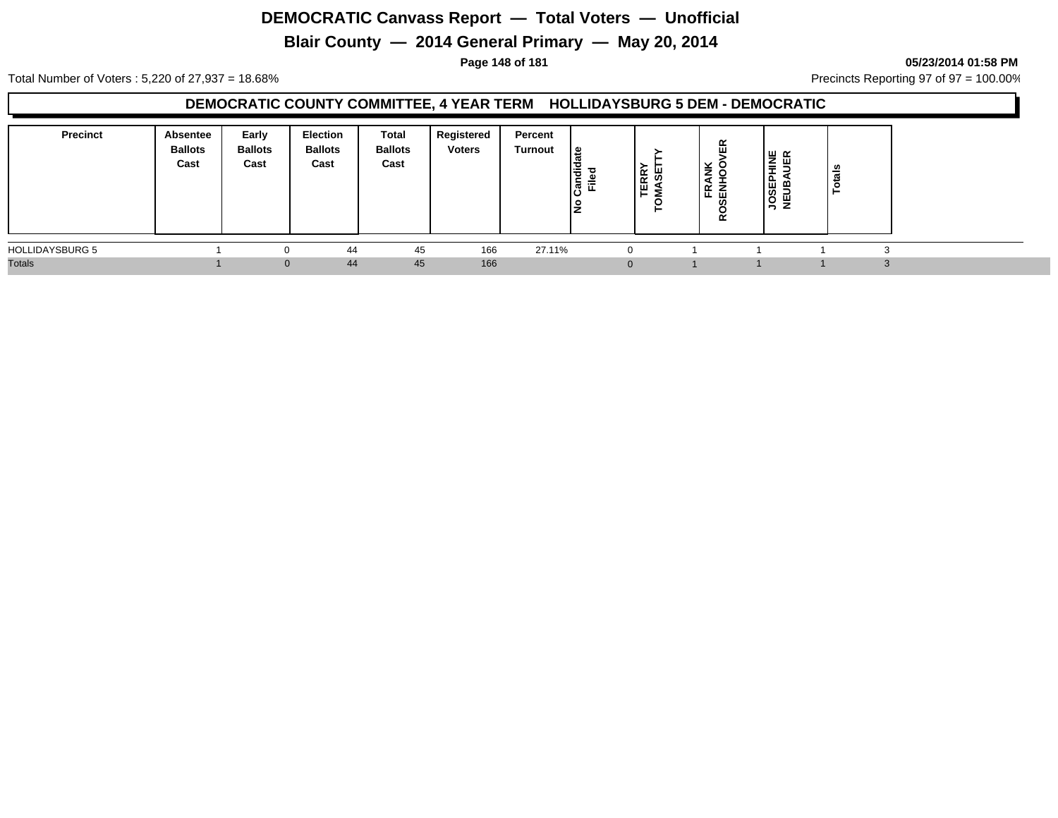# **Blair County — 2014 General Primary — May 20, 2014**

**Page 148 of 181 05/23/2014 01:58 PM**

Total Number of Voters : 5,220 of 27,937 = 18.68% Precincts Reporting 97 of 97 = 100.00%

#### **DEMOCRATIC COUNTY COMMITTEE, 4 YEAR TERM HOLLIDAYSBURG 5 DEM - DEMOCRATIC**

| <b>Precinct</b>        | Absentee<br><b>Ballots</b><br>Cast | Early<br><b>Ballots</b><br>Cast | <b>Election</b><br><b>Ballots</b><br>Cast | Total<br><b>Ballots</b><br>Cast | Registered<br><b>Voters</b> | Percent<br>Turnout | உ<br>andid<br>ᇃ<br>File | <b>TERRY</b><br>₩<br>Ξ | ≃<br>ш<br>$\geqslant 8$<br>ᄹᄛ<br>ഗ<br>$\alpha$ | ∕∟ ⊔<br>l≣<br><b>JOSEI</b><br><br>z |                   |  |
|------------------------|------------------------------------|---------------------------------|-------------------------------------------|---------------------------------|-----------------------------|--------------------|-------------------------|------------------------|------------------------------------------------|-------------------------------------|-------------------|--|
| <b>HOLLIDAYSBURG 5</b> |                                    | 0                               | 44                                        | 45                              | 166                         | 27.11%             |                         |                        |                                                |                                     | $\sim$            |  |
| <b>Totals</b>          |                                    | $\Omega$                        | 44                                        | 45                              | 166                         |                    |                         |                        |                                                |                                     | $\sim$<br>$\cdot$ |  |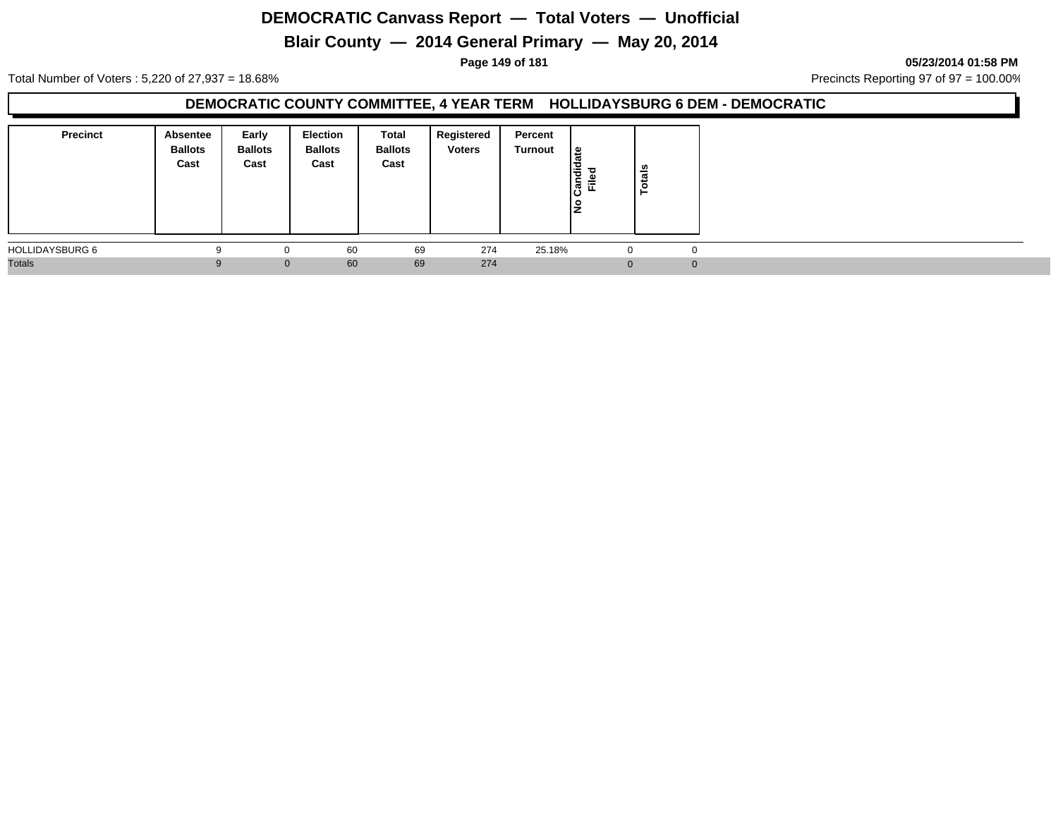# **Blair County — 2014 General Primary — May 20, 2014**

**Page 149 of 181 05/23/2014 01:58 PM**

Total Number of Voters : 5,220 of 27,937 = 18.68% Precincts Reporting 97 of 97 = 100.00%

### **DEMOCRATIC COUNTY COMMITTEE, 4 YEAR TERM HOLLIDAYSBURG 6 DEM - DEMOCRATIC**

| Precinct               | Absentee<br><b>Ballots</b><br>Cast | Early<br><b>Ballots</b><br>Cast | Election<br><b>Ballots</b><br>Cast | Total<br><b>Ballots</b><br>Cast | Registered<br><b>Voters</b> | Percent<br>Turnout | $\frac{1}{3}$<br>Candid<br>Ē.<br>١ž | នឹ<br>تو<br>O<br>- |          |  |  |
|------------------------|------------------------------------|---------------------------------|------------------------------------|---------------------------------|-----------------------------|--------------------|-------------------------------------|--------------------|----------|--|--|
| <b>HOLLIDAYSBURG 6</b> |                                    |                                 | 60                                 | 69                              | 274                         | 25.18%             |                                     |                    | $\Omega$ |  |  |
| <b>Totals</b>          |                                    | $\mathbf{0}$                    | 60                                 | 69                              | 274                         |                    | $\Omega$                            |                    | $\Omega$ |  |  |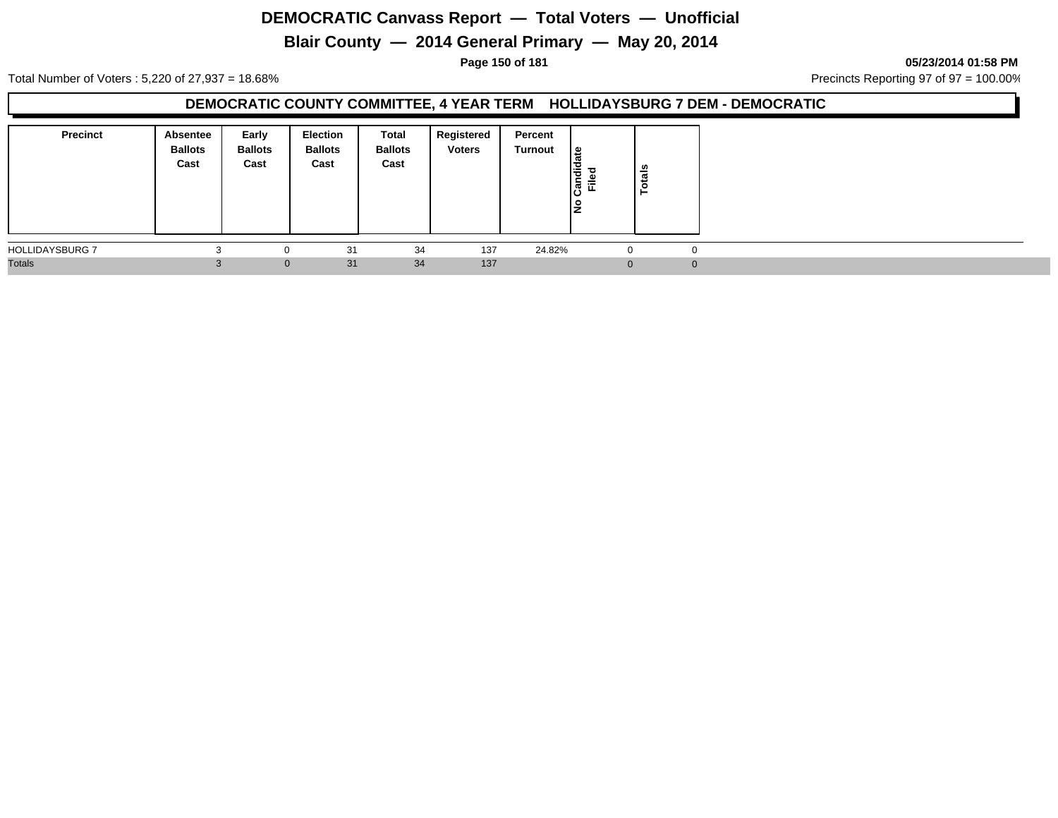# **Blair County — 2014 General Primary — May 20, 2014**

**Page 150 of 181 05/23/2014 01:58 PM**

Total Number of Voters : 5,220 of 27,937 = 18.68% Precincts Reporting 97 of 97 = 100.00%

### **DEMOCRATIC COUNTY COMMITTEE, 4 YEAR TERM HOLLIDAYSBURG 7 DEM - DEMOCRATIC**

| <b>Precinct</b>        | Absentee<br><b>Ballots</b><br>Cast | Early<br><b>Ballots</b><br>Cast | Election<br><b>Ballots</b><br>Cast | Total<br><b>Ballots</b><br>Cast | Registered<br><b>Voters</b> | Percent<br>Turnout | $\frac{1}{3}$<br>$\frac{1}{2}$<br>Filed | als<br>Ĕ |
|------------------------|------------------------------------|---------------------------------|------------------------------------|---------------------------------|-----------------------------|--------------------|-----------------------------------------|----------|
| <b>HOLLIDAYSBURG 7</b> |                                    | 0                               | 31                                 | 34                              | 137                         | 24.82%             | $\Omega$                                |          |
| <b>Totals</b>          |                                    | $\mathbf{0}$                    | 31                                 | 34                              | 137                         |                    | $\Omega$                                | $\Omega$ |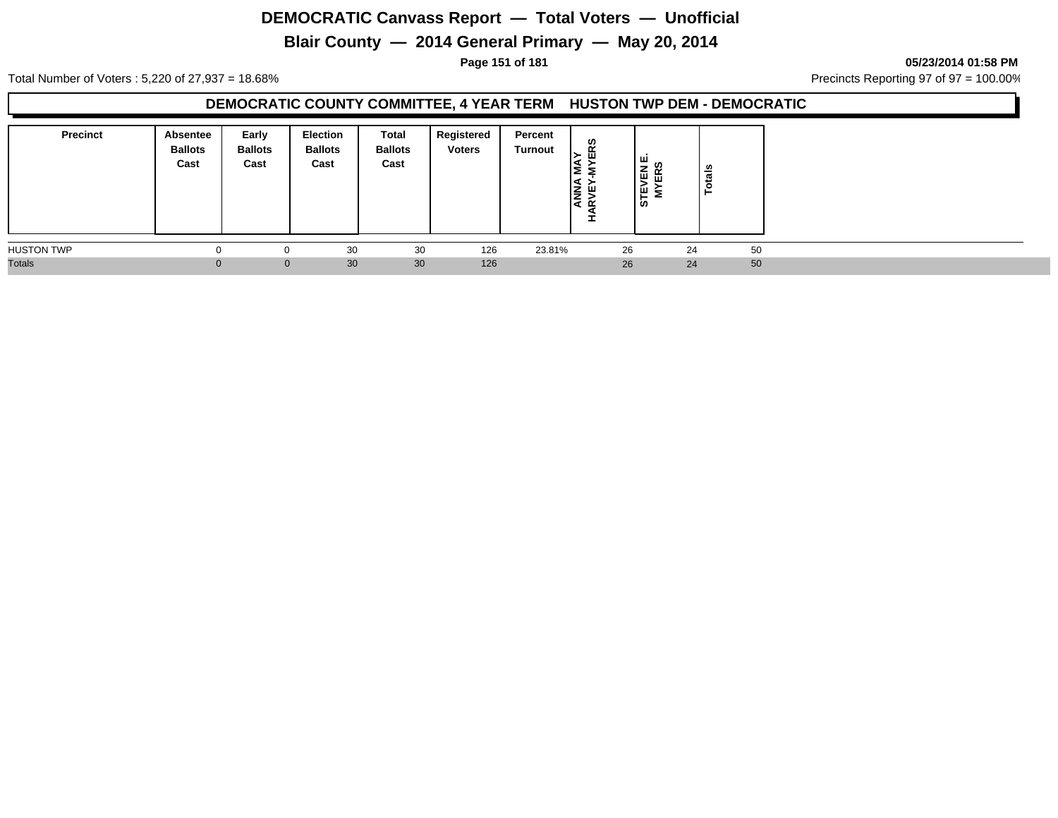# **Blair County — 2014 General Primary — May 20, 2014**

**Page 151 of 181 05/23/2014 01:58 PM**

Total Number of Voters : 5,220 of 27,937 = 18.68% Precincts Reporting 97 of 97 = 100.00%

### **DEMOCRATIC COUNTY COMMITTEE, 4 YEAR TERM HUSTON TWP DEM - DEMOCRATIC**

| <b>Precinct</b>   | Absentee<br><b>Ballots</b><br>Cast | Early<br><b>Ballots</b><br>Cast | <b>Election</b><br><b>Ballots</b><br>Cast | Total<br><b>Ballots</b><br>Cast | Registered<br><b>Voters</b> | Percent<br>Turnout | ທ<br>띥<br><b>ANN</b><br>RVEY<br>$\alpha$ | ا سا<br>ທ<br><b>STEVEN</b><br>MYERS<br>岛 | otals |    |  |
|-------------------|------------------------------------|---------------------------------|-------------------------------------------|---------------------------------|-----------------------------|--------------------|------------------------------------------|------------------------------------------|-------|----|--|
| <b>HUSTON TWP</b> |                                    |                                 | 30                                        | 30                              | 126                         | 23.81%             | 26                                       |                                          | 24    | 50 |  |
| <b>Totals</b>     |                                    | $\Omega$                        | 30                                        | 30                              | 126                         |                    | 26                                       |                                          | 24    | 50 |  |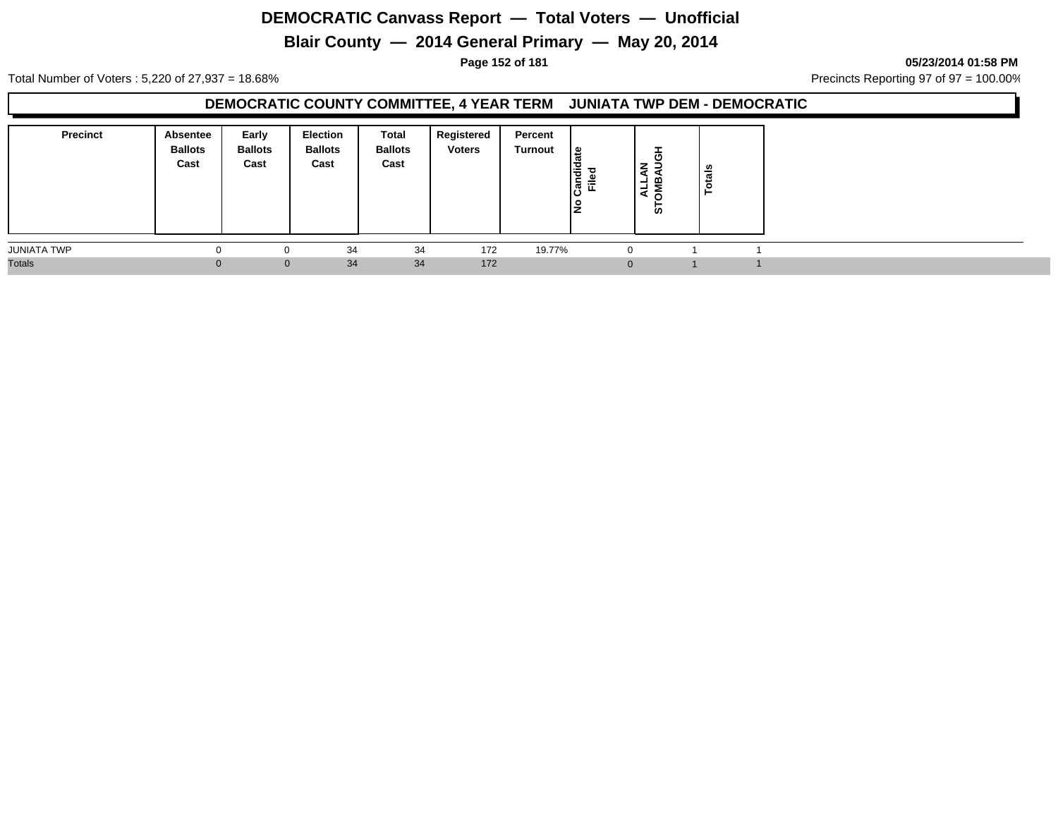# **Blair County — 2014 General Primary — May 20, 2014**

**Page 152 of 181 05/23/2014 01:58 PM**

Total Number of Voters : 5,220 of 27,937 = 18.68% Precincts Reporting 97 of 97 = 100.00%

#### **DEMOCRATIC COUNTY COMMITTEE, 4 YEAR TERM JUNIATA TWP DEM - DEMOCRATIC**

| <b>Precinct</b>    | <b>Absentee</b><br><b>Ballots</b><br>Cast | Early<br><b>Ballots</b><br>Cast | <b>Election</b><br><b>Ballots</b><br>Cast | Total<br><b>Ballots</b><br>Cast | Registered<br><b>Voters</b> | Percent<br>Turnout | <u> ഉ</u><br>Candid<br>Filed | -<br>壱<br>z<br>മ<br>⊣<br>ਵ<br>-<br>5 | otals |  |  |
|--------------------|-------------------------------------------|---------------------------------|-------------------------------------------|---------------------------------|-----------------------------|--------------------|------------------------------|--------------------------------------|-------|--|--|
| <b>JUNIATA TWP</b> | $\Omega$                                  |                                 | 34                                        | 34                              | 172                         | 19.77%             |                              |                                      |       |  |  |
| <b>Totals</b>      |                                           | $\mathbf{0}$                    | 34                                        | 34                              | 172                         |                    |                              | $\Omega$                             |       |  |  |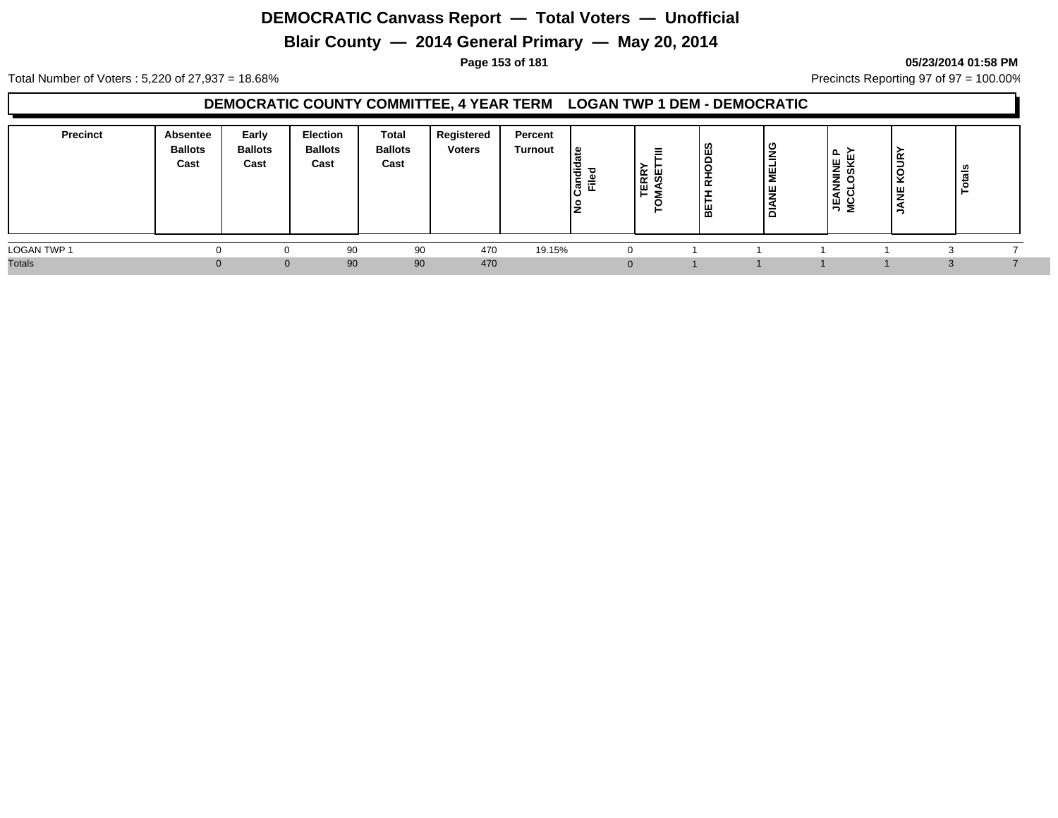# **Blair County — 2014 General Primary — May 20, 2014**

#### **Page 153 of 181 05/23/2014 01:58 PM**

Total Number of Voters : 5,220 of 27,937 = 18.68% Precincts Reporting 97 of 97 = 100.00%

#### **DEMOCRATIC COUNTY COMMITTEE, 4 YEAR TERM LOGAN TWP 1 DEM - DEMOCRATIC**

| <b>Precinct</b>    | Absentee<br><b>Ballots</b><br>Cast | Early<br><b>Ballots</b><br>Cast | <b>Election</b><br><b>Ballots</b><br>Cast | Total<br><b>Ballots</b><br>Cast | Registered<br><b>Voters</b> | Percent<br>Turnout | ہ  <br>Candid<br>Filed<br>١ş | -<br>$\overline{\phantom{a}}$<br>$R$ SE | ທ<br>ш<br>$\circ$<br>$\alpha$<br>뿖 | <u>്</u><br>-<br>ய<br>-<br>ш<br>-<br>− | $\sim$<br><b>JEANNINE</b><br>MCCLOSKE | ≃<br>Ξ<br>ັ<br>⊻<br>쁮 | ៖<br>÷<br>- 0 |  |
|--------------------|------------------------------------|---------------------------------|-------------------------------------------|---------------------------------|-----------------------------|--------------------|------------------------------|-----------------------------------------|------------------------------------|----------------------------------------|---------------------------------------|-----------------------|---------------|--|
| <b>LOGAN TWP 1</b> |                                    |                                 | 90                                        | 90                              | 470                         | 19.15%             |                              |                                         |                                    |                                        |                                       |                       |               |  |
| <b>Totals</b>      | $\Omega$                           | 0.                              | 90                                        | 90                              | 470                         |                    |                              |                                         |                                    |                                        |                                       | n                     | $\cdot$       |  |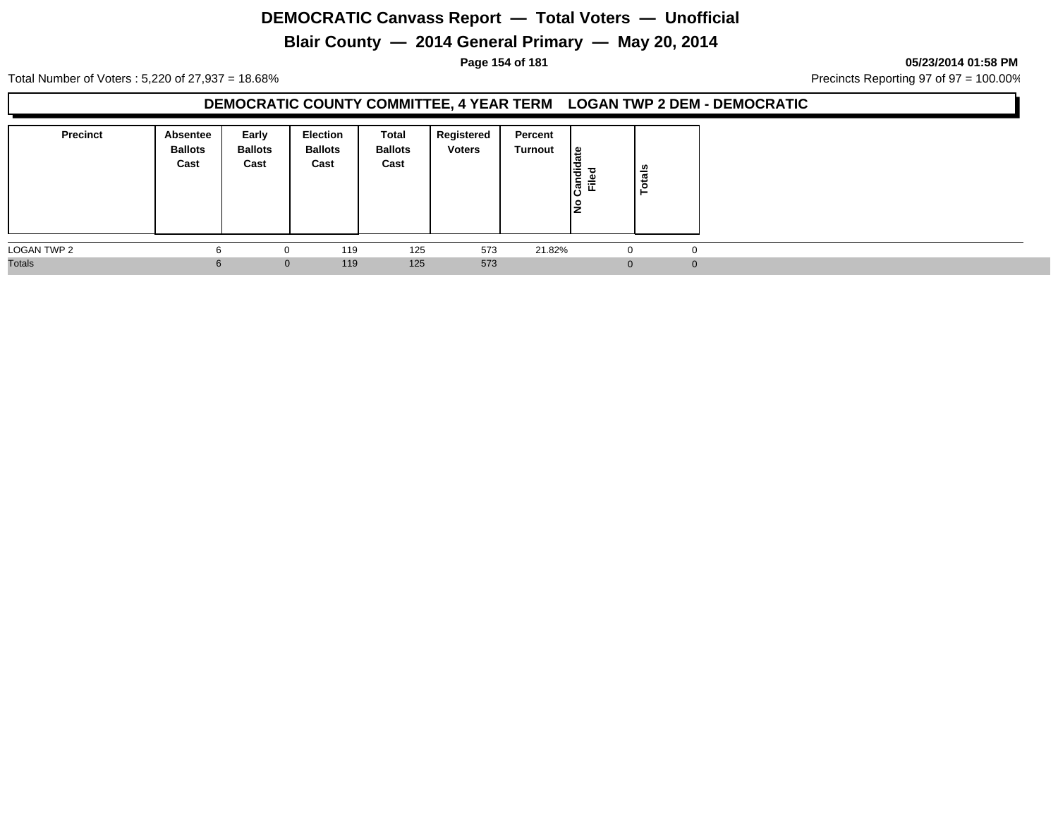# **Blair County — 2014 General Primary — May 20, 2014**

**Page 154 of 181 05/23/2014 01:58 PM**

Total Number of Voters : 5,220 of 27,937 = 18.68% Precincts Reporting 97 of 97 = 100.00%

### **DEMOCRATIC COUNTY COMMITTEE, 4 YEAR TERM LOGAN TWP 2 DEM - DEMOCRATIC**

| <b>Precinct</b> | Absentee<br><b>Ballots</b><br>Cast | Early<br><b>Ballots</b><br>Cast | <b>Election</b><br><b>Ballots</b><br>Cast | Total<br><b>Ballots</b><br>Cast | Registered<br><b>Voters</b> | Percent<br>Turnout | l≗<br>ത<br>Candid<br><b>Filed</b><br>١£ | <b>otals</b><br>− |  |
|-----------------|------------------------------------|---------------------------------|-------------------------------------------|---------------------------------|-----------------------------|--------------------|-----------------------------------------|-------------------|--|
| LOGAN TWP 2     |                                    | 0                               | 119                                       | 125                             | 573                         | 21.82%             | <b>U</b>                                | $\mathbf 0$       |  |
| <b>Totals</b>   | 6                                  | $\mathbf{0}$                    | 119                                       | 125                             | 573                         |                    | $\Omega$                                | $\overline{0}$    |  |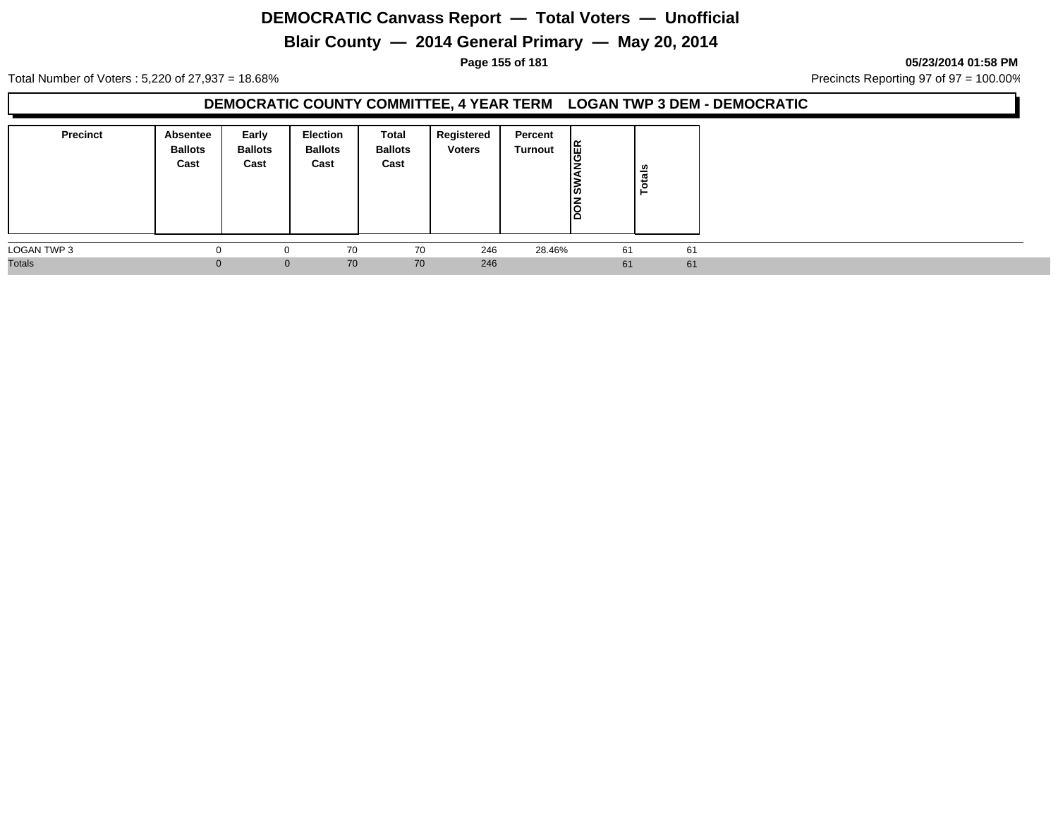# **Blair County — 2014 General Primary — May 20, 2014**

**Page 155 of 181 05/23/2014 01:58 PM**

Total Number of Voters : 5,220 of 27,937 = 18.68% Precincts Reporting 97 of 97 = 100.00%

### **DEMOCRATIC COUNTY COMMITTEE, 4 YEAR TERM LOGAN TWP 3 DEM - DEMOCRATIC**

| <b>Precinct</b> | <b>Absentee</b><br><b>Ballots</b><br>Cast | Early<br><b>Ballots</b><br>Cast | <b>Election</b><br><b>Ballots</b><br>Cast | Total<br><b>Ballots</b><br>Cast | Registered<br><b>Voters</b> | Percent<br>Turnout | <b>JER</b><br>שו<br>∏<br>S | otals |    |
|-----------------|-------------------------------------------|---------------------------------|-------------------------------------------|---------------------------------|-----------------------------|--------------------|----------------------------|-------|----|
| LOGAN TWP 3     |                                           |                                 | 70                                        | 70                              | 246                         | 28.46%             | 61                         |       | 61 |
| <b>Totals</b>   |                                           | $\mathbf{0}$                    | 70                                        | 70                              | 246                         |                    | 61                         |       | 61 |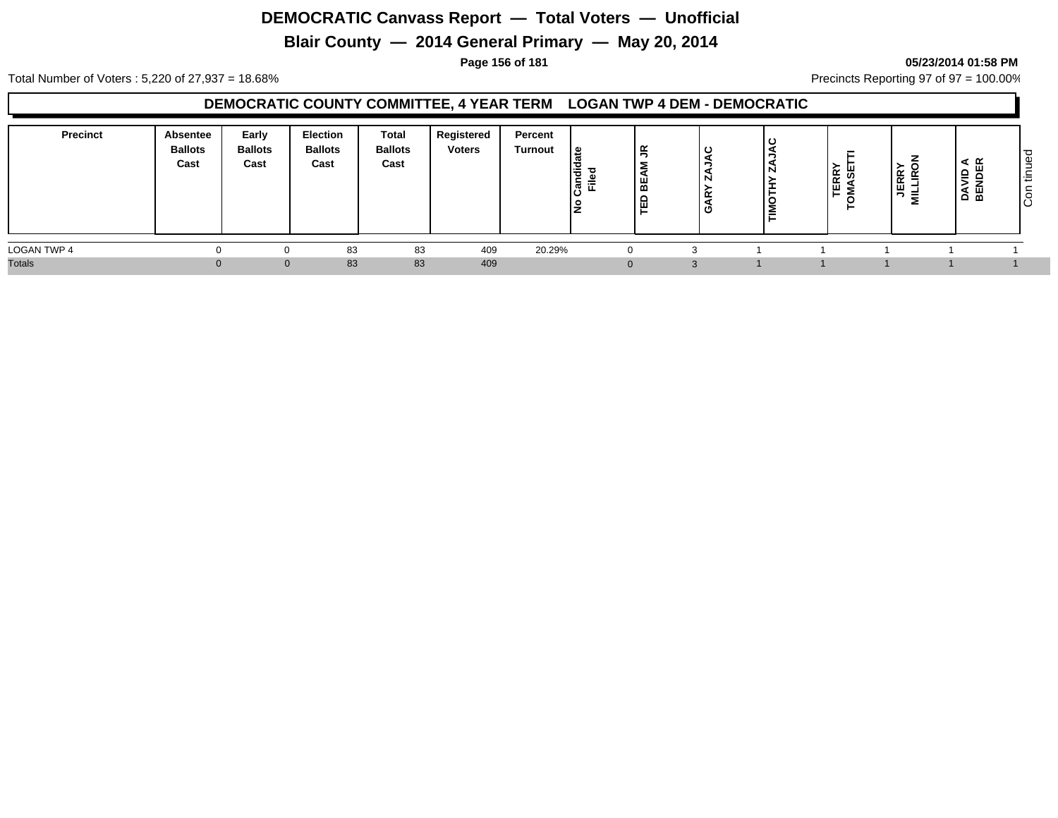# **Blair County — 2014 General Primary — May 20, 2014**

#### **Page 156 of 181 05/23/2014 01:58 PM**

Total Number of Voters : 5,220 of 27,937 = 18.68% Precincts Reporting 97 of 97 = 100.00%

#### **DEMOCRATIC COUNTY COMMITTEE, 4 YEAR TERM LOGAN TWP 4 DEM - DEMOCRATIC**

| <b>Precinct</b>    | <b>Absentee</b><br><b>Ballots</b><br>Cast | Early<br><b>Ballots</b><br>Cast | Election<br><b>Ballots</b><br>Cast | Total<br><b>Ballots</b><br>Cast | Registered<br><b>Voters</b> | Percent<br><b>Turnout</b> | . ဗ<br>I÷<br>ြီ<br>o<br>ΙŽ | 鸟        | ا د<br>או<br>- | -<br><b>TERRY</b><br>MASET<br>$\circ$<br>► | $\begin{array}{c} \n\overline{AB} \\ \overline{AB} \\ \overline{BA} \\ \overline{BA} \\ \overline{BA} \\ \overline{BA} \\ \overline{BA} \\ \overline{BA} \\ \overline{BA} \\ \overline{BA} \\ \overline{BA} \\ \overline{BA} \\ \overline{BA} \\ \overline{BA} \\ \overline{BA} \\ \overline{BA} \\ \overline{BA} \\ \overline{BA} \\ \overline{BA} \\ \overline{BA} \\ \overline{BA} \\ \overline{BA} \\ \overline{BA} \\ \overline{BA} \\ \overline{BA} \\ \overline{BA} \\ \overline{BA} \\ \overline{BA} \\ \overline{BA} \\ \overline{BA} \\ \$<br>릏 | =<br>മ മ | ت<br>Φ<br>$\overline{\phantom{a}}$<br>÷<br>ັ<br>ΙO |
|--------------------|-------------------------------------------|---------------------------------|------------------------------------|---------------------------------|-----------------------------|---------------------------|----------------------------|----------|----------------|--------------------------------------------|-----------------------------------------------------------------------------------------------------------------------------------------------------------------------------------------------------------------------------------------------------------------------------------------------------------------------------------------------------------------------------------------------------------------------------------------------------------------------------------------------------------------------------------------------------------|----------|----------------------------------------------------|
| <b>LOGAN TWP 4</b> |                                           |                                 | 83                                 | 83                              | 409                         | 20.29%                    |                            | 0        |                |                                            |                                                                                                                                                                                                                                                                                                                                                                                                                                                                                                                                                           |          |                                                    |
| <b>Totals</b>      |                                           |                                 | 83                                 | 83                              | 409                         |                           |                            | $\Omega$ |                |                                            |                                                                                                                                                                                                                                                                                                                                                                                                                                                                                                                                                           |          |                                                    |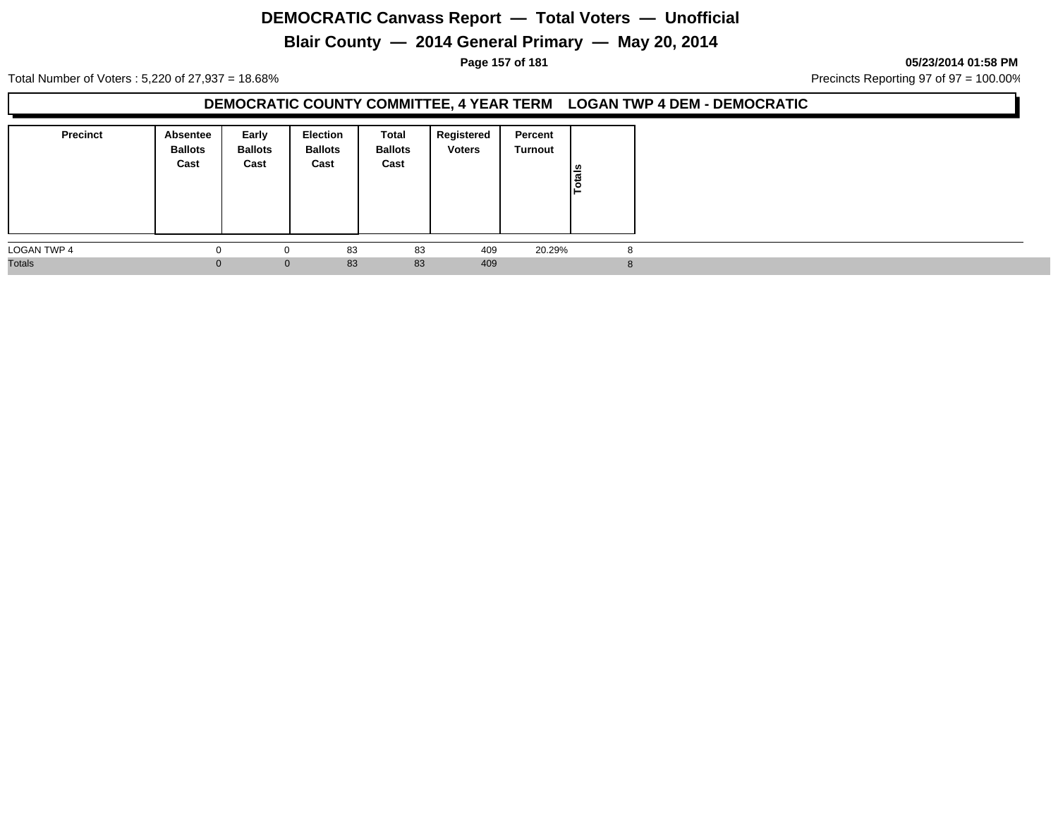# **Blair County — 2014 General Primary — May 20, 2014**

**Page 157 of 181 05/23/2014 01:58 PM**

Total Number of Voters : 5,220 of 27,937 = 18.68% Precincts Reporting 97 of 97 = 100.00%

#### **DEMOCRATIC COUNTY COMMITTEE, 4 YEAR TERM LOGAN TWP 4 DEM - DEMOCRATIC**

| <b>Precinct</b>    | Absentee<br><b>Ballots</b><br>Cast | Early<br><b>Ballots</b><br>Cast | <b>Election</b><br><b>Ballots</b><br>Cast | Total<br><b>Ballots</b><br>Cast | Registered<br><b>Voters</b> | Percent<br>Turnout | otals |
|--------------------|------------------------------------|---------------------------------|-------------------------------------------|---------------------------------|-----------------------------|--------------------|-------|
| <b>LOGAN TWP 4</b> |                                    | 0                               | 83                                        | 83                              | 409                         | 20.29%             | -8    |
| <b>Totals</b>      |                                    | $\mathbf{0}$                    | 83                                        | 83                              | 409                         |                    | 8     |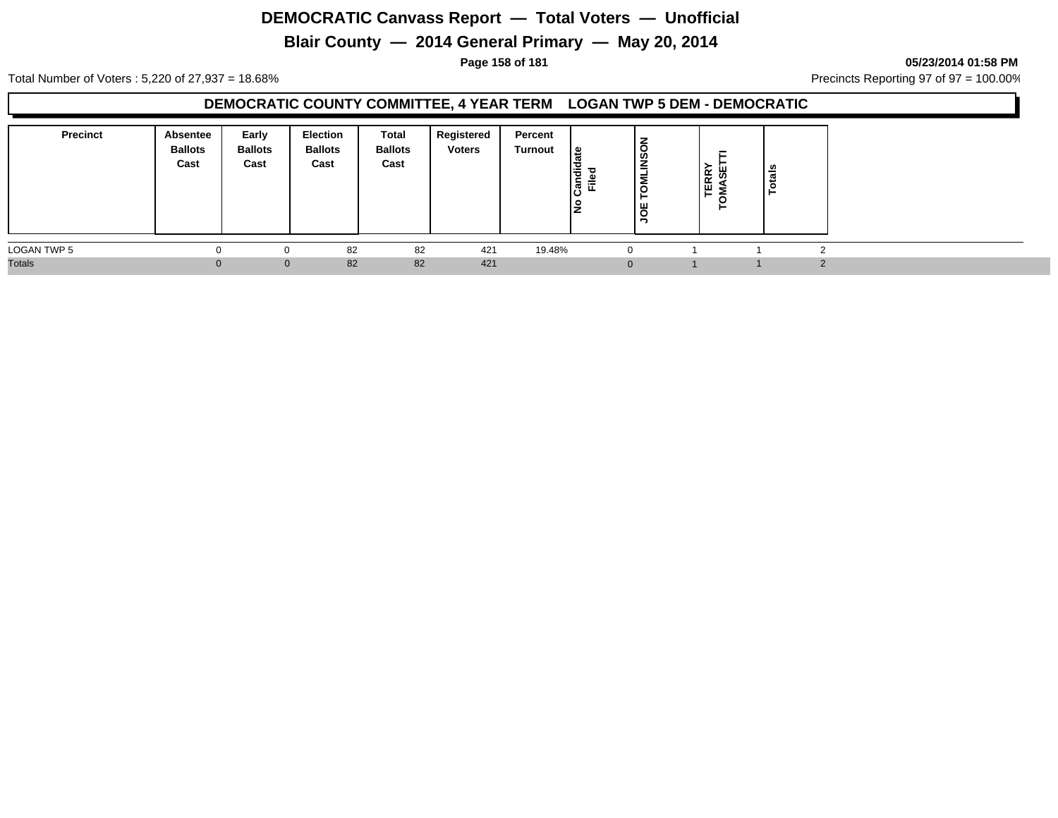# **Blair County — 2014 General Primary — May 20, 2014**

**Page 158 of 181 05/23/2014 01:58 PM**

Total Number of Voters : 5,220 of 27,937 = 18.68% Precincts Reporting 97 of 97 = 100.00%

#### **DEMOCRATIC COUNTY COMMITTEE, 4 YEAR TERM LOGAN TWP 5 DEM - DEMOCRATIC**

| <b>Precinct</b>    | Absentee<br><b>Ballots</b><br>Cast | Early<br><b>Ballots</b><br>Cast | Election<br><b>Ballots</b><br>Cast | Total<br><b>Ballots</b><br>Cast | Registered<br><b>Voters</b> | Percent<br>Turnout | ு<br>I₹<br>Ċ.<br>Ē.<br>ାଞ୍ଜି<br>IŻ | -<br>-<br>$\circ$<br>ျဖွ<br>≐<br>흥<br>⊢<br><b>b</b><br>т, | TERRY<br>MASE | otals |  |  |
|--------------------|------------------------------------|---------------------------------|------------------------------------|---------------------------------|-----------------------------|--------------------|------------------------------------|-----------------------------------------------------------|---------------|-------|--|--|
| <b>LOGAN TWP 5</b> |                                    |                                 | 82                                 | 82                              | 421                         | 19.48%             |                                    | $\Omega$                                                  |               |       |  |  |
| <b>Totals</b>      |                                    | $\Omega$                        | 82                                 | 82                              | 421                         |                    |                                    |                                                           |               |       |  |  |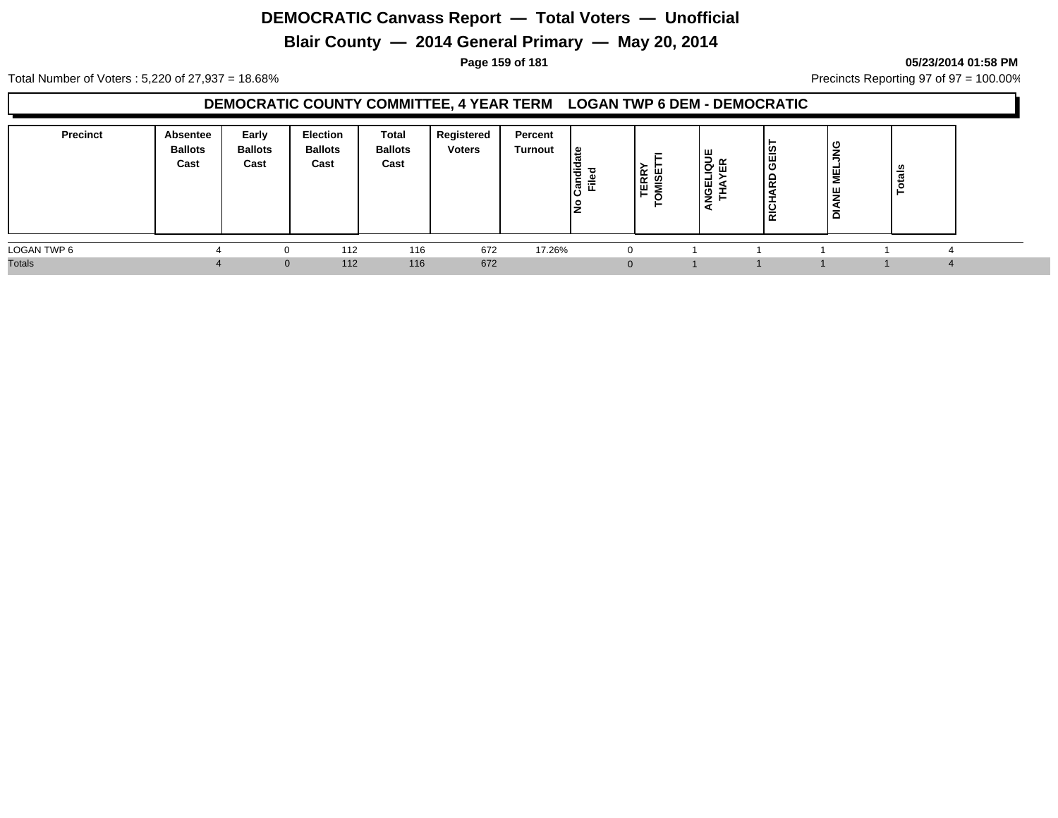# **Blair County — 2014 General Primary — May 20, 2014**

**Page 159 of 181 05/23/2014 01:58 PM**

Total Number of Voters : 5,220 of 27,937 = 18.68% Precincts Reporting 97 of 97 = 100.00%

#### **DEMOCRATIC COUNTY COMMITTEE, 4 YEAR TERM LOGAN TWP 6 DEM - DEMOCRATIC**

| <b>Precinct</b> | Absentee<br><b>Ballots</b><br>Cast | Early<br><b>Ballots</b><br>Cast | Election<br><b>Ballots</b><br>Cast | Total<br><b>Ballots</b><br>Cast | Registered<br><b>Voters</b> | Percent<br>Turnout | ၊ ဗ<br>- ס<br>코 회<br>ΙŻ | -<br><b>TERRY</b><br>MISET<br>►<br>$\circ$ | <b>IELIQUI<br/>IAYER</b><br>$\overline{2}$ | LSI<br>RICHARD | ט<br>쀻<br>ш<br>-<br>c | - 91<br>- |  |
|-----------------|------------------------------------|---------------------------------|------------------------------------|---------------------------------|-----------------------------|--------------------|-------------------------|--------------------------------------------|--------------------------------------------|----------------|-----------------------|-----------|--|
| LOGAN TWP 6     |                                    |                                 | 112                                | 116                             | 672                         | 17.26%             |                         | 0                                          |                                            |                |                       |           |  |
| <b>Totals</b>   |                                    | $\mathbf{0}$                    | 112                                | 116                             | 672                         |                    |                         | $\mathbf 0$                                |                                            |                |                       |           |  |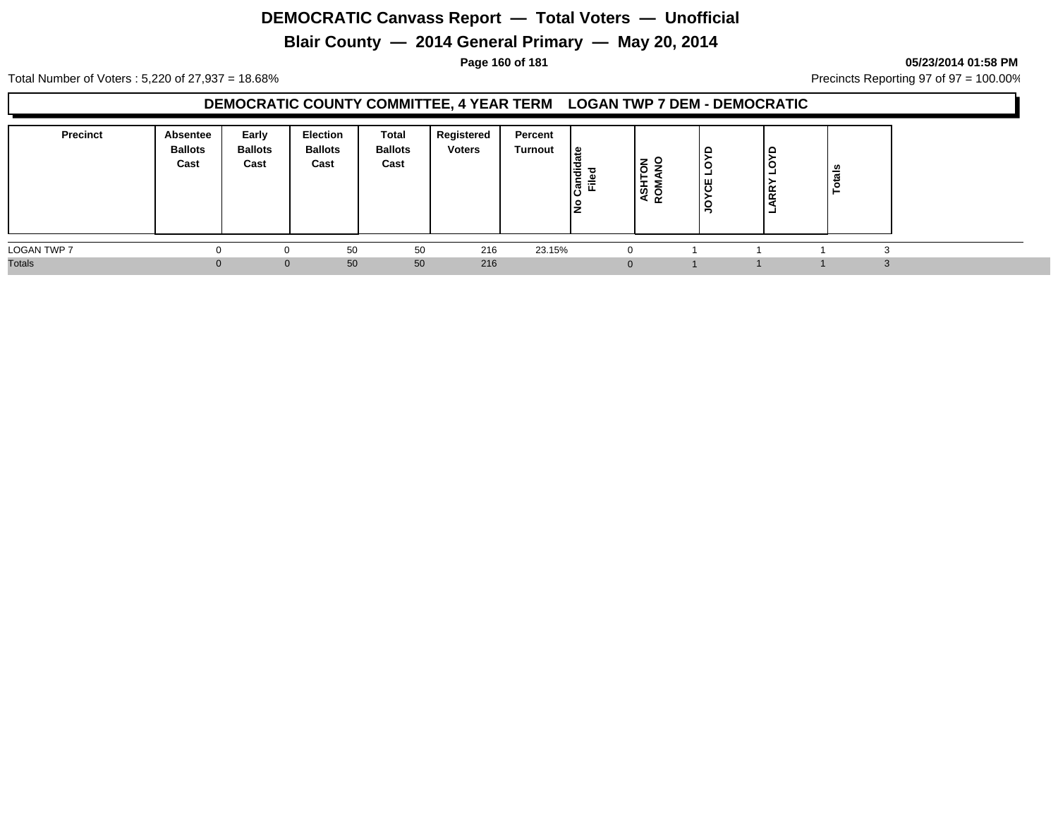# **Blair County — 2014 General Primary — May 20, 2014**

#### **Page 160 of 181 05/23/2014 01:58 PM**

Total Number of Voters : 5,220 of 27,937 = 18.68% Precincts Reporting 97 of 97 = 100.00%

#### **DEMOCRATIC COUNTY COMMITTEE, 4 YEAR TERM LOGAN TWP 7 DEM - DEMOCRATIC**

| <b>Precinct</b>    | Absentee<br><b>Ballots</b><br>Cast | Early<br><b>Ballots</b><br>Cast | Election<br><b>Ballots</b><br>Cast | Total<br><b>Ballots</b><br>Cast | Registered<br><b>Voters</b> | Percent<br>Turnout | ு<br>andid<br>ъ.<br>$\frac{d}{dE}$ | 롱 9<br><b>ASH</b><br>ROM | ັ<br>۰<br>෪<br>≒ | ∣⊂<br>∣⊂<br><b>ARR</b><br>- | - 67 |                   |  |
|--------------------|------------------------------------|---------------------------------|------------------------------------|---------------------------------|-----------------------------|--------------------|------------------------------------|--------------------------|------------------|-----------------------------|------|-------------------|--|
| <b>LOGAN TWP 7</b> | $\Omega$                           | 0                               | 50                                 | 50                              | 216                         | 23.15%             |                                    |                          |                  |                             |      | $\sim$            |  |
| <b>Totals</b>      |                                    | $\mathbf{0}$                    | 50                                 | 50                              | 216                         |                    |                                    | $\Omega$                 |                  |                             |      | $\sim$<br>$\cdot$ |  |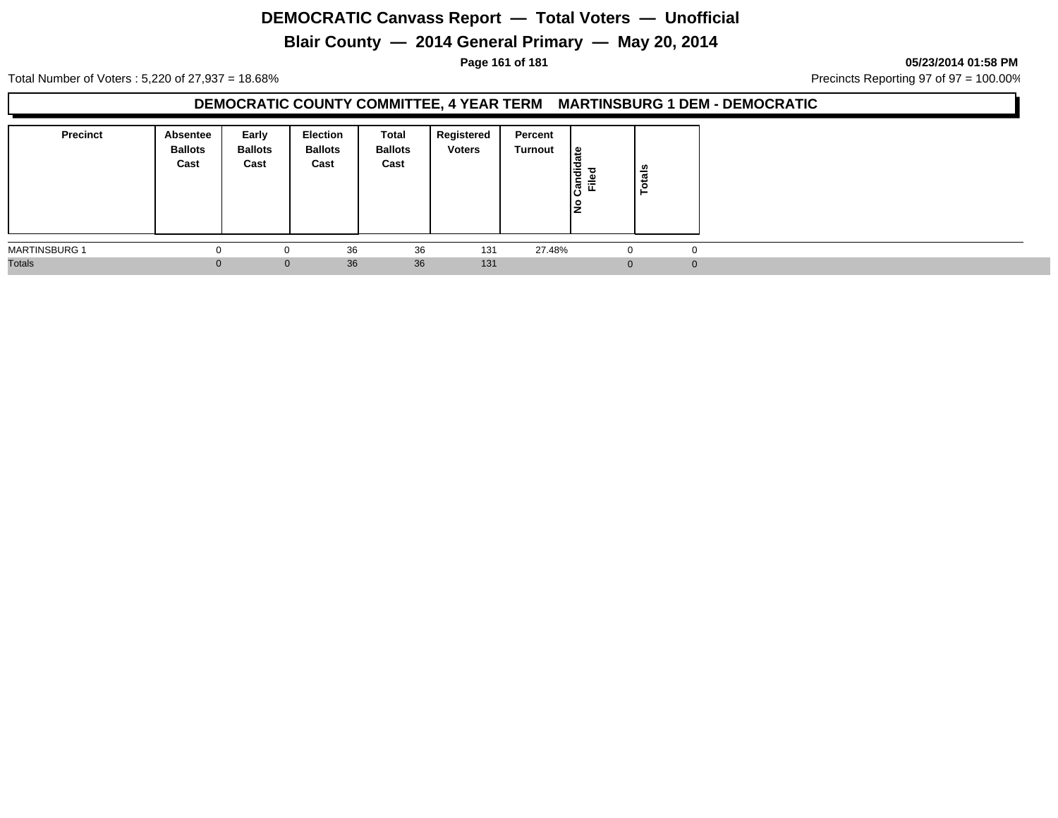# **Blair County — 2014 General Primary — May 20, 2014**

**Page 161 of 181 05/23/2014 01:58 PM**

Total Number of Voters : 5,220 of 27,937 = 18.68% Precincts Reporting 97 of 97 = 100.00%

### **DEMOCRATIC COUNTY COMMITTEE, 4 YEAR TERM MARTINSBURG 1 DEM - DEMOCRATIC**

| Precinct             | <b>Absentee</b><br><b>Ballots</b><br>Cast | Early<br><b>Ballots</b><br>Cast | <b>Election</b><br><b>Ballots</b><br>Cast | Total<br><b>Ballots</b><br>Cast | Registered<br><b>Voters</b> | Percent<br>Turnout | ீ<br>Candid<br>Filed<br>ıз | otals    |  |
|----------------------|-------------------------------------------|---------------------------------|-------------------------------------------|---------------------------------|-----------------------------|--------------------|----------------------------|----------|--|
| <b>MARTINSBURG 1</b> |                                           | 0                               | 36                                        | 36                              | 131                         | 27.48%             | - U                        | 0        |  |
| <b>Totals</b>        |                                           | $\mathbf{0}$                    | 36                                        | 36                              | 131                         |                    | $\Omega$                   | $\Omega$ |  |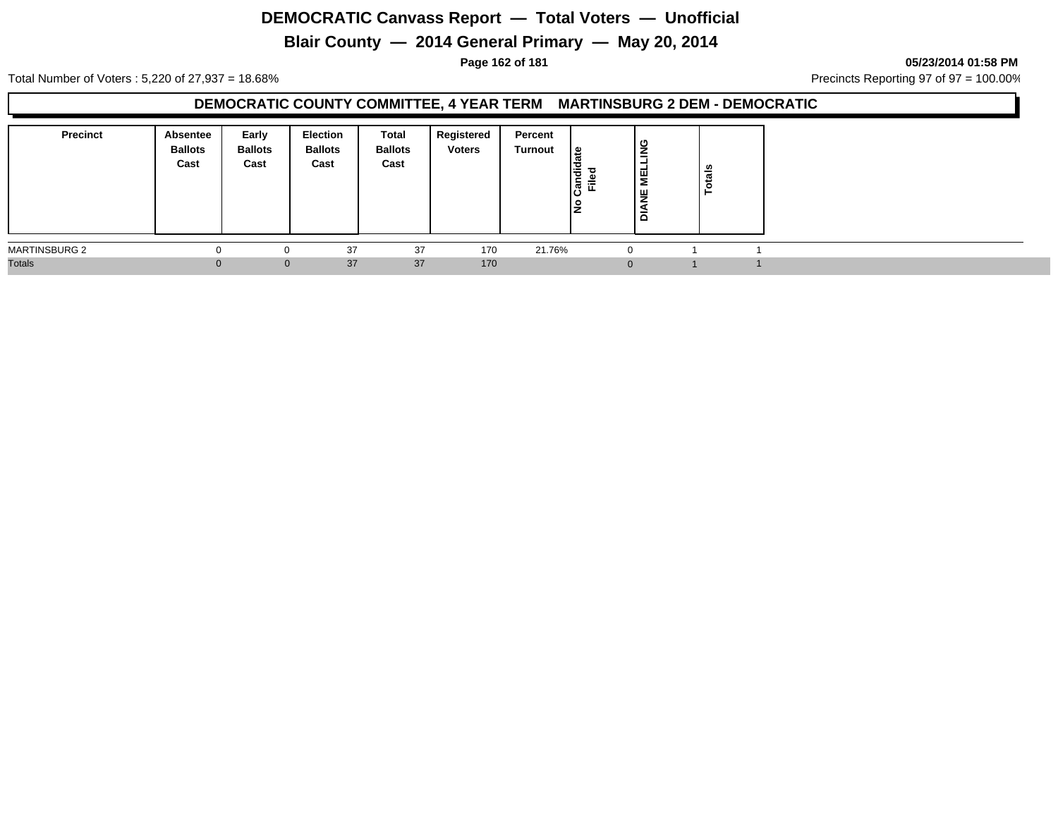# **Blair County — 2014 General Primary — May 20, 2014**

**Page 162 of 181 05/23/2014 01:58 PM**

Total Number of Voters : 5,220 of 27,937 = 18.68% Precincts Reporting 97 of 97 = 100.00%

### **DEMOCRATIC COUNTY COMMITTEE, 4 YEAR TERM MARTINSBURG 2 DEM - DEMOCRATIC**

| <b>Precinct</b>      | <b>Absentee</b><br><b>Ballots</b><br>Cast | Early<br><b>Ballots</b><br>Cast | <b>Election</b><br><b>Ballots</b><br>Cast | Total<br><b>Ballots</b><br>Cast | Registered<br><b>Voters</b> | Percent<br>Turnout | உ<br>andid<br>Filed | ∣≌<br>-<br>-<br>¦¥<br>ப<br>-<br>۱ā | U)<br>otai |  |
|----------------------|-------------------------------------------|---------------------------------|-------------------------------------------|---------------------------------|-----------------------------|--------------------|---------------------|------------------------------------|------------|--|
| <b>MARTINSBURG 2</b> | 0                                         | 0                               | 37                                        | 37                              | 170                         | 21.76%             |                     |                                    |            |  |
| <b>Totals</b>        |                                           | $\mathbf{0}$                    | 37                                        | 37                              | 170                         |                    |                     |                                    |            |  |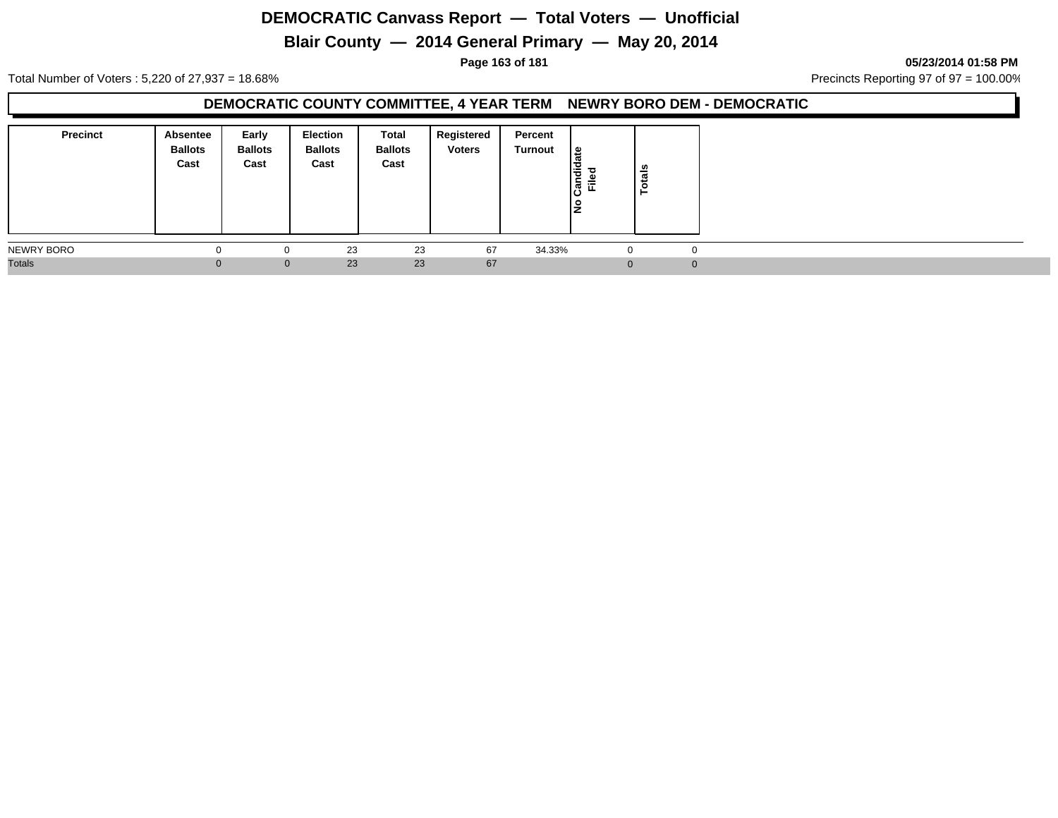# **Blair County — 2014 General Primary — May 20, 2014**

**Page 163 of 181 05/23/2014 01:58 PM**

Total Number of Voters : 5,220 of 27,937 = 18.68% Precincts Reporting 97 of 97 = 100.00%

### **DEMOCRATIC COUNTY COMMITTEE, 4 YEAR TERM NEWRY BORO DEM - DEMOCRATIC**

| <b>Precinct</b> | Absentee<br><b>Ballots</b><br>Cast | Early<br><b>Ballots</b><br>Cast | Election<br><b>Ballots</b><br>Cast | <b>Total</b><br><b>Ballots</b><br>Cast | Registered<br><b>Voters</b> | Percent<br>Turnout | $\frac{1}{6}$<br>ᇃ<br>I÷<br>∣,ອີ້ ⊏ື<br>١ş | otals<br>► |  |
|-----------------|------------------------------------|---------------------------------|------------------------------------|----------------------------------------|-----------------------------|--------------------|--------------------------------------------|------------|--|
| NEWRY BORO      |                                    | $\Omega$                        | 23                                 | 23                                     | 67                          | 34.33%             | $\Omega$                                   |            |  |
| <b>Totals</b>   | Û                                  | $\mathbf{0}$                    | 23                                 | 23                                     | 67                          |                    |                                            |            |  |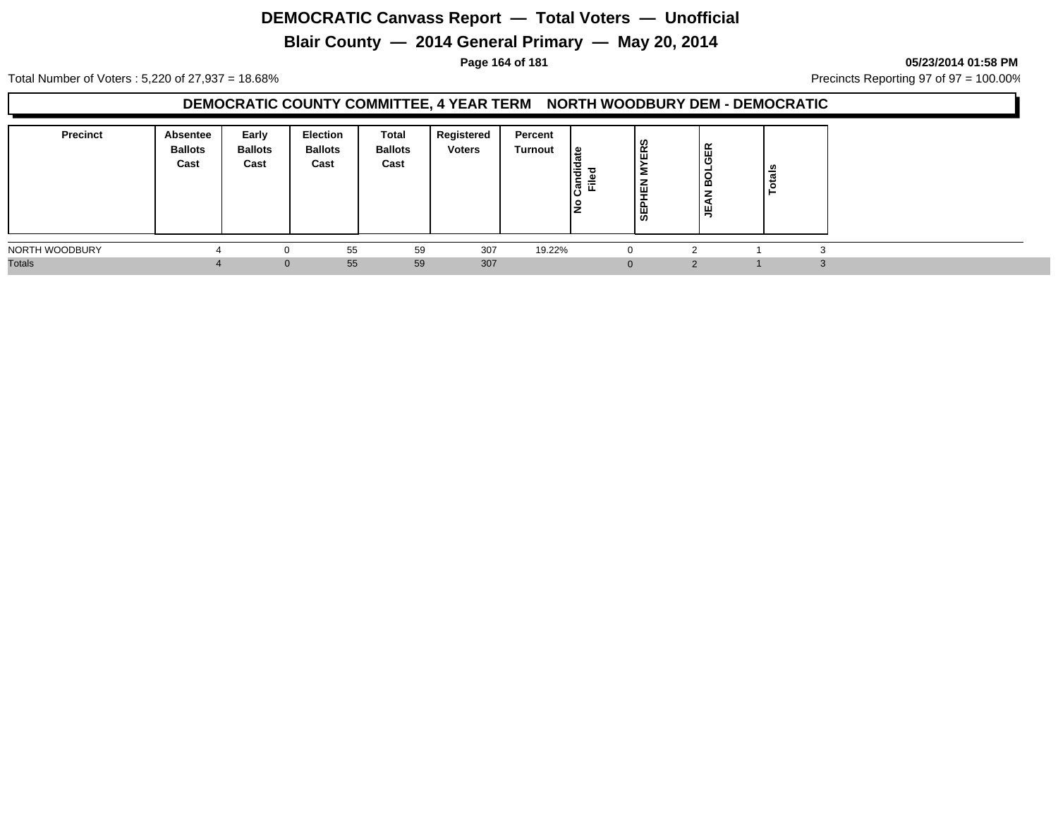# **Blair County — 2014 General Primary — May 20, 2014**

**Page 164 of 181 05/23/2014 01:58 PM**

Total Number of Voters : 5,220 of 27,937 = 18.68% Precincts Reporting 97 of 97 = 100.00%

#### **DEMOCRATIC COUNTY COMMITTEE, 4 YEAR TERM NORTH WOODBURY DEM - DEMOCRATIC**

| <b>Precinct</b> | Absentee<br><b>Ballots</b><br>Cast | Early<br><b>Ballots</b><br>Cast | <b>Election</b><br><b>Ballots</b><br>Cast | Total<br><b>Ballots</b><br>Cast | Registered<br><b>Voters</b> | Percent<br><b>Turnout</b> | ہ  <br>I÷<br>ြွှန်<br>Ē | ERS<br>-<br>血<br>-<br><b>SEP</b> | GER<br>ಠ<br>≃<br>z<br>$\blacktriangleleft$<br>, 벽 | $\overline{\phantom{a}}$ |  |  |
|-----------------|------------------------------------|---------------------------------|-------------------------------------------|---------------------------------|-----------------------------|---------------------------|-------------------------|----------------------------------|---------------------------------------------------|--------------------------|--|--|
| NORTH WOODBURY  |                                    |                                 | 55                                        | 59                              | 307                         | 19.22%                    |                         | $\Omega$                         |                                                   |                          |  |  |
| <b>Totals</b>   |                                    |                                 | 55<br>$\Omega$                            | 59                              | 307                         |                           |                         |                                  |                                                   |                          |  |  |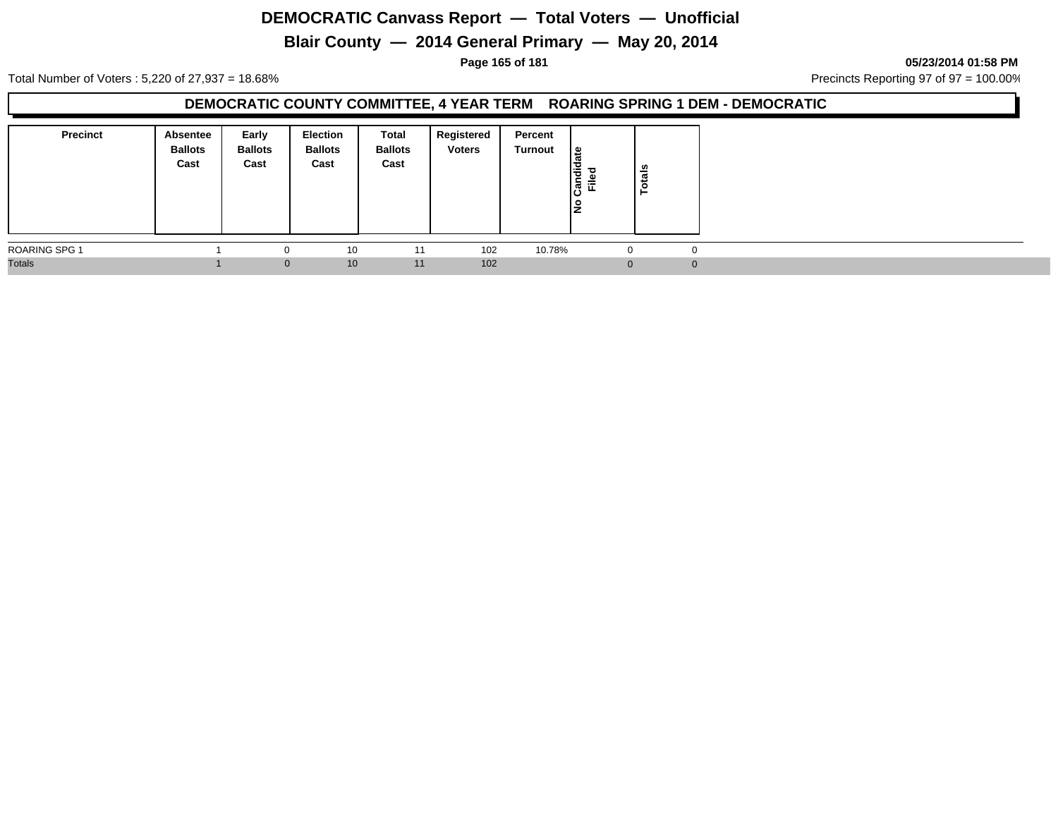# **Blair County — 2014 General Primary — May 20, 2014**

#### **Page 165 of 181 05/23/2014 01:58 PM**

Total Number of Voters : 5,220 of 27,937 = 18.68% Precincts Reporting 97 of 97 = 100.00%

### **DEMOCRATIC COUNTY COMMITTEE, 4 YEAR TERM ROARING SPRING 1 DEM - DEMOCRATIC**

| <b>Precinct</b> | Absentee<br><b>Ballots</b><br>Cast | Early<br><b>Ballots</b><br>Cast | <b>Election</b><br><b>Ballots</b><br>Cast | Total<br><b>Ballots</b><br>Cast | Registered<br><b>Voters</b> | Percent<br>Turnout | l≗<br>π<br>Candid<br><b>Filed</b><br>١是 | <b>otals</b><br>− |  |
|-----------------|------------------------------------|---------------------------------|-------------------------------------------|---------------------------------|-----------------------------|--------------------|-----------------------------------------|-------------------|--|
| ROARING SPG 1   |                                    | 0                               | 10                                        | 11                              | 102                         | 10.78%             | -U                                      | $\mathbf 0$       |  |
| <b>Totals</b>   |                                    | $\mathbf{0}$                    | 10                                        | 11                              | 102                         |                    | $\Omega$                                | $\Omega$          |  |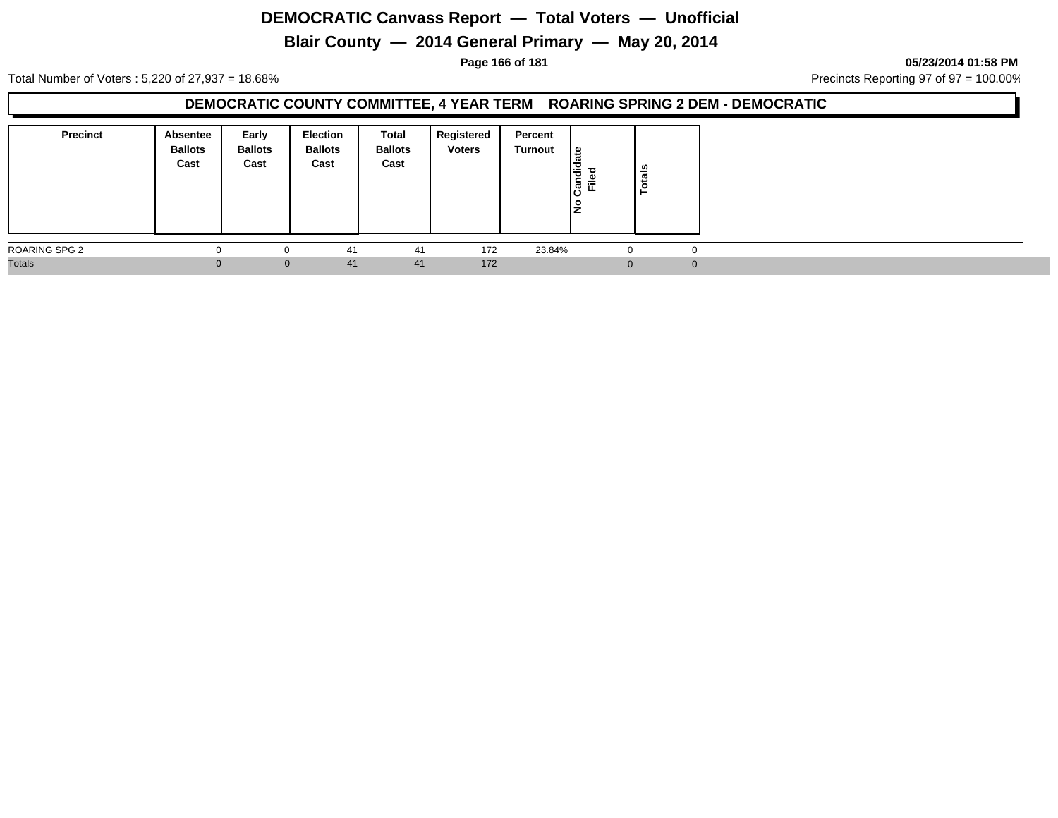# **Blair County — 2014 General Primary — May 20, 2014**

**Page 166 of 181 05/23/2014 01:58 PM**

Total Number of Voters : 5,220 of 27,937 = 18.68% Precincts Reporting 97 of 97 = 100.00%

### **DEMOCRATIC COUNTY COMMITTEE, 4 YEAR TERM ROARING SPRING 2 DEM - DEMOCRATIC**

| <b>Precinct</b>      | <b>Absentee</b><br><b>Ballots</b><br>Cast | Early<br><b>Ballots</b><br>Cast | <b>Election</b><br><b>Ballots</b><br>Cast | Total<br><b>Ballots</b><br>Cast | Registered<br><b>Voters</b> | Percent<br>Turnout | <u> ഉ</u><br>Candid<br>Filed<br>Ιž | tals<br>ĕ,  |  |
|----------------------|-------------------------------------------|---------------------------------|-------------------------------------------|---------------------------------|-----------------------------|--------------------|------------------------------------|-------------|--|
| <b>ROARING SPG 2</b> | 0                                         | 0                               | 41                                        | 41                              | 172                         | 23.84%             | J.                                 | $\mathbf 0$ |  |
| <b>Totals</b>        |                                           | $\mathbf{0}$                    | 41                                        | 41                              | 172                         |                    | $\Omega$                           | $\Omega$    |  |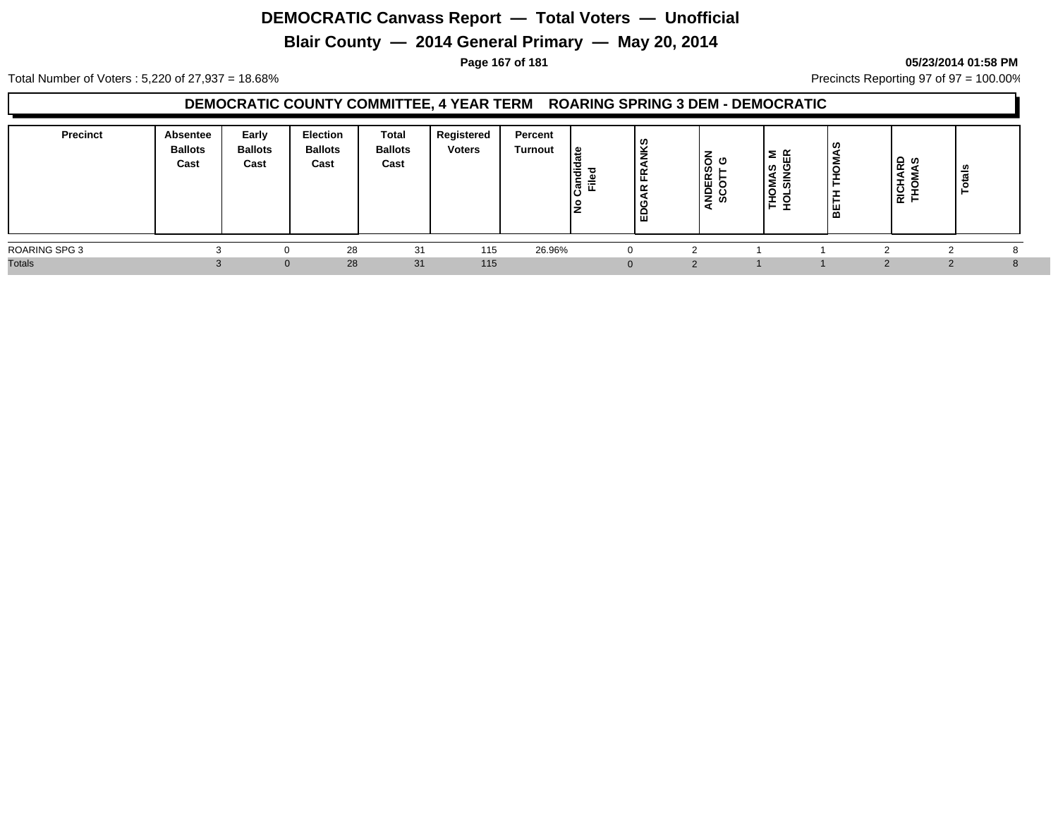# **Blair County — 2014 General Primary — May 20, 2014**

#### **Page 167 of 181 05/23/2014 01:58 PM**

Total Number of Voters : 5,220 of 27,937 = 18.68% Precincts Reporting 97 of 97 = 100.00%

#### **DEMOCRATIC COUNTY COMMITTEE, 4 YEAR TERM ROARING SPRING 3 DEM - DEMOCRATIC**

| <b>Precinct</b>      | Absentee<br><b>Ballots</b><br>Cast | Early<br><b>Ballots</b><br>Cast | <b>Election</b><br><b>Ballots</b><br>Cast | Total<br><b>Ballots</b><br>Cast | Registered<br><b>Voters</b> | Percent<br>Turnout | ہ ا<br>١÷<br>$\epsilon$<br>ခြံ<br>١ž | l 0)<br>۱š<br>$\propto$<br>ட<br>≃<br>∣ដ | රි ෆ<br>ທ⊢<br><b>ADER</b><br>SCOT | ဖ္ က<br>z<br>_<br>≥ ∞<br>o<br>-<br>◡<br>-<br>÷<br>-<br><b>.</b> | . ဟ<br>Š<br>-<br>ത | <b>RD</b><br>AS<br>RICH,<br>THOM | ឹ        |  |
|----------------------|------------------------------------|---------------------------------|-------------------------------------------|---------------------------------|-----------------------------|--------------------|--------------------------------------|-----------------------------------------|-----------------------------------|-----------------------------------------------------------------|--------------------|----------------------------------|----------|--|
| <b>ROARING SPG 3</b> |                                    |                                 | 28                                        | 31                              | 115                         | 26.96%             |                                      |                                         |                                   |                                                                 |                    |                                  |          |  |
| <b>Totals</b>        |                                    |                                 | 28                                        | 31                              | 115                         |                    |                                      |                                         | $\Omega$                          |                                                                 |                    |                                  | $\Omega$ |  |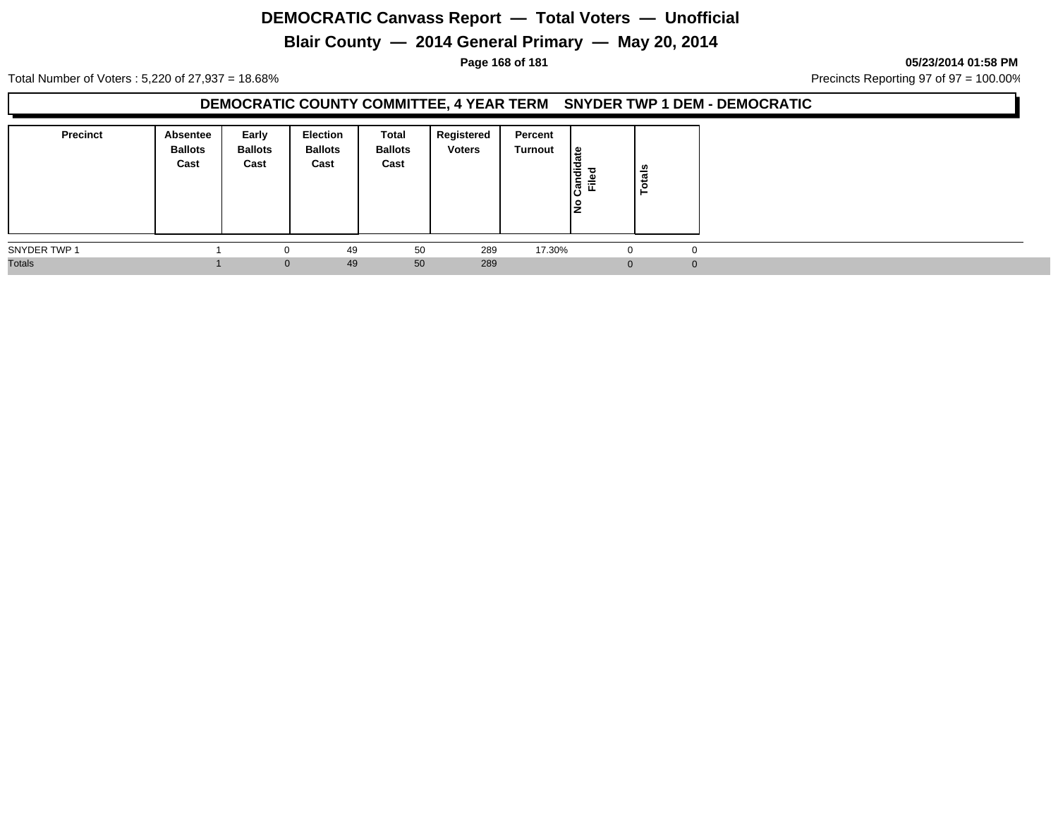# **Blair County — 2014 General Primary — May 20, 2014**

**Page 168 of 181 05/23/2014 01:58 PM**

Total Number of Voters : 5,220 of 27,937 = 18.68% Precincts Reporting 97 of 97 = 100.00%

### **DEMOCRATIC COUNTY COMMITTEE, 4 YEAR TERM SNYDER TWP 1 DEM - DEMOCRATIC**

| <b>Precinct</b> | Absentee<br><b>Ballots</b><br>Cast | Early<br><b>Ballots</b><br>Cast | Election<br><b>Ballots</b><br>Cast | Total<br><b>Ballots</b><br>Cast | Registered<br><b>Voters</b> | Percent<br>Turnout | ا ≅<br>ω<br>Candid<br>운<br>١是 | $\frac{2}{a}$<br>÷<br>P |  |
|-----------------|------------------------------------|---------------------------------|------------------------------------|---------------------------------|-----------------------------|--------------------|-------------------------------|-------------------------|--|
| SNYDER TWP 1    |                                    | $\Omega$                        | 49                                 | 50                              | 289                         | 17.30%             | $\mathbf 0$                   | $\mathbf 0$             |  |
| <b>Totals</b>   |                                    | $\Omega$                        | 49                                 | 50                              | 289                         |                    | $\Omega$                      | $\Omega$                |  |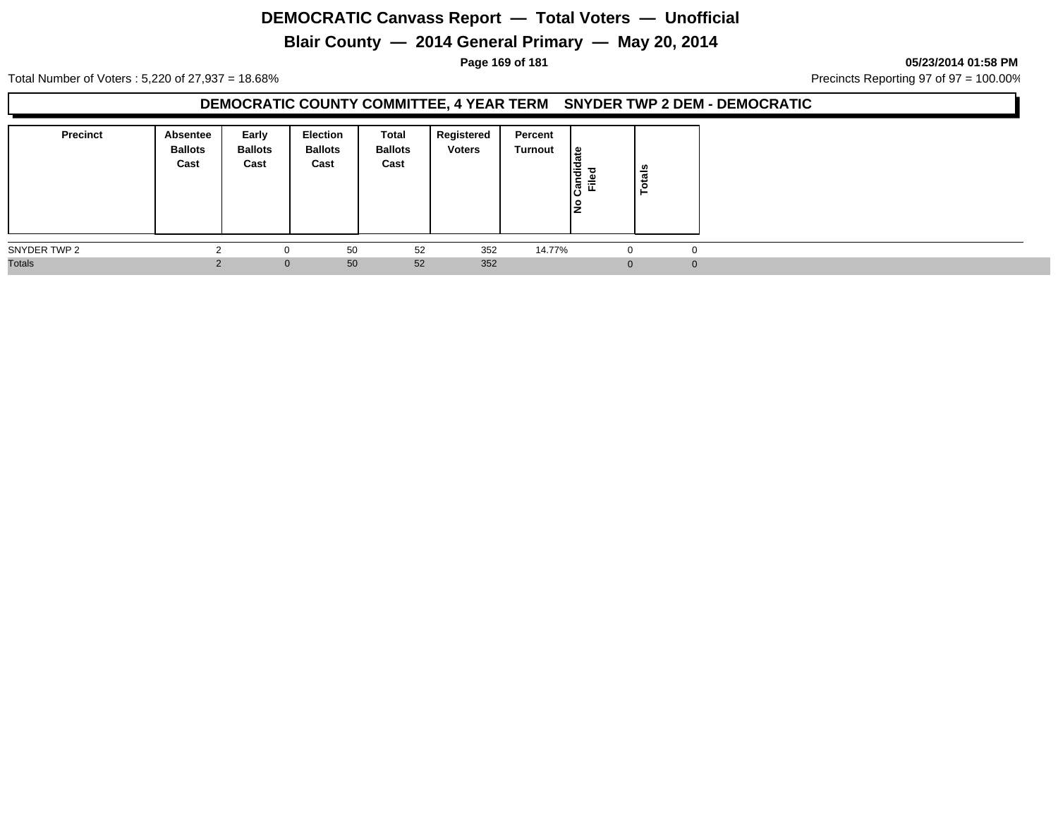# **Blair County — 2014 General Primary — May 20, 2014**

#### **Page 169 of 181 05/23/2014 01:58 PM**

Total Number of Voters : 5,220 of 27,937 = 18.68% Precincts Reporting 97 of 97 = 100.00%

### **DEMOCRATIC COUNTY COMMITTEE, 4 YEAR TERM SNYDER TWP 2 DEM - DEMOCRATIC**

| <b>Precinct</b> | <b>Absentee</b><br><b>Ballots</b><br>Cast | Early<br><b>Ballots</b><br>Cast | <b>Election</b><br><b>Ballots</b><br>Cast | Total<br><b>Ballots</b><br>Cast | Registered<br><b>Voters</b> | Percent<br>Turnout | <u> ഉ</u><br>Candid<br>Filed<br>١是 | Totals      |  |
|-----------------|-------------------------------------------|---------------------------------|-------------------------------------------|---------------------------------|-----------------------------|--------------------|------------------------------------|-------------|--|
| SNYDER TWP 2    |                                           | 0                               | 50                                        | 52                              | 352                         | 14.77%             | -0                                 | $\mathbf 0$ |  |
| <b>Totals</b>   |                                           | $\mathbf{0}$                    | 50                                        | 52                              | 352                         |                    | $\Omega$                           | $\Omega$    |  |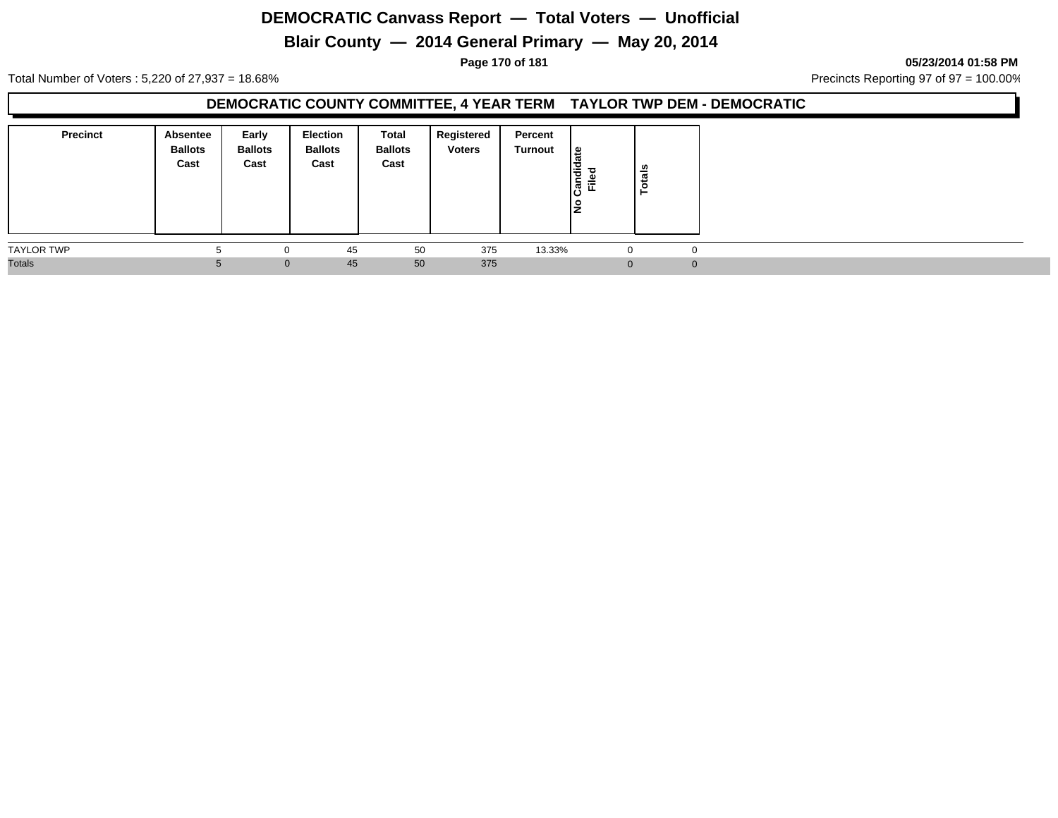# **Blair County — 2014 General Primary — May 20, 2014**

**Page 170 of 181 05/23/2014 01:58 PM**

Total Number of Voters : 5,220 of 27,937 = 18.68% Precincts Reporting 97 of 97 = 100.00%

### **DEMOCRATIC COUNTY COMMITTEE, 4 YEAR TERM TAYLOR TWP DEM - DEMOCRATIC**

| <b>Precinct</b>   | Absentee<br><b>Ballots</b><br>Cast | Early<br><b>Ballots</b><br>Cast | <b>Election</b><br><b>Ballots</b><br>Cast | Total<br><b>Ballots</b><br>Cast | Registered<br><b>Voters</b> | Percent<br>Turnout | $\frac{1}{3}$<br>Candid<br>Ē.<br>١ž | នឹ<br>ਰ<br>- |              |
|-------------------|------------------------------------|---------------------------------|-------------------------------------------|---------------------------------|-----------------------------|--------------------|-------------------------------------|--------------|--------------|
| <b>TAYLOR TWP</b> |                                    |                                 | 45                                        | 50                              | 375                         | 13.33%             | -0                                  |              | $\mathbf{0}$ |
| <b>Totals</b>     |                                    | $\mathbf{0}$                    | 45                                        | 50                              | 375                         |                    |                                     | $\Omega$     | $\Omega$     |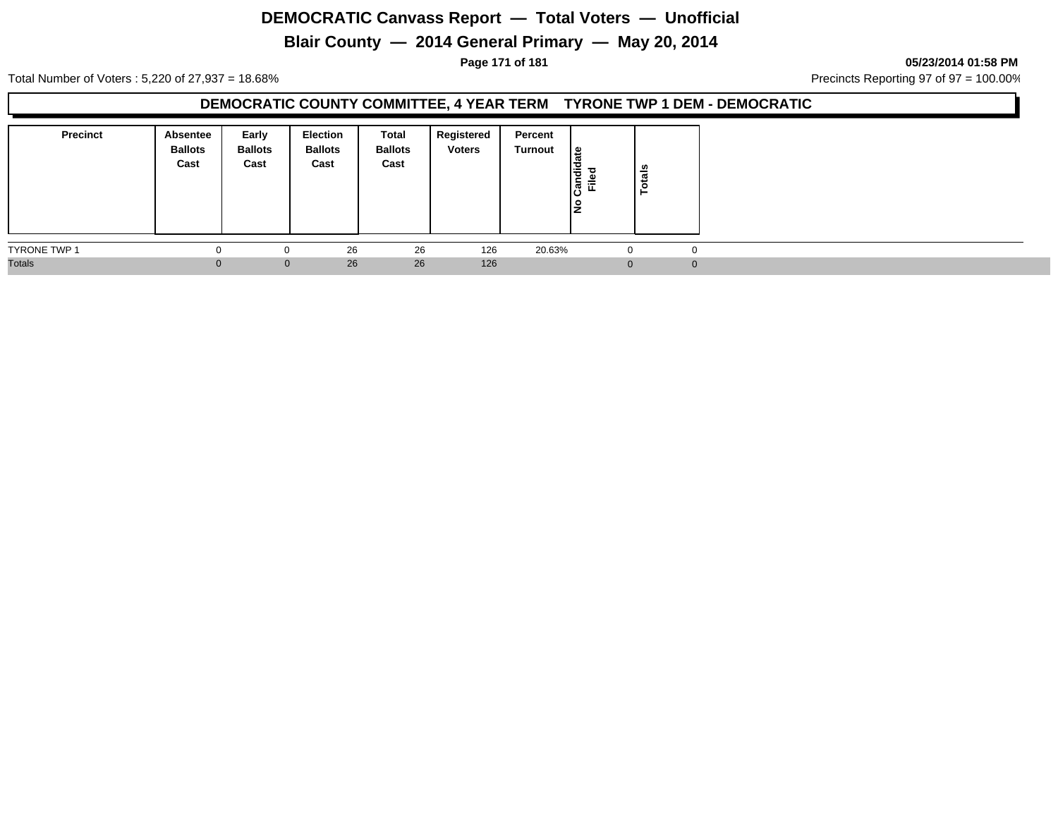# **Blair County — 2014 General Primary — May 20, 2014**

**Page 171 of 181 05/23/2014 01:58 PM**

Total Number of Voters : 5,220 of 27,937 = 18.68% Precincts Reporting 97 of 97 = 100.00%

### **DEMOCRATIC COUNTY COMMITTEE, 4 YEAR TERM TYRONE TWP 1 DEM - DEMOCRATIC**

| <b>Precinct</b>     | Absentee<br><b>Ballots</b><br>Cast | Early<br><b>Ballots</b><br>Cast | <b>Election</b><br><b>Ballots</b><br>Cast | <b>Total</b><br><b>Ballots</b><br>Cast | Registered<br><b>Voters</b> | Percent<br>Turnout | $\frac{1}{6}$<br>ᇃ<br>Candie<br>Filed<br>١ş | otals<br>► |  |
|---------------------|------------------------------------|---------------------------------|-------------------------------------------|----------------------------------------|-----------------------------|--------------------|---------------------------------------------|------------|--|
| <b>TYRONE TWP 1</b> |                                    | $\Omega$                        | 26                                        | 26                                     | 126                         | 20.63%             | $\Omega$                                    |            |  |
| <b>Totals</b>       | $\Omega$                           | $\mathbf{0}$                    | 26                                        | 26                                     | 126                         |                    |                                             |            |  |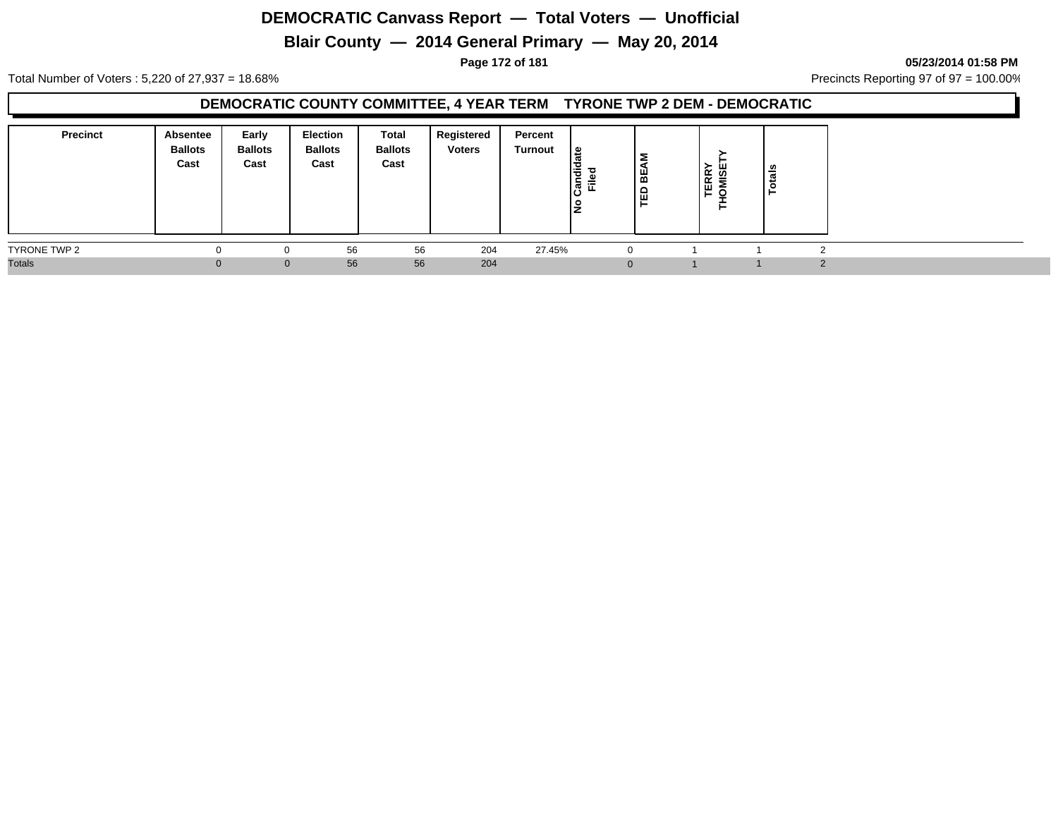# **Blair County — 2014 General Primary — May 20, 2014**

**Page 172 of 181 05/23/2014 01:58 PM**

Total Number of Voters : 5,220 of 27,937 = 18.68% Precincts Reporting 97 of 97 = 100.00%

### **DEMOCRATIC COUNTY COMMITTEE, 4 YEAR TERM TYRONE TWP 2 DEM - DEMOCRATIC**

| <b>Precinct</b> | Absentee<br><b>Ballots</b><br>Cast | Early<br><b>Ballots</b><br>Cast | Election<br><b>Ballots</b><br>Cast | Total<br><b>Ballots</b><br>Cast | Registered<br><b>Voters</b> | Percent<br>Turnout | ഇ<br>I₹<br>c.<br>Ē.<br>ାଞ୍ଜି<br>IŻ | Σ<br>BE<br>ΓĒ | ய<br>້∝ ທ<br>ER S<br>⊾ ∟ | ls<br><br>ೆ |  |
|-----------------|------------------------------------|---------------------------------|------------------------------------|---------------------------------|-----------------------------|--------------------|------------------------------------|---------------|--------------------------|-------------|--|
| TYRONE TWP 2    |                                    |                                 | 56                                 | 56                              | 204                         | 27.45%             | $\Omega$                           |               |                          |             |  |
| <b>Totals</b>   |                                    | $\Omega$                        | 56                                 | 56                              | 204                         |                    |                                    |               |                          |             |  |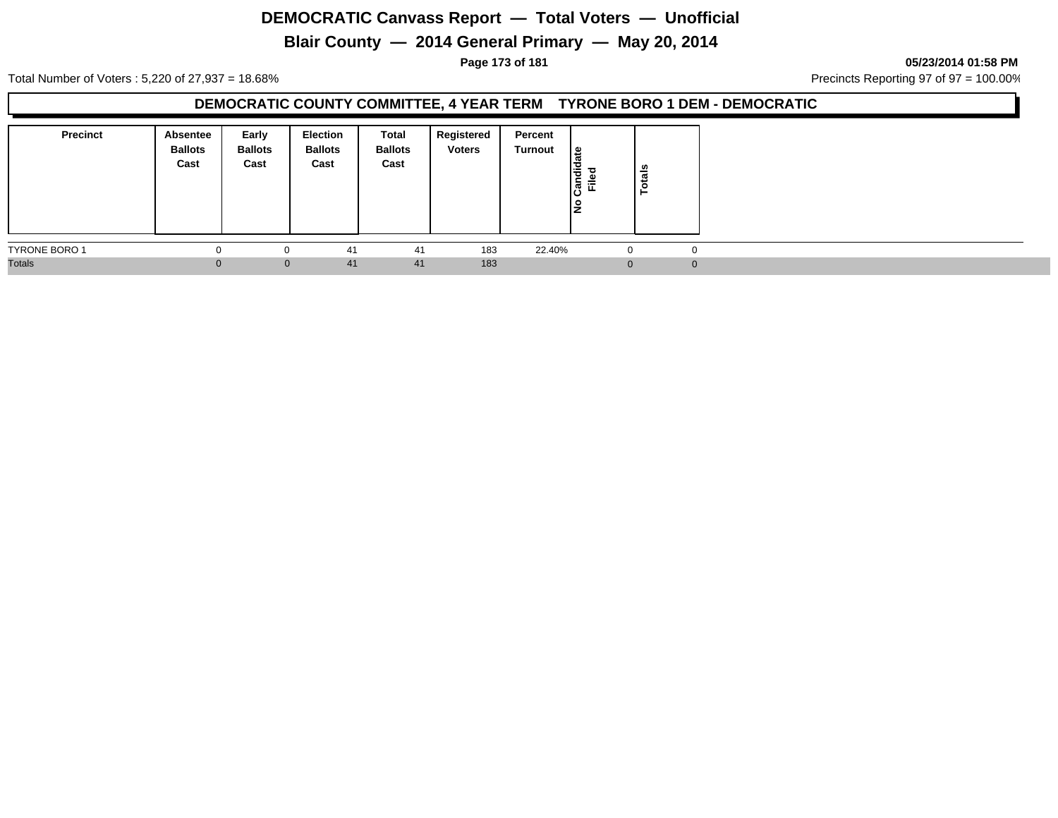# **Blair County — 2014 General Primary — May 20, 2014**

**Page 173 of 181 05/23/2014 01:58 PM**

Total Number of Voters : 5,220 of 27,937 = 18.68% Precincts Reporting 97 of 97 = 100.00%

### **DEMOCRATIC COUNTY COMMITTEE, 4 YEAR TERM TYRONE BORO 1 DEM - DEMOCRATIC**

| <b>Precinct</b>      | <b>Absentee</b><br><b>Ballots</b><br>Cast | Early<br><b>Ballots</b><br>Cast | <b>Election</b><br><b>Ballots</b><br>Cast | Total<br><b>Ballots</b><br>Cast | Registered<br><b>Voters</b> | Percent<br>Turnout | ا ہے ا<br>andid<br>Filed<br>ାଠ<br>19 | Totals |          |  |  |
|----------------------|-------------------------------------------|---------------------------------|-------------------------------------------|---------------------------------|-----------------------------|--------------------|--------------------------------------|--------|----------|--|--|
| <b>TYRONE BORO 1</b> | $\Omega$                                  | 0                               | 41                                        | 41                              | 183                         | 22.40%             | -0                                   |        | $\Omega$ |  |  |
| <b>Totals</b>        |                                           | $\mathbf{0}$                    | 41                                        | 41                              | 183                         |                    | $\Omega$                             |        | $\Omega$ |  |  |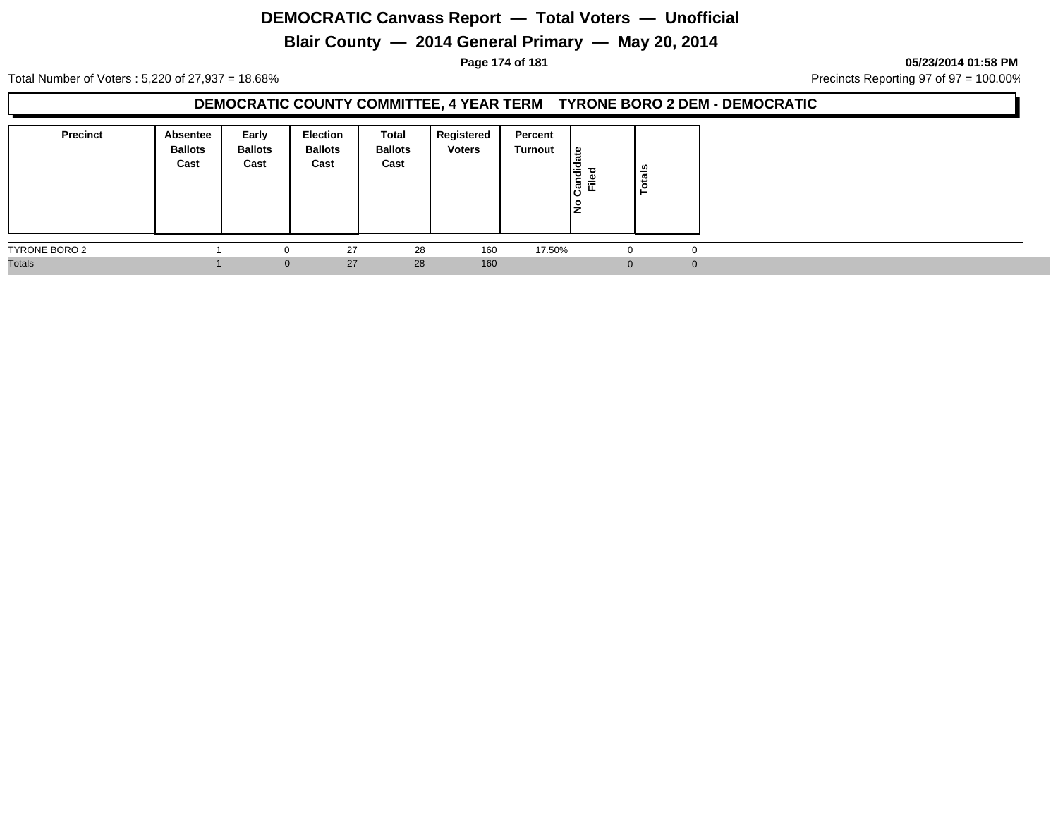# **Blair County — 2014 General Primary — May 20, 2014**

**Page 174 of 181 05/23/2014 01:58 PM**

Total Number of Voters : 5,220 of 27,937 = 18.68% Precincts Reporting 97 of 97 = 100.00%

### **DEMOCRATIC COUNTY COMMITTEE, 4 YEAR TERM TYRONE BORO 2 DEM - DEMOCRATIC**

| <b>Precinct</b> | <b>Absentee</b><br><b>Ballots</b><br>Cast | Early<br><b>Ballots</b><br>Cast | <b>Election</b><br><b>Ballots</b><br>Cast | Total<br><b>Ballots</b><br>Cast | Registered<br><b>Voters</b> | Percent<br>Turnout | ¦≌<br>о<br>Candi<br>Filed<br>lş | otals |          |
|-----------------|-------------------------------------------|---------------------------------|-------------------------------------------|---------------------------------|-----------------------------|--------------------|---------------------------------|-------|----------|
| TYRONE BORO 2   |                                           | 0                               | 27                                        | 28                              | 160                         | 17.50%             |                                 |       | 0        |
| <b>Totals</b>   |                                           | $\mathbf{0}$                    | 27                                        | 28                              | 160                         |                    | $\Omega$                        |       | $\Omega$ |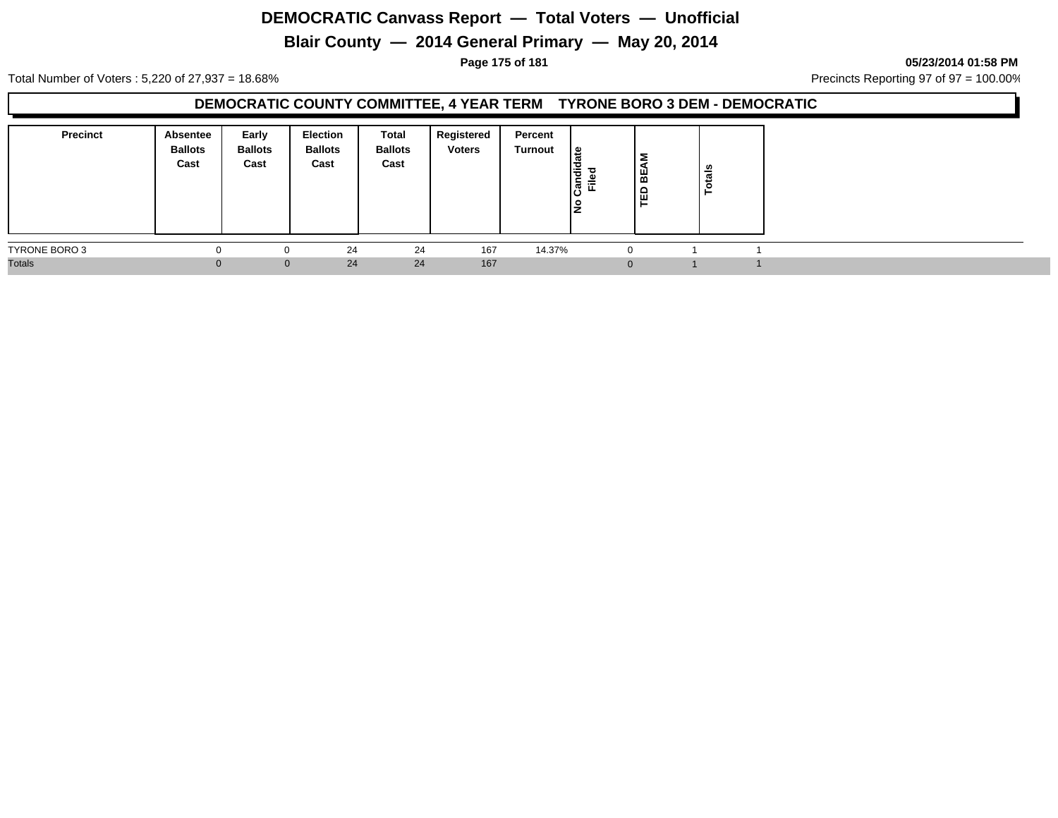# **Blair County — 2014 General Primary — May 20, 2014**

**Page 175 of 181 05/23/2014 01:58 PM**

Total Number of Voters : 5,220 of 27,937 = 18.68% Precincts Reporting 97 of 97 = 100.00%

### **DEMOCRATIC COUNTY COMMITTEE, 4 YEAR TERM TYRONE BORO 3 DEM - DEMOCRATIC**

| <b>Precinct</b> | Absentee<br><b>Ballots</b><br>Cast | Early<br><b>Ballots</b><br>Cast | Election<br><b>Ballots</b><br>Cast | Total<br><b>Ballots</b><br>Cast | Registered<br><b>Voters</b> | Percent<br>Turnout | ١s<br>Candi<br>Ĕ.<br>IŻ | Σ<br>' ₩<br>ED | tals<br>$\bullet$ |  |
|-----------------|------------------------------------|---------------------------------|------------------------------------|---------------------------------|-----------------------------|--------------------|-------------------------|----------------|-------------------|--|
| TYRONE BORO 3   |                                    |                                 | 24                                 | 24                              | 167                         | 14.37%             | $\Omega$                |                |                   |  |
| <b>Totals</b>   |                                    | $\Omega$                        | 24                                 | 24                              | 167                         |                    |                         |                |                   |  |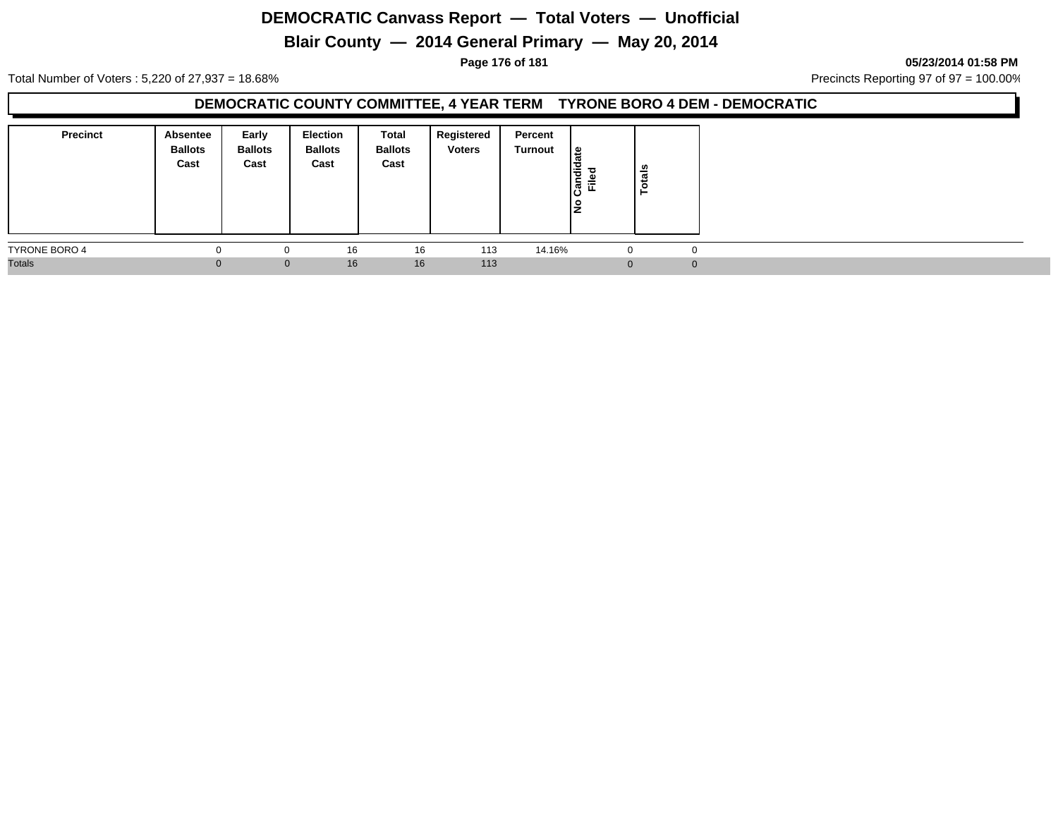# **Blair County — 2014 General Primary — May 20, 2014**

**Page 176 of 181 05/23/2014 01:58 PM**

Total Number of Voters : 5,220 of 27,937 = 18.68% Precincts Reporting 97 of 97 = 100.00%

### **DEMOCRATIC COUNTY COMMITTEE, 4 YEAR TERM TYRONE BORO 4 DEM - DEMOCRATIC**

| Precinct      | <b>Absentee</b><br><b>Ballots</b><br>Cast | Early<br><b>Ballots</b><br>Cast | <b>Election</b><br><b>Ballots</b><br>Cast | Total<br><b>Ballots</b><br>Cast | Registered<br><b>Voters</b> | Percent<br>Turnout | ீ<br>andid<br>Filed<br>ن١<br>္ဝ<br>ΙŻ | $\frac{1}{2}$<br>Ö |          |
|---------------|-------------------------------------------|---------------------------------|-------------------------------------------|---------------------------------|-----------------------------|--------------------|---------------------------------------|--------------------|----------|
| TYRONE BORO 4 | -0                                        | $\Omega$                        | 16                                        | 16                              | 113                         | 14.16%             |                                       |                    | $\Omega$ |
| <b>Totals</b> |                                           | $\mathbf{0}$                    | 16                                        | 16                              | 113                         |                    |                                       |                    | $\Omega$ |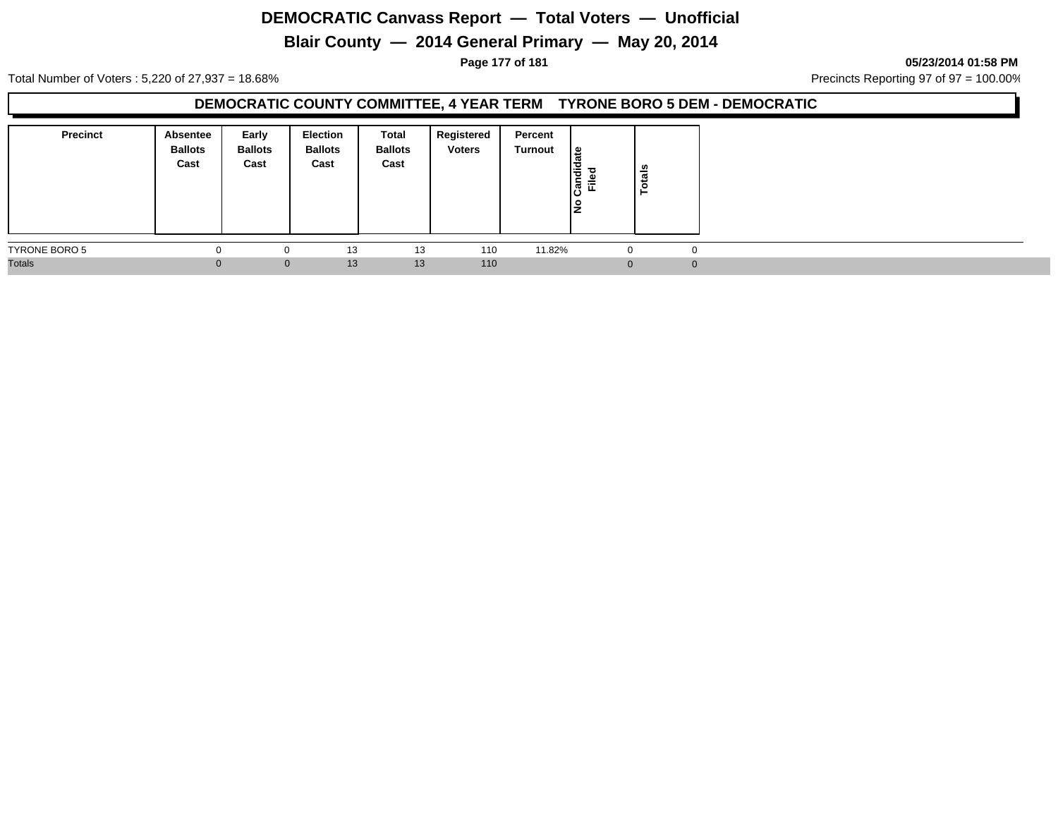# **Blair County — 2014 General Primary — May 20, 2014**

**Page 177 of 181 05/23/2014 01:58 PM**

Total Number of Voters : 5,220 of 27,937 = 18.68% Precincts Reporting 97 of 97 = 100.00%

### **DEMOCRATIC COUNTY COMMITTEE, 4 YEAR TERM TYRONE BORO 5 DEM - DEMOCRATIC**

| <b>Precinct</b> | <b>Absentee</b><br><b>Ballots</b><br>Cast | Early<br><b>Ballots</b><br>Cast | <b>Election</b><br><b>Ballots</b><br>Cast | Total<br><b>Ballots</b><br>Cast | Registered<br><b>Voters</b> | Percent<br>Turnout | <u> ഉ</u><br>Candid<br>Filed<br>١是 | Totals      |  |
|-----------------|-------------------------------------------|---------------------------------|-------------------------------------------|---------------------------------|-----------------------------|--------------------|------------------------------------|-------------|--|
| TYRONE BORO 5   | 0                                         | 0                               | 13                                        | 13                              | 110                         | 11.82%             | -0                                 | $\mathbf 0$ |  |
| <b>Totals</b>   |                                           | $\mathbf{0}$                    | 13                                        | 13                              | 110                         |                    | $\Omega$                           | $\Omega$    |  |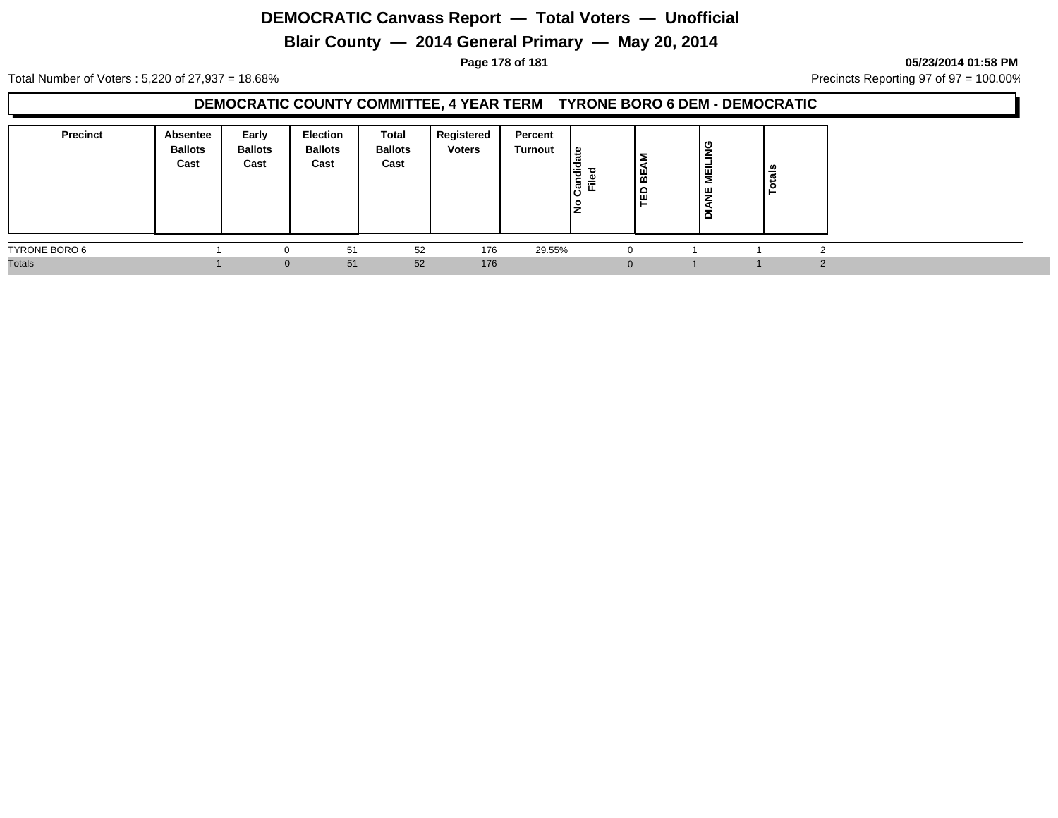# **Blair County — 2014 General Primary — May 20, 2014**

**Page 178 of 181 05/23/2014 01:58 PM**

Total Number of Voters : 5,220 of 27,937 = 18.68% Precincts Reporting 97 of 97 = 100.00%

### **DEMOCRATIC COUNTY COMMITTEE, 4 YEAR TERM TYRONE BORO 6 DEM - DEMOCRATIC**

| Precinct      | <b>Absentee</b><br><b>Ballots</b><br>Cast | Early<br><b>Ballots</b><br>Cast | <b>Election</b><br><b>Ballots</b><br>Cast | Total<br><b>Ballots</b><br>Cast | Registered<br><b>Voters</b> | Percent<br>Turnout | ு<br>landi<br>Filed | Σ<br>l ≌<br>' ≏<br>ட் ய | ပ<br>∍<br>MEILIN<br>쁮<br>হ<br>ᅙ | ais<br>ੱ |  |
|---------------|-------------------------------------------|---------------------------------|-------------------------------------------|---------------------------------|-----------------------------|--------------------|---------------------|-------------------------|---------------------------------|----------|--|
| TYRONE BORO 6 |                                           | 0                               | 51                                        | 52                              | 176                         | 29.55%             |                     |                         |                                 |          |  |
| <b>Totals</b> |                                           | $\Omega$                        | 51                                        | 52                              | 176                         |                    |                     |                         |                                 |          |  |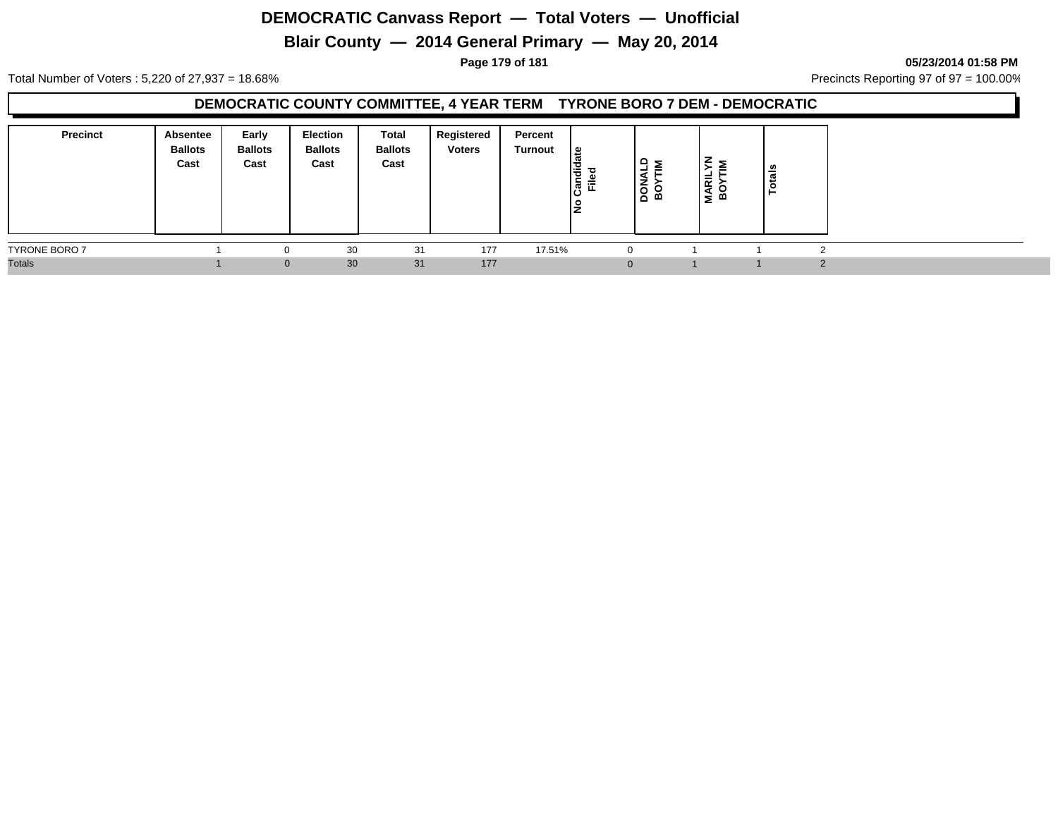# **Blair County — 2014 General Primary — May 20, 2014**

**Page 179 of 181 05/23/2014 01:58 PM**

Total Number of Voters : 5,220 of 27,937 = 18.68% Precincts Reporting 97 of 97 = 100.00%

#### **DEMOCRATIC COUNTY COMMITTEE, 4 YEAR TERM TYRONE BORO 7 DEM - DEMOCRATIC**

| <b>Precinct</b>      | Absentee<br><b>Ballots</b><br>Cast | Early<br><b>Ballots</b><br>Cast | Election<br><b>Ballots</b><br>Cast | Total<br><b>Ballots</b><br>Cast | Registered<br><b>Voters</b> | Percent<br>Turnout | . ≅ا<br>ಾ<br>jang<br><u>ី</u><br>ن١<br>o<br>IŻ | $\frac{9}{2}$<br><b>NORI</b><br>BOY | –<br><b>MARIL</b><br>BOYT | tais |  |
|----------------------|------------------------------------|---------------------------------|------------------------------------|---------------------------------|-----------------------------|--------------------|------------------------------------------------|-------------------------------------|---------------------------|------|--|
| <b>TYRONE BORO 7</b> |                                    |                                 | 30                                 | 31                              | 177                         | 17.51%             |                                                | $\Omega$                            |                           |      |  |
| <b>Totals</b>        |                                    | $\Omega$                        | 30                                 | 31                              | 177                         |                    |                                                |                                     |                           |      |  |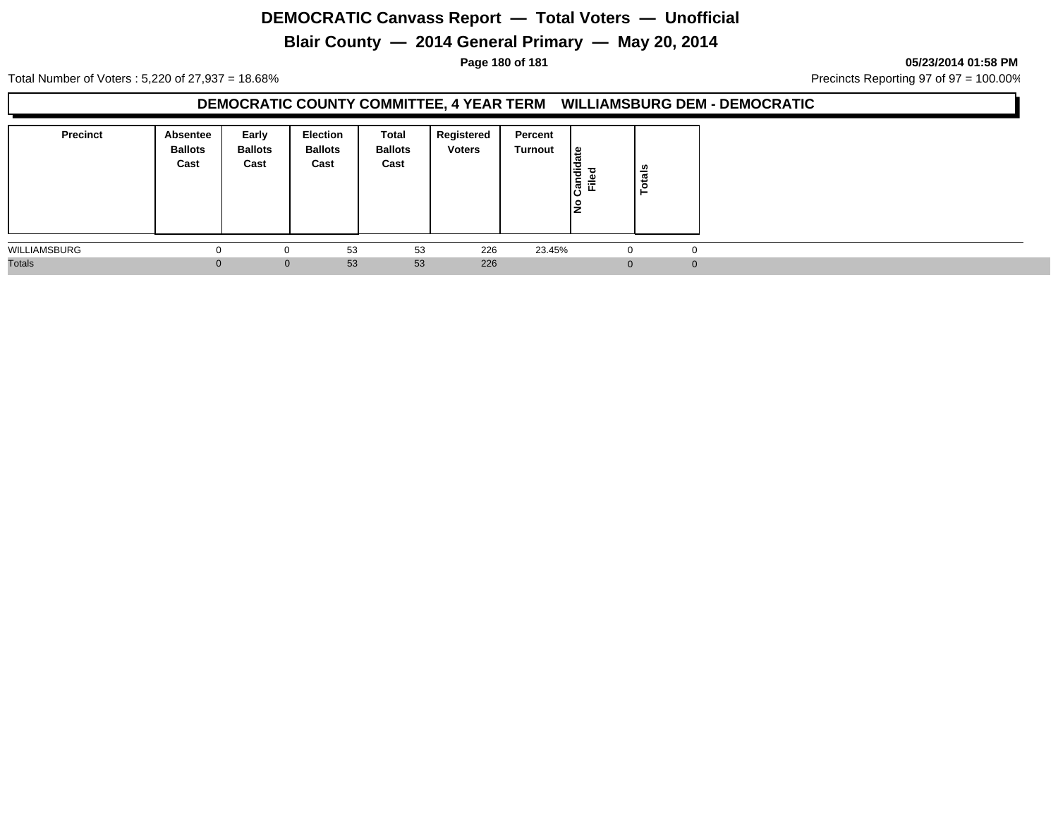# **Blair County — 2014 General Primary — May 20, 2014**

**Page 180 of 181 05/23/2014 01:58 PM**

Total Number of Voters : 5,220 of 27,937 = 18.68% Precincts Reporting 97 of 97 = 100.00%

#### **DEMOCRATIC COUNTY COMMITTEE, 4 YEAR TERM WILLIAMSBURG DEM - DEMOCRATIC**

| <b>Precinct</b> | <b>Absentee</b><br><b>Ballots</b><br>Cast | Early<br><b>Ballots</b><br>Cast | <b>Election</b><br><b>Ballots</b><br>Cast | Total<br><b>Ballots</b><br>Cast | Registered<br><b>Voters</b> | Percent<br>Turnout | <u> ഉ</u><br>Candid<br>Filed<br>o<br>Iž | Totals   |
|-----------------|-------------------------------------------|---------------------------------|-------------------------------------------|---------------------------------|-----------------------------|--------------------|-----------------------------------------|----------|
| WILLIAMSBURG    | $\Omega$                                  | 0                               | 53                                        | 53                              | 226                         | 23.45%             |                                         | 0        |
| <b>Totals</b>   |                                           | $\mathbf{0}$                    | 53                                        | 53                              | 226                         |                    | $\Omega$                                | $\Omega$ |